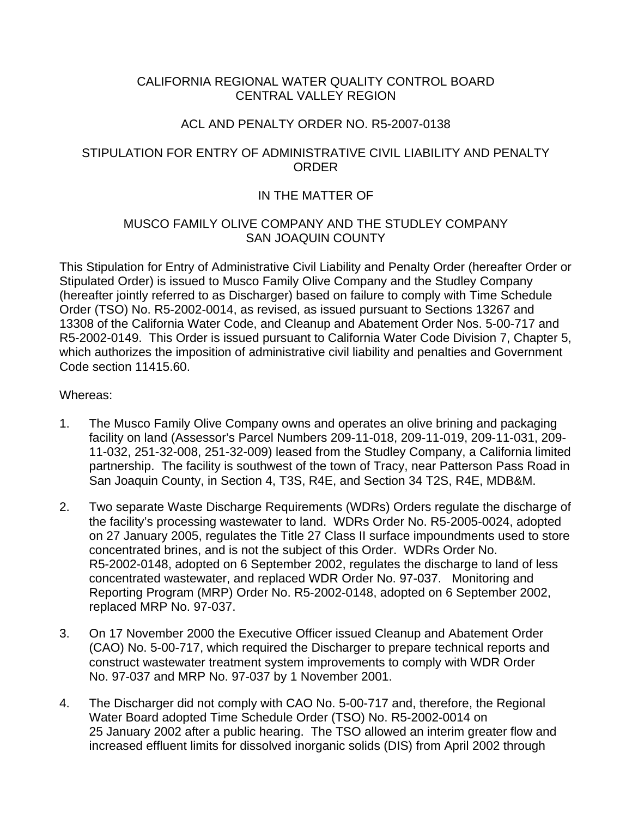# CALIFORNIA REGIONAL WATER QUALITY CONTROL BOARD CENTRAL VALLEY REGION

# ACL AND PENALTY ORDER NO. R5-2007-0138

# STIPULATION FOR ENTRY OF ADMINISTRATIVE CIVIL LIABILITY AND PENALTY ORDER

# IN THE MATTER OF

# MUSCO FAMILY OLIVE COMPANY AND THE STUDLEY COMPANY SAN JOAQUIN COUNTY

This Stipulation for Entry of Administrative Civil Liability and Penalty Order (hereafter Order or Stipulated Order) is issued to Musco Family Olive Company and the Studley Company (hereafter jointly referred to as Discharger) based on failure to comply with Time Schedule Order (TSO) No. R5-2002-0014, as revised, as issued pursuant to Sections 13267 and 13308 of the California Water Code, and Cleanup and Abatement Order Nos. 5-00-717 and R5-2002-0149. This Order is issued pursuant to California Water Code Division 7, Chapter 5, which authorizes the imposition of administrative civil liability and penalties and Government Code section 11415.60.

# Whereas:

- 1. The Musco Family Olive Company owns and operates an olive brining and packaging facility on land (Assessor's Parcel Numbers 209-11-018, 209-11-019, 209-11-031, 209- 11-032, 251-32-008, 251-32-009) leased from the Studley Company, a California limited partnership. The facility is southwest of the town of Tracy, near Patterson Pass Road in San Joaquin County, in Section 4, T3S, R4E, and Section 34 T2S, R4E, MDB&M.
- 2. Two separate Waste Discharge Requirements (WDRs) Orders regulate the discharge of the facility's processing wastewater to land. WDRs Order No. R5-2005-0024, adopted on 27 January 2005, regulates the Title 27 Class II surface impoundments used to store concentrated brines, and is not the subject of this Order. WDRs Order No. R5-2002-0148, adopted on 6 September 2002, regulates the discharge to land of less concentrated wastewater, and replaced WDR Order No. 97-037. Monitoring and Reporting Program (MRP) Order No. R5-2002-0148, adopted on 6 September 2002, replaced MRP No. 97-037.
- 3. On 17 November 2000 the Executive Officer issued Cleanup and Abatement Order (CAO) No. 5-00-717, which required the Discharger to prepare technical reports and construct wastewater treatment system improvements to comply with WDR Order No. 97-037 and MRP No. 97-037 by 1 November 2001.
- 4. The Discharger did not comply with CAO No. 5-00-717 and, therefore, the Regional Water Board adopted Time Schedule Order (TSO) No. R5-2002-0014 on 25 January 2002 after a public hearing. The TSO allowed an interim greater flow and increased effluent limits for dissolved inorganic solids (DIS) from April 2002 through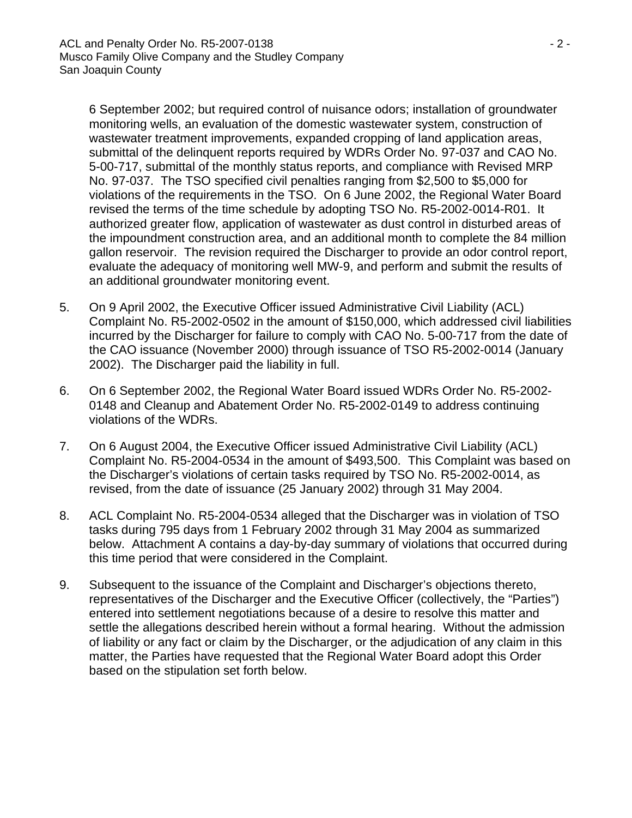6 September 2002; but required control of nuisance odors; installation of groundwater monitoring wells, an evaluation of the domestic wastewater system, construction of wastewater treatment improvements, expanded cropping of land application areas, submittal of the delinquent reports required by WDRs Order No. 97-037 and CAO No. 5-00-717, submittal of the monthly status reports, and compliance with Revised MRP No. 97-037. The TSO specified civil penalties ranging from \$2,500 to \$5,000 for violations of the requirements in the TSO. On 6 June 2002, the Regional Water Board revised the terms of the time schedule by adopting TSO No. R5-2002-0014-R01. It authorized greater flow, application of wastewater as dust control in disturbed areas of the impoundment construction area, and an additional month to complete the 84 million gallon reservoir. The revision required the Discharger to provide an odor control report, evaluate the adequacy of monitoring well MW-9, and perform and submit the results of an additional groundwater monitoring event.

- 5. On 9 April 2002, the Executive Officer issued Administrative Civil Liability (ACL) Complaint No. R5-2002-0502 in the amount of \$150,000, which addressed civil liabilities incurred by the Discharger for failure to comply with CAO No. 5-00-717 from the date of the CAO issuance (November 2000) through issuance of TSO R5-2002-0014 (January 2002). The Discharger paid the liability in full.
- 6. On 6 September 2002, the Regional Water Board issued WDRs Order No. R5-2002- 0148 and Cleanup and Abatement Order No. R5-2002-0149 to address continuing violations of the WDRs.
- 7. On 6 August 2004, the Executive Officer issued Administrative Civil Liability (ACL) Complaint No. R5-2004-0534 in the amount of \$493,500. This Complaint was based on the Discharger's violations of certain tasks required by TSO No. R5-2002-0014, as revised, from the date of issuance (25 January 2002) through 31 May 2004.
- 8. ACL Complaint No. R5-2004-0534 alleged that the Discharger was in violation of TSO tasks during 795 days from 1 February 2002 through 31 May 2004 as summarized below. Attachment A contains a day-by-day summary of violations that occurred during this time period that were considered in the Complaint.
- 9. Subsequent to the issuance of the Complaint and Discharger's objections thereto, representatives of the Discharger and the Executive Officer (collectively, the "Parties") entered into settlement negotiations because of a desire to resolve this matter and settle the allegations described herein without a formal hearing. Without the admission of liability or any fact or claim by the Discharger, or the adjudication of any claim in this matter, the Parties have requested that the Regional Water Board adopt this Order based on the stipulation set forth below.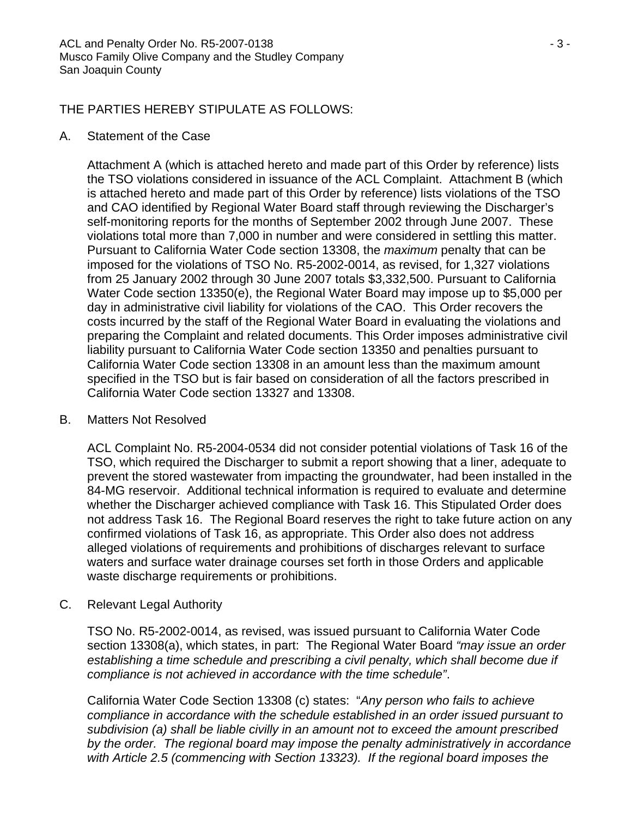# THE PARTIES HEREBY STIPULATE AS FOLLOWS:

# A. Statement of the Case

Attachment A (which is attached hereto and made part of this Order by reference) lists the TSO violations considered in issuance of the ACL Complaint. Attachment B (which is attached hereto and made part of this Order by reference) lists violations of the TSO and CAO identified by Regional Water Board staff through reviewing the Discharger's self-monitoring reports for the months of September 2002 through June 2007. These violations total more than 7,000 in number and were considered in settling this matter. Pursuant to California Water Code section 13308, the *maximum* penalty that can be imposed for the violations of TSO No. R5-2002-0014, as revised, for 1,327 violations from 25 January 2002 through 30 June 2007 totals \$3,332,500. Pursuant to California Water Code section 13350(e), the Regional Water Board may impose up to \$5,000 per day in administrative civil liability for violations of the CAO. This Order recovers the costs incurred by the staff of the Regional Water Board in evaluating the violations and preparing the Complaint and related documents. This Order imposes administrative civil liability pursuant to California Water Code section 13350 and penalties pursuant to California Water Code section 13308 in an amount less than the maximum amount specified in the TSO but is fair based on consideration of all the factors prescribed in California Water Code section 13327 and 13308.

# B. Matters Not Resolved

ACL Complaint No. R5-2004-0534 did not consider potential violations of Task 16 of the TSO, which required the Discharger to submit a report showing that a liner, adequate to prevent the stored wastewater from impacting the groundwater, had been installed in the 84-MG reservoir. Additional technical information is required to evaluate and determine whether the Discharger achieved compliance with Task 16. This Stipulated Order does not address Task 16. The Regional Board reserves the right to take future action on any confirmed violations of Task 16, as appropriate. This Order also does not address alleged violations of requirements and prohibitions of discharges relevant to surface waters and surface water drainage courses set forth in those Orders and applicable waste discharge requirements or prohibitions.

# C. Relevant Legal Authority

TSO No. R5-2002-0014, as revised, was issued pursuant to California Water Code section 13308(a), which states, in part: The Regional Water Board *"may issue an order establishing a time schedule and prescribing a civil penalty, which shall become due if compliance is not achieved in accordance with the time schedule"*.

California Water Code Section 13308 (c) states: "*Any person who fails to achieve compliance in accordance with the schedule established in an order issued pursuant to subdivision (a) shall be liable civilly in an amount not to exceed the amount prescribed by the order. The regional board may impose the penalty administratively in accordance with Article 2.5 (commencing with Section 13323). If the regional board imposes the*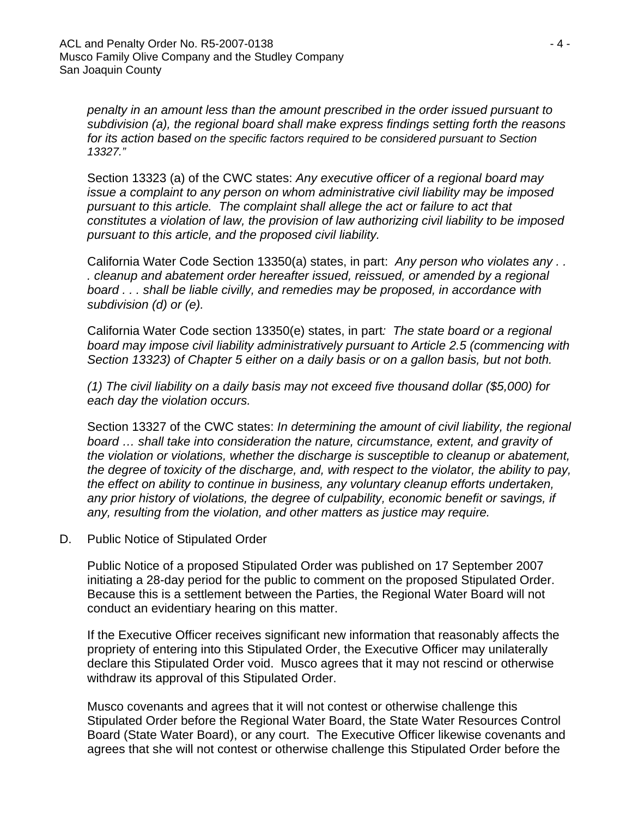*penalty in an amount less than the amount prescribed in the order issued pursuant to subdivision (a), the regional board shall make express findings setting forth the reasons for its action based on the specific factors required to be considered pursuant to Section 13327."*

Section 13323 (a) of the CWC states: *Any executive officer of a regional board may issue a complaint to any person on whom administrative civil liability may be imposed pursuant to this article. The complaint shall allege the act or failure to act that constitutes a violation of law, the provision of law authorizing civil liability to be imposed pursuant to this article, and the proposed civil liability.* 

California Water Code Section 13350(a) states, in part: *Any person who violates any . . . cleanup and abatement order hereafter issued, reissued, or amended by a regional board . . . shall be liable civilly, and remedies may be proposed, in accordance with subdivision (d) or (e).* 

California Water Code section 13350(e) states, in part*: The state board or a regional board may impose civil liability administratively pursuant to Article 2.5 (commencing with Section 13323) of Chapter 5 either on a daily basis or on a gallon basis, but not both.* 

*(1) The civil liability on a daily basis may not exceed five thousand dollar (\$5,000) for each day the violation occurs.* 

Section 13327 of the CWC states: *In determining the amount of civil liability, the regional board … shall take into consideration the nature, circumstance, extent, and gravity of the violation or violations, whether the discharge is susceptible to cleanup or abatement, the degree of toxicity of the discharge, and, with respect to the violator, the ability to pay, the effect on ability to continue in business, any voluntary cleanup efforts undertaken, any prior history of violations, the degree of culpability, economic benefit or savings, if any, resulting from the violation, and other matters as justice may require.*

D. Public Notice of Stipulated Order

Public Notice of a proposed Stipulated Order was published on 17 September 2007 initiating a 28-day period for the public to comment on the proposed Stipulated Order. Because this is a settlement between the Parties, the Regional Water Board will not conduct an evidentiary hearing on this matter.

If the Executive Officer receives significant new information that reasonably affects the propriety of entering into this Stipulated Order, the Executive Officer may unilaterally declare this Stipulated Order void. Musco agrees that it may not rescind or otherwise withdraw its approval of this Stipulated Order.

Musco covenants and agrees that it will not contest or otherwise challenge this Stipulated Order before the Regional Water Board, the State Water Resources Control Board (State Water Board), or any court. The Executive Officer likewise covenants and agrees that she will not contest or otherwise challenge this Stipulated Order before the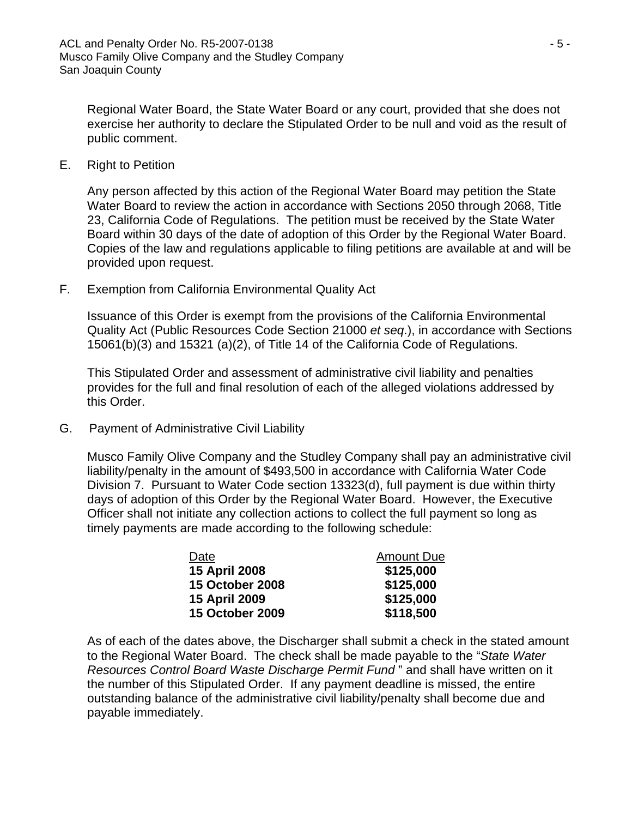Regional Water Board, the State Water Board or any court, provided that she does not exercise her authority to declare the Stipulated Order to be null and void as the result of public comment.

E. Right to Petition

Any person affected by this action of the Regional Water Board may petition the State Water Board to review the action in accordance with Sections 2050 through 2068, Title 23, California Code of Regulations. The petition must be received by the State Water Board within 30 days of the date of adoption of this Order by the Regional Water Board. Copies of the law and regulations applicable to filing petitions are available at and will be provided upon request.

F. Exemption from California Environmental Quality Act

Issuance of this Order is exempt from the provisions of the California Environmental Quality Act (Public Resources Code Section 21000 *et seq*.), in accordance with Sections 15061(b)(3) and 15321 (a)(2), of Title 14 of the California Code of Regulations.

This Stipulated Order and assessment of administrative civil liability and penalties provides for the full and final resolution of each of the alleged violations addressed by this Order.

G. Payment of Administrative Civil Liability

Musco Family Olive Company and the Studley Company shall pay an administrative civil liability/penalty in the amount of \$493,500 in accordance with California Water Code Division 7. Pursuant to Water Code section 13323(d), full payment is due within thirty days of adoption of this Order by the Regional Water Board. However, the Executive Officer shall not initiate any collection actions to collect the full payment so long as timely payments are made according to the following schedule:

| Date                   | <b>Amount Due</b> |
|------------------------|-------------------|
| 15 April 2008          | \$125,000         |
| <b>15 October 2008</b> | \$125,000         |
| 15 April 2009          | \$125,000         |
| <b>15 October 2009</b> | \$118,500         |

As of each of the dates above, the Discharger shall submit a check in the stated amount to the Regional Water Board. The check shall be made payable to the "*State Water Resources Control Board Waste Discharge Permit Fund* " and shall have written on it the number of this Stipulated Order. If any payment deadline is missed, the entire outstanding balance of the administrative civil liability/penalty shall become due and payable immediately.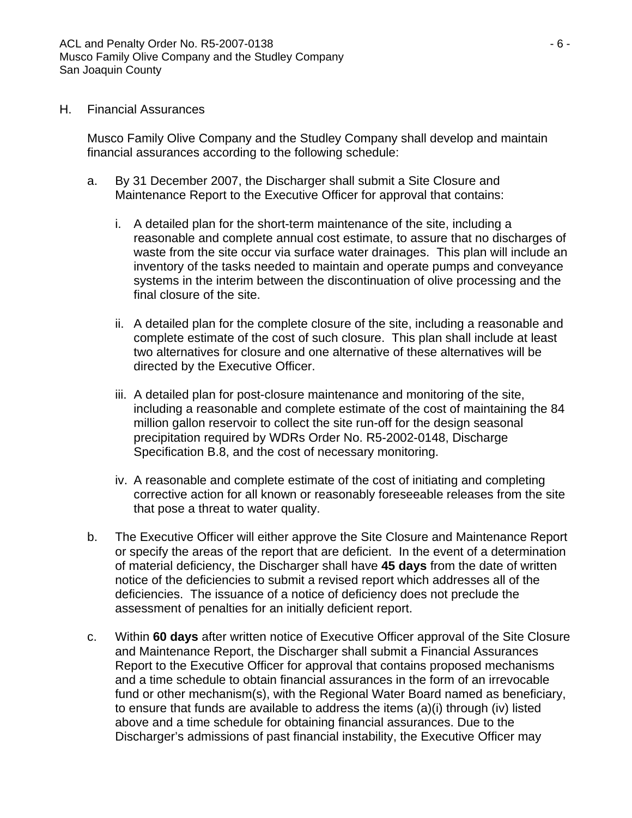# H. Financial Assurances

Musco Family Olive Company and the Studley Company shall develop and maintain financial assurances according to the following schedule:

- a. By 31 December 2007, the Discharger shall submit a Site Closure and Maintenance Report to the Executive Officer for approval that contains:
	- i. A detailed plan for the short-term maintenance of the site, including a reasonable and complete annual cost estimate, to assure that no discharges of waste from the site occur via surface water drainages. This plan will include an inventory of the tasks needed to maintain and operate pumps and conveyance systems in the interim between the discontinuation of olive processing and the final closure of the site.
	- ii. A detailed plan for the complete closure of the site, including a reasonable and complete estimate of the cost of such closure. This plan shall include at least two alternatives for closure and one alternative of these alternatives will be directed by the Executive Officer.
	- iii. A detailed plan for post-closure maintenance and monitoring of the site, including a reasonable and complete estimate of the cost of maintaining the 84 million gallon reservoir to collect the site run-off for the design seasonal precipitation required by WDRs Order No. R5-2002-0148, Discharge Specification B.8, and the cost of necessary monitoring.
	- iv. A reasonable and complete estimate of the cost of initiating and completing corrective action for all known or reasonably foreseeable releases from the site that pose a threat to water quality.
- b. The Executive Officer will either approve the Site Closure and Maintenance Report or specify the areas of the report that are deficient. In the event of a determination of material deficiency, the Discharger shall have **45 days** from the date of written notice of the deficiencies to submit a revised report which addresses all of the deficiencies. The issuance of a notice of deficiency does not preclude the assessment of penalties for an initially deficient report.
- c. Within **60 days** after written notice of Executive Officer approval of the Site Closure and Maintenance Report, the Discharger shall submit a Financial Assurances Report to the Executive Officer for approval that contains proposed mechanisms and a time schedule to obtain financial assurances in the form of an irrevocable fund or other mechanism(s), with the Regional Water Board named as beneficiary, to ensure that funds are available to address the items (a)(i) through (iv) listed above and a time schedule for obtaining financial assurances. Due to the Discharger's admissions of past financial instability, the Executive Officer may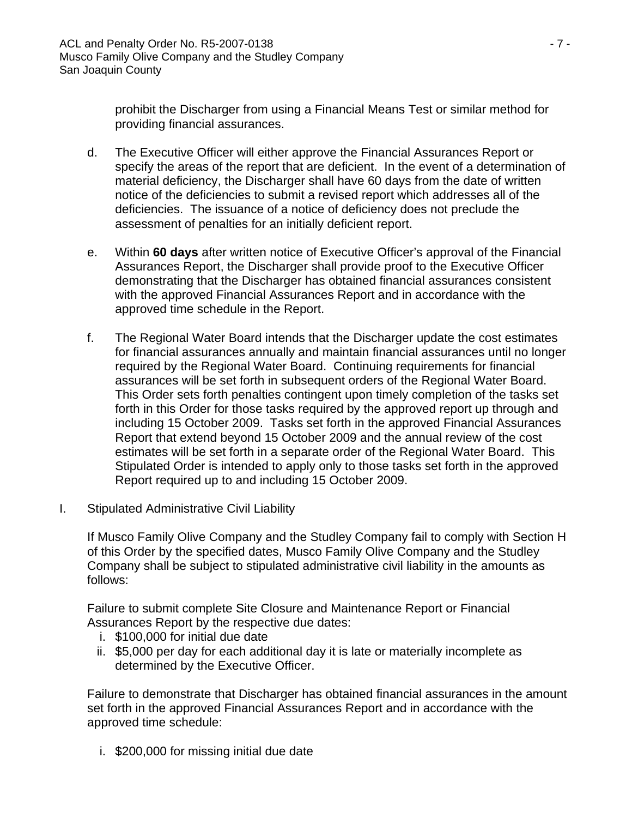prohibit the Discharger from using a Financial Means Test or similar method for providing financial assurances.

- d. The Executive Officer will either approve the Financial Assurances Report or specify the areas of the report that are deficient. In the event of a determination of material deficiency, the Discharger shall have 60 days from the date of written notice of the deficiencies to submit a revised report which addresses all of the deficiencies. The issuance of a notice of deficiency does not preclude the assessment of penalties for an initially deficient report.
- e. Within **60 days** after written notice of Executive Officer's approval of the Financial Assurances Report, the Discharger shall provide proof to the Executive Officer demonstrating that the Discharger has obtained financial assurances consistent with the approved Financial Assurances Report and in accordance with the approved time schedule in the Report.
- f. The Regional Water Board intends that the Discharger update the cost estimates for financial assurances annually and maintain financial assurances until no longer required by the Regional Water Board. Continuing requirements for financial assurances will be set forth in subsequent orders of the Regional Water Board. This Order sets forth penalties contingent upon timely completion of the tasks set forth in this Order for those tasks required by the approved report up through and including 15 October 2009. Tasks set forth in the approved Financial Assurances Report that extend beyond 15 October 2009 and the annual review of the cost estimates will be set forth in a separate order of the Regional Water Board. This Stipulated Order is intended to apply only to those tasks set forth in the approved Report required up to and including 15 October 2009.
- I. Stipulated Administrative Civil Liability

If Musco Family Olive Company and the Studley Company fail to comply with Section H of this Order by the specified dates, Musco Family Olive Company and the Studley Company shall be subject to stipulated administrative civil liability in the amounts as follows:

Failure to submit complete Site Closure and Maintenance Report or Financial Assurances Report by the respective due dates:

- i. \$100,000 for initial due date
- ii. \$5,000 per day for each additional day it is late or materially incomplete as determined by the Executive Officer.

Failure to demonstrate that Discharger has obtained financial assurances in the amount set forth in the approved Financial Assurances Report and in accordance with the approved time schedule:

i. \$200,000 for missing initial due date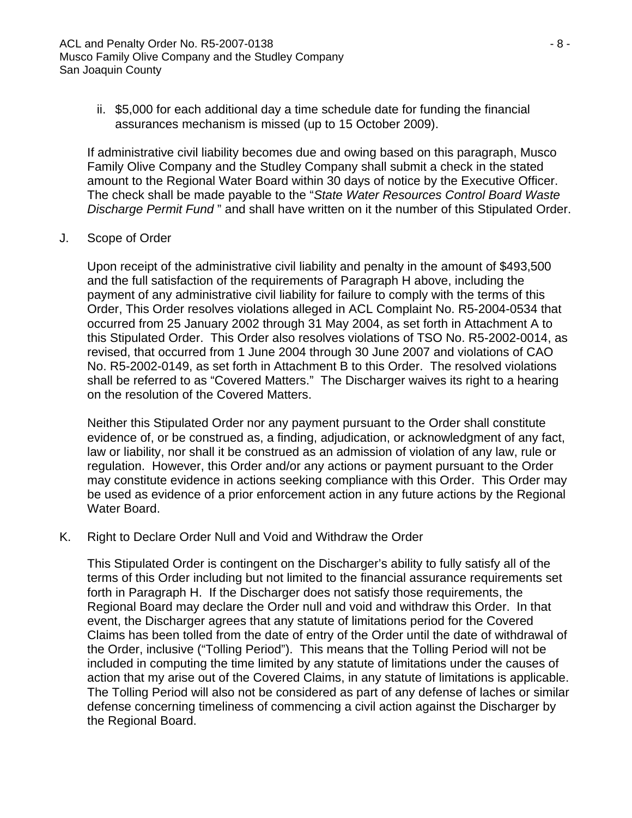ii. \$5,000 for each additional day a time schedule date for funding the financial assurances mechanism is missed (up to 15 October 2009).

If administrative civil liability becomes due and owing based on this paragraph, Musco Family Olive Company and the Studley Company shall submit a check in the stated amount to the Regional Water Board within 30 days of notice by the Executive Officer. The check shall be made payable to the "*State Water Resources Control Board Waste Discharge Permit Fund* " and shall have written on it the number of this Stipulated Order.

J. Scope of Order

Upon receipt of the administrative civil liability and penalty in the amount of \$493,500 and the full satisfaction of the requirements of Paragraph H above, including the payment of any administrative civil liability for failure to comply with the terms of this Order, This Order resolves violations alleged in ACL Complaint No. R5-2004-0534 that occurred from 25 January 2002 through 31 May 2004, as set forth in Attachment A to this Stipulated Order. This Order also resolves violations of TSO No. R5-2002-0014, as revised, that occurred from 1 June 2004 through 30 June 2007 and violations of CAO No. R5-2002-0149, as set forth in Attachment B to this Order. The resolved violations shall be referred to as "Covered Matters." The Discharger waives its right to a hearing on the resolution of the Covered Matters.

Neither this Stipulated Order nor any payment pursuant to the Order shall constitute evidence of, or be construed as, a finding, adjudication, or acknowledgment of any fact, law or liability, nor shall it be construed as an admission of violation of any law, rule or regulation. However, this Order and/or any actions or payment pursuant to the Order may constitute evidence in actions seeking compliance with this Order. This Order may be used as evidence of a prior enforcement action in any future actions by the Regional Water Board.

# K. Right to Declare Order Null and Void and Withdraw the Order

This Stipulated Order is contingent on the Discharger's ability to fully satisfy all of the terms of this Order including but not limited to the financial assurance requirements set forth in Paragraph H. If the Discharger does not satisfy those requirements, the Regional Board may declare the Order null and void and withdraw this Order. In that event, the Discharger agrees that any statute of limitations period for the Covered Claims has been tolled from the date of entry of the Order until the date of withdrawal of the Order, inclusive ("Tolling Period"). This means that the Tolling Period will not be included in computing the time limited by any statute of limitations under the causes of action that my arise out of the Covered Claims, in any statute of limitations is applicable. The Tolling Period will also not be considered as part of any defense of laches or similar defense concerning timeliness of commencing a civil action against the Discharger by the Regional Board.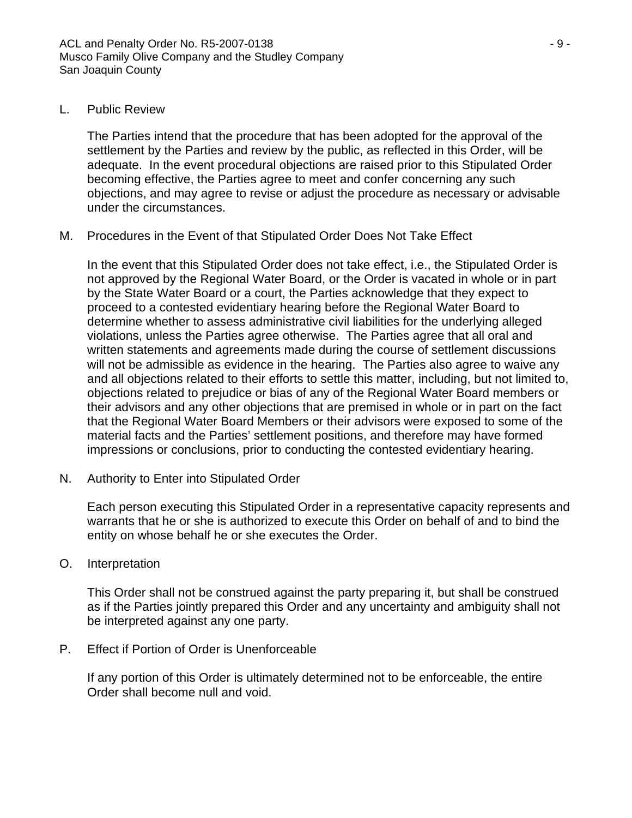# L. Public Review

The Parties intend that the procedure that has been adopted for the approval of the settlement by the Parties and review by the public, as reflected in this Order, will be adequate. In the event procedural objections are raised prior to this Stipulated Order becoming effective, the Parties agree to meet and confer concerning any such objections, and may agree to revise or adjust the procedure as necessary or advisable under the circumstances.

# M. Procedures in the Event of that Stipulated Order Does Not Take Effect

In the event that this Stipulated Order does not take effect, i.e., the Stipulated Order is not approved by the Regional Water Board, or the Order is vacated in whole or in part by the State Water Board or a court, the Parties acknowledge that they expect to proceed to a contested evidentiary hearing before the Regional Water Board to determine whether to assess administrative civil liabilities for the underlying alleged violations, unless the Parties agree otherwise. The Parties agree that all oral and written statements and agreements made during the course of settlement discussions will not be admissible as evidence in the hearing. The Parties also agree to waive any and all objections related to their efforts to settle this matter, including, but not limited to, objections related to prejudice or bias of any of the Regional Water Board members or their advisors and any other objections that are premised in whole or in part on the fact that the Regional Water Board Members or their advisors were exposed to some of the material facts and the Parties' settlement positions, and therefore may have formed impressions or conclusions, prior to conducting the contested evidentiary hearing.

N. Authority to Enter into Stipulated Order

Each person executing this Stipulated Order in a representative capacity represents and warrants that he or she is authorized to execute this Order on behalf of and to bind the entity on whose behalf he or she executes the Order.

O. Interpretation

This Order shall not be construed against the party preparing it, but shall be construed as if the Parties jointly prepared this Order and any uncertainty and ambiguity shall not be interpreted against any one party.

P. Effect if Portion of Order is Unenforceable

If any portion of this Order is ultimately determined not to be enforceable, the entire Order shall become null and void.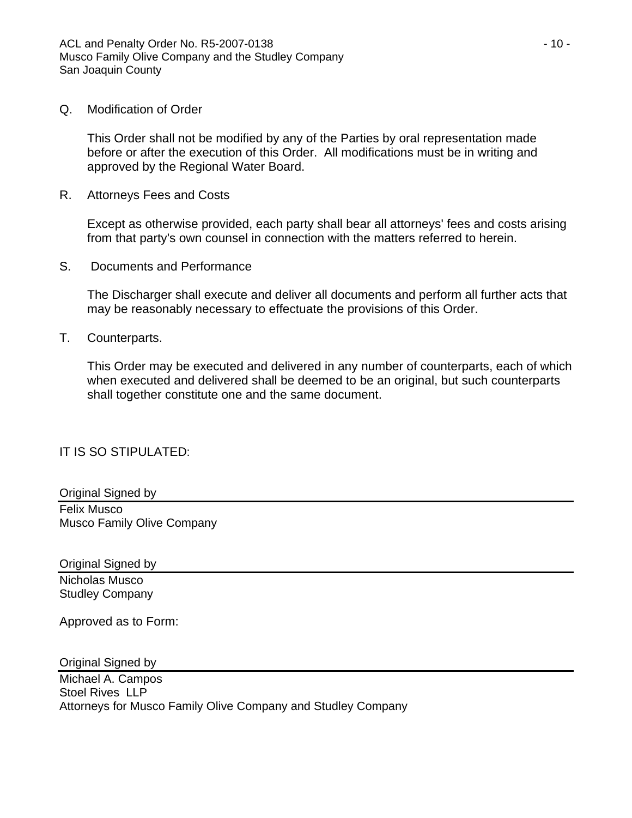# Q. Modification of Order

This Order shall not be modified by any of the Parties by oral representation made before or after the execution of this Order. All modifications must be in writing and approved by the Regional Water Board.

R. Attorneys Fees and Costs

Except as otherwise provided, each party shall bear all attorneys' fees and costs arising from that party's own counsel in connection with the matters referred to herein.

S. Documents and Performance

The Discharger shall execute and deliver all documents and perform all further acts that may be reasonably necessary to effectuate the provisions of this Order.

T. Counterparts.

This Order may be executed and delivered in any number of counterparts, each of which when executed and delivered shall be deemed to be an original, but such counterparts shall together constitute one and the same document.

IT IS SO STIPULATED:

Original Signed by Felix Musco Musco Family Olive Company

Original Signed by Nicholas Musco Studley Company

Approved as to Form:

Original Signed by

Michael A. Campos Stoel Rives LLP Attorneys for Musco Family Olive Company and Studley Company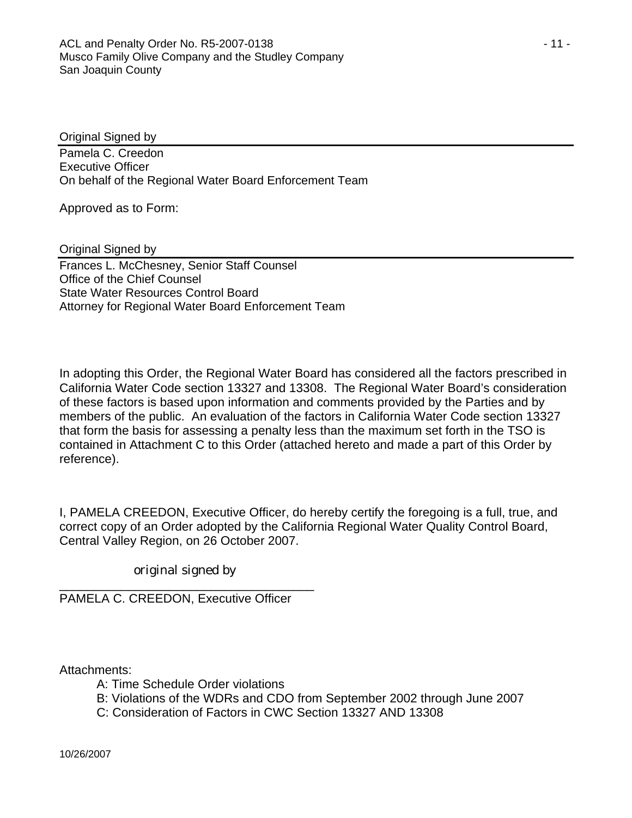Original Signed by

Pamela C. Creedon Executive Officer On behalf of the Regional Water Board Enforcement Team

Approved as to Form:

Original Signed by

Frances L. McChesney, Senior Staff Counsel Office of the Chief Counsel State Water Resources Control Board Attorney for Regional Water Board Enforcement Team

In adopting this Order, the Regional Water Board has considered all the factors prescribed in California Water Code section 13327 and 13308. The Regional Water Board's consideration of these factors is based upon information and comments provided by the Parties and by members of the public. An evaluation of the factors in California Water Code section 13327 that form the basis for assessing a penalty less than the maximum set forth in the TSO is contained in Attachment C to this Order (attached hereto and made a part of this Order by reference).

I, PAMELA CREEDON, Executive Officer, do hereby certify the foregoing is a full, true, and correct copy of an Order adopted by the California Regional Water Quality Control Board, Central Valley Region, on 26 October 2007.

original signed by

\_\_\_\_\_\_\_\_\_\_\_\_\_\_\_\_\_\_\_\_\_\_\_\_\_\_\_\_\_\_\_\_\_\_\_\_\_ PAMELA C. CREEDON, Executive Officer

Attachments:

- A: Time Schedule Order violations
- B: Violations of the WDRs and CDO from September 2002 through June 2007
- C: Consideration of Factors in CWC Section 13327 AND 13308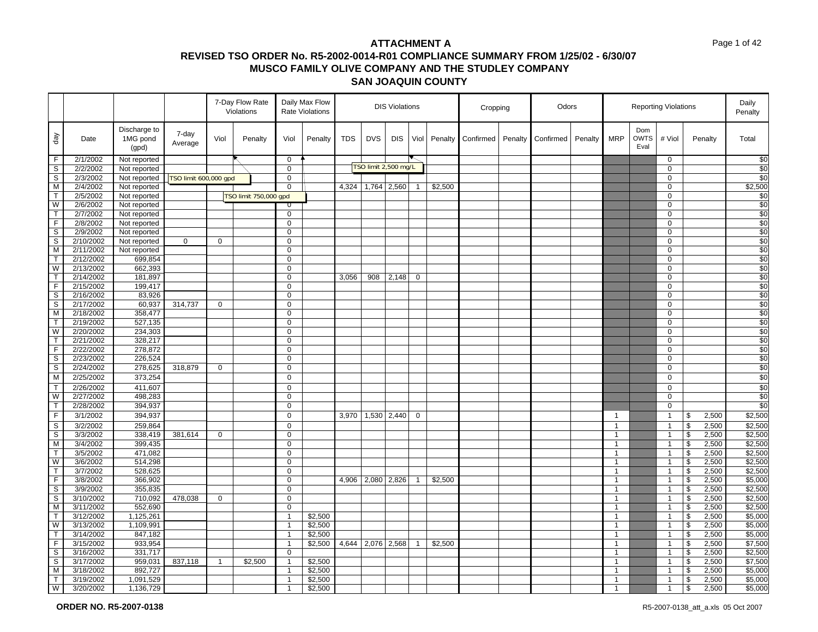|                         |                        |                                   |                       |              | 7-Day Flow Rate<br>Violations |                | Daily Max Flow<br>Rate Violations |            |                      | <b>DIS Violations</b> |                |         | Cropping  |         | Odors     |         |                |                            | <b>Reporting Violations</b> |                                                    | Daily<br>Penalty |
|-------------------------|------------------------|-----------------------------------|-----------------------|--------------|-------------------------------|----------------|-----------------------------------|------------|----------------------|-----------------------|----------------|---------|-----------|---------|-----------|---------|----------------|----------------------------|-----------------------------|----------------------------------------------------|------------------|
| day                     | Date                   | Discharge to<br>1MG pond<br>(gpd) | 7-day<br>Average      | Viol         | Penalty                       | Viol           | Penalty                           | <b>TDS</b> | <b>DVS</b>           | <b>DIS</b>            | Viol           | Penalty | Confirmed | Penalty | Confirmed | Penalty | <b>MRP</b>     | Dom<br><b>OWTS</b><br>Eval | # Viol                      | Penalty                                            | Total            |
| F                       | 2/1/2002               | Not reported                      |                       |              |                               | $\mathbf 0$    |                                   |            |                      |                       |                |         |           |         |           |         |                |                            | 0                           |                                                    | \$0              |
| $\overline{s}$          | 2/2/2002               | Not reported                      |                       |              |                               | $\mathbf 0$    |                                   |            | TSO limit 2,500 mg/L |                       |                |         |           |         |           |         |                |                            | 0                           |                                                    | $\overline{50}$  |
| S                       | 2/3/2002               | Not reported                      | TSO limit 600,000 gpd |              |                               | 0              |                                   |            |                      |                       |                |         |           |         |           |         |                |                            | 0                           |                                                    | \$0              |
| M                       | 2/4/2002               | Not reported                      |                       |              |                               | $\mathbf 0$    |                                   | 4,324      | 1,764                | 2,560                 | $\overline{1}$ | \$2,500 |           |         |           |         |                |                            | $\mathbf 0$                 |                                                    | \$2,500          |
| $\mathsf T$             | 2/5/2002               | Not reported                      |                       |              | TSO limit 750,000 gpd         |                |                                   |            |                      |                       |                |         |           |         |           |         |                |                            | 0                           |                                                    | \$0              |
| W                       | 2/6/2002               | Not reported                      |                       |              |                               | U              |                                   |            |                      |                       |                |         |           |         |           |         |                |                            | $\Omega$                    |                                                    | \$0              |
| $\mathsf{T}$            | 2/7/2002               | Not reported                      |                       |              |                               | 0              |                                   |            |                      |                       |                |         |           |         |           |         |                |                            | 0                           |                                                    | $\frac{6}{3}$    |
| F                       | 2/8/2002               | Not reported                      |                       |              |                               | $\mathbf 0$    |                                   |            |                      |                       |                |         |           |         |           |         |                |                            | $\mathbf 0$                 |                                                    | \$0              |
| $\overline{s}$          | 2/9/2002               | Not reported                      |                       |              |                               | 0              |                                   |            |                      |                       |                |         |           |         |           |         |                |                            | 0                           |                                                    | \$0              |
| $\mathbb S$             | 2/10/2002              | Not reported                      | $\mathbf 0$           | $\mathbf 0$  |                               | 0              |                                   |            |                      |                       |                |         |           |         |           |         |                |                            | 0                           |                                                    | \$0              |
| M                       | $\overline{2/11/2002}$ | Not reported                      |                       |              |                               | $\mathbf 0$    |                                   |            |                      |                       |                |         |           |         |           |         |                |                            | $\mathbf 0$                 |                                                    | \$0              |
| $\mathsf{T}$            | 2/12/2002              | 699,854                           |                       |              |                               | 0              |                                   |            |                      |                       |                |         |           |         |           |         |                |                            | 0                           |                                                    | \$0              |
| W                       | 2/13/2002              | 662,393                           |                       |              |                               | 0              |                                   |            |                      |                       |                |         |           |         |           |         |                |                            | $\Omega$                    |                                                    | $\frac{6}{3}$    |
| $\mathsf{T}$            | 2/14/2002              | 181,897                           |                       |              |                               | $\mathbf 0$    |                                   | 3,056      | 908                  | 2,148                 | $\mathbf 0$    |         |           |         |           |         |                |                            | $\mathbf 0$                 |                                                    | \$0              |
| $\mathsf F$             | 2/15/2002              | 199,417                           |                       |              |                               | $\pmb{0}$      |                                   |            |                      |                       |                |         |           |         |           |         |                |                            | 0                           |                                                    | \$0              |
| $\mathbb S$             | 2/16/2002              | 83,926                            |                       |              |                               | 0              |                                   |            |                      |                       |                |         |           |         |           |         |                |                            | $\mathbf 0$                 |                                                    | \$0              |
| S                       | 2/17/2002              | 60,937                            | 314,737               | $\mathbf 0$  |                               | $\mathbf 0$    |                                   |            |                      |                       |                |         |           |         |           |         |                |                            | $\mathbf 0$                 |                                                    | \$0              |
| M                       | 2/18/2002              | 358,477                           |                       |              |                               | $\mathsf 0$    |                                   |            |                      |                       |                |         |           |         |           |         |                |                            | 0                           |                                                    | \$0              |
| $\mathsf{T}$            | 2/19/2002              | 527,135                           |                       |              |                               | $\mathbf 0$    |                                   |            |                      |                       |                |         |           |         |           |         |                |                            | $\mathbf 0$                 |                                                    | \$0              |
| W                       | 2/20/2002              | 234,303                           |                       |              |                               | 0              |                                   |            |                      |                       |                |         |           |         |           |         |                |                            | 0                           |                                                    | \$0              |
| $\mathsf{T}$            | 2/21/2002              | 328,217                           |                       |              |                               | $\mathbf 0$    |                                   |            |                      |                       |                |         |           |         |           |         |                |                            | 0                           |                                                    | \$0              |
| $\overline{F}$          | 2/22/2002              | 278,872                           |                       |              |                               | $\mathbf 0$    |                                   |            |                      |                       |                |         |           |         |           |         |                |                            | 0                           |                                                    | \$0              |
| S                       | 2/23/2002              | 226,524                           |                       |              |                               | $\mathbf 0$    |                                   |            |                      |                       |                |         |           |         |           |         |                |                            | $\mathbf 0$                 |                                                    | \$0              |
| S                       | 2/24/2002              | 278,625                           | 318,879               | $\mathbf 0$  |                               | $\mathbf 0$    |                                   |            |                      |                       |                |         |           |         |           |         |                |                            | 0                           |                                                    | \$0              |
| $\overline{M}$          | 2/25/2002              | 373,254                           |                       |              |                               | $\mathbf 0$    |                                   |            |                      |                       |                |         |           |         |           |         |                |                            | 0                           |                                                    | \$0              |
| $\mathsf{T}$            | 2/26/2002              | 411,607                           |                       |              |                               | $\Omega$       |                                   |            |                      |                       |                |         |           |         |           |         |                |                            | $\Omega$                    |                                                    | \$0              |
| W                       | 2/27/2002              | 498,283                           |                       |              |                               | $\mathbf 0$    |                                   |            |                      |                       |                |         |           |         |           |         |                |                            | $\mathbf 0$                 |                                                    | \$0              |
| $\mathsf{T}$            | 2/28/2002              | 394,937                           |                       |              |                               | 0              |                                   |            |                      |                       |                |         |           |         |           |         |                |                            | 0                           |                                                    | \$0              |
| $\overline{\mathsf{F}}$ | 3/1/2002               | 394,937                           |                       |              |                               | $\mathbf 0$    |                                   | 3,970      |                      | 1,530 2,440           | 0              |         |           |         |           |         | $\overline{1}$ |                            | $\mathbf{1}$                | \$<br>2,500                                        | \$2,500          |
| $\mathbb S$             | 3/2/2002               | 259,864                           |                       |              |                               | $\mathbf 0$    |                                   |            |                      |                       |                |         |           |         |           |         | $\mathbf{1}$   |                            | $\mathbf{1}$                | \$<br>2,500                                        | \$2,500          |
| $\mathbb S$             | 3/3/2002               | 338,419                           | 381,614               | $\mathbf 0$  |                               | 0              |                                   |            |                      |                       |                |         |           |         |           |         | $\overline{1}$ |                            | $\overline{1}$              | \$<br>2,500                                        | \$2,500          |
| M                       | 3/4/2002               | 399,435                           |                       |              |                               | 0              |                                   |            |                      |                       |                |         |           |         |           |         | $\mathbf{1}$   |                            | $\overline{1}$              | \$<br>2,500                                        | \$2,500          |
| $\overline{\mathsf{T}}$ | 3/5/2002               | 471,082                           |                       |              |                               | 0              |                                   |            |                      |                       |                |         |           |         |           |         | $\mathbf{1}$   |                            | $\overline{1}$              | $\boldsymbol{\theta}$<br>2,500                     | \$2,500          |
| W                       | 3/6/2002               | 514,298                           |                       |              |                               | 0              |                                   |            |                      |                       |                |         |           |         |           |         | $\mathbf{1}$   |                            | $\overline{1}$              | 2,500<br>\$                                        | \$2,500          |
| $\mathsf T$             | 3/7/2002               | 528,625                           |                       |              |                               | 0              |                                   |            |                      |                       |                |         |           |         |           |         | $\mathbf{1}$   |                            | $\overline{1}$              | \$<br>2,500                                        | \$2,500          |
| F                       | 3/8/2002               | 366,902                           |                       |              |                               | $\overline{0}$ |                                   | 4,906      | 2,080                | 2,826                 | $\mathbf{1}$   | \$2,500 |           |         |           |         | $\mathbf{1}$   |                            | $\overline{1}$              | $\overline{\mathbf{3}}$<br>2,500                   | \$5,000          |
| $\mathsf S$             | 3/9/2002               | 355,835                           |                       |              |                               | $\mathbf 0$    |                                   |            |                      |                       |                |         |           |         |           |         | $\mathbf{1}$   |                            | $\overline{1}$              | $\, \, \raisebox{12pt}{$\scriptstyle \$}$<br>2,500 | \$2,500          |
| S                       | 3/10/2002              | 710,092                           | 478,038               | $\mathbf 0$  |                               | 0              |                                   |            |                      |                       |                |         |           |         |           |         | $\mathbf{1}$   |                            | $\overline{1}$              | \$<br>2,500                                        | \$2,500          |
| $\overline{M}$          | 3/11/2002              | 552,690                           |                       |              |                               | $\overline{0}$ |                                   |            |                      |                       |                |         |           |         |           |         | $\mathbf{1}$   |                            | $\overline{1}$              | $\sqrt{2}$<br>2,500                                | \$2,500          |
| $\mathsf{T}$            | 3/12/2002              | 1,125,261                         |                       |              |                               | $\mathbf{1}$   | \$2,500                           |            |                      |                       |                |         |           |         |           |         | $\mathbf{1}$   |                            | $\overline{1}$              | $\pmb{\mathfrak{S}}$<br>2,500                      | \$5,000          |
| W                       | 3/13/2002              | 1,109,991                         |                       |              |                               | $\mathbf{1}$   | \$2,500                           |            |                      |                       |                |         |           |         |           |         | $\mathbf{1}$   |                            | $\overline{1}$              | $\boldsymbol{\theta}$<br>2,500                     | \$5,000          |
| $\mathsf{T}$            | 3/14/2002              | 847,182                           |                       |              |                               | $\mathbf{1}$   | \$2,500                           |            |                      |                       |                |         |           |         |           |         | $\mathbf{1}$   |                            | $\overline{1}$              | \$<br>2,500                                        | \$5,000          |
| F.                      | 3/15/2002              | 933,954                           |                       |              |                               | $\mathbf{1}$   | \$2,500                           | 4,644      | 2,076                | 2,568                 | $\mathbf{1}$   | \$2,500 |           |         |           |         | $\mathbf{1}$   |                            | $\mathbf{1}$                | $\, \, \raisebox{12pt}{$\scriptstyle \$}$<br>2,500 | \$7,500          |
| S                       | 3/16/2002              | 331,717                           |                       |              |                               | $\mathbf 0$    |                                   |            |                      |                       |                |         |           |         |           |         | 1              |                            | $\overline{1}$              | \$<br>2,500                                        | \$2,500          |
| $\mathbb S$             | 3/17/2002              | 959,031                           | 837,118               | $\mathbf{1}$ | \$2,500                       | 1              | \$2,500                           |            |                      |                       |                |         |           |         |           |         | $\mathbf{1}$   |                            | $\overline{1}$              | \$<br>2,500                                        | \$7,500          |
| M                       | 3/18/2002              | 892,727                           |                       |              |                               | $\mathbf{1}$   | \$2,500                           |            |                      |                       |                |         |           |         |           |         | $\mathbf{1}$   |                            | $\overline{1}$              | $\sqrt[6]{\frac{1}{2}}$<br>2,500                   | \$5,000          |
| $\mathsf{T}$            | 3/19/2002              | 1,091,529                         |                       |              |                               | $\mathbf{1}$   | \$2,500                           |            |                      |                       |                |         |           |         |           |         | $\mathbf{1}$   |                            | $\overline{1}$              | \$<br>2,500                                        | \$5,000          |
| W                       | 3/20/2002              | 1,136,729                         |                       |              |                               | 1              | \$2,500                           |            |                      |                       |                |         |           |         |           |         |                |                            | $\overline{1}$              | \$<br>2,500                                        | \$5,000          |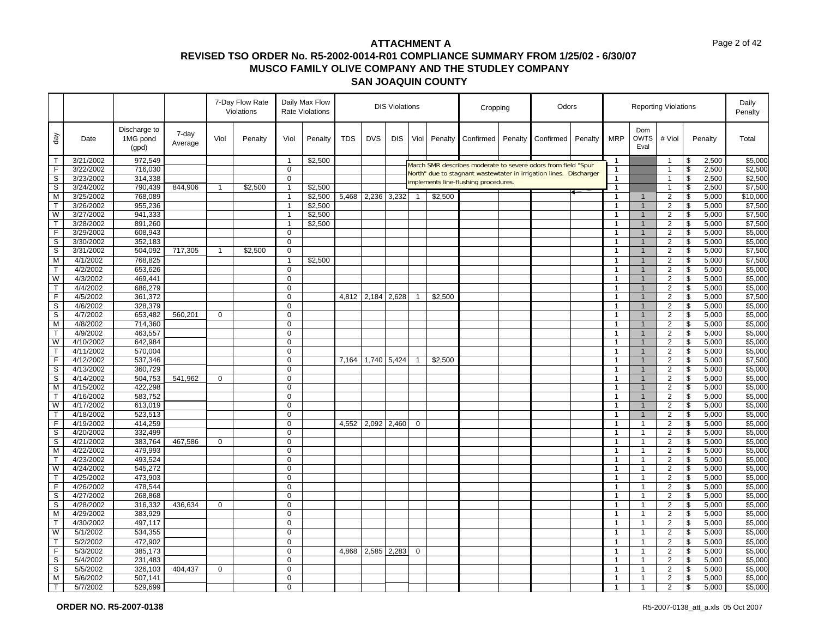|                   |                        |                                   |                  |              | 7-Day Flow Rate<br>Violations |                               | Daily Max Flow<br>Rate Violations | <b>DIS Violations</b> |            |             |                | Cropping |                                                                                                                                     | Odors   |           |         |                              | <b>Reporting Violations</b>      |                                  |                               | Daily<br>Penalty |                    |
|-------------------|------------------------|-----------------------------------|------------------|--------------|-------------------------------|-------------------------------|-----------------------------------|-----------------------|------------|-------------|----------------|----------|-------------------------------------------------------------------------------------------------------------------------------------|---------|-----------|---------|------------------------------|----------------------------------|----------------------------------|-------------------------------|------------------|--------------------|
| day               | Date                   | Discharge to<br>1MG pond<br>(gpd) | 7-day<br>Average | Viol         | Penalty                       | Viol                          | Penalty                           | TDS                   | <b>DVS</b> | <b>DIS</b>  | Viol           | Penalty  | Confirmed                                                                                                                           | Penalty | Confirmed | Penalty | <b>MRP</b>                   | Dom<br><b>OWTS</b><br>Eval       | # Viol                           |                               | Penalty          | Total              |
| $\mathsf{T}$      | 3/21/2002              | 972,549                           |                  |              |                               | $\mathbf{1}$                  | \$2,500                           |                       |            |             |                |          |                                                                                                                                     |         |           |         | $\mathbf{1}$                 |                                  | $\overline{1}$                   | \$                            | 2,500            | \$5,000            |
| F                 | 3/22/2002              | 716,030                           |                  |              |                               | $\mathbf 0$                   |                                   |                       |            |             |                |          | March SMR describes moderate to severe odors from field "Spur<br>North" due to stagnant wastewtater in irrigation lines. Discharger |         |           |         | $\mathbf{1}$                 |                                  | $\overline{1}$                   | \$                            | 2,500            | \$2,500            |
| $\mathsf S$       | 3/23/2002              | 314,338                           |                  |              |                               | $\mathbf 0$                   |                                   |                       |            |             |                |          | implements line-flushing procedures.                                                                                                |         |           |         | $\overline{1}$               |                                  | $\overline{1}$                   | \$                            | 2,500            | \$2,500            |
| S                 | 3/24/2002              | 790,439                           | 844,906          | $\mathbf{1}$ | \$2,500                       | $\mathbf{1}$                  | \$2,500                           |                       |            |             |                |          |                                                                                                                                     |         |           |         | $\mathbf{1}$                 |                                  | $\overline{1}$                   | \$                            | 2,500            | \$7,500            |
| M                 | 3/25/2002              | 768,089                           |                  |              |                               | $\mathbf{1}$                  | \$2,500                           | 5,468                 |            | 2,236 3,232 | $\mathbf{1}$   | \$2,500  |                                                                                                                                     |         |           |         | $\mathbf{1}$                 | $\mathbf{1}$                     | $\overline{2}$                   | $\boldsymbol{\theta}$         | 5,000            | \$10,000           |
| T                 | 3/26/2002              | 955,236                           |                  |              |                               | $\mathbf{1}$                  | \$2,500                           |                       |            |             |                |          |                                                                                                                                     |         |           |         | $\mathbf{1}$                 | $\mathbf{1}$                     | $\overline{2}$                   | \$                            | 5,000            | \$7,500            |
| W                 | 3/27/2002              | 941,333                           |                  |              |                               | $\mathbf{1}$                  | \$2,500                           |                       |            |             |                |          |                                                                                                                                     |         |           |         | $\mathbf{1}$                 | $\overline{1}$                   | $\overline{2}$                   | $\overline{\mathbf{e}}$       | 5,000            | \$7,500            |
| $\mathsf{T}$      | 3/28/2002              | 891,260                           |                  |              |                               | $\mathbf{1}$                  | \$2,500                           |                       |            |             |                |          |                                                                                                                                     |         |           |         | $\mathbf{1}$                 | $\mathbf{1}$                     | $\overline{2}$                   | \$                            | 5,000            | \$7,500            |
| F                 | 3/29/2002              | 608,943                           |                  |              |                               | $\mathbf 0$                   |                                   |                       |            |             |                |          |                                                                                                                                     |         |           |         | $\mathbf{1}$                 | $\mathbf{1}$                     | $\overline{2}$                   | \$                            | 5,000            | \$5,000            |
| S                 | 3/30/2002              | 352,183                           |                  |              |                               | $\mathbf 0$                   |                                   |                       |            |             |                |          |                                                                                                                                     |         |           |         | 1                            | $\mathbf{1}$                     | $\overline{2}$                   | \$                            | 5,000            | \$5,000            |
| S                 | 3/31/2002              | 504,092                           | 717,305          | $\mathbf{1}$ | \$2,500                       | $\mathbf 0$                   |                                   |                       |            |             |                |          |                                                                                                                                     |         |           |         | $\mathbf{1}$                 | $\mathbf{1}$                     | $\overline{\mathbf{c}}$          | \$                            | 5,000            | \$7,500            |
| M                 | 4/1/2002               | 768,825                           |                  |              |                               | 1                             | \$2,500                           |                       |            |             |                |          |                                                                                                                                     |         |           |         | 1                            | $\mathbf{1}$                     | $\overline{c}$                   | \$                            | 5,000            | \$7,500            |
| $\mathsf{T}$      | 4/2/2002               | 653,626                           |                  |              |                               | $\Omega$                      |                                   |                       |            |             |                |          |                                                                                                                                     |         |           |         | $\mathbf{1}$                 | $\mathbf{1}$                     | $\overline{2}$                   | \$                            | 5,000            | \$5,000            |
| W                 | 4/3/2002               | 469,441                           |                  |              |                               | $\mathbf 0$                   |                                   |                       |            |             |                |          |                                                                                                                                     |         |           |         | $\mathbf{1}$                 | $\mathbf{1}$                     | $\overline{2}$                   | \$                            | 5,000            | \$5,000            |
| $\top$            | 4/4/2002               | 686,279                           |                  |              |                               | $\mathbf 0$                   |                                   |                       |            |             |                |          |                                                                                                                                     |         |           |         | $\mathbf{1}$                 | $\mathbf{1}$                     | $\overline{2}$                   | \$                            | 5,000            | \$5,000            |
| F.                | 4/5/2002               | 361,372                           |                  |              |                               | $\Omega$                      |                                   | 4,812                 | 2,184      | 2,628       | $\overline{1}$ | \$2,500  |                                                                                                                                     |         |           |         | $\mathbf{1}$                 | $\mathbf{1}$                     | $\overline{\mathbf{c}}$          | \$                            | 5,000            | \$7,500            |
| S                 | 4/6/2002               | 328,379                           |                  |              |                               | $\Omega$                      |                                   |                       |            |             |                |          |                                                                                                                                     |         |           |         | $\mathbf{1}$                 | $\mathbf{1}$                     | $\overline{2}$                   | $\mathbf{s}$                  | 5,000            | \$5,000            |
| S                 | 4/7/2002               | 653,482                           | 560,201          | $\mathbf 0$  |                               | $\mathbf 0$                   |                                   |                       |            |             |                |          |                                                                                                                                     |         |           |         | $\mathbf{1}$                 | $\mathbf{1}$                     | $\overline{2}$                   | \$                            | 5,000            | \$5,000            |
| М                 | 4/8/2002               | 714,360                           |                  |              |                               | $\overline{0}$                |                                   |                       |            |             |                |          |                                                                                                                                     |         |           |         | $\mathbf{1}$                 | $\overline{1}$                   | $\overline{2}$                   | $\overline{\mathbf{s}}$       | 5,000            | \$5,000            |
| $\mathsf{T}$      | 4/9/2002               | 463,557                           |                  |              |                               | $\Omega$                      |                                   |                       |            |             |                |          |                                                                                                                                     |         |           |         | $\mathbf{1}$                 | $\mathbf{1}$                     | 2                                | \$                            | 5,000            | \$5,000            |
| W                 | 4/10/2002              | 642,984                           |                  |              |                               | $\mathbf 0$                   |                                   |                       |            |             |                |          |                                                                                                                                     |         |           |         | $\mathbf{1}$                 | $\mathbf{1}$                     | $\overline{2}$                   | \$                            | 5,000            | \$5,000            |
| T                 | 4/11/2002              | 570,004                           |                  |              |                               | $\mathbf 0$                   |                                   |                       |            |             |                |          |                                                                                                                                     |         |           |         | 1                            | $\mathbf{1}$                     | $\overline{2}$                   | $\overline{\mathcal{S}}$      | 5,000            | \$5,000            |
| F                 | 4/12/2002              | 537,346                           |                  |              |                               | $\mathbf 0$                   |                                   | 7.164                 |            | 1,740 5,424 | $\overline{1}$ | \$2,500  |                                                                                                                                     |         |           |         | $\mathbf{1}$                 | $\overline{1}$                   | $\overline{2}$                   | \$                            | 5,000            | \$7,500            |
| $\mathbb S$       | 4/13/2002              | 360,729                           |                  |              |                               | $\mathbf 0$                   |                                   |                       |            |             |                |          |                                                                                                                                     |         |           |         | $\mathbf{1}$                 | $\mathbf{1}$                     | $\overline{2}$                   | $\mathfrak s$                 | 5,000            | \$5,000            |
| S                 | 4/14/2002              | 504,753                           | 541,962          | $\mathbf 0$  |                               | $\mathbf 0$                   |                                   |                       |            |             |                |          |                                                                                                                                     |         |           |         | $\mathbf{1}$                 | $\mathbf{1}$                     | $\overline{2}$                   | \$                            | 5,000            | \$5,000            |
| M                 | 4/15/2002              | 422,298                           |                  |              |                               | $\Omega$                      |                                   |                       |            |             |                |          |                                                                                                                                     |         |           |         | 1                            | $\overline{1}$<br>$\overline{1}$ | $\overline{\mathbf{c}}$          | $\pmb{\mathfrak{S}}$          | 5,000            | \$5,000            |
| $\mathsf{T}$<br>W | 4/16/2002              | 583,752                           |                  |              |                               | $\mathbf 0$<br>$\overline{0}$ |                                   |                       |            |             |                |          |                                                                                                                                     |         |           |         | $\mathbf{1}$                 | $\mathbf{1}$                     | $\overline{2}$<br>$\overline{2}$ | \$<br>$\overline{\mathbf{s}}$ | 5,000            | \$5,000<br>\$5,000 |
| $\mathsf{T}$      | 4/17/2002<br>4/18/2002 | 613,019                           |                  |              |                               | $\mathbf 0$                   |                                   |                       |            |             |                |          |                                                                                                                                     |         |           |         | $\mathbf{1}$                 | $\mathbf{1}$                     |                                  |                               | 5,000            |                    |
| F                 | 4/19/2002              | 523,513                           |                  |              |                               | $\mathbf 0$                   |                                   |                       |            |             | $\mathbf 0$    |          |                                                                                                                                     |         |           |         | $\mathbf{1}$<br>$\mathbf{1}$ | $\overline{1}$                   | $\overline{2}$                   | \$                            | 5,000            | \$5,000            |
| s                 | 4/20/2002              | 414,259<br>332,499                |                  |              |                               | $\Omega$                      |                                   | 4,552                 |            | 2,092 2,460 |                |          |                                                                                                                                     |         |           |         | $\mathbf{1}$                 | $\mathbf{1}$                     | $\overline{c}$<br>$\overline{2}$ | \$<br>\$                      | 5,000<br>5,000   | \$5,000<br>\$5,000 |
|                   | 4/21/2002              |                                   | 467,586          |              |                               | $\mathbf 0$                   |                                   |                       |            |             |                |          |                                                                                                                                     |         |           |         |                              |                                  | $\overline{2}$                   |                               | 5,000            | \$5,000            |
| S<br>M            | 4/22/2002              | 383,764<br>479,993                |                  | 0            |                               | $\Omega$                      |                                   |                       |            |             |                |          |                                                                                                                                     |         |           |         | $\mathbf{1}$<br>1            | $\overline{1}$<br>$\overline{1}$ | $\overline{2}$                   | \$<br>$\mathsf{s}$            | 5,000            | \$5,000            |
| $\mathsf{T}$      | 4/23/2002              | 493,524                           |                  |              |                               | $\Omega$                      |                                   |                       |            |             |                |          |                                                                                                                                     |         |           |         | $\mathbf{1}$                 | $\overline{1}$                   | $\overline{2}$                   | \$                            | 5,000            | \$5,000            |
| W                 | 4/24/2002              | 545,272                           |                  |              |                               | $\mathbf 0$                   |                                   |                       |            |             |                |          |                                                                                                                                     |         |           |         | $\mathbf{1}$                 | $\overline{1}$                   | $\overline{2}$                   | $\sqrt[6]{\frac{1}{2}}$       | 5,000            | \$5,000            |
| T                 | 4/25/2002              | 473,903                           |                  |              |                               | $\mathbf 0$                   |                                   |                       |            |             |                |          |                                                                                                                                     |         |           |         | $\mathbf{1}$                 | $\overline{1}$                   | $\overline{2}$                   | \$                            | 5,000            | \$5,000            |
| F                 | 4/26/2002              | 478,544                           |                  |              |                               | $\Omega$                      |                                   |                       |            |             |                |          |                                                                                                                                     |         |           |         | 1                            | $\overline{1}$                   | $\overline{c}$                   | \$                            | 5,000            | \$5,000            |
| S                 | 4/27/2002              | 268,868                           |                  |              |                               | $\mathbf 0$                   |                                   |                       |            |             |                |          |                                                                                                                                     |         |           |         | $\mathbf{1}$                 | $\overline{1}$                   | $\overline{2}$                   | \$                            | 5,000            | \$5,000            |
| S                 | 4/28/2002              | 316,332                           | 436,634          | 0            |                               | $\mathbf 0$                   |                                   |                       |            |             |                |          |                                                                                                                                     |         |           |         | $\mathbf{1}$                 | $\mathbf{1}$                     | $\overline{2}$                   | \$                            | 5,000            | \$5,000            |
| M                 | 4/29/2002              | 383,929                           |                  |              |                               | $\mathbf 0$                   |                                   |                       |            |             |                |          |                                                                                                                                     |         |           |         | $\mathbf{1}$                 | $\overline{1}$                   | $\overline{2}$                   | \$                            | 5,000            | \$5,000            |
| $\mathsf{T}$      | 4/30/2002              | 497,117                           |                  |              |                               | $\mathbf 0$                   |                                   |                       |            |             |                |          |                                                                                                                                     |         |           |         | $\mathbf{1}$                 | $\overline{1}$                   | $\overline{2}$                   | \$                            | 5,000            | \$5,000            |
| W                 | 5/1/2002               | 534,355                           |                  |              |                               | $\Omega$                      |                                   |                       |            |             |                |          |                                                                                                                                     |         |           |         | 1                            | $\overline{\mathbf{1}}$          | $\overline{2}$                   | \$                            | 5,000            | \$5,000            |
| $\mathsf{T}$      | 5/2/2002               | 472,902                           |                  |              |                               | $\mathbf 0$                   |                                   |                       |            |             |                |          |                                                                                                                                     |         |           |         | $\mathbf{1}$                 | $\overline{1}$                   | $\overline{2}$                   | $\overline{\mathbf{3}}$       | 5,000            | \$5,000            |
| F                 | 5/3/2002               | 385,173                           |                  |              |                               | $\mathbf 0$                   |                                   | 4,868                 | 2,585      | 2,283       | $\mathbf 0$    |          |                                                                                                                                     |         |           |         | $\mathbf{1}$                 | $\mathbf{1}$                     | $\overline{2}$                   | \$                            | 5,000            | \$5,000            |
| S                 | 5/4/2002               | 231,483                           |                  |              |                               | $\Omega$                      |                                   |                       |            |             |                |          |                                                                                                                                     |         |           |         | 1                            | $\overline{1}$                   | $\overline{2}$                   | \$                            | 5,000            | \$5,000            |
| S                 | 5/5/2002               | 326,103                           | 404,437          | $\mathbf 0$  |                               | $\Omega$                      |                                   |                       |            |             |                |          |                                                                                                                                     |         |           |         | $\mathbf{1}$                 | 1                                | $\overline{\mathbf{c}}$          | \$                            | 5,000            | \$5,000            |
| M                 | 5/6/2002               | 507,141                           |                  |              |                               | $\Omega$                      |                                   |                       |            |             |                |          |                                                                                                                                     |         |           |         | $\mathbf{1}$                 | $\mathbf 1$                      | 2                                | \$                            | 5,000            | \$5,000            |
| $\mathsf{T}$      | 5/7/2002               | 529,699                           |                  |              |                               | $\mathbf 0$                   |                                   |                       |            |             |                |          |                                                                                                                                     |         |           |         | 1                            | $\overline{1}$                   | 2                                | \$                            | 5,000            | \$5,000            |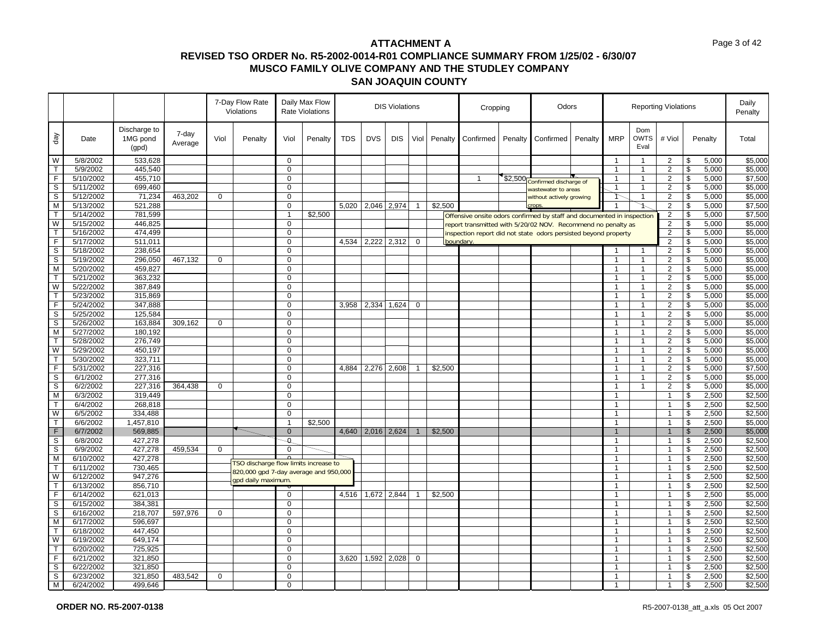|                         |                        |                                   |                  |             | 7-Day Flow Rate<br>Violations         |                            | Daily Max Flow<br><b>Rate Violations</b> | <b>DIS Violations</b> |            |               |                |         | Cropping                                                               |         | Odors                    |         |                |                                  | <b>Reporting Violations</b> |                                  |                | Daily<br>Penalty   |
|-------------------------|------------------------|-----------------------------------|------------------|-------------|---------------------------------------|----------------------------|------------------------------------------|-----------------------|------------|---------------|----------------|---------|------------------------------------------------------------------------|---------|--------------------------|---------|----------------|----------------------------------|-----------------------------|----------------------------------|----------------|--------------------|
| day                     | Date                   | Discharge to<br>1MG pond<br>(gpd) | 7-day<br>Average | Viol        | Penalty                               | Viol                       | Penalty                                  | <b>TDS</b>            | <b>DVS</b> | <b>DIS</b>    | Viol           | Penalty | Confirmed                                                              | Penalty | Confirmed                | Penalty | <b>MRP</b>     | Dom<br><b>OWTS</b><br>Eval       | # Viol                      |                                  | Penalty        | Total              |
| W                       | 5/8/2002               | 533,628                           |                  |             |                                       | 0                          |                                          |                       |            |               |                |         |                                                                        |         |                          |         | $\mathbf{1}$   | $\overline{1}$                   | $\overline{2}$              | \$                               | 5,000          | \$5,000            |
| $\mathsf{T}$            | 5/9/2002               | 445,540                           |                  |             |                                       | $\mathbf 0$                |                                          |                       |            |               |                |         |                                                                        |         |                          |         | $\mathbf{1}$   | $\overline{1}$                   | $\overline{2}$              | \$                               | 5,000          | \$5,000            |
| $\overline{F}$          | 5/10/2002              | 455,710                           |                  |             |                                       | $\Omega$                   |                                          |                       |            |               |                |         | -1                                                                     | \$2,500 | Confirmed discharge of   |         |                |                                  | 2                           | \$                               | 5,000          | \$7,500            |
| S                       | 5/11/2002              | 699,460                           |                  |             |                                       | $\Omega$                   |                                          |                       |            |               |                |         |                                                                        |         | wastewater to areas      |         | $\mathbf{1}$   |                                  | $\overline{2}$              | \$                               | 5,000          | \$5,000            |
| $\overline{s}$          | 5/12/2002              | 71,234                            | 463,202          | $\Omega$    |                                       | $\Omega$                   |                                          |                       |            |               |                |         |                                                                        |         | without actively growing |         | ት              | $\mathbf{1}$                     | $\overline{2}$              | \$                               | 5,000          | \$5,000            |
| М                       | 5/13/2002              | 521,288                           |                  |             |                                       | $\mathbf 0$                |                                          | 5,020                 |            | 2,046 2,974   | $\mathbf{1}$   | \$2,500 |                                                                        |         | crops                    |         | -1             |                                  | 2                           | \$                               | 5,000          | \$7,500            |
| T                       | 5/14/2002              | 781,599                           |                  |             |                                       | 1                          | \$2,500                                  |                       |            |               |                |         | Offensive onsite odors confirmed by staff and documented in inspection |         |                          |         |                |                                  | $\overline{2}$              | $\overline{\boldsymbol{\theta}}$ | 5,000          | \$7,500            |
| W                       | 5/15/2002              | 446,825                           |                  |             |                                       | $\mathbf 0$                |                                          |                       |            |               |                |         | report transmitted with 5/20/02 NOV. Recommend no penalty as           |         |                          |         |                |                                  | $\overline{2}$              | \$                               | 5,000          | \$5,000            |
| $\mathsf{T}$            | 5/16/2002              | 474,499                           |                  |             |                                       | $\mathbf 0$                |                                          |                       |            |               |                |         | inspection report did not state odors persisted beyond property        |         |                          |         |                |                                  | $\overline{2}$              | \$                               | 5,000          | \$5,000            |
| F                       | 5/17/2002              | 511,011                           |                  |             |                                       | $\mathbf 0$                |                                          | 4,534                 |            | 2,222 2,312   | $\mathbf 0$    |         | boundary.                                                              |         |                          |         |                |                                  | $\overline{2}$              | \$                               | 5,000          | \$5,000            |
| $\mathbb S$             | 5/18/2002              | 238,654                           |                  |             |                                       | $\Omega$                   |                                          |                       |            |               |                |         |                                                                        |         |                          |         |                |                                  | $\overline{2}$              | \$                               | 5,000          | \$5,000            |
| $\mathbb S$             | 5/19/2002              | 296,050                           | 467,132          | $\mathbf 0$ |                                       | $\mathbf 0$                |                                          |                       |            |               |                |         |                                                                        |         |                          |         | $\mathbf{1}$   | $\mathbf{1}$                     | $\overline{2}$              | \$                               | 5,000          | \$5,000            |
| M                       | 5/20/2002              | 459,827                           |                  |             |                                       | $\mathbf 0$                |                                          |                       |            |               |                |         |                                                                        |         |                          |         | $\mathbf{1}$   | $\mathbf{1}$                     | 2                           | \$                               | 5,000          | \$5,000            |
| $\mathsf{T}$            | 5/21/2002              | 363,232                           |                  |             |                                       | $\mathbf 0$                |                                          |                       |            |               |                |         |                                                                        |         |                          |         | 1              | 1                                | $\overline{2}$              | \$                               | 5,000          | \$5,000            |
| W                       | 5/22/2002              | 387,849                           |                  |             |                                       | $\Omega$                   |                                          |                       |            |               |                |         |                                                                        |         |                          |         | 1              | 1                                | 2                           | \$                               | 5,000          | \$5,000            |
| $\mathsf{T}$            | 5/23/2002              | 315,869                           |                  |             |                                       | $\mathbf 0$                |                                          |                       |            |               |                |         |                                                                        |         |                          |         | $\mathbf{1}$   | $\mathbf{1}$                     | $\overline{2}$              | \$                               | 5,000          | \$5,000            |
| F                       | 5/24/2002              | 347,888                           |                  |             |                                       | $\mathbf 0$                |                                          | 3.958                 | 2,334      | 1,624         | $\mathbf 0$    |         |                                                                        |         |                          |         | $\mathbf{1}$   | $\mathbf{1}$                     | 2                           | \$                               | 5,000          | \$5,000            |
| S                       | 5/25/2002              | 125,584                           |                  |             |                                       | $\mathbf 0$<br>$\Omega$    |                                          |                       |            |               |                |         |                                                                        |         |                          |         |                | $\overline{1}$<br>$\overline{1}$ | $\overline{2}$              | \$                               | 5,000          | \$5,000            |
| $\mathbb S$             | 5/26/2002              | 163,884                           | 309,162          | $\mathbf 0$ |                                       |                            |                                          |                       |            |               |                |         |                                                                        |         |                          |         | 1              |                                  | 2                           | \$                               | 5,000          | \$5,000            |
| M<br>$\mathsf{T}$       | 5/27/2002<br>5/28/2002 | 180,192<br>276,749                |                  |             |                                       | $\mathbf 0$<br>$\mathbf 0$ |                                          |                       |            |               |                |         |                                                                        |         |                          |         | $\mathbf{1}$   | $\overline{1}$<br>$\overline{1}$ | $\overline{2}$              | \$                               | 5,000          | \$5,000<br>\$5,000 |
|                         |                        |                                   |                  |             |                                       | $\Omega$                   |                                          |                       |            |               |                |         |                                                                        |         |                          |         | $\mathbf 1$    |                                  | $\overline{2}$              | \$                               | 5,000          |                    |
| W<br>$\mathsf{T}$       | 5/29/2002<br>5/30/2002 | 450,197<br>323,711                |                  |             |                                       | $\mathbf 0$                |                                          |                       |            |               |                |         |                                                                        |         |                          |         | $\mathbf{1}$   | $\overline{1}$                   | 2<br>$\overline{2}$         | $\overline{\mathbf{3}}$<br>\$    | 5,000<br>5,000 | \$5,000<br>\$5,000 |
| $\overline{F}$          | 5/31/2002              |                                   |                  |             |                                       | $\Omega$                   |                                          | 4,884                 |            |               | $\mathbf{1}$   | \$2,500 |                                                                        |         |                          |         | $\mathbf 1$    | $\mathbf{1}$                     | $\overline{2}$              | $\overline{\boldsymbol{\theta}}$ | 5,000          | \$7,500            |
| S                       | 6/1/2002               | 227,316<br>277,316                |                  |             |                                       | 0                          |                                          |                       |            | 2,276 2,608   |                |         |                                                                        |         |                          |         | $\mathbf{1}$   | 1                                | $\overline{2}$              | \$                               | 5,000          | \$5,000            |
| S                       | 6/2/2002               | 227,316                           | 364,438          | $\Omega$    |                                       | $\Omega$                   |                                          |                       |            |               |                |         |                                                                        |         |                          |         |                | $\overline{1}$                   | 2                           | $\overline{\mathcal{S}}$         | 5,000          | \$5,000            |
| M                       | 6/3/2002               | 319,449                           |                  |             |                                       | $\mathbf 0$                |                                          |                       |            |               |                |         |                                                                        |         |                          |         | $\mathbf{1}$   |                                  | $\mathbf{1}$                | \$                               | 2,500          | \$2,500            |
| $\mathsf{T}$            | 6/4/2002               | 268,818                           |                  |             |                                       | $\Omega$                   |                                          |                       |            |               |                |         |                                                                        |         |                          |         | $\mathbf{1}$   |                                  | $\mathbf{1}$                | \$                               | 2,500          | \$2,500            |
| W                       | 6/5/2002               | 334,488                           |                  |             |                                       | $\mathbf 0$                |                                          |                       |            |               |                |         |                                                                        |         |                          |         | $\mathbf{1}$   |                                  | $\mathbf{1}$                | \$                               | 2,500          | \$2,500            |
| $\mathsf{T}$            | 6/6/2002               | 1,457,810                         |                  |             |                                       | 1                          | \$2,500                                  |                       |            |               |                |         |                                                                        |         |                          |         | 1              |                                  | $\overline{1}$              | \$                               | 2,500          | \$5,000            |
| $\mathsf F$             | 6/7/2002               | 569,885                           |                  |             |                                       | $\mathbf{0}$               |                                          | 4,640                 |            | $2,016$ 2,624 | $\overline{1}$ | \$2,500 |                                                                        |         |                          |         | $\mathbf{1}$   |                                  | $\overline{1}$              | $\mathfrak{s}$                   | 2,500          | \$5,000            |
| S                       | 6/8/2002               | 427,278                           |                  |             |                                       | $\mathfrak{a}$             |                                          |                       |            |               |                |         |                                                                        |         |                          |         | $\mathbf{1}$   |                                  | $\overline{1}$              | \$                               | 2,500          | \$2,500            |
| S                       | 6/9/2002               | 427,278                           | 459,534          | $\mathbf 0$ |                                       | $\Omega$                   |                                          |                       |            |               |                |         |                                                                        |         |                          |         | $\mathbf 1$    |                                  | $\mathbf{1}$                | \$                               | 2,500          | \$2,500            |
| M                       | 6/10/2002              | 427,278                           |                  |             |                                       |                            |                                          |                       |            |               |                |         |                                                                        |         |                          |         | $\overline{1}$ |                                  | $\mathbf{1}$                | \$                               | 2,500          | \$2,500            |
| $\overline{\mathsf{T}}$ | 6/11/2002              | 730,465                           |                  |             | TSO discharge flow limits increase to |                            |                                          |                       |            |               |                |         |                                                                        |         |                          |         | $\mathbf{1}$   |                                  | $\mathbf{1}$                | $\overline{\mathcal{S}}$         | 2,500          | \$2,500            |
| W                       | 6/12/2002              | 947,276                           |                  |             | 820,000 gpd 7-day average and 950,000 |                            |                                          |                       |            |               |                |         |                                                                        |         |                          |         | $\mathbf{1}$   |                                  | $\mathbf{1}$                | \$                               | 2,500          | \$2,500            |
| $\mathsf{T}$            | 6/13/2002              | 856,710                           |                  |             | gpd daily maximum                     |                            |                                          |                       |            |               |                |         |                                                                        |         |                          |         |                |                                  | $\mathbf{1}$                | \$                               | 2,500          | \$2,500            |
| F.                      | 6/14/2002              | 621,013                           |                  |             |                                       | $\mathbf 0$                |                                          | 4.516                 |            | 1,672 2,844   | $\overline{1}$ | \$2,500 |                                                                        |         |                          |         | 1              |                                  | $\mathbf{1}$                | \$                               | 2,500          | \$5,000            |
| $\mathbb S$             | 6/15/2002              | 384,381                           |                  |             |                                       | $\mathbf 0$                |                                          |                       |            |               |                |         |                                                                        |         |                          |         | $\mathbf{1}$   |                                  | $\mathbf{1}$                | \$                               | 2,500          | \$2,500            |
| s                       | 6/16/2002              | 218,707                           | 597,976          | $\mathbf 0$ |                                       | $\mathbf 0$                |                                          |                       |            |               |                |         |                                                                        |         |                          |         | $\mathbf{1}$   |                                  | $\mathbf{1}$                | \$                               | 2,500          | \$2,500            |
| M                       | 6/17/2002              | 596,697                           |                  |             |                                       | $\Omega$                   |                                          |                       |            |               |                |         |                                                                        |         |                          |         |                |                                  | 1                           | \$                               | 2,500          | \$2,500            |
| $\mathsf{T}$            | 6/18/2002              | 447,450                           |                  |             |                                       | $\mathbf 0$                |                                          |                       |            |               |                |         |                                                                        |         |                          |         | $\mathbf{1}$   |                                  | $\overline{1}$              | \$                               | 2,500          | \$2,500            |
| W                       | 6/19/2002              | 649,174                           |                  |             |                                       | $\mathbf 0$                |                                          |                       |            |               |                |         |                                                                        |         |                          |         | $\mathbf 1$    |                                  | $\mathbf{1}$                | \$                               | 2,500          | \$2,500            |
| $\mathsf{T}$            | 6/20/2002              | 725,925                           |                  |             |                                       | 0                          |                                          |                       |            |               |                |         |                                                                        |         |                          |         | $\mathbf{1}$   |                                  | $\overline{1}$              | \$                               | 2,500          | \$2,500            |
| F                       | 6/21/2002              | 321,850                           |                  |             |                                       | $\Omega$                   |                                          | 3,620                 | 1,592      | 2,028         | 0              |         |                                                                        |         |                          |         | 1              |                                  | $\overline{1}$              | \$                               | 2,500          | \$2,500            |
| $\overline{s}$          | 6/22/2002              | 321,850                           |                  |             |                                       | $\mathbf 0$                |                                          |                       |            |               |                |         |                                                                        |         |                          |         | $\mathbf{1}$   |                                  | $\mathbf{1}$                | \$                               | 2,500          | \$2,500            |
| $\mathbb S$             | 6/23/2002              | 321,850                           | 483,542          | 0           |                                       | $\Omega$                   |                                          |                       |            |               |                |         |                                                                        |         |                          |         | $\mathbf{1}$   |                                  | $\mathbf{1}$                | \$                               | 2,500          | \$2,500            |
| M                       | 6/24/2002              | 499,646                           |                  |             |                                       | $\mathbf 0$                |                                          |                       |            |               |                |         |                                                                        |         |                          |         |                |                                  | 1                           | \$                               | 2,500          | \$2,500            |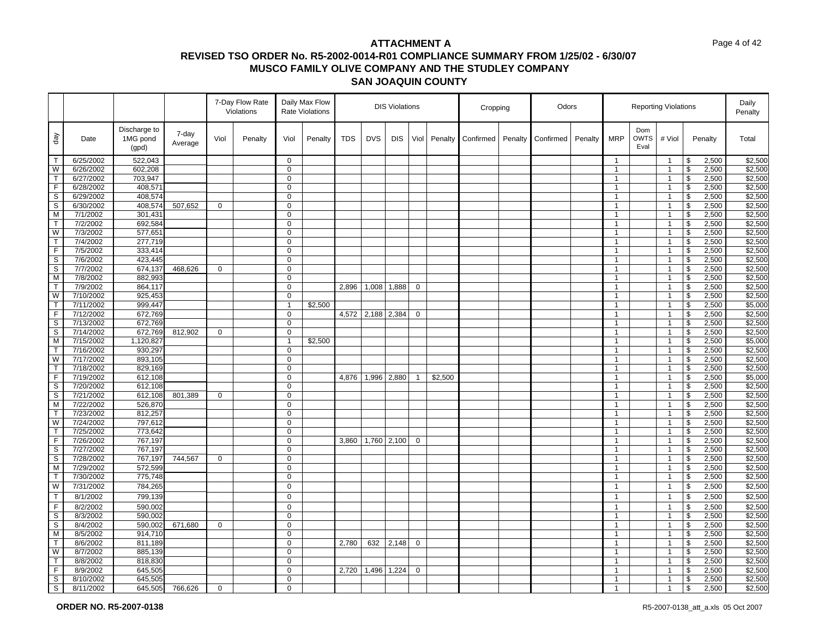| Discharge to<br>Dom<br>7-day<br>day<br><b>DVS</b><br><b>MRP</b><br><b>OWTS</b><br>1MG pond<br>Viol<br><b>TDS</b><br><b>DIS</b><br>Viol<br># Viol<br>Date<br>Penalty<br>Viol<br>Penalty<br>Penalty<br>Confirmed<br>Penalty<br>Confirmed<br>Penalty<br>Penalty<br>Total<br>Average<br>Eval<br>(gpd)<br>6/25/2002<br>522,043<br>$\Omega$<br>$\overline{1}$<br>\$<br>2,500<br>$\mathsf{T}$<br>$\overline{1}$<br>\$2,500<br>W<br>6/26/2002<br>602,208<br>\$<br>2,500<br>$\mathbf 0$<br>$\mathbf{1}$<br>$\overline{1}$<br>$\mathsf{T}$<br>$\mathbf 0$<br>$\mathbf{1}$<br>\$<br>\$2,500<br>6/27/2002<br>703,947<br>$\overline{1}$<br>2,500<br>\$2,500<br>F.<br>408,571<br>$\mathbf 0$<br>\$<br>2,500<br>6/28/2002<br>$\mathbf{1}$<br>$\overline{1}$<br>S<br>$\mathbf 0$<br>\$<br>2,500<br>\$2,500<br>6/29/2002<br>408,574<br>$\mathbf{1}$<br>$\overline{1}$<br>$\mathbb S$<br>\$<br>\$2,500<br>6/30/2002<br>507,652<br>$\mathbf 0$<br>2,500<br>408,574<br>$\mathbf 0$<br>$\mathbf{1}$<br>$\overline{1}$<br>7/1/2002<br>301,431<br>$\mathbf 0$<br>\$<br>2,500<br>\$2,500<br>М<br>$\mathbf{1}$<br>$\overline{1}$<br>$\boldsymbol{\theta}$<br>\$2,500<br>$\mathsf{T}$<br>692,584<br>$\mathbf 0$<br>2,500<br>7/2/2002<br>$\mathbf{1}$<br>$\overline{1}$<br>$\mathfrak s$<br>W<br>7/3/2002<br>$\mathbf 0$<br>2,500<br>\$2,500<br>577,651<br>$\mathbf{1}$<br>$\overline{1}$<br>$\mathsf{T}$<br>7/4/2002<br>277,719<br>$\mathbf 0$<br>$\mathbf{1}$<br>\$<br>2,500<br>\$2,500<br>$\overline{1}$<br>F.<br>\$2,500<br>7/5/2002<br>333,414<br>$\mathbf 0$<br>$\mathbf{1}$<br>$\overline{1}$<br>\$<br>2,500<br>S<br>423,445<br>\$<br>2,500<br>\$2,500<br>7/6/2002<br>$\mathbf 0$<br>$\mathbf{1}$<br>$\overline{1}$<br>\$2,500<br>S<br>7/7/2002<br>$\overline{\mathbf{3}}$<br>2,500<br>674,137<br>468,626<br>$\pmb{0}$<br>0<br>$\mathbf{1}$<br>$\overline{1}$<br>\$2,500<br>M<br>7/8/2002<br>882,993<br>$\mathbf 0$<br>$\mathbf{1}$<br>$\overline{1}$<br>\$<br>2,500<br>\$2,500<br>$\mathsf{T}$<br>864,117<br>$\mathbf 0$<br>\$<br>2,500<br>7/9/2002<br>2,896<br>1,008<br>1,888<br>$\mathbf 0$<br>$\mathbf{1}$<br>$\overline{1}$<br>$\pmb{\mathfrak{S}}$<br>\$2,500<br>W<br>7/10/2002<br>925,453<br>$\mathbf 0$<br>$\mathbf{1}$<br>$\overline{1}$<br>2,500<br>\$<br>\$5,000<br>T<br>7/11/2002<br>999,447<br>\$2,500<br>2,500<br>1<br>$\mathbf{1}$<br>$\overline{1}$<br>\$2,500<br>F<br>7/12/2002<br>672,769<br>$\mathbf 0$<br>4,572<br>2,188<br>2,384<br>$\mathbf 0$<br>\$<br>2,500<br>$\mathbf{1}$<br>$\overline{1}$<br>$\mathbb S$<br>$\sqrt[6]{\frac{1}{2}}$<br>2,500<br>\$2,500<br>7/13/2002<br>672,769<br>$\mathbf 0$<br>$\mathbf{1}$<br>$\overline{1}$<br>S<br>\$<br>\$2,500<br>7/14/2002<br>672,769<br>812,902<br>$\mathbf 0$<br>0<br>$\mathbf{1}$<br>$\overline{1}$<br>2,500<br>M<br>7/15/2002<br>1,120,827<br>\$2,500<br>\$<br>2,500<br>\$5,000<br>$\mathbf{1}$<br>$\mathbf{1}$<br>$\overline{1}$<br>$\mathsf{T}$<br>930,297<br>$\mathbf 0$<br>\$<br>2,500<br>\$2,500<br>7/16/2002<br>$\mathbf{1}$<br>$\overline{1}$<br>\$<br>\$2,500<br>W<br>7/17/2002<br>893,105<br>$\mathsf 0$<br>$\mathbf{1}$<br>$\overline{1}$<br>2,500<br>2,500<br>\$2,500<br>T<br>7/18/2002<br>829,169<br>$\mathbf 0$<br>\$<br>$\mathbf{1}$<br>$\overline{1}$<br>F<br>$\mathbf 0$<br>\$<br>2,500<br>\$5,000<br>7/19/2002<br>612,108<br>4,876<br>1,996<br>2,880<br>$\mathbf{1}$<br>\$2,500<br>$\mathbf{1}$<br>$\overline{1}$<br>s<br>$\mathbf{s}$<br>\$2,500<br>7/20/2002<br>612,108<br>$\mathbf 0$<br>2,500<br>$\mathbf{1}$<br>$\overline{1}$<br>S<br>\$<br>\$2,500<br>7/21/2002<br>612,108<br>801,389<br>$\mathbf 0$<br>$\mathbf 0$<br>$\mathbf{1}$<br>2,500<br>$\overline{1}$<br>M<br>7/22/2002<br>$\Omega$<br>\$<br>\$2,500<br>526,870<br>$\mathbf{1}$<br>$\overline{1}$<br>2,500<br>\$2,500<br>812,257<br>\$<br>2,500<br>$\mathsf{T}$<br>7/23/2002<br>$\mathbf 0$<br>$\mathbf{1}$<br>$\overline{1}$<br>W<br>797,612<br>\$<br>2,500<br>\$2,500<br>7/24/2002<br>$\mathbf 0$<br>$\mathbf{1}$<br>$\overline{1}$<br>\$2,500<br>7/25/2002<br>773,642<br>$\mathbf 0$<br>\$<br>2,500<br>T<br>$\mathbf{1}$<br>$\overline{1}$<br>F<br>\$<br>\$2,500<br>7/26/2002<br>767,197<br>$\mathbf 0$<br>3,860<br>1,760 2,100<br>$\mathbf 0$<br>$\mathbf{1}$<br>$\overline{1}$<br>2,500<br>$\boldsymbol{\theta}$<br>\$2,500<br>$\mathbb S$<br>7/27/2002<br>767,197<br>$\Omega$<br>2,500<br>$\mathbf{1}$<br>$\overline{1}$<br>S<br>744,567<br>$\mathbf 0$<br>\$<br>2,500<br>\$2,500<br>7/28/2002<br>767,197<br>$\mathbf 0$<br>$\mathbf{1}$<br>$\overline{1}$<br>M<br>7/29/2002<br>572,599<br>$\mathbf 0$<br>\$<br>2,500<br>\$2,500<br>$\mathbf{1}$<br>$\overline{1}$<br>$\overline{\mathbf{3}}$<br>\$2,500<br>$\mathsf{T}$<br>7/30/2002<br>775,748<br>$\mathbf 0$<br>2,500<br>$\mathbf{1}$<br>$\overline{1}$<br>W<br>2,500<br>\$2,500<br>7/31/2002<br>784,265<br>$\mathbf 0$<br>\$<br>$\mathbf{1}$<br>$\overline{1}$<br>\$2,500<br>$\mathsf{T}$<br>8/1/2002<br>799,139<br>$\mathbf 0$<br>\$<br>2,500<br>$\mathbf{1}$<br>$\overline{1}$<br>F.<br>590,002<br>$\mathbf 0$<br>$\sqrt[6]{\frac{1}{2}}$<br>2,500<br>\$2,500<br>8/2/2002<br>$\mathbf{1}$<br>$\overline{1}$<br>$\mathbb S$<br>$\sqrt[6]{\frac{1}{2}}$<br>2,500<br>\$2,500<br>8/3/2002<br>590,002<br>$\mathbf 0$<br>$\mathbf{1}$<br>$\overline{1}$<br>S<br>\$<br>\$2,500<br>8/4/2002<br>590,002<br>671,680<br>$\mathbf 0$<br>$\mathbf 0$<br>2,500<br>1<br>$\overline{1}$<br>2,500<br>\$2,500<br>M<br>8/5/2002<br>914,710<br>$\Omega$<br>$\mathbf{1}$<br>\$<br>$\overline{1}$<br>\$2,500<br>$\mathsf{T}$<br>$\mathbf 0$<br>2,780<br>\$<br>2,500<br>8/6/2002<br>811,189<br>632<br>2,148<br>$\mathbf 0$<br>$\mathbf{1}$<br>$\overline{1}$<br>\$2,500<br>W<br>8/7/2002<br>885,139<br>$\mathbf 0$<br>$\mathbf{1}$<br>\$<br>2,500<br>$\overline{1}$<br>\$<br>2,500<br>\$2,500<br>8/8/2002<br>818,830<br>$\mathbf 0$<br>T<br>$\overline{1}$<br>$\mathbf{1}$<br>F<br>2,720<br>\$<br>\$2,500<br>8/9/2002<br>645,505<br>$\mathbf 0$<br>1,496<br>1,224<br>$\mathbf 0$<br>$\mathbf{1}$<br>$\overline{1}$<br>2,500<br>S<br>\$2,500<br>645,505<br>$\mathbf 0$<br>\$<br>2,500<br>8/10/2002<br>$\mathbf{1}$<br>$\overline{1}$<br>S<br>\$<br>2,500<br>\$2,500<br>8/11/2002<br>645,505<br>766,626<br>$\mathbf 0$<br>$\mathbf{1}$<br>$\overline{1}$<br>0 |  |  | 7-Day Flow Rate<br>Violations | Daily Max Flow<br><b>Rate Violations</b> |  | <b>DIS Violations</b> |  | Cropping | Odors |  | <b>Reporting Violations</b> |  | Daily<br>Penalty |
|----------------------------------------------------------------------------------------------------------------------------------------------------------------------------------------------------------------------------------------------------------------------------------------------------------------------------------------------------------------------------------------------------------------------------------------------------------------------------------------------------------------------------------------------------------------------------------------------------------------------------------------------------------------------------------------------------------------------------------------------------------------------------------------------------------------------------------------------------------------------------------------------------------------------------------------------------------------------------------------------------------------------------------------------------------------------------------------------------------------------------------------------------------------------------------------------------------------------------------------------------------------------------------------------------------------------------------------------------------------------------------------------------------------------------------------------------------------------------------------------------------------------------------------------------------------------------------------------------------------------------------------------------------------------------------------------------------------------------------------------------------------------------------------------------------------------------------------------------------------------------------------------------------------------------------------------------------------------------------------------------------------------------------------------------------------------------------------------------------------------------------------------------------------------------------------------------------------------------------------------------------------------------------------------------------------------------------------------------------------------------------------------------------------------------------------------------------------------------------------------------------------------------------------------------------------------------------------------------------------------------------------------------------------------------------------------------------------------------------------------------------------------------------------------------------------------------------------------------------------------------------------------------------------------------------------------------------------------------------------------------------------------------------------------------------------------------------------------------------------------------------------------------------------------------------------------------------------------------------------------------------------------------------------------------------------------------------------------------------------------------------------------------------------------------------------------------------------------------------------------------------------------------------------------------------------------------------------------------------------------------------------------------------------------------------------------------------------------------------------------------------------------------------------------------------------------------------------------------------------------------------------------------------------------------------------------------------------------------------------------------------------------------------------------------------------------------------------------------------------------------------------------------------------------------------------------------------------------------------------------------------------------------------------------------------------------------------------------------------------------------------------------------------------------------------------------------------------------------------------------------------------------------------------------------------------------------------------------------------------------------------------------------------------------------------------------------------------------------------------------------------------------------------------------------------------------------------------------------------------------------------------------------------------------------------------------------------------------------------------------------------------------------------------------------------------------------------------------------------------------------------------------------------------------------------------------------------------------------------------------------------------------------------------------------------------------------------------------------------------------------------------------------------------------------------------------------------------------------------------------------------------------------------------------------------------------------------------------------------------------------------------------------------------------------------------------------------------------------------------------------------------------------------------------------------------------------------------------------------------------------------------------------------------------------------------------------------------------------------------------------------------------------------------------------------------------------------------------------------------------------------------------------------------------------------------------------------------------------------------|--|--|-------------------------------|------------------------------------------|--|-----------------------|--|----------|-------|--|-----------------------------|--|------------------|
|                                                                                                                                                                                                                                                                                                                                                                                                                                                                                                                                                                                                                                                                                                                                                                                                                                                                                                                                                                                                                                                                                                                                                                                                                                                                                                                                                                                                                                                                                                                                                                                                                                                                                                                                                                                                                                                                                                                                                                                                                                                                                                                                                                                                                                                                                                                                                                                                                                                                                                                                                                                                                                                                                                                                                                                                                                                                                                                                                                                                                                                                                                                                                                                                                                                                                                                                                                                                                                                                                                                                                                                                                                                                                                                                                                                                                                                                                                                                                                                                                                                                                                                                                                                                                                                                                                                                                                                                                                                                                                                                                                                                                                                                                                                                                                                                                                                                                                                                                                                                                                                                                                                                                                                                                                                                                                                                                                                                                                                                                                                                                                                                                                                                                                                                                                                                                                                                                                                                                                                                                                                                                                                                                                                                                                        |  |  |                               |                                          |  |                       |  |          |       |  |                             |  |                  |
|                                                                                                                                                                                                                                                                                                                                                                                                                                                                                                                                                                                                                                                                                                                                                                                                                                                                                                                                                                                                                                                                                                                                                                                                                                                                                                                                                                                                                                                                                                                                                                                                                                                                                                                                                                                                                                                                                                                                                                                                                                                                                                                                                                                                                                                                                                                                                                                                                                                                                                                                                                                                                                                                                                                                                                                                                                                                                                                                                                                                                                                                                                                                                                                                                                                                                                                                                                                                                                                                                                                                                                                                                                                                                                                                                                                                                                                                                                                                                                                                                                                                                                                                                                                                                                                                                                                                                                                                                                                                                                                                                                                                                                                                                                                                                                                                                                                                                                                                                                                                                                                                                                                                                                                                                                                                                                                                                                                                                                                                                                                                                                                                                                                                                                                                                                                                                                                                                                                                                                                                                                                                                                                                                                                                                                        |  |  |                               |                                          |  |                       |  |          |       |  |                             |  | \$2,500          |
|                                                                                                                                                                                                                                                                                                                                                                                                                                                                                                                                                                                                                                                                                                                                                                                                                                                                                                                                                                                                                                                                                                                                                                                                                                                                                                                                                                                                                                                                                                                                                                                                                                                                                                                                                                                                                                                                                                                                                                                                                                                                                                                                                                                                                                                                                                                                                                                                                                                                                                                                                                                                                                                                                                                                                                                                                                                                                                                                                                                                                                                                                                                                                                                                                                                                                                                                                                                                                                                                                                                                                                                                                                                                                                                                                                                                                                                                                                                                                                                                                                                                                                                                                                                                                                                                                                                                                                                                                                                                                                                                                                                                                                                                                                                                                                                                                                                                                                                                                                                                                                                                                                                                                                                                                                                                                                                                                                                                                                                                                                                                                                                                                                                                                                                                                                                                                                                                                                                                                                                                                                                                                                                                                                                                                                        |  |  |                               |                                          |  |                       |  |          |       |  |                             |  |                  |
|                                                                                                                                                                                                                                                                                                                                                                                                                                                                                                                                                                                                                                                                                                                                                                                                                                                                                                                                                                                                                                                                                                                                                                                                                                                                                                                                                                                                                                                                                                                                                                                                                                                                                                                                                                                                                                                                                                                                                                                                                                                                                                                                                                                                                                                                                                                                                                                                                                                                                                                                                                                                                                                                                                                                                                                                                                                                                                                                                                                                                                                                                                                                                                                                                                                                                                                                                                                                                                                                                                                                                                                                                                                                                                                                                                                                                                                                                                                                                                                                                                                                                                                                                                                                                                                                                                                                                                                                                                                                                                                                                                                                                                                                                                                                                                                                                                                                                                                                                                                                                                                                                                                                                                                                                                                                                                                                                                                                                                                                                                                                                                                                                                                                                                                                                                                                                                                                                                                                                                                                                                                                                                                                                                                                                                        |  |  |                               |                                          |  |                       |  |          |       |  |                             |  |                  |
|                                                                                                                                                                                                                                                                                                                                                                                                                                                                                                                                                                                                                                                                                                                                                                                                                                                                                                                                                                                                                                                                                                                                                                                                                                                                                                                                                                                                                                                                                                                                                                                                                                                                                                                                                                                                                                                                                                                                                                                                                                                                                                                                                                                                                                                                                                                                                                                                                                                                                                                                                                                                                                                                                                                                                                                                                                                                                                                                                                                                                                                                                                                                                                                                                                                                                                                                                                                                                                                                                                                                                                                                                                                                                                                                                                                                                                                                                                                                                                                                                                                                                                                                                                                                                                                                                                                                                                                                                                                                                                                                                                                                                                                                                                                                                                                                                                                                                                                                                                                                                                                                                                                                                                                                                                                                                                                                                                                                                                                                                                                                                                                                                                                                                                                                                                                                                                                                                                                                                                                                                                                                                                                                                                                                                                        |  |  |                               |                                          |  |                       |  |          |       |  |                             |  |                  |
|                                                                                                                                                                                                                                                                                                                                                                                                                                                                                                                                                                                                                                                                                                                                                                                                                                                                                                                                                                                                                                                                                                                                                                                                                                                                                                                                                                                                                                                                                                                                                                                                                                                                                                                                                                                                                                                                                                                                                                                                                                                                                                                                                                                                                                                                                                                                                                                                                                                                                                                                                                                                                                                                                                                                                                                                                                                                                                                                                                                                                                                                                                                                                                                                                                                                                                                                                                                                                                                                                                                                                                                                                                                                                                                                                                                                                                                                                                                                                                                                                                                                                                                                                                                                                                                                                                                                                                                                                                                                                                                                                                                                                                                                                                                                                                                                                                                                                                                                                                                                                                                                                                                                                                                                                                                                                                                                                                                                                                                                                                                                                                                                                                                                                                                                                                                                                                                                                                                                                                                                                                                                                                                                                                                                                                        |  |  |                               |                                          |  |                       |  |          |       |  |                             |  |                  |
|                                                                                                                                                                                                                                                                                                                                                                                                                                                                                                                                                                                                                                                                                                                                                                                                                                                                                                                                                                                                                                                                                                                                                                                                                                                                                                                                                                                                                                                                                                                                                                                                                                                                                                                                                                                                                                                                                                                                                                                                                                                                                                                                                                                                                                                                                                                                                                                                                                                                                                                                                                                                                                                                                                                                                                                                                                                                                                                                                                                                                                                                                                                                                                                                                                                                                                                                                                                                                                                                                                                                                                                                                                                                                                                                                                                                                                                                                                                                                                                                                                                                                                                                                                                                                                                                                                                                                                                                                                                                                                                                                                                                                                                                                                                                                                                                                                                                                                                                                                                                                                                                                                                                                                                                                                                                                                                                                                                                                                                                                                                                                                                                                                                                                                                                                                                                                                                                                                                                                                                                                                                                                                                                                                                                                                        |  |  |                               |                                          |  |                       |  |          |       |  |                             |  |                  |
|                                                                                                                                                                                                                                                                                                                                                                                                                                                                                                                                                                                                                                                                                                                                                                                                                                                                                                                                                                                                                                                                                                                                                                                                                                                                                                                                                                                                                                                                                                                                                                                                                                                                                                                                                                                                                                                                                                                                                                                                                                                                                                                                                                                                                                                                                                                                                                                                                                                                                                                                                                                                                                                                                                                                                                                                                                                                                                                                                                                                                                                                                                                                                                                                                                                                                                                                                                                                                                                                                                                                                                                                                                                                                                                                                                                                                                                                                                                                                                                                                                                                                                                                                                                                                                                                                                                                                                                                                                                                                                                                                                                                                                                                                                                                                                                                                                                                                                                                                                                                                                                                                                                                                                                                                                                                                                                                                                                                                                                                                                                                                                                                                                                                                                                                                                                                                                                                                                                                                                                                                                                                                                                                                                                                                                        |  |  |                               |                                          |  |                       |  |          |       |  |                             |  |                  |
|                                                                                                                                                                                                                                                                                                                                                                                                                                                                                                                                                                                                                                                                                                                                                                                                                                                                                                                                                                                                                                                                                                                                                                                                                                                                                                                                                                                                                                                                                                                                                                                                                                                                                                                                                                                                                                                                                                                                                                                                                                                                                                                                                                                                                                                                                                                                                                                                                                                                                                                                                                                                                                                                                                                                                                                                                                                                                                                                                                                                                                                                                                                                                                                                                                                                                                                                                                                                                                                                                                                                                                                                                                                                                                                                                                                                                                                                                                                                                                                                                                                                                                                                                                                                                                                                                                                                                                                                                                                                                                                                                                                                                                                                                                                                                                                                                                                                                                                                                                                                                                                                                                                                                                                                                                                                                                                                                                                                                                                                                                                                                                                                                                                                                                                                                                                                                                                                                                                                                                                                                                                                                                                                                                                                                                        |  |  |                               |                                          |  |                       |  |          |       |  |                             |  |                  |
|                                                                                                                                                                                                                                                                                                                                                                                                                                                                                                                                                                                                                                                                                                                                                                                                                                                                                                                                                                                                                                                                                                                                                                                                                                                                                                                                                                                                                                                                                                                                                                                                                                                                                                                                                                                                                                                                                                                                                                                                                                                                                                                                                                                                                                                                                                                                                                                                                                                                                                                                                                                                                                                                                                                                                                                                                                                                                                                                                                                                                                                                                                                                                                                                                                                                                                                                                                                                                                                                                                                                                                                                                                                                                                                                                                                                                                                                                                                                                                                                                                                                                                                                                                                                                                                                                                                                                                                                                                                                                                                                                                                                                                                                                                                                                                                                                                                                                                                                                                                                                                                                                                                                                                                                                                                                                                                                                                                                                                                                                                                                                                                                                                                                                                                                                                                                                                                                                                                                                                                                                                                                                                                                                                                                                                        |  |  |                               |                                          |  |                       |  |          |       |  |                             |  |                  |
|                                                                                                                                                                                                                                                                                                                                                                                                                                                                                                                                                                                                                                                                                                                                                                                                                                                                                                                                                                                                                                                                                                                                                                                                                                                                                                                                                                                                                                                                                                                                                                                                                                                                                                                                                                                                                                                                                                                                                                                                                                                                                                                                                                                                                                                                                                                                                                                                                                                                                                                                                                                                                                                                                                                                                                                                                                                                                                                                                                                                                                                                                                                                                                                                                                                                                                                                                                                                                                                                                                                                                                                                                                                                                                                                                                                                                                                                                                                                                                                                                                                                                                                                                                                                                                                                                                                                                                                                                                                                                                                                                                                                                                                                                                                                                                                                                                                                                                                                                                                                                                                                                                                                                                                                                                                                                                                                                                                                                                                                                                                                                                                                                                                                                                                                                                                                                                                                                                                                                                                                                                                                                                                                                                                                                                        |  |  |                               |                                          |  |                       |  |          |       |  |                             |  |                  |
|                                                                                                                                                                                                                                                                                                                                                                                                                                                                                                                                                                                                                                                                                                                                                                                                                                                                                                                                                                                                                                                                                                                                                                                                                                                                                                                                                                                                                                                                                                                                                                                                                                                                                                                                                                                                                                                                                                                                                                                                                                                                                                                                                                                                                                                                                                                                                                                                                                                                                                                                                                                                                                                                                                                                                                                                                                                                                                                                                                                                                                                                                                                                                                                                                                                                                                                                                                                                                                                                                                                                                                                                                                                                                                                                                                                                                                                                                                                                                                                                                                                                                                                                                                                                                                                                                                                                                                                                                                                                                                                                                                                                                                                                                                                                                                                                                                                                                                                                                                                                                                                                                                                                                                                                                                                                                                                                                                                                                                                                                                                                                                                                                                                                                                                                                                                                                                                                                                                                                                                                                                                                                                                                                                                                                                        |  |  |                               |                                          |  |                       |  |          |       |  |                             |  |                  |
|                                                                                                                                                                                                                                                                                                                                                                                                                                                                                                                                                                                                                                                                                                                                                                                                                                                                                                                                                                                                                                                                                                                                                                                                                                                                                                                                                                                                                                                                                                                                                                                                                                                                                                                                                                                                                                                                                                                                                                                                                                                                                                                                                                                                                                                                                                                                                                                                                                                                                                                                                                                                                                                                                                                                                                                                                                                                                                                                                                                                                                                                                                                                                                                                                                                                                                                                                                                                                                                                                                                                                                                                                                                                                                                                                                                                                                                                                                                                                                                                                                                                                                                                                                                                                                                                                                                                                                                                                                                                                                                                                                                                                                                                                                                                                                                                                                                                                                                                                                                                                                                                                                                                                                                                                                                                                                                                                                                                                                                                                                                                                                                                                                                                                                                                                                                                                                                                                                                                                                                                                                                                                                                                                                                                                                        |  |  |                               |                                          |  |                       |  |          |       |  |                             |  |                  |
|                                                                                                                                                                                                                                                                                                                                                                                                                                                                                                                                                                                                                                                                                                                                                                                                                                                                                                                                                                                                                                                                                                                                                                                                                                                                                                                                                                                                                                                                                                                                                                                                                                                                                                                                                                                                                                                                                                                                                                                                                                                                                                                                                                                                                                                                                                                                                                                                                                                                                                                                                                                                                                                                                                                                                                                                                                                                                                                                                                                                                                                                                                                                                                                                                                                                                                                                                                                                                                                                                                                                                                                                                                                                                                                                                                                                                                                                                                                                                                                                                                                                                                                                                                                                                                                                                                                                                                                                                                                                                                                                                                                                                                                                                                                                                                                                                                                                                                                                                                                                                                                                                                                                                                                                                                                                                                                                                                                                                                                                                                                                                                                                                                                                                                                                                                                                                                                                                                                                                                                                                                                                                                                                                                                                                                        |  |  |                               |                                          |  |                       |  |          |       |  |                             |  |                  |
|                                                                                                                                                                                                                                                                                                                                                                                                                                                                                                                                                                                                                                                                                                                                                                                                                                                                                                                                                                                                                                                                                                                                                                                                                                                                                                                                                                                                                                                                                                                                                                                                                                                                                                                                                                                                                                                                                                                                                                                                                                                                                                                                                                                                                                                                                                                                                                                                                                                                                                                                                                                                                                                                                                                                                                                                                                                                                                                                                                                                                                                                                                                                                                                                                                                                                                                                                                                                                                                                                                                                                                                                                                                                                                                                                                                                                                                                                                                                                                                                                                                                                                                                                                                                                                                                                                                                                                                                                                                                                                                                                                                                                                                                                                                                                                                                                                                                                                                                                                                                                                                                                                                                                                                                                                                                                                                                                                                                                                                                                                                                                                                                                                                                                                                                                                                                                                                                                                                                                                                                                                                                                                                                                                                                                                        |  |  |                               |                                          |  |                       |  |          |       |  |                             |  |                  |
|                                                                                                                                                                                                                                                                                                                                                                                                                                                                                                                                                                                                                                                                                                                                                                                                                                                                                                                                                                                                                                                                                                                                                                                                                                                                                                                                                                                                                                                                                                                                                                                                                                                                                                                                                                                                                                                                                                                                                                                                                                                                                                                                                                                                                                                                                                                                                                                                                                                                                                                                                                                                                                                                                                                                                                                                                                                                                                                                                                                                                                                                                                                                                                                                                                                                                                                                                                                                                                                                                                                                                                                                                                                                                                                                                                                                                                                                                                                                                                                                                                                                                                                                                                                                                                                                                                                                                                                                                                                                                                                                                                                                                                                                                                                                                                                                                                                                                                                                                                                                                                                                                                                                                                                                                                                                                                                                                                                                                                                                                                                                                                                                                                                                                                                                                                                                                                                                                                                                                                                                                                                                                                                                                                                                                                        |  |  |                               |                                          |  |                       |  |          |       |  |                             |  |                  |
|                                                                                                                                                                                                                                                                                                                                                                                                                                                                                                                                                                                                                                                                                                                                                                                                                                                                                                                                                                                                                                                                                                                                                                                                                                                                                                                                                                                                                                                                                                                                                                                                                                                                                                                                                                                                                                                                                                                                                                                                                                                                                                                                                                                                                                                                                                                                                                                                                                                                                                                                                                                                                                                                                                                                                                                                                                                                                                                                                                                                                                                                                                                                                                                                                                                                                                                                                                                                                                                                                                                                                                                                                                                                                                                                                                                                                                                                                                                                                                                                                                                                                                                                                                                                                                                                                                                                                                                                                                                                                                                                                                                                                                                                                                                                                                                                                                                                                                                                                                                                                                                                                                                                                                                                                                                                                                                                                                                                                                                                                                                                                                                                                                                                                                                                                                                                                                                                                                                                                                                                                                                                                                                                                                                                                                        |  |  |                               |                                          |  |                       |  |          |       |  |                             |  |                  |
|                                                                                                                                                                                                                                                                                                                                                                                                                                                                                                                                                                                                                                                                                                                                                                                                                                                                                                                                                                                                                                                                                                                                                                                                                                                                                                                                                                                                                                                                                                                                                                                                                                                                                                                                                                                                                                                                                                                                                                                                                                                                                                                                                                                                                                                                                                                                                                                                                                                                                                                                                                                                                                                                                                                                                                                                                                                                                                                                                                                                                                                                                                                                                                                                                                                                                                                                                                                                                                                                                                                                                                                                                                                                                                                                                                                                                                                                                                                                                                                                                                                                                                                                                                                                                                                                                                                                                                                                                                                                                                                                                                                                                                                                                                                                                                                                                                                                                                                                                                                                                                                                                                                                                                                                                                                                                                                                                                                                                                                                                                                                                                                                                                                                                                                                                                                                                                                                                                                                                                                                                                                                                                                                                                                                                                        |  |  |                               |                                          |  |                       |  |          |       |  |                             |  |                  |
|                                                                                                                                                                                                                                                                                                                                                                                                                                                                                                                                                                                                                                                                                                                                                                                                                                                                                                                                                                                                                                                                                                                                                                                                                                                                                                                                                                                                                                                                                                                                                                                                                                                                                                                                                                                                                                                                                                                                                                                                                                                                                                                                                                                                                                                                                                                                                                                                                                                                                                                                                                                                                                                                                                                                                                                                                                                                                                                                                                                                                                                                                                                                                                                                                                                                                                                                                                                                                                                                                                                                                                                                                                                                                                                                                                                                                                                                                                                                                                                                                                                                                                                                                                                                                                                                                                                                                                                                                                                                                                                                                                                                                                                                                                                                                                                                                                                                                                                                                                                                                                                                                                                                                                                                                                                                                                                                                                                                                                                                                                                                                                                                                                                                                                                                                                                                                                                                                                                                                                                                                                                                                                                                                                                                                                        |  |  |                               |                                          |  |                       |  |          |       |  |                             |  |                  |
|                                                                                                                                                                                                                                                                                                                                                                                                                                                                                                                                                                                                                                                                                                                                                                                                                                                                                                                                                                                                                                                                                                                                                                                                                                                                                                                                                                                                                                                                                                                                                                                                                                                                                                                                                                                                                                                                                                                                                                                                                                                                                                                                                                                                                                                                                                                                                                                                                                                                                                                                                                                                                                                                                                                                                                                                                                                                                                                                                                                                                                                                                                                                                                                                                                                                                                                                                                                                                                                                                                                                                                                                                                                                                                                                                                                                                                                                                                                                                                                                                                                                                                                                                                                                                                                                                                                                                                                                                                                                                                                                                                                                                                                                                                                                                                                                                                                                                                                                                                                                                                                                                                                                                                                                                                                                                                                                                                                                                                                                                                                                                                                                                                                                                                                                                                                                                                                                                                                                                                                                                                                                                                                                                                                                                                        |  |  |                               |                                          |  |                       |  |          |       |  |                             |  |                  |
|                                                                                                                                                                                                                                                                                                                                                                                                                                                                                                                                                                                                                                                                                                                                                                                                                                                                                                                                                                                                                                                                                                                                                                                                                                                                                                                                                                                                                                                                                                                                                                                                                                                                                                                                                                                                                                                                                                                                                                                                                                                                                                                                                                                                                                                                                                                                                                                                                                                                                                                                                                                                                                                                                                                                                                                                                                                                                                                                                                                                                                                                                                                                                                                                                                                                                                                                                                                                                                                                                                                                                                                                                                                                                                                                                                                                                                                                                                                                                                                                                                                                                                                                                                                                                                                                                                                                                                                                                                                                                                                                                                                                                                                                                                                                                                                                                                                                                                                                                                                                                                                                                                                                                                                                                                                                                                                                                                                                                                                                                                                                                                                                                                                                                                                                                                                                                                                                                                                                                                                                                                                                                                                                                                                                                                        |  |  |                               |                                          |  |                       |  |          |       |  |                             |  |                  |
|                                                                                                                                                                                                                                                                                                                                                                                                                                                                                                                                                                                                                                                                                                                                                                                                                                                                                                                                                                                                                                                                                                                                                                                                                                                                                                                                                                                                                                                                                                                                                                                                                                                                                                                                                                                                                                                                                                                                                                                                                                                                                                                                                                                                                                                                                                                                                                                                                                                                                                                                                                                                                                                                                                                                                                                                                                                                                                                                                                                                                                                                                                                                                                                                                                                                                                                                                                                                                                                                                                                                                                                                                                                                                                                                                                                                                                                                                                                                                                                                                                                                                                                                                                                                                                                                                                                                                                                                                                                                                                                                                                                                                                                                                                                                                                                                                                                                                                                                                                                                                                                                                                                                                                                                                                                                                                                                                                                                                                                                                                                                                                                                                                                                                                                                                                                                                                                                                                                                                                                                                                                                                                                                                                                                                                        |  |  |                               |                                          |  |                       |  |          |       |  |                             |  |                  |
|                                                                                                                                                                                                                                                                                                                                                                                                                                                                                                                                                                                                                                                                                                                                                                                                                                                                                                                                                                                                                                                                                                                                                                                                                                                                                                                                                                                                                                                                                                                                                                                                                                                                                                                                                                                                                                                                                                                                                                                                                                                                                                                                                                                                                                                                                                                                                                                                                                                                                                                                                                                                                                                                                                                                                                                                                                                                                                                                                                                                                                                                                                                                                                                                                                                                                                                                                                                                                                                                                                                                                                                                                                                                                                                                                                                                                                                                                                                                                                                                                                                                                                                                                                                                                                                                                                                                                                                                                                                                                                                                                                                                                                                                                                                                                                                                                                                                                                                                                                                                                                                                                                                                                                                                                                                                                                                                                                                                                                                                                                                                                                                                                                                                                                                                                                                                                                                                                                                                                                                                                                                                                                                                                                                                                                        |  |  |                               |                                          |  |                       |  |          |       |  |                             |  |                  |
|                                                                                                                                                                                                                                                                                                                                                                                                                                                                                                                                                                                                                                                                                                                                                                                                                                                                                                                                                                                                                                                                                                                                                                                                                                                                                                                                                                                                                                                                                                                                                                                                                                                                                                                                                                                                                                                                                                                                                                                                                                                                                                                                                                                                                                                                                                                                                                                                                                                                                                                                                                                                                                                                                                                                                                                                                                                                                                                                                                                                                                                                                                                                                                                                                                                                                                                                                                                                                                                                                                                                                                                                                                                                                                                                                                                                                                                                                                                                                                                                                                                                                                                                                                                                                                                                                                                                                                                                                                                                                                                                                                                                                                                                                                                                                                                                                                                                                                                                                                                                                                                                                                                                                                                                                                                                                                                                                                                                                                                                                                                                                                                                                                                                                                                                                                                                                                                                                                                                                                                                                                                                                                                                                                                                                                        |  |  |                               |                                          |  |                       |  |          |       |  |                             |  |                  |
|                                                                                                                                                                                                                                                                                                                                                                                                                                                                                                                                                                                                                                                                                                                                                                                                                                                                                                                                                                                                                                                                                                                                                                                                                                                                                                                                                                                                                                                                                                                                                                                                                                                                                                                                                                                                                                                                                                                                                                                                                                                                                                                                                                                                                                                                                                                                                                                                                                                                                                                                                                                                                                                                                                                                                                                                                                                                                                                                                                                                                                                                                                                                                                                                                                                                                                                                                                                                                                                                                                                                                                                                                                                                                                                                                                                                                                                                                                                                                                                                                                                                                                                                                                                                                                                                                                                                                                                                                                                                                                                                                                                                                                                                                                                                                                                                                                                                                                                                                                                                                                                                                                                                                                                                                                                                                                                                                                                                                                                                                                                                                                                                                                                                                                                                                                                                                                                                                                                                                                                                                                                                                                                                                                                                                                        |  |  |                               |                                          |  |                       |  |          |       |  |                             |  |                  |
|                                                                                                                                                                                                                                                                                                                                                                                                                                                                                                                                                                                                                                                                                                                                                                                                                                                                                                                                                                                                                                                                                                                                                                                                                                                                                                                                                                                                                                                                                                                                                                                                                                                                                                                                                                                                                                                                                                                                                                                                                                                                                                                                                                                                                                                                                                                                                                                                                                                                                                                                                                                                                                                                                                                                                                                                                                                                                                                                                                                                                                                                                                                                                                                                                                                                                                                                                                                                                                                                                                                                                                                                                                                                                                                                                                                                                                                                                                                                                                                                                                                                                                                                                                                                                                                                                                                                                                                                                                                                                                                                                                                                                                                                                                                                                                                                                                                                                                                                                                                                                                                                                                                                                                                                                                                                                                                                                                                                                                                                                                                                                                                                                                                                                                                                                                                                                                                                                                                                                                                                                                                                                                                                                                                                                                        |  |  |                               |                                          |  |                       |  |          |       |  |                             |  |                  |
|                                                                                                                                                                                                                                                                                                                                                                                                                                                                                                                                                                                                                                                                                                                                                                                                                                                                                                                                                                                                                                                                                                                                                                                                                                                                                                                                                                                                                                                                                                                                                                                                                                                                                                                                                                                                                                                                                                                                                                                                                                                                                                                                                                                                                                                                                                                                                                                                                                                                                                                                                                                                                                                                                                                                                                                                                                                                                                                                                                                                                                                                                                                                                                                                                                                                                                                                                                                                                                                                                                                                                                                                                                                                                                                                                                                                                                                                                                                                                                                                                                                                                                                                                                                                                                                                                                                                                                                                                                                                                                                                                                                                                                                                                                                                                                                                                                                                                                                                                                                                                                                                                                                                                                                                                                                                                                                                                                                                                                                                                                                                                                                                                                                                                                                                                                                                                                                                                                                                                                                                                                                                                                                                                                                                                                        |  |  |                               |                                          |  |                       |  |          |       |  |                             |  |                  |
|                                                                                                                                                                                                                                                                                                                                                                                                                                                                                                                                                                                                                                                                                                                                                                                                                                                                                                                                                                                                                                                                                                                                                                                                                                                                                                                                                                                                                                                                                                                                                                                                                                                                                                                                                                                                                                                                                                                                                                                                                                                                                                                                                                                                                                                                                                                                                                                                                                                                                                                                                                                                                                                                                                                                                                                                                                                                                                                                                                                                                                                                                                                                                                                                                                                                                                                                                                                                                                                                                                                                                                                                                                                                                                                                                                                                                                                                                                                                                                                                                                                                                                                                                                                                                                                                                                                                                                                                                                                                                                                                                                                                                                                                                                                                                                                                                                                                                                                                                                                                                                                                                                                                                                                                                                                                                                                                                                                                                                                                                                                                                                                                                                                                                                                                                                                                                                                                                                                                                                                                                                                                                                                                                                                                                                        |  |  |                               |                                          |  |                       |  |          |       |  |                             |  |                  |
|                                                                                                                                                                                                                                                                                                                                                                                                                                                                                                                                                                                                                                                                                                                                                                                                                                                                                                                                                                                                                                                                                                                                                                                                                                                                                                                                                                                                                                                                                                                                                                                                                                                                                                                                                                                                                                                                                                                                                                                                                                                                                                                                                                                                                                                                                                                                                                                                                                                                                                                                                                                                                                                                                                                                                                                                                                                                                                                                                                                                                                                                                                                                                                                                                                                                                                                                                                                                                                                                                                                                                                                                                                                                                                                                                                                                                                                                                                                                                                                                                                                                                                                                                                                                                                                                                                                                                                                                                                                                                                                                                                                                                                                                                                                                                                                                                                                                                                                                                                                                                                                                                                                                                                                                                                                                                                                                                                                                                                                                                                                                                                                                                                                                                                                                                                                                                                                                                                                                                                                                                                                                                                                                                                                                                                        |  |  |                               |                                          |  |                       |  |          |       |  |                             |  |                  |
|                                                                                                                                                                                                                                                                                                                                                                                                                                                                                                                                                                                                                                                                                                                                                                                                                                                                                                                                                                                                                                                                                                                                                                                                                                                                                                                                                                                                                                                                                                                                                                                                                                                                                                                                                                                                                                                                                                                                                                                                                                                                                                                                                                                                                                                                                                                                                                                                                                                                                                                                                                                                                                                                                                                                                                                                                                                                                                                                                                                                                                                                                                                                                                                                                                                                                                                                                                                                                                                                                                                                                                                                                                                                                                                                                                                                                                                                                                                                                                                                                                                                                                                                                                                                                                                                                                                                                                                                                                                                                                                                                                                                                                                                                                                                                                                                                                                                                                                                                                                                                                                                                                                                                                                                                                                                                                                                                                                                                                                                                                                                                                                                                                                                                                                                                                                                                                                                                                                                                                                                                                                                                                                                                                                                                                        |  |  |                               |                                          |  |                       |  |          |       |  |                             |  |                  |
|                                                                                                                                                                                                                                                                                                                                                                                                                                                                                                                                                                                                                                                                                                                                                                                                                                                                                                                                                                                                                                                                                                                                                                                                                                                                                                                                                                                                                                                                                                                                                                                                                                                                                                                                                                                                                                                                                                                                                                                                                                                                                                                                                                                                                                                                                                                                                                                                                                                                                                                                                                                                                                                                                                                                                                                                                                                                                                                                                                                                                                                                                                                                                                                                                                                                                                                                                                                                                                                                                                                                                                                                                                                                                                                                                                                                                                                                                                                                                                                                                                                                                                                                                                                                                                                                                                                                                                                                                                                                                                                                                                                                                                                                                                                                                                                                                                                                                                                                                                                                                                                                                                                                                                                                                                                                                                                                                                                                                                                                                                                                                                                                                                                                                                                                                                                                                                                                                                                                                                                                                                                                                                                                                                                                                                        |  |  |                               |                                          |  |                       |  |          |       |  |                             |  |                  |
|                                                                                                                                                                                                                                                                                                                                                                                                                                                                                                                                                                                                                                                                                                                                                                                                                                                                                                                                                                                                                                                                                                                                                                                                                                                                                                                                                                                                                                                                                                                                                                                                                                                                                                                                                                                                                                                                                                                                                                                                                                                                                                                                                                                                                                                                                                                                                                                                                                                                                                                                                                                                                                                                                                                                                                                                                                                                                                                                                                                                                                                                                                                                                                                                                                                                                                                                                                                                                                                                                                                                                                                                                                                                                                                                                                                                                                                                                                                                                                                                                                                                                                                                                                                                                                                                                                                                                                                                                                                                                                                                                                                                                                                                                                                                                                                                                                                                                                                                                                                                                                                                                                                                                                                                                                                                                                                                                                                                                                                                                                                                                                                                                                                                                                                                                                                                                                                                                                                                                                                                                                                                                                                                                                                                                                        |  |  |                               |                                          |  |                       |  |          |       |  |                             |  |                  |
|                                                                                                                                                                                                                                                                                                                                                                                                                                                                                                                                                                                                                                                                                                                                                                                                                                                                                                                                                                                                                                                                                                                                                                                                                                                                                                                                                                                                                                                                                                                                                                                                                                                                                                                                                                                                                                                                                                                                                                                                                                                                                                                                                                                                                                                                                                                                                                                                                                                                                                                                                                                                                                                                                                                                                                                                                                                                                                                                                                                                                                                                                                                                                                                                                                                                                                                                                                                                                                                                                                                                                                                                                                                                                                                                                                                                                                                                                                                                                                                                                                                                                                                                                                                                                                                                                                                                                                                                                                                                                                                                                                                                                                                                                                                                                                                                                                                                                                                                                                                                                                                                                                                                                                                                                                                                                                                                                                                                                                                                                                                                                                                                                                                                                                                                                                                                                                                                                                                                                                                                                                                                                                                                                                                                                                        |  |  |                               |                                          |  |                       |  |          |       |  |                             |  |                  |
|                                                                                                                                                                                                                                                                                                                                                                                                                                                                                                                                                                                                                                                                                                                                                                                                                                                                                                                                                                                                                                                                                                                                                                                                                                                                                                                                                                                                                                                                                                                                                                                                                                                                                                                                                                                                                                                                                                                                                                                                                                                                                                                                                                                                                                                                                                                                                                                                                                                                                                                                                                                                                                                                                                                                                                                                                                                                                                                                                                                                                                                                                                                                                                                                                                                                                                                                                                                                                                                                                                                                                                                                                                                                                                                                                                                                                                                                                                                                                                                                                                                                                                                                                                                                                                                                                                                                                                                                                                                                                                                                                                                                                                                                                                                                                                                                                                                                                                                                                                                                                                                                                                                                                                                                                                                                                                                                                                                                                                                                                                                                                                                                                                                                                                                                                                                                                                                                                                                                                                                                                                                                                                                                                                                                                                        |  |  |                               |                                          |  |                       |  |          |       |  |                             |  |                  |
|                                                                                                                                                                                                                                                                                                                                                                                                                                                                                                                                                                                                                                                                                                                                                                                                                                                                                                                                                                                                                                                                                                                                                                                                                                                                                                                                                                                                                                                                                                                                                                                                                                                                                                                                                                                                                                                                                                                                                                                                                                                                                                                                                                                                                                                                                                                                                                                                                                                                                                                                                                                                                                                                                                                                                                                                                                                                                                                                                                                                                                                                                                                                                                                                                                                                                                                                                                                                                                                                                                                                                                                                                                                                                                                                                                                                                                                                                                                                                                                                                                                                                                                                                                                                                                                                                                                                                                                                                                                                                                                                                                                                                                                                                                                                                                                                                                                                                                                                                                                                                                                                                                                                                                                                                                                                                                                                                                                                                                                                                                                                                                                                                                                                                                                                                                                                                                                                                                                                                                                                                                                                                                                                                                                                                                        |  |  |                               |                                          |  |                       |  |          |       |  |                             |  |                  |
|                                                                                                                                                                                                                                                                                                                                                                                                                                                                                                                                                                                                                                                                                                                                                                                                                                                                                                                                                                                                                                                                                                                                                                                                                                                                                                                                                                                                                                                                                                                                                                                                                                                                                                                                                                                                                                                                                                                                                                                                                                                                                                                                                                                                                                                                                                                                                                                                                                                                                                                                                                                                                                                                                                                                                                                                                                                                                                                                                                                                                                                                                                                                                                                                                                                                                                                                                                                                                                                                                                                                                                                                                                                                                                                                                                                                                                                                                                                                                                                                                                                                                                                                                                                                                                                                                                                                                                                                                                                                                                                                                                                                                                                                                                                                                                                                                                                                                                                                                                                                                                                                                                                                                                                                                                                                                                                                                                                                                                                                                                                                                                                                                                                                                                                                                                                                                                                                                                                                                                                                                                                                                                                                                                                                                                        |  |  |                               |                                          |  |                       |  |          |       |  |                             |  |                  |
|                                                                                                                                                                                                                                                                                                                                                                                                                                                                                                                                                                                                                                                                                                                                                                                                                                                                                                                                                                                                                                                                                                                                                                                                                                                                                                                                                                                                                                                                                                                                                                                                                                                                                                                                                                                                                                                                                                                                                                                                                                                                                                                                                                                                                                                                                                                                                                                                                                                                                                                                                                                                                                                                                                                                                                                                                                                                                                                                                                                                                                                                                                                                                                                                                                                                                                                                                                                                                                                                                                                                                                                                                                                                                                                                                                                                                                                                                                                                                                                                                                                                                                                                                                                                                                                                                                                                                                                                                                                                                                                                                                                                                                                                                                                                                                                                                                                                                                                                                                                                                                                                                                                                                                                                                                                                                                                                                                                                                                                                                                                                                                                                                                                                                                                                                                                                                                                                                                                                                                                                                                                                                                                                                                                                                                        |  |  |                               |                                          |  |                       |  |          |       |  |                             |  |                  |
|                                                                                                                                                                                                                                                                                                                                                                                                                                                                                                                                                                                                                                                                                                                                                                                                                                                                                                                                                                                                                                                                                                                                                                                                                                                                                                                                                                                                                                                                                                                                                                                                                                                                                                                                                                                                                                                                                                                                                                                                                                                                                                                                                                                                                                                                                                                                                                                                                                                                                                                                                                                                                                                                                                                                                                                                                                                                                                                                                                                                                                                                                                                                                                                                                                                                                                                                                                                                                                                                                                                                                                                                                                                                                                                                                                                                                                                                                                                                                                                                                                                                                                                                                                                                                                                                                                                                                                                                                                                                                                                                                                                                                                                                                                                                                                                                                                                                                                                                                                                                                                                                                                                                                                                                                                                                                                                                                                                                                                                                                                                                                                                                                                                                                                                                                                                                                                                                                                                                                                                                                                                                                                                                                                                                                                        |  |  |                               |                                          |  |                       |  |          |       |  |                             |  |                  |
|                                                                                                                                                                                                                                                                                                                                                                                                                                                                                                                                                                                                                                                                                                                                                                                                                                                                                                                                                                                                                                                                                                                                                                                                                                                                                                                                                                                                                                                                                                                                                                                                                                                                                                                                                                                                                                                                                                                                                                                                                                                                                                                                                                                                                                                                                                                                                                                                                                                                                                                                                                                                                                                                                                                                                                                                                                                                                                                                                                                                                                                                                                                                                                                                                                                                                                                                                                                                                                                                                                                                                                                                                                                                                                                                                                                                                                                                                                                                                                                                                                                                                                                                                                                                                                                                                                                                                                                                                                                                                                                                                                                                                                                                                                                                                                                                                                                                                                                                                                                                                                                                                                                                                                                                                                                                                                                                                                                                                                                                                                                                                                                                                                                                                                                                                                                                                                                                                                                                                                                                                                                                                                                                                                                                                                        |  |  |                               |                                          |  |                       |  |          |       |  |                             |  |                  |
|                                                                                                                                                                                                                                                                                                                                                                                                                                                                                                                                                                                                                                                                                                                                                                                                                                                                                                                                                                                                                                                                                                                                                                                                                                                                                                                                                                                                                                                                                                                                                                                                                                                                                                                                                                                                                                                                                                                                                                                                                                                                                                                                                                                                                                                                                                                                                                                                                                                                                                                                                                                                                                                                                                                                                                                                                                                                                                                                                                                                                                                                                                                                                                                                                                                                                                                                                                                                                                                                                                                                                                                                                                                                                                                                                                                                                                                                                                                                                                                                                                                                                                                                                                                                                                                                                                                                                                                                                                                                                                                                                                                                                                                                                                                                                                                                                                                                                                                                                                                                                                                                                                                                                                                                                                                                                                                                                                                                                                                                                                                                                                                                                                                                                                                                                                                                                                                                                                                                                                                                                                                                                                                                                                                                                                        |  |  |                               |                                          |  |                       |  |          |       |  |                             |  |                  |
|                                                                                                                                                                                                                                                                                                                                                                                                                                                                                                                                                                                                                                                                                                                                                                                                                                                                                                                                                                                                                                                                                                                                                                                                                                                                                                                                                                                                                                                                                                                                                                                                                                                                                                                                                                                                                                                                                                                                                                                                                                                                                                                                                                                                                                                                                                                                                                                                                                                                                                                                                                                                                                                                                                                                                                                                                                                                                                                                                                                                                                                                                                                                                                                                                                                                                                                                                                                                                                                                                                                                                                                                                                                                                                                                                                                                                                                                                                                                                                                                                                                                                                                                                                                                                                                                                                                                                                                                                                                                                                                                                                                                                                                                                                                                                                                                                                                                                                                                                                                                                                                                                                                                                                                                                                                                                                                                                                                                                                                                                                                                                                                                                                                                                                                                                                                                                                                                                                                                                                                                                                                                                                                                                                                                                                        |  |  |                               |                                          |  |                       |  |          |       |  |                             |  |                  |
|                                                                                                                                                                                                                                                                                                                                                                                                                                                                                                                                                                                                                                                                                                                                                                                                                                                                                                                                                                                                                                                                                                                                                                                                                                                                                                                                                                                                                                                                                                                                                                                                                                                                                                                                                                                                                                                                                                                                                                                                                                                                                                                                                                                                                                                                                                                                                                                                                                                                                                                                                                                                                                                                                                                                                                                                                                                                                                                                                                                                                                                                                                                                                                                                                                                                                                                                                                                                                                                                                                                                                                                                                                                                                                                                                                                                                                                                                                                                                                                                                                                                                                                                                                                                                                                                                                                                                                                                                                                                                                                                                                                                                                                                                                                                                                                                                                                                                                                                                                                                                                                                                                                                                                                                                                                                                                                                                                                                                                                                                                                                                                                                                                                                                                                                                                                                                                                                                                                                                                                                                                                                                                                                                                                                                                        |  |  |                               |                                          |  |                       |  |          |       |  |                             |  |                  |
|                                                                                                                                                                                                                                                                                                                                                                                                                                                                                                                                                                                                                                                                                                                                                                                                                                                                                                                                                                                                                                                                                                                                                                                                                                                                                                                                                                                                                                                                                                                                                                                                                                                                                                                                                                                                                                                                                                                                                                                                                                                                                                                                                                                                                                                                                                                                                                                                                                                                                                                                                                                                                                                                                                                                                                                                                                                                                                                                                                                                                                                                                                                                                                                                                                                                                                                                                                                                                                                                                                                                                                                                                                                                                                                                                                                                                                                                                                                                                                                                                                                                                                                                                                                                                                                                                                                                                                                                                                                                                                                                                                                                                                                                                                                                                                                                                                                                                                                                                                                                                                                                                                                                                                                                                                                                                                                                                                                                                                                                                                                                                                                                                                                                                                                                                                                                                                                                                                                                                                                                                                                                                                                                                                                                                                        |  |  |                               |                                          |  |                       |  |          |       |  |                             |  |                  |
|                                                                                                                                                                                                                                                                                                                                                                                                                                                                                                                                                                                                                                                                                                                                                                                                                                                                                                                                                                                                                                                                                                                                                                                                                                                                                                                                                                                                                                                                                                                                                                                                                                                                                                                                                                                                                                                                                                                                                                                                                                                                                                                                                                                                                                                                                                                                                                                                                                                                                                                                                                                                                                                                                                                                                                                                                                                                                                                                                                                                                                                                                                                                                                                                                                                                                                                                                                                                                                                                                                                                                                                                                                                                                                                                                                                                                                                                                                                                                                                                                                                                                                                                                                                                                                                                                                                                                                                                                                                                                                                                                                                                                                                                                                                                                                                                                                                                                                                                                                                                                                                                                                                                                                                                                                                                                                                                                                                                                                                                                                                                                                                                                                                                                                                                                                                                                                                                                                                                                                                                                                                                                                                                                                                                                                        |  |  |                               |                                          |  |                       |  |          |       |  |                             |  |                  |
|                                                                                                                                                                                                                                                                                                                                                                                                                                                                                                                                                                                                                                                                                                                                                                                                                                                                                                                                                                                                                                                                                                                                                                                                                                                                                                                                                                                                                                                                                                                                                                                                                                                                                                                                                                                                                                                                                                                                                                                                                                                                                                                                                                                                                                                                                                                                                                                                                                                                                                                                                                                                                                                                                                                                                                                                                                                                                                                                                                                                                                                                                                                                                                                                                                                                                                                                                                                                                                                                                                                                                                                                                                                                                                                                                                                                                                                                                                                                                                                                                                                                                                                                                                                                                                                                                                                                                                                                                                                                                                                                                                                                                                                                                                                                                                                                                                                                                                                                                                                                                                                                                                                                                                                                                                                                                                                                                                                                                                                                                                                                                                                                                                                                                                                                                                                                                                                                                                                                                                                                                                                                                                                                                                                                                                        |  |  |                               |                                          |  |                       |  |          |       |  |                             |  |                  |
|                                                                                                                                                                                                                                                                                                                                                                                                                                                                                                                                                                                                                                                                                                                                                                                                                                                                                                                                                                                                                                                                                                                                                                                                                                                                                                                                                                                                                                                                                                                                                                                                                                                                                                                                                                                                                                                                                                                                                                                                                                                                                                                                                                                                                                                                                                                                                                                                                                                                                                                                                                                                                                                                                                                                                                                                                                                                                                                                                                                                                                                                                                                                                                                                                                                                                                                                                                                                                                                                                                                                                                                                                                                                                                                                                                                                                                                                                                                                                                                                                                                                                                                                                                                                                                                                                                                                                                                                                                                                                                                                                                                                                                                                                                                                                                                                                                                                                                                                                                                                                                                                                                                                                                                                                                                                                                                                                                                                                                                                                                                                                                                                                                                                                                                                                                                                                                                                                                                                                                                                                                                                                                                                                                                                                                        |  |  |                               |                                          |  |                       |  |          |       |  |                             |  |                  |
|                                                                                                                                                                                                                                                                                                                                                                                                                                                                                                                                                                                                                                                                                                                                                                                                                                                                                                                                                                                                                                                                                                                                                                                                                                                                                                                                                                                                                                                                                                                                                                                                                                                                                                                                                                                                                                                                                                                                                                                                                                                                                                                                                                                                                                                                                                                                                                                                                                                                                                                                                                                                                                                                                                                                                                                                                                                                                                                                                                                                                                                                                                                                                                                                                                                                                                                                                                                                                                                                                                                                                                                                                                                                                                                                                                                                                                                                                                                                                                                                                                                                                                                                                                                                                                                                                                                                                                                                                                                                                                                                                                                                                                                                                                                                                                                                                                                                                                                                                                                                                                                                                                                                                                                                                                                                                                                                                                                                                                                                                                                                                                                                                                                                                                                                                                                                                                                                                                                                                                                                                                                                                                                                                                                                                                        |  |  |                               |                                          |  |                       |  |          |       |  |                             |  |                  |
|                                                                                                                                                                                                                                                                                                                                                                                                                                                                                                                                                                                                                                                                                                                                                                                                                                                                                                                                                                                                                                                                                                                                                                                                                                                                                                                                                                                                                                                                                                                                                                                                                                                                                                                                                                                                                                                                                                                                                                                                                                                                                                                                                                                                                                                                                                                                                                                                                                                                                                                                                                                                                                                                                                                                                                                                                                                                                                                                                                                                                                                                                                                                                                                                                                                                                                                                                                                                                                                                                                                                                                                                                                                                                                                                                                                                                                                                                                                                                                                                                                                                                                                                                                                                                                                                                                                                                                                                                                                                                                                                                                                                                                                                                                                                                                                                                                                                                                                                                                                                                                                                                                                                                                                                                                                                                                                                                                                                                                                                                                                                                                                                                                                                                                                                                                                                                                                                                                                                                                                                                                                                                                                                                                                                                                        |  |  |                               |                                          |  |                       |  |          |       |  |                             |  |                  |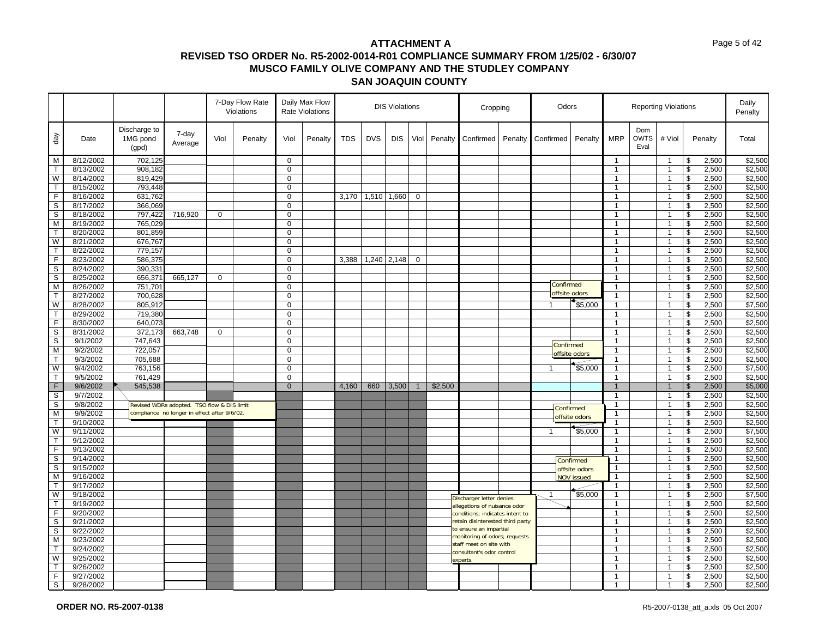|                         |                        |                                   |                                              |              | 7-Day Flow Rate<br>Violations |                            | Daily Max Flow<br>Rate Violations | <b>DIS Violations</b> |            |            | Cropping       |         | Odors                                                   |         |                |                   | <b>Reporting Violations</b> |                            |                                  | Daily<br>Penalty        |                |                    |
|-------------------------|------------------------|-----------------------------------|----------------------------------------------|--------------|-------------------------------|----------------------------|-----------------------------------|-----------------------|------------|------------|----------------|---------|---------------------------------------------------------|---------|----------------|-------------------|-----------------------------|----------------------------|----------------------------------|-------------------------|----------------|--------------------|
| day                     | Date                   | Discharge to<br>1MG pond<br>(gpd) | 7-day<br>Average                             | Viol         | Penalty                       | Viol                       | Penalty                           | <b>TDS</b>            | <b>DVS</b> | <b>DIS</b> | Viol           | Penalty | Confirmed                                               | Penalty | Confirmed      | Penalty           | <b>MRP</b>                  | Dom<br><b>OWTS</b><br>Eval | # Viol                           |                         | Penalty        | Total              |
| M                       | 8/12/2002              | 702,125                           |                                              |              |                               | $\mathbf 0$                |                                   |                       |            |            |                |         |                                                         |         |                |                   | $\mathbf{1}$                |                            | $\overline{1}$                   | \$                      | 2,500          | \$2,500            |
| $\mathsf{T}$            | 8/13/2002              | 908,182                           |                                              |              |                               | $\mathbf 0$                |                                   |                       |            |            |                |         |                                                         |         |                |                   | $\mathbf{1}$                |                            | $\overline{1}$                   | \$                      | 2,500          | \$2,500            |
| W                       | 8/14/2002              | 819,429                           |                                              |              |                               | 0                          |                                   |                       |            |            |                |         |                                                         |         |                |                   | $\mathbf{1}$                |                            | $\overline{1}$                   | \$                      | 2,500          | \$2,500            |
| $\mathsf{T}$            | 8/15/2002              | 793,448                           |                                              |              |                               | 0                          |                                   |                       |            |            |                |         |                                                         |         |                |                   | $\mathbf{1}$                |                            | $\overline{1}$                   | \$                      | 2,500          | \$2,500            |
| $\mathsf F$             | 8/16/2002              | 631,762                           |                                              |              |                               | $\mathbf 0$                |                                   | 3,170                 | 1,510      | 1,660      | $\mathbf 0$    |         |                                                         |         |                |                   | $\mathbf{1}$                |                            | $\overline{1}$                   | \$                      | 2,500          | \$2,500            |
| $\mathbb S$             | 8/17/2002              | 366,069                           |                                              |              |                               | $\mathbf 0$                |                                   |                       |            |            |                |         |                                                         |         |                |                   | $\mathbf{1}$                |                            | $\overline{1}$                   | \$                      | 2,500          | \$2,500            |
| S                       | 8/18/2002              | 797,422                           | 716,920                                      | $\mathbf{0}$ |                               | 0                          |                                   |                       |            |            |                |         |                                                         |         |                |                   | $\mathbf{1}$                |                            | $\overline{1}$                   | \$                      | 2,500          | \$2,500            |
| M                       | 8/19/2002              | 765,029                           |                                              |              |                               | 0                          |                                   |                       |            |            |                |         |                                                         |         |                |                   | $\mathbf{1}$                |                            | $\overline{1}$                   | $\mathfrak s$           | 2,500          | \$2,500            |
| $\mathsf{T}$            | 8/20/2002              | 801,859                           |                                              |              |                               | 0                          |                                   |                       |            |            |                |         |                                                         |         |                |                   | $\mathbf{1}$                |                            | $\overline{1}$                   | \$                      | 2,500          | \$2,500            |
| W                       | 8/21/2002              | 676,767                           |                                              |              |                               | $\mathbf 0$                |                                   |                       |            |            |                |         |                                                         |         |                |                   | $\mathbf{1}$                |                            | $\overline{1}$                   | \$                      | 2,500          | \$2,500            |
| $\mathsf{T}$            | 8/22/2002              | 779,157                           |                                              |              |                               | 0                          |                                   |                       |            |            |                |         |                                                         |         |                |                   | 1                           |                            | $\overline{1}$                   | \$                      | 2,500          | \$2,500            |
| F                       | 8/23/2002              | 586,375                           |                                              |              |                               | 0                          |                                   | 3,388                 | 1,240      | 2,148      | $\mathbf 0$    |         |                                                         |         |                |                   | $\mathbf{1}$                |                            | $\overline{1}$                   | \$                      | 2,500          | \$2,500            |
| $\overline{s}$          | 8/24/2002              | 390,331                           |                                              |              |                               | $\mathbf 0$                |                                   |                       |            |            |                |         |                                                         |         |                |                   | $\mathbf{1}$                |                            | $\overline{1}$                   | \$                      | 2,500          | \$2,500            |
| S                       | 8/25/2002              | 656,371                           | 665,127                                      | $\mathbf 0$  |                               | $\mathbf 0$                |                                   |                       |            |            |                |         |                                                         |         | Confirmed      |                   | $\mathbf{1}$                |                            | $\overline{1}$                   | \$                      | 2,500          | \$2,500            |
| M                       | 8/26/2002              | 751,701                           |                                              |              |                               | 0                          |                                   |                       |            |            |                |         |                                                         |         |                | offsite odors     | $\mathbf{1}$                |                            | $\overline{1}$                   | \$                      | 2,500          | \$2,500            |
| $\mathsf{T}$            | 8/27/2002              | 700,628                           |                                              |              |                               | 0                          |                                   |                       |            |            |                |         |                                                         |         |                |                   | $\mathbf{1}$                |                            | $\overline{1}$                   | \$                      | 2,500          | \$2,500            |
| W                       | 8/28/2002<br>8/29/2002 | 805,912                           |                                              |              |                               | $\mathbf 0$<br>$\mathbf 0$ |                                   |                       |            |            |                |         |                                                         |         | $\mathbf{1}$   | \$5,000           | $\mathbf{1}$<br>1           |                            | $\overline{1}$<br>$\overline{1}$ | \$                      | 2,500          | \$7,500<br>\$2,500 |
| T<br>F                  |                        | 719,380                           |                                              |              |                               | 0                          |                                   |                       |            |            |                |         |                                                         |         |                |                   | $\mathbf{1}$                |                            | $\overline{1}$                   | \$                      | 2,500          |                    |
| $\mathbb S$             | 8/30/2002<br>8/31/2002 | 640,073<br>372,173                | 663,748                                      | $\mathbf 0$  |                               | $\mathbf 0$                |                                   |                       |            |            |                |         |                                                         |         |                |                   | $\mathbf{1}$                |                            | $\overline{1}$                   | \$<br>\$                | 2,500<br>2,500 | \$2,500<br>\$2,500 |
| S                       | 9/1/2002               | 747,643                           |                                              |              |                               | $\mathbf 0$                |                                   |                       |            |            |                |         |                                                         |         |                |                   | $\mathbf{1}$                |                            | $\overline{1}$                   | \$                      | 2,500          | \$2,500            |
| M                       | 9/2/2002               | 722,057                           |                                              |              |                               | 0                          |                                   |                       |            |            |                |         |                                                         |         | Confirmed      |                   | $\mathbf{1}$                |                            | $\overline{1}$                   | \$                      | 2,500          | \$2,500            |
| $\mathsf T$             | 9/3/2002               | 705,688                           |                                              |              |                               | $\mathbf 0$                |                                   |                       |            |            |                |         |                                                         |         |                | offsite odors     | $\mathbf{1}$                |                            | $\overline{1}$                   | \$                      | 2,500          | \$2,500            |
| W                       | 9/4/2002               | 763,156                           |                                              |              |                               | $\mathbf 0$                |                                   |                       |            |            |                |         |                                                         |         | $\overline{1}$ | \$5,000           | $\mathbf{1}$                |                            | $\overline{1}$                   | $\overline{\mathbf{3}}$ | 2,500          | \$7,500            |
| $\mathsf T$             | 9/5/2002               | 761,429                           |                                              |              |                               | $\mathbf 0$                |                                   |                       |            |            |                |         |                                                         |         |                |                   | $\mathbf{1}$                |                            | $\mathbf{1}$                     | \$                      | 2,500          | \$2,500            |
| $\mathsf F$             | 9/6/2002               | 545,538                           |                                              |              |                               | $\overline{0}$             |                                   | 4,160                 | 660        | 3,500      | $\overline{1}$ | \$2,500 |                                                         |         |                |                   | $\mathbf{1}$                |                            | $\overline{1}$                   | $\mathfrak{s}$          | 2,500          | \$5,000            |
| $\overline{s}$          | 9/7/2002               |                                   |                                              |              |                               |                            |                                   |                       |            |            |                |         |                                                         |         |                |                   | $\mathbf{1}$                |                            | $\overline{1}$                   | \$                      | 2,500          | \$2,500            |
| $\mathbb S$             | 9/8/2002               |                                   | Revised WDRs adopted. TSO flow & DIS limit   |              |                               |                            |                                   |                       |            |            |                |         |                                                         |         |                |                   | $\mathbf{1}$                |                            | $\overline{1}$                   | $\mathfrak s$           | 2,500          | \$2,500            |
| M                       | 9/9/2002               |                                   | compliance no longer in effect after 9/6/02. |              |                               |                            |                                   |                       |            |            |                |         |                                                         |         |                | Confirmed         | $\mathbf{1}$                |                            | $\overline{1}$                   | \$                      | 2,500          | \$2,500            |
| $\mathsf{T}$            | 9/10/2002              |                                   |                                              |              |                               |                            |                                   |                       |            |            |                |         |                                                         |         |                | offsite odors     | 1                           |                            | $\overline{1}$                   | \$                      | 2,500          | \$2,500            |
| W                       | 9/11/2002              |                                   |                                              |              |                               |                            |                                   |                       |            |            |                |         |                                                         |         | $\mathbf{1}$   | \$5,000           | $\mathbf{1}$                |                            | $\overline{1}$                   | \$                      | 2,500          | \$7,500            |
| T                       | 9/12/2002              |                                   |                                              |              |                               |                            |                                   |                       |            |            |                |         |                                                         |         |                |                   | $\mathbf{1}$                |                            | $\overline{1}$                   | \$                      | 2,500          | \$2,500            |
| F                       | 9/13/2002              |                                   |                                              |              |                               |                            |                                   |                       |            |            |                |         |                                                         |         |                |                   | $\mathbf{1}$                |                            | $\mathbf{1}$                     | \$                      | 2,500          | \$2,500            |
| $\mathbb S$             | 9/14/2002              |                                   |                                              |              |                               |                            |                                   |                       |            |            |                |         |                                                         |         |                | Confirmed         | $\mathbf{1}$                |                            | $\overline{1}$                   | \$                      | 2,500          | \$2,500            |
| $\mathsf{s}$            | 9/15/2002              |                                   |                                              |              |                               |                            |                                   |                       |            |            |                |         |                                                         |         |                | offsite odors     | $\mathbf{1}$                |                            | $\overline{1}$                   | $\overline{\mathbf{3}}$ | 2,500          | \$2,500            |
| M                       | 9/16/2002              |                                   |                                              |              |                               |                            |                                   |                       |            |            |                |         |                                                         |         |                | <b>NOV</b> issued | $\mathbf{1}$                |                            | $\overline{1}$                   | \$                      | 2,500          | \$2,500            |
| $\overline{\mathsf{T}}$ | 9/17/2002              |                                   |                                              |              |                               |                            |                                   |                       |            |            |                |         |                                                         |         |                |                   | 1                           |                            | $\overline{1}$                   | $\boldsymbol{\theta}$   | 2,500          | \$2,500            |
| W                       | 9/18/2002              |                                   |                                              |              |                               |                            |                                   |                       |            |            |                |         | Discharger letter denies                                |         | $\mathbf{1}$   | \$5,000           | $\mathbf{1}$                |                            | $\overline{1}$                   | \$                      | 2,500          | \$7,500            |
| $\mathsf{T}$            | 9/19/2002              |                                   |                                              |              |                               |                            |                                   |                       |            |            |                |         | allegations of nuisance odor                            |         |                |                   | $\mathbf{1}$                |                            | $\overline{1}$                   | \$                      | 2,500          | \$2,500            |
| F                       | 9/20/2002              |                                   |                                              |              |                               |                            |                                   |                       |            |            |                |         | conditions; indicates intent to                         |         |                |                   | $\mathbf{1}$                |                            | $\overline{1}$                   | \$                      | 2,500          | \$2,500            |
| $\overline{s}$          | 9/21/2002              |                                   |                                              |              |                               |                            |                                   |                       |            |            |                |         | retain disinterested third party                        |         |                |                   | 1                           |                            | $\overline{1}$                   | \$                      | 2,500          | \$2,500            |
| S                       | 9/22/2002              |                                   |                                              |              |                               |                            |                                   |                       |            |            |                |         | to ensure an impartial<br>monitoring of odors; requests |         |                |                   | $\mathbf{1}$                |                            | $\overline{1}$                   | \$                      | 2,500          | \$2,500            |
| $\overline{M}$          | 9/23/2002              |                                   |                                              |              |                               |                            |                                   |                       |            |            |                |         | staff meet on site with                                 |         |                |                   | $\mathbf{1}$                |                            | $\overline{1}$                   | $\overline{\mathbf{3}}$ | 2,500          | \$2,500            |
| $\mathsf{T}$            | 9/24/2002              |                                   |                                              |              |                               |                            |                                   |                       |            |            |                |         | consultant's odor control                               |         |                |                   | $\mathbf{1}$                |                            | $\overline{1}$                   | \$                      | 2,500          | \$2,500            |
| W                       | 9/25/2002              |                                   |                                              |              |                               |                            |                                   |                       |            |            |                |         | experts                                                 |         |                |                   | 1                           |                            | $\overline{1}$                   | \$                      | 2,500          | \$2,500            |
| $\mathsf{T}$            | 9/26/2002              |                                   |                                              |              |                               |                            |                                   |                       |            |            |                |         |                                                         |         |                |                   | $\mathbf{1}$                |                            | $\overline{1}$                   | \$                      | 2,500          | \$2,500            |
| F                       | 9/27/2002              |                                   |                                              |              |                               |                            |                                   |                       |            |            |                |         |                                                         |         |                |                   | $\mathbf{1}$                |                            | -1                               | \$                      | 2,500          | \$2,500            |
| S                       | 9/28/2002              |                                   |                                              |              |                               |                            |                                   |                       |            |            |                |         |                                                         |         |                |                   | 1                           |                            | $\overline{1}$                   | \$                      | 2,500          | \$2,500            |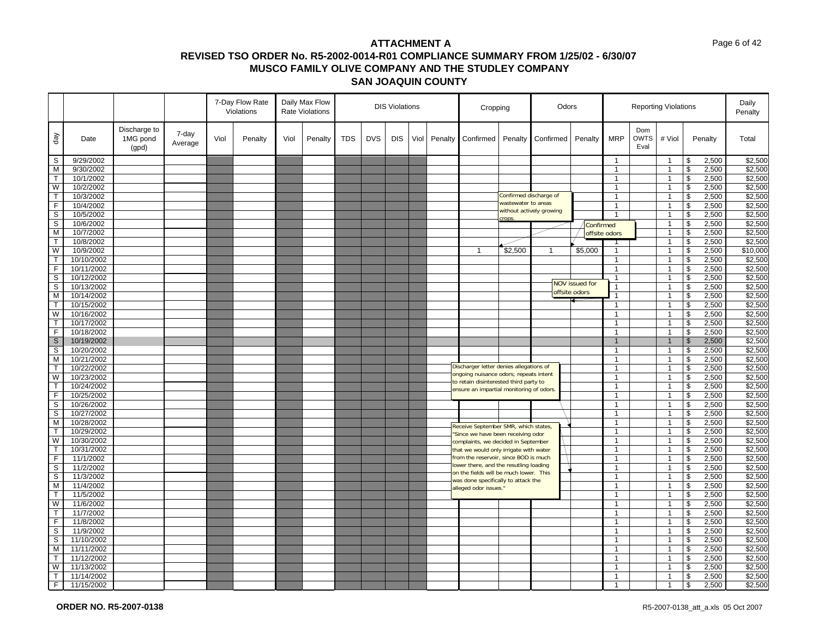|                             |            |                                   |                  |      | 7-Day Flow Rate<br>Violations |      | Daily Max Flow<br>Rate Violations | <b>DIS Violations</b> |            |            | Cropping |         | Odors                                                                            |                        |                          |                       | <b>Reporting Violations</b>    |                            | Daily<br>Penalty |                         |                   |
|-----------------------------|------------|-----------------------------------|------------------|------|-------------------------------|------|-----------------------------------|-----------------------|------------|------------|----------|---------|----------------------------------------------------------------------------------|------------------------|--------------------------|-----------------------|--------------------------------|----------------------------|------------------|-------------------------|-------------------|
| day                         | Date       | Discharge to<br>1MG pond<br>(gpd) | 7-day<br>Average | Viol | Penalty                       | Viol | Penalty                           | <b>TDS</b>            | <b>DVS</b> | <b>DIS</b> | Viol     | Penalty | Confirmed                                                                        | Penalty                | Confirmed                | Penalty               | <b>MRP</b>                     | Dom<br><b>OWTS</b><br>Eval | # Viol           | Penalty                 | Total             |
| S                           | 9/29/2002  |                                   |                  |      |                               |      |                                   |                       |            |            |          |         |                                                                                  |                        |                          |                       | $\mathbf{1}$                   |                            | -1               | \$                      | 2,500<br>\$2,500  |
| M                           | 9/30/2002  |                                   |                  |      |                               |      |                                   |                       |            |            |          |         |                                                                                  |                        |                          |                       | $\overline{1}$                 |                            | $\overline{1}$   | \$                      | 2,500<br>\$2,500  |
| $\mathsf T$                 | 10/1/2002  |                                   |                  |      |                               |      |                                   |                       |            |            |          |         |                                                                                  |                        |                          |                       | $\mathbf{1}$                   |                            | $\mathbf{1}$     | \$                      | \$2,500<br>2,500  |
| W                           | 10/2/2002  |                                   |                  |      |                               |      |                                   |                       |            |            |          |         |                                                                                  |                        |                          |                       | $\mathbf{1}$                   |                            | -1               | \$                      | \$2,500<br>2,500  |
| $\mathsf T$                 | 10/3/2002  |                                   |                  |      |                               |      |                                   |                       |            |            |          |         |                                                                                  | Confirmed discharge of |                          |                       | $\mathbf{1}$                   |                            | $\overline{1}$   | \$                      | 2,500<br>\$2,500  |
| $\mathsf F$                 | 10/4/2002  |                                   |                  |      |                               |      |                                   |                       |            |            |          |         |                                                                                  | wastewater to areas    |                          |                       | $\overline{1}$                 |                            | $\mathbf{1}$     | $\mathfrak s$           | \$2,500<br>2,500  |
| $\overline{\mathsf{s}}$     | 10/5/2002  |                                   |                  |      |                               |      |                                   |                       |            |            |          |         |                                                                                  |                        | without actively growing |                       | $\overline{1}$                 |                            | 1                | \$                      | \$2,500<br>2,500  |
| $\mathbb S$                 | 10/6/2002  |                                   |                  |      |                               |      |                                   |                       |            |            |          |         |                                                                                  | crops                  |                          | Confirmed             |                                |                            | $\overline{1}$   | \$                      | 2,500<br>\$2,500  |
| $\overline{\mathsf{M}}$     | 10/7/2002  |                                   |                  |      |                               |      |                                   |                       |            |            |          |         |                                                                                  |                        |                          |                       | offsite odors                  |                            | $\overline{1}$   | \$                      | 2,500<br>\$2,500  |
| $\mathsf{T}$                | 10/8/2002  |                                   |                  |      |                               |      |                                   |                       |            |            |          |         |                                                                                  |                        |                          |                       |                                |                            | $\overline{1}$   | \$                      | 2,500<br>\$2,500  |
| W                           | 10/9/2002  |                                   |                  |      |                               |      |                                   |                       |            |            |          |         | $\mathbf{1}$                                                                     | \$2,500                | $\mathbf{1}$             | \$5,000               | $\overline{1}$                 |                            | $\overline{1}$   | \$                      | 2,500<br>\$10,000 |
| $\mathsf{T}$                | 10/10/2002 |                                   |                  |      |                               |      |                                   |                       |            |            |          |         |                                                                                  |                        |                          |                       | $\mathbf{1}$                   |                            | $\overline{1}$   | \$                      | \$2,500<br>2,500  |
| F                           | 10/11/2002 |                                   |                  |      |                               |      |                                   |                       |            |            |          |         |                                                                                  |                        |                          |                       | $\mathbf{1}$                   |                            | $\mathbf{1}$     | \$                      | 2,500<br>\$2,500  |
| $\overline{s}$              | 10/12/2002 |                                   |                  |      |                               |      |                                   |                       |            |            |          |         |                                                                                  |                        |                          |                       | $\overline{1}$                 |                            | $\overline{1}$   | \$                      | 2,500<br>\$2,500  |
| S                           | 10/13/2002 |                                   |                  |      |                               |      |                                   |                       |            |            |          |         |                                                                                  |                        |                          | <b>NOV issued for</b> | $\mathbf{1}$                   |                            | $\overline{1}$   | \$                      | \$2,500<br>2,500  |
| M                           | 10/14/2002 |                                   |                  |      |                               |      |                                   |                       |            |            |          |         |                                                                                  |                        |                          | offsite odors         |                                |                            | $\overline{1}$   | \$                      | 2,500<br>\$2,500  |
| $\mathsf{T}$                | 10/15/2002 |                                   |                  |      |                               |      |                                   |                       |            |            |          |         |                                                                                  |                        |                          |                       | $\overline{1}$                 |                            | $\overline{1}$   | \$                      | 2,500<br>\$2,500  |
| W                           | 10/16/2002 |                                   |                  |      |                               |      |                                   |                       |            |            |          |         |                                                                                  |                        |                          |                       | $\mathbf{1}$                   |                            | $\overline{1}$   | \$                      | 2,500<br>\$2,500  |
|                             |            |                                   |                  |      |                               |      |                                   |                       |            |            |          |         |                                                                                  |                        |                          |                       |                                |                            |                  |                         |                   |
| $\mathsf{T}$<br>$\mathsf F$ | 10/17/2002 |                                   |                  |      |                               |      |                                   |                       |            |            |          |         |                                                                                  |                        |                          |                       | $\mathbf{1}$<br>$\overline{1}$ |                            | $\overline{1}$   | \$                      | \$2,500<br>2,500  |
|                             | 10/18/2002 |                                   |                  |      |                               |      |                                   |                       |            |            |          |         |                                                                                  |                        |                          |                       |                                |                            | $\overline{1}$   | \$                      | 2,500<br>\$2,500  |
| $\mathbf S$                 | 10/19/2002 |                                   |                  |      |                               |      |                                   |                       |            |            |          |         |                                                                                  |                        |                          |                       |                                |                            |                  | $\sqrt[6]{\frac{1}{2}}$ | 2,500<br>\$2,500  |
| S                           | 10/20/2002 |                                   |                  |      |                               |      |                                   |                       |            |            |          |         |                                                                                  |                        |                          |                       | $\overline{1}$                 |                            | $\overline{1}$   | \$                      | 2,500<br>\$2,500  |
| M                           | 10/21/2002 |                                   |                  |      |                               |      |                                   |                       |            |            |          |         | Discharger letter denies allegations of                                          |                        |                          |                       | $\overline{1}$                 |                            | $\overline{1}$   | $\sqrt[6]{\frac{1}{2}}$ | \$2,500<br>2,500  |
| T                           | 10/22/2002 |                                   |                  |      |                               |      |                                   |                       |            |            |          |         | ongoing nuisance odors; repeats intent                                           |                        |                          |                       | $\mathbf{1}$                   |                            | -1               | \$                      | \$2,500<br>2,500  |
| W                           | 10/23/2002 |                                   |                  |      |                               |      |                                   |                       |            |            |          |         | to retain disinterested third party to                                           |                        |                          |                       | $\overline{1}$                 |                            | $\overline{1}$   | \$                      | 2,500<br>\$2,500  |
| $\mathsf{T}$                | 10/24/2002 |                                   |                  |      |                               |      |                                   |                       |            |            |          |         | ensure an impartial monitoring of odors.                                         |                        |                          |                       | $\mathbf{1}$                   |                            | $\mathbf{1}$     | \$                      | \$2,500<br>2,500  |
| F                           | 10/25/2002 |                                   |                  |      |                               |      |                                   |                       |            |            |          |         |                                                                                  |                        |                          |                       | $\overline{1}$                 |                            | $\overline{1}$   | \$                      | 2,500<br>\$2,500  |
| $\overline{s}$              | 10/26/2002 |                                   |                  |      |                               |      |                                   |                       |            |            |          |         |                                                                                  |                        |                          |                       | $\overline{1}$                 |                            | $\overline{1}$   | \$                      | 2,500<br>\$2,500  |
| S                           | 10/27/2002 |                                   |                  |      |                               |      |                                   |                       |            |            |          |         |                                                                                  |                        |                          |                       | $\mathbf{1}$                   |                            | $\overline{1}$   | \$                      | \$2,500<br>2,500  |
| М                           | 10/28/2002 |                                   |                  |      |                               |      |                                   |                       |            |            |          |         | Receive September SMR, which states,                                             |                        |                          |                       | $\mathbf{1}$                   |                            | $\overline{1}$   | \$                      | \$2,500<br>2,500  |
| T                           | 10/29/2002 |                                   |                  |      |                               |      |                                   |                       |            |            |          |         | 'Since we have been receiving odor                                               |                        |                          |                       | $\overline{1}$                 |                            | $\overline{1}$   | \$                      | \$2,500<br>2,500  |
| W                           | 10/30/2002 |                                   |                  |      |                               |      |                                   |                       |            |            |          |         | complaints, we decided in September                                              |                        |                          |                       | $\mathbf{1}$                   |                            | $\overline{1}$   | \$                      | \$2,500<br>2,500  |
| $\top$                      | 10/31/2002 |                                   |                  |      |                               |      |                                   |                       |            |            |          |         | that we would only irrigate with water                                           |                        |                          |                       | $\mathbf{1}$                   |                            | $\overline{1}$   | \$                      | 2,500<br>\$2,500  |
| F                           | 11/1/2002  |                                   |                  |      |                               |      |                                   |                       |            |            |          |         | from the reservoir, since BOD is much                                            |                        |                          |                       | $\overline{1}$                 |                            | $\overline{1}$   | \$                      | 2,500<br>\$2,500  |
| $\overline{s}$              | 11/2/2002  |                                   |                  |      |                               |      |                                   |                       |            |            |          |         | lower there, and the resutling loading<br>on the fields will be much lower. This |                        |                          |                       | $\mathbf{1}$                   |                            | $\overline{1}$   | \$                      | 2,500<br>\$2,500  |
| $\mathbb S$                 | 11/3/2002  |                                   |                  |      |                               |      |                                   |                       |            |            |          |         | was done specifically to attack the                                              |                        |                          |                       | $\overline{1}$                 |                            | $\overline{1}$   | \$                      | 2,500<br>\$2,500  |
| M                           | 11/4/2002  |                                   |                  |      |                               |      |                                   |                       |            |            |          |         | alleged odor issues.'                                                            |                        |                          |                       | $\overline{1}$                 |                            | $\overline{1}$   | \$                      | 2,500<br>\$2,500  |
| $\mathsf T$                 | 11/5/2002  |                                   |                  |      |                               |      |                                   |                       |            |            |          |         |                                                                                  |                        |                          |                       | $\mathbf{1}$                   |                            | -1               | \$                      | \$2,500<br>2,500  |
| W                           | 11/6/2002  |                                   |                  |      |                               |      |                                   |                       |            |            |          |         |                                                                                  |                        |                          |                       | $\overline{1}$                 |                            | $\overline{1}$   | \$                      | \$2,500<br>2,500  |
| $\mathsf{T}$                | 11/7/2002  |                                   |                  |      |                               |      |                                   |                       |            |            |          |         |                                                                                  |                        |                          |                       | $\mathbf{1}$                   |                            | $\overline{1}$   | \$                      | \$2,500<br>2,500  |
| F                           | 11/8/2002  |                                   |                  |      |                               |      |                                   |                       |            |            |          |         |                                                                                  |                        |                          |                       | $\overline{1}$                 |                            | $\overline{1}$   | \$                      | 2,500<br>\$2,500  |
| $\sf S$                     | 11/9/2002  |                                   |                  |      |                               |      |                                   |                       |            |            |          |         |                                                                                  |                        |                          |                       | $\overline{1}$                 |                            | $\overline{1}$   | \$                      | \$2,500<br>2,500  |
| s                           | 11/10/2002 |                                   |                  |      |                               |      |                                   |                       |            |            |          |         |                                                                                  |                        |                          |                       | $\mathbf{1}$                   |                            | $\overline{1}$   | \$                      | 2,500<br>\$2,500  |
| M                           | 11/11/2002 |                                   |                  |      |                               |      |                                   |                       |            |            |          |         |                                                                                  |                        |                          |                       | $\overline{1}$                 |                            | $\overline{1}$   | \$                      | 2,500<br>\$2,500  |
| T                           | 11/12/2002 |                                   |                  |      |                               |      |                                   |                       |            |            |          |         |                                                                                  |                        |                          |                       | $\mathbf{1}$                   |                            | -1               | \$                      | \$2,500<br>2,500  |
| W                           | 11/13/2002 |                                   |                  |      |                               |      |                                   |                       |            |            |          |         |                                                                                  |                        |                          |                       | $\overline{1}$                 |                            | 1                | \$                      | 2,500<br>\$2,500  |
| $\mathsf T$                 | 11/14/2002 |                                   |                  |      |                               |      |                                   |                       |            |            |          |         |                                                                                  |                        |                          |                       | $\mathbf{1}$                   |                            | $\overline{1}$   | $\mathfrak{S}$          | 2,500<br>\$2,500  |
| F                           | 11/15/2002 |                                   |                  |      |                               |      |                                   |                       |            |            |          |         |                                                                                  |                        |                          |                       |                                |                            | -1               | \$                      | 2,500<br>\$2,500  |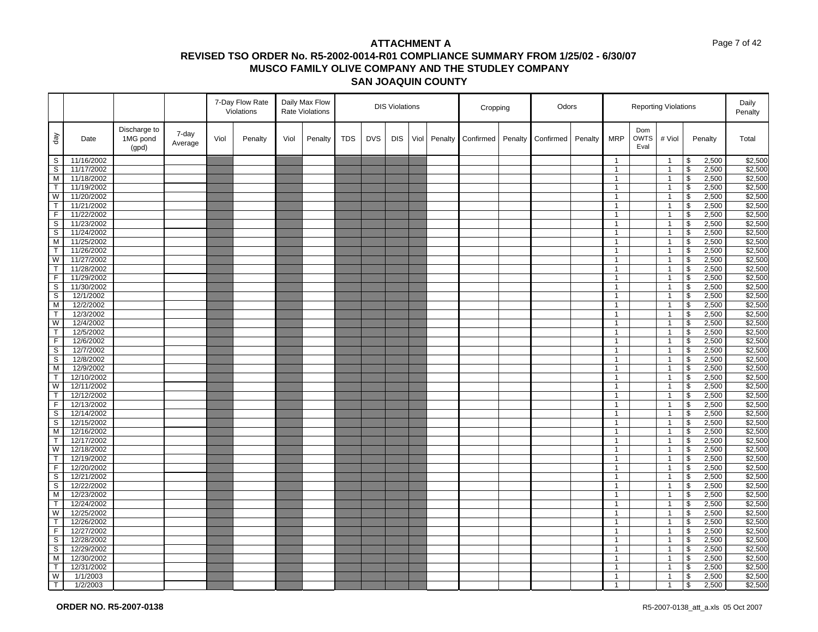|                   |                          |                                   |                  |      | 7-Day Flow Rate<br>Violations |      | Daily Max Flow<br><b>Rate Violations</b> |            |            | <b>DIS Violations</b> |      |         | Cropping  |         | Odors     |         |                              |                            | <b>Reporting Violations</b>      |                                                 |                | Daily<br>Penalty   |
|-------------------|--------------------------|-----------------------------------|------------------|------|-------------------------------|------|------------------------------------------|------------|------------|-----------------------|------|---------|-----------|---------|-----------|---------|------------------------------|----------------------------|----------------------------------|-------------------------------------------------|----------------|--------------------|
| $\sqrt{e}$        | Date                     | Discharge to<br>1MG pond<br>(gpd) | 7-day<br>Average | Viol | Penalty                       | Viol | Penalty                                  | <b>TDS</b> | <b>DVS</b> | <b>DIS</b>            | Viol | Penalty | Confirmed | Penalty | Confirmed | Penalty | <b>MRP</b>                   | Dom<br><b>OWTS</b><br>Eval | # Viol                           |                                                 | Penalty        | Total              |
| S                 | 11/16/2002               |                                   |                  |      |                               |      |                                          |            |            |                       |      |         |           |         |           |         | $\mathbf{1}$                 |                            | $\overline{1}$                   | \$                                              | 2,500          | \$2,500            |
| S                 | 11/17/2002               |                                   |                  |      |                               |      |                                          |            |            |                       |      |         |           |         |           |         | $\mathbf{1}$                 |                            | $\overline{1}$                   | $\boldsymbol{\theta}$                           | 2,500          | \$2,500            |
| M                 | 11/18/2002               |                                   |                  |      |                               |      |                                          |            |            |                       |      |         |           |         |           |         | $\mathbf{1}$                 |                            | $\overline{1}$                   | $\sqrt[6]{\frac{1}{2}}$                         | 2,500          | \$2,500            |
| $\mathsf{T}$      | 11/19/2002               |                                   |                  |      |                               |      |                                          |            |            |                       |      |         |           |         |           |         | $\mathbf{1}$                 |                            | $\overline{1}$                   | \$                                              | 2,500          | \$2,500            |
| W                 | 11/20/2002               |                                   |                  |      |                               |      |                                          |            |            |                       |      |         |           |         |           |         | $\mathbf{1}$                 |                            | $\overline{1}$                   | \$                                              | 2,500          | \$2,500            |
| T                 | 11/21/2002               |                                   |                  |      |                               |      |                                          |            |            |                       |      |         |           |         |           |         | $\mathbf{1}$                 |                            | $\overline{1}$                   | \$                                              | 2,500          | \$2,500            |
| F                 | 11/22/2002               |                                   |                  |      |                               |      |                                          |            |            |                       |      |         |           |         |           |         | $\mathbf{1}$                 |                            | $\overline{1}$                   | \$                                              | 2,500          | \$2,500            |
| S                 | 11/23/2002               |                                   |                  |      |                               |      |                                          |            |            |                       |      |         |           |         |           |         | $\mathbf{1}$                 |                            | $\overline{1}$                   | $\boldsymbol{\theta}$                           | 2,500          | \$2,500            |
| S                 | 11/24/2002               |                                   |                  |      |                               |      |                                          |            |            |                       |      |         |           |         |           |         | $\mathbf{1}$                 |                            | $\overline{1}$                   | $\sqrt[6]{\frac{1}{2}}$                         | 2,500          | \$2,500            |
| M                 | 11/25/2002               |                                   |                  |      |                               |      |                                          |            |            |                       |      |         |           |         |           |         | $\mathbf{1}$                 |                            | $\overline{1}$                   | $\overline{\mathbf{3}}$                         | 2,500          | \$2,500            |
| $\mathsf{T}$      | 11/26/2002               |                                   |                  |      |                               |      |                                          |            |            |                       |      |         |           |         |           |         | $\mathbf{1}$                 |                            | $\overline{1}$                   | $\sqrt[6]{\frac{1}{2}}$                         | 2,500          | \$2,500            |
| W                 | 11/27/2002               |                                   |                  |      |                               |      |                                          |            |            |                       |      |         |           |         |           |         | $\mathbf{1}$                 |                            | $\overline{1}$                   | $\sqrt[6]{\frac{1}{2}}$                         | 2,500          | \$2,500            |
| $\mathsf{T}$      | 11/28/2002               |                                   |                  |      |                               |      |                                          |            |            |                       |      |         |           |         |           |         | $\mathbf{1}$                 |                            | $\overline{1}$                   | $\overline{\mathbf{3}}$                         | 2,500          | \$2,500            |
| F                 | 11/29/2002               |                                   |                  |      |                               |      |                                          |            |            |                       |      |         |           |         |           |         | $\mathbf{1}$                 |                            | $\overline{1}$                   | $\, \, \raisebox{12pt}{$\scriptstyle \$}$       | 2,500          | \$2,500            |
| S                 | 11/30/2002               |                                   |                  |      |                               |      |                                          |            |            |                       |      |         |           |         |           |         | $\mathbf{1}$                 |                            | $\overline{1}$                   | \$                                              | 2,500          | \$2,500            |
| $\mathbb S$       | 12/1/2002                |                                   |                  |      |                               |      |                                          |            |            |                       |      |         |           |         |           |         | $\mathbf{1}$                 |                            | $\overline{1}$                   | $$\mathfrak{s}$$                                | 2,500          | \$2,500            |
| M                 | 12/2/2002                |                                   |                  |      |                               |      |                                          |            |            |                       |      |         |           |         |           |         | $\mathbf{1}$                 |                            | $\overline{1}$                   | $\sqrt[6]{\frac{1}{2}}$                         | 2,500          | \$2,500            |
| $\mathsf{T}$      | 12/3/2002                |                                   |                  |      |                               |      |                                          |            |            |                       |      |         |           |         |           |         | $\mathbf{1}$                 |                            | $\overline{1}$                   | $\overline{\mathbf{3}}$                         | 2,500          | \$2,500            |
| W                 | 12/4/2002                |                                   |                  |      |                               |      |                                          |            |            |                       |      |         |           |         |           |         | $\mathbf{1}$                 |                            | $\overline{1}$                   | \$                                              | 2,500          | \$2,500            |
| $\mathsf{T}$      | 12/5/2002                |                                   |                  |      |                               |      |                                          |            |            |                       |      |         |           |         |           |         | $\mathbf{1}$                 |                            | $\overline{1}$                   | $\sqrt[6]{\frac{1}{2}}$                         | 2,500          | \$2,500            |
| F                 | 12/6/2002                |                                   |                  |      |                               |      |                                          |            |            |                       |      |         |           |         |           |         | $\mathbf{1}$                 |                            | $\overline{1}$                   | \$                                              | 2,500          | \$2,500            |
| $\mathbb S$       | 12/7/2002                |                                   |                  |      |                               |      |                                          |            |            |                       |      |         |           |         |           |         | $\mathbf{1}$                 |                            | $\overline{1}$                   | $\, \, \raisebox{12pt}{$\scriptstyle \$}$       | 2,500          | \$2,500            |
| $\mathbb S$       | 12/8/2002                |                                   |                  |      |                               |      |                                          |            |            |                       |      |         |           |         |           |         | $\mathbf{1}$                 |                            | $\overline{1}$                   | $\mathfrak s$                                   | 2,500          | \$2,500            |
| M                 | 12/9/2002                |                                   |                  |      |                               |      |                                          |            |            |                       |      |         |           |         |           |         | $\mathbf{1}$                 |                            | $\overline{1}$                   | $\boldsymbol{\theta}$                           | 2,500          | \$2,500            |
| T                 | 12/10/2002               |                                   |                  |      |                               |      |                                          |            |            |                       |      |         |           |         |           |         | $\mathbf{1}$                 |                            | $\overline{1}$                   | $\mathfrak s$                                   | 2,500          | \$2,500            |
| W                 | 12/11/2002               |                                   |                  |      |                               |      |                                          |            |            |                       |      |         |           |         |           |         | $\mathbf{1}$                 |                            | $\overline{1}$                   | \$                                              | 2,500          | \$2,500<br>\$2,500 |
| $\mathsf{T}$<br>F | 12/12/2002               |                                   |                  |      |                               |      |                                          |            |            |                       |      |         |           |         |           |         | $\mathbf{1}$                 |                            | $\overline{1}$                   | $\overline{\mathbf{3}}$                         | 2,500<br>2,500 |                    |
| S                 | 12/13/2002<br>12/14/2002 |                                   |                  |      |                               |      |                                          |            |            |                       |      |         |           |         |           |         | $\mathbf{1}$<br>$\mathbf{1}$ |                            | $\overline{1}$<br>$\overline{1}$ | \$                                              | 2,500          | \$2,500<br>\$2,500 |
| $\mathbb S$       | 12/15/2002               |                                   |                  |      |                               |      |                                          |            |            |                       |      |         |           |         |           |         | $\mathbf{1}$                 |                            | $\overline{1}$                   | \$                                              | 2,500          | \$2,500            |
| M                 | 12/16/2002               |                                   |                  |      |                               |      |                                          |            |            |                       |      |         |           |         |           |         | $\mathbf{1}$                 |                            | $\overline{1}$                   | $\, \, \raisebox{12pt}{$\scriptstyle \$}$<br>\$ | 2,500          | \$2,500            |
| $\mathsf{T}$      | 12/17/2002               |                                   |                  |      |                               |      |                                          |            |            |                       |      |         |           |         |           |         | $\mathbf{1}$                 |                            | $\overline{1}$                   | $\boldsymbol{\theta}$                           | 2,500          | \$2,500            |
| W                 | 12/18/2002               |                                   |                  |      |                               |      |                                          |            |            |                       |      |         |           |         |           |         | $\mathbf{1}$                 |                            | $\overline{1}$                   | $\sqrt[6]{\frac{1}{2}}$                         | 2,500          | \$2,500            |
| T                 | 12/19/2002               |                                   |                  |      |                               |      |                                          |            |            |                       |      |         |           |         |           |         | $\mathbf{1}$                 |                            | $\overline{1}$                   | \$                                              | 2,500          | \$2,500            |
| F.                | 12/20/2002               |                                   |                  |      |                               |      |                                          |            |            |                       |      |         |           |         |           |         | $\mathbf{1}$                 |                            | $\overline{1}$                   | $\boldsymbol{\theta}$                           | 2,500          | \$2,500            |
| S                 | 12/21/2002               |                                   |                  |      |                               |      |                                          |            |            |                       |      |         |           |         |           |         | $\mathbf{1}$                 |                            | $\overline{1}$                   | $\sqrt[6]{\frac{1}{2}}$                         | 2,500          | \$2,500            |
| S                 | 12/22/2002               |                                   |                  |      |                               |      |                                          |            |            |                       |      |         |           |         |           |         | $\mathbf{1}$                 |                            | $\overline{1}$                   | $\overline{\mathbf{e}}$                         | 2,500          | \$2,500            |
| M                 | 12/23/2002               |                                   |                  |      |                               |      |                                          |            |            |                       |      |         |           |         |           |         | $\mathbf{1}$                 |                            | $\overline{1}$                   | \$                                              | 2,500          | \$2,500            |
| $\mathsf{T}$      | 12/24/2002               |                                   |                  |      |                               |      |                                          |            |            |                       |      |         |           |         |           |         | $\mathbf{1}$                 |                            | $\overline{1}$                   | $\sqrt[6]{\frac{1}{2}}$                         | 2,500          | \$2,500            |
| W                 | 12/25/2002               |                                   |                  |      |                               |      |                                          |            |            |                       |      |         |           |         |           |         | $\mathbf{1}$                 |                            | $\overline{1}$                   | \$                                              | 2,500          | \$2,500            |
| $\mathsf{T}$      | 12/26/2002               |                                   |                  |      |                               |      |                                          |            |            |                       |      |         |           |         |           |         | $\mathbf{1}$                 |                            | $\overline{1}$                   | $\sqrt[6]{\frac{1}{2}}$                         | 2,500          | \$2,500            |
| F                 | 12/27/2002               |                                   |                  |      |                               |      |                                          |            |            |                       |      |         |           |         |           |         | $\mathbf{1}$                 |                            | $\overline{1}$                   | $\, \, \raisebox{12pt}{$\scriptstyle \$}$       | 2,500          | \$2,500            |
| S                 | 12/28/2002               |                                   |                  |      |                               |      |                                          |            |            |                       |      |         |           |         |           |         | $\mathbf{1}$                 |                            | $\overline{1}$                   | $\overline{\mathbf{3}}$                         | 2,500          | \$2,500            |
| S                 | 12/29/2002               |                                   |                  |      |                               |      |                                          |            |            |                       |      |         |           |         |           |         | $\mathbf{1}$                 |                            | $\overline{1}$                   | $\, \, \raisebox{12pt}{$\scriptstyle \$}$       | 2,500          | \$2,500            |
| M                 | 12/30/2002               |                                   |                  |      |                               |      |                                          |            |            |                       |      |         |           |         |           |         | $\mathbf{1}$                 |                            | $\overline{1}$                   | \$                                              | 2,500          | \$2,500            |
| $\mathsf{T}$      | 12/31/2002               |                                   |                  |      |                               |      |                                          |            |            |                       |      |         |           |         |           |         | $\mathbf{1}$                 |                            | $\overline{1}$                   | \$                                              | 2,500          | \$2,500            |
| W                 | 1/1/2003                 |                                   |                  |      |                               |      |                                          |            |            |                       |      |         |           |         |           |         | $\mathbf{1}$                 |                            | $\overline{1}$                   | \$                                              | 2,500          | \$2,500            |
| T                 | 1/2/2003                 |                                   |                  |      |                               |      |                                          |            |            |                       |      |         |           |         |           |         | $\mathbf{1}$                 |                            | $\overline{1}$                   | \$                                              | 2,500          | \$2,500            |

 $\overline{\phantom{0}}$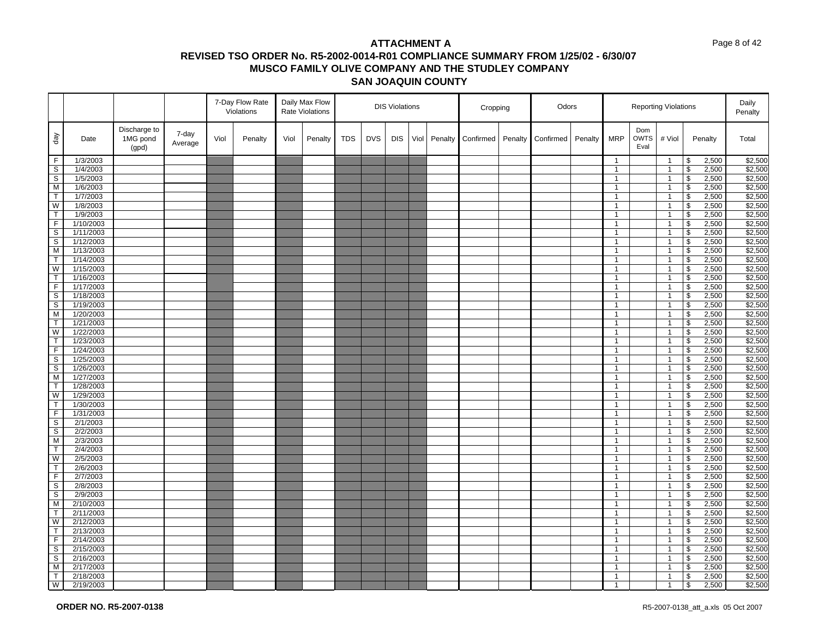|                   |                      |                                   |                  |      | 7-Day Flow Rate<br>Violations |      | Daily Max Flow<br><b>Rate Violations</b> |            |            | <b>DIS Violations</b> |      |         | Cropping  |         | Odors     |         |                                |                            | <b>Reporting Violations</b>      |                                  |                | Daily<br>Penalty   |
|-------------------|----------------------|-----------------------------------|------------------|------|-------------------------------|------|------------------------------------------|------------|------------|-----------------------|------|---------|-----------|---------|-----------|---------|--------------------------------|----------------------------|----------------------------------|----------------------------------|----------------|--------------------|
| day               | Date                 | Discharge to<br>1MG pond<br>(gpd) | 7-day<br>Average | Viol | Penalty                       | Viol | Penalty                                  | <b>TDS</b> | <b>DVS</b> | <b>DIS</b>            | Viol | Penalty | Confirmed | Penalty | Confirmed | Penalty | <b>MRP</b>                     | Dom<br><b>OWTS</b><br>Eval | # Viol                           |                                  | Penalty        | Total              |
| F                 | 1/3/2003             |                                   |                  |      |                               |      |                                          |            |            |                       |      |         |           |         |           |         | $\overline{1}$                 |                            | $\mathbf{1}$                     | \$                               | 2,500          | \$2,500            |
| S                 | 1/4/2003             |                                   |                  |      |                               |      |                                          |            |            |                       |      |         |           |         |           |         | $\mathbf{1}$                   |                            | $\overline{1}$                   | \$                               | 2,500          | \$2,500            |
| S                 | 1/5/2003             |                                   |                  |      |                               |      |                                          |            |            |                       |      |         |           |         |           |         | $\mathbf{1}$                   |                            | $\mathbf{1}$                     | \$                               | 2,500          | \$2,500            |
| $\overline{M}$    | 1/6/2003             |                                   |                  |      |                               |      |                                          |            |            |                       |      |         |           |         |           |         | $\mathbf{1}$                   |                            | $\overline{1}$                   | $\overline{\boldsymbol{\theta}}$ | 2,500          | \$2,500            |
| $\mathsf{T}$      | 1/7/2003             |                                   |                  |      |                               |      |                                          |            |            |                       |      |         |           |         |           |         | $\mathbf{1}$                   |                            | $\overline{1}$                   | \$                               | 2,500          | \$2,500            |
| W                 | 1/8/2003             |                                   |                  |      |                               |      |                                          |            |            |                       |      |         |           |         |           |         | $\mathbf{1}$                   |                            | $\overline{1}$                   | $\mathsf{\$}$                    | 2,500          | \$2,500            |
| $\mathsf T$       | 1/9/2003             |                                   |                  |      |                               |      |                                          |            |            |                       |      |         |           |         |           |         | $\mathbf{1}$                   |                            | $\overline{1}$                   | \$                               | 2,500          | \$2,500            |
| F                 | 1/10/2003            |                                   |                  |      |                               |      |                                          |            |            |                       |      |         |           |         |           |         | $\mathbf{1}$                   |                            | $\mathbf{1}$                     | \$                               | 2,500          | \$2,500            |
| $\mathbb S$       | 1/11/2003            |                                   |                  |      |                               |      |                                          |            |            |                       |      |         |           |         |           |         | $\mathbf{1}$                   |                            | $\mathbf{1}$                     | \$                               | 2,500          | \$2,500            |
| S                 | 1/12/2003            |                                   |                  |      |                               |      |                                          |            |            |                       |      |         |           |         |           |         | $\mathbf{1}$                   |                            | $\mathbf{1}$                     | \$                               | 2,500          | \$2,500            |
| M                 | 1/13/2003            |                                   |                  |      |                               |      |                                          |            |            |                       |      |         |           |         |           |         | $\mathbf{1}$                   |                            | $\overline{1}$                   | \$                               | 2,500          | \$2,500            |
| $\mathsf{T}$      | 1/14/2003            |                                   |                  |      |                               |      |                                          |            |            |                       |      |         |           |         |           |         | $\mathbf{1}$                   |                            | $\mathbf{1}$                     | \$                               | 2,500          | \$2,500            |
| W                 | 1/15/2003            |                                   |                  |      |                               |      |                                          |            |            |                       |      |         |           |         |           |         | $\mathbf{1}$                   |                            | $\mathbf{1}$                     | $\overline{\mathbf{3}}$          | 2,500          | \$2,500            |
| T.                | 1/16/2003            |                                   |                  |      |                               |      |                                          |            |            |                       |      |         |           |         |           |         | $\mathbf{1}$                   |                            | $\overline{1}$                   | \$                               | 2,500          | \$2,500            |
| F                 | 1/17/2003            |                                   |                  |      |                               |      |                                          |            |            |                       |      |         |           |         |           |         | $\mathbf{1}$                   |                            | $\overline{1}$                   | \$                               | 2,500          | \$2,500            |
| $\mathbb S$       | 1/18/2003            |                                   |                  |      |                               |      |                                          |            |            |                       |      |         |           |         |           |         | $\mathbf{1}$                   |                            | $\mathbf{1}$                     | \$                               | 2,500          | \$2,500            |
| $\mathbb S$       | 1/19/2003            |                                   |                  |      |                               |      |                                          |            |            |                       |      |         |           |         |           |         | $\mathbf{1}$                   |                            | $\mathbf{1}$                     | \$                               | 2,500          | \$2,500            |
| M                 | 1/20/2003            |                                   |                  |      |                               |      |                                          |            |            |                       |      |         |           |         |           |         | $\mathbf{1}$                   |                            | $\overline{1}$                   | \$                               | 2,500          | \$2,500            |
| T.                | 1/21/2003            |                                   |                  |      |                               |      |                                          |            |            |                       |      |         |           |         |           |         | $\overline{1}$                 |                            | $\overline{1}$                   | \$                               | 2,500          | \$2,500            |
| W                 | 1/22/2003            |                                   |                  |      |                               |      |                                          |            |            |                       |      |         |           |         |           |         | $\mathbf{1}$                   |                            | $\overline{1}$                   | \$                               | 2,500          | \$2,500            |
| T                 | 1/23/2003            |                                   |                  |      |                               |      |                                          |            |            |                       |      |         |           |         |           |         | $\overline{1}$                 |                            | $\overline{1}$                   | $\overline{\mathbf{3}}$          | 2,500          | \$2,500            |
| F                 | 1/24/2003            |                                   |                  |      |                               |      |                                          |            |            |                       |      |         |           |         |           |         | $\mathbf{1}$                   |                            | $\mathbf{1}$                     | \$                               | 2,500          | \$2,500            |
| $\mathbf S$       | 1/25/2003            |                                   |                  |      |                               |      |                                          |            |            |                       |      |         |           |         |           |         | $\overline{1}$                 |                            | $\overline{1}$                   | \$                               | 2,500          | \$2,500            |
| S                 | 1/26/2003            |                                   |                  |      |                               |      |                                          |            |            |                       |      |         |           |         |           |         | $\mathbf{1}$                   |                            | $\overline{1}$                   | \$                               | 2,500          | \$2,500            |
| M                 | 1/27/2003            |                                   |                  |      |                               |      |                                          |            |            |                       |      |         |           |         |           |         | $\overline{1}$                 |                            | $\overline{1}$                   | $\overline{\mathbf{3}}$          | 2,500          | \$2,500            |
| $\mathsf{T}$<br>W | 1/28/2003            |                                   |                  |      |                               |      |                                          |            |            |                       |      |         |           |         |           |         | $\mathbf{1}$                   |                            | $\overline{1}$                   | \$                               | 2,500          | \$2,500            |
| $\mathsf{T}$      | 1/29/2003            |                                   |                  |      |                               |      |                                          |            |            |                       |      |         |           |         |           |         | $\mathbf{1}$                   |                            | $\mathbf{1}$                     | $\overline{\mathbf{s}}$          | 2,500          | \$2,500            |
| $\overline{F}$    | 1/30/2003            |                                   |                  |      |                               |      |                                          |            |            |                       |      |         |           |         |           |         | $\mathbf{1}$<br>$\mathbf{1}$   |                            | $\overline{1}$                   | \$<br>$\overline{\mathbf{3}}$    | 2,500<br>2,500 | \$2,500<br>\$2,500 |
|                   | 1/31/2003            |                                   |                  |      |                               |      |                                          |            |            |                       |      |         |           |         |           |         |                                |                            | $\mathbf{1}$                     |                                  |                |                    |
| S<br>$\mathbb S$  | 2/1/2003<br>2/2/2003 |                                   |                  |      |                               |      |                                          |            |            |                       |      |         |           |         |           |         | $\mathbf{1}$<br>$\overline{1}$ |                            | $\mathbf{1}$                     | \$                               | 2,500<br>2,500 | \$2,500<br>\$2,500 |
| M                 | 2/3/2003             |                                   |                  |      |                               |      |                                          |            |            |                       |      |         |           |         |           |         | $\mathbf{1}$                   |                            | $\overline{1}$<br>$\overline{1}$ | \$<br>\$                         | 2,500          | \$2,500            |
| $\mathsf{T}$      | 2/4/2003             |                                   |                  |      |                               |      |                                          |            |            |                       |      |         |           |         |           |         | $\mathbf{1}$                   |                            | $\mathbf{1}$                     | \$                               | 2,500          | \$2,500            |
| W                 | 2/5/2003             |                                   |                  |      |                               |      |                                          |            |            |                       |      |         |           |         |           |         | $\overline{1}$                 |                            | $\mathbf{1}$                     | \$                               | 2,500          | \$2,500            |
| T.                | 2/6/2003             |                                   |                  |      |                               |      |                                          |            |            |                       |      |         |           |         |           |         | $\mathbf{1}$                   |                            | $\mathbf{1}$                     | \$                               | 2,500          | \$2,500            |
| F.                | 2/7/2003             |                                   |                  |      |                               |      |                                          |            |            |                       |      |         |           |         |           |         | $\overline{1}$                 |                            | $\overline{1}$                   | \$                               | 2,500          | \$2,500            |
| S                 | 2/8/2003             |                                   |                  |      |                               |      |                                          |            |            |                       |      |         |           |         |           |         | $\mathbf{1}$                   |                            | $\mathbf{1}$                     | \$                               | 2,500          | \$2,500            |
| S                 | 2/9/2003             |                                   |                  |      |                               |      |                                          |            |            |                       |      |         |           |         |           |         | $\mathbf{1}$                   |                            | $\mathbf{1}$                     | \$                               | 2,500          | \$2,500            |
| M                 | 2/10/2003            |                                   |                  |      |                               |      |                                          |            |            |                       |      |         |           |         |           |         | $\mathbf{1}$                   |                            | $\overline{1}$                   | \$                               | 2,500          | \$2,500            |
| T                 | 2/11/2003            |                                   |                  |      |                               |      |                                          |            |            |                       |      |         |           |         |           |         | $\overline{1}$                 |                            | $\overline{1}$                   | \$                               | 2,500          | \$2,500            |
| W                 | 2/12/2003            |                                   |                  |      |                               |      |                                          |            |            |                       |      |         |           |         |           |         | $\mathbf{1}$                   |                            | $\overline{1}$                   | \$                               | 2,500          | \$2,500            |
| $\mathsf{T}$      | 2/13/2003            |                                   |                  |      |                               |      |                                          |            |            |                       |      |         |           |         |           |         | $\mathbf{1}$                   |                            | $\overline{1}$                   | \$                               | 2,500          | \$2,500            |
| F                 | 2/14/2003            |                                   |                  |      |                               |      |                                          |            |            |                       |      |         |           |         |           |         | $\mathbf{1}$                   |                            | $\mathbf{1}$                     | \$                               | 2,500          | \$2,500            |
| S                 | 2/15/2003            |                                   |                  |      |                               |      |                                          |            |            |                       |      |         |           |         |           |         | $\mathbf{1}$                   |                            | $\mathbf{1}$                     | \$                               | 2,500          | \$2,500            |
| S                 | 2/16/2003            |                                   |                  |      |                               |      |                                          |            |            |                       |      |         |           |         |           |         | $\mathbf{1}$                   |                            | $\overline{1}$                   | \$                               | 2,500          | \$2,500            |
| M                 | 2/17/2003            |                                   |                  |      |                               |      |                                          |            |            |                       |      |         |           |         |           |         | $\mathbf{1}$                   |                            | -1                               | \$                               | 2,500          | \$2,500            |
| T.                | 2/18/2003            |                                   |                  |      |                               |      |                                          |            |            |                       |      |         |           |         |           |         | $\mathbf{1}$                   |                            | $\overline{1}$                   | \$                               | 2,500          | \$2,500            |
| W                 | 2/19/2003            |                                   |                  |      |                               |      |                                          |            |            |                       |      |         |           |         |           |         | $\overline{1}$                 |                            | $\overline{1}$                   | $\mathsf{\$}$                    | 2,500          | \$2,500            |
|                   |                      |                                   |                  |      |                               |      |                                          |            |            |                       |      |         |           |         |           |         |                                |                            |                                  |                                  |                |                    |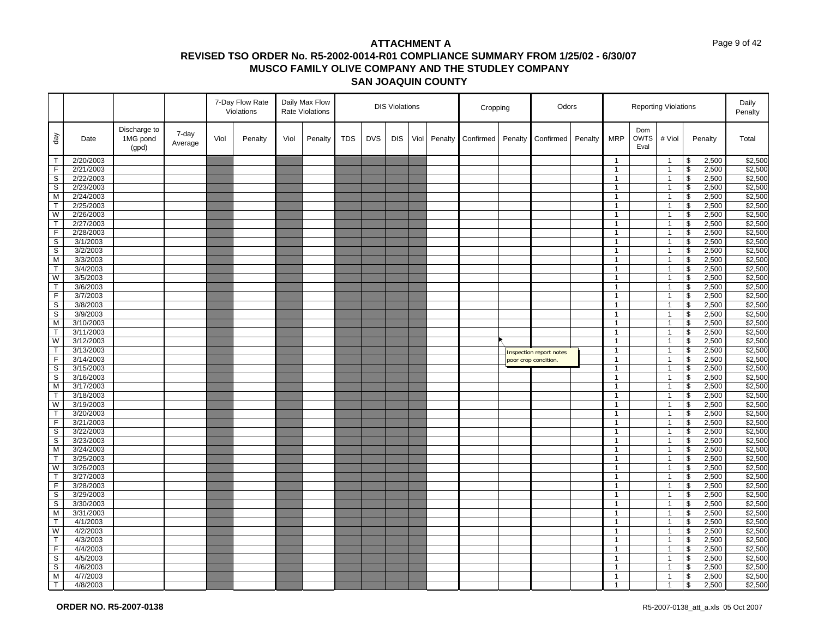|                         |           |                                   |                  |      | 7-Day Flow Rate<br>Violations |      | Daily Max Flow<br><b>Rate Violations</b> | <b>DIS Violations</b> |            |            | Cropping |         | Odors     |         |                         |         | <b>Reporting Violations</b> |                            |                | Daily<br>Penalty                 |         |         |
|-------------------------|-----------|-----------------------------------|------------------|------|-------------------------------|------|------------------------------------------|-----------------------|------------|------------|----------|---------|-----------|---------|-------------------------|---------|-----------------------------|----------------------------|----------------|----------------------------------|---------|---------|
| day                     | Date      | Discharge to<br>1MG pond<br>(gpd) | 7-day<br>Average | Viol | Penalty                       | Viol | Penalty                                  | <b>TDS</b>            | <b>DVS</b> | <b>DIS</b> | Viol     | Penalty | Confirmed | Penalty | Confirmed               | Penalty | <b>MRP</b>                  | Dom<br><b>OWTS</b><br>Eval | # Viol         |                                  | Penalty | Total   |
| $\top$                  | 2/20/2003 |                                   |                  |      |                               |      |                                          |                       |            |            |          |         |           |         |                         |         | $\overline{1}$              |                            | $\mathbf{1}$   | \$                               | 2,500   | \$2,500 |
| F                       | 2/21/2003 |                                   |                  |      |                               |      |                                          |                       |            |            |          |         |           |         |                         |         | $\mathbf{1}$                |                            | $\overline{1}$ | \$                               | 2,500   | \$2,500 |
| S                       | 2/22/2003 |                                   |                  |      |                               |      |                                          |                       |            |            |          |         |           |         |                         |         | $\mathbf{1}$                |                            | $\mathbf{1}$   | \$                               | 2,500   | \$2,500 |
| S                       | 2/23/2003 |                                   |                  |      |                               |      |                                          |                       |            |            |          |         |           |         |                         |         | $\mathbf{1}$                |                            | $\mathbf{1}$   | \$                               | 2,500   | \$2,500 |
| M                       | 2/24/2003 |                                   |                  |      |                               |      |                                          |                       |            |            |          |         |           |         |                         |         | $\mathbf{1}$                |                            | $\overline{1}$ | \$                               | 2,500   | \$2,500 |
| $\mathsf{T}$            | 2/25/2003 |                                   |                  |      |                               |      |                                          |                       |            |            |          |         |           |         |                         |         | $\mathbf{1}$                |                            | $\overline{1}$ | \$                               | 2,500   | \$2,500 |
| W                       | 2/26/2003 |                                   |                  |      |                               |      |                                          |                       |            |            |          |         |           |         |                         |         | $\mathbf{1}$                |                            | $\overline{1}$ | \$                               | 2,500   | \$2,500 |
| $\mathsf{T}$            | 2/27/2003 |                                   |                  |      |                               |      |                                          |                       |            |            |          |         |           |         |                         |         | $\mathbf{1}$                |                            | $\mathbf{1}$   | \$                               | 2,500   | \$2,500 |
| F                       | 2/28/2003 |                                   |                  |      |                               |      |                                          |                       |            |            |          |         |           |         |                         |         | $\mathbf{1}$                |                            | $\mathbf{1}$   | \$                               | 2,500   | \$2,500 |
| S                       | 3/1/2003  |                                   |                  |      |                               |      |                                          |                       |            |            |          |         |           |         |                         |         | $\overline{1}$              |                            | $\mathbf{1}$   | \$                               | 2,500   | \$2,500 |
| S                       | 3/2/2003  |                                   |                  |      |                               |      |                                          |                       |            |            |          |         |           |         |                         |         | $\overline{1}$              |                            | $\overline{1}$ | \$                               | 2,500   | \$2,500 |
| M                       | 3/3/2003  |                                   |                  |      |                               |      |                                          |                       |            |            |          |         |           |         |                         |         | $\mathbf{1}$                |                            | $\mathbf{1}$   | \$                               | 2,500   | \$2,500 |
| T                       | 3/4/2003  |                                   |                  |      |                               |      |                                          |                       |            |            |          |         |           |         |                         |         | $\overline{1}$              |                            | $\overline{1}$ | \$                               | 2,500   | \$2,500 |
| W                       | 3/5/2003  |                                   |                  |      |                               |      |                                          |                       |            |            |          |         |           |         |                         |         | $\mathbf{1}$                |                            | $\mathbf{1}$   | $\mathsf{\$}$                    | 2,500   | \$2,500 |
| T                       | 3/6/2003  |                                   |                  |      |                               |      |                                          |                       |            |            |          |         |           |         |                         |         | $\mathbf{1}$                |                            | $\overline{1}$ | \$                               | 2,500   | \$2,500 |
| F                       | 3/7/2003  |                                   |                  |      |                               |      |                                          |                       |            |            |          |         |           |         |                         |         | $\mathbf{1}$                |                            | $\mathbf{1}$   | \$                               | 2,500   | \$2,500 |
| $\mathbb S$             | 3/8/2003  |                                   |                  |      |                               |      |                                          |                       |            |            |          |         |           |         |                         |         | $\overline{1}$              |                            | $\overline{1}$ | \$                               | 2,500   | \$2,500 |
| S                       | 3/9/2003  |                                   |                  |      |                               |      |                                          |                       |            |            |          |         |           |         |                         |         | $\mathbf{1}$                |                            | $\overline{1}$ | \$                               | 2,500   | \$2,500 |
| M                       | 3/10/2003 |                                   |                  |      |                               |      |                                          |                       |            |            |          |         |           |         |                         |         | $\mathbf{1}$                |                            | -1             | \$                               | 2,500   | \$2,500 |
| $\mathsf{T}$            | 3/11/2003 |                                   |                  |      |                               |      |                                          |                       |            |            |          |         |           |         |                         |         | $\mathbf{1}$                |                            | $\overline{1}$ | \$                               | 2,500   | \$2,500 |
| $\overline{\mathsf{w}}$ | 3/12/2003 |                                   |                  |      |                               |      |                                          |                       |            |            |          |         |           |         |                         |         | $\overline{1}$              |                            | $\overline{1}$ | $\overline{\mathbf{3}}$          | 2,500   | \$2,500 |
| $\mathsf{T}$            | 3/13/2003 |                                   |                  |      |                               |      |                                          |                       |            |            |          |         |           |         | Inspection report notes |         | $\mathbf{1}$                |                            | $\mathbf{1}$   | \$                               | 2,500   | \$2,500 |
| $\mathsf F$             | 3/14/2003 |                                   |                  |      |                               |      |                                          |                       |            |            |          |         |           |         | poor crop condition.    |         | $\overline{1}$              |                            | $\overline{1}$ | \$                               | 2,500   | \$2,500 |
| S                       | 3/15/2003 |                                   |                  |      |                               |      |                                          |                       |            |            |          |         |           |         |                         |         | $\mathbf{1}$                |                            | $\overline{1}$ | $\overline{\mathbf{3}}$          | 2,500   | \$2,500 |
| $\mathbb S$             | 3/16/2003 |                                   |                  |      |                               |      |                                          |                       |            |            |          |         |           |         |                         |         | $\overline{1}$              |                            | $\overline{1}$ | \$                               | 2,500   | \$2,500 |
| M                       | 3/17/2003 |                                   |                  |      |                               |      |                                          |                       |            |            |          |         |           |         |                         |         | $\overline{1}$              |                            | $\overline{1}$ | \$                               | 2,500   | \$2,500 |
| T.                      | 3/18/2003 |                                   |                  |      |                               |      |                                          |                       |            |            |          |         |           |         |                         |         | $\mathbf{1}$                |                            | $\mathbf{1}$   | \$                               | 2,500   | \$2,500 |
| W                       | 3/19/2003 |                                   |                  |      |                               |      |                                          |                       |            |            |          |         |           |         |                         |         | $\overline{1}$              |                            | $\overline{1}$ | \$                               | 2,500   | \$2,500 |
| T                       | 3/20/2003 |                                   |                  |      |                               |      |                                          |                       |            |            |          |         |           |         |                         |         | $\overline{1}$              |                            | $\mathbf{1}$   | \$                               | 2,500   | \$2,500 |
| F                       | 3/21/2003 |                                   |                  |      |                               |      |                                          |                       |            |            |          |         |           |         |                         |         | $\overline{1}$              |                            | $\overline{1}$ | \$                               | 2,500   | \$2,500 |
| S                       | 3/22/2003 |                                   |                  |      |                               |      |                                          |                       |            |            |          |         |           |         |                         |         | $\overline{1}$              |                            | $\mathbf{1}$   | \$                               | 2,500   | \$2,500 |
| s                       | 3/23/2003 |                                   |                  |      |                               |      |                                          |                       |            |            |          |         |           |         |                         |         | $\mathbf{1}$                |                            | $\overline{1}$ | \$                               | 2,500   | \$2,500 |
| M                       | 3/24/2003 |                                   |                  |      |                               |      |                                          |                       |            |            |          |         |           |         |                         |         | $\mathbf{1}$                |                            | $\overline{1}$ | \$                               | 2,500   | \$2,500 |
| $\mathsf{T}$            | 3/25/2003 |                                   |                  |      |                               |      |                                          |                       |            |            |          |         |           |         |                         |         | $\overline{1}$              |                            | $\overline{1}$ | \$                               | 2,500   | \$2,500 |
| W                       | 3/26/2003 |                                   |                  |      |                               |      |                                          |                       |            |            |          |         |           |         |                         |         | $\overline{1}$              |                            | $\mathbf{1}$   | $\overline{\boldsymbol{\theta}}$ | 2,500   | \$2,500 |
| $\mathsf{T}$            | 3/27/2003 |                                   |                  |      |                               |      |                                          |                       |            |            |          |         |           |         |                         |         | $\overline{1}$              |                            | $\overline{1}$ | \$                               | 2,500   | \$2,500 |
| $\overline{F}$          | 3/28/2003 |                                   |                  |      |                               |      |                                          |                       |            |            |          |         |           |         |                         |         | $\overline{1}$              |                            | $\mathbf{1}$   | \$                               | 2,500   | \$2,500 |
| S                       | 3/29/2003 |                                   |                  |      |                               |      |                                          |                       |            |            |          |         |           |         |                         |         | $\mathbf{1}$                |                            | $\mathbf 1$    | \$                               | 2,500   | \$2,500 |
| $\overline{s}$          | 3/30/2003 |                                   |                  |      |                               |      |                                          |                       |            |            |          |         |           |         |                         |         | $\mathbf{1}$                |                            | $\overline{1}$ | \$                               | 2,500   | \$2,500 |
| M                       | 3/31/2003 |                                   |                  |      |                               |      |                                          |                       |            |            |          |         |           |         |                         |         | $\mathbf{1}$                |                            | $\overline{1}$ | \$                               | 2,500   | \$2,500 |
| $\mathsf{T}$            | 4/1/2003  |                                   |                  |      |                               |      |                                          |                       |            |            |          |         |           |         |                         |         | $\mathbf{1}$                |                            | $\mathbf{1}$   | \$                               | 2,500   | \$2,500 |
| W                       | 4/2/2003  |                                   |                  |      |                               |      |                                          |                       |            |            |          |         |           |         |                         |         | $\overline{1}$              |                            | $\overline{1}$ | \$                               | 2,500   | \$2,500 |
| $\mathsf{T}$            | 4/3/2003  |                                   |                  |      |                               |      |                                          |                       |            |            |          |         |           |         |                         |         | $\overline{1}$              |                            | $\mathbf{1}$   | \$                               | 2,500   | \$2,500 |
| $\overline{F}$          | 4/4/2003  |                                   |                  |      |                               |      |                                          |                       |            |            |          |         |           |         |                         |         | $\overline{1}$              |                            | $\overline{1}$ | \$                               | 2,500   | \$2,500 |
| S                       | 4/5/2003  |                                   |                  |      |                               |      |                                          |                       |            |            |          |         |           |         |                         |         | $\mathbf{1}$                |                            | $\mathbf{1}$   | \$                               | 2,500   | \$2,500 |
| s                       | 4/6/2003  |                                   |                  |      |                               |      |                                          |                       |            |            |          |         |           |         |                         |         | $\mathbf{1}$                |                            | $\mathbf{1}$   | $\overline{\mathcal{S}}$         | 2,500   | \$2,500 |
| M                       | 4/7/2003  |                                   |                  |      |                               |      |                                          |                       |            |            |          |         |           |         |                         |         | $\mathbf{1}$                |                            | $\overline{1}$ | \$                               | 2,500   | \$2,500 |
| T                       | 4/8/2003  |                                   |                  |      |                               |      |                                          |                       |            |            |          |         |           |         |                         |         | $\overline{1}$              |                            | $\overline{1}$ | $\mathfrak s$                    | 2,500   | \$2,500 |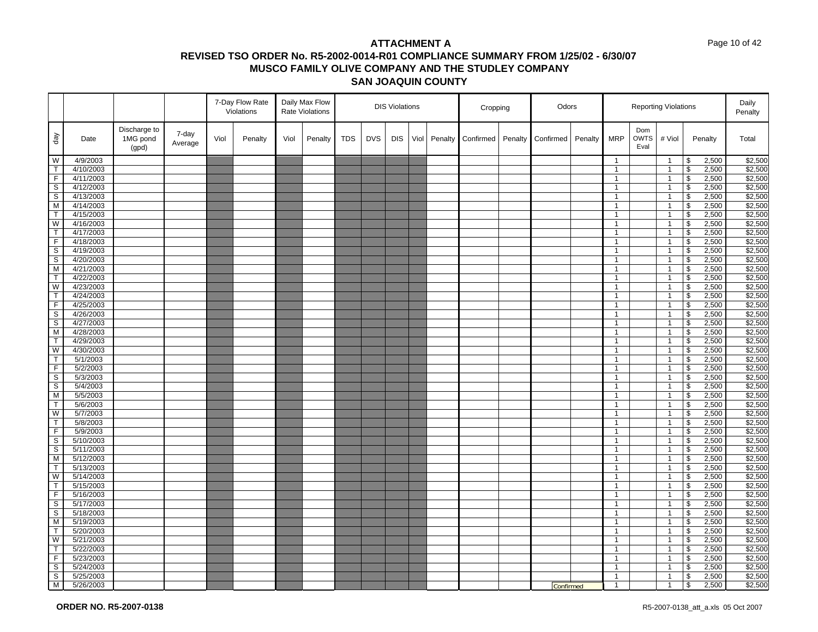#### Page 10 of 42

|                |                      |                                   |                  |      | 7-Day Flow Rate<br>Violations |      | Daily Max Flow<br><b>Rate Violations</b> |            |            | <b>DIS Violations</b> |      |         | Cropping  |         | Odors     |         |                                |                            | <b>Reporting Violations</b>    |                         |                | Daily<br>Penalty   |
|----------------|----------------------|-----------------------------------|------------------|------|-------------------------------|------|------------------------------------------|------------|------------|-----------------------|------|---------|-----------|---------|-----------|---------|--------------------------------|----------------------------|--------------------------------|-------------------------|----------------|--------------------|
| day            | Date                 | Discharge to<br>1MG pond<br>(gpd) | 7-day<br>Average | Viol | Penalty                       | Viol | Penalty                                  | <b>TDS</b> | <b>DVS</b> | <b>DIS</b>            | Viol | Penalty | Confirmed | Penalty | Confirmed | Penalty | <b>MRP</b>                     | Dom<br><b>OWTS</b><br>Eval | # Viol                         |                         | Penalty        | Total              |
| W              | 4/9/2003             |                                   |                  |      |                               |      |                                          |            |            |                       |      |         |           |         |           |         | $\mathbf{1}$                   |                            | $\mathbf{1}$                   | \$                      | 2,500          | \$2,500            |
| $\mathsf{T}$   | 4/10/2003            |                                   |                  |      |                               |      |                                          |            |            |                       |      |         |           |         |           |         | $\mathbf{1}$                   |                            | $\mathbf{1}$                   | \$                      | 2,500          | \$2,500            |
| F              | 4/11/2003            |                                   |                  |      |                               |      |                                          |            |            |                       |      |         |           |         |           |         | $\mathbf{1}$                   |                            | $\overline{1}$                 | \$                      | 2,500          | \$2,500            |
| S              | 4/12/2003            |                                   |                  |      |                               |      |                                          |            |            |                       |      |         |           |         |           |         | $\mathbf{1}$                   |                            | $\mathbf{1}$                   | \$                      | 2,500          | \$2,500            |
| S              | 4/13/2003            |                                   |                  |      |                               |      |                                          |            |            |                       |      |         |           |         |           |         | $\mathbf{1}$                   |                            | $\mathbf{1}$                   | $\sqrt[6]{\frac{1}{2}}$ | 2,500          | \$2,500            |
| M              | 4/14/2003            |                                   |                  |      |                               |      |                                          |            |            |                       |      |         |           |         |           |         | $\mathbf{1}$                   |                            | $\mathbf{1}$                   | \$                      | 2,500          | \$2,500            |
| $\mathsf{T}$   | 4/15/2003            |                                   |                  |      |                               |      |                                          |            |            |                       |      |         |           |         |           |         | $\mathbf{1}$                   |                            | $\overline{1}$                 | \$                      | 2,500          | \$2,500            |
| W              | 4/16/2003            |                                   |                  |      |                               |      |                                          |            |            |                       |      |         |           |         |           |         | $\mathbf{1}$                   |                            | $\mathbf{1}$                   | $\mathfrak s$           | 2,500          | \$2,500            |
| T              | 4/17/2003            |                                   |                  |      |                               |      |                                          |            |            |                       |      |         |           |         |           |         | $\mathbf{1}$                   |                            | $\overline{1}$                 | \$                      | 2,500          | \$2,500            |
| $\overline{F}$ | 4/18/2003            |                                   |                  |      |                               |      |                                          |            |            |                       |      |         |           |         |           |         | $\mathbf{1}$                   |                            | $\mathbf{1}$                   | \$                      | 2,500          | \$2,500            |
| $\mathbb S$    | 4/19/2003            |                                   |                  |      |                               |      |                                          |            |            |                       |      |         |           |         |           |         | $\mathbf{1}$                   |                            | $\mathbf{1}$                   | \$                      | 2,500          | \$2,500            |
| $\mathbb S$    | 4/20/2003            |                                   |                  |      |                               |      |                                          |            |            |                       |      |         |           |         |           |         | $\mathbf{1}$                   |                            | $\mathbf{1}$                   | \$                      | 2,500          | \$2,500            |
| M              | 4/21/2003            |                                   |                  |      |                               |      |                                          |            |            |                       |      |         |           |         |           |         | $\mathbf{1}$                   |                            | $\mathbf{1}$                   | \$                      | 2,500          | \$2,500            |
| $\mathsf{T}$   | 4/22/2003            |                                   |                  |      |                               |      |                                          |            |            |                       |      |         |           |         |           |         | $\mathbf{1}$                   |                            | $\overline{1}$                 | \$                      | 2,500          | \$2,500            |
| W              | 4/23/2003            |                                   |                  |      |                               |      |                                          |            |            |                       |      |         |           |         |           |         | $\mathbf{1}$                   |                            | $\overline{1}$                 | \$                      | 2,500          | \$2,500            |
| T              | 4/24/2003            |                                   |                  |      |                               |      |                                          |            |            |                       |      |         |           |         |           |         | $\mathbf{1}$                   |                            | $\overline{1}$                 | $\mathfrak s$           | 2,500          | \$2,500            |
| F              | 4/25/2003            |                                   |                  |      |                               |      |                                          |            |            |                       |      |         |           |         |           |         | $\mathbf{1}$                   |                            | $\overline{1}$                 | \$                      | 2,500          | \$2,500            |
| s              | 4/26/2003            |                                   |                  |      |                               |      |                                          |            |            |                       |      |         |           |         |           |         | $\mathbf{1}$                   |                            | $\mathbf{1}$                   | \$                      | 2,500          | \$2,500            |
| $\mathbb S$    | 4/27/2003            |                                   |                  |      |                               |      |                                          |            |            |                       |      |         |           |         |           |         | $\mathbf{1}$                   |                            | $\mathbf{1}$                   | \$                      | 2,500          | \$2,500            |
| M              | 4/28/2003            |                                   |                  |      |                               |      |                                          |            |            |                       |      |         |           |         |           |         | $\mathbf{1}$                   |                            | $\mathbf{1}$                   | \$                      | 2,500          | \$2,500            |
| T              | 4/29/2003            |                                   |                  |      |                               |      |                                          |            |            |                       |      |         |           |         |           |         | $\mathbf{1}$                   |                            | $\mathbf{1}$                   | \$                      | 2,500          | \$2,500            |
| W              | 4/30/2003            |                                   |                  |      |                               |      |                                          |            |            |                       |      |         |           |         |           |         | $\mathbf{1}$                   |                            | $\mathbf{1}$                   | \$                      | 2,500          | \$2,500            |
| T.             | 5/1/2003             |                                   |                  |      |                               |      |                                          |            |            |                       |      |         |           |         |           |         | $\mathbf{1}$                   |                            | $\mathbf{1}$                   | \$                      | 2,500          | \$2,500            |
| F              | 5/2/2003             |                                   |                  |      |                               |      |                                          |            |            |                       |      |         |           |         |           |         | $\mathbf{1}$                   |                            | $\mathbf{1}$                   | $\overline{\mathbf{s}}$ | 2,500          | \$2,500            |
| S              | 5/3/2003             |                                   |                  |      |                               |      |                                          |            |            |                       |      |         |           |         |           |         | $\mathbf{1}$                   |                            | $\overline{1}$                 | \$                      | 2,500          | \$2,500            |
| S<br>M         | 5/4/2003<br>5/5/2003 |                                   |                  |      |                               |      |                                          |            |            |                       |      |         |           |         |           |         | $\overline{1}$<br>$\mathbf{1}$ |                            | $\mathbf{1}$<br>$\overline{1}$ | \$<br>$\mathsf{s}$      | 2,500          | \$2,500            |
| $\mathsf{T}$   |                      |                                   |                  |      |                               |      |                                          |            |            |                       |      |         |           |         |           |         | $\mathbf{1}$                   |                            |                                |                         | 2,500          | \$2,500<br>\$2,500 |
| W              | 5/6/2003<br>5/7/2003 |                                   |                  |      |                               |      |                                          |            |            |                       |      |         |           |         |           |         | $\mathbf{1}$                   |                            | $\mathbf{1}$<br>$\mathbf{1}$   | \$<br>\$                | 2,500<br>2,500 | \$2,500            |
| T.             | 5/8/2003             |                                   |                  |      |                               |      |                                          |            |            |                       |      |         |           |         |           |         | $\mathbf{1}$                   |                            | $\mathbf{1}$                   | \$                      | 2,500          | \$2,500            |
| F              | 5/9/2003             |                                   |                  |      |                               |      |                                          |            |            |                       |      |         |           |         |           |         | $\mathbf{1}$                   |                            | $\mathbf{1}$                   | \$                      | 2,500          | \$2,500            |
| S              | 5/10/2003            |                                   |                  |      |                               |      |                                          |            |            |                       |      |         |           |         |           |         | $\mathbf{1}$                   |                            | $\mathbf{1}$                   | \$                      | 2,500          | \$2,500            |
| $\mathbb S$    | 5/11/2003            |                                   |                  |      |                               |      |                                          |            |            |                       |      |         |           |         |           |         | $\mathbf{1}$                   |                            | $\mathbf{1}$                   | \$                      | 2,500          | \$2,500            |
| M              | 5/12/2003            |                                   |                  |      |                               |      |                                          |            |            |                       |      |         |           |         |           |         | $\mathbf{1}$                   |                            | $\mathbf{1}$                   | \$                      | 2,500          | \$2,500            |
| T              | 5/13/2003            |                                   |                  |      |                               |      |                                          |            |            |                       |      |         |           |         |           |         | $\overline{1}$                 |                            | $\overline{1}$                 | \$                      | 2,500          | \$2,500            |
| W              | 5/14/2003            |                                   |                  |      |                               |      |                                          |            |            |                       |      |         |           |         |           |         | $\mathbf{1}$                   |                            | $\mathbf{1}$                   | \$                      | 2,500          | \$2,500            |
| T              | 5/15/2003            |                                   |                  |      |                               |      |                                          |            |            |                       |      |         |           |         |           |         | $\mathbf{1}$                   |                            | $\overline{1}$                 | \$                      | 2,500          | \$2,500            |
| F              | 5/16/2003            |                                   |                  |      |                               |      |                                          |            |            |                       |      |         |           |         |           |         | $\mathbf{1}$                   |                            | $\overline{1}$                 | \$                      | 2,500          | \$2,500            |
| $\mathbb S$    | 5/17/2003            |                                   |                  |      |                               |      |                                          |            |            |                       |      |         |           |         |           |         | $\mathbf{1}$                   |                            | $\mathbf{1}$                   | \$                      | 2,500          | \$2,500            |
| s              | 5/18/2003            |                                   |                  |      |                               |      |                                          |            |            |                       |      |         |           |         |           |         | $\mathbf{1}$                   |                            | $\mathbf{1}$                   | \$                      | 2,500          | \$2,500            |
| M              | 5/19/2003            |                                   |                  |      |                               |      |                                          |            |            |                       |      |         |           |         |           |         | $\mathbf{1}$                   |                            | $\mathbf{1}$                   | \$                      | 2,500          | \$2,500            |
| $\mathsf{T}$   | 5/20/2003            |                                   |                  |      |                               |      |                                          |            |            |                       |      |         |           |         |           |         | $\mathbf{1}$                   |                            | $\mathbf{1}$                   | \$                      | 2,500          | \$2,500            |
| W              | 5/21/2003            |                                   |                  |      |                               |      |                                          |            |            |                       |      |         |           |         |           |         | $\mathbf{1}$                   |                            | $\overline{1}$                 | $\mathsf{s}$            | 2,500          | \$2,500            |
| T              | 5/22/2003            |                                   |                  |      |                               |      |                                          |            |            |                       |      |         |           |         |           |         | $\mathbf{1}$                   |                            | $\mathbf{1}$                   | \$                      | 2,500          | \$2,500            |
| F              | 5/23/2003            |                                   |                  |      |                               |      |                                          |            |            |                       |      |         |           |         |           |         | $\mathbf{1}$                   |                            | $\mathbf{1}$                   | $\mathsf{\$}$           | 2,500          | \$2,500            |
| S              | 5/24/2003            |                                   |                  |      |                               |      |                                          |            |            |                       |      |         |           |         |           |         | $\mathbf{1}$                   |                            | $\overline{1}$                 | \$                      | 2,500          | \$2,500            |
| S              | 5/25/2003            |                                   |                  |      |                               |      |                                          |            |            |                       |      |         |           |         |           |         | $\mathbf{1}$                   |                            | $\mathbf{1}$                   | \$                      | 2,500          | \$2,500            |
| <b>M</b>       | 5/26/2003            |                                   |                  |      |                               |      |                                          |            |            |                       |      |         |           |         | Confirmed |         | $\mathbf{1}$                   |                            | $\overline{1}$                 | \$                      | 2,500          | \$2,500            |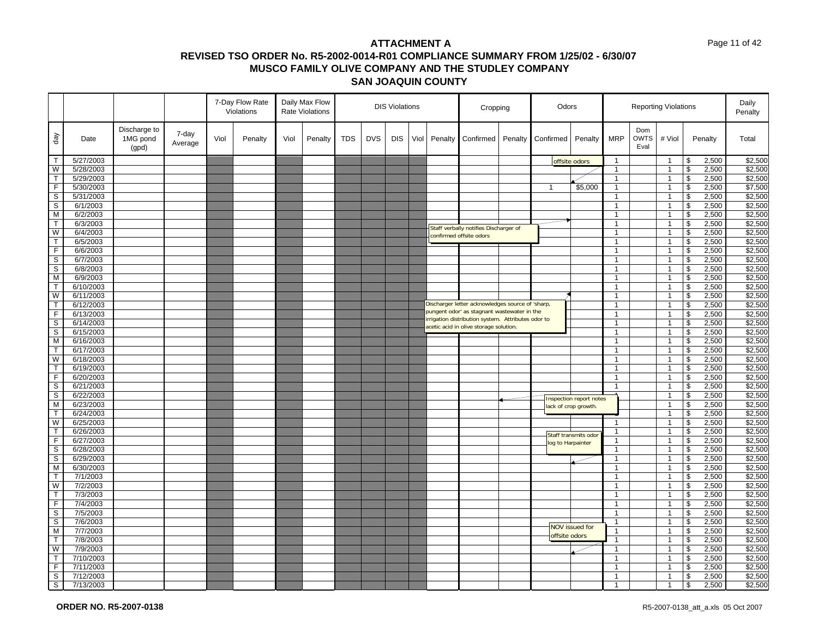#### Page 11 of 42

|                            |                        |                                   |                  |      | 7-Day Flow Rate<br>Violations |      | Daily Max Flow<br><b>DIS Violations</b><br><b>Rate Violations</b> |            |            | Cropping   |      | Odors   |                                                                                                  |         |                   | <b>Reporting Violations</b>    |                              | Daily<br>Penalty           |                                  |                            |                    |
|----------------------------|------------------------|-----------------------------------|------------------|------|-------------------------------|------|-------------------------------------------------------------------|------------|------------|------------|------|---------|--------------------------------------------------------------------------------------------------|---------|-------------------|--------------------------------|------------------------------|----------------------------|----------------------------------|----------------------------|--------------------|
| day                        | Date                   | Discharge to<br>1MG pond<br>(gpd) | 7-day<br>Average | Viol | Penalty                       | Viol | Penalty                                                           | <b>TDS</b> | <b>DVS</b> | <b>DIS</b> | Viol | Penalty | Confirmed                                                                                        | Penalty | Confirmed         | Penalty                        | <b>MRP</b>                   | Dom<br><b>OWTS</b><br>Eval | # Viol                           | Penalty                    | Total              |
| $\mathsf{T}$               | 5/27/2003              |                                   |                  |      |                               |      |                                                                   |            |            |            |      |         |                                                                                                  |         |                   | offsite odors                  | $\mathbf{1}$                 |                            | $\overline{1}$                   | \$<br>2,500                | \$2,500            |
| W                          | 5/28/2003              |                                   |                  |      |                               |      |                                                                   |            |            |            |      |         |                                                                                                  |         |                   |                                | $\mathbf{1}$                 |                            | $\overline{1}$                   | \$<br>2,500                | \$2,500            |
| $\mathsf{T}$               | 5/29/2003              |                                   |                  |      |                               |      |                                                                   |            |            |            |      |         |                                                                                                  |         |                   |                                | $\mathbf{1}$                 |                            | $\overline{1}$                   | \$<br>2,500                | \$2,500            |
| F                          | 5/30/2003              |                                   |                  |      |                               |      |                                                                   |            |            |            |      |         |                                                                                                  |         | $\mathbf{1}$      | \$5,000                        | $\mathbf{1}$                 |                            | $\overline{1}$                   | \$<br>2,500                | \$7,500            |
| $\mathbb S$                | 5/31/2003              |                                   |                  |      |                               |      |                                                                   |            |            |            |      |         |                                                                                                  |         |                   |                                | $\mathbf{1}$                 |                            | $\overline{1}$                   | $\mathfrak s$<br>2,500     | \$2,500            |
| $\mathbb S$                | 6/1/2003               |                                   |                  |      |                               |      |                                                                   |            |            |            |      |         |                                                                                                  |         |                   |                                | $\mathbf{1}$                 |                            | $\overline{1}$                   | \$<br>2,500                | \$2,500            |
| M                          | 6/2/2003               |                                   |                  |      |                               |      |                                                                   |            |            |            |      |         |                                                                                                  |         |                   |                                | $\overline{1}$               |                            | $\overline{1}$                   | \$<br>2,500                | \$2,500            |
| $\mathsf{T}$               | 6/3/2003               |                                   |                  |      |                               |      |                                                                   |            |            |            |      |         | Staff verbally notifies Discharger of                                                            |         |                   |                                | $\mathbf{1}$                 |                            | $\overline{1}$                   | \$<br>2,500                | \$2,500            |
| W                          | 6/4/2003               |                                   |                  |      |                               |      |                                                                   |            |            |            |      |         | confirmed offsite odors                                                                          |         |                   |                                | $\mathbf{1}$                 |                            | $\overline{1}$                   | \$<br>2,500                | \$2,500            |
| $\overline{\mathsf{T}}$    | 6/5/2003               |                                   |                  |      |                               |      |                                                                   |            |            |            |      |         |                                                                                                  |         |                   |                                | $\mathbf{1}$                 |                            | $\overline{1}$                   | \$<br>2,500                | \$2,500            |
| $\overline{F}$             | 6/6/2003               |                                   |                  |      |                               |      |                                                                   |            |            |            |      |         |                                                                                                  |         |                   |                                | $\overline{1}$               |                            | $\overline{1}$                   | \$<br>2,500                | \$2,500            |
| $\overline{s}$             | 6/7/2003               |                                   |                  |      |                               |      |                                                                   |            |            |            |      |         |                                                                                                  |         |                   |                                | $\mathbf{1}$                 |                            | $\mathbf{1}$                     | \$<br>2,500                | \$2,500            |
| S                          | 6/8/2003               |                                   |                  |      |                               |      |                                                                   |            |            |            |      |         |                                                                                                  |         |                   |                                | $\mathbf{1}$                 |                            | $\overline{1}$                   | \$<br>2,500                | \$2,500            |
| M                          | 6/9/2003               |                                   |                  |      |                               |      |                                                                   |            |            |            |      |         |                                                                                                  |         |                   |                                | $\mathbf{1}$                 |                            | $\overline{1}$                   | \$<br>2,500                | \$2,500            |
| $\top$                     | 6/10/2003              |                                   |                  |      |                               |      |                                                                   |            |            |            |      |         |                                                                                                  |         |                   |                                | $\overline{1}$               |                            | $\overline{1}$                   | \$<br>2,500                | \$2,500            |
| W                          | 6/11/2003              |                                   |                  |      |                               |      |                                                                   |            |            |            |      |         |                                                                                                  |         |                   |                                | $\mathbf{1}$                 |                            | $\overline{1}$                   | \$<br>2,500                | \$2,500            |
| $\mathsf{T}$               | 6/12/2003              |                                   |                  |      |                               |      |                                                                   |            |            |            |      |         | Discharger letter acknowledges source of 'sharp,                                                 |         |                   |                                | $\mathbf{1}$                 |                            | $\overline{1}$                   | \$<br>2,500                | \$2,500            |
| $\overline{F}$             | 6/13/2003              |                                   |                  |      |                               |      |                                                                   |            |            |            |      |         | pungent odor' as stagnant wastewater in the<br>rrigation distribution system. Attributes odor to |         |                   |                                | $\mathbf{1}$                 |                            | $\overline{1}$                   | \$<br>2,500                | \$2,500            |
| $\mathsf S$                | 6/14/2003              |                                   |                  |      |                               |      |                                                                   |            |            |            |      |         | acetic acid in olive storage solution.                                                           |         |                   |                                | $\overline{1}$               |                            | $\overline{1}$                   | \$<br>2,500                | \$2,500            |
| $\mathbb S$                | 6/15/2003              |                                   |                  |      |                               |      |                                                                   |            |            |            |      |         |                                                                                                  |         |                   |                                | $\mathbf{1}$                 |                            | $\overline{1}$                   | \$<br>2,500                | \$2,500            |
| M                          | 6/16/2003              |                                   |                  |      |                               |      |                                                                   |            |            |            |      |         |                                                                                                  |         |                   |                                | $\mathbf{1}$                 |                            | $\overline{1}$                   | \$<br>2,500                | \$2,500            |
| $\mathsf{T}$               | 6/17/2003              |                                   |                  |      |                               |      |                                                                   |            |            |            |      |         |                                                                                                  |         |                   |                                | $\mathbf{1}$                 |                            | $\overline{1}$                   | \$<br>2,500                | \$2,500            |
| W                          | 6/18/2003              |                                   |                  |      |                               |      |                                                                   |            |            |            |      |         |                                                                                                  |         |                   |                                | $\overline{1}$               |                            | $\overline{1}$                   | \$<br>2,500                | \$2,500            |
| $\overline{\mathsf{T}}$    | 6/19/2003              |                                   |                  |      |                               |      |                                                                   |            |            |            |      |         |                                                                                                  |         |                   |                                | $\mathbf{1}$                 |                            | $\mathbf{1}$                     | \$<br>2,500                | \$2,500            |
| F                          | 6/20/2003              |                                   |                  |      |                               |      |                                                                   |            |            |            |      |         |                                                                                                  |         |                   |                                | $\mathbf{1}$                 |                            | $\overline{1}$                   | \$<br>2,500                | \$2,500            |
| $\mathsf{s}$               | 6/21/2003              |                                   |                  |      |                               |      |                                                                   |            |            |            |      |         |                                                                                                  |         |                   |                                | $\mathbf{1}$                 |                            | $\overline{1}$                   | \$<br>2,500                | \$2,500            |
| $\overline{s}$             | 6/22/2003              |                                   |                  |      |                               |      |                                                                   |            |            |            |      |         |                                                                                                  |         |                   | <b>Inspection report notes</b> |                              |                            | $\overline{1}$                   | \$<br>2,500                | \$2,500            |
| M                          | 6/23/2003              |                                   |                  |      |                               |      |                                                                   |            |            |            |      |         |                                                                                                  |         |                   | ack of crop growth.            |                              |                            | $\overline{1}$                   | 2,500<br>\$                | \$2,500            |
| $\mathsf{T}$               | 6/24/2003              |                                   |                  |      |                               |      |                                                                   |            |            |            |      |         |                                                                                                  |         |                   |                                |                              |                            | $\overline{1}$                   | \$<br>2,500                | \$2,500            |
| W<br>$\top$                | 6/25/2003<br>6/26/2003 |                                   |                  |      |                               |      |                                                                   |            |            |            |      |         |                                                                                                  |         |                   |                                | $\mathbf{1}$<br>$\mathbf{1}$ |                            | $\overline{1}$<br>$\overline{1}$ | \$<br>2,500<br>\$          | \$2,500            |
| $\overline{F}$             | 6/27/2003              |                                   |                  |      |                               |      |                                                                   |            |            |            |      |         |                                                                                                  |         |                   | Staff transmits odor           | $\mathbf{1}$                 |                            | $\overline{1}$                   | 2,500<br>\$<br>2,500       | \$2,500<br>\$2,500 |
|                            |                        |                                   |                  |      |                               |      |                                                                   |            |            |            |      |         |                                                                                                  |         | log to Harpainter |                                |                              |                            |                                  |                            |                    |
| $\mathbb S$<br>$\mathbb S$ | 6/28/2003<br>6/29/2003 |                                   |                  |      |                               |      |                                                                   |            |            |            |      |         |                                                                                                  |         |                   |                                | $\mathbf{1}$<br>$\mathbf{1}$ |                            | $\overline{1}$<br>$\overline{1}$ | \$<br>2,500<br>2,500<br>\$ | \$2,500<br>\$2,500 |
| $\overline{M}$             | 6/30/2003              |                                   |                  |      |                               |      |                                                                   |            |            |            |      |         |                                                                                                  |         |                   |                                | $\overline{1}$               |                            | $\overline{1}$                   | \$<br>2,500                | \$2,500            |
| $\mathsf{T}$               | 7/1/2003               |                                   |                  |      |                               |      |                                                                   |            |            |            |      |         |                                                                                                  |         |                   |                                | $\mathbf{1}$                 |                            | $\overline{1}$                   | 2,500<br>\$                | \$2,500            |
| W                          | 7/2/2003               |                                   |                  |      |                               |      |                                                                   |            |            |            |      |         |                                                                                                  |         |                   |                                | $\mathbf{1}$                 |                            | $\mathbf{1}$                     | \$<br>2,500                | \$2,500            |
| $\mathsf T$                | 7/3/2003               |                                   |                  |      |                               |      |                                                                   |            |            |            |      |         |                                                                                                  |         |                   |                                | $\mathbf{1}$                 |                            | $\overline{1}$                   | 2,500<br>\$                | \$2,500            |
| F                          | 7/4/2003               |                                   |                  |      |                               |      |                                                                   |            |            |            |      |         |                                                                                                  |         |                   |                                | $\overline{1}$               |                            | $\overline{1}$                   | \$<br>2,500                | \$2,500            |
| $\mathsf{s}$               | 7/5/2003               |                                   |                  |      |                               |      |                                                                   |            |            |            |      |         |                                                                                                  |         |                   |                                | $\mathbf{1}$                 |                            | $\mathbf{1}$                     | \$<br>2,500                | \$2,500            |
| $\mathbb S$                | 7/6/2003               |                                   |                  |      |                               |      |                                                                   |            |            |            |      |         |                                                                                                  |         |                   |                                | $\mathbf{1}$                 |                            | $\overline{1}$                   | \$<br>2,500                | \$2,500            |
| M                          | 7/7/2003               |                                   |                  |      |                               |      |                                                                   |            |            |            |      |         |                                                                                                  |         |                   | <b>NOV issued for</b>          | $\mathbf{1}$                 |                            | $\overline{1}$                   | 2,500<br>\$                | \$2,500            |
| $\overline{\mathsf{T}}$    | 7/8/2003               |                                   |                  |      |                               |      |                                                                   |            |            |            |      |         |                                                                                                  |         | offsite odors     |                                | $\overline{1}$               |                            | $\overline{1}$                   | \$<br>2,500                | \$2,500            |
| W                          | 7/9/2003               |                                   |                  |      |                               |      |                                                                   |            |            |            |      |         |                                                                                                  |         |                   |                                | $\mathbf{1}$                 |                            | $\mathbf{1}$                     | 2,500<br>\$                | \$2,500            |
| $\mathsf{T}$               | 7/10/2003              |                                   |                  |      |                               |      |                                                                   |            |            |            |      |         |                                                                                                  |         |                   |                                | $\mathbf{1}$                 |                            | $\overline{1}$                   | \$<br>2,500                | \$2,500            |
| F                          | 7/11/2003              |                                   |                  |      |                               |      |                                                                   |            |            |            |      |         |                                                                                                  |         |                   |                                | $\mathbf{1}$                 |                            | $\overline{1}$                   | \$<br>2,500                | \$2,500            |
| $\mathbb S$                | 7/12/2003              |                                   |                  |      |                               |      |                                                                   |            |            |            |      |         |                                                                                                  |         |                   |                                | $\overline{1}$               |                            | $\overline{1}$                   | \$<br>2,500                | \$2,500            |
| $\mathsf{s}$               | 7/13/2003              |                                   |                  |      |                               |      |                                                                   |            |            |            |      |         |                                                                                                  |         |                   |                                | $\overline{1}$               |                            | $\overline{1}$                   | \$<br>2,500                | \$2,500            |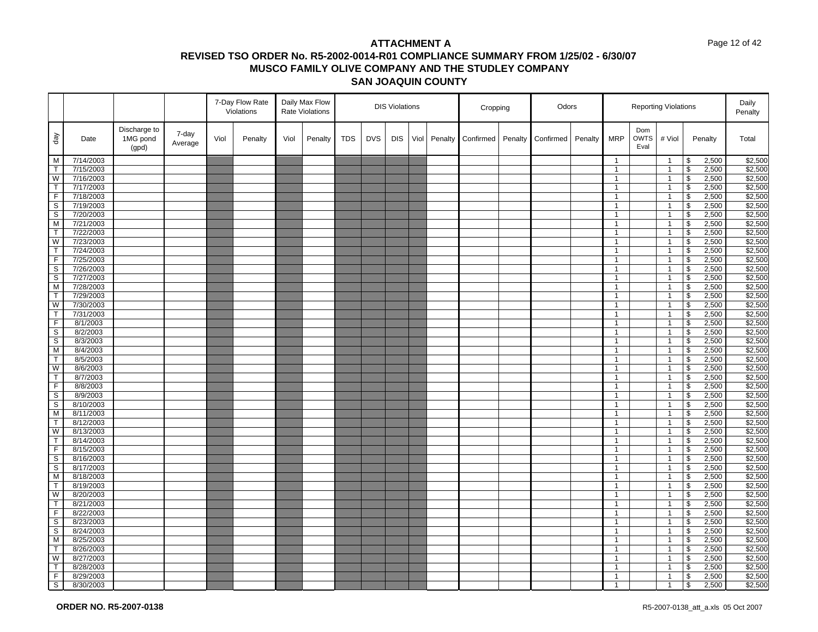#### Page 12 of 42

|                         |           |                                   |                  |      | 7-Day Flow Rate<br>Violations |      | Daily Max Flow<br><b>Rate Violations</b> |            |            | <b>DIS Violations</b> |      |         | Cropping  |         | Odors     |         |              |                            | <b>Reporting Violations</b> |                          |         | Daily<br>Penalty |
|-------------------------|-----------|-----------------------------------|------------------|------|-------------------------------|------|------------------------------------------|------------|------------|-----------------------|------|---------|-----------|---------|-----------|---------|--------------|----------------------------|-----------------------------|--------------------------|---------|------------------|
| $\sqrt{e}b$             | Date      | Discharge to<br>1MG pond<br>(gpd) | 7-day<br>Average | Viol | Penalty                       | Viol | Penalty                                  | <b>TDS</b> | <b>DVS</b> | <b>DIS</b>            | Viol | Penalty | Confirmed | Penalty | Confirmed | Penalty | <b>MRP</b>   | Dom<br><b>OWTS</b><br>Eval | # Viol                      |                          | Penalty | Total            |
| M                       | 7/14/2003 |                                   |                  |      |                               |      |                                          |            |            |                       |      |         |           |         |           |         | $\mathbf{1}$ |                            | $\overline{1}$              | \$                       | 2,500   | \$2,500          |
| $\mathsf{T}$            | 7/15/2003 |                                   |                  |      |                               |      |                                          |            |            |                       |      |         |           |         |           |         | $\mathbf{1}$ |                            | $\mathbf{1}$                | \$                       | 2,500   | \$2,500          |
| W                       | 7/16/2003 |                                   |                  |      |                               |      |                                          |            |            |                       |      |         |           |         |           |         | $\mathbf{1}$ |                            | $\overline{1}$              | \$                       | 2,500   | \$2,500          |
| $\mathsf{T}$            | 7/17/2003 |                                   |                  |      |                               |      |                                          |            |            |                       |      |         |           |         |           |         | $\mathbf{1}$ |                            | $\mathbf{1}$                | \$                       | 2,500   | \$2,500          |
| $\overline{F}$          | 7/18/2003 |                                   |                  |      |                               |      |                                          |            |            |                       |      |         |           |         |           |         | $\mathbf{1}$ |                            | $\overline{1}$              | $\overline{\mathbf{3}}$  | 2,500   | \$2,500          |
| S                       | 7/19/2003 |                                   |                  |      |                               |      |                                          |            |            |                       |      |         |           |         |           |         | $\mathbf{1}$ |                            | $\mathbf{1}$                | \$                       | 2,500   | \$2,500          |
| S                       | 7/20/2003 |                                   |                  |      |                               |      |                                          |            |            |                       |      |         |           |         |           |         | $\mathbf{1}$ |                            | $\mathbf{1}$                | $\overline{\mathcal{S}}$ | 2,500   | \$2,500          |
| M                       | 7/21/2003 |                                   |                  |      |                               |      |                                          |            |            |                       |      |         |           |         |           |         | $\mathbf{1}$ |                            | $\overline{1}$              | \$                       | 2,500   | \$2,500          |
| $\mathsf{T}$            | 7/22/2003 |                                   |                  |      |                               |      |                                          |            |            |                       |      |         |           |         |           |         | $\mathbf{1}$ |                            | $\mathbf{1}$                | $\sqrt[6]{\frac{1}{2}}$  | 2,500   | \$2,500          |
| W                       | 7/23/2003 |                                   |                  |      |                               |      |                                          |            |            |                       |      |         |           |         |           |         | $\mathbf{1}$ |                            | $\mathbf{1}$                | $\overline{\mathbf{s}}$  | 2,500   | \$2,500          |
| $\mathsf{T}$            | 7/24/2003 |                                   |                  |      |                               |      |                                          |            |            |                       |      |         |           |         |           |         | $\mathbf{1}$ |                            | $\overline{1}$              | \$                       | 2,500   | \$2,500          |
| F.                      | 7/25/2003 |                                   |                  |      |                               |      |                                          |            |            |                       |      |         |           |         |           |         | $\mathbf{1}$ |                            | $\overline{1}$              | \$                       | 2,500   | \$2,500          |
| S                       | 7/26/2003 |                                   |                  |      |                               |      |                                          |            |            |                       |      |         |           |         |           |         | $\mathbf{1}$ |                            | $\mathbf{1}$                | \$                       | 2,500   | \$2,500          |
| S                       | 7/27/2003 |                                   |                  |      |                               |      |                                          |            |            |                       |      |         |           |         |           |         | $\mathbf{1}$ |                            | $\mathbf{1}$                | \$                       | 2,500   | \$2,500          |
| M                       | 7/28/2003 |                                   |                  |      |                               |      |                                          |            |            |                       |      |         |           |         |           |         | $\mathbf{1}$ |                            | $\overline{1}$              | $\overline{\mathcal{S}}$ | 2,500   | \$2,500          |
| T                       | 7/29/2003 |                                   |                  |      |                               |      |                                          |            |            |                       |      |         |           |         |           |         | $\mathbf{1}$ |                            | $\mathbf{1}$                | \$                       | 2,500   | \$2,500          |
| W                       | 7/30/2003 |                                   |                  |      |                               |      |                                          |            |            |                       |      |         |           |         |           |         | $\mathbf{1}$ |                            | $\mathbf{1}$                | $\sqrt[6]{\frac{1}{2}}$  | 2,500   | \$2,500          |
| $\mathsf T$             | 7/31/2003 |                                   |                  |      |                               |      |                                          |            |            |                       |      |         |           |         |           |         | $\mathbf{1}$ |                            | $\overline{1}$              | $\overline{\mathbf{3}}$  | 2,500   | \$2,500          |
| F                       | 8/1/2003  |                                   |                  |      |                               |      |                                          |            |            |                       |      |         |           |         |           |         | $\mathbf{1}$ |                            | $\overline{1}$              | \$                       | 2,500   | \$2,500          |
| S                       | 8/2/2003  |                                   |                  |      |                               |      |                                          |            |            |                       |      |         |           |         |           |         | $\mathbf{1}$ |                            | $\overline{1}$              | \$                       | 2,500   | \$2,500          |
| S                       | 8/3/2003  |                                   |                  |      |                               |      |                                          |            |            |                       |      |         |           |         |           |         | $\mathbf{1}$ |                            | $\mathbf{1}$                | \$                       | 2,500   | \$2,500          |
| M                       | 8/4/2003  |                                   |                  |      |                               |      |                                          |            |            |                       |      |         |           |         |           |         | $\mathbf{1}$ |                            | $\mathbf{1}$                | \$                       | 2,500   | \$2,500          |
| T.                      | 8/5/2003  |                                   |                  |      |                               |      |                                          |            |            |                       |      |         |           |         |           |         | $\mathbf{1}$ |                            | $\overline{1}$              | \$                       | 2,500   | \$2,500          |
| W                       | 8/6/2003  |                                   |                  |      |                               |      |                                          |            |            |                       |      |         |           |         |           |         | $\mathbf{1}$ |                            | $\mathbf{1}$                | \$                       | 2,500   | \$2,500          |
| $\mathsf{T}$            | 8/7/2003  |                                   |                  |      |                               |      |                                          |            |            |                       |      |         |           |         |           |         | $\mathbf{1}$ |                            | $\overline{1}$              | $\mathfrak s$            | 2,500   | \$2,500          |
| $\mathsf F$             | 8/8/2003  |                                   |                  |      |                               |      |                                          |            |            |                       |      |         |           |         |           |         | $\mathbf{1}$ |                            | $\mathbf{1}$                | \$                       | 2,500   | \$2,500          |
| S                       | 8/9/2003  |                                   |                  |      |                               |      |                                          |            |            |                       |      |         |           |         |           |         | $\mathbf{1}$ |                            | $\mathbf{1}$                | \$                       | 2,500   | \$2,500          |
| $\mathbb S$             | 8/10/2003 |                                   |                  |      |                               |      |                                          |            |            |                       |      |         |           |         |           |         | $\mathbf{1}$ |                            | $\overline{1}$              | \$                       | 2,500   | \$2,500          |
| M                       | 8/11/2003 |                                   |                  |      |                               |      |                                          |            |            |                       |      |         |           |         |           |         | $\mathbf{1}$ |                            | $\mathbf{1}$                | \$                       | 2,500   | \$2,500          |
| T                       | 8/12/2003 |                                   |                  |      |                               |      |                                          |            |            |                       |      |         |           |         |           |         | $\mathbf{1}$ |                            | $\overline{1}$              | $\mathfrak s$            | 2,500   | \$2,500          |
| W                       | 8/13/2003 |                                   |                  |      |                               |      |                                          |            |            |                       |      |         |           |         |           |         | $\mathbf{1}$ |                            | $\mathbf{1}$                | \$                       | 2,500   | \$2,500          |
| T                       | 8/14/2003 |                                   |                  |      |                               |      |                                          |            |            |                       |      |         |           |         |           |         | $\mathbf{1}$ |                            | $\mathbf{1}$                | \$                       | 2,500   | \$2,500          |
| F                       | 8/15/2003 |                                   |                  |      |                               |      |                                          |            |            |                       |      |         |           |         |           |         | $\mathbf{1}$ |                            | $\overline{1}$              | $\mathfrak s$            | 2,500   | \$2,500          |
| S                       | 8/16/2003 |                                   |                  |      |                               |      |                                          |            |            |                       |      |         |           |         |           |         | $\mathbf{1}$ |                            | $\mathbf{1}$                | \$                       | 2,500   | \$2,500          |
| S                       | 8/17/2003 |                                   |                  |      |                               |      |                                          |            |            |                       |      |         |           |         |           |         | $\mathbf{1}$ |                            | $\overline{1}$              | \$                       | 2,500   | \$2,500          |
| M                       | 8/18/2003 |                                   |                  |      |                               |      |                                          |            |            |                       |      |         |           |         |           |         | $\mathbf{1}$ |                            | $\mathbf{1}$                | \$                       | 2,500   | \$2,500          |
| T                       | 8/19/2003 |                                   |                  |      |                               |      |                                          |            |            |                       |      |         |           |         |           |         | $\mathbf{1}$ |                            | $\mathbf{1}$                | \$                       | 2,500   | \$2,500          |
| $\overline{\mathsf{w}}$ | 8/20/2003 |                                   |                  |      |                               |      |                                          |            |            |                       |      |         |           |         |           |         | $\mathbf{1}$ |                            | $\mathbf{1}$                | $\overline{\mathbf{s}}$  | 2,500   | \$2,500          |
| $\mathsf{T}$            | 8/21/2003 |                                   |                  |      |                               |      |                                          |            |            |                       |      |         |           |         |           |         | $\mathbf{1}$ |                            | $\mathbf{1}$                | \$                       | 2,500   | \$2,500          |
| $\overline{F}$          | 8/22/2003 |                                   |                  |      |                               |      |                                          |            |            |                       |      |         |           |         |           |         | $\mathbf{1}$ |                            | $\mathbf{1}$                | \$                       | 2,500   | \$2,500          |
| S                       | 8/23/2003 |                                   |                  |      |                               |      |                                          |            |            |                       |      |         |           |         |           |         | $\mathbf{1}$ |                            | $\mathbf{1}$                | \$                       | 2,500   | \$2,500          |
| S                       | 8/24/2003 |                                   |                  |      |                               |      |                                          |            |            |                       |      |         |           |         |           |         | $\mathbf{1}$ |                            | $\mathbf{1}$                | \$                       | 2,500   | \$2,500          |
| M                       | 8/25/2003 |                                   |                  |      |                               |      |                                          |            |            |                       |      |         |           |         |           |         | $\mathbf{1}$ |                            | $\overline{1}$              | \$                       | 2,500   | \$2,500          |
| T                       | 8/26/2003 |                                   |                  |      |                               |      |                                          |            |            |                       |      |         |           |         |           |         | $\mathbf{1}$ |                            | $\mathbf{1}$                | \$                       | 2,500   | \$2,500          |
| W                       | 8/27/2003 |                                   |                  |      |                               |      |                                          |            |            |                       |      |         |           |         |           |         | $\mathbf{1}$ |                            | $\mathbf{1}$                | $\mathfrak s$            | 2,500   | \$2,500          |
| T.                      | 8/28/2003 |                                   |                  |      |                               |      |                                          |            |            |                       |      |         |           |         |           |         | $\mathbf{1}$ |                            | $\overline{1}$              | \$                       | 2,500   | \$2,500          |
| F.                      | 8/29/2003 |                                   |                  |      |                               |      |                                          |            |            |                       |      |         |           |         |           |         | $\mathbf{1}$ |                            | $\mathbf{1}$                | \$                       | 2,500   | \$2,500          |
| $\overline{s}$          | 8/30/2003 |                                   |                  |      |                               |      |                                          |            |            |                       |      |         |           |         |           |         | $\mathbf{1}$ |                            | $\overline{1}$              | \$                       | 2,500   | \$2,500          |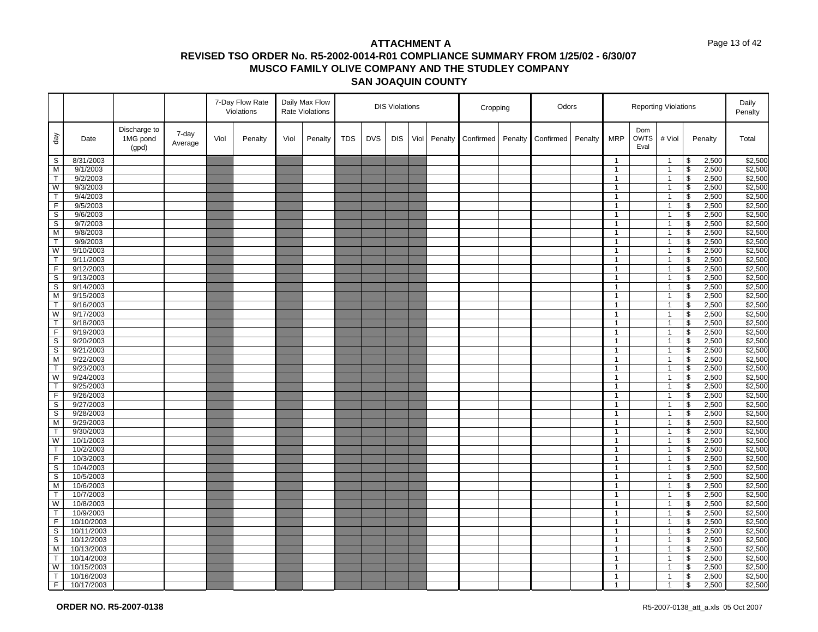#### Page 13 of 42

|                         |                        |                                   |                  |      | 7-Day Flow Rate<br>Violations |      | Daily Max Flow<br><b>Rate Violations</b> |            |            | <b>DIS Violations</b> |      |         | Cropping  |         | Odors     |         |                              |                            | <b>Reporting Violations</b>    |                          |                | Daily<br>Penalty   |
|-------------------------|------------------------|-----------------------------------|------------------|------|-------------------------------|------|------------------------------------------|------------|------------|-----------------------|------|---------|-----------|---------|-----------|---------|------------------------------|----------------------------|--------------------------------|--------------------------|----------------|--------------------|
| $\sqrt{e}b$             | Date                   | Discharge to<br>1MG pond<br>(gpd) | 7-day<br>Average | Viol | Penalty                       | Viol | Penalty                                  | <b>TDS</b> | <b>DVS</b> | <b>DIS</b>            | Viol | Penalty | Confirmed | Penalty | Confirmed | Penalty | <b>MRP</b>                   | Dom<br><b>OWTS</b><br>Eval | # Viol                         |                          | Penalty        | Total              |
| S                       | 8/31/2003              |                                   |                  |      |                               |      |                                          |            |            |                       |      |         |           |         |           |         | $\mathbf{1}$                 |                            | $\overline{1}$                 | \$                       | 2,500          | \$2,500            |
| M                       | 9/1/2003               |                                   |                  |      |                               |      |                                          |            |            |                       |      |         |           |         |           |         | $\mathbf{1}$                 |                            | $\mathbf{1}$                   | \$                       | 2,500          | \$2,500            |
| $\top$                  | 9/2/2003               |                                   |                  |      |                               |      |                                          |            |            |                       |      |         |           |         |           |         | $\mathbf{1}$                 |                            | $\overline{1}$                 | \$                       | 2,500          | \$2,500            |
| W                       | 9/3/2003               |                                   |                  |      |                               |      |                                          |            |            |                       |      |         |           |         |           |         | $\mathbf{1}$                 |                            | $\mathbf{1}$                   | \$                       | 2,500          | \$2,500            |
| $\overline{\mathsf{T}}$ | 9/4/2003               |                                   |                  |      |                               |      |                                          |            |            |                       |      |         |           |         |           |         | $\mathbf{1}$                 |                            | $\overline{1}$                 | $\overline{\mathbf{3}}$  | 2,500          | \$2,500            |
| F                       | 9/5/2003               |                                   |                  |      |                               |      |                                          |            |            |                       |      |         |           |         |           |         | $\mathbf{1}$                 |                            | $\mathbf{1}$                   | \$                       | 2,500          | \$2,500            |
| S                       | 9/6/2003               |                                   |                  |      |                               |      |                                          |            |            |                       |      |         |           |         |           |         | $\mathbf{1}$                 |                            | $\mathbf{1}$                   | $\overline{\mathcal{S}}$ | 2,500          | \$2,500            |
| S                       | 9/7/2003               |                                   |                  |      |                               |      |                                          |            |            |                       |      |         |           |         |           |         | $\mathbf{1}$                 |                            | $\overline{1}$                 | \$                       | 2,500          | \$2,500            |
| M                       | 9/8/2003               |                                   |                  |      |                               |      |                                          |            |            |                       |      |         |           |         |           |         | $\mathbf{1}$                 |                            | $\mathbf{1}$                   | $\sqrt[6]{\frac{1}{2}}$  | 2,500          | \$2,500            |
| $\overline{T}$          | 9/9/2003               |                                   |                  |      |                               |      |                                          |            |            |                       |      |         |           |         |           |         | $\mathbf{1}$                 |                            | $\mathbf{1}$                   | $\overline{\mathbf{s}}$  | 2,500          | \$2,500            |
| W                       | 9/10/2003              |                                   |                  |      |                               |      |                                          |            |            |                       |      |         |           |         |           |         | $\mathbf{1}$                 |                            | $\overline{1}$                 | \$                       | 2,500          | \$2,500            |
| $\mathsf{T}$            | 9/11/2003              |                                   |                  |      |                               |      |                                          |            |            |                       |      |         |           |         |           |         | $\mathbf{1}$                 |                            | $\overline{1}$                 | \$                       | 2,500          | \$2,500            |
| $\overline{F}$          | 9/12/2003              |                                   |                  |      |                               |      |                                          |            |            |                       |      |         |           |         |           |         | $\mathbf{1}$                 |                            | $\mathbf{1}$                   | \$                       | 2,500          | \$2,500            |
| S                       | 9/13/2003              |                                   |                  |      |                               |      |                                          |            |            |                       |      |         |           |         |           |         | $\mathbf{1}$                 |                            | $\mathbf{1}$                   | \$                       | 2,500          | \$2,500            |
| S                       | 9/14/2003              |                                   |                  |      |                               |      |                                          |            |            |                       |      |         |           |         |           |         | $\mathbf{1}$                 |                            | $\overline{1}$                 | $\overline{\mathcal{S}}$ | 2,500          | \$2,500            |
| M                       | 9/15/2003              |                                   |                  |      |                               |      |                                          |            |            |                       |      |         |           |         |           |         | $\mathbf{1}$                 |                            | $\mathbf{1}$                   | \$                       | 2,500          | \$2,500            |
| $\mathsf{T}$            | 9/16/2003              |                                   |                  |      |                               |      |                                          |            |            |                       |      |         |           |         |           |         | $\mathbf{1}$                 |                            | $\mathbf{1}$                   | $\sqrt[6]{\frac{1}{2}}$  | 2,500          | \$2,500            |
| W                       | 9/17/2003              |                                   |                  |      |                               |      |                                          |            |            |                       |      |         |           |         |           |         | $\mathbf{1}$                 |                            | $\overline{1}$                 | $\overline{\mathbf{3}}$  | 2,500          | \$2,500            |
| T.                      | 9/18/2003              |                                   |                  |      |                               |      |                                          |            |            |                       |      |         |           |         |           |         | $\mathbf{1}$                 |                            | $\overline{1}$                 | \$                       | 2,500          | \$2,500            |
| F                       | 9/19/2003              |                                   |                  |      |                               |      |                                          |            |            |                       |      |         |           |         |           |         | $\mathbf{1}$                 |                            | $\overline{1}$                 | \$                       | 2,500          | \$2,500            |
| S                       | 9/20/2003              |                                   |                  |      |                               |      |                                          |            |            |                       |      |         |           |         |           |         | $\mathbf{1}$                 |                            | $\mathbf{1}$                   | \$                       | 2,500          | \$2,500            |
| S                       | 9/21/2003              |                                   |                  |      |                               |      |                                          |            |            |                       |      |         |           |         |           |         | $\mathbf{1}$                 |                            | $\mathbf{1}$                   | \$                       | 2,500          | \$2,500            |
| M                       | 9/22/2003              |                                   |                  |      |                               |      |                                          |            |            |                       |      |         |           |         |           |         | $\mathbf{1}$                 |                            | $\overline{1}$                 | \$                       | 2,500          | \$2,500            |
| T                       | 9/23/2003              |                                   |                  |      |                               |      |                                          |            |            |                       |      |         |           |         |           |         | $\mathbf{1}$                 |                            | $\mathbf{1}$                   | \$                       | 2,500          | \$2,500            |
| W                       | 9/24/2003              |                                   |                  |      |                               |      |                                          |            |            |                       |      |         |           |         |           |         | $\mathbf{1}$                 |                            | $\overline{1}$                 | $\mathfrak s$            | 2,500          | \$2,500            |
| $\mathsf T$             | 9/25/2003              |                                   |                  |      |                               |      |                                          |            |            |                       |      |         |           |         |           |         | $\mathbf{1}$                 |                            | $\mathbf{1}$                   | \$                       | 2,500          | \$2,500            |
| F.                      | 9/26/2003              |                                   |                  |      |                               |      |                                          |            |            |                       |      |         |           |         |           |         | $\mathbf{1}$                 |                            | $\mathbf{1}$                   | \$                       | 2,500          | \$2,500            |
| $\overline{s}$          | 9/27/2003              |                                   |                  |      |                               |      |                                          |            |            |                       |      |         |           |         |           |         | $\mathbf{1}$                 |                            | $\overline{1}$                 | \$                       | 2,500          | \$2,500            |
| S                       | 9/28/2003              |                                   |                  |      |                               |      |                                          |            |            |                       |      |         |           |         |           |         | $\mathbf{1}$                 |                            | $\mathbf{1}$                   | \$                       | 2,500          | \$2,500            |
| M<br>$\mathsf{T}$       | 9/29/2003              |                                   |                  |      |                               |      |                                          |            |            |                       |      |         |           |         |           |         | $\mathbf{1}$<br>$\mathbf{1}$ |                            | $\overline{1}$                 | $\mathfrak s$            | 2,500          | \$2,500            |
| W                       | 9/30/2003<br>10/1/2003 |                                   |                  |      |                               |      |                                          |            |            |                       |      |         |           |         |           |         | $\mathbf{1}$                 |                            | $\mathbf{1}$<br>$\mathbf{1}$   | \$<br>\$                 | 2,500          | \$2,500<br>\$2,500 |
| T                       |                        |                                   |                  |      |                               |      |                                          |            |            |                       |      |         |           |         |           |         |                              |                            |                                | $\mathfrak s$            | 2,500<br>2,500 | \$2,500            |
| $\mathsf F$             | 10/2/2003<br>10/3/2003 |                                   |                  |      |                               |      |                                          |            |            |                       |      |         |           |         |           |         | $\mathbf{1}$<br>$\mathbf{1}$ |                            | $\overline{1}$<br>$\mathbf{1}$ | \$                       |                | \$2,500            |
| S                       | 10/4/2003              |                                   |                  |      |                               |      |                                          |            |            |                       |      |         |           |         |           |         | $\mathbf{1}$                 |                            | $\overline{1}$                 | \$                       | 2,500<br>2,500 | \$2,500            |
| $\mathbb S$             | 10/5/2003              |                                   |                  |      |                               |      |                                          |            |            |                       |      |         |           |         |           |         | $\mathbf{1}$                 |                            | $\mathbf{1}$                   | \$                       | 2,500          | \$2,500            |
| M                       | 10/6/2003              |                                   |                  |      |                               |      |                                          |            |            |                       |      |         |           |         |           |         | $\mathbf{1}$                 |                            | $\mathbf{1}$                   | \$                       | 2,500          | \$2,500            |
| $\mathsf{T}$            | 10/7/2003              |                                   |                  |      |                               |      |                                          |            |            |                       |      |         |           |         |           |         | $\mathbf{1}$                 |                            | $\mathbf{1}$                   | $\overline{\mathbf{s}}$  | 2,500          | \$2,500            |
| W                       | 10/8/2003              |                                   |                  |      |                               |      |                                          |            |            |                       |      |         |           |         |           |         | $\mathbf{1}$                 |                            | $\mathbf{1}$                   | \$                       | 2,500          | \$2,500            |
| $\overline{\mathsf{T}}$ | 10/9/2003              |                                   |                  |      |                               |      |                                          |            |            |                       |      |         |           |         |           |         | $\mathbf{1}$                 |                            | $\mathbf{1}$                   | \$                       | 2,500          | \$2,500            |
| F                       | 10/10/2003             |                                   |                  |      |                               |      |                                          |            |            |                       |      |         |           |         |           |         | $\mathbf{1}$                 |                            | $\mathbf{1}$                   | \$                       | 2,500          | \$2,500            |
| S                       | 10/11/2003             |                                   |                  |      |                               |      |                                          |            |            |                       |      |         |           |         |           |         | $\mathbf{1}$                 |                            | $\mathbf{1}$                   | \$                       | 2,500          | \$2,500            |
| S                       | 10/12/2003             |                                   |                  |      |                               |      |                                          |            |            |                       |      |         |           |         |           |         | $\mathbf{1}$                 |                            | $\overline{1}$                 | \$                       | 2,500          | \$2,500            |
| M                       | 10/13/2003             |                                   |                  |      |                               |      |                                          |            |            |                       |      |         |           |         |           |         | $\mathbf{1}$                 |                            | $\mathbf{1}$                   | \$                       | 2,500          | \$2,500            |
| T                       | 10/14/2003             |                                   |                  |      |                               |      |                                          |            |            |                       |      |         |           |         |           |         | $\mathbf{1}$                 |                            | $\mathbf{1}$                   | $\mathfrak s$            | 2,500          | \$2,500            |
| W                       | 10/15/2003             |                                   |                  |      |                               |      |                                          |            |            |                       |      |         |           |         |           |         | $\mathbf{1}$                 |                            | $\overline{1}$                 | \$                       | 2,500          | \$2,500            |
| $\mathsf{T}$            | 10/16/2003             |                                   |                  |      |                               |      |                                          |            |            |                       |      |         |           |         |           |         | $\mathbf{1}$                 |                            | $\mathbf{1}$                   | \$                       | 2,500          | \$2,500            |
| F                       | 10/17/2003             |                                   |                  |      |                               |      |                                          |            |            |                       |      |         |           |         |           |         | $\mathbf{1}$                 |                            | $\overline{1}$                 | \$                       | 2,500          | \$2,500            |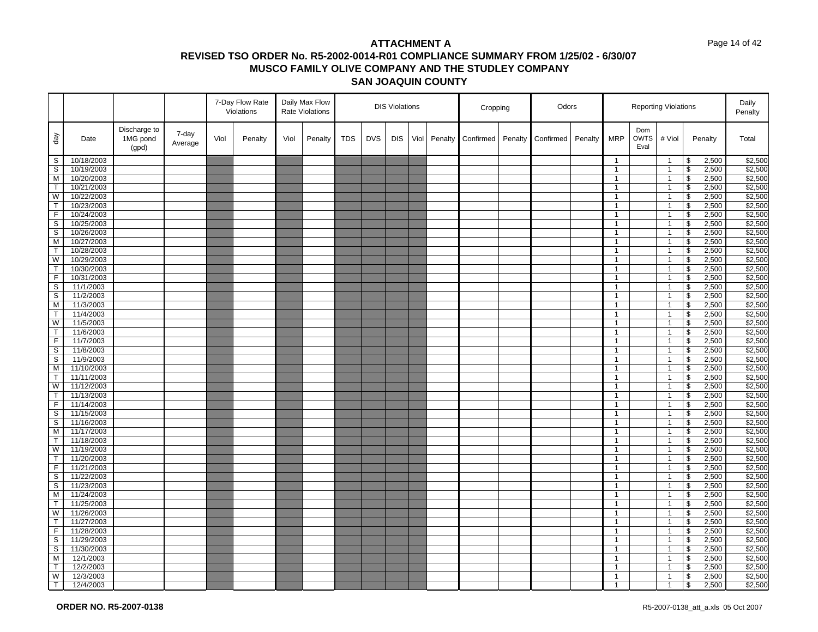#### Page 14 of 42

|                |                         |                                   |                  |      | 7-Day Flow Rate<br>Violations |      | Daily Max Flow<br><b>Rate Violations</b> |            |            | <b>DIS Violations</b> |      |         | Cropping  |         | Odors     |         |                                  |                            | <b>Reporting Violations</b>    |                         |                | Daily<br>Penalty   |
|----------------|-------------------------|-----------------------------------|------------------|------|-------------------------------|------|------------------------------------------|------------|------------|-----------------------|------|---------|-----------|---------|-----------|---------|----------------------------------|----------------------------|--------------------------------|-------------------------|----------------|--------------------|
| day            | Date                    | Discharge to<br>1MG pond<br>(gpd) | 7-day<br>Average | Viol | Penalty                       | Viol | Penalty                                  | <b>TDS</b> | <b>DVS</b> | <b>DIS</b>            | Viol | Penalty | Confirmed | Penalty | Confirmed | Penalty | <b>MRP</b>                       | Dom<br><b>OWTS</b><br>Eval | # Viol                         |                         | Penalty        | Total              |
| S              | 10/18/2003              |                                   |                  |      |                               |      |                                          |            |            |                       |      |         |           |         |           |         | $\overline{1}$                   |                            | $\overline{1}$                 | \$                      | 2,500          | \$2,500            |
| S              | 10/19/2003              |                                   |                  |      |                               |      |                                          |            |            |                       |      |         |           |         |           |         | $\mathbf{1}$                     |                            | $\mathbf{1}$                   | \$                      | 2,500          | \$2,500            |
| M              | 10/20/2003              |                                   |                  |      |                               |      |                                          |            |            |                       |      |         |           |         |           |         | $\overline{1}$                   |                            | $\overline{1}$                 | \$                      | 2,500          | \$2,500            |
| $\mathsf{T}$   | 10/21/2003              |                                   |                  |      |                               |      |                                          |            |            |                       |      |         |           |         |           |         | $\mathbf{1}$                     |                            | $\overline{1}$                 | \$                      | 2,500          | \$2,500            |
| W              | 10/22/2003              |                                   |                  |      |                               |      |                                          |            |            |                       |      |         |           |         |           |         | $\overline{1}$                   |                            | $\overline{1}$                 | $\overline{\mathbf{S}}$ | 2,500          | \$2,500            |
| $\mathsf{T}$   | 10/23/2003              |                                   |                  |      |                               |      |                                          |            |            |                       |      |         |           |         |           |         | $\mathbf{1}$                     |                            | $\mathbf{1}$                   | \$                      | 2,500          | \$2,500            |
| $\overline{F}$ | 10/24/2003              |                                   |                  |      |                               |      |                                          |            |            |                       |      |         |           |         |           |         | $\overline{1}$                   |                            | $\overline{1}$                 | $\overline{\mathbf{s}}$ | 2,500          | \$2,500            |
| S              | 10/25/2003              |                                   |                  |      |                               |      |                                          |            |            |                       |      |         |           |         |           |         | $\mathbf{1}$                     |                            | $\overline{1}$                 | \$                      | 2,500          | \$2,500            |
| $\mathbb S$    | 10/26/2003              |                                   |                  |      |                               |      |                                          |            |            |                       |      |         |           |         |           |         | $\overline{1}$                   |                            | $\overline{1}$                 | \$                      | 2,500          | \$2,500            |
| M              | 10/27/2003              |                                   |                  |      |                               |      |                                          |            |            |                       |      |         |           |         |           |         | $\overline{1}$                   |                            | $\overline{1}$                 | $\sqrt{2}$              | 2,500          | \$2,500            |
| $\mathsf{T}$   | 10/28/2003              |                                   |                  |      |                               |      |                                          |            |            |                       |      |         |           |         |           |         | $\overline{1}$                   |                            | $\overline{1}$                 | \$                      | 2,500          | \$2,500            |
| W              | 10/29/2003              |                                   |                  |      |                               |      |                                          |            |            |                       |      |         |           |         |           |         | $\overline{1}$                   |                            | $\overline{1}$                 | \$                      | 2,500          | \$2,500            |
| T              | 10/30/2003              |                                   |                  |      |                               |      |                                          |            |            |                       |      |         |           |         |           |         | $\overline{1}$                   |                            | $\overline{1}$                 | \$                      | 2,500          | \$2,500            |
| F              | 10/31/2003              |                                   |                  |      |                               |      |                                          |            |            |                       |      |         |           |         |           |         | $\mathbf{1}$                     |                            | $\overline{1}$                 | \$                      | 2,500          | \$2,500            |
| S              | 11/1/2003               |                                   |                  |      |                               |      |                                          |            |            |                       |      |         |           |         |           |         | $\overline{1}$                   |                            | $\mathbf{1}$                   | $\overline{\mathbf{s}}$ | 2,500          | \$2,500            |
| S              | 11/2/2003               |                                   |                  |      |                               |      |                                          |            |            |                       |      |         |           |         |           |         | $\mathbf{1}$                     |                            | $\overline{1}$                 | \$                      | 2,500          | \$2,500            |
| M              | 11/3/2003               |                                   |                  |      |                               |      |                                          |            |            |                       |      |         |           |         |           |         | $\overline{1}$                   |                            | $\overline{1}$                 | \$                      | 2,500          | \$2,500            |
| T              | 11/4/2003               |                                   |                  |      |                               |      |                                          |            |            |                       |      |         |           |         |           |         | $\mathbf{1}$                     |                            | $\overline{1}$                 | $\overline{\mathbf{3}}$ | 2,500          | \$2,500            |
| W              | 11/5/2003               |                                   |                  |      |                               |      |                                          |            |            |                       |      |         |           |         |           |         | $\overline{1}$                   |                            | $\overline{1}$                 | \$                      | 2,500          | \$2,500            |
| T              | 11/6/2003               |                                   |                  |      |                               |      |                                          |            |            |                       |      |         |           |         |           |         | $\overline{1}$                   |                            | $\overline{1}$                 | \$                      | 2,500          | \$2,500            |
| F              | 11/7/2003               |                                   |                  |      |                               |      |                                          |            |            |                       |      |         |           |         |           |         | $\mathbf{1}$                     |                            | $\overline{1}$                 | \$                      | 2,500          | \$2,500            |
| S              | 11/8/2003               |                                   |                  |      |                               |      |                                          |            |            |                       |      |         |           |         |           |         | $\overline{1}$<br>$\overline{1}$ |                            | $\overline{1}$                 | \$                      | 2,500          | \$2,500            |
| S<br>M         | 11/9/2003<br>11/10/2003 |                                   |                  |      |                               |      |                                          |            |            |                       |      |         |           |         |           |         | $\mathbf{1}$                     |                            | $\overline{1}$<br>$\mathbf{1}$ | \$<br>\$                | 2,500          | \$2,500            |
| T              | 11/11/2003              |                                   |                  |      |                               |      |                                          |            |            |                       |      |         |           |         |           |         | $\overline{1}$                   |                            | $\overline{1}$                 | \$                      | 2,500<br>2,500 | \$2,500<br>\$2,500 |
| W              | 11/12/2003              |                                   |                  |      |                               |      |                                          |            |            |                       |      |         |           |         |           |         | $\mathbf{1}$                     |                            |                                | \$                      | 2,500          | \$2,500            |
| $\mathsf{T}$   | 11/13/2003              |                                   |                  |      |                               |      |                                          |            |            |                       |      |         |           |         |           |         | $\mathbf{1}$                     |                            | $\overline{1}$<br>$\mathbf{1}$ | \$                      | 2,500          | \$2,500            |
| F              | 11/14/2003              |                                   |                  |      |                               |      |                                          |            |            |                       |      |         |           |         |           |         | $\overline{1}$                   |                            | $\overline{1}$                 | \$                      | 2,500          | \$2,500            |
| S              | 11/15/2003              |                                   |                  |      |                               |      |                                          |            |            |                       |      |         |           |         |           |         | $\overline{1}$                   |                            | $\mathbf{1}$                   | \$                      | 2,500          | \$2,500            |
| S              | 11/16/2003              |                                   |                  |      |                               |      |                                          |            |            |                       |      |         |           |         |           |         | $\mathbf{1}$                     |                            | $\overline{1}$                 | \$                      | 2,500          | \$2,500            |
| м              | 11/17/2003              |                                   |                  |      |                               |      |                                          |            |            |                       |      |         |           |         |           |         | $\overline{1}$                   |                            | $\overline{1}$                 | \$                      | 2,500          | \$2,500            |
| T              | 11/18/2003              |                                   |                  |      |                               |      |                                          |            |            |                       |      |         |           |         |           |         | $\mathbf{1}$                     |                            | $\mathbf{1}$                   | \$                      | 2,500          | \$2,500            |
| W              | 11/19/2003              |                                   |                  |      |                               |      |                                          |            |            |                       |      |         |           |         |           |         | $\mathbf{1}$                     |                            | $\overline{1}$                 | $\mathsf{\$}$           | 2,500          | \$2,500            |
| $\mathsf{T}$   | 11/20/2003              |                                   |                  |      |                               |      |                                          |            |            |                       |      |         |           |         |           |         | $\overline{1}$                   |                            | $\overline{1}$                 | \$                      | 2,500          | \$2,500            |
| F              | 11/21/2003              |                                   |                  |      |                               |      |                                          |            |            |                       |      |         |           |         |           |         | $\mathbf{1}$                     |                            | $\mathbf{1}$                   | \$                      | 2,500          | \$2,500            |
| S              | 11/22/2003              |                                   |                  |      |                               |      |                                          |            |            |                       |      |         |           |         |           |         | $\overline{1}$                   |                            | $\overline{1}$                 | \$                      | 2,500          | \$2,500            |
| S              | 11/23/2003              |                                   |                  |      |                               |      |                                          |            |            |                       |      |         |           |         |           |         | $\mathbf{1}$                     |                            | $\mathbf{1}$                   | \$                      | 2,500          | \$2,500            |
| M              | 11/24/2003              |                                   |                  |      |                               |      |                                          |            |            |                       |      |         |           |         |           |         | $\mathbf{1}$                     |                            | $\mathbf{1}$                   | $\overline{\mathbf{s}}$ | 2,500          | \$2,500            |
| $\mathsf{T}$   | 11/25/2003              |                                   |                  |      |                               |      |                                          |            |            |                       |      |         |           |         |           |         | $\overline{1}$                   |                            | $\overline{1}$                 | \$                      | 2,500          | \$2,500            |
| W              | 11/26/2003              |                                   |                  |      |                               |      |                                          |            |            |                       |      |         |           |         |           |         | $\mathbf{1}$                     |                            | $\overline{1}$                 | \$                      | 2,500          | \$2,500            |
| T              | 11/27/2003              |                                   |                  |      |                               |      |                                          |            |            |                       |      |         |           |         |           |         | $\mathbf{1}$                     |                            | $\overline{1}$                 | \$                      | 2,500          | \$2,500            |
| $\mathsf F$    | 11/28/2003              |                                   |                  |      |                               |      |                                          |            |            |                       |      |         |           |         |           |         | $\overline{1}$                   |                            | $\overline{1}$                 | \$                      | 2,500          | \$2,500            |
| S              | 11/29/2003              |                                   |                  |      |                               |      |                                          |            |            |                       |      |         |           |         |           |         | $\mathbf{1}$                     |                            | $\mathbf{1}$                   | \$                      | 2,500          | \$2,500            |
| S              | 11/30/2003              |                                   |                  |      |                               |      |                                          |            |            |                       |      |         |           |         |           |         | $\mathbf{1}$                     |                            | $\mathbf{1}$                   | \$                      | 2,500          | \$2,500            |
| M              | 12/1/2003               |                                   |                  |      |                               |      |                                          |            |            |                       |      |         |           |         |           |         | $\overline{1}$                   |                            | $\overline{1}$                 | \$                      | 2,500          | \$2,500            |
| T.             | 12/2/2003               |                                   |                  |      |                               |      |                                          |            |            |                       |      |         |           |         |           |         | $\mathbf{1}$                     |                            | -1                             | \$                      | 2,500          | \$2,500            |
| W              | 12/3/2003               |                                   |                  |      |                               |      |                                          |            |            |                       |      |         |           |         |           |         | $\mathbf{1}$                     |                            | $\overline{1}$                 | \$                      | 2,500          | \$2,500            |
| T              | 12/4/2003               |                                   |                  |      |                               |      |                                          |            |            |                       |      |         |           |         |           |         | $\overline{1}$                   |                            | $\overline{1}$                 | $\mathsf{\$}$           | 2,500          | \$2,500            |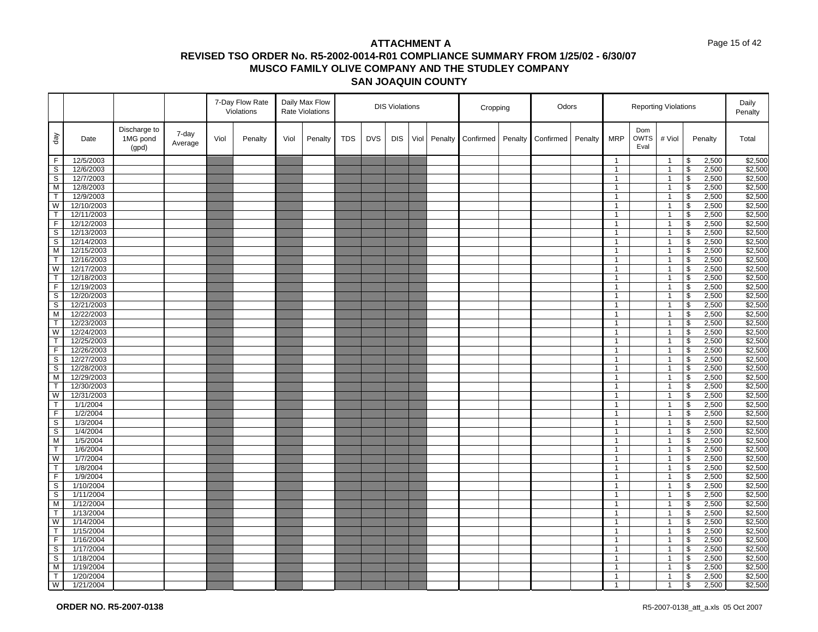#### Page 15 of 42

|                         |                          |                                   |                  |      | 7-Day Flow Rate<br>Violations |      | Daily Max Flow<br><b>Rate Violations</b> |            |            | <b>DIS Violations</b> |      |         | Cropping  |         | Odors     |         |                                  |                            | <b>Reporting Violations</b>    |                         |                | Daily<br>Penalty   |
|-------------------------|--------------------------|-----------------------------------|------------------|------|-------------------------------|------|------------------------------------------|------------|------------|-----------------------|------|---------|-----------|---------|-----------|---------|----------------------------------|----------------------------|--------------------------------|-------------------------|----------------|--------------------|
| day                     | Date                     | Discharge to<br>1MG pond<br>(gpd) | 7-day<br>Average | Viol | Penalty                       | Viol | Penalty                                  | <b>TDS</b> | <b>DVS</b> | <b>DIS</b>            | Viol | Penalty | Confirmed | Penalty | Confirmed | Penalty | <b>MRP</b>                       | Dom<br><b>OWTS</b><br>Eval | # Viol                         |                         | Penalty        | Total              |
| F                       | 12/5/2003                |                                   |                  |      |                               |      |                                          |            |            |                       |      |         |           |         |           |         | $\overline{1}$                   |                            | $\overline{1}$                 | \$                      | 2,500          | \$2,500            |
| S                       | 12/6/2003                |                                   |                  |      |                               |      |                                          |            |            |                       |      |         |           |         |           |         | $\mathbf{1}$                     |                            | $\mathbf{1}$                   | \$                      | 2,500          | \$2,500            |
| $\mathbb S$             | 12/7/2003                |                                   |                  |      |                               |      |                                          |            |            |                       |      |         |           |         |           |         | $\overline{1}$                   |                            | $\overline{1}$                 | \$                      | 2,500          | \$2,500            |
| M                       | 12/8/2003                |                                   |                  |      |                               |      |                                          |            |            |                       |      |         |           |         |           |         | $\mathbf{1}$                     |                            | $\overline{1}$                 | \$                      | 2,500          | \$2,500            |
| $\overline{\mathsf{T}}$ | 12/9/2003                |                                   |                  |      |                               |      |                                          |            |            |                       |      |         |           |         |           |         | $\overline{1}$                   |                            | $\overline{1}$                 | $\overline{\mathbf{S}}$ | 2,500          | \$2,500            |
| W                       | 12/10/2003               |                                   |                  |      |                               |      |                                          |            |            |                       |      |         |           |         |           |         | $\mathbf{1}$                     |                            | $\mathbf{1}$                   | \$                      | 2,500          | \$2,500            |
| $\mathsf{T}$            | 12/11/2003               |                                   |                  |      |                               |      |                                          |            |            |                       |      |         |           |         |           |         | $\overline{1}$                   |                            | $\overline{1}$                 | $\overline{\mathbf{s}}$ | 2,500          | \$2,500            |
| F                       | 12/12/2003               |                                   |                  |      |                               |      |                                          |            |            |                       |      |         |           |         |           |         | $\mathbf{1}$                     |                            | $\overline{1}$                 | \$                      | 2,500          | \$2,500            |
| $\mathbb S$             | 12/13/2003               |                                   |                  |      |                               |      |                                          |            |            |                       |      |         |           |         |           |         | $\overline{1}$                   |                            | $\overline{1}$                 | \$                      | 2,500          | \$2,500            |
| S                       | 12/14/2003               |                                   |                  |      |                               |      |                                          |            |            |                       |      |         |           |         |           |         | $\overline{1}$                   |                            | $\overline{1}$                 | $\sqrt{2}$              | 2,500          | \$2,500            |
| M                       | 12/15/2003               |                                   |                  |      |                               |      |                                          |            |            |                       |      |         |           |         |           |         | $\overline{1}$                   |                            | $\overline{1}$                 | \$                      | 2,500          | \$2,500            |
| T                       | 12/16/2003               |                                   |                  |      |                               |      |                                          |            |            |                       |      |         |           |         |           |         | $\overline{1}$                   |                            | $\overline{1}$                 | \$                      | 2,500          | \$2,500            |
| W                       | 12/17/2003               |                                   |                  |      |                               |      |                                          |            |            |                       |      |         |           |         |           |         | $\overline{1}$                   |                            | $\overline{1}$                 | \$                      | 2,500          | \$2,500            |
| T                       | 12/18/2003               |                                   |                  |      |                               |      |                                          |            |            |                       |      |         |           |         |           |         | $\mathbf{1}$                     |                            | $\overline{1}$                 | \$                      | 2,500          | \$2,500            |
| $\overline{F}$          | 12/19/2003               |                                   |                  |      |                               |      |                                          |            |            |                       |      |         |           |         |           |         | $\overline{1}$                   |                            | $\overline{1}$                 | $\overline{\mathbf{s}}$ | 2,500          | \$2,500            |
| S                       | 12/20/2003               |                                   |                  |      |                               |      |                                          |            |            |                       |      |         |           |         |           |         | $\mathbf{1}$                     |                            | $\overline{1}$                 | \$                      | 2,500          | \$2,500            |
| $\mathbb S$             | 12/21/2003               |                                   |                  |      |                               |      |                                          |            |            |                       |      |         |           |         |           |         | $\overline{1}$                   |                            | $\overline{1}$                 | \$                      | 2,500          | \$2,500            |
| M                       | 12/22/2003               |                                   |                  |      |                               |      |                                          |            |            |                       |      |         |           |         |           |         | $\mathbf{1}$                     |                            | $\overline{1}$                 | $\overline{\mathbf{3}}$ | 2,500          | \$2,500            |
| T                       | 12/23/2003               |                                   |                  |      |                               |      |                                          |            |            |                       |      |         |           |         |           |         | $\overline{1}$                   |                            | $\overline{1}$                 | \$                      | 2,500          | \$2,500            |
| W                       | 12/24/2003               |                                   |                  |      |                               |      |                                          |            |            |                       |      |         |           |         |           |         | $\overline{1}$                   |                            | $\overline{1}$                 | \$                      | 2,500          | \$2,500            |
| T                       | 12/25/2003               |                                   |                  |      |                               |      |                                          |            |            |                       |      |         |           |         |           |         | $\mathbf{1}$                     |                            | $\mathbf{1}$                   | \$                      | 2,500          | \$2,500            |
| F                       | 12/26/2003               |                                   |                  |      |                               |      |                                          |            |            |                       |      |         |           |         |           |         | $\overline{1}$<br>$\overline{1}$ |                            | $\overline{1}$                 | \$                      | 2,500          | \$2,500            |
| S<br>S                  | 12/27/2003<br>12/28/2003 |                                   |                  |      |                               |      |                                          |            |            |                       |      |         |           |         |           |         | $\mathbf{1}$                     |                            | $\overline{1}$<br>$\mathbf{1}$ | \$<br>\$                | 2,500<br>2,500 | \$2,500            |
| M                       | 12/29/2003               |                                   |                  |      |                               |      |                                          |            |            |                       |      |         |           |         |           |         | $\overline{1}$                   |                            | $\overline{1}$                 | \$                      | 2,500          | \$2,500<br>\$2,500 |
| T.                      | 12/30/2003               |                                   |                  |      |                               |      |                                          |            |            |                       |      |         |           |         |           |         | $\mathbf{1}$                     |                            |                                | \$                      | 2,500          | \$2,500            |
| W                       | 12/31/2003               |                                   |                  |      |                               |      |                                          |            |            |                       |      |         |           |         |           |         | $\mathbf{1}$                     |                            | $\overline{1}$<br>$\mathbf{1}$ | \$                      | 2,500          | \$2,500            |
| $\mathsf{T}$            | 1/1/2004                 |                                   |                  |      |                               |      |                                          |            |            |                       |      |         |           |         |           |         | $\overline{1}$                   |                            | $\overline{1}$                 | \$                      | 2,500          | \$2,500            |
| F                       | 1/2/2004                 |                                   |                  |      |                               |      |                                          |            |            |                       |      |         |           |         |           |         | $\overline{1}$                   |                            | $\mathbf{1}$                   | \$                      | 2,500          | \$2,500            |
| S                       | 1/3/2004                 |                                   |                  |      |                               |      |                                          |            |            |                       |      |         |           |         |           |         | $\mathbf{1}$                     |                            | $\overline{1}$                 | \$                      | 2,500          | \$2,500            |
| S                       | 1/4/2004                 |                                   |                  |      |                               |      |                                          |            |            |                       |      |         |           |         |           |         | $\overline{1}$                   |                            | $\overline{1}$                 | \$                      | 2,500          | \$2,500            |
| M                       | 1/5/2004                 |                                   |                  |      |                               |      |                                          |            |            |                       |      |         |           |         |           |         | $\mathbf{1}$                     |                            | $\mathbf{1}$                   | \$                      | 2,500          | \$2,500            |
| T                       | 1/6/2004                 |                                   |                  |      |                               |      |                                          |            |            |                       |      |         |           |         |           |         | $\mathbf{1}$                     |                            | $\overline{1}$                 | $\mathsf{\$}$           | 2,500          | \$2,500            |
| W                       | 1/7/2004                 |                                   |                  |      |                               |      |                                          |            |            |                       |      |         |           |         |           |         | $\overline{1}$                   |                            | $\overline{1}$                 | \$                      | 2,500          | \$2,500            |
| T.                      | 1/8/2004                 |                                   |                  |      |                               |      |                                          |            |            |                       |      |         |           |         |           |         | $\mathbf{1}$                     |                            | $\mathbf{1}$                   | \$                      | 2,500          | \$2,500            |
| F                       | 1/9/2004                 |                                   |                  |      |                               |      |                                          |            |            |                       |      |         |           |         |           |         | $\overline{1}$                   |                            | $\overline{1}$                 | \$                      | 2,500          | \$2,500            |
| S                       | 1/10/2004                |                                   |                  |      |                               |      |                                          |            |            |                       |      |         |           |         |           |         | $\mathbf{1}$                     |                            | $\mathbf{1}$                   | \$                      | 2,500          | \$2,500            |
| S                       | 1/11/2004                |                                   |                  |      |                               |      |                                          |            |            |                       |      |         |           |         |           |         | $\mathbf{1}$                     |                            | $\mathbf{1}$                   | $\overline{\mathbf{s}}$ | 2,500          | \$2,500            |
| M                       | 1/12/2004                |                                   |                  |      |                               |      |                                          |            |            |                       |      |         |           |         |           |         | $\overline{1}$                   |                            | $\overline{1}$                 | \$                      | 2,500          | \$2,500            |
| T                       | 1/13/2004                |                                   |                  |      |                               |      |                                          |            |            |                       |      |         |           |         |           |         | $\mathbf{1}$                     |                            | $\overline{1}$                 | \$                      | 2,500          | \$2,500            |
| W                       | 1/14/2004                |                                   |                  |      |                               |      |                                          |            |            |                       |      |         |           |         |           |         | $\mathbf{1}$                     |                            | $\overline{1}$                 | \$                      | 2,500          | \$2,500            |
| $\mathsf{T}$            | 1/15/2004                |                                   |                  |      |                               |      |                                          |            |            |                       |      |         |           |         |           |         | $\overline{1}$                   |                            | $\overline{1}$                 | \$                      | 2,500          | \$2,500            |
| F                       | 1/16/2004                |                                   |                  |      |                               |      |                                          |            |            |                       |      |         |           |         |           |         | $\mathbf{1}$                     |                            | $\mathbf{1}$                   | \$                      | 2,500          | \$2,500            |
| S                       | 1/17/2004                |                                   |                  |      |                               |      |                                          |            |            |                       |      |         |           |         |           |         | $\mathbf{1}$                     |                            | $\mathbf{1}$                   | \$                      | 2,500          | \$2,500            |
| $\mathsf S$             | 1/18/2004                |                                   |                  |      |                               |      |                                          |            |            |                       |      |         |           |         |           |         | $\mathbf{1}$                     |                            | $\overline{1}$                 | \$                      | 2,500          | \$2,500            |
| M                       | 1/19/2004                |                                   |                  |      |                               |      |                                          |            |            |                       |      |         |           |         |           |         | $\overline{1}$                   |                            | -1                             | \$                      | 2,500          | \$2,500            |
| T.                      | 1/20/2004                |                                   |                  |      |                               |      |                                          |            |            |                       |      |         |           |         |           |         | $\mathbf{1}$                     |                            | $\overline{1}$                 | \$                      | 2,500          | \$2,500            |
| W                       | 1/21/2004                |                                   |                  |      |                               |      |                                          |            |            |                       |      |         |           |         |           |         | $\overline{1}$                   |                            | $\overline{1}$                 | $\mathsf{\$}$           | 2,500          | \$2,500            |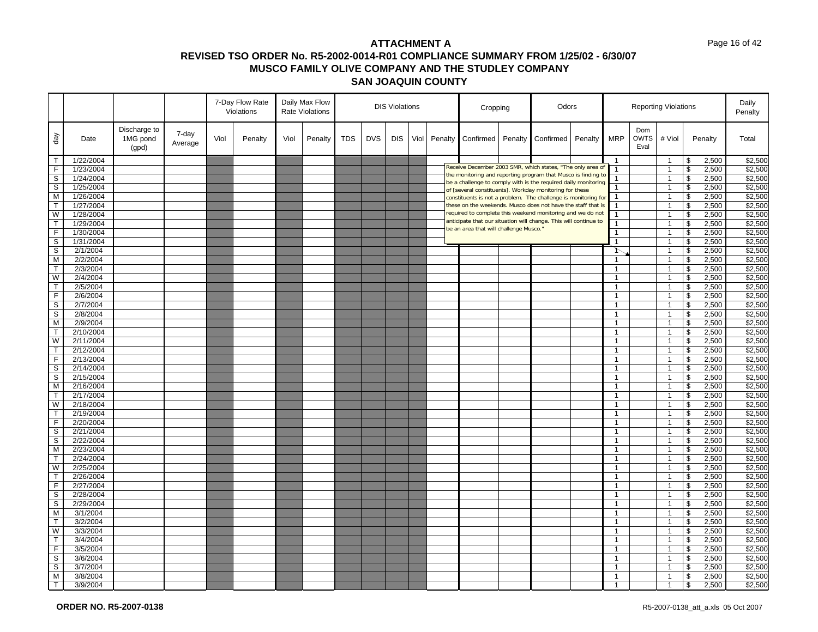|                         |           |                                   |                  |      | 7-Day Flow Rate<br>Violations |      | Daily Max Flow<br><b>Rate Violations</b> |            |            | <b>DIS Violations</b> |      |         | Cropping                               |         | Odors                                                                                                                     |         |                |                            | <b>Reporting Violations</b> |                          |         | Daily<br>Penalty |
|-------------------------|-----------|-----------------------------------|------------------|------|-------------------------------|------|------------------------------------------|------------|------------|-----------------------|------|---------|----------------------------------------|---------|---------------------------------------------------------------------------------------------------------------------------|---------|----------------|----------------------------|-----------------------------|--------------------------|---------|------------------|
| day                     | Date      | Discharge to<br>1MG pond<br>(gpd) | 7-day<br>Average | Viol | Penalty                       | Viol | Penalty                                  | <b>TDS</b> | <b>DVS</b> | <b>DIS</b>            | Viol | Penalty | Confirmed                              | Penalty | Confirmed                                                                                                                 | Penalty | <b>MRP</b>     | Dom<br><b>OWTS</b><br>Eval | # Viol                      |                          | Penalty | Total            |
| ┯                       | 1/22/2004 |                                   |                  |      |                               |      |                                          |            |            |                       |      |         |                                        |         |                                                                                                                           |         | -1             |                            | $\overline{1}$              | \$                       | 2,500   | \$2,500          |
| $\overline{F}$          | 1/23/2004 |                                   |                  |      |                               |      |                                          |            |            |                       |      |         |                                        |         | Receive December 2003 SMR, which states, "The only area of                                                                |         | $\mathbf{1}$   |                            | $\mathbf{1}$                | \$                       | 2,500   | \$2,500          |
| $\overline{\mathbf{s}}$ | 1/24/2004 |                                   |                  |      |                               |      |                                          |            |            |                       |      |         |                                        |         | the monitoring and reporting program that Musco is finding to                                                             |         | 1              |                            | $\overline{1}$              | \$                       | 2,500   | \$2,500          |
| $\frac{1}{2}$           | 1/25/2004 |                                   |                  |      |                               |      |                                          |            |            |                       |      |         |                                        |         | be a challenge to comply with is the required daily monitoring<br>of [several constituents]. Workday monitoring for these |         |                |                            | $\overline{1}$              | \$                       | 2,500   | \$2,500          |
|                         | 1/26/2004 |                                   |                  |      |                               |      |                                          |            |            |                       |      |         |                                        |         | constituents is not a problem. The challenge is monitoring for                                                            |         | $\mathbf{1}$   |                            | $\overline{1}$              | \$                       | 2,500   | \$2,500          |
| T                       | 1/27/2004 |                                   |                  |      |                               |      |                                          |            |            |                       |      |         |                                        |         | these on the weekends. Musco does not have the staff that is                                                              |         | $\mathbf{1}$   |                            | $\overline{1}$              | \$                       | 2,500   | \$2,500          |
|                         | 1/28/2004 |                                   |                  |      |                               |      |                                          |            |            |                       |      |         |                                        |         | required to complete this weekend monitoring and we do not                                                                |         |                |                            | $\overline{1}$              | \$                       | 2,500   | \$2,500          |
| $\frac{W}{T}$           | 1/29/2004 |                                   |                  |      |                               |      |                                          |            |            |                       |      |         |                                        |         | anticipate that our situation will change. This will continue to                                                          |         |                |                            | $\mathbf{1}$                | \$                       | 2,500   | \$2,500          |
| F                       | 1/30/2004 |                                   |                  |      |                               |      |                                          |            |            |                       |      |         | be an area that will challenge Musco." |         |                                                                                                                           |         |                |                            | $\overline{1}$              | \$                       | 2,500   | \$2,500          |
| $\overline{s}$          | 1/31/2004 |                                   |                  |      |                               |      |                                          |            |            |                       |      |         |                                        |         |                                                                                                                           |         | 1              |                            | $\overline{1}$              | \$                       | 2,500   | \$2,500          |
| $\mathsf S$             | 2/1/2004  |                                   |                  |      |                               |      |                                          |            |            |                       |      |         |                                        |         |                                                                                                                           |         | ↑              |                            | $\overline{1}$              | \$                       | 2,500   | \$2,500          |
| $\overline{M}$          | 2/2/2004  |                                   |                  |      |                               |      |                                          |            |            |                       |      |         |                                        |         |                                                                                                                           |         |                |                            | $\overline{1}$              | \$                       | 2,500   | \$2,500          |
| $\overline{\mathsf{T}}$ | 2/3/2004  |                                   |                  |      |                               |      |                                          |            |            |                       |      |         |                                        |         |                                                                                                                           |         | $\overline{1}$ |                            | $\overline{1}$              | \$                       | 2,500   | \$2,500          |
| W                       | 2/4/2004  |                                   |                  |      |                               |      |                                          |            |            |                       |      |         |                                        |         |                                                                                                                           |         | $\mathbf{1}$   |                            | $\overline{1}$              | \$                       | 2,500   | \$2,500          |
| $\overline{\top}$       | 2/5/2004  |                                   |                  |      |                               |      |                                          |            |            |                       |      |         |                                        |         |                                                                                                                           |         | $\mathbf{1}$   |                            | $\mathbf{1}$                | \$                       | 2,500   | \$2,500          |
| Ē                       | 2/6/2004  |                                   |                  |      |                               |      |                                          |            |            |                       |      |         |                                        |         |                                                                                                                           |         | $\mathbf{1}$   |                            | $\overline{1}$              | \$                       | 2,500   | \$2,500          |
| $\overline{\mathbf{s}}$ | 2/7/2004  |                                   |                  |      |                               |      |                                          |            |            |                       |      |         |                                        |         |                                                                                                                           |         | $\mathbf{1}$   |                            | $\overline{1}$              | \$                       | 2,500   | \$2,500          |
| $\frac{1}{\sqrt{2}}$    | 2/8/2004  |                                   |                  |      |                               |      |                                          |            |            |                       |      |         |                                        |         |                                                                                                                           |         | $\mathbf{1}$   |                            | $\overline{1}$              | $\overline{\mathcal{S}}$ | 2,500   | \$2,500          |
| $\overline{M}$          | 2/9/2004  |                                   |                  |      |                               |      |                                          |            |            |                       |      |         |                                        |         |                                                                                                                           |         | $\mathbf{1}$   |                            | $\mathbf{1}$                | \$                       | 2,500   | \$2,500          |
| Ħ                       | 2/10/2004 |                                   |                  |      |                               |      |                                          |            |            |                       |      |         |                                        |         |                                                                                                                           |         |                |                            | $\overline{1}$              | \$                       | 2,500   | \$2,500          |
| $\frac{1}{W}$           | 2/11/2004 |                                   |                  |      |                               |      |                                          |            |            |                       |      |         |                                        |         |                                                                                                                           |         | $\mathbf{1}$   |                            | $\overline{1}$              | \$                       | 2,500   | \$2,500          |
| $\overline{\top}$       | 2/12/2004 |                                   |                  |      |                               |      |                                          |            |            |                       |      |         |                                        |         |                                                                                                                           |         | $\mathbf{1}$   |                            | $\overline{1}$              | \$                       | 2,500   | \$2,500          |
|                         | 2/13/2004 |                                   |                  |      |                               |      |                                          |            |            |                       |      |         |                                        |         |                                                                                                                           |         | $\mathbf 1$    |                            | $\overline{1}$              | \$                       | 2,500   | \$2,500          |
| $\frac{1}{s}$           | 2/14/2004 |                                   |                  |      |                               |      |                                          |            |            |                       |      |         |                                        |         |                                                                                                                           |         | $\mathbf{1}$   |                            | $\overline{1}$              | \$                       | 2,500   | \$2,500          |
| $\overline{\mathbf{s}}$ | 2/15/2004 |                                   |                  |      |                               |      |                                          |            |            |                       |      |         |                                        |         |                                                                                                                           |         | $\mathbf{1}$   |                            | $\overline{1}$              | \$                       | 2,500   | \$2,500          |
| $\overline{M}$          | 2/16/2004 |                                   |                  |      |                               |      |                                          |            |            |                       |      |         |                                        |         |                                                                                                                           |         | $\mathbf 1$    |                            | $\overline{1}$              | \$                       | 2,500   | \$2,500          |
| $\overline{\mathsf{T}}$ | 2/17/2004 |                                   |                  |      |                               |      |                                          |            |            |                       |      |         |                                        |         |                                                                                                                           |         | $\mathbf{1}$   |                            | $\overline{1}$              | \$                       | 2,500   | \$2,500          |
| W                       | 2/18/2004 |                                   |                  |      |                               |      |                                          |            |            |                       |      |         |                                        |         |                                                                                                                           |         | $\overline{1}$ |                            | $\overline{1}$              | \$                       | 2,500   | \$2,500          |
| $\overline{\top}$       | 2/19/2004 |                                   |                  |      |                               |      |                                          |            |            |                       |      |         |                                        |         |                                                                                                                           |         | $\mathbf{1}$   |                            | $\overline{1}$              | $\overline{\mathcal{S}}$ | 2,500   | \$2,500          |
| $\overline{F}$          | 2/20/2004 |                                   |                  |      |                               |      |                                          |            |            |                       |      |         |                                        |         |                                                                                                                           |         | $\mathbf{1}$   |                            | $\mathbf{1}$                | \$                       | 2,500   | \$2,500          |
| $\overline{\mathbf{s}}$ | 2/21/2004 |                                   |                  |      |                               |      |                                          |            |            |                       |      |         |                                        |         |                                                                                                                           |         | $\mathbf{1}$   |                            | $\overline{1}$              | \$                       | 2,500   | \$2,500          |
| $\overline{s}$          | 2/22/2004 |                                   |                  |      |                               |      |                                          |            |            |                       |      |         |                                        |         |                                                                                                                           |         | $\mathbf{1}$   |                            | $\mathbf{1}$                | \$                       | 2,500   | \$2,500          |
| M                       | 2/23/2004 |                                   |                  |      |                               |      |                                          |            |            |                       |      |         |                                        |         |                                                                                                                           |         | $\mathbf{1}$   |                            | $\overline{1}$              | \$                       | 2,500   | \$2,500          |
| Ħ                       | 2/24/2004 |                                   |                  |      |                               |      |                                          |            |            |                       |      |         |                                        |         |                                                                                                                           |         | $\mathbf{1}$   |                            | $\mathbf{1}$                | \$                       | 2,500   | \$2,500          |
| $\overline{w}$          | 2/25/2004 |                                   |                  |      |                               |      |                                          |            |            |                       |      |         |                                        |         |                                                                                                                           |         | $\mathbf{1}$   |                            | $\mathbf{1}$                | $\mathsf{s}$             | 2,500   | \$2,500          |
| T                       | 2/26/2004 |                                   |                  |      |                               |      |                                          |            |            |                       |      |         |                                        |         |                                                                                                                           |         | $\mathbf{1}$   |                            | $\overline{1}$              | \$                       | 2,500   | \$2,500          |
| $\overline{F}$          | 2/27/2004 |                                   |                  |      |                               |      |                                          |            |            |                       |      |         |                                        |         |                                                                                                                           |         | $\mathbf{1}$   |                            | $\overline{1}$              | \$                       | 2,500   | \$2,500          |
| $\overline{s}$          | 2/28/2004 |                                   |                  |      |                               |      |                                          |            |            |                       |      |         |                                        |         |                                                                                                                           |         | $\mathbf{1}$   |                            | $\overline{1}$              | \$                       | 2,500   | \$2,500          |
| $\overline{s}$          | 2/29/2004 |                                   |                  |      |                               |      |                                          |            |            |                       |      |         |                                        |         |                                                                                                                           |         | $\mathbf{1}$   |                            | $\overline{1}$              | \$                       | 2,500   | \$2,500          |
| $\overline{M}$          | 3/1/2004  |                                   |                  |      |                               |      |                                          |            |            |                       |      |         |                                        |         |                                                                                                                           |         | $\mathbf{1}$   |                            | $\overline{1}$              | \$                       | 2,500   | \$2,500          |
| $\overline{\mathsf{f}}$ | 3/2/2004  |                                   |                  |      |                               |      |                                          |            |            |                       |      |         |                                        |         |                                                                                                                           |         | $\mathbf{1}$   |                            | $\overline{1}$              | \$                       | 2,500   | \$2,500          |
| W                       | 3/3/2004  |                                   |                  |      |                               |      |                                          |            |            |                       |      |         |                                        |         |                                                                                                                           |         | $\mathbf 1$    |                            | $\overline{1}$              | \$                       | 2,500   | \$2,500          |
| $\overline{\top}$       | 3/4/2004  |                                   |                  |      |                               |      |                                          |            |            |                       |      |         |                                        |         |                                                                                                                           |         | $\mathbf{1}$   |                            | $\overline{1}$              | \$                       | 2,500   | \$2,500          |
| F                       | 3/5/2004  |                                   |                  |      |                               |      |                                          |            |            |                       |      |         |                                        |         |                                                                                                                           |         | $\mathbf{1}$   |                            | $\overline{1}$              | $\mathfrak{S}$           | 2,500   | \$2,500          |
| $\overline{\mathbf{s}}$ | 3/6/2004  |                                   |                  |      |                               |      |                                          |            |            |                       |      |         |                                        |         |                                                                                                                           |         | $\mathbf{1}$   |                            | $\overline{1}$              | \$                       | 2,500   | \$2,500          |
| s                       | 3/7/2004  |                                   |                  |      |                               |      |                                          |            |            |                       |      |         |                                        |         |                                                                                                                           |         | $\mathbf{1}$   |                            | $\overline{1}$              | \$                       | 2,500   | \$2,500          |
|                         | 3/8/2004  |                                   |                  |      |                               |      |                                          |            |            |                       |      |         |                                        |         |                                                                                                                           |         | $\mathbf{1}$   |                            | $\overline{1}$              | \$                       | 2,500   | \$2,500          |
| $\frac{N}{T}$           | 3/9/2004  |                                   |                  |      |                               |      |                                          |            |            |                       |      |         |                                        |         |                                                                                                                           |         | $\mathbf{1}$   |                            | $\overline{1}$              | \$                       | 2,500   | \$2,500          |
|                         |           |                                   |                  |      |                               |      |                                          |            |            |                       |      |         |                                        |         |                                                                                                                           |         |                |                            |                             |                          |         |                  |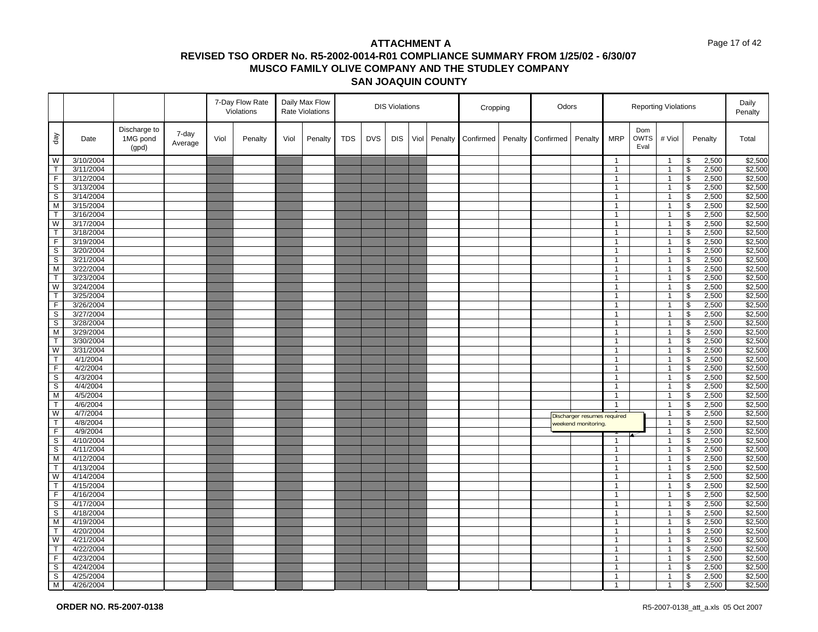#### Page 17 of 42

|                         |                        |                                   |                  |      | 7-Day Flow Rate<br>Violations |      | Daily Max Flow<br><b>Rate Violations</b> |            |            | <b>DIS Violations</b> |      |         | Cropping  |         | Odors     |                             |                              |                            | <b>Reporting Violations</b>      |                                                 |                | Daily<br>Penalty   |
|-------------------------|------------------------|-----------------------------------|------------------|------|-------------------------------|------|------------------------------------------|------------|------------|-----------------------|------|---------|-----------|---------|-----------|-----------------------------|------------------------------|----------------------------|----------------------------------|-------------------------------------------------|----------------|--------------------|
| $\sqrt{e}b$             | Date                   | Discharge to<br>1MG pond<br>(gpd) | 7-day<br>Average | Viol | Penalty                       | Viol | Penalty                                  | <b>TDS</b> | <b>DVS</b> | <b>DIS</b>            | Viol | Penalty | Confirmed | Penalty | Confirmed | Penalty                     | <b>MRP</b>                   | Dom<br><b>OWTS</b><br>Eval | # Viol                           |                                                 | Penalty        | Total              |
| W                       | 3/10/2004              |                                   |                  |      |                               |      |                                          |            |            |                       |      |         |           |         |           |                             | $\mathbf{1}$                 |                            | $\overline{1}$                   | \$                                              | 2,500          | \$2,500            |
| $\mathsf{T}$            | 3/11/2004              |                                   |                  |      |                               |      |                                          |            |            |                       |      |         |           |         |           |                             | $\mathbf{1}$                 |                            | $\overline{1}$                   | \$                                              | 2,500          | \$2,500            |
| $\overline{F}$          | 3/12/2004              |                                   |                  |      |                               |      |                                          |            |            |                       |      |         |           |         |           |                             | $\mathbf{1}$                 |                            | $\overline{1}$                   | \$                                              | 2,500          | \$2,500            |
| S                       | 3/13/2004              |                                   |                  |      |                               |      |                                          |            |            |                       |      |         |           |         |           |                             | $\mathbf{1}$                 |                            | $\mathbf{1}$                     | \$                                              | 2,500          | \$2,500            |
| $\overline{s}$          | 3/14/2004              |                                   |                  |      |                               |      |                                          |            |            |                       |      |         |           |         |           |                             | $\mathbf{1}$                 |                            | $\mathbf{1}$                     | \$                                              | 2,500          | \$2,500            |
| M                       | 3/15/2004              |                                   |                  |      |                               |      |                                          |            |            |                       |      |         |           |         |           |                             | $\mathbf{1}$                 |                            | $\mathbf{1}$                     | $\mathfrak s$                                   | 2,500          | \$2,500            |
| $\overline{\mathsf{T}}$ | 3/16/2004              |                                   |                  |      |                               |      |                                          |            |            |                       |      |         |           |         |           |                             | $\mathbf{1}$                 |                            | $\overline{1}$                   | \$                                              | 2,500          | \$2,500            |
| W                       | 3/17/2004              |                                   |                  |      |                               |      |                                          |            |            |                       |      |         |           |         |           |                             | $\mathbf{1}$                 |                            | $\overline{1}$                   | $\sqrt[6]{\frac{1}{2}}$                         | 2,500          | \$2,500            |
| $\overline{\mathsf{T}}$ | 3/18/2004              |                                   |                  |      |                               |      |                                          |            |            |                       |      |         |           |         |           |                             | $\mathbf{1}$                 |                            | $\overline{1}$                   | \$                                              | 2,500          | \$2,500            |
| F                       | 3/19/2004              |                                   |                  |      |                               |      |                                          |            |            |                       |      |         |           |         |           |                             | $\mathbf{1}$                 |                            | $\mathbf{1}$                     | \$                                              | 2,500          | \$2,500            |
| $\overline{s}$          | 3/20/2004              |                                   |                  |      |                               |      |                                          |            |            |                       |      |         |           |         |           |                             | $\mathbf{1}$                 |                            | $\overline{1}$                   | \$                                              | 2,500          | \$2,500            |
| S                       | 3/21/2004              |                                   |                  |      |                               |      |                                          |            |            |                       |      |         |           |         |           |                             | $\mathbf{1}$                 |                            | $\mathbf{1}$                     | \$                                              | 2,500          | \$2,500            |
| M                       | 3/22/2004              |                                   |                  |      |                               |      |                                          |            |            |                       |      |         |           |         |           |                             | $\mathbf{1}$                 |                            | $\mathbf{1}$                     | \$                                              | 2,500          | \$2,500            |
| $\mathsf{T}$            | 3/23/2004              |                                   |                  |      |                               |      |                                          |            |            |                       |      |         |           |         |           |                             | $\mathbf{1}$                 |                            | $\overline{1}$                   | \$                                              | 2,500          | \$2,500            |
| W                       | 3/24/2004              |                                   |                  |      |                               |      |                                          |            |            |                       |      |         |           |         |           |                             | $\mathbf{1}$                 |                            | $\overline{1}$                   | \$                                              | 2,500          | \$2,500            |
| $\mathsf{T}$            | 3/25/2004              |                                   |                  |      |                               |      |                                          |            |            |                       |      |         |           |         |           |                             | $\overline{1}$               |                            | $\overline{1}$                   | \$                                              | 2,500          | \$2,500            |
| $\overline{F}$          | 3/26/2004              |                                   |                  |      |                               |      |                                          |            |            |                       |      |         |           |         |           |                             | $\mathbf{1}$                 |                            | $\overline{1}$                   | \$                                              | 2,500          | \$2,500            |
| S                       | 3/27/2004              |                                   |                  |      |                               |      |                                          |            |            |                       |      |         |           |         |           |                             | $\mathbf{1}$                 |                            | $\mathbf{1}$                     | \$                                              | 2,500          | \$2,500            |
| $\overline{s}$          | 3/28/2004              |                                   |                  |      |                               |      |                                          |            |            |                       |      |         |           |         |           |                             | $\mathbf{1}$                 |                            | $\overline{1}$                   | \$                                              | 2,500          | \$2,500            |
| M                       | 3/29/2004              |                                   |                  |      |                               |      |                                          |            |            |                       |      |         |           |         |           |                             | $\mathbf{1}$                 |                            | $\overline{1}$                   | \$                                              | 2,500          | \$2,500            |
| $\overline{\mathsf{T}}$ | 3/30/2004              |                                   |                  |      |                               |      |                                          |            |            |                       |      |         |           |         |           |                             | $\mathbf{1}$                 |                            | $\mathbf{1}$                     | $\overline{\mathbf{e}}$                         | 2,500          | \$2,500            |
| W                       | 3/31/2004              |                                   |                  |      |                               |      |                                          |            |            |                       |      |         |           |         |           |                             | $\mathbf{1}$                 |                            | $\mathbf{1}$                     | $\sqrt[6]{\frac{1}{2}}$                         | 2,500          | \$2,500            |
| $\overline{T}$          | 4/1/2004               |                                   |                  |      |                               |      |                                          |            |            |                       |      |         |           |         |           |                             | $\mathbf{1}$                 |                            | $\overline{1}$                   | \$                                              | 2,500          | \$2,500            |
| F.                      | 4/2/2004               |                                   |                  |      |                               |      |                                          |            |            |                       |      |         |           |         |           |                             | $\mathbf{1}$                 |                            | $\mathbf{1}$                     | \$                                              | 2,500          | \$2,500            |
| $\overline{s}$          | 4/3/2004               |                                   |                  |      |                               |      |                                          |            |            |                       |      |         |           |         |           |                             | $\mathbf{1}$                 |                            | $\overline{1}$                   | \$                                              | 2,500          | \$2,500            |
| S                       | 4/4/2004               |                                   |                  |      |                               |      |                                          |            |            |                       |      |         |           |         |           |                             | $\mathbf{1}$                 |                            | $\mathbf{1}$                     | \$                                              | 2,500          | \$2,500            |
| $\overline{M}$          | 4/5/2004               |                                   |                  |      |                               |      |                                          |            |            |                       |      |         |           |         |           |                             | $\mathbf{1}$                 |                            | $\mathbf{1}$                     | $\overline{\mathbf{s}}$                         | 2,500          | \$2,500            |
| $\mathsf{T}$            | 4/6/2004               |                                   |                  |      |                               |      |                                          |            |            |                       |      |         |           |         |           |                             | $\overline{1}$               |                            | $\overline{1}$                   | \$                                              | 2,500          | \$2,500            |
| W                       | 4/7/2004               |                                   |                  |      |                               |      |                                          |            |            |                       |      |         |           |         |           | Discharger resumes required |                              |                            | $\mathbf{1}$                     | $\overline{\mathbf{e}}$                         | 2,500          | \$2,500            |
| T.                      | 4/8/2004               |                                   |                  |      |                               |      |                                          |            |            |                       |      |         |           |         |           | weekend monitoring.         |                              |                            | $\mathbf{1}$                     | \$                                              | 2,500          | \$2,500            |
| $\overline{F}$          | 4/9/2004               |                                   |                  |      |                               |      |                                          |            |            |                       |      |         |           |         |           |                             |                              |                            | $\mathbf{1}$                     | \$                                              | 2,500          | \$2,500            |
| S                       | 4/10/2004              |                                   |                  |      |                               |      |                                          |            |            |                       |      |         |           |         |           |                             | 1                            |                            | $\mathbf{1}$                     | \$                                              | 2,500          | \$2,500            |
| $\mathbb S$<br>M        | 4/11/2004<br>4/12/2004 |                                   |                  |      |                               |      |                                          |            |            |                       |      |         |           |         |           |                             | $\mathbf{1}$                 |                            | $\overline{1}$<br>$\mathbf{1}$   | \$                                              | 2,500          | \$2,500            |
| $\mathsf T$             | 4/13/2004              |                                   |                  |      |                               |      |                                          |            |            |                       |      |         |           |         |           |                             | $\mathbf{1}$<br>$\mathbf{1}$ |                            |                                  | $\pmb{\mathfrak{S}}$<br>$\overline{\mathbf{s}}$ | 2,500          | \$2,500<br>\$2,500 |
| W                       | 4/14/2004              |                                   |                  |      |                               |      |                                          |            |            |                       |      |         |           |         |           |                             | $\overline{1}$               |                            | $\overline{1}$<br>$\overline{1}$ | \$                                              | 2,500          |                    |
| $\overline{\mathsf{T}}$ | 4/15/2004              |                                   |                  |      |                               |      |                                          |            |            |                       |      |         |           |         |           |                             | $\mathbf{1}$                 |                            |                                  | $\overline{\mathcal{S}}$                        | 2,500<br>2,500 | \$2,500<br>\$2,500 |
| F                       | 4/16/2004              |                                   |                  |      |                               |      |                                          |            |            |                       |      |         |           |         |           |                             | $\mathbf{1}$                 |                            | $\mathbf{1}$<br>$\mathbf{1}$     | \$                                              | 2,500          | \$2,500            |
| $\overline{s}$          | 4/17/2004              |                                   |                  |      |                               |      |                                          |            |            |                       |      |         |           |         |           |                             | $\mathbf{1}$                 |                            | $\mathbf{1}$                     | \$                                              | 2,500          | \$2,500            |
| S                       | 4/18/2004              |                                   |                  |      |                               |      |                                          |            |            |                       |      |         |           |         |           |                             | $\mathbf{1}$                 |                            | $\mathbf{1}$                     | \$                                              | 2,500          | \$2,500            |
| M                       | 4/19/2004              |                                   |                  |      |                               |      |                                          |            |            |                       |      |         |           |         |           |                             | $\mathbf{1}$                 |                            | $\mathbf{1}$                     | \$                                              | 2,500          | \$2,500            |
| T                       | 4/20/2004              |                                   |                  |      |                               |      |                                          |            |            |                       |      |         |           |         |           |                             | $\mathbf{1}$                 |                            | $\mathbf{1}$                     | $\sqrt[6]{\frac{1}{2}}$                         | 2,500          | \$2,500            |
| W                       | 4/21/2004              |                                   |                  |      |                               |      |                                          |            |            |                       |      |         |           |         |           |                             | $\mathbf{1}$                 |                            | $\overline{1}$                   | \$                                              | 2,500          | \$2,500            |
| $\mathsf{T}$            | 4/22/2004              |                                   |                  |      |                               |      |                                          |            |            |                       |      |         |           |         |           |                             | $\overline{1}$               |                            | $\overline{1}$                   | \$                                              | 2,500          | \$2,500            |
| $\overline{F}$          | 4/23/2004              |                                   |                  |      |                               |      |                                          |            |            |                       |      |         |           |         |           |                             | $\mathbf{1}$                 |                            | $\overline{1}$                   | \$                                              | 2,500          | \$2,500            |
| S                       | 4/24/2004              |                                   |                  |      |                               |      |                                          |            |            |                       |      |         |           |         |           |                             | $\mathbf{1}$                 |                            | $\mathbf{1}$                     | \$                                              | 2,500          | \$2,500            |
| $\overline{s}$          | 4/25/2004              |                                   |                  |      |                               |      |                                          |            |            |                       |      |         |           |         |           |                             | $\mathbf{1}$                 |                            | $\overline{1}$                   | \$                                              | 2,500          | \$2,500            |
| M <sub>1</sub>          | 4/26/2004              |                                   |                  |      |                               |      |                                          |            |            |                       |      |         |           |         |           |                             | $\overline{1}$               |                            | $\overline{1}$                   | \$                                              | 2,500          | \$2,500            |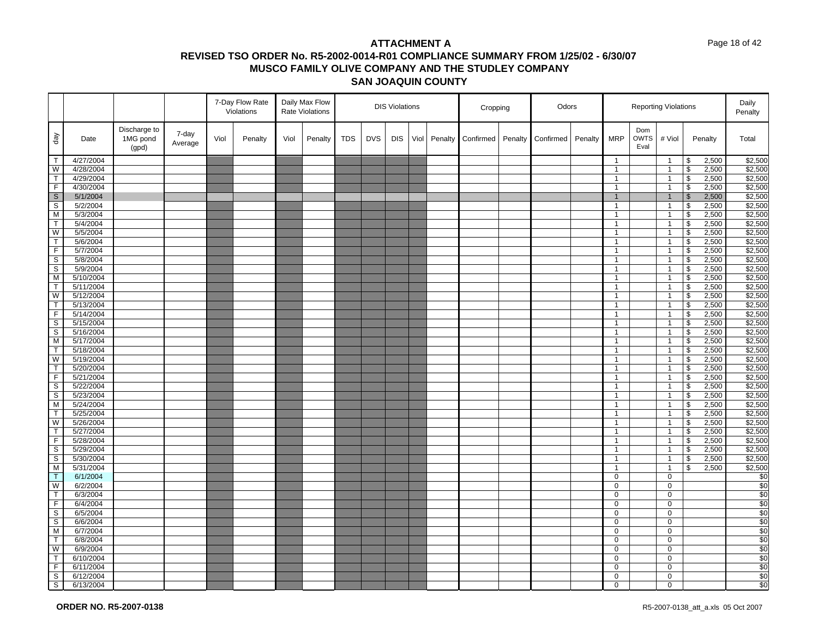#### Page 18 of 42

|                         |           |                                   |                  |      | 7-Day Flow Rate<br>Violations |      | Daily Max Flow<br><b>Rate Violations</b> |            |            | <b>DIS Violations</b> |      |         | Cropping  |         | Odors     |         |              | <b>Reporting Violations</b> |                |                          |         | Daily<br>Penalty |
|-------------------------|-----------|-----------------------------------|------------------|------|-------------------------------|------|------------------------------------------|------------|------------|-----------------------|------|---------|-----------|---------|-----------|---------|--------------|-----------------------------|----------------|--------------------------|---------|------------------|
| $\sqrt{e}b$             | Date      | Discharge to<br>1MG pond<br>(gpd) | 7-day<br>Average | Viol | Penalty                       | Viol | Penalty                                  | <b>TDS</b> | <b>DVS</b> | <b>DIS</b>            | Viol | Penalty | Confirmed | Penalty | Confirmed | Penalty | <b>MRP</b>   | Dom<br><b>OWTS</b><br>Eval  | # Viol         |                          | Penalty | Total            |
| T                       | 4/27/2004 |                                   |                  |      |                               |      |                                          |            |            |                       |      |         |           |         |           |         | $\mathbf{1}$ |                             | $\mathbf{1}$   | \$                       | 2,500   | \$2,500          |
| W                       | 4/28/2004 |                                   |                  |      |                               |      |                                          |            |            |                       |      |         |           |         |           |         | $\mathbf{1}$ |                             | $\overline{1}$ | $\overline{\mathbf{s}}$  | 2,500   | \$2,500          |
| $\top$                  | 4/29/2004 |                                   |                  |      |                               |      |                                          |            |            |                       |      |         |           |         |           |         | $\mathbf{1}$ |                             | $\overline{1}$ | \$                       | 2,500   | \$2,500          |
| F                       | 4/30/2004 |                                   |                  |      |                               |      |                                          |            |            |                       |      |         |           |         |           |         | $\mathbf{1}$ |                             | $\mathbf{1}$   | \$                       | 2,500   | \$2,500          |
| $\sqrt{s}$              | 5/1/2004  |                                   |                  |      |                               |      |                                          |            |            |                       |      |         |           |         |           |         | $\mathbf{1}$ |                             | $\overline{1}$ | $\sqrt{3}$               | 2,500   | \$2,500          |
| S                       | 5/2/2004  |                                   |                  |      |                               |      |                                          |            |            |                       |      |         |           |         |           |         | $\mathbf{1}$ |                             | $\mathbf{1}$   | \$                       | 2,500   | \$2,500          |
| $\overline{M}$          | 5/3/2004  |                                   |                  |      |                               |      |                                          |            |            |                       |      |         |           |         |           |         | $\mathbf{1}$ |                             | $\overline{1}$ | $\overline{\mathbf{s}}$  | 2,500   | \$2,500          |
| $\mathsf{T}$            | 5/4/2004  |                                   |                  |      |                               |      |                                          |            |            |                       |      |         |           |         |           |         | $\mathbf{1}$ |                             | $\overline{1}$ | \$                       | 2,500   | \$2,500          |
| W                       | 5/5/2004  |                                   |                  |      |                               |      |                                          |            |            |                       |      |         |           |         |           |         | $\mathbf{1}$ |                             | $\mathbf{1}$   | $\sqrt[6]{\frac{1}{2}}$  | 2,500   | \$2,500          |
| $\overline{T}$          | 5/6/2004  |                                   |                  |      |                               |      |                                          |            |            |                       |      |         |           |         |           |         | $\mathbf{1}$ |                             | $\mathbf{1}$   | $\overline{\mathbf{s}}$  | 2,500   | \$2,500          |
| F                       | 5/7/2004  |                                   |                  |      |                               |      |                                          |            |            |                       |      |         |           |         |           |         | $\mathbf{1}$ |                             | $\overline{1}$ | \$                       | 2,500   | \$2,500          |
| S                       | 5/8/2004  |                                   |                  |      |                               |      |                                          |            |            |                       |      |         |           |         |           |         | $\mathbf{1}$ |                             | $\overline{1}$ | \$                       | 2,500   | \$2,500          |
| $\overline{s}$          | 5/9/2004  |                                   |                  |      |                               |      |                                          |            |            |                       |      |         |           |         |           |         | $\mathbf{1}$ |                             | $\mathbf{1}$   | $\overline{\mathcal{S}}$ | 2,500   | \$2,500          |
| M                       | 5/10/2004 |                                   |                  |      |                               |      |                                          |            |            |                       |      |         |           |         |           |         | $\mathbf{1}$ |                             | $\overline{1}$ | $\sqrt[6]{\frac{1}{2}}$  | 2,500   | \$2,500          |
| $\overline{\mathsf{T}}$ | 5/11/2004 |                                   |                  |      |                               |      |                                          |            |            |                       |      |         |           |         |           |         | $\mathbf{1}$ |                             | $\overline{1}$ | $\overline{\mathbf{s}}$  | 2,500   | \$2,500          |
| W                       | 5/12/2004 |                                   |                  |      |                               |      |                                          |            |            |                       |      |         |           |         |           |         | $\mathbf{1}$ |                             | $\mathbf{1}$   | \$                       | 2,500   | \$2,500          |
| $\mathsf{T}$            | 5/13/2004 |                                   |                  |      |                               |      |                                          |            |            |                       |      |         |           |         |           |         | $\mathbf{1}$ |                             | $\mathbf{1}$   | $\sqrt[6]{\frac{1}{2}}$  | 2,500   | \$2,500          |
| $\overline{F}$          | 5/14/2004 |                                   |                  |      |                               |      |                                          |            |            |                       |      |         |           |         |           |         | $\mathbf{1}$ |                             | $\mathbf{1}$   | $\overline{\mathbf{3}}$  | 2,500   | \$2,500          |
| $\mathsf S$             | 5/15/2004 |                                   |                  |      |                               |      |                                          |            |            |                       |      |         |           |         |           |         | $\mathbf{1}$ |                             | $\overline{1}$ | \$                       | 2,500   | \$2,500          |
| $\mathbb S$             | 5/16/2004 |                                   |                  |      |                               |      |                                          |            |            |                       |      |         |           |         |           |         | $\mathbf{1}$ |                             | $\overline{1}$ | \$                       | 2,500   | \$2,500          |
| M                       | 5/17/2004 |                                   |                  |      |                               |      |                                          |            |            |                       |      |         |           |         |           |         | $\mathbf{1}$ |                             | $\mathbf{1}$   | \$                       | 2,500   | \$2,500          |
| $\mathsf{T}$            | 5/18/2004 |                                   |                  |      |                               |      |                                          |            |            |                       |      |         |           |         |           |         | $\mathbf{1}$ |                             | $\overline{1}$ | $\sqrt[6]{\frac{1}{2}}$  | 2,500   | \$2,500          |
| W                       | 5/19/2004 |                                   |                  |      |                               |      |                                          |            |            |                       |      |         |           |         |           |         | $\mathbf{1}$ |                             | $\mathbf{1}$   | \$                       | 2,500   | \$2,500          |
| T                       | 5/20/2004 |                                   |                  |      |                               |      |                                          |            |            |                       |      |         |           |         |           |         | $\mathbf{1}$ |                             | $\mathbf{1}$   | $\overline{\mathbf{e}}$  | 2,500   | \$2,500          |
| F                       | 5/21/2004 |                                   |                  |      |                               |      |                                          |            |            |                       |      |         |           |         |           |         | $\mathbf{1}$ |                             | $\overline{1}$ | $\sqrt[6]{\frac{1}{2}}$  | 2,500   | \$2,500          |
| S                       | 5/22/2004 |                                   |                  |      |                               |      |                                          |            |            |                       |      |         |           |         |           |         | $\mathbf{1}$ |                             | $\mathbf{1}$   | \$                       | 2,500   | \$2,500          |
| S                       | 5/23/2004 |                                   |                  |      |                               |      |                                          |            |            |                       |      |         |           |         |           |         | $\mathbf{1}$ |                             | $\mathbf{1}$   | $\overline{\mathbf{s}}$  | 2,500   | \$2,500          |
| M                       | 5/24/2004 |                                   |                  |      |                               |      |                                          |            |            |                       |      |         |           |         |           |         | $\mathbf{1}$ |                             | $\overline{1}$ | $\pmb{\mathfrak{S}}$     | 2,500   | \$2,500          |
| T                       | 5/25/2004 |                                   |                  |      |                               |      |                                          |            |            |                       |      |         |           |         |           |         | $\mathbf{1}$ |                             | $\mathbf{1}$   | \$                       | 2,500   | \$2,500          |
| W                       | 5/26/2004 |                                   |                  |      |                               |      |                                          |            |            |                       |      |         |           |         |           |         | $\mathbf{1}$ |                             | $\mathbf{1}$   | $\mathfrak s$            | 2,500   | \$2,500          |
| $\mathsf{T}$            | 5/27/2004 |                                   |                  |      |                               |      |                                          |            |            |                       |      |         |           |         |           |         | $\mathbf{1}$ |                             | $\mathbf{1}$   | \$                       | 2,500   | \$2,500          |
| $\overline{F}$          | 5/28/2004 |                                   |                  |      |                               |      |                                          |            |            |                       |      |         |           |         |           |         | $\mathbf{1}$ |                             | $\mathbf{1}$   | \$                       | 2,500   | \$2,500          |
| $\mathbb S$             | 5/29/2004 |                                   |                  |      |                               |      |                                          |            |            |                       |      |         |           |         |           |         | $\mathbf{1}$ |                             | $\overline{1}$ | $\mathfrak s$            | 2,500   | \$2,500          |
| S                       | 5/30/2004 |                                   |                  |      |                               |      |                                          |            |            |                       |      |         |           |         |           |         | $\mathbf{1}$ |                             | $\overline{1}$ | \$                       | 2,500   | \$2,500          |
| M                       | 5/31/2004 |                                   |                  |      |                               |      |                                          |            |            |                       |      |         |           |         |           |         | $\mathbf{1}$ |                             | $\overline{1}$ | \$                       | 2,500   | \$2,500          |
| T                       | 6/1/2004  |                                   |                  |      |                               |      |                                          |            |            |                       |      |         |           |         |           |         | $\mathbf 0$  |                             | $\mathbf 0$    |                          |         | \$0              |
| W                       | 6/2/2004  |                                   |                  |      |                               |      |                                          |            |            |                       |      |         |           |         |           |         | $\mathbf 0$  |                             | $\mathbf 0$    |                          |         | \$0              |
| $\overline{\mathsf{T}}$ | 6/3/2004  |                                   |                  |      |                               |      |                                          |            |            |                       |      |         |           |         |           |         | $\mathbf 0$  |                             | $\mathbf 0$    |                          |         | \$0              |
| F                       | 6/4/2004  |                                   |                  |      |                               |      |                                          |            |            |                       |      |         |           |         |           |         | $\mathbf 0$  |                             | $\mathbf 0$    |                          |         | $\frac{6}{3}$    |
| $\mathsf{s}$            | 6/5/2004  |                                   |                  |      |                               |      |                                          |            |            |                       |      |         |           |         |           |         | $\mathbf 0$  |                             | $\mathbf 0$    |                          |         | $\overline{$}0$  |
| S                       | 6/6/2004  |                                   |                  |      |                               |      |                                          |            |            |                       |      |         |           |         |           |         | $\mathbf 0$  |                             | 0              |                          |         | \$0              |
| M                       | 6/7/2004  |                                   |                  |      |                               |      |                                          |            |            |                       |      |         |           |         |           |         | $\mathbf 0$  |                             | $\mathbf 0$    |                          |         | \$0              |
| $\overline{\mathsf{T}}$ | 6/8/2004  |                                   |                  |      |                               |      |                                          |            |            |                       |      |         |           |         |           |         | 0            |                             | $\mathbf 0$    |                          |         | \$0              |
| W                       | 6/9/2004  |                                   |                  |      |                               |      |                                          |            |            |                       |      |         |           |         |           |         | $\mathbf 0$  |                             | 0              |                          |         | $\overline{\$0}$ |
| $\mathsf{T}$            | 6/10/2004 |                                   |                  |      |                               |      |                                          |            |            |                       |      |         |           |         |           |         | $\mathbf 0$  |                             | $\mathbf 0$    |                          |         | \$0              |
| $\overline{F}$          | 6/11/2004 |                                   |                  |      |                               |      |                                          |            |            |                       |      |         |           |         |           |         | $\mathbf 0$  |                             | $\mathbf 0$    |                          |         | \$0              |
| $\mathbb S$             | 6/12/2004 |                                   |                  |      |                               |      |                                          |            |            |                       |      |         |           |         |           |         | $\mathbf 0$  |                             | $\mathbf 0$    |                          |         | \$0              |
| $\overline{s}$          | 6/13/2004 |                                   |                  |      |                               |      |                                          |            |            |                       |      |         |           |         |           |         | $\mathbf 0$  |                             | $\mathbf 0$    |                          |         | \$0              |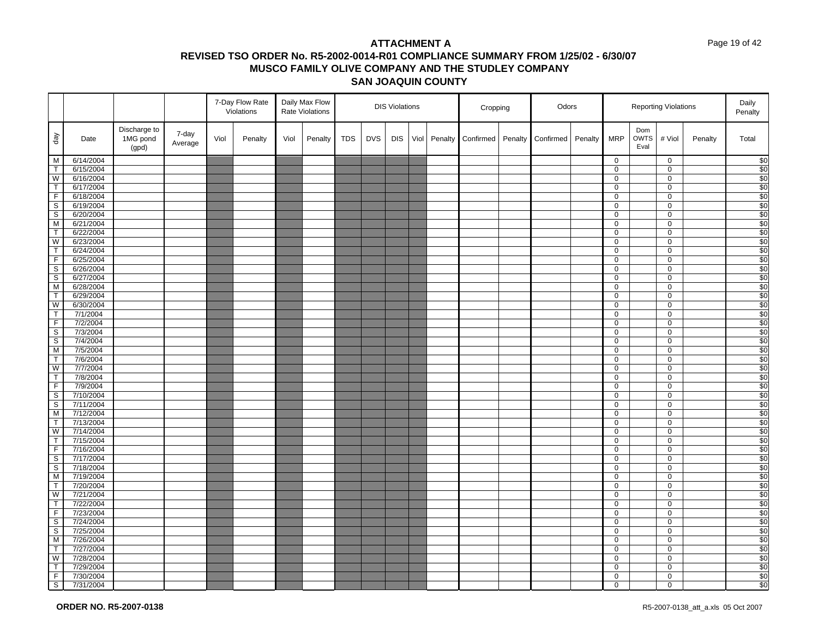#### Page 19 of 42

|                                           |                        |                                   |                  |      | 7-Day Flow Rate<br>Violations |      | Daily Max Flow<br>Rate Violations |            |            | <b>DIS Violations</b> |      |         | Cropping  |         | Odors     |         |                | <b>Reporting Violations</b> |                            |         | Daily<br>Penalty       |
|-------------------------------------------|------------------------|-----------------------------------|------------------|------|-------------------------------|------|-----------------------------------|------------|------------|-----------------------|------|---------|-----------|---------|-----------|---------|----------------|-----------------------------|----------------------------|---------|------------------------|
| $\sqrt{e}$                                | Date                   | Discharge to<br>1MG pond<br>(gpd) | 7-day<br>Average | Viol | Penalty                       | Viol | Penalty                           | <b>TDS</b> | <b>DVS</b> | <b>DIS</b>            | Viol | Penalty | Confirmed | Penalty | Confirmed | Penalty | <b>MRP</b>     | Dom<br><b>OWTS</b><br>Eval  | # Viol                     | Penalty | Total                  |
| M                                         | 6/14/2004              |                                   |                  |      |                               |      |                                   |            |            |                       |      |         |           |         |           |         | $\mathbf 0$    |                             | $\mathbf 0$                |         | \$0                    |
| $\overline{\mathsf{T}}$                   | 6/15/2004              |                                   |                  |      |                               |      |                                   |            |            |                       |      |         |           |         |           |         | 0              |                             | $\mathbf 0$                |         | \$0                    |
| W                                         | 6/16/2004              |                                   |                  |      |                               |      |                                   |            |            |                       |      |         |           |         |           |         | 0              |                             | $\mathbf 0$                |         | $\sqrt{50}$            |
| $\overline{\mathsf{T}}$                   | 6/17/2004              |                                   |                  |      |                               |      |                                   |            |            |                       |      |         |           |         |           |         | 0              |                             | $\mathbf 0$                |         | \$0                    |
| $\overline{F}$                            | 6/18/2004              |                                   |                  |      |                               |      |                                   |            |            |                       |      |         |           |         |           |         | 0              |                             | $\mathbf 0$                |         | $\sqrt{50}$            |
| $\overline{\mathbf{s}}$                   | 6/19/2004              |                                   |                  |      |                               |      |                                   |            |            |                       |      |         |           |         |           |         | 0              |                             | $\mathbf 0$                |         | \$0                    |
| $\mathsf{s}$                              | 6/20/2004              |                                   |                  |      |                               |      |                                   |            |            |                       |      |         |           |         |           |         | 0              |                             | 0                          |         | $\overline{\$0}$       |
| M                                         | 6/21/2004              |                                   |                  |      |                               |      |                                   |            |            |                       |      |         |           |         |           |         | 0              |                             | $\mathbf 0$                |         | \$0                    |
| $\overline{T}$                            | 6/22/2004              |                                   |                  |      |                               |      |                                   |            |            |                       |      |         |           |         |           |         | 0              |                             | $\mathbf 0$                |         | $\overline{30}$        |
| W                                         | 6/23/2004              |                                   |                  |      |                               |      |                                   |            |            |                       |      |         |           |         |           |         | 0              |                             | 0                          |         | \$0                    |
| $\overline{T}$                            | 6/24/2004              |                                   |                  |      |                               |      |                                   |            |            |                       |      |         |           |         |           |         | 0              |                             | $\mathbf 0$                |         | $\sqrt{50}$            |
| $\overline{F}$<br>$\overline{\mathbf{s}}$ | 6/25/2004<br>6/26/2004 |                                   |                  |      |                               |      |                                   |            |            |                       |      |         |           |         |           |         | 0<br>0         |                             | $\mathbf 0$<br>$\mathbf 0$ |         | \$0<br>\$0             |
| $\overline{\mathbf{s}}$                   | 6/27/2004              |                                   |                  |      |                               |      |                                   |            |            |                       |      |         |           |         |           |         | 0              |                             | $\mathbf 0$                |         | \$0                    |
| M                                         | 6/28/2004              |                                   |                  |      |                               |      |                                   |            |            |                       |      |         |           |         |           |         | 0              |                             | $\mathbf 0$                |         | \$0                    |
| $\top$                                    | 6/29/2004              |                                   |                  |      |                               |      |                                   |            |            |                       |      |         |           |         |           |         | 0              |                             | $\mathbf 0$                |         | $\sqrt{50}$            |
| W                                         | 6/30/2004              |                                   |                  |      |                               |      |                                   |            |            |                       |      |         |           |         |           |         | 0              |                             | $\mathbf 0$                |         | $\overline{30}$        |
| T                                         | 7/1/2004               |                                   |                  |      |                               |      |                                   |            |            |                       |      |         |           |         |           |         | 0              |                             | $\mathbf 0$                |         | \$0                    |
| $\overline{F}$                            | 7/2/2004               |                                   |                  |      |                               |      |                                   |            |            |                       |      |         |           |         |           |         | $\overline{0}$ |                             | $\mathbf 0$                |         | \$0                    |
| $\mathbb S$                               | 7/3/2004               |                                   |                  |      |                               |      |                                   |            |            |                       |      |         |           |         |           |         | 0              |                             | $\mathbf 0$                |         | \$0                    |
| $\overline{\mathbf{s}}$                   | 7/4/2004               |                                   |                  |      |                               |      |                                   |            |            |                       |      |         |           |         |           |         | 0              |                             | $\overline{0}$             |         | \$0                    |
| M                                         | 7/5/2004               |                                   |                  |      |                               |      |                                   |            |            |                       |      |         |           |         |           |         | 0              |                             | $\mathbf 0$                |         | \$0                    |
| $\mathsf{T}$                              | 7/6/2004               |                                   |                  |      |                               |      |                                   |            |            |                       |      |         |           |         |           |         | 0              |                             | $\mathsf 0$                |         | $\sqrt{50}$            |
| $\overline{\mathsf{w}}$                   | 7/7/2004               |                                   |                  |      |                               |      |                                   |            |            |                       |      |         |           |         |           |         | 0              |                             | $\mathbf 0$                |         | \$0                    |
| $\mathsf{T}$                              | 7/8/2004               |                                   |                  |      |                               |      |                                   |            |            |                       |      |         |           |         |           |         | 0              |                             | $\mathsf 0$                |         | \$0                    |
| F                                         | 7/9/2004               |                                   |                  |      |                               |      |                                   |            |            |                       |      |         |           |         |           |         | 0              |                             | $\mathbf 0$                |         | $\overline{30}$        |
| S                                         | 7/10/2004              |                                   |                  |      |                               |      |                                   |            |            |                       |      |         |           |         |           |         | 0              |                             | $\mathbf 0$                |         | \$0                    |
| $\mathbb S$                               | 7/11/2004              |                                   |                  |      |                               |      |                                   |            |            |                       |      |         |           |         |           |         | 0              |                             | $\mathbf 0$                |         | $\sqrt{50}$            |
| M                                         | 7/12/2004              |                                   |                  |      |                               |      |                                   |            |            |                       |      |         |           |         |           |         | $\overline{0}$ |                             | $\overline{0}$             |         | \$0                    |
| T                                         | 7/13/2004              |                                   |                  |      |                               |      |                                   |            |            |                       |      |         |           |         |           |         | 0              |                             | $\mathbf 0$                |         | \$0                    |
| W                                         | 7/14/2004              |                                   |                  |      |                               |      |                                   |            |            |                       |      |         |           |         |           |         | $\overline{0}$ |                             | $\mathbf 0$                |         | \$0                    |
| $\top$                                    | 7/15/2004              |                                   |                  |      |                               |      |                                   |            |            |                       |      |         |           |         |           |         | 0              |                             | 0                          |         | $\overline{50}$        |
| $\mathsf F$                               | 7/16/2004              |                                   |                  |      |                               |      |                                   |            |            |                       |      |         |           |         |           |         | 0              |                             | $\mathsf 0$                |         | $\sqrt{50}$            |
| $\overline{\mathbf{s}}$                   | 7/17/2004              |                                   |                  |      |                               |      |                                   |            |            |                       |      |         |           |         |           |         | 0              |                             | $\mathbf 0$                |         | $\overline{\$0}$       |
| $\overline{\mathbf{s}}$                   | 7/18/2004              |                                   |                  |      |                               |      |                                   |            |            |                       |      |         |           |         |           |         | 0              |                             | $\mathbf 0$                |         | \$0                    |
| M<br>T                                    | 7/19/2004              |                                   |                  |      |                               |      |                                   |            |            |                       |      |         |           |         |           |         | 0<br>0         |                             | $\mathbf 0$<br>$\mathbf 0$ |         | \$0                    |
| $\overline{\mathsf{w}}$                   | 7/20/2004<br>7/21/2004 |                                   |                  |      |                               |      |                                   |            |            |                       |      |         |           |         |           |         | 0              |                             | $\mathbf 0$                |         | \$0<br>$\overline{30}$ |
| $\mathsf{T}$                              | 7/22/2004              |                                   |                  |      |                               |      |                                   |            |            |                       |      |         |           |         |           |         | 0              |                             | $\mathbf 0$                |         | \$0                    |
| F                                         | 7/23/2004              |                                   |                  |      |                               |      |                                   |            |            |                       |      |         |           |         |           |         | 0              |                             | $\mathbf 0$                |         | $\overline{30}$        |
| $\overline{\mathbf{s}}$                   | 7/24/2004              |                                   |                  |      |                               |      |                                   |            |            |                       |      |         |           |         |           |         | 0              |                             | $\mathbf 0$                |         | \$0                    |
| $\mathbf{s}$                              | 7/25/2004              |                                   |                  |      |                               |      |                                   |            |            |                       |      |         |           |         |           |         | 0              |                             | 0                          |         | $\sqrt{50}$            |
| M                                         | 7/26/2004              |                                   |                  |      |                               |      |                                   |            |            |                       |      |         |           |         |           |         | 0              |                             | $\overline{0}$             |         | $\overline{50}$        |
| T                                         | 7/27/2004              |                                   |                  |      |                               |      |                                   |            |            |                       |      |         |           |         |           |         | 0              |                             | 0                          |         | \$0                    |
| W                                         | 7/28/2004              |                                   |                  |      |                               |      |                                   |            |            |                       |      |         |           |         |           |         | 0              |                             | $\mathbf 0$                |         | \$0                    |
| $\overline{\mathsf{T}}$                   | 7/29/2004              |                                   |                  |      |                               |      |                                   |            |            |                       |      |         |           |         |           |         | 0              |                             | $\overline{0}$             |         | \$0                    |
| F.                                        | 7/30/2004              |                                   |                  |      |                               |      |                                   |            |            |                       |      |         |           |         |           |         | 0              |                             | $\mathbf 0$                |         | \$0                    |
| S                                         | 7/31/2004              |                                   |                  |      |                               |      |                                   |            |            |                       |      |         |           |         |           |         | 0              |                             | $\Omega$                   |         | $\sqrt{6}$             |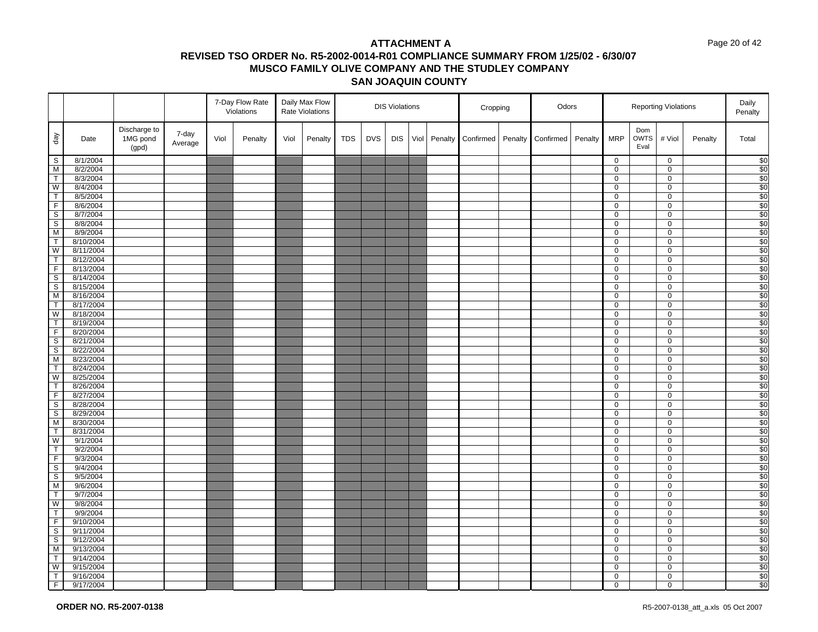#### Page 20 of 42

|                         |                        |                                   |                  |      | 7-Day Flow Rate<br>Violations |      | Daily Max Flow<br>Rate Violations |            |            | <b>DIS Violations</b> |      |         | Cropping  |         | Odors     |         |                  |                            | <b>Reporting Violations</b> |         | Daily<br>Penalty |
|-------------------------|------------------------|-----------------------------------|------------------|------|-------------------------------|------|-----------------------------------|------------|------------|-----------------------|------|---------|-----------|---------|-----------|---------|------------------|----------------------------|-----------------------------|---------|------------------|
| $\sqrt{e}b$             | Date                   | Discharge to<br>1MG pond<br>(gpd) | 7-day<br>Average | Viol | Penalty                       | Viol | Penalty                           | <b>TDS</b> | <b>DVS</b> | <b>DIS</b>            | Viol | Penalty | Confirmed | Penalty | Confirmed | Penalty | <b>MRP</b>       | Dom<br><b>OWTS</b><br>Eval | # Viol                      | Penalty | Total            |
| $\mathbb S$             | 8/1/2004               |                                   |                  |      |                               |      |                                   |            |            |                       |      |         |           |         |           |         | $\overline{0}$   |                            | $\mathbf 0$                 |         | $\frac{$0}{$0}$  |
| M                       | 8/2/2004               |                                   |                  |      |                               |      |                                   |            |            |                       |      |         |           |         |           |         | $\mathbf 0$      |                            | $\mathbf 0$                 |         |                  |
| $\top$                  | 8/3/2004               |                                   |                  |      |                               |      |                                   |            |            |                       |      |         |           |         |           |         | $\mathbf 0$      |                            | 0                           |         | $rac{1}{\$0}$    |
| W                       | 8/4/2004               |                                   |                  |      |                               |      |                                   |            |            |                       |      |         |           |         |           |         | 0                |                            | 0                           |         |                  |
| $\overline{T}$          | 8/5/2004               |                                   |                  |      |                               |      |                                   |            |            |                       |      |         |           |         |           |         | $\mathbf 0$      |                            | $\mathsf{O}\xspace$         |         | $rac{1}{\$0}$    |
| $\overline{F}$          | 8/6/2004               |                                   |                  |      |                               |      |                                   |            |            |                       |      |         |           |         |           |         | 0                |                            | $\mathbf 0$                 |         |                  |
| $\overline{s}$          | 8/7/2004               |                                   |                  |      |                               |      |                                   |            |            |                       |      |         |           |         |           |         | $\overline{0}$   |                            | 0                           |         | $\overline{$}0$  |
| $\overline{\mathbf{s}}$ | 8/8/2004               |                                   |                  |      |                               |      |                                   |            |            |                       |      |         |           |         |           |         | 0                |                            | $\mathbf 0$                 |         | \$0              |
| M                       | 8/9/2004               |                                   |                  |      |                               |      |                                   |            |            |                       |      |         |           |         |           |         | 0                |                            | $\mathbf 0$                 |         | \$0              |
| $\overline{\mathsf{T}}$ | 8/10/2004              |                                   |                  |      |                               |      |                                   |            |            |                       |      |         |           |         |           |         | 0                |                            | $\mathbf 0$                 |         | \$0              |
| W                       | 8/11/2004              |                                   |                  |      |                               |      |                                   |            |            |                       |      |         |           |         |           |         | 0                |                            | 0                           |         | \$0              |
| $\mathsf T$             | 8/12/2004              |                                   |                  |      |                               |      |                                   |            |            |                       |      |         |           |         |           |         | $\mathbf 0$      |                            | $\mathbf 0$                 |         | $\overline{30}$  |
| F                       | 8/13/2004              |                                   |                  |      |                               |      |                                   |            |            |                       |      |         |           |         |           |         | $\mathbf 0$      |                            | $\mathsf 0$                 |         | \$0              |
| $\mathbb S$             | 8/14/2004              |                                   |                  |      |                               |      |                                   |            |            |                       |      |         |           |         |           |         | 0                |                            | $\mathbf 0$                 |         | \$0              |
| $\overline{s}$          | 8/15/2004              |                                   |                  |      |                               |      |                                   |            |            |                       |      |         |           |         |           |         | $\overline{0}$   |                            | $\mathbf 0$                 |         | \$0              |
| M<br>$\top$             | 8/16/2004<br>8/17/2004 |                                   |                  |      |                               |      |                                   |            |            |                       |      |         |           |         |           |         | 0<br>$\mathbf 0$ |                            | $\mathbf 0$<br>$\mathbf 0$  |         | \$0<br>\$0       |
| W                       | 8/18/2004              |                                   |                  |      |                               |      |                                   |            |            |                       |      |         |           |         |           |         | 0                |                            | $\mathbf 0$                 |         | $\overline{\$0}$ |
| $\top$                  | 8/19/2004              |                                   |                  |      |                               |      |                                   |            |            |                       |      |         |           |         |           |         | 0                |                            | 0                           |         | \$0              |
| $\overline{F}$          | 8/20/2004              |                                   |                  |      |                               |      |                                   |            |            |                       |      |         |           |         |           |         | 0                |                            | $\mathbf 0$                 |         | $\overline{\$0}$ |
| S                       | 8/21/2004              |                                   |                  |      |                               |      |                                   |            |            |                       |      |         |           |         |           |         | $\mathbf 0$      |                            | $\mathsf{O}\xspace$         |         | \$0              |
| $\mathsf S$             | 8/22/2004              |                                   |                  |      |                               |      |                                   |            |            |                       |      |         |           |         |           |         | 0                |                            | 0                           |         | \$0              |
| M                       | 8/23/2004              |                                   |                  |      |                               |      |                                   |            |            |                       |      |         |           |         |           |         | $\mathsf 0$      |                            | $\pmb{0}$                   |         | \$0              |
| $\overline{\mathsf{T}}$ | 8/24/2004              |                                   |                  |      |                               |      |                                   |            |            |                       |      |         |           |         |           |         | 0                |                            | $\mathbf 0$                 |         | \$0              |
| W                       | 8/25/2004              |                                   |                  |      |                               |      |                                   |            |            |                       |      |         |           |         |           |         | $\mathbf 0$      |                            | $\mathbf 0$                 |         | \$0              |
| $\top$                  | 8/26/2004              |                                   |                  |      |                               |      |                                   |            |            |                       |      |         |           |         |           |         | 0                |                            | $\mathbf 0$                 |         | $\frac{1}{20}$   |
| $\overline{F}$          | 8/27/2004              |                                   |                  |      |                               |      |                                   |            |            |                       |      |         |           |         |           |         | 0                |                            | 0                           |         | \$0              |
| $\overline{s}$          | 8/28/2004              |                                   |                  |      |                               |      |                                   |            |            |                       |      |         |           |         |           |         | $\mathbf{0}$     |                            | $\mathsf 0$                 |         | $\overline{\$0}$ |
| S                       | 8/29/2004              |                                   |                  |      |                               |      |                                   |            |            |                       |      |         |           |         |           |         | $\mathbf 0$      |                            | $\mathsf 0$                 |         | \$0              |
| M                       | 8/30/2004              |                                   |                  |      |                               |      |                                   |            |            |                       |      |         |           |         |           |         | 0                |                            | 0                           |         | \$0              |
| $\top$                  | 8/31/2004              |                                   |                  |      |                               |      |                                   |            |            |                       |      |         |           |         |           |         | 0                |                            | $\mathbf 0$                 |         | \$0              |
| W                       | 9/1/2004               |                                   |                  |      |                               |      |                                   |            |            |                       |      |         |           |         |           |         | 0                |                            | $\mathbf 0$                 |         | $\overline{$}0$  |
| $\mathsf T$             | 9/2/2004               |                                   |                  |      |                               |      |                                   |            |            |                       |      |         |           |         |           |         | 0                |                            | $\mathbf 0$                 |         | \$0              |
| $\overline{F}$          | 9/3/2004               |                                   |                  |      |                               |      |                                   |            |            |                       |      |         |           |         |           |         | 0                |                            | $\mathbf 0$                 |         | \$0              |
| S                       | 9/4/2004               |                                   |                  |      |                               |      |                                   |            |            |                       |      |         |           |         |           |         | 0                |                            | 0                           |         | \$0              |
| $\overline{\mathsf{s}}$ | 9/5/2004               |                                   |                  |      |                               |      |                                   |            |            |                       |      |         |           |         |           |         | 0                |                            | $\mathbf 0$                 |         | $\overline{\$0}$ |
| M                       | 9/6/2004               |                                   |                  |      |                               |      |                                   |            |            |                       |      |         |           |         |           |         | 0                |                            | $\mathbf 0$                 |         | \$0              |
| $\overline{T}$          | 9/7/2004               |                                   |                  |      |                               |      |                                   |            |            |                       |      |         |           |         |           |         | 0                |                            | 0                           |         | \$0              |
| W                       | 9/8/2004               |                                   |                  |      |                               |      |                                   |            |            |                       |      |         |           |         |           |         | 0                |                            | $\mathbf 0$                 |         | \$0              |
| $\overline{\mathsf{T}}$ | 9/9/2004               |                                   |                  |      |                               |      |                                   |            |            |                       |      |         |           |         |           |         | 0                |                            | $\mathbf 0$                 |         | $\overline{$}0$  |
| $\overline{F}$          | 9/10/2004              |                                   |                  |      |                               |      |                                   |            |            |                       |      |         |           |         |           |         | 0                |                            | $\mathbf 0$                 |         | \$0              |
| $\overline{\mathbf{s}}$ | 9/11/2004              |                                   |                  |      |                               |      |                                   |            |            |                       |      |         |           |         |           |         | 0                |                            | $\mathbf 0$                 |         | \$0              |
| S                       | 9/12/2004              |                                   |                  |      |                               |      |                                   |            |            |                       |      |         |           |         |           |         | $\overline{0}$   |                            | $\overline{0}$              |         | \$0              |
| M                       | 9/13/2004              |                                   |                  |      |                               |      |                                   |            |            |                       |      |         |           |         |           |         | 0                |                            | $\mathbf 0$                 |         | $\overline{\$0}$ |
| $\mathsf{T}$            | 9/14/2004              |                                   |                  |      |                               |      |                                   |            |            |                       |      |         |           |         |           |         | 0                |                            | $\mathbf 0$                 |         | \$0              |
| W<br>$\mathsf T$        | 9/15/2004              |                                   |                  |      |                               |      |                                   |            |            |                       |      |         |           |         |           |         | $\overline{0}$   |                            | $\overline{0}$              |         | \$0              |
| F                       | 9/16/2004<br>9/17/2004 |                                   |                  |      |                               |      |                                   |            |            |                       |      |         |           |         |           |         | 0<br>0           |                            | 0<br>0                      |         | \$0<br>\$0       |
|                         |                        |                                   |                  |      |                               |      |                                   |            |            |                       |      |         |           |         |           |         |                  |                            |                             |         |                  |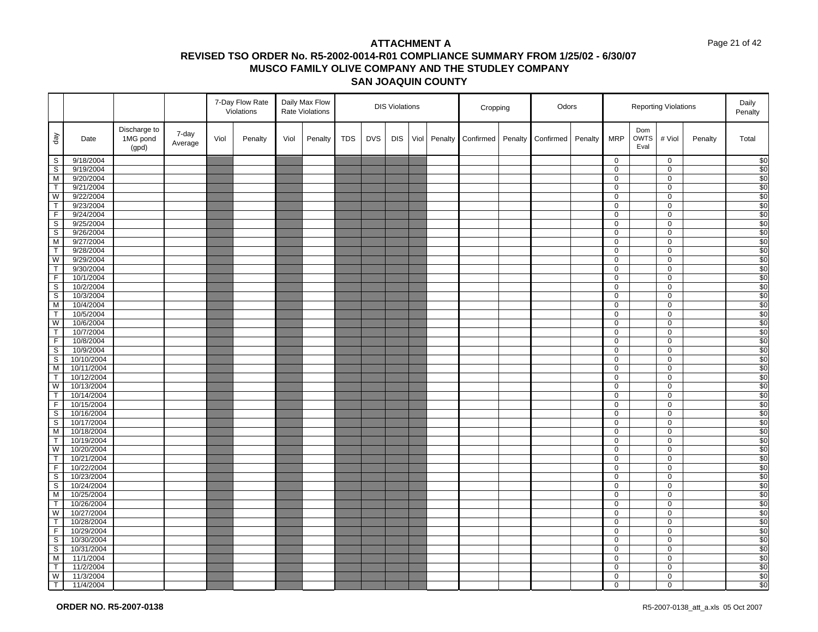#### Page 21 of 42

|                                           |                        |                                   |                  |      | 7-Day Flow Rate<br>Violations |      | Daily Max Flow<br>Rate Violations |            |            | <b>DIS Violations</b> |      |         | Cropping  |         | Odors     |         |                | <b>Reporting Violations</b> |                               |         | Daily<br>Penalty                   |
|-------------------------------------------|------------------------|-----------------------------------|------------------|------|-------------------------------|------|-----------------------------------|------------|------------|-----------------------|------|---------|-----------|---------|-----------|---------|----------------|-----------------------------|-------------------------------|---------|------------------------------------|
| $\sqrt{e}b$                               | Date                   | Discharge to<br>1MG pond<br>(gpd) | 7-day<br>Average | Viol | Penalty                       | Viol | Penalty                           | <b>TDS</b> | <b>DVS</b> | <b>DIS</b>            | Viol | Penalty | Confirmed | Penalty | Confirmed | Penalty | <b>MRP</b>     | Dom<br><b>OWTS</b><br>Eval  | # Viol                        | Penalty | Total                              |
| $\mathsf{S}$                              | 9/18/2004              |                                   |                  |      |                               |      |                                   |            |            |                       |      |         |           |         |           |         | 0              |                             | $\mathbf 0$                   |         | $\sqrt{6}$                         |
| $\overline{\mathbf{s}}$                   | 9/19/2004              |                                   |                  |      |                               |      |                                   |            |            |                       |      |         |           |         |           |         | 0              |                             | $\mathbf 0$                   |         | $\overline{$}$ <sup>0</sup>        |
| ${\sf M}$                                 | 9/20/2004              |                                   |                  |      |                               |      |                                   |            |            |                       |      |         |           |         |           |         | 0              |                             | $\mathsf 0$                   |         | \$0                                |
| $\overline{T}$                            | 9/21/2004              |                                   |                  |      |                               |      |                                   |            |            |                       |      |         |           |         |           |         | 0              |                             | $\mathbf 0$                   |         | \$0                                |
| ${\mathsf W}$                             | 9/22/2004              |                                   |                  |      |                               |      |                                   |            |            |                       |      |         |           |         |           |         | 0              |                             | $\mathsf{O}\xspace$           |         | \$0                                |
| T                                         | 9/23/2004              |                                   |                  |      |                               |      |                                   |            |            |                       |      |         |           |         |           |         | 0              |                             | $\mathbf 0$                   |         | \$0                                |
| $\overline{F}$                            | 9/24/2004              |                                   |                  |      |                               |      |                                   |            |            |                       |      |         |           |         |           |         | 0              |                             | $\mathbf 0$                   |         | \$0                                |
| $\mathsf S$                               | 9/25/2004              |                                   |                  |      |                               |      |                                   |            |            |                       |      |         |           |         |           |         | 0              |                             | $\mathbf 0$                   |         | \$0                                |
| $\overline{\mathbf{s}}$                   | 9/26/2004              |                                   |                  |      |                               |      |                                   |            |            |                       |      |         |           |         |           |         | 0              |                             | $\mathbf 0$                   |         | \$0                                |
| M                                         | 9/27/2004              |                                   |                  |      |                               |      |                                   |            |            |                       |      |         |           |         |           |         | 0              |                             | $\mathbf 0$                   |         | $\overline{\$0}$                   |
| T                                         | 9/28/2004              |                                   |                  |      |                               |      |                                   |            |            |                       |      |         |           |         |           |         | 0              |                             | $\mathsf 0$                   |         | \$0                                |
| W                                         | 9/29/2004              |                                   |                  |      |                               |      |                                   |            |            |                       |      |         |           |         |           |         | 0              |                             | $\mathbf 0$                   |         | $\overline{30}$                    |
| $\overline{\mathsf{T}}$                   | 9/30/2004              |                                   |                  |      |                               |      |                                   |            |            |                       |      |         |           |         |           |         | 0              |                             | $\mathsf{O}\xspace$           |         | \$0                                |
| F                                         | 10/1/2004              |                                   |                  |      |                               |      |                                   |            |            |                       |      |         |           |         |           |         | 0              |                             | $\mathbf 0$                   |         | \$0                                |
| $\mathsf{s}$                              | 10/2/2004              |                                   |                  |      |                               |      |                                   |            |            |                       |      |         |           |         |           |         | $\overline{0}$ |                             | $\overline{0}$                |         | \$0                                |
| ${\tt S}$                                 | 10/3/2004              |                                   |                  |      |                               |      |                                   |            |            |                       |      |         |           |         |           |         | 0              |                             | $\mathbf 0$<br>$\mathbf 0$    |         | \$0                                |
| $\overline{M}$<br>$\overline{\mathsf{T}}$ | 10/4/2004<br>10/5/2004 |                                   |                  |      |                               |      |                                   |            |            |                       |      |         |           |         |           |         | 0              |                             |                               |         | \$0<br>$\overline{$}$ <sup>0</sup> |
| W                                         | 10/6/2004              |                                   |                  |      |                               |      |                                   |            |            |                       |      |         |           |         |           |         | 0<br>0         |                             | $\mathbf 0$<br>$\mathbf 0$    |         | \$0                                |
| T                                         | 10/7/2004              |                                   |                  |      |                               |      |                                   |            |            |                       |      |         |           |         |           |         | 0              |                             | $\mathbf 0$                   |         | $\overline{30}$                    |
| F                                         | 10/8/2004              |                                   |                  |      |                               |      |                                   |            |            |                       |      |         |           |         |           |         | 0              |                             | $\mathbf 0$                   |         | \$0                                |
| S                                         | 10/9/2004              |                                   |                  |      |                               |      |                                   |            |            |                       |      |         |           |         |           |         | 0              |                             | $\mathbf 0$                   |         | \$0                                |
| $\overline{\mathbf{s}}$                   | 10/10/2004             |                                   |                  |      |                               |      |                                   |            |            |                       |      |         |           |         |           |         | 0              |                             | $\mathbf 0$                   |         | $\sqrt{50}$                        |
| M                                         | 10/11/2004             |                                   |                  |      |                               |      |                                   |            |            |                       |      |         |           |         |           |         | 0              |                             | $\mathbf 0$                   |         | \$0                                |
| T                                         | 10/12/2004             |                                   |                  |      |                               |      |                                   |            |            |                       |      |         |           |         |           |         | 0              |                             | $\mathbf 0$                   |         | $\sqrt{50}$                        |
| W                                         | 10/13/2004             |                                   |                  |      |                               |      |                                   |            |            |                       |      |         |           |         |           |         | 0              |                             | $\mathbf 0$                   |         | $\overline{30}$                    |
| T                                         | 10/14/2004             |                                   |                  |      |                               |      |                                   |            |            |                       |      |         |           |         |           |         | 0              |                             | $\overline{0}$                |         | \$0                                |
| $\overline{F}$                            | 10/15/2004             |                                   |                  |      |                               |      |                                   |            |            |                       |      |         |           |         |           |         | 0              |                             | $\mathbf 0$                   |         | \$0                                |
| $\overline{\mathbf{s}}$                   | 10/16/2004             |                                   |                  |      |                               |      |                                   |            |            |                       |      |         |           |         |           |         | 0              |                             | $\mathbf 0$                   |         | \$0                                |
| S                                         | 10/17/2004             |                                   |                  |      |                               |      |                                   |            |            |                       |      |         |           |         |           |         | 0              |                             | $\mathbf 0$                   |         | \$0                                |
| M                                         | 10/18/2004             |                                   |                  |      |                               |      |                                   |            |            |                       |      |         |           |         |           |         | 0              |                             | $\mathbf 0$                   |         | \$0                                |
| $\top$                                    | 10/19/2004             |                                   |                  |      |                               |      |                                   |            |            |                       |      |         |           |         |           |         | 0              |                             | $\mathbf 0$                   |         | $\overline{30}$                    |
| W                                         | 10/20/2004             |                                   |                  |      |                               |      |                                   |            |            |                       |      |         |           |         |           |         | 0              |                             | $\mathbf 0$                   |         | \$0                                |
| T                                         | 10/21/2004             |                                   |                  |      |                               |      |                                   |            |            |                       |      |         |           |         |           |         | 0              |                             | 0                             |         | \$0                                |
| F                                         | 10/22/2004             |                                   |                  |      |                               |      |                                   |            |            |                       |      |         |           |         |           |         | 0              |                             | $\mathbf 0$                   |         | \$0                                |
| $\overline{\mathbf{s}}$                   | 10/23/2004             |                                   |                  |      |                               |      |                                   |            |            |                       |      |         |           |         |           |         | 0              |                             | $\mathbf 0$                   |         | \$0                                |
| $\overline{\mathbf{s}}$                   | 10/24/2004             |                                   |                  |      |                               |      |                                   |            |            |                       |      |         |           |         |           |         | 0              |                             | $\mathbf 0$                   |         | \$0                                |
| $\overline{M}$                            | 10/25/2004             |                                   |                  |      |                               |      |                                   |            |            |                       |      |         |           |         |           |         | 0              |                             | $\mathbf 0$                   |         | $\overline{\$0}$                   |
| T                                         | 10/26/2004             |                                   |                  |      |                               |      |                                   |            |            |                       |      |         |           |         |           |         | 0              |                             | $\mathbf 0$                   |         | \$0                                |
| W                                         | 10/27/2004             |                                   |                  |      |                               |      |                                   |            |            |                       |      |         |           |         |           |         | 0              |                             | $\mathbf 0$                   |         | $\overline{30}$                    |
| T                                         | 10/28/2004             |                                   |                  |      |                               |      |                                   |            |            |                       |      |         |           |         |           |         | 0              |                             | $\mathbf 0$                   |         | \$0                                |
| F                                         | 10/29/2004             |                                   |                  |      |                               |      |                                   |            |            |                       |      |         |           |         |           |         | 0              |                             | 0                             |         | $\sqrt{50}$                        |
| $\overline{\mathbf{s}}$                   | 10/30/2004             |                                   |                  |      |                               |      |                                   |            |            |                       |      |         |           |         |           |         | 0              |                             | $\overline{0}$                |         | \$0                                |
| $\mathsf S$                               | 10/31/2004             |                                   |                  |      |                               |      |                                   |            |            |                       |      |         |           |         |           |         | 0              |                             | $\mathbf 0$                   |         | $\sqrt{50}$                        |
| M<br>$\overline{\mathsf{T}}$              | 11/1/2004              |                                   |                  |      |                               |      |                                   |            |            |                       |      |         |           |         |           |         | 0              |                             | $\mathbf 0$<br>$\overline{0}$ |         | \$0                                |
|                                           | 11/2/2004              |                                   |                  |      |                               |      |                                   |            |            |                       |      |         |           |         |           |         | 0<br>0         |                             | $\mathbf 0$                   |         | \$0                                |
| W<br>$\overline{\top}$                    | 11/3/2004<br>11/4/2004 |                                   |                  |      |                               |      |                                   |            |            |                       |      |         |           |         |           |         | 0              |                             | $\Omega$                      |         | \$0<br>$\overline{50}$             |
|                                           |                        |                                   |                  |      |                               |      |                                   |            |            |                       |      |         |           |         |           |         |                |                             |                               |         |                                    |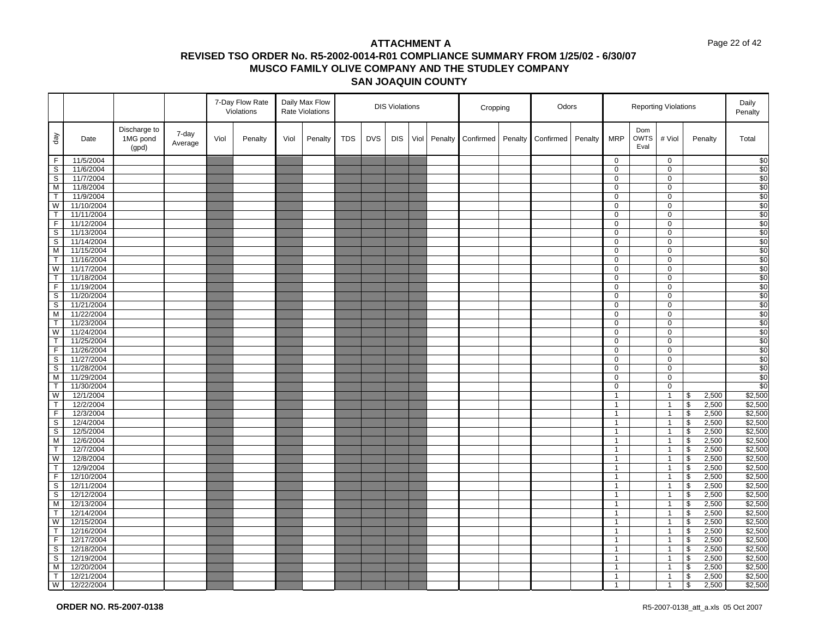#### Page 22 of 42

|                   |                          |                                   |                  |      | 7-Day Flow Rate<br>Violations |      | Daily Max Flow<br>Rate Violations |            |            | <b>DIS Violations</b> |      |         | Cropping  |         | Odors     |         |                              |                            | <b>Reporting Violations</b>      |                                           |                | Daily<br>Penalty   |
|-------------------|--------------------------|-----------------------------------|------------------|------|-------------------------------|------|-----------------------------------|------------|------------|-----------------------|------|---------|-----------|---------|-----------|---------|------------------------------|----------------------------|----------------------------------|-------------------------------------------|----------------|--------------------|
| $\sqrt{e}b$       | Date                     | Discharge to<br>1MG pond<br>(gpd) | 7-day<br>Average | Viol | Penalty                       | Viol | Penalty                           | <b>TDS</b> | <b>DVS</b> | <b>DIS</b>            | Viol | Penalty | Confirmed | Penalty | Confirmed | Penalty | <b>MRP</b>                   | Dom<br><b>OWTS</b><br>Eval | # Viol                           |                                           | Penalty        | Total              |
| $\mathsf F$       | 11/5/2004                |                                   |                  |      |                               |      |                                   |            |            |                       |      |         |           |         |           |         | $\mathbf 0$                  |                            | $\mathbf 0$                      |                                           |                | \$0                |
| s                 | 11/6/2004                |                                   |                  |      |                               |      |                                   |            |            |                       |      |         |           |         |           |         | $\mathbf 0$                  |                            | $\mathbf 0$                      |                                           |                | \$0                |
| $\mathsf S$       | 11/7/2004                |                                   |                  |      |                               |      |                                   |            |            |                       |      |         |           |         |           |         | 0                            |                            | 0                                |                                           |                | \$0                |
| M                 | 11/8/2004                |                                   |                  |      |                               |      |                                   |            |            |                       |      |         |           |         |           |         | $\mathbf 0$                  |                            | 0                                |                                           |                | \$0                |
| T                 | 11/9/2004                |                                   |                  |      |                               |      |                                   |            |            |                       |      |         |           |         |           |         | 0                            |                            | 0                                |                                           |                | \$0                |
| W                 | 11/10/2004               |                                   |                  |      |                               |      |                                   |            |            |                       |      |         |           |         |           |         | 0                            |                            | 0                                |                                           |                | \$0                |
| $\top$            | 11/11/2004               |                                   |                  |      |                               |      |                                   |            |            |                       |      |         |           |         |           |         | $\overline{0}$               |                            | 0                                |                                           |                | \$0                |
| F                 | 11/12/2004               |                                   |                  |      |                               |      |                                   |            |            |                       |      |         |           |         |           |         | 0                            |                            | 0                                |                                           |                | \$0                |
| $\mathbb S$       | 11/13/2004               |                                   |                  |      |                               |      |                                   |            |            |                       |      |         |           |         |           |         | 0                            |                            | $\mathbf 0$                      |                                           |                | \$0                |
| S                 | 11/14/2004               |                                   |                  |      |                               |      |                                   |            |            |                       |      |         |           |         |           |         | $\mathbf 0$                  |                            | 0                                |                                           |                | \$0                |
| M<br>$\mathsf{T}$ | 11/15/2004               |                                   |                  |      |                               |      |                                   |            |            |                       |      |         |           |         |           |         | 0                            |                            | 0                                |                                           |                | \$0                |
| W                 | 11/16/2004<br>11/17/2004 |                                   |                  |      |                               |      |                                   |            |            |                       |      |         |           |         |           |         | 0<br>0                       |                            | 0<br>$\pmb{0}$                   |                                           |                | \$0<br>\$0         |
| T                 | 11/18/2004               |                                   |                  |      |                               |      |                                   |            |            |                       |      |         |           |         |           |         | $\mathbf 0$                  |                            | 0                                |                                           |                | \$0                |
| $\mathsf F$       | 11/19/2004               |                                   |                  |      |                               |      |                                   |            |            |                       |      |         |           |         |           |         | 0                            |                            | 0                                |                                           |                | \$0                |
| $\mathbb S$       | 11/20/2004               |                                   |                  |      |                               |      |                                   |            |            |                       |      |         |           |         |           |         | $\mathbf 0$                  |                            | 0                                |                                           |                | \$0                |
| S                 | 11/21/2004               |                                   |                  |      |                               |      |                                   |            |            |                       |      |         |           |         |           |         | 0                            |                            | $\mathbf 0$                      |                                           |                | $\overline{\$0}$   |
| M                 | 11/22/2004               |                                   |                  |      |                               |      |                                   |            |            |                       |      |         |           |         |           |         | $\mathbf 0$                  |                            | 0                                |                                           |                | \$0                |
| $\mathsf{T}$      | 11/23/2004               |                                   |                  |      |                               |      |                                   |            |            |                       |      |         |           |         |           |         | 0                            |                            | $\mathbf 0$                      |                                           |                | \$0                |
| W                 | 11/24/2004               |                                   |                  |      |                               |      |                                   |            |            |                       |      |         |           |         |           |         | 0                            |                            | 0                                |                                           |                | \$0                |
| T                 | 11/25/2004               |                                   |                  |      |                               |      |                                   |            |            |                       |      |         |           |         |           |         | $\mathbf 0$                  |                            | $\mathbf 0$                      |                                           |                | \$0                |
| $\mathsf F$       | 11/26/2004               |                                   |                  |      |                               |      |                                   |            |            |                       |      |         |           |         |           |         | 0                            |                            | 0                                |                                           |                | \$0                |
| S                 | 11/27/2004               |                                   |                  |      |                               |      |                                   |            |            |                       |      |         |           |         |           |         | 0                            |                            | 0                                |                                           |                | \$0                |
| S                 | 11/28/2004               |                                   |                  |      |                               |      |                                   |            |            |                       |      |         |           |         |           |         | $\mathbf 0$                  |                            | 0                                |                                           |                | \$0                |
| M                 | 11/29/2004               |                                   |                  |      |                               |      |                                   |            |            |                       |      |         |           |         |           |         | 0                            |                            | $\pmb{0}$                        |                                           |                | \$0                |
| T                 | 11/30/2004               |                                   |                  |      |                               |      |                                   |            |            |                       |      |         |           |         |           |         | $\mathbf 0$                  |                            | $\pmb{0}$                        |                                           |                | \$0                |
| W                 | 12/1/2004                |                                   |                  |      |                               |      |                                   |            |            |                       |      |         |           |         |           |         | $\mathbf{1}$                 |                            | $\overline{1}$                   | \$                                        | 2,500          | \$2,500            |
| T                 | 12/2/2004                |                                   |                  |      |                               |      |                                   |            |            |                       |      |         |           |         |           |         | $\mathbf{1}$                 |                            | $\overline{1}$                   | $\sqrt[6]{\frac{1}{2}}$                   | 2,500          | \$2,500            |
| $\overline{F}$    | 12/3/2004                |                                   |                  |      |                               |      |                                   |            |            |                       |      |         |           |         |           |         | $\mathbf{1}$                 |                            | $\overline{1}$                   | $\overline{\mathcal{S}}$                  | 2,500          | \$2,500            |
| S                 | 12/4/2004                |                                   |                  |      |                               |      |                                   |            |            |                       |      |         |           |         |           |         | $\mathbf{1}$                 |                            | $\overline{1}$                   | $\sqrt[6]{\frac{1}{2}}$                   | 2,500          | \$2,500            |
| $\mathsf S$       | 12/5/2004                |                                   |                  |      |                               |      |                                   |            |            |                       |      |         |           |         |           |         | $\mathbf{1}$                 |                            | $\overline{1}$                   | $\boldsymbol{\theta}$                     | 2,500          | \$2,500            |
| M                 | 12/6/2004                |                                   |                  |      |                               |      |                                   |            |            |                       |      |         |           |         |           |         | $\mathbf{1}$                 |                            | $\overline{1}$                   | $\overline{\mathcal{S}}$                  | 2,500          | \$2,500            |
| $\mathsf{T}$      | 12/7/2004                |                                   |                  |      |                               |      |                                   |            |            |                       |      |         |           |         |           |         | $\mathbf{1}$                 |                            | $\overline{1}$                   | $\sqrt[6]{\frac{1}{2}}$                   | 2,500          | \$2,500            |
| W                 | 12/8/2004                |                                   |                  |      |                               |      |                                   |            |            |                       |      |         |           |         |           |         | $\mathbf{1}$                 |                            | $\overline{1}$                   | \$                                        | 2,500          | \$2,500            |
| $\mathsf{T}$      | 12/9/2004                |                                   |                  |      |                               |      |                                   |            |            |                       |      |         |           |         |           |         | $\mathbf{1}$                 |                            | $\overline{1}$                   | $\boldsymbol{\theta}$                     | 2,500          | \$2,500            |
| $\overline{F}$    | 12/10/2004               |                                   |                  |      |                               |      |                                   |            |            |                       |      |         |           |         |           |         | $\mathbf{1}$                 |                            | $\overline{1}$                   | $\boldsymbol{\theta}$                     | 2,500          | \$2,500            |
| S                 | 12/11/2004               |                                   |                  |      |                               |      |                                   |            |            |                       |      |         |           |         |           |         | $\mathbf{1}$                 |                            | $\overline{1}$                   | $\boldsymbol{\theta}$                     | 2,500          | \$2,500<br>\$2,500 |
| S                 | 12/12/2004               |                                   |                  |      |                               |      |                                   |            |            |                       |      |         |           |         |           |         | $\mathbf{1}$                 |                            | $\overline{1}$                   | $\sqrt{2}$                                | 2,500          |                    |
| M<br>T            | 12/13/2004<br>12/14/2004 |                                   |                  |      |                               |      |                                   |            |            |                       |      |         |           |         |           |         | $\mathbf{1}$<br>$\mathbf{1}$ |                            | $\overline{1}$<br>$\overline{1}$ | \$<br>$\overline{\mathcal{S}}$            | 2,500          | \$2,500<br>\$2,500 |
| W                 | 12/15/2004               |                                   |                  |      |                               |      |                                   |            |            |                       |      |         |           |         |           |         | $\mathbf{1}$                 |                            | $\overline{1}$                   | $\, \, \raisebox{12pt}{$\scriptstyle \$}$ | 2,500<br>2,500 | \$2,500            |
| T                 | 12/16/2004               |                                   |                  |      |                               |      |                                   |            |            |                       |      |         |           |         |           |         | $\mathbf{1}$                 |                            | $\overline{1}$                   | $\, \, \raisebox{12pt}{$\scriptstyle \$}$ | 2,500          | \$2,500            |
| F                 | 12/17/2004               |                                   |                  |      |                               |      |                                   |            |            |                       |      |         |           |         |           |         | $\mathbf{1}$                 |                            | $\overline{1}$                   | $\boldsymbol{\theta}$                     | 2,500          | \$2,500            |
| S                 | 12/18/2004               |                                   |                  |      |                               |      |                                   |            |            |                       |      |         |           |         |           |         | $\mathbf{1}$                 |                            | $\overline{1}$                   | \$                                        | 2,500          | \$2,500            |
| S                 | 12/19/2004               |                                   |                  |      |                               |      |                                   |            |            |                       |      |         |           |         |           |         | $\mathbf{1}$                 |                            | $\overline{1}$                   | $\sqrt[6]{\frac{1}{2}}$                   | 2,500          | \$2,500            |
| M                 | 12/20/2004               |                                   |                  |      |                               |      |                                   |            |            |                       |      |         |           |         |           |         | $\mathbf{1}$                 |                            | $\overline{1}$                   | $\boldsymbol{\theta}$                     | 2,500          | \$2,500            |
| $\mathsf{T}$      | 12/21/2004               |                                   |                  |      |                               |      |                                   |            |            |                       |      |         |           |         |           |         | $\mathbf{1}$                 |                            | $\overline{1}$                   | \$                                        | 2,500          | \$2,500            |
| W                 | 12/22/2004               |                                   |                  |      |                               |      |                                   |            |            |                       |      |         |           |         |           |         | $\mathbf{1}$                 |                            | $\overline{1}$                   | $\mathbf{\mathfrak{s}}$                   | 2,500          | \$2,500            |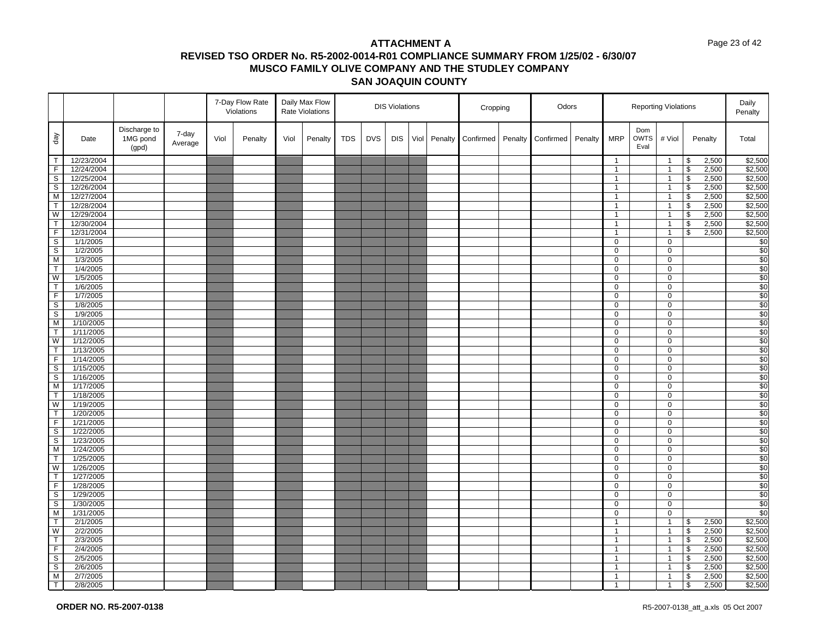#### Page 23 of 42

|                          |                        |                                   |                  |      | 7-Day Flow Rate<br>Violations |      | Daily Max Flow<br><b>Rate Violations</b> |            |            | <b>DIS Violations</b> |      |         | Cropping  |         | Odors     |         |                     | <b>Reporting Violations</b> |                            |                                           |         | Daily<br>Penalty |
|--------------------------|------------------------|-----------------------------------|------------------|------|-------------------------------|------|------------------------------------------|------------|------------|-----------------------|------|---------|-----------|---------|-----------|---------|---------------------|-----------------------------|----------------------------|-------------------------------------------|---------|------------------|
| $\sqrt{e}b$              | Date                   | Discharge to<br>1MG pond<br>(gpd) | 7-day<br>Average | Viol | Penalty                       | Viol | Penalty                                  | <b>TDS</b> | <b>DVS</b> | <b>DIS</b>            | Viol | Penalty | Confirmed | Penalty | Confirmed | Penalty | <b>MRP</b>          | Dom<br><b>OWTS</b><br>Eval  | # Viol                     |                                           | Penalty | Total            |
| $\top$                   | 12/23/2004             |                                   |                  |      |                               |      |                                          |            |            |                       |      |         |           |         |           |         | $\mathbf{1}$        |                             | $\overline{1}$             | \$                                        | 2,500   | \$2,500          |
| $\overline{F}$           | 12/24/2004             |                                   |                  |      |                               |      |                                          |            |            |                       |      |         |           |         |           |         | $\mathbf{1}$        |                             | $\overline{1}$             | $\boldsymbol{\mathsf{\$}}$                | 2,500   | \$2,500          |
| S                        | 12/25/2004             |                                   |                  |      |                               |      |                                          |            |            |                       |      |         |           |         |           |         | $\mathbf{1}$        |                             | $\overline{1}$             | $\sqrt[6]{\frac{1}{2}}$                   | 2,500   | \$2,500          |
| S                        | 12/26/2004             |                                   |                  |      |                               |      |                                          |            |            |                       |      |         |           |         |           |         | $\mathbf{1}$        |                             | $\overline{1}$             | $\boldsymbol{\theta}$                     | 2,500   | \$2,500          |
| M                        | 12/27/2004             |                                   |                  |      |                               |      |                                          |            |            |                       |      |         |           |         |           |         | $\mathbf{1}$        |                             | $\overline{1}$             | $\sqrt[6]{\frac{1}{2}}$                   | 2,500   | \$2,500          |
| $\mathsf{T}$             | 12/28/2004             |                                   |                  |      |                               |      |                                          |            |            |                       |      |         |           |         |           |         | $\mathbf{1}$        |                             | $\overline{1}$             | \$                                        | 2,500   | \$2,500          |
| W                        | 12/29/2004             |                                   |                  |      |                               |      |                                          |            |            |                       |      |         |           |         |           |         | $\mathbf{1}$        |                             | $\overline{1}$             | $\overline{\mathcal{S}}$                  | 2,500   | \$2,500          |
| $\mathsf{T}$             | 12/30/2004             |                                   |                  |      |                               |      |                                          |            |            |                       |      |         |           |         |           |         | $\mathbf{1}$        |                             | $\overline{1}$             | \$                                        | 2,500   | \$2,500          |
| $\overline{F}$           | 12/31/2004             |                                   |                  |      |                               |      |                                          |            |            |                       |      |         |           |         |           |         | $\mathbf{1}$        |                             | $\overline{1}$             | \$                                        | 2,500   | \$2,500          |
| S                        | 1/1/2005               |                                   |                  |      |                               |      |                                          |            |            |                       |      |         |           |         |           |         | 0                   |                             | $\mathbf 0$                |                                           |         | \$0              |
| $\overline{s}$           | 1/2/2005               |                                   |                  |      |                               |      |                                          |            |            |                       |      |         |           |         |           |         | 0                   |                             | 0                          |                                           |         | \$0              |
| M                        | 1/3/2005               |                                   |                  |      |                               |      |                                          |            |            |                       |      |         |           |         |           |         | 0                   |                             | $\mathbf 0$                |                                           |         | \$0              |
| $\overline{\mathsf{T}}$  | 1/4/2005               |                                   |                  |      |                               |      |                                          |            |            |                       |      |         |           |         |           |         | 0                   |                             | $\mathbf 0$                |                                           |         | \$0              |
| W                        | 1/5/2005               |                                   |                  |      |                               |      |                                          |            |            |                       |      |         |           |         |           |         | 0                   |                             | 0                          |                                           |         | \$0              |
| $\overline{\mathsf{T}}$  | 1/6/2005               |                                   |                  |      |                               |      |                                          |            |            |                       |      |         |           |         |           |         | 0                   |                             | 0                          |                                           |         | \$0              |
| F.                       | 1/7/2005               |                                   |                  |      |                               |      |                                          |            |            |                       |      |         |           |         |           |         | 0                   |                             | 0                          |                                           |         | \$0              |
| $\mathbb S$              | 1/8/2005               |                                   |                  |      |                               |      |                                          |            |            |                       |      |         |           |         |           |         | 0                   |                             | $\mathbf 0$                |                                           |         | $\overline{\$0}$ |
| S                        | 1/9/2005               |                                   |                  |      |                               |      |                                          |            |            |                       |      |         |           |         |           |         | 0<br>$\overline{0}$ |                             | $\mathbf 0$<br>$\mathbf 0$ |                                           |         | \$0              |
| ${\sf M}$<br>$\mathsf T$ | 1/10/2005              |                                   |                  |      |                               |      |                                          |            |            |                       |      |         |           |         |           |         | 0                   |                             | $\mathbf 0$                |                                           |         | \$0<br>\$0       |
| W                        | 1/11/2005<br>1/12/2005 |                                   |                  |      |                               |      |                                          |            |            |                       |      |         |           |         |           |         | 0                   |                             | $\mathbf 0$                |                                           |         | \$0              |
| $\mathsf T$              | 1/13/2005              |                                   |                  |      |                               |      |                                          |            |            |                       |      |         |           |         |           |         | 0                   |                             | 0                          |                                           |         | \$0              |
| $\mathsf F$              | 1/14/2005              |                                   |                  |      |                               |      |                                          |            |            |                       |      |         |           |         |           |         | 0                   |                             | 0                          |                                           |         | \$0              |
| $\overline{s}$           | 1/15/2005              |                                   |                  |      |                               |      |                                          |            |            |                       |      |         |           |         |           |         | $\mathbf 0$         |                             | $\mathbf 0$                |                                           |         | \$0              |
| $\mathbb S$              | 1/16/2005              |                                   |                  |      |                               |      |                                          |            |            |                       |      |         |           |         |           |         | 0                   |                             | $\mathbf 0$                |                                           |         | \$0              |
| M                        | 1/17/2005              |                                   |                  |      |                               |      |                                          |            |            |                       |      |         |           |         |           |         | 0                   |                             | $\mathbf 0$                |                                           |         | \$0              |
| $\mathsf T$              | 1/18/2005              |                                   |                  |      |                               |      |                                          |            |            |                       |      |         |           |         |           |         | 0                   |                             | 0                          |                                           |         | \$0              |
| W                        | 1/19/2005              |                                   |                  |      |                               |      |                                          |            |            |                       |      |         |           |         |           |         | 0                   |                             | $\mathbf 0$                |                                           |         | \$0              |
| $\mathsf{T}$             | 1/20/2005              |                                   |                  |      |                               |      |                                          |            |            |                       |      |         |           |         |           |         | $\overline{0}$      |                             | $\mathbf 0$                |                                           |         | \$0              |
| $\mathsf F$              | 1/21/2005              |                                   |                  |      |                               |      |                                          |            |            |                       |      |         |           |         |           |         | 0                   |                             | 0                          |                                           |         | \$0              |
| $\mathbb S$              | 1/22/2005              |                                   |                  |      |                               |      |                                          |            |            |                       |      |         |           |         |           |         | $\mathbf 0$         |                             | 0                          |                                           |         | \$0              |
| S                        | 1/23/2005              |                                   |                  |      |                               |      |                                          |            |            |                       |      |         |           |         |           |         | 0                   |                             | $\mathbf 0$                |                                           |         | \$0              |
| M                        | 1/24/2005              |                                   |                  |      |                               |      |                                          |            |            |                       |      |         |           |         |           |         | 0                   |                             | 0                          |                                           |         | \$0              |
| Т                        | 1/25/2005              |                                   |                  |      |                               |      |                                          |            |            |                       |      |         |           |         |           |         | 0                   |                             | $\mathbf 0$                |                                           |         | $\overline{\$0}$ |
| W                        | 1/26/2005              |                                   |                  |      |                               |      |                                          |            |            |                       |      |         |           |         |           |         | 0                   |                             | 0                          |                                           |         | \$0              |
| $\mathsf{T}$             | 1/27/2005              |                                   |                  |      |                               |      |                                          |            |            |                       |      |         |           |         |           |         | $\mathbf 0$         |                             | $\mathbf 0$                |                                           |         | \$0              |
| $\overline{F}$           | 1/28/2005              |                                   |                  |      |                               |      |                                          |            |            |                       |      |         |           |         |           |         | 0                   |                             | $\mathbf 0$                |                                           |         | \$0              |
| S                        | 1/29/2005              |                                   |                  |      |                               |      |                                          |            |            |                       |      |         |           |         |           |         | 0                   |                             | 0                          |                                           |         | \$0              |
| $\mathbb S$              | 1/30/2005              |                                   |                  |      |                               |      |                                          |            |            |                       |      |         |           |         |           |         | 0                   |                             | $\mathbf 0$                |                                           |         | \$0              |
| M                        | 1/31/2005              |                                   |                  |      |                               |      |                                          |            |            |                       |      |         |           |         |           |         | 0                   |                             | $\mathbf 0$                |                                           |         | \$0              |
| $\mathsf{T}$             | 2/1/2005               |                                   |                  |      |                               |      |                                          |            |            |                       |      |         |           |         |           |         | $\mathbf{1}$        |                             | $\overline{1}$             | $\, \, \raisebox{12pt}{$\scriptstyle \$}$ | 2,500   | \$2,500          |
| W                        | 2/2/2005               |                                   |                  |      |                               |      |                                          |            |            |                       |      |         |           |         |           |         | $\mathbf{1}$        |                             | $\overline{1}$             | $\, \, \raisebox{12pt}{$\scriptstyle \$}$ | 2,500   | \$2,500          |
| $\mathsf T$              | 2/3/2005               |                                   |                  |      |                               |      |                                          |            |            |                       |      |         |           |         |           |         | $\mathbf{1}$        |                             | $\overline{1}$             | $\boldsymbol{\theta}$                     | 2,500   | \$2,500          |
| $\overline{F}$           | 2/4/2005               |                                   |                  |      |                               |      |                                          |            |            |                       |      |         |           |         |           |         | $\mathbf{1}$        |                             | $\overline{1}$             | \$                                        | 2,500   | \$2,500          |
| $\mathbb S$              | 2/5/2005               |                                   |                  |      |                               |      |                                          |            |            |                       |      |         |           |         |           |         | $\mathbf{1}$        |                             | $\overline{1}$             | $\sqrt[6]{\frac{1}{2}}$                   | 2,500   | \$2,500          |
| $\overline{\mathsf{s}}$  | 2/6/2005               |                                   |                  |      |                               |      |                                          |            |            |                       |      |         |           |         |           |         | $\mathbf{1}$        |                             | $\overline{1}$             | $\boldsymbol{\theta}$                     | 2,500   | \$2,500          |
| M                        | 2/7/2005               |                                   |                  |      |                               |      |                                          |            |            |                       |      |         |           |         |           |         | $\mathbf{1}$        |                             | $\overline{1}$             | \$                                        | 2,500   | \$2,500          |
| $\overline{T}$           | 2/8/2005               |                                   |                  |      |                               |      |                                          |            |            |                       |      |         |           |         |           |         | $\mathbf{1}$        |                             | $\overline{1}$             | $\mathbf{s}$                              | 2,500   | \$2,500          |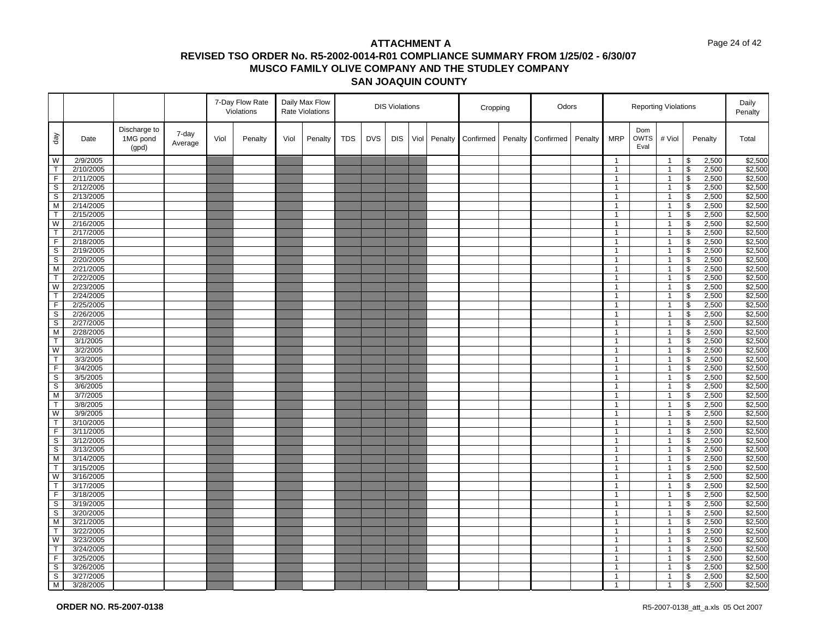#### Page 24 of 42

|                         |           |                                   |                  |      | 7-Day Flow Rate<br>Violations |      | Daily Max Flow<br><b>Rate Violations</b> |            | <b>DIS Violations</b> |            |      |         | Cropping  |         | Odors     |         | <b>Reporting Violations</b> |                            |                |                          |         | Daily<br>Penalty |
|-------------------------|-----------|-----------------------------------|------------------|------|-------------------------------|------|------------------------------------------|------------|-----------------------|------------|------|---------|-----------|---------|-----------|---------|-----------------------------|----------------------------|----------------|--------------------------|---------|------------------|
| $\sqrt{e}b$             | Date      | Discharge to<br>1MG pond<br>(gpd) | 7-day<br>Average | Viol | Penalty                       | Viol | Penalty                                  | <b>TDS</b> | <b>DVS</b>            | <b>DIS</b> | Viol | Penalty | Confirmed | Penalty | Confirmed | Penalty | <b>MRP</b>                  | Dom<br><b>OWTS</b><br>Eval | # Viol         |                          | Penalty | Total            |
| W                       | 2/9/2005  |                                   |                  |      |                               |      |                                          |            |                       |            |      |         |           |         |           |         | $\mathbf{1}$                |                            | $\overline{1}$ | \$                       | 2,500   | \$2,500          |
| $\mathsf{T}$            | 2/10/2005 |                                   |                  |      |                               |      |                                          |            |                       |            |      |         |           |         |           |         | $\mathbf{1}$                |                            | $\overline{1}$ | \$                       | 2,500   | \$2,500          |
| $\overline{F}$          | 2/11/2005 |                                   |                  |      |                               |      |                                          |            |                       |            |      |         |           |         |           |         | $\mathbf{1}$                |                            | $\overline{1}$ | \$                       | 2,500   | \$2,500          |
| S                       | 2/12/2005 |                                   |                  |      |                               |      |                                          |            |                       |            |      |         |           |         |           |         | $\mathbf{1}$                |                            | $\mathbf{1}$   | \$                       | 2,500   | \$2,500          |
| $\mathbb S$             | 2/13/2005 |                                   |                  |      |                               |      |                                          |            |                       |            |      |         |           |         |           |         | $\mathbf{1}$                |                            | $\mathbf{1}$   | \$                       | 2,500   | \$2,500          |
| M                       | 2/14/2005 |                                   |                  |      |                               |      |                                          |            |                       |            |      |         |           |         |           |         | $\mathbf{1}$                |                            | $\mathbf{1}$   | $\mathfrak s$            | 2,500   | \$2,500          |
| $\overline{\mathsf{T}}$ | 2/15/2005 |                                   |                  |      |                               |      |                                          |            |                       |            |      |         |           |         |           |         | $\mathbf{1}$                |                            | $\overline{1}$ | \$                       | 2,500   | \$2,500          |
| W                       | 2/16/2005 |                                   |                  |      |                               |      |                                          |            |                       |            |      |         |           |         |           |         | $\mathbf{1}$                |                            | $\overline{1}$ | $\sqrt[6]{\frac{1}{2}}$  | 2,500   | \$2,500          |
| $\mathsf{T}$            | 2/17/2005 |                                   |                  |      |                               |      |                                          |            |                       |            |      |         |           |         |           |         | $\mathbf{1}$                |                            | $\overline{1}$ | \$                       | 2,500   | \$2,500          |
| F                       | 2/18/2005 |                                   |                  |      |                               |      |                                          |            |                       |            |      |         |           |         |           |         | $\mathbf{1}$                |                            | $\mathbf{1}$   | \$                       | 2,500   | \$2,500          |
| $\overline{s}$          | 2/19/2005 |                                   |                  |      |                               |      |                                          |            |                       |            |      |         |           |         |           |         | $\mathbf{1}$                |                            | $\overline{1}$ | \$                       | 2,500   | \$2,500          |
| S                       | 2/20/2005 |                                   |                  |      |                               |      |                                          |            |                       |            |      |         |           |         |           |         | $\mathbf{1}$                |                            | $\mathbf{1}$   | \$                       | 2,500   | \$2,500          |
| M                       | 2/21/2005 |                                   |                  |      |                               |      |                                          |            |                       |            |      |         |           |         |           |         | $\mathbf{1}$                |                            | $\mathbf{1}$   | \$                       | 2,500   | \$2,500          |
| $\mathsf{T}$            | 2/22/2005 |                                   |                  |      |                               |      |                                          |            |                       |            |      |         |           |         |           |         | $\mathbf{1}$                |                            | $\overline{1}$ | \$                       | 2,500   | \$2,500          |
| W                       | 2/23/2005 |                                   |                  |      |                               |      |                                          |            |                       |            |      |         |           |         |           |         | $\mathbf{1}$                |                            | $\overline{1}$ | \$                       | 2,500   | \$2,500          |
| $\mathsf{T}$            | 2/24/2005 |                                   |                  |      |                               |      |                                          |            |                       |            |      |         |           |         |           |         | $\overline{1}$              |                            | $\overline{1}$ | \$                       | 2,500   | \$2,500          |
| $\overline{F}$          | 2/25/2005 |                                   |                  |      |                               |      |                                          |            |                       |            |      |         |           |         |           |         | $\mathbf{1}$                |                            | $\overline{1}$ | \$                       | 2,500   | \$2,500          |
| S                       | 2/26/2005 |                                   |                  |      |                               |      |                                          |            |                       |            |      |         |           |         |           |         | $\mathbf{1}$                |                            | $\mathbf{1}$   | \$                       | 2,500   | \$2,500          |
| $\overline{s}$          | 2/27/2005 |                                   |                  |      |                               |      |                                          |            |                       |            |      |         |           |         |           |         | $\mathbf{1}$                |                            | $\overline{1}$ | \$                       | 2,500   | \$2,500          |
| M                       | 2/28/2005 |                                   |                  |      |                               |      |                                          |            |                       |            |      |         |           |         |           |         | $\mathbf{1}$                |                            | $\overline{1}$ | \$                       | 2,500   | \$2,500          |
| $\overline{\mathsf{T}}$ | 3/1/2005  |                                   |                  |      |                               |      |                                          |            |                       |            |      |         |           |         |           |         | $\mathbf{1}$                |                            | $\mathbf{1}$   | $\overline{\mathbf{3}}$  | 2,500   | \$2,500          |
| W                       | 3/2/2005  |                                   |                  |      |                               |      |                                          |            |                       |            |      |         |           |         |           |         | $\mathbf{1}$                |                            | $\mathbf{1}$   | \$                       | 2,500   | \$2,500          |
| $\overline{T}$          | 3/3/2005  |                                   |                  |      |                               |      |                                          |            |                       |            |      |         |           |         |           |         | $\mathbf{1}$                |                            | $\mathbf{1}$   | \$                       | 2,500   | \$2,500          |
| F.                      | 3/4/2005  |                                   |                  |      |                               |      |                                          |            |                       |            |      |         |           |         |           |         | $\mathbf{1}$                |                            | $\mathbf{1}$   | \$                       | 2,500   | \$2,500          |
| $\overline{s}$          | 3/5/2005  |                                   |                  |      |                               |      |                                          |            |                       |            |      |         |           |         |           |         | $\mathbf{1}$                |                            | $\overline{1}$ | \$                       | 2,500   | \$2,500          |
| S                       | 3/6/2005  |                                   |                  |      |                               |      |                                          |            |                       |            |      |         |           |         |           |         | 1                           |                            | $\mathbf{1}$   | \$                       | 2,500   | \$2,500          |
| M                       | 3/7/2005  |                                   |                  |      |                               |      |                                          |            |                       |            |      |         |           |         |           |         | $\mathbf{1}$                |                            | $\mathbf{1}$   | $\overline{\mathbf{s}}$  | 2,500   | \$2,500          |
| T.                      | 3/8/2005  |                                   |                  |      |                               |      |                                          |            |                       |            |      |         |           |         |           |         | $\mathbf{1}$                |                            | $\overline{1}$ | \$                       | 2,500   | \$2,500          |
| W                       | 3/9/2005  |                                   |                  |      |                               |      |                                          |            |                       |            |      |         |           |         |           |         | $\mathbf{1}$                |                            | $\mathbf{1}$   | \$                       | 2,500   | \$2,500          |
| $\mathsf{T}$            | 3/10/2005 |                                   |                  |      |                               |      |                                          |            |                       |            |      |         |           |         |           |         | $\mathbf{1}$                |                            | $\mathbf{1}$   | $\sqrt[6]{\frac{1}{2}}$  | 2,500   | \$2,500          |
| $\overline{F}$          | 3/11/2005 |                                   |                  |      |                               |      |                                          |            |                       |            |      |         |           |         |           |         | $\mathbf{1}$                |                            | $\mathbf{1}$   | \$                       | 2,500   | \$2,500          |
| S                       | 3/12/2005 |                                   |                  |      |                               |      |                                          |            |                       |            |      |         |           |         |           |         | $\mathbf{1}$                |                            | $\mathbf{1}$   | \$                       | 2,500   | \$2,500          |
| $\mathbb S$             | 3/13/2005 |                                   |                  |      |                               |      |                                          |            |                       |            |      |         |           |         |           |         | $\mathbf{1}$                |                            | $\overline{1}$ | \$                       | 2,500   | \$2,500          |
| M                       | 3/14/2005 |                                   |                  |      |                               |      |                                          |            |                       |            |      |         |           |         |           |         | $\mathbf{1}$                |                            | $\mathbf{1}$   | $\pmb{\mathfrak{S}}$     | 2,500   | \$2,500          |
| $\mathsf T$             | 3/15/2005 |                                   |                  |      |                               |      |                                          |            |                       |            |      |         |           |         |           |         | $\mathbf{1}$                |                            | $\mathbf{1}$   | $\overline{\mathbf{s}}$  | 2,500   | \$2,500          |
| W                       | 3/16/2005 |                                   |                  |      |                               |      |                                          |            |                       |            |      |         |           |         |           |         | $\overline{1}$              |                            | $\overline{1}$ | \$                       | 2,500   | \$2,500          |
| $\overline{\mathsf{T}}$ | 3/17/2005 |                                   |                  |      |                               |      |                                          |            |                       |            |      |         |           |         |           |         | $\mathbf{1}$                |                            | $\mathbf{1}$   | $\overline{\mathcal{S}}$ | 2,500   | \$2,500          |
| F                       | 3/18/2005 |                                   |                  |      |                               |      |                                          |            |                       |            |      |         |           |         |           |         | $\mathbf{1}$                |                            | $\mathbf{1}$   | \$                       | 2,500   | \$2,500          |
| $\overline{s}$          | 3/19/2005 |                                   |                  |      |                               |      |                                          |            |                       |            |      |         |           |         |           |         | $\mathbf{1}$                |                            | $\mathbf{1}$   | \$                       | 2,500   | \$2,500          |
| S                       | 3/20/2005 |                                   |                  |      |                               |      |                                          |            |                       |            |      |         |           |         |           |         | $\mathbf{1}$                |                            | $\mathbf{1}$   | \$                       | 2,500   | \$2,500          |
| M                       | 3/21/2005 |                                   |                  |      |                               |      |                                          |            |                       |            |      |         |           |         |           |         | $\mathbf{1}$                |                            | $\mathbf{1}$   | \$                       | 2,500   | \$2,500          |
| T                       | 3/22/2005 |                                   |                  |      |                               |      |                                          |            |                       |            |      |         |           |         |           |         | $\mathbf{1}$                |                            | $\mathbf{1}$   | $\sqrt[6]{\frac{1}{2}}$  | 2,500   | \$2,500          |
| W                       | 3/23/2005 |                                   |                  |      |                               |      |                                          |            |                       |            |      |         |           |         |           |         | $\mathbf{1}$                |                            | $\overline{1}$ | \$                       | 2,500   | \$2,500          |
| $\mathsf{T}$            | 3/24/2005 |                                   |                  |      |                               |      |                                          |            |                       |            |      |         |           |         |           |         | $\overline{1}$              |                            | $\overline{1}$ | \$                       | 2,500   | \$2,500          |
| $\overline{F}$          | 3/25/2005 |                                   |                  |      |                               |      |                                          |            |                       |            |      |         |           |         |           |         | $\mathbf{1}$                |                            | $\mathbf{1}$   | \$                       | 2,500   | \$2,500          |
| S                       | 3/26/2005 |                                   |                  |      |                               |      |                                          |            |                       |            |      |         |           |         |           |         | $\mathbf{1}$                |                            | $\mathbf{1}$   | \$                       | 2,500   | \$2,500          |
| $\overline{s}$          | 3/27/2005 |                                   |                  |      |                               |      |                                          |            |                       |            |      |         |           |         |           |         | $\mathbf{1}$                |                            | $\overline{1}$ | \$                       | 2,500   | \$2,500          |
| M <sub>1</sub>          | 3/28/2005 |                                   |                  |      |                               |      |                                          |            |                       |            |      |         |           |         |           |         | $\overline{1}$              |                            | $\overline{1}$ | \$                       | 2,500   | \$2,500          |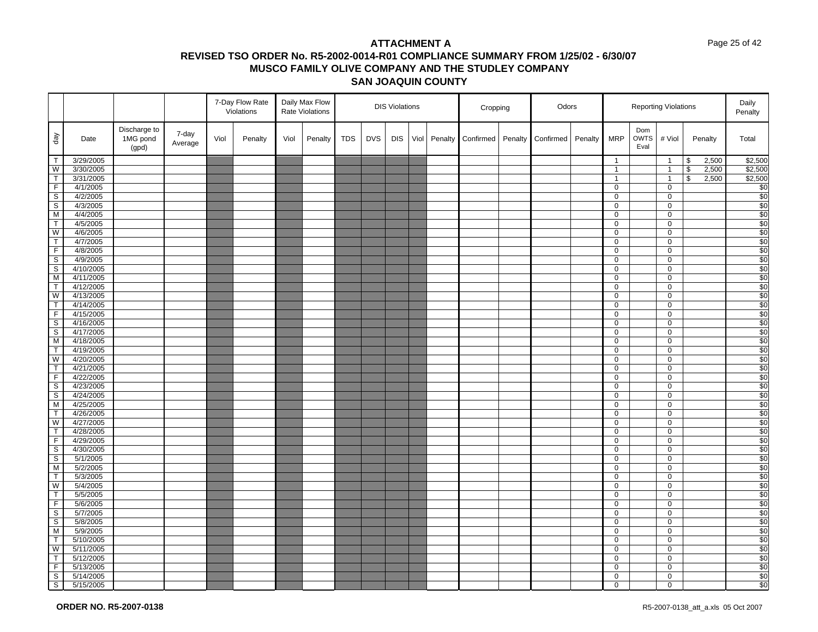#### Page 25 of 42

|                                |                      |                                   | 7-Day Flow Rate<br>Daily Max Flow<br>Violations<br>Rate Violations |      |         |      |         |            | <b>DIS Violations</b> |            |      | Cropping |           | Odors   |           | <b>Reporting Violations</b> |                  |                            |                  |                          | Daily<br>Penalty |                  |
|--------------------------------|----------------------|-----------------------------------|--------------------------------------------------------------------|------|---------|------|---------|------------|-----------------------|------------|------|----------|-----------|---------|-----------|-----------------------------|------------------|----------------------------|------------------|--------------------------|------------------|------------------|
| $\sqrt{e}b$                    | Date                 | Discharge to<br>1MG pond<br>(gpd) | 7-day<br>Average                                                   | Viol | Penalty | Viol | Penalty | <b>TDS</b> | <b>DVS</b>            | <b>DIS</b> | Viol | Penalty  | Confirmed | Penalty | Confirmed | Penalty                     | <b>MRP</b>       | Dom<br><b>OWTS</b><br>Eval | # Viol           |                          | Penalty          | Total            |
| T                              | 3/29/2005            |                                   |                                                                    |      |         |      |         |            |                       |            |      |          |           |         |           |                             | $\mathbf{1}$     |                            | $\overline{1}$   | \$                       | 2,500            | \$2,500          |
| W                              | 3/30/2005            |                                   |                                                                    |      |         |      |         |            |                       |            |      |          |           |         |           |                             | $\mathbf{1}$     |                            | $\overline{1}$   | $\overline{\mathcal{S}}$ | 2,500            | \$2,500          |
| $\top$                         | 3/31/2005            |                                   |                                                                    |      |         |      |         |            |                       |            |      |          |           |         |           |                             | $\overline{1}$   |                            | $\overline{1}$   | \$                       | 2,500            | \$2,500          |
| $\overline{F}$                 | 4/1/2005             |                                   |                                                                    |      |         |      |         |            |                       |            |      |          |           |         |           |                             | $\mathbf 0$      |                            | $\pmb{0}$        |                          |                  | \$0              |
| $\overline{\mathbf{s}}$        | 4/2/2005             |                                   |                                                                    |      |         |      |         |            |                       |            |      |          |           |         |           |                             | $\pmb{0}$        |                            | $\mathbf 0$      |                          |                  | \$0              |
| $\mathsf S$                    | 4/3/2005             |                                   |                                                                    |      |         |      |         |            |                       |            |      |          |           |         |           |                             | $\mathbf 0$      |                            | 0                |                          |                  | \$0              |
| M                              | 4/4/2005             |                                   |                                                                    |      |         |      |         |            |                       |            |      |          |           |         |           |                             | $\overline{0}$   |                            | 0                |                          |                  | $\overline{$}0$  |
| T                              | 4/5/2005             |                                   |                                                                    |      |         |      |         |            |                       |            |      |          |           |         |           |                             | 0                |                            | 0                |                          |                  | \$0              |
| W                              | 4/6/2005             |                                   |                                                                    |      |         |      |         |            |                       |            |      |          |           |         |           |                             | $\mathbf 0$      |                            | $\pmb{0}$        |                          |                  | \$0              |
| $\overline{\mathsf{T}}$        | 4/7/2005             |                                   |                                                                    |      |         |      |         |            |                       |            |      |          |           |         |           |                             | $\mathbf 0$      |                            | 0                |                          |                  | $\overline{\$0}$ |
| $\overline{F}$                 | 4/8/2005             |                                   |                                                                    |      |         |      |         |            |                       |            |      |          |           |         |           |                             | $\mathbf 0$      |                            | 0                |                          |                  | \$0              |
| $\overline{s}$                 | 4/9/2005             |                                   |                                                                    |      |         |      |         |            |                       |            |      |          |           |         |           |                             | $\mathbf 0$      |                            | $\pmb{0}$        |                          |                  | $\overline{\$0}$ |
| $\overline{\mathbf{s}}$        | 4/10/2005            |                                   |                                                                    |      |         |      |         |            |                       |            |      |          |           |         |           |                             | $\mathbf 0$      |                            | $\mathsf{O}$     |                          |                  | \$0              |
| M                              | 4/11/2005            |                                   |                                                                    |      |         |      |         |            |                       |            |      |          |           |         |           |                             | $\mathbf 0$      |                            | 0                |                          |                  | \$0              |
| $\overline{\mathsf{T}}$        | 4/12/2005            |                                   |                                                                    |      |         |      |         |            |                       |            |      |          |           |         |           |                             | $\overline{0}$   |                            | $\pmb{0}$        |                          |                  | \$0              |
| W                              | 4/13/2005            |                                   |                                                                    |      |         |      |         |            |                       |            |      |          |           |         |           |                             | 0                |                            | $\pmb{0}$        |                          |                  | \$0              |
| $\mathsf{T}$                   | 4/14/2005            |                                   |                                                                    |      |         |      |         |            |                       |            |      |          |           |         |           |                             | $\mathbf 0$      |                            | $\pmb{0}$        |                          |                  | $\overline{\$0}$ |
| $\overline{F}$                 | 4/15/2005            |                                   |                                                                    |      |         |      |         |            |                       |            |      |          |           |         |           |                             | $\mathbf 0$      |                            | 0                |                          |                  | $\frac{1}{20}$   |
| $\overline{\mathbf{s}}$        | 4/16/2005            |                                   |                                                                    |      |         |      |         |            |                       |            |      |          |           |         |           |                             | 0                |                            | 0                |                          |                  | \$0              |
| $\overline{s}$                 | 4/17/2005            |                                   |                                                                    |      |         |      |         |            |                       |            |      |          |           |         |           |                             | $\mathbf 0$      |                            | 0                |                          |                  | $\overline{$}0$  |
| M                              | 4/18/2005            |                                   |                                                                    |      |         |      |         |            |                       |            |      |          |           |         |           |                             | $\mathbf 0$      |                            | $\pmb{0}$        |                          |                  | \$0              |
| T                              | 4/19/2005            |                                   |                                                                    |      |         |      |         |            |                       |            |      |          |           |         |           |                             | 0                |                            | 0                |                          |                  | \$0              |
| W                              | 4/20/2005            |                                   |                                                                    |      |         |      |         |            |                       |            |      |          |           |         |           |                             | $\mathbf 0$      |                            | $\mathbf 0$      |                          |                  | \$0              |
| T                              | 4/21/2005            |                                   |                                                                    |      |         |      |         |            |                       |            |      |          |           |         |           |                             | $\mathbf 0$      |                            | $\mathbf 0$      |                          |                  | \$0              |
| $\overline{F}$                 | 4/22/2005            |                                   |                                                                    |      |         |      |         |            |                       |            |      |          |           |         |           |                             | $\mathsf 0$      |                            | $\mathbf 0$      |                          |                  | \$0              |
| $\overline{\mathbf{s}}$        | 4/23/2005            |                                   |                                                                    |      |         |      |         |            |                       |            |      |          |           |         |           |                             | $\mathbf 0$      |                            | 0                |                          |                  | $\overline{$}0$  |
| $\overline{\mathbf{s}}$        | 4/24/2005            |                                   |                                                                    |      |         |      |         |            |                       |            |      |          |           |         |           |                             | 0                |                            | 0                |                          |                  | \$0              |
| M                              | 4/25/2005            |                                   |                                                                    |      |         |      |         |            |                       |            |      |          |           |         |           |                             | $\mathbf 0$      |                            | $\pmb{0}$        |                          |                  | \$0              |
| $\top$                         | 4/26/2005            |                                   |                                                                    |      |         |      |         |            |                       |            |      |          |           |         |           |                             | $\mathbf 0$      |                            | $\mathsf{O}$     |                          |                  | \$0              |
| W                              | 4/27/2005            |                                   |                                                                    |      |         |      |         |            |                       |            |      |          |           |         |           |                             | 0                |                            | 0                |                          |                  | \$0              |
| $\top$<br>F                    | 4/28/2005            |                                   |                                                                    |      |         |      |         |            |                       |            |      |          |           |         |           |                             | 0                |                            | 0                |                          |                  | \$0              |
|                                | 4/29/2005            |                                   |                                                                    |      |         |      |         |            |                       |            |      |          |           |         |           |                             | 0                |                            | 0                |                          |                  | \$0              |
| $\mathbf{s}$<br>$\overline{s}$ | 4/30/2005            |                                   |                                                                    |      |         |      |         |            |                       |            |      |          |           |         |           |                             | $\mathbf 0$      |                            | $\mathbf 0$      |                          |                  | \$0              |
| M                              | 5/1/2005<br>5/2/2005 |                                   |                                                                    |      |         |      |         |            |                       |            |      |          |           |         |           |                             | $\mathbf 0$<br>0 |                            | 0<br>0           |                          |                  | \$0<br>\$0       |
| T                              |                      |                                   |                                                                    |      |         |      |         |            |                       |            |      |          |           |         |           |                             | 0                |                            |                  |                          |                  | $\overline{\$0}$ |
| W                              | 5/3/2005             |                                   |                                                                    |      |         |      |         |            |                       |            |      |          |           |         |           |                             | $\mathbf 0$      |                            | $\mathbf 0$<br>0 |                          |                  | \$0              |
| $\overline{\mathsf{T}}$        | 5/4/2005<br>5/5/2005 |                                   |                                                                    |      |         |      |         |            |                       |            |      |          |           |         |           |                             | 0                |                            | 0                |                          |                  | \$0              |
| F.                             | 5/6/2005             |                                   |                                                                    |      |         |      |         |            |                       |            |      |          |           |         |           |                             | 0                |                            | 0                |                          |                  | \$0              |
| $\mathsf{s}$                   | 5/7/2005             |                                   |                                                                    |      |         |      |         |            |                       |            |      |          |           |         |           |                             | $\mathbf 0$      |                            | 0                |                          |                  | $\overline{$}0$  |
| $\overline{\mathbf{s}}$        | 5/8/2005             |                                   |                                                                    |      |         |      |         |            |                       |            |      |          |           |         |           |                             | $\mathbf 0$      |                            | 0                |                          |                  | \$0              |
| $\overline{M}$                 | 5/9/2005             |                                   |                                                                    |      |         |      |         |            |                       |            |      |          |           |         |           |                             | 0                |                            | 0                |                          |                  | \$0              |
| $\overline{1}$                 | 5/10/2005            |                                   |                                                                    |      |         |      |         |            |                       |            |      |          |           |         |           |                             | 0                |                            | 0                |                          |                  | \$0              |
| W                              | 5/11/2005            |                                   |                                                                    |      |         |      |         |            |                       |            |      |          |           |         |           |                             | 0                |                            | $\mathbf 0$      |                          |                  | $\overline{\$0}$ |
| T                              | 5/12/2005            |                                   |                                                                    |      |         |      |         |            |                       |            |      |          |           |         |           |                             | $\mathbf 0$      |                            | $\pmb{0}$        |                          |                  | \$0              |
| $\overline{F}$                 | 5/13/2005            |                                   |                                                                    |      |         |      |         |            |                       |            |      |          |           |         |           |                             | $\overline{0}$   |                            | 0                |                          |                  | \$0              |
| $\mathbb S$                    | 5/14/2005            |                                   |                                                                    |      |         |      |         |            |                       |            |      |          |           |         |           |                             | 0                |                            | 0                |                          |                  | \$0              |
| $\mathbf{s}$                   | 5/15/2005            |                                   |                                                                    |      |         |      |         |            |                       |            |      |          |           |         |           |                             | $\mathbf 0$      |                            | 0                |                          |                  | \$0              |
|                                |                      |                                   |                                                                    |      |         |      |         |            |                       |            |      |          |           |         |           |                             |                  |                            |                  |                          |                  |                  |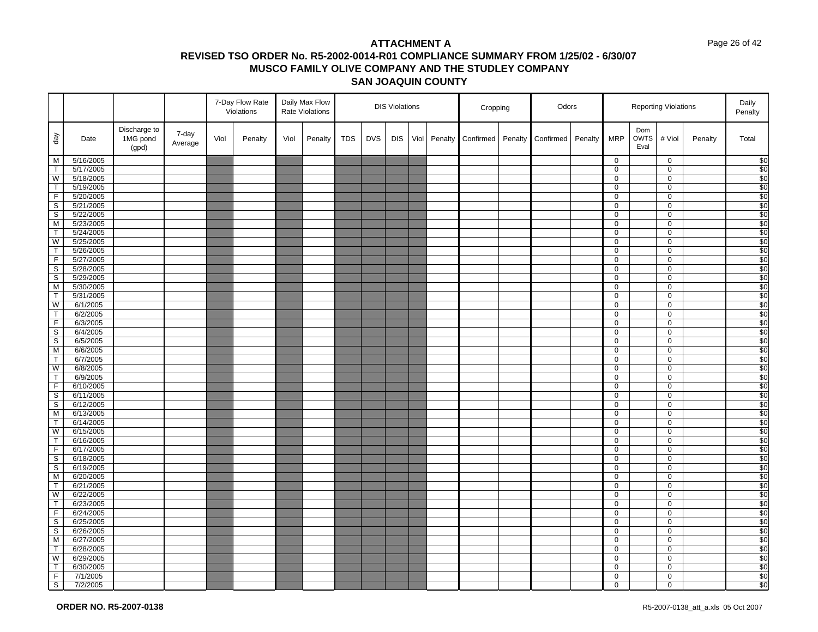#### Page 26 of 42

|                         |                        |                                   |                  |      | 7-Day Flow Rate<br>Violations |      | Daily Max Flow<br>Rate Violations |            |            | <b>DIS Violations</b> |      |         | Cropping  |         | Odors     |         |                  |                            | <b>Reporting Violations</b> |         | Daily<br>Penalty |
|-------------------------|------------------------|-----------------------------------|------------------|------|-------------------------------|------|-----------------------------------|------------|------------|-----------------------|------|---------|-----------|---------|-----------|---------|------------------|----------------------------|-----------------------------|---------|------------------|
| $\sqrt{e}b$             | Date                   | Discharge to<br>1MG pond<br>(gpd) | 7-day<br>Average | Viol | Penalty                       | Viol | Penalty                           | <b>TDS</b> | <b>DVS</b> | <b>DIS</b>            | Viol | Penalty | Confirmed | Penalty | Confirmed | Penalty | <b>MRP</b>       | Dom<br><b>OWTS</b><br>Eval | # Viol                      | Penalty | Total            |
| M                       | 5/16/2005              |                                   |                  |      |                               |      |                                   |            |            |                       |      |         |           |         |           |         | $\mathbf 0$      |                            | $\mathbf 0$                 |         | \$0              |
| $\mathsf{T}$            | 5/17/2005              |                                   |                  |      |                               |      |                                   |            |            |                       |      |         |           |         |           |         | $\mathbf 0$      |                            | $\mathsf 0$                 |         | \$0              |
| W                       | 5/18/2005              |                                   |                  |      |                               |      |                                   |            |            |                       |      |         |           |         |           |         | 0                |                            | $\mathbf 0$                 |         | \$0              |
| $\overline{\mathsf{T}}$ | 5/19/2005              |                                   |                  |      |                               |      |                                   |            |            |                       |      |         |           |         |           |         | $\overline{0}$   |                            | $\overline{0}$              |         | \$0              |
| $\mathsf F$             | 5/20/2005              |                                   |                  |      |                               |      |                                   |            |            |                       |      |         |           |         |           |         | 0                |                            | $\mathbf 0$                 |         | \$0              |
| $\mathsf S$             | 5/21/2005              |                                   |                  |      |                               |      |                                   |            |            |                       |      |         |           |         |           |         | $\mathbf 0$      |                            | $\mathbf 0$                 |         | \$0              |
| S                       | 5/22/2005              |                                   |                  |      |                               |      |                                   |            |            |                       |      |         |           |         |           |         | 0                |                            | $\mathbf 0$                 |         | \$0              |
| M                       | 5/23/2005              |                                   |                  |      |                               |      |                                   |            |            |                       |      |         |           |         |           |         | 0                |                            | 0                           |         | \$0              |
| $\top$                  | 5/24/2005              |                                   |                  |      |                               |      |                                   |            |            |                       |      |         |           |         |           |         | 0                |                            | $\mathbf 0$                 |         | $\overline{\$0}$ |
| W                       | 5/25/2005              |                                   |                  |      |                               |      |                                   |            |            |                       |      |         |           |         |           |         | $\mathbf 0$      |                            | $\mathbf 0$                 |         | \$0              |
| $\top$<br>$\mathsf F$   | 5/26/2005              |                                   |                  |      |                               |      |                                   |            |            |                       |      |         |           |         |           |         | 0                |                            | 0                           |         | \$0              |
| $\mathsf{s}$            | 5/27/2005<br>5/28/2005 |                                   |                  |      |                               |      |                                   |            |            |                       |      |         |           |         |           |         | 0<br>0           |                            | $\mathbf 0$<br>$\mathbf 0$  |         | \$0<br>\$0       |
| $\mathbb S$             | 5/29/2005              |                                   |                  |      |                               |      |                                   |            |            |                       |      |         |           |         |           |         | $\mathbf 0$      |                            | $\mathbf 0$                 |         | \$0              |
| M                       | 5/30/2005              |                                   |                  |      |                               |      |                                   |            |            |                       |      |         |           |         |           |         | 0                |                            | $\mathbf 0$                 |         | $\overline{$}0$  |
| $\top$                  | 5/31/2005              |                                   |                  |      |                               |      |                                   |            |            |                       |      |         |           |         |           |         | 0                |                            | 0                           |         | \$0              |
| $\overline{\mathsf{W}}$ | 6/1/2005               |                                   |                  |      |                               |      |                                   |            |            |                       |      |         |           |         |           |         | 0                |                            | $\mathbf 0$                 |         | $\overline{\$0}$ |
| $\top$                  | 6/2/2005               |                                   |                  |      |                               |      |                                   |            |            |                       |      |         |           |         |           |         | 0                |                            | $\mathsf 0$                 |         | \$0              |
| $\overline{F}$          | 6/3/2005               |                                   |                  |      |                               |      |                                   |            |            |                       |      |         |           |         |           |         | 0                |                            | 0                           |         | \$0              |
| $\mathsf S$             | 6/4/2005               |                                   |                  |      |                               |      |                                   |            |            |                       |      |         |           |         |           |         | 0                |                            | 0                           |         | \$0              |
| $\overline{s}$          | 6/5/2005               |                                   |                  |      |                               |      |                                   |            |            |                       |      |         |           |         |           |         | $\mathbf 0$      |                            | $\mathbf 0$                 |         | \$0              |
| M                       | 6/6/2005               |                                   |                  |      |                               |      |                                   |            |            |                       |      |         |           |         |           |         | 0                |                            | $\mathbf 0$                 |         | \$0              |
| $\sf T$                 | 6/7/2005               |                                   |                  |      |                               |      |                                   |            |            |                       |      |         |           |         |           |         | 0                |                            | 0                           |         | $\overline{\$0}$ |
| W                       | 6/8/2005               |                                   |                  |      |                               |      |                                   |            |            |                       |      |         |           |         |           |         | 0                |                            | $\mathbf 0$                 |         | \$0              |
| $\top$                  | 6/9/2005               |                                   |                  |      |                               |      |                                   |            |            |                       |      |         |           |         |           |         | $\mathbf 0$      |                            | $\mathbf 0$                 |         | \$0              |
| $\overline{F}$          | 6/10/2005              |                                   |                  |      |                               |      |                                   |            |            |                       |      |         |           |         |           |         | 0                |                            | $\mathbf 0$                 |         | \$0              |
| $\overline{s}$          | 6/11/2005              |                                   |                  |      |                               |      |                                   |            |            |                       |      |         |           |         |           |         | $\overline{0}$   |                            | $\overline{0}$              |         | \$0              |
| $\mathbb S$             | 6/12/2005              |                                   |                  |      |                               |      |                                   |            |            |                       |      |         |           |         |           |         | 0                |                            | $\mathbf 0$                 |         | $\overline{\$0}$ |
| M                       | 6/13/2005              |                                   |                  |      |                               |      |                                   |            |            |                       |      |         |           |         |           |         | $\overline{0}$   |                            | $\mathbf 0$                 |         | \$0              |
| $\mathsf T$             | 6/14/2005              |                                   |                  |      |                               |      |                                   |            |            |                       |      |         |           |         |           |         | 0                |                            | 0                           |         | \$0              |
| W                       | 6/15/2005              |                                   |                  |      |                               |      |                                   |            |            |                       |      |         |           |         |           |         | $\mathbf 0$      |                            | 0                           |         | \$0              |
| $\mathsf{T}$            | 6/16/2005              |                                   |                  |      |                               |      |                                   |            |            |                       |      |         |           |         |           |         | 0                |                            | $\mathbf 0$                 |         | \$0              |
| $\overline{F}$          | 6/17/2005              |                                   |                  |      |                               |      |                                   |            |            |                       |      |         |           |         |           |         | 0                |                            | $\mathbf 0$                 |         | \$0              |
| $\overline{s}$          | 6/18/2005              |                                   |                  |      |                               |      |                                   |            |            |                       |      |         |           |         |           |         | $\mathbf 0$      |                            | $\mathbf 0$                 |         | \$0              |
| S                       | 6/19/2005              |                                   |                  |      |                               |      |                                   |            |            |                       |      |         |           |         |           |         | 0                |                            | $\mathbf 0$                 |         | \$0              |
| M<br>$\mathsf{T}$       | 6/20/2005<br>6/21/2005 |                                   |                  |      |                               |      |                                   |            |            |                       |      |         |           |         |           |         | 0                |                            | $\mathbf 0$                 |         | \$0              |
| W                       | 6/22/2005              |                                   |                  |      |                               |      |                                   |            |            |                       |      |         |           |         |           |         | $\mathbf 0$<br>0 |                            | $\mathsf 0$<br>0            |         | \$0<br>\$0       |
| $\top$                  | 6/23/2005              |                                   |                  |      |                               |      |                                   |            |            |                       |      |         |           |         |           |         | $\mathbf 0$      |                            | $\mathbf 0$                 |         | \$0              |
| $\overline{F}$          | 6/24/2005              |                                   |                  |      |                               |      |                                   |            |            |                       |      |         |           |         |           |         | 0                |                            | $\mathbf 0$                 |         | \$0              |
| $\mathsf S$             | 6/25/2005              |                                   |                  |      |                               |      |                                   |            |            |                       |      |         |           |         |           |         | $\mathbf 0$      |                            | $\mathbf 0$                 |         | \$0              |
| $\mathbb S$             | 6/26/2005              |                                   |                  |      |                               |      |                                   |            |            |                       |      |         |           |         |           |         | 0                |                            | $\mathbf 0$                 |         | $\overline{\$0}$ |
| M                       | 6/27/2005              |                                   |                  |      |                               |      |                                   |            |            |                       |      |         |           |         |           |         | $\overline{0}$   |                            | $\overline{0}$              |         | \$0              |
| $\mathsf T$             | 6/28/2005              |                                   |                  |      |                               |      |                                   |            |            |                       |      |         |           |         |           |         | 0                |                            | $\mathbf 0$                 |         | $\overline{\$0}$ |
| W                       | 6/29/2005              |                                   |                  |      |                               |      |                                   |            |            |                       |      |         |           |         |           |         | 0                |                            | $\mathbf 0$                 |         | \$0              |
| $\mathsf T$             | 6/30/2005              |                                   |                  |      |                               |      |                                   |            |            |                       |      |         |           |         |           |         | $\overline{0}$   |                            | 0                           |         | \$0              |
| F.                      | 7/1/2005               |                                   |                  |      |                               |      |                                   |            |            |                       |      |         |           |         |           |         | 0                |                            | 0                           |         | \$0              |
| $\overline{s}$          | 7/2/2005               |                                   |                  |      |                               |      |                                   |            |            |                       |      |         |           |         |           |         | 0                |                            | 0                           |         | \$0              |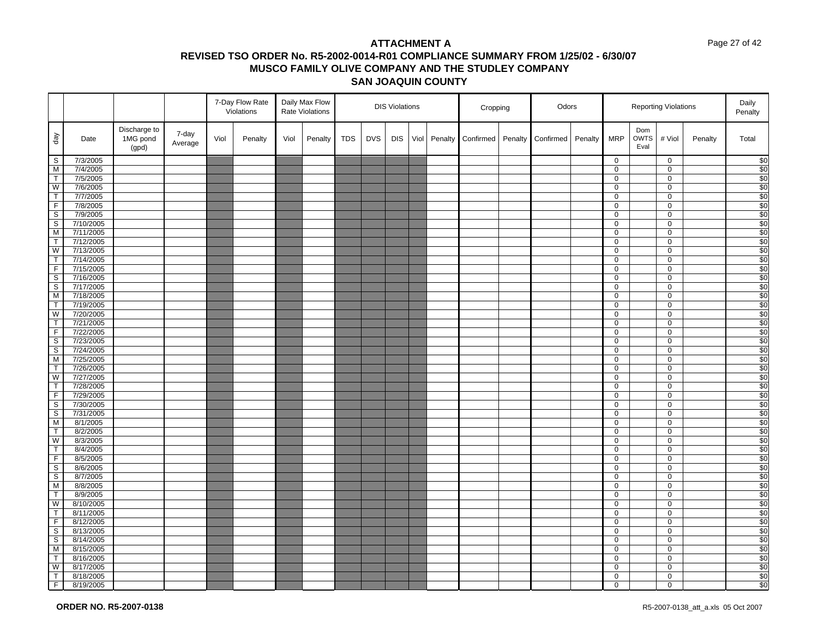#### Page 27 of 42

|                         |                        |                                   |                  |      | 7-Day Flow Rate<br>Violations |      | Daily Max Flow<br>Rate Violations |            |            | <b>DIS Violations</b> |      |         | Cropping  |         | Odors     |         |                |                            | <b>Reporting Violations</b> |         | Daily<br>Penalty        |
|-------------------------|------------------------|-----------------------------------|------------------|------|-------------------------------|------|-----------------------------------|------------|------------|-----------------------|------|---------|-----------|---------|-----------|---------|----------------|----------------------------|-----------------------------|---------|-------------------------|
| $\sqrt{eq}$             | Date                   | Discharge to<br>1MG pond<br>(gpd) | 7-day<br>Average | Viol | Penalty                       | Viol | Penalty                           | <b>TDS</b> | <b>DVS</b> | <b>DIS</b>            | Viol | Penalty | Confirmed | Penalty | Confirmed | Penalty | <b>MRP</b>     | Dom<br><b>OWTS</b><br>Eval | # Viol                      | Penalty | Total                   |
| S                       | 7/3/2005               |                                   |                  |      |                               |      |                                   |            |            |                       |      |         |           |         |           |         | $\mathbf 0$    |                            | $\mathbf 0$                 |         | \$0                     |
| M                       | 7/4/2005               |                                   |                  |      |                               |      |                                   |            |            |                       |      |         |           |         |           |         | $\overline{0}$ |                            | $\mathbf 0$                 |         | \$0                     |
| $\top$                  | 7/5/2005               |                                   |                  |      |                               |      |                                   |            |            |                       |      |         |           |         |           |         | 0              |                            | $\mathbf 0$                 |         | \$0                     |
| W                       | 7/6/2005               |                                   |                  |      |                               |      |                                   |            |            |                       |      |         |           |         |           |         | $\overline{0}$ |                            | 0                           |         | \$0                     |
| $\top$                  | 7/7/2005               |                                   |                  |      |                               |      |                                   |            |            |                       |      |         |           |         |           |         | 0              |                            | $\mathbf 0$                 |         | \$0                     |
| F.                      | 7/8/2005               |                                   |                  |      |                               |      |                                   |            |            |                       |      |         |           |         |           |         | 0              |                            | 0                           |         | \$0                     |
| $\overline{s}$          | 7/9/2005               |                                   |                  |      |                               |      |                                   |            |            |                       |      |         |           |         |           |         | $\overline{0}$ |                            | 0                           |         | \$0                     |
| $\mathbb S$             | 7/10/2005              |                                   |                  |      |                               |      |                                   |            |            |                       |      |         |           |         |           |         | 0              |                            | 0                           |         | \$0                     |
| M<br>$\mathsf{T}$       | 7/11/2005              |                                   |                  |      |                               |      |                                   |            |            |                       |      |         |           |         |           |         | 0<br>0         |                            | $\mathbf 0$<br>$\mathsf 0$  |         | $\overline{\$0}$<br>\$0 |
| W                       | 7/12/2005<br>7/13/2005 |                                   |                  |      |                               |      |                                   |            |            |                       |      |         |           |         |           |         | 0              |                            | 0                           |         | \$0                     |
| $\mathsf T$             | 7/14/2005              |                                   |                  |      |                               |      |                                   |            |            |                       |      |         |           |         |           |         | 0              |                            | 0                           |         | \$0                     |
| $\overline{F}$          | 7/15/2005              |                                   |                  |      |                               |      |                                   |            |            |                       |      |         |           |         |           |         | $\overline{0}$ |                            | $\mathbf 0$                 |         | \$0                     |
| $\mathbb S$             | 7/16/2005              |                                   |                  |      |                               |      |                                   |            |            |                       |      |         |           |         |           |         | $\mathbf 0$    |                            | $\mathbf 0$                 |         | \$0                     |
| S                       | 7/17/2005              |                                   |                  |      |                               |      |                                   |            |            |                       |      |         |           |         |           |         | 0              |                            | 0                           |         | \$0                     |
| M                       | 7/18/2005              |                                   |                  |      |                               |      |                                   |            |            |                       |      |         |           |         |           |         | $\mathbf{0}$   |                            | $\mathbf 0$                 |         | \$0                     |
| $\top$                  | 7/19/2005              |                                   |                  |      |                               |      |                                   |            |            |                       |      |         |           |         |           |         | 0              |                            | $\mathbf 0$                 |         | $\overline{\$0}$        |
| W                       | 7/20/2005              |                                   |                  |      |                               |      |                                   |            |            |                       |      |         |           |         |           |         | $\mathbf 0$    |                            | $\mathbf 0$                 |         | \$0                     |
| $\overline{\mathsf{T}}$ | 7/21/2005              |                                   |                  |      |                               |      |                                   |            |            |                       |      |         |           |         |           |         | $\overline{0}$ |                            | $\mathbf 0$                 |         | \$0                     |
| $\mathsf F$             | 7/22/2005              |                                   |                  |      |                               |      |                                   |            |            |                       |      |         |           |         |           |         | 0              |                            | $\mathbf 0$                 |         | $\frac{1}{20}$          |
| $\overline{\mathsf{s}}$ | 7/23/2005              |                                   |                  |      |                               |      |                                   |            |            |                       |      |         |           |         |           |         | $\overline{0}$ |                            | $\mathbf 0$                 |         | \$0                     |
| $\mathbb S$             | 7/24/2005              |                                   |                  |      |                               |      |                                   |            |            |                       |      |         |           |         |           |         | 0              |                            | $\mathbf 0$                 |         | \$0                     |
| M                       | 7/25/2005              |                                   |                  |      |                               |      |                                   |            |            |                       |      |         |           |         |           |         | 0              |                            | $\mathbf 0$                 |         | \$0                     |
| $\overline{\mathsf{T}}$ | 7/26/2005              |                                   |                  |      |                               |      |                                   |            |            |                       |      |         |           |         |           |         | 0              |                            | $\mathbf 0$                 |         | \$0                     |
| W                       | 7/27/2005              |                                   |                  |      |                               |      |                                   |            |            |                       |      |         |           |         |           |         | $\mathbf 0$    |                            | $\mathbf 0$                 |         | \$0                     |
| $\mathsf{T}$            | 7/28/2005              |                                   |                  |      |                               |      |                                   |            |            |                       |      |         |           |         |           |         | 0              |                            | $\mathbf 0$                 |         | $\overline{$}0$         |
| $\overline{F}$          | 7/29/2005              |                                   |                  |      |                               |      |                                   |            |            |                       |      |         |           |         |           |         | 0              |                            | 0                           |         | \$0                     |
| $\mathbb S$             | 7/30/2005              |                                   |                  |      |                               |      |                                   |            |            |                       |      |         |           |         |           |         | 0              |                            | $\mathbf 0$                 |         | \$0                     |
| $\overline{s}$          | 7/31/2005              |                                   |                  |      |                               |      |                                   |            |            |                       |      |         |           |         |           |         | $\overline{0}$ |                            | $\overline{0}$              |         | \$0                     |
| М                       | 8/1/2005               |                                   |                  |      |                               |      |                                   |            |            |                       |      |         |           |         |           |         | 0              |                            | 0                           |         | \$0                     |
| $\top$<br>W             | 8/2/2005               |                                   |                  |      |                               |      |                                   |            |            |                       |      |         |           |         |           |         | 0              |                            | $\mathbf 0$                 |         | \$0<br>$\frac{1}{20}$   |
| $\top$                  | 8/3/2005<br>8/4/2005   |                                   |                  |      |                               |      |                                   |            |            |                       |      |         |           |         |           |         | 0<br>0         |                            | $\mathbf 0$<br>$\mathbf 0$  |         | \$0                     |
| $\overline{F}$          | 8/5/2005               |                                   |                  |      |                               |      |                                   |            |            |                       |      |         |           |         |           |         | 0              |                            | $\mathbf 0$                 |         | \$0                     |
| S                       | 8/6/2005               |                                   |                  |      |                               |      |                                   |            |            |                       |      |         |           |         |           |         | 0              |                            | 0                           |         | \$0                     |
| $\overline{s}$          | 8/7/2005               |                                   |                  |      |                               |      |                                   |            |            |                       |      |         |           |         |           |         | 0              |                            | $\mathbf 0$                 |         | \$0                     |
| M                       | 8/8/2005               |                                   |                  |      |                               |      |                                   |            |            |                       |      |         |           |         |           |         | 0              |                            | $\mathsf 0$                 |         | \$0                     |
| $\overline{\mathsf{T}}$ | 8/9/2005               |                                   |                  |      |                               |      |                                   |            |            |                       |      |         |           |         |           |         | 0              |                            | 0                           |         | $\overline{$}0$         |
| W                       | 8/10/2005              |                                   |                  |      |                               |      |                                   |            |            |                       |      |         |           |         |           |         | 0              |                            | 0                           |         | \$0                     |
| $\mathsf T$             | 8/11/2005              |                                   |                  |      |                               |      |                                   |            |            |                       |      |         |           |         |           |         | 0              |                            | $\mathbf 0$                 |         | \$0                     |
| $\overline{F}$          | 8/12/2005              |                                   |                  |      |                               |      |                                   |            |            |                       |      |         |           |         |           |         | 0              |                            | $\mathbf 0$                 |         | \$0                     |
| $\overline{\mathbf{s}}$ | 8/13/2005              |                                   |                  |      |                               |      |                                   |            |            |                       |      |         |           |         |           |         | 0              |                            | $\mathbf 0$                 |         | \$0                     |
| S                       | 8/14/2005              |                                   |                  |      |                               |      |                                   |            |            |                       |      |         |           |         |           |         | $\overline{0}$ |                            | $\overline{0}$              |         | \$0                     |
| M                       | 8/15/2005              |                                   |                  |      |                               |      |                                   |            |            |                       |      |         |           |         |           |         | 0              |                            | $\mathbf 0$                 |         | \$0                     |
| $\mathsf{T}$            | 8/16/2005              |                                   |                  |      |                               |      |                                   |            |            |                       |      |         |           |         |           |         | 0              |                            | $\mathbf 0$                 |         | \$0                     |
| W                       | 8/17/2005              |                                   |                  |      |                               |      |                                   |            |            |                       |      |         |           |         |           |         | $\overline{0}$ |                            | $\overline{0}$              |         | \$0                     |
| $\mathsf T$             | 8/18/2005              |                                   |                  |      |                               |      |                                   |            |            |                       |      |         |           |         |           |         | 0              |                            | 0                           |         | \$0                     |
| F                       | 8/19/2005              |                                   |                  |      |                               |      |                                   |            |            |                       |      |         |           |         |           |         | 0              |                            | 0                           |         | \$0                     |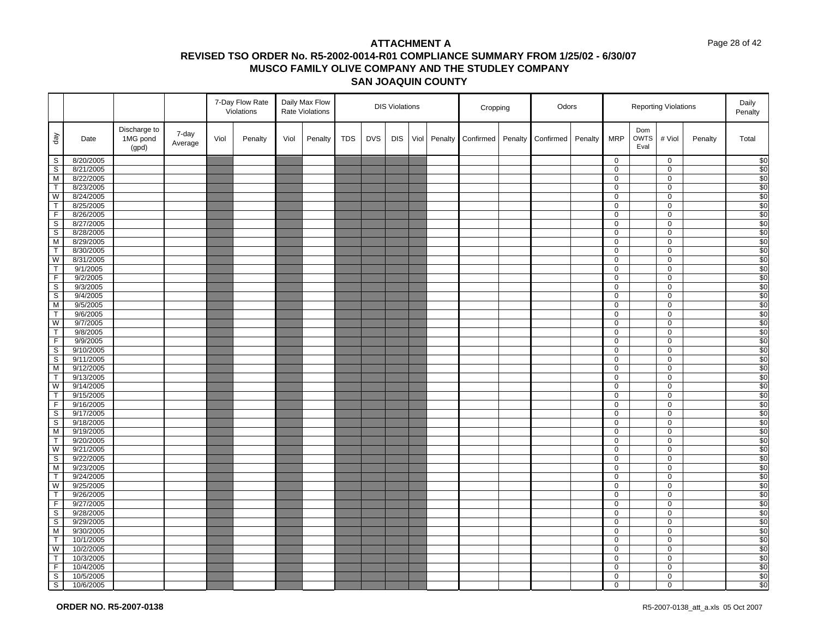#### Page 28 of 42

|                                        |                        |                                   |                  |      | 7-Day Flow Rate<br>Violations |      | Daily Max Flow<br>Rate Violations |            |            | <b>DIS Violations</b> |      |         | Cropping  |         | Odors     |         |                     |                            | <b>Reporting Violations</b> |         | Daily<br>Penalty                        |
|----------------------------------------|------------------------|-----------------------------------|------------------|------|-------------------------------|------|-----------------------------------|------------|------------|-----------------------|------|---------|-----------|---------|-----------|---------|---------------------|----------------------------|-----------------------------|---------|-----------------------------------------|
| $\sqrt{e}b$                            | Date                   | Discharge to<br>1MG pond<br>(gpd) | 7-day<br>Average | Viol | Penalty                       | Viol | Penalty                           | <b>TDS</b> | <b>DVS</b> | <b>DIS</b>            | Viol | Penalty | Confirmed | Penalty | Confirmed | Penalty | <b>MRP</b>          | Dom<br><b>OWTS</b><br>Eval | # Viol                      | Penalty | Total                                   |
| $\mathsf{S}$                           | 8/20/2005              |                                   |                  |      |                               |      |                                   |            |            |                       |      |         |           |         |           |         | $\mathbf 0$         |                            | $\mathbf 0$                 |         | $\begin{array}{c} 80 \\ 80 \end{array}$ |
| s                                      | 8/21/2005              |                                   |                  |      |                               |      |                                   |            |            |                       |      |         |           |         |           |         | $\overline{0}$      |                            | 0                           |         |                                         |
| M                                      | 8/22/2005              |                                   |                  |      |                               |      |                                   |            |            |                       |      |         |           |         |           |         | $\mathbf 0$         |                            | 0                           |         | \$0                                     |
| $\overline{\mathsf{T}}$                | 8/23/2005              |                                   |                  |      |                               |      |                                   |            |            |                       |      |         |           |         |           |         | 0                   |                            | 0                           |         | \$0                                     |
| W                                      | 8/24/2005              |                                   |                  |      |                               |      |                                   |            |            |                       |      |         |           |         |           |         | 0                   |                            | 0                           |         | \$0                                     |
| $\overline{T}$                         | 8/25/2005              |                                   |                  |      |                               |      |                                   |            |            |                       |      |         |           |         |           |         | $\mathbf 0$         |                            | $\mathbf 0$                 |         | $\overline{\$0}$                        |
| F                                      | 8/26/2005              |                                   |                  |      |                               |      |                                   |            |            |                       |      |         |           |         |           |         | $\mathbf 0$         |                            | 0                           |         | \$0                                     |
| $\overline{\mathbf{s}}$                | 8/27/2005              |                                   |                  |      |                               |      |                                   |            |            |                       |      |         |           |         |           |         | 0                   |                            | 0                           |         | \$0                                     |
| $\mathsf S$                            | 8/28/2005              |                                   |                  |      |                               |      |                                   |            |            |                       |      |         |           |         |           |         | $\mathbf 0$         |                            | $\pmb{0}$                   |         | $\overline{30}$                         |
| M                                      | 8/29/2005              |                                   |                  |      |                               |      |                                   |            |            |                       |      |         |           |         |           |         | $\overline{0}$      |                            | 0                           |         | \$0                                     |
| T                                      | 8/30/2005              |                                   |                  |      |                               |      |                                   |            |            |                       |      |         |           |         |           |         | 0                   |                            | 0                           |         | \$0                                     |
| W                                      | 8/31/2005              |                                   |                  |      |                               |      |                                   |            |            |                       |      |         |           |         |           |         | 0                   |                            | $\pmb{0}$                   |         | \$0                                     |
| T                                      | 9/1/2005               |                                   |                  |      |                               |      |                                   |            |            |                       |      |         |           |         |           |         | 0                   |                            | 0                           |         | $\frac{1}{20}$                          |
| F                                      | 9/2/2005               |                                   |                  |      |                               |      |                                   |            |            |                       |      |         |           |         |           |         | $\mathbf 0$         |                            | $\pmb{0}$                   |         | \$0                                     |
| S                                      | 9/3/2005               |                                   |                  |      |                               |      |                                   |            |            |                       |      |         |           |         |           |         | $\mathbf 0$         |                            | 0                           |         | $\frac{1}{20}$                          |
| $\overline{\mathbf{s}}$                | 9/4/2005               |                                   |                  |      |                               |      |                                   |            |            |                       |      |         |           |         |           |         | 0                   |                            | 0                           |         | \$0                                     |
| M                                      | 9/5/2005               |                                   |                  |      |                               |      |                                   |            |            |                       |      |         |           |         |           |         | 0                   |                            | 0                           |         | $\overline{$}0$                         |
| T                                      | 9/6/2005               |                                   |                  |      |                               |      |                                   |            |            |                       |      |         |           |         |           |         | $\mathbf 0$         |                            | $\mathsf{O}$                |         | \$0                                     |
| W                                      | 9/7/2005               |                                   |                  |      |                               |      |                                   |            |            |                       |      |         |           |         |           |         | $\mathbf 0$         |                            | 0                           |         | \$0                                     |
| $\mathsf{T}$<br>F                      | 9/8/2005               |                                   |                  |      |                               |      |                                   |            |            |                       |      |         |           |         |           |         | 0<br>$\overline{0}$ |                            | 0                           |         | \$0<br>$\overline{$}0$                  |
|                                        | 9/9/2005               |                                   |                  |      |                               |      |                                   |            |            |                       |      |         |           |         |           |         |                     |                            | 0                           |         |                                         |
| $\mathsf S$<br>$\overline{\mathbf{s}}$ | 9/10/2005              |                                   |                  |      |                               |      |                                   |            |            |                       |      |         |           |         |           |         | 0                   |                            | 0                           |         | \$0<br>$\overline{\$0}$                 |
| M                                      | 9/11/2005<br>9/12/2005 |                                   |                  |      |                               |      |                                   |            |            |                       |      |         |           |         |           |         | 0<br>0              |                            | 0<br>0                      |         |                                         |
| $\overline{T}$                         |                        |                                   |                  |      |                               |      |                                   |            |            |                       |      |         |           |         |           |         | $\mathsf 0$         |                            | $\pmb{0}$                   |         | \$0<br>\$0                              |
| W                                      | 9/13/2005<br>9/14/2005 |                                   |                  |      |                               |      |                                   |            |            |                       |      |         |           |         |           |         | $\mathbf 0$         |                            | 0                           |         | \$0                                     |
| $\overline{\mathsf{T}}$                | 9/15/2005              |                                   |                  |      |                               |      |                                   |            |            |                       |      |         |           |         |           |         | $\overline{0}$      |                            | 0                           |         | \$0                                     |
| F.                                     | 9/16/2005              |                                   |                  |      |                               |      |                                   |            |            |                       |      |         |           |         |           |         | $\mathbf{0}$        |                            | 0                           |         | \$0                                     |
| $\overline{\mathbf{s}}$                | 9/17/2005              |                                   |                  |      |                               |      |                                   |            |            |                       |      |         |           |         |           |         | $\mathbf 0$         |                            | $\pmb{0}$                   |         | \$0                                     |
| $\overline{\mathbf{s}}$                | 9/18/2005              |                                   |                  |      |                               |      |                                   |            |            |                       |      |         |           |         |           |         | $\mathbf 0$         |                            | 0                           |         | \$0                                     |
| ${\sf M}$                              | 9/19/2005              |                                   |                  |      |                               |      |                                   |            |            |                       |      |         |           |         |           |         | $\mathbf 0$         |                            | 0                           |         | $\overline{\$0}$                        |
| T                                      | 9/20/2005              |                                   |                  |      |                               |      |                                   |            |            |                       |      |         |           |         |           |         | 0                   |                            | 0                           |         | \$0                                     |
| W                                      | 9/21/2005              |                                   |                  |      |                               |      |                                   |            |            |                       |      |         |           |         |           |         | $\mathbf 0$         |                            | $\pmb{0}$                   |         | \$0                                     |
| $\overline{\mathbf{s}}$                | 9/22/2005              |                                   |                  |      |                               |      |                                   |            |            |                       |      |         |           |         |           |         | $\mathbf 0$         |                            | 0                           |         | \$0                                     |
| M                                      | 9/23/2005              |                                   |                  |      |                               |      |                                   |            |            |                       |      |         |           |         |           |         | $\overline{0}$      |                            | $\overline{0}$              |         | \$0                                     |
| T                                      | 9/24/2005              |                                   |                  |      |                               |      |                                   |            |            |                       |      |         |           |         |           |         | $\mathbf 0$         |                            | $\pmb{0}$                   |         | \$0                                     |
| W                                      | 9/25/2005              |                                   |                  |      |                               |      |                                   |            |            |                       |      |         |           |         |           |         | $\overline{0}$      |                            | $\mathbf 0$                 |         | \$0                                     |
| $\overline{T}$                         | 9/26/2005              |                                   |                  |      |                               |      |                                   |            |            |                       |      |         |           |         |           |         | 0                   |                            | 0                           |         | \$0                                     |
| $\overline{F}$                         | 9/27/2005              |                                   |                  |      |                               |      |                                   |            |            |                       |      |         |           |         |           |         | 0                   |                            | $\pmb{0}$                   |         | \$0                                     |
| S                                      | 9/28/2005              |                                   |                  |      |                               |      |                                   |            |            |                       |      |         |           |         |           |         | 0                   |                            | 0                           |         | \$0                                     |
| $\overline{\mathbf{s}}$                | 9/29/2005              |                                   |                  |      |                               |      |                                   |            |            |                       |      |         |           |         |           |         | $\mathbf 0$         |                            | $\pmb{0}$                   |         | \$0                                     |
| M                                      | 9/30/2005              |                                   |                  |      |                               |      |                                   |            |            |                       |      |         |           |         |           |         | $\mathbf 0$         |                            | 0                           |         | $\overline{\$0}$                        |
| $\overline{1}$                         | 10/1/2005              |                                   |                  |      |                               |      |                                   |            |            |                       |      |         |           |         |           |         | 0                   |                            | 0                           |         | \$0                                     |
| W                                      | 10/2/2005              |                                   |                  |      |                               |      |                                   |            |            |                       |      |         |           |         |           |         | 0                   |                            | 0                           |         | \$0                                     |
| $\mathsf{T}$                           | 10/3/2005              |                                   |                  |      |                               |      |                                   |            |            |                       |      |         |           |         |           |         | $\mathbf 0$         |                            | $\pmb{0}$                   |         | \$0                                     |
| F                                      | 10/4/2005              |                                   |                  |      |                               |      |                                   |            |            |                       |      |         |           |         |           |         | 0                   |                            | 0                           |         | \$0                                     |
| $\mathbb S$                            | 10/5/2005              |                                   |                  |      |                               |      |                                   |            |            |                       |      |         |           |         |           |         | 0                   |                            | 0                           |         | \$0                                     |
| $\mathbf{s}$                           | 10/6/2005              |                                   |                  |      |                               |      |                                   |            |            |                       |      |         |           |         |           |         | $\mathbf 0$         |                            | 0                           |         | \$0                                     |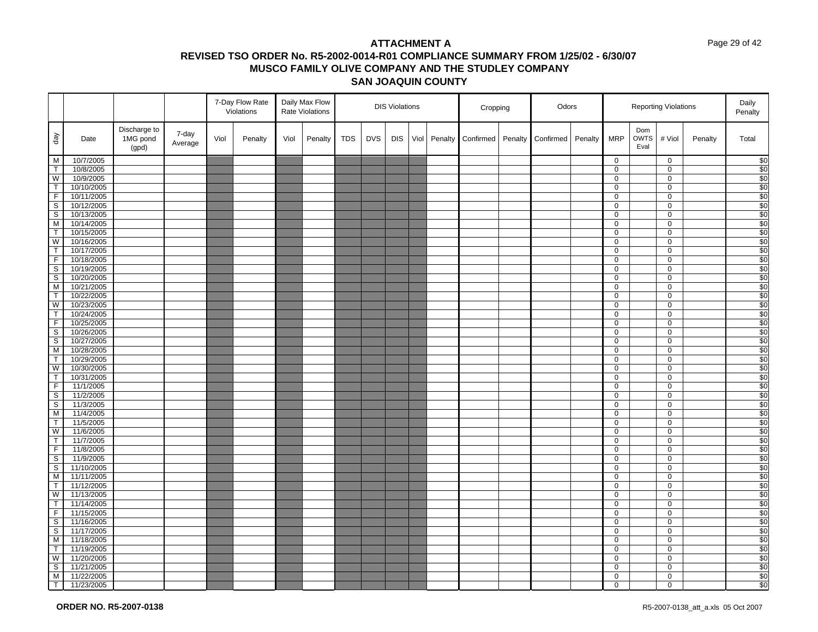#### Page 29 of 42

|                         |                          |                                   |                  |      | 7-Day Flow Rate<br>Violations |      | Daily Max Flow<br>Rate Violations |            |            | <b>DIS Violations</b> |      |         | Cropping  |         | Odors     |         |                     | <b>Reporting Violations</b> |                            |         | Daily<br>Penalty            |
|-------------------------|--------------------------|-----------------------------------|------------------|------|-------------------------------|------|-----------------------------------|------------|------------|-----------------------|------|---------|-----------|---------|-----------|---------|---------------------|-----------------------------|----------------------------|---------|-----------------------------|
| day                     | Date                     | Discharge to<br>1MG pond<br>(gpd) | 7-day<br>Average | Viol | Penalty                       | Viol | Penalty                           | <b>TDS</b> | <b>DVS</b> | <b>DIS</b>            | Viol | Penalty | Confirmed | Penalty | Confirmed | Penalty | <b>MRP</b>          | Dom<br><b>OWTS</b><br>Eval  | # Viol                     | Penalty | Total                       |
| M                       | 10/7/2005                |                                   |                  |      |                               |      |                                   |            |            |                       |      |         |           |         |           |         | 0                   |                             | $\mathbf 0$                |         | $\sqrt{6}$                  |
| $\overline{T}$          | 10/8/2005                |                                   |                  |      |                               |      |                                   |            |            |                       |      |         |           |         |           |         | 0                   |                             | $\mathbf 0$                |         | $\overline{$}$ <sup>0</sup> |
| W                       | 10/9/2005                |                                   |                  |      |                               |      |                                   |            |            |                       |      |         |           |         |           |         | 0                   |                             | $\mathsf 0$                |         | \$0                         |
| $\overline{1}$          | 10/10/2005               |                                   |                  |      |                               |      |                                   |            |            |                       |      |         |           |         |           |         | 0                   |                             | $\mathbf 0$                |         | \$0                         |
| F                       | 10/11/2005               |                                   |                  |      |                               |      |                                   |            |            |                       |      |         |           |         |           |         | 0                   |                             | $\mathsf{O}\xspace$        |         | \$0                         |
| $\mathsf S$             | 10/12/2005               |                                   |                  |      |                               |      |                                   |            |            |                       |      |         |           |         |           |         | 0                   |                             | $\mathbf 0$                |         | \$0                         |
| $\overline{\mathbf{s}}$ | 10/13/2005               |                                   |                  |      |                               |      |                                   |            |            |                       |      |         |           |         |           |         | 0                   |                             | $\mathbf 0$                |         | \$0                         |
| M                       | 10/14/2005               |                                   |                  |      |                               |      |                                   |            |            |                       |      |         |           |         |           |         | 0                   |                             | $\mathbf 0$                |         | \$0                         |
| T                       | 10/15/2005               |                                   |                  |      |                               |      |                                   |            |            |                       |      |         |           |         |           |         | 0                   |                             | $\mathbf 0$                |         | \$0                         |
| W                       | 10/16/2005               |                                   |                  |      |                               |      |                                   |            |            |                       |      |         |           |         |           |         | 0                   |                             | $\mathbf 0$                |         | $\overline{\$0}$            |
| T                       | 10/17/2005               |                                   |                  |      |                               |      |                                   |            |            |                       |      |         |           |         |           |         | 0                   |                             | $\mathsf 0$                |         | \$0                         |
| $\mathsf F$             | 10/18/2005               |                                   |                  |      |                               |      |                                   |            |            |                       |      |         |           |         |           |         | 0                   |                             | $\mathbf 0$                |         | $\overline{30}$             |
| $\overline{\mathbf{s}}$ | 10/19/2005               |                                   |                  |      |                               |      |                                   |            |            |                       |      |         |           |         |           |         | 0                   |                             | $\mathsf{O}\xspace$        |         | $\overline{\$0}$            |
| S                       | 10/20/2005               |                                   |                  |      |                               |      |                                   |            |            |                       |      |         |           |         |           |         | 0<br>$\overline{0}$ |                             | $\mathbf 0$                |         | \$0                         |
| M<br>T                  | 10/21/2005               |                                   |                  |      |                               |      |                                   |            |            |                       |      |         |           |         |           |         |                     |                             | $\overline{0}$             |         | \$0                         |
| W                       | 10/22/2005<br>10/23/2005 |                                   |                  |      |                               |      |                                   |            |            |                       |      |         |           |         |           |         | 0<br>0              |                             | $\mathbf 0$<br>$\mathbf 0$ |         | \$0<br>\$0                  |
| $\overline{t}$          | 10/24/2005               |                                   |                  |      |                               |      |                                   |            |            |                       |      |         |           |         |           |         | 0                   |                             | $\mathbf 0$                |         | $\overline{$}$ <sup>0</sup> |
| $\mathsf F$             | 10/25/2005               |                                   |                  |      |                               |      |                                   |            |            |                       |      |         |           |         |           |         | 0                   |                             | $\mathbf 0$                |         | \$0                         |
| $\mathsf S$             | 10/26/2005               |                                   |                  |      |                               |      |                                   |            |            |                       |      |         |           |         |           |         | 0                   |                             | $\mathbf 0$                |         | $\overline{30}$             |
| $\overline{\mathbf{s}}$ | 10/27/2005               |                                   |                  |      |                               |      |                                   |            |            |                       |      |         |           |         |           |         | 0                   |                             | $\mathbf 0$                |         | \$0                         |
| M                       | 10/28/2005               |                                   |                  |      |                               |      |                                   |            |            |                       |      |         |           |         |           |         | 0                   |                             | $\mathbf 0$                |         | \$0                         |
| $\mathsf{T}$            | 10/29/2005               |                                   |                  |      |                               |      |                                   |            |            |                       |      |         |           |         |           |         | 0                   |                             | $\mathbf 0$                |         | $\sqrt{50}$                 |
| W                       | 10/30/2005               |                                   |                  |      |                               |      |                                   |            |            |                       |      |         |           |         |           |         | 0                   |                             | $\mathbf 0$                |         | \$0                         |
| T                       | 10/31/2005               |                                   |                  |      |                               |      |                                   |            |            |                       |      |         |           |         |           |         | 0                   |                             | $\mathbf 0$                |         | $\sqrt{50}$                 |
| $\overline{F}$          | 11/1/2005                |                                   |                  |      |                               |      |                                   |            |            |                       |      |         |           |         |           |         | 0                   |                             | $\mathbf 0$                |         | $\overline{\$0}$            |
| S                       | 11/2/2005                |                                   |                  |      |                               |      |                                   |            |            |                       |      |         |           |         |           |         | 0                   |                             | $\overline{0}$             |         | \$0                         |
| $\mathsf S$             | 11/3/2005                |                                   |                  |      |                               |      |                                   |            |            |                       |      |         |           |         |           |         | 0                   |                             | $\mathbf 0$                |         | \$0                         |
| M                       | 11/4/2005                |                                   |                  |      |                               |      |                                   |            |            |                       |      |         |           |         |           |         | 0                   |                             | $\mathbf 0$                |         | \$0                         |
| T                       | 11/5/2005                |                                   |                  |      |                               |      |                                   |            |            |                       |      |         |           |         |           |         | 0                   |                             | $\mathbf 0$                |         | \$0                         |
| W                       | 11/6/2005                |                                   |                  |      |                               |      |                                   |            |            |                       |      |         |           |         |           |         | 0                   |                             | $\mathbf 0$                |         | \$0                         |
| $\top$                  | 11/7/2005                |                                   |                  |      |                               |      |                                   |            |            |                       |      |         |           |         |           |         | 0                   |                             | $\mathbf 0$                |         | $\overline{30}$             |
| $\mathsf F$             | 11/8/2005                |                                   |                  |      |                               |      |                                   |            |            |                       |      |         |           |         |           |         | 0                   |                             | $\mathbf 0$                |         | \$0                         |
| S                       | 11/9/2005                |                                   |                  |      |                               |      |                                   |            |            |                       |      |         |           |         |           |         | 0                   |                             | 0                          |         | \$0                         |
| $\mathsf{S}$            | 11/10/2005               |                                   |                  |      |                               |      |                                   |            |            |                       |      |         |           |         |           |         | 0                   |                             | $\mathbf 0$                |         | \$0                         |
| M                       | 11/11/2005               |                                   |                  |      |                               |      |                                   |            |            |                       |      |         |           |         |           |         | 0                   |                             | $\mathbf 0$                |         | \$0                         |
| T                       | 11/12/2005               |                                   |                  |      |                               |      |                                   |            |            |                       |      |         |           |         |           |         | 0                   |                             | $\mathbf 0$                |         | \$0                         |
| $\overline{\mathsf{w}}$ | 11/13/2005               |                                   |                  |      |                               |      |                                   |            |            |                       |      |         |           |         |           |         | 0                   |                             | $\mathbf 0$                |         | $\overline{\$0}$            |
| T                       | 11/14/2005               |                                   |                  |      |                               |      |                                   |            |            |                       |      |         |           |         |           |         | 0                   |                             | $\mathbf 0$                |         | \$0                         |
| F                       | 11/15/2005               |                                   |                  |      |                               |      |                                   |            |            |                       |      |         |           |         |           |         | 0                   |                             | $\mathbf 0$                |         | $\overline{30}$             |
| S                       | 11/16/2005               |                                   |                  |      |                               |      |                                   |            |            |                       |      |         |           |         |           |         | 0                   |                             | $\mathbf 0$                |         | \$0                         |
| S                       | 11/17/2005               |                                   |                  |      |                               |      |                                   |            |            |                       |      |         |           |         |           |         | 0                   |                             | 0<br>$\overline{0}$        |         | $\sqrt{50}$                 |
| M<br>T                  | 11/18/2005               |                                   |                  |      |                               |      |                                   |            |            |                       |      |         |           |         |           |         | 0                   |                             |                            |         | \$0<br>$\sqrt{50}$          |
| W                       | 11/19/2005<br>11/20/2005 |                                   |                  |      |                               |      |                                   |            |            |                       |      |         |           |         |           |         | 0<br>0              |                             | $\mathbf 0$<br>$\mathbf 0$ |         | \$0                         |
| s                       | 11/21/2005               |                                   |                  |      |                               |      |                                   |            |            |                       |      |         |           |         |           |         | 0                   |                             | $\overline{0}$             |         | \$0                         |
| M                       | 11/22/2005               |                                   |                  |      |                               |      |                                   |            |            |                       |      |         |           |         |           |         | 0                   |                             | $\mathbf 0$                |         | \$0                         |
| $\top$                  | 11/23/2005               |                                   |                  |      |                               |      |                                   |            |            |                       |      |         |           |         |           |         | 0                   |                             | $\Omega$                   |         | $\overline{50}$             |
|                         |                          |                                   |                  |      |                               |      |                                   |            |            |                       |      |         |           |         |           |         |                     |                             |                            |         |                             |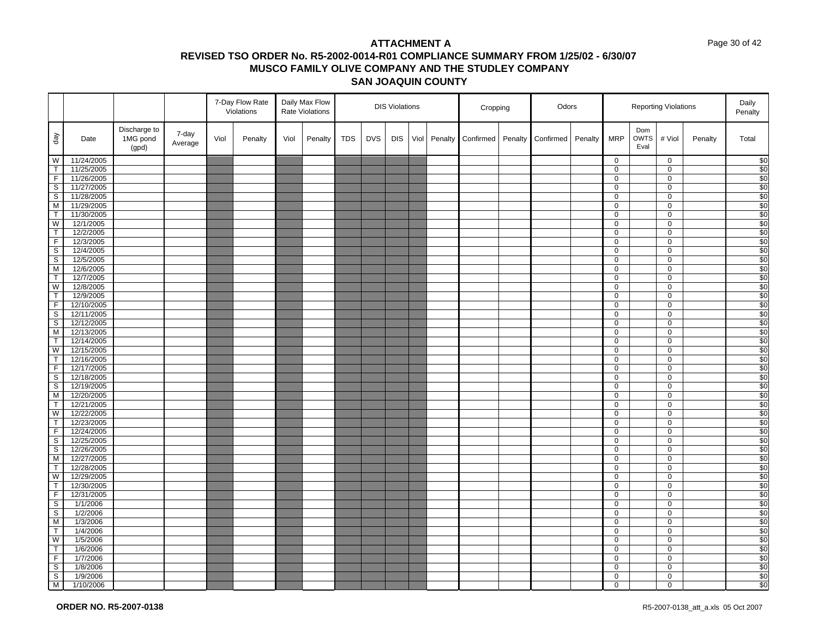#### Page 30 of 42

|                         |                          |                                   |                  |      | 7-Day Flow Rate<br>Violations |      | Daily Max Flow<br>Rate Violations |            |            | <b>DIS Violations</b> |      |         | Cropping  |         | Odors     |         |                  |                            | <b>Reporting Violations</b> |         | Daily<br>Penalty        |
|-------------------------|--------------------------|-----------------------------------|------------------|------|-------------------------------|------|-----------------------------------|------------|------------|-----------------------|------|---------|-----------|---------|-----------|---------|------------------|----------------------------|-----------------------------|---------|-------------------------|
| $\sqrt{e}b$             | Date                     | Discharge to<br>1MG pond<br>(gpd) | 7-day<br>Average | Viol | Penalty                       | Viol | Penalty                           | <b>TDS</b> | <b>DVS</b> | <b>DIS</b>            | Viol | Penalty | Confirmed | Penalty | Confirmed | Penalty | <b>MRP</b>       | Dom<br><b>OWTS</b><br>Eval | # Viol                      | Penalty | Total                   |
| W                       | 11/24/2005               |                                   |                  |      |                               |      |                                   |            |            |                       |      |         |           |         |           |         | $\overline{0}$   |                            | $\mathbf 0$                 |         |                         |
| $\mathsf{T}$            | 11/25/2005               |                                   |                  |      |                               |      |                                   |            |            |                       |      |         |           |         |           |         | $\mathbf 0$      |                            | $\mathbf 0$                 |         | $\frac{$0}{$0}$         |
| F                       | 11/26/2005               |                                   |                  |      |                               |      |                                   |            |            |                       |      |         |           |         |           |         | $\mathbf 0$      |                            | 0                           |         | $rac{1}{\$0}$           |
| S                       | 11/27/2005               |                                   |                  |      |                               |      |                                   |            |            |                       |      |         |           |         |           |         | 0                |                            | 0                           |         |                         |
| $\overline{\mathbf{s}}$ | 11/28/2005               |                                   |                  |      |                               |      |                                   |            |            |                       |      |         |           |         |           |         | $\mathsf 0$      |                            | $\mathsf{O}\xspace$         |         | \$0                     |
| M                       | 11/29/2005               |                                   |                  |      |                               |      |                                   |            |            |                       |      |         |           |         |           |         | 0                |                            | $\mathbf 0$                 |         | $\overline{\$0}$        |
| $\overline{\mathsf{T}}$ | 11/30/2005               |                                   |                  |      |                               |      |                                   |            |            |                       |      |         |           |         |           |         | $\overline{0}$   |                            | 0                           |         | $\overline{$}0$         |
| W                       | 12/1/2005                |                                   |                  |      |                               |      |                                   |            |            |                       |      |         |           |         |           |         | 0                |                            | $\mathbf 0$                 |         | \$0                     |
| $\top$                  | 12/2/2005                |                                   |                  |      |                               |      |                                   |            |            |                       |      |         |           |         |           |         | 0                |                            | $\mathbf 0$                 |         | \$0                     |
| F                       | 12/3/2005                |                                   |                  |      |                               |      |                                   |            |            |                       |      |         |           |         |           |         | 0                |                            | $\mathbf 0$                 |         | \$0                     |
| $\overline{\mathbf{s}}$ | 12/4/2005                |                                   |                  |      |                               |      |                                   |            |            |                       |      |         |           |         |           |         | 0                |                            | 0                           |         | \$0                     |
| S                       | 12/5/2005                |                                   |                  |      |                               |      |                                   |            |            |                       |      |         |           |         |           |         | $\mathbf 0$      |                            | $\mathbf 0$                 |         | $\overline{\$0}$        |
| M                       | 12/6/2005                |                                   |                  |      |                               |      |                                   |            |            |                       |      |         |           |         |           |         | $\mathbf 0$      |                            | $\mathsf 0$                 |         | \$0                     |
| $\mathsf T$             | 12/7/2005                |                                   |                  |      |                               |      |                                   |            |            |                       |      |         |           |         |           |         | 0                |                            | $\mathbf 0$                 |         | \$0                     |
| W                       | 12/8/2005                |                                   |                  |      |                               |      |                                   |            |            |                       |      |         |           |         |           |         | $\overline{0}$   |                            | $\mathbf 0$                 |         | \$0                     |
| $\top$                  | 12/9/2005                |                                   |                  |      |                               |      |                                   |            |            |                       |      |         |           |         |           |         | 0                |                            | $\mathbf 0$                 |         | \$0                     |
| $\overline{F}$          | 12/10/2005               |                                   |                  |      |                               |      |                                   |            |            |                       |      |         |           |         |           |         | $\mathbf 0$      |                            | $\mathbf 0$                 |         | \$0                     |
| S                       | 12/11/2005               |                                   |                  |      |                               |      |                                   |            |            |                       |      |         |           |         |           |         | 0                |                            | $\mathbf 0$                 |         | $\overline{\$0}$        |
| $\mathbb S$             | 12/12/2005               |                                   |                  |      |                               |      |                                   |            |            |                       |      |         |           |         |           |         | 0                |                            | 0                           |         | \$0<br>$\overline{\$0}$ |
| M<br>$\mathsf{T}$       | 12/13/2005               |                                   |                  |      |                               |      |                                   |            |            |                       |      |         |           |         |           |         | 0                |                            | $\mathbf 0$                 |         |                         |
| W                       | 12/14/2005<br>12/15/2005 |                                   |                  |      |                               |      |                                   |            |            |                       |      |         |           |         |           |         | $\mathbf 0$<br>0 |                            | $\mathsf 0$<br>0            |         | \$0<br>\$0              |
| $\mathsf{T}$            | 12/16/2005               |                                   |                  |      |                               |      |                                   |            |            |                       |      |         |           |         |           |         | $\mathbf 0$      |                            | $\pmb{0}$                   |         | \$0                     |
| F                       | 12/17/2005               |                                   |                  |      |                               |      |                                   |            |            |                       |      |         |           |         |           |         | 0                |                            | $\mathbf 0$                 |         | \$0                     |
| $\mathbb S$             | 12/18/2005               |                                   |                  |      |                               |      |                                   |            |            |                       |      |         |           |         |           |         | $\mathbf 0$      |                            | $\mathbf 0$                 |         | \$0                     |
| S                       | 12/19/2005               |                                   |                  |      |                               |      |                                   |            |            |                       |      |         |           |         |           |         | 0                |                            | $\mathbf 0$                 |         | $\frac{1}{20}$          |
| M                       | 12/20/2005               |                                   |                  |      |                               |      |                                   |            |            |                       |      |         |           |         |           |         | 0                |                            | 0                           |         | \$0                     |
| $\mathsf{T}$            | 12/21/2005               |                                   |                  |      |                               |      |                                   |            |            |                       |      |         |           |         |           |         | $\mathbf{0}$     |                            | $\mathsf 0$                 |         | $\overline{\$0}$        |
| W                       | 12/22/2005               |                                   |                  |      |                               |      |                                   |            |            |                       |      |         |           |         |           |         | 0                |                            | $\mathsf 0$                 |         | \$0                     |
| $\mathsf{T}$            | 12/23/2005               |                                   |                  |      |                               |      |                                   |            |            |                       |      |         |           |         |           |         | 0                |                            | 0                           |         | \$0                     |
| F                       | 12/24/2005               |                                   |                  |      |                               |      |                                   |            |            |                       |      |         |           |         |           |         | 0                |                            | $\mathbf 0$                 |         | \$0                     |
| S                       | 12/25/2005               |                                   |                  |      |                               |      |                                   |            |            |                       |      |         |           |         |           |         | 0                |                            | $\mathbf 0$                 |         | $\overline{$}0$         |
| $\sf S$                 | 12/26/2005               |                                   |                  |      |                               |      |                                   |            |            |                       |      |         |           |         |           |         | 0                |                            | $\mathbf 0$                 |         | \$0                     |
| M                       | 12/27/2005               |                                   |                  |      |                               |      |                                   |            |            |                       |      |         |           |         |           |         | 0                |                            | $\mathbf 0$                 |         | \$0                     |
| $\mathsf{T}$            | 12/28/2005               |                                   |                  |      |                               |      |                                   |            |            |                       |      |         |           |         |           |         | 0                |                            | 0                           |         | \$0                     |
| $\overline{\text{W}}$   | 12/29/2005               |                                   |                  |      |                               |      |                                   |            |            |                       |      |         |           |         |           |         | 0                |                            | $\mathbf 0$                 |         | $\overline{\$0}$        |
| $\mathsf{T}$            | 12/30/2005               |                                   |                  |      |                               |      |                                   |            |            |                       |      |         |           |         |           |         | 0                |                            | $\mathbf 0$                 |         | \$0                     |
| $\overline{F}$          | 12/31/2005               |                                   |                  |      |                               |      |                                   |            |            |                       |      |         |           |         |           |         | 0                |                            | 0                           |         | \$0                     |
| $\mathbb S$             | 1/1/2006                 |                                   |                  |      |                               |      |                                   |            |            |                       |      |         |           |         |           |         | 0                |                            | 0                           |         | \$0                     |
| $\mathsf{s}$            | 1/2/2006                 |                                   |                  |      |                               |      |                                   |            |            |                       |      |         |           |         |           |         | 0                |                            | $\mathbf 0$                 |         | $\overline{$}0$         |
| M                       | 1/3/2006                 |                                   |                  |      |                               |      |                                   |            |            |                       |      |         |           |         |           |         | 0                |                            | $\mathbf 0$                 |         | \$0                     |
| $\top$                  | 1/4/2006                 |                                   |                  |      |                               |      |                                   |            |            |                       |      |         |           |         |           |         | 0                |                            | $\mathbf 0$                 |         | \$0                     |
| W                       | 1/5/2006                 |                                   |                  |      |                               |      |                                   |            |            |                       |      |         |           |         |           |         | $\overline{0}$   |                            | $\overline{0}$              |         | \$0                     |
| $\top$                  | 1/6/2006                 |                                   |                  |      |                               |      |                                   |            |            |                       |      |         |           |         |           |         | 0                |                            | $\mathbf 0$                 |         | $\overline{\$0}$        |
| $\overline{F}$          | 1/7/2006                 |                                   |                  |      |                               |      |                                   |            |            |                       |      |         |           |         |           |         | 0                |                            | $\mathbf 0$                 |         | \$0                     |
| $\overline{s}$          | 1/8/2006                 |                                   |                  |      |                               |      |                                   |            |            |                       |      |         |           |         |           |         | $\overline{0}$   |                            | $\overline{0}$              |         | \$0                     |
| $\mathbb S$             | 1/9/2006                 |                                   |                  |      |                               |      |                                   |            |            |                       |      |         |           |         |           |         | 0                |                            | 0                           |         | \$0                     |
| M                       | 1/10/2006                |                                   |                  |      |                               |      |                                   |            |            |                       |      |         |           |         |           |         | 0                |                            | 0                           |         | \$0                     |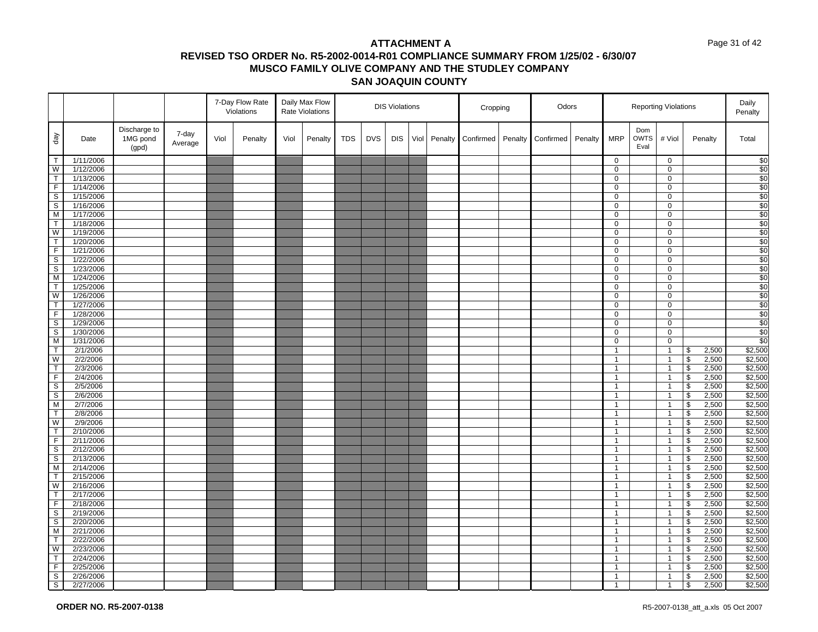#### Page 31 of 42

|                              |                      |                                   |                  |      | 7-Day Flow Rate<br>Violations |      | Daily Max Flow<br><b>Rate Violations</b> |            |            | <b>DIS Violations</b> |      |         | Cropping  |         | Odors     |         |                              |                            | <b>Reporting Violations</b>      |                                           |                | Daily<br>Penalty   |
|------------------------------|----------------------|-----------------------------------|------------------|------|-------------------------------|------|------------------------------------------|------------|------------|-----------------------|------|---------|-----------|---------|-----------|---------|------------------------------|----------------------------|----------------------------------|-------------------------------------------|----------------|--------------------|
| $\sqrt{e}b$                  | Date                 | Discharge to<br>1MG pond<br>(gpd) | 7-day<br>Average | Viol | Penalty                       | Viol | Penalty                                  | <b>TDS</b> | <b>DVS</b> | <b>DIS</b>            | Viol | Penalty | Confirmed | Penalty | Confirmed | Penalty | <b>MRP</b>                   | Dom<br><b>OWTS</b><br>Eval | # Viol                           |                                           | Penalty        | Total              |
| T                            | 1/11/2006            |                                   |                  |      |                               |      |                                          |            |            |                       |      |         |           |         |           |         | $\mathbf 0$                  |                            | $\mathbf 0$                      |                                           |                | $\frac{6}{3}$      |
| W                            | 1/12/2006            |                                   |                  |      |                               |      |                                          |            |            |                       |      |         |           |         |           |         | $\mathbf 0$                  |                            | 0                                |                                           |                | \$0                |
| $\top$                       | 1/13/2006            |                                   |                  |      |                               |      |                                          |            |            |                       |      |         |           |         |           |         | 0                            |                            | 0                                |                                           |                | \$0                |
| F                            | 1/14/2006            |                                   |                  |      |                               |      |                                          |            |            |                       |      |         |           |         |           |         | 0                            |                            | 0                                |                                           |                | \$0                |
| $\overline{\mathbf{s}}$      | 1/15/2006            |                                   |                  |      |                               |      |                                          |            |            |                       |      |         |           |         |           |         | $\mathsf 0$                  |                            | $\mathbf 0$                      |                                           |                | \$0                |
| S                            | 1/16/2006            |                                   |                  |      |                               |      |                                          |            |            |                       |      |         |           |         |           |         | 0                            |                            | 0                                |                                           |                | \$0                |
| $\overline{M}$               | 1/17/2006            |                                   |                  |      |                               |      |                                          |            |            |                       |      |         |           |         |           |         | 0                            |                            | 0                                |                                           |                | \$0                |
| T                            | 1/18/2006            |                                   |                  |      |                               |      |                                          |            |            |                       |      |         |           |         |           |         | 0                            |                            | 0                                |                                           |                | \$0                |
| W                            | 1/19/2006            |                                   |                  |      |                               |      |                                          |            |            |                       |      |         |           |         |           |         | $\mathbf 0$                  |                            | $\pmb{0}$                        |                                           |                | \$0                |
| T                            | 1/20/2006            |                                   |                  |      |                               |      |                                          |            |            |                       |      |         |           |         |           |         | 0                            |                            | 0                                |                                           |                | \$0                |
| F                            | 1/21/2006            |                                   |                  |      |                               |      |                                          |            |            |                       |      |         |           |         |           |         | 0                            |                            | 0                                |                                           |                | \$0                |
| $\mathbb S$                  | 1/22/2006            |                                   |                  |      |                               |      |                                          |            |            |                       |      |         |           |         |           |         | 0                            |                            | $\pmb{0}$                        |                                           |                | \$0                |
| $\overline{\mathbf{s}}$      | 1/23/2006            |                                   |                  |      |                               |      |                                          |            |            |                       |      |         |           |         |           |         | $\mathbf 0$                  |                            | $\mathbf 0$                      |                                           |                | \$0                |
| M                            | 1/24/2006            |                                   |                  |      |                               |      |                                          |            |            |                       |      |         |           |         |           |         | 0                            |                            | 0                                |                                           |                | \$0                |
| $\overline{\mathsf{T}}$      | 1/25/2006            |                                   |                  |      |                               |      |                                          |            |            |                       |      |         |           |         |           |         | $\overline{0}$               |                            | $\pmb{0}$                        |                                           |                | \$0                |
| W                            | 1/26/2006            |                                   |                  |      |                               |      |                                          |            |            |                       |      |         |           |         |           |         | 0                            |                            | 0                                |                                           |                | \$0                |
| $\mathsf{T}$                 | 1/27/2006            |                                   |                  |      |                               |      |                                          |            |            |                       |      |         |           |         |           |         | $\mathbf 0$                  |                            | $\mathbf 0$                      |                                           |                | \$0                |
| $\overline{F}$               | 1/28/2006            |                                   |                  |      |                               |      |                                          |            |            |                       |      |         |           |         |           |         | 0                            |                            | 0                                |                                           |                | \$0                |
| $\mathsf S$                  | 1/29/2006            |                                   |                  |      |                               |      |                                          |            |            |                       |      |         |           |         |           |         | 0                            |                            | 0                                |                                           |                | \$0                |
| S                            | 1/30/2006            |                                   |                  |      |                               |      |                                          |            |            |                       |      |         |           |         |           |         | $\mathbf 0$                  |                            | $\pmb{0}$                        |                                           |                | $\frac{6}{3}$      |
| M                            | 1/31/2006            |                                   |                  |      |                               |      |                                          |            |            |                       |      |         |           |         |           |         | $\mathbf 0$                  |                            | $\pmb{0}$                        |                                           |                | \$0                |
| $\mathsf{T}$                 | 2/1/2006             |                                   |                  |      |                               |      |                                          |            |            |                       |      |         |           |         |           |         | $\mathbf{1}$                 |                            | $\overline{1}$                   | \$                                        | 2,500          | \$2,500            |
| W<br>$\overline{\mathsf{T}}$ | 2/2/2006             |                                   |                  |      |                               |      |                                          |            |            |                       |      |         |           |         |           |         | $\mathbf{1}$                 |                            | $\overline{1}$                   | $\, \, \raisebox{12pt}{$\scriptstyle \$}$ | 2,500          | \$2,500<br>\$2,500 |
| F                            | 2/3/2006<br>2/4/2006 |                                   |                  |      |                               |      |                                          |            |            |                       |      |         |           |         |           |         | $\mathbf{1}$<br>$\mathbf{1}$ |                            | $\overline{1}$<br>$\overline{1}$ | \$<br>$\sqrt[6]{\frac{1}{2}}$             | 2,500<br>2,500 | \$2,500            |
| S                            | 2/5/2006             |                                   |                  |      |                               |      |                                          |            |            |                       |      |         |           |         |           |         | $\mathbf{1}$                 |                            | $\overline{1}$                   | $\boldsymbol{\theta}$                     | 2,500          | \$2,500            |
| S                            | 2/6/2006             |                                   |                  |      |                               |      |                                          |            |            |                       |      |         |           |         |           |         | $\mathbf{1}$                 |                            | $\overline{1}$                   | $\boldsymbol{\theta}$                     | 2,500          | \$2,500            |
| M                            | 2/7/2006             |                                   |                  |      |                               |      |                                          |            |            |                       |      |         |           |         |           |         | $\mathbf{1}$                 |                            | $\overline{1}$                   | $\, \, \raisebox{12pt}{$\scriptstyle \$}$ | 2,500          | \$2,500            |
| T                            | 2/8/2006             |                                   |                  |      |                               |      |                                          |            |            |                       |      |         |           |         |           |         | $\mathbf{1}$                 |                            | $\overline{1}$                   | $\boldsymbol{\theta}$                     | 2,500          | \$2,500            |
| W                            | 2/9/2006             |                                   |                  |      |                               |      |                                          |            |            |                       |      |         |           |         |           |         | $\mathbf{1}$                 |                            | $\overline{1}$                   | $\sqrt[6]{\frac{1}{2}}$                   | 2,500          | \$2,500            |
| $\mathsf{T}$                 | 2/10/2006            |                                   |                  |      |                               |      |                                          |            |            |                       |      |         |           |         |           |         | $\mathbf{1}$                 |                            | $\overline{1}$                   | \$                                        | 2,500          | \$2,500            |
| $\overline{F}$               | 2/11/2006            |                                   |                  |      |                               |      |                                          |            |            |                       |      |         |           |         |           |         | $\mathbf{1}$                 |                            | $\overline{1}$                   | $\sqrt[6]{\frac{1}{2}}$                   | 2,500          | \$2,500            |
| $\mathbb S$                  | 2/12/2006            |                                   |                  |      |                               |      |                                          |            |            |                       |      |         |           |         |           |         | $\mathbf{1}$                 |                            | $\overline{1}$                   | $$\mathfrak{s}$$                          | 2,500          | \$2,500            |
| S                            | 2/13/2006            |                                   |                  |      |                               |      |                                          |            |            |                       |      |         |           |         |           |         | $\mathbf{1}$                 |                            | $\overline{1}$                   | $\, \, \raisebox{12pt}{$\scriptstyle \$}$ | 2,500          | \$2,500            |
| M                            | 2/14/2006            |                                   |                  |      |                               |      |                                          |            |            |                       |      |         |           |         |           |         | $\mathbf{1}$                 |                            | $\mathbf{1}$                     | $\boldsymbol{\theta}$                     | 2,500          | \$2,500            |
| $\mathsf{T}$                 | 2/15/2006            |                                   |                  |      |                               |      |                                          |            |            |                       |      |         |           |         |           |         | $\mathbf{1}$                 |                            | $\overline{1}$                   | $\, \, \raisebox{12pt}{$\scriptstyle \$}$ | 2,500          | \$2,500            |
| W                            | 2/16/2006            |                                   |                  |      |                               |      |                                          |            |            |                       |      |         |           |         |           |         | $\mathbf{1}$                 |                            | $\overline{1}$                   | $\boldsymbol{\theta}$                     | 2,500          | \$2,500            |
| $\overline{\mathsf{T}}$      | 2/17/2006            |                                   |                  |      |                               |      |                                          |            |            |                       |      |         |           |         |           |         | $\mathbf{1}$                 |                            | $\overline{1}$                   | $\sqrt{2}$                                | 2,500          | \$2,500            |
| $\mathsf F$                  | 2/18/2006            |                                   |                  |      |                               |      |                                          |            |            |                       |      |         |           |         |           |         | $\mathbf{1}$                 |                            | $\overline{1}$                   | $\boldsymbol{\theta}$                     | 2,500          | \$2,500            |
| S                            | 2/19/2006            |                                   |                  |      |                               |      |                                          |            |            |                       |      |         |           |         |           |         | $\mathbf{1}$                 |                            | $\overline{1}$                   | $\sqrt[6]{\frac{1}{2}}$                   | 2,500          | \$2,500            |
| S                            | 2/20/2006            |                                   |                  |      |                               |      |                                          |            |            |                       |      |         |           |         |           |         | $\mathbf{1}$                 |                            | $\overline{1}$                   | \$                                        | 2,500          | \$2,500            |
| M                            | 2/21/2006            |                                   |                  |      |                               |      |                                          |            |            |                       |      |         |           |         |           |         | $\mathbf{1}$                 |                            | $\overline{1}$                   | $\, \, \raisebox{12pt}{$\scriptstyle \$}$ | 2,500          | \$2,500            |
| T                            | 2/22/2006            |                                   |                  |      |                               |      |                                          |            |            |                       |      |         |           |         |           |         | $\mathbf{1}$                 |                            | $\overline{1}$                   | $\boldsymbol{\theta}$                     | 2,500          | \$2,500            |
| W                            | 2/23/2006            |                                   |                  |      |                               |      |                                          |            |            |                       |      |         |           |         |           |         | $\mathbf{1}$                 |                            | $\overline{1}$                   | $\sqrt[6]{\frac{1}{2}}$                   | 2,500          | \$2,500            |
| T                            | 2/24/2006            |                                   |                  |      |                               |      |                                          |            |            |                       |      |         |           |         |           |         | $\mathbf{1}$                 |                            | $\overline{1}$                   | $\sqrt[6]{\frac{1}{2}}$                   | 2,500          | \$2,500            |
| $\overline{F}$               | 2/25/2006            |                                   |                  |      |                               |      |                                          |            |            |                       |      |         |           |         |           |         | $\mathbf{1}$                 |                            | $\overline{1}$                   | $\boldsymbol{\theta}$                     | 2,500          | \$2,500            |
| $\mathbb S$                  | 2/26/2006            |                                   |                  |      |                               |      |                                          |            |            |                       |      |         |           |         |           |         | $\mathbf{1}$                 |                            | $\overline{1}$                   | \$                                        | 2,500          | \$2,500            |
| s                            | 2/27/2006            |                                   |                  |      |                               |      |                                          |            |            |                       |      |         |           |         |           |         | $\mathbf{1}$                 |                            | $\overline{1}$                   | $\mathbf{\mathfrak{s}}$                   | 2,500          | \$2,500            |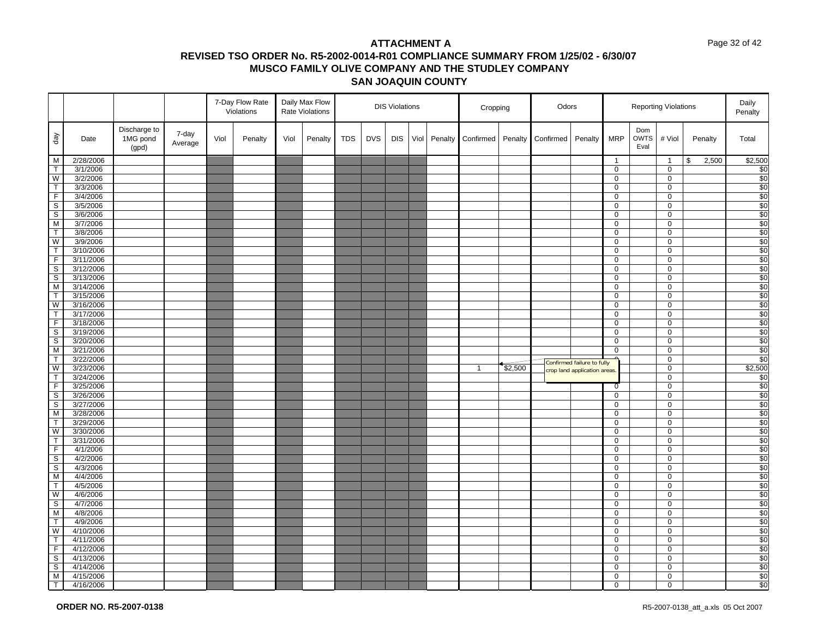#### Page 32 of 42

|                         |                        |                                   |                  |      | 7-Day Flow Rate<br>Violations |      | Daily Max Flow<br>Rate Violations |            |            | <b>DIS Violations</b> |      |         | Cropping     |         | Odors     |                              |                  |                            | <b>Reporting Violations</b> |             | Daily<br>Penalty        |
|-------------------------|------------------------|-----------------------------------|------------------|------|-------------------------------|------|-----------------------------------|------------|------------|-----------------------|------|---------|--------------|---------|-----------|------------------------------|------------------|----------------------------|-----------------------------|-------------|-------------------------|
| $\sqrt{e}b$             | Date                   | Discharge to<br>1MG pond<br>(gpd) | 7-day<br>Average | Viol | Penalty                       | Viol | Penalty                           | <b>TDS</b> | <b>DVS</b> | <b>DIS</b>            | Viol | Penalty | Confirmed    | Penalty | Confirmed | Penalty                      | <b>MRP</b>       | Dom<br><b>OWTS</b><br>Eval | # Viol                      | Penalty     | Total                   |
| $\overline{M}$          | 2/28/2006              |                                   |                  |      |                               |      |                                   |            |            |                       |      |         |              |         |           |                              | $\mathbf{1}$     |                            | $\overline{1}$              | 2,500<br>\$ | \$2,500                 |
| T                       | 3/1/2006               |                                   |                  |      |                               |      |                                   |            |            |                       |      |         |              |         |           |                              | $\mathbf 0$      |                            | $\mathbf 0$                 |             | \$0                     |
| $\overline{W}$          | 3/2/2006               |                                   |                  |      |                               |      |                                   |            |            |                       |      |         |              |         |           |                              | 0                |                            | $\mathbf 0$                 |             | \$0                     |
| T                       | 3/3/2006               |                                   |                  |      |                               |      |                                   |            |            |                       |      |         |              |         |           |                              | $\overline{0}$   |                            | 0                           |             | \$0                     |
| $\overline{F}$          | 3/4/2006               |                                   |                  |      |                               |      |                                   |            |            |                       |      |         |              |         |           |                              | 0                |                            | $\mathbf 0$                 |             | \$0                     |
| $\overline{s}$          | 3/5/2006               |                                   |                  |      |                               |      |                                   |            |            |                       |      |         |              |         |           |                              | 0                |                            | 0                           |             | \$0                     |
| S                       | 3/6/2006               |                                   |                  |      |                               |      |                                   |            |            |                       |      |         |              |         |           |                              | 0                |                            | 0                           |             | \$0                     |
| M                       | 3/7/2006               |                                   |                  |      |                               |      |                                   |            |            |                       |      |         |              |         |           |                              | 0                |                            | 0                           |             | \$0                     |
| $\top$                  | 3/8/2006               |                                   |                  |      |                               |      |                                   |            |            |                       |      |         |              |         |           |                              | 0                |                            | $\mathbf 0$                 |             | $\overline{\$0}$        |
| W                       | 3/9/2006               |                                   |                  |      |                               |      |                                   |            |            |                       |      |         |              |         |           |                              | 0                |                            | $\mathbf 0$                 |             | \$0                     |
| $\overline{\mathsf{T}}$ | 3/10/2006              |                                   |                  |      |                               |      |                                   |            |            |                       |      |         |              |         |           |                              | 0                |                            | 0                           |             | $\frac{$0}{$0}$         |
| F.                      | 3/11/2006              |                                   |                  |      |                               |      |                                   |            |            |                       |      |         |              |         |           |                              | 0                |                            | $\mathbf 0$                 |             |                         |
| $\overline{s}$          | 3/12/2006              |                                   |                  |      |                               |      |                                   |            |            |                       |      |         |              |         |           |                              | $\overline{0}$   |                            | $\overline{0}$              |             | \$0                     |
| $\mathbb S$             | 3/13/2006              |                                   |                  |      |                               |      |                                   |            |            |                       |      |         |              |         |           |                              | 0                |                            | 0                           |             | \$0                     |
| M                       | 3/14/2006              |                                   |                  |      |                               |      |                                   |            |            |                       |      |         |              |         |           |                              | $\overline{0}$   |                            | $\mathbf 0$                 |             | \$0                     |
| $\mathsf T$             | 3/15/2006              |                                   |                  |      |                               |      |                                   |            |            |                       |      |         |              |         |           |                              | 0                |                            | $\mathbf 0$                 |             | \$0                     |
| $\overline{W}$          | 3/16/2006              |                                   |                  |      |                               |      |                                   |            |            |                       |      |         |              |         |           |                              | $\mathbf 0$      |                            | $\mathbf 0$                 |             | \$0                     |
| $\mathsf T$             | 3/17/2006              |                                   |                  |      |                               |      |                                   |            |            |                       |      |         |              |         |           |                              | $\mathbf 0$      |                            | $\mathbf 0$                 |             | \$0                     |
| $\overline{F}$          | 3/18/2006              |                                   |                  |      |                               |      |                                   |            |            |                       |      |         |              |         |           |                              | 0                |                            | 0                           |             | \$0<br>$\overline{\$0}$ |
| $\overline{s}$          | 3/19/2006              |                                   |                  |      |                               |      |                                   |            |            |                       |      |         |              |         |           |                              | 0                |                            | $\mathbf 0$<br>$\mathbf 0$  |             |                         |
| S<br>M                  | 3/20/2006<br>3/21/2006 |                                   |                  |      |                               |      |                                   |            |            |                       |      |         |              |         |           |                              | $\mathbf 0$<br>0 |                            | 0                           |             | \$0                     |
| $\top$                  | 3/22/2006              |                                   |                  |      |                               |      |                                   |            |            |                       |      |         |              |         |           |                              |                  |                            | 0                           |             | \$0<br>\$0              |
| W                       | 3/23/2006              |                                   |                  |      |                               |      |                                   |            |            |                       |      |         | $\mathbf{1}$ | \$2,500 |           | Confirmed failure to fully   |                  |                            | $\mathbf 0$                 |             | \$2,500                 |
| $\mathsf{T}$            | 3/24/2006              |                                   |                  |      |                               |      |                                   |            |            |                       |      |         |              |         |           | crop land application areas. |                  |                            | $\mathbf 0$                 |             | \$0                     |
| $\overline{\mathsf{F}}$ | 3/25/2006              |                                   |                  |      |                               |      |                                   |            |            |                       |      |         |              |         |           |                              | 0                |                            | $\mathbf 0$                 |             | \$0                     |
| S                       | 3/26/2006              |                                   |                  |      |                               |      |                                   |            |            |                       |      |         |              |         |           |                              | 0                |                            | $\overline{0}$              |             | \$0                     |
| $\mathbb S$             | 3/27/2006              |                                   |                  |      |                               |      |                                   |            |            |                       |      |         |              |         |           |                              | 0                |                            | $\mathbf 0$                 |             | $\overline{\$0}$        |
| M                       | 3/28/2006              |                                   |                  |      |                               |      |                                   |            |            |                       |      |         |              |         |           |                              | 0                |                            | $\mathbf 0$                 |             | \$0                     |
| $\mathsf T$             | 3/29/2006              |                                   |                  |      |                               |      |                                   |            |            |                       |      |         |              |         |           |                              | 0                |                            | 0                           |             | \$0                     |
| W                       | 3/30/2006              |                                   |                  |      |                               |      |                                   |            |            |                       |      |         |              |         |           |                              | 0                |                            | 0                           |             | \$0                     |
| $\overline{\mathsf{T}}$ | 3/31/2006              |                                   |                  |      |                               |      |                                   |            |            |                       |      |         |              |         |           |                              | $\overline{0}$   |                            | $\mathbf 0$                 |             | \$0                     |
| F                       | 4/1/2006               |                                   |                  |      |                               |      |                                   |            |            |                       |      |         |              |         |           |                              | 0                |                            | 0                           |             | \$0                     |
| $\overline{\mathbf{s}}$ | 4/2/2006               |                                   |                  |      |                               |      |                                   |            |            |                       |      |         |              |         |           |                              | 0                |                            | 0                           |             | $\overline{\$0}$        |
| S                       | 4/3/2006               |                                   |                  |      |                               |      |                                   |            |            |                       |      |         |              |         |           |                              | 0                |                            | 0                           |             | \$0                     |
| $\overline{M}$          | 4/4/2006               |                                   |                  |      |                               |      |                                   |            |            |                       |      |         |              |         |           |                              | 0                |                            | $\mathbf 0$                 |             | \$0                     |
| T                       | 4/5/2006               |                                   |                  |      |                               |      |                                   |            |            |                       |      |         |              |         |           |                              | 0                |                            | $\mathbf 0$                 |             | \$0                     |
| W                       | 4/6/2006               |                                   |                  |      |                               |      |                                   |            |            |                       |      |         |              |         |           |                              | 0                |                            | 0                           |             | \$0                     |
| $\mathbb S$             | 4/7/2006               |                                   |                  |      |                               |      |                                   |            |            |                       |      |         |              |         |           |                              | $\mathbf{0}$     |                            | 0                           |             | \$0                     |
| $\overline{M}$          | 4/8/2006               |                                   |                  |      |                               |      |                                   |            |            |                       |      |         |              |         |           |                              | 0                |                            | $\mathbf 0$                 |             | \$0                     |
| $\top$                  | 4/9/2006               |                                   |                  |      |                               |      |                                   |            |            |                       |      |         |              |         |           |                              | 0                |                            | $\mathbf 0$                 |             | \$0                     |
| W                       | 4/10/2006              |                                   |                  |      |                               |      |                                   |            |            |                       |      |         |              |         |           |                              | 0                |                            | 0                           |             | $\overline{\$0}$        |
| $\mathsf{T}$            | 4/11/2006              |                                   |                  |      |                               |      |                                   |            |            |                       |      |         |              |         |           |                              | 0                |                            | 0                           |             | \$0                     |
| $\overline{F}$          | 4/12/2006              |                                   |                  |      |                               |      |                                   |            |            |                       |      |         |              |         |           |                              | $\mathbf 0$      |                            | $\mathbf 0$                 |             | \$0                     |
| $\mathbb S$             | 4/13/2006              |                                   |                  |      |                               |      |                                   |            |            |                       |      |         |              |         |           |                              | 0                |                            | $\mathbf 0$                 |             | \$0                     |
| $\mathsf{s}$            | 4/14/2006              |                                   |                  |      |                               |      |                                   |            |            |                       |      |         |              |         |           |                              | $\overline{0}$   |                            | $\overline{0}$              |             | \$0                     |
| M                       | 4/15/2006              |                                   |                  |      |                               |      |                                   |            |            |                       |      |         |              |         |           |                              | 0                |                            | 0                           |             | \$0                     |
| T                       | 4/16/2006              |                                   |                  |      |                               |      |                                   |            |            |                       |      |         |              |         |           |                              | 0                |                            | $\mathbf 0$                 |             | \$0                     |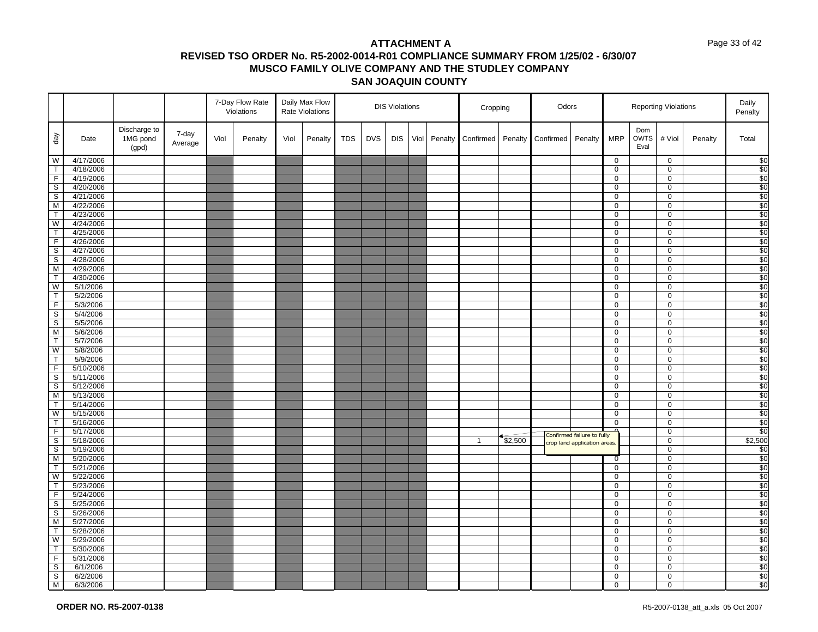#### Page 33 of 42

|                                                                                                         |                      |                                   |                  |      | 7-Day Flow Rate<br>Violations |      | Daily Max Flow<br>Rate Violations |            |            | <b>DIS Violations</b> |      |         | Cropping       |         | Odors     |                             |                |                            | <b>Reporting Violations</b> |         | Daily<br>Penalty       |
|---------------------------------------------------------------------------------------------------------|----------------------|-----------------------------------|------------------|------|-------------------------------|------|-----------------------------------|------------|------------|-----------------------|------|---------|----------------|---------|-----------|-----------------------------|----------------|----------------------------|-----------------------------|---------|------------------------|
| day                                                                                                     | Date                 | Discharge to<br>1MG pond<br>(gpd) | 7-day<br>Average | Viol | Penalty                       | Viol | Penalty                           | <b>TDS</b> | <b>DVS</b> | <b>DIS</b>            | Viol | Penalty | Confirmed      | Penalty | Confirmed | Penalty                     | <b>MRP</b>     | Dom<br><b>OWTS</b><br>Eval | # Viol                      | Penalty | Total                  |
|                                                                                                         | 4/17/2006            |                                   |                  |      |                               |      |                                   |            |            |                       |      |         |                |         |           |                             | 0              |                            | $\mathbf 0$                 |         | \$0                    |
|                                                                                                         | 4/18/2006            |                                   |                  |      |                               |      |                                   |            |            |                       |      |         |                |         |           |                             | 0              |                            | $\mathbf 0$                 |         | \$0                    |
|                                                                                                         | 4/19/2006            |                                   |                  |      |                               |      |                                   |            |            |                       |      |         |                |         |           |                             | 0              |                            | $\mathbf 0$                 |         | $\sqrt{50}$            |
|                                                                                                         | 4/20/2006            |                                   |                  |      |                               |      |                                   |            |            |                       |      |         |                |         |           |                             | 0              |                            | $\mathbf 0$                 |         | \$0                    |
|                                                                                                         | 4/21/2006            |                                   |                  |      |                               |      |                                   |            |            |                       |      |         |                |         |           |                             | 0              |                            | $\mathbf 0$                 |         | $\sqrt{50}$            |
|                                                                                                         | 4/22/2006            |                                   |                  |      |                               |      |                                   |            |            |                       |      |         |                |         |           |                             | 0              |                            | $\mathbf 0$                 |         | \$0                    |
|                                                                                                         | 4/23/2006            |                                   |                  |      |                               |      |                                   |            |            |                       |      |         |                |         |           |                             | 0              |                            | 0                           |         | \$0                    |
|                                                                                                         | 4/24/2006            |                                   |                  |      |                               |      |                                   |            |            |                       |      |         |                |         |           |                             | 0              |                            | $\mathbf 0$                 |         | \$0                    |
|                                                                                                         | 4/25/2006            |                                   |                  |      |                               |      |                                   |            |            |                       |      |         |                |         |           |                             | 0              |                            | 0                           |         | $\overline{30}$        |
|                                                                                                         | 4/26/2006            |                                   |                  |      |                               |      |                                   |            |            |                       |      |         |                |         |           |                             | 0              |                            | $\mathbf 0$                 |         | $\overline{50}$        |
|                                                                                                         | 4/27/2006            |                                   |                  |      |                               |      |                                   |            |            |                       |      |         |                |         |           |                             | 0              |                            | $\mathbf 0$                 |         | $\sqrt{50}$            |
|                                                                                                         | 4/28/2006            |                                   |                  |      |                               |      |                                   |            |            |                       |      |         |                |         |           |                             | 0              |                            | $\mathbf 0$                 |         | \$0                    |
|                                                                                                         | 4/29/2006            |                                   |                  |      |                               |      |                                   |            |            |                       |      |         |                |         |           |                             | 0              |                            | $\mathbf 0$                 |         | \$0                    |
|                                                                                                         | 4/30/2006            |                                   |                  |      |                               |      |                                   |            |            |                       |      |         |                |         |           |                             | 0              |                            | $\mathbf 0$                 |         | \$0                    |
| $\frac{1}{2}$                                                                                           | 5/1/2006             |                                   |                  |      |                               |      |                                   |            |            |                       |      |         |                |         |           |                             | 0              |                            | $\mathbf 0$                 |         | \$0                    |
|                                                                                                         | 5/2/2006             |                                   |                  |      |                               |      |                                   |            |            |                       |      |         |                |         |           |                             | 0              |                            | $\mathbf 0$                 |         | \$0                    |
| $\frac{1}{ L }\omega\left \infty\right \geq L\left \frac{L}{ L }\omega\right \infty\left \infty\right $ | 5/3/2006             |                                   |                  |      |                               |      |                                   |            |            |                       |      |         |                |         |           |                             | 0              |                            | $\mathbf 0$                 |         | $\sqrt{50}$            |
|                                                                                                         | 5/4/2006             |                                   |                  |      |                               |      |                                   |            |            |                       |      |         |                |         |           |                             | 0              |                            | $\mathbf 0$                 |         | $\overline{\$0}$       |
|                                                                                                         | 5/5/2006             |                                   |                  |      |                               |      |                                   |            |            |                       |      |         |                |         |           |                             | 0              |                            | $\mathbf 0$                 |         | \$0<br>$\overline{50}$ |
|                                                                                                         | 5/6/2006             |                                   |                  |      |                               |      |                                   |            |            |                       |      |         |                |         |           |                             | 0<br>0         |                            | $\mathbf 0$<br>$\mathbf 0$  |         | $\overline{50}$        |
|                                                                                                         | 5/7/2006             |                                   |                  |      |                               |      |                                   |            |            |                       |      |         |                |         |           |                             | 0              |                            | $\mathbf 0$                 |         |                        |
|                                                                                                         | 5/8/2006<br>5/9/2006 |                                   |                  |      |                               |      |                                   |            |            |                       |      |         |                |         |           |                             | 0              |                            | $\mathbf 0$                 |         | \$0<br>$\sqrt{50}$     |
|                                                                                                         | 5/10/2006            |                                   |                  |      |                               |      |                                   |            |            |                       |      |         |                |         |           |                             | 0              |                            | 0                           |         | $\overline{50}$        |
|                                                                                                         | 5/11/2006            |                                   |                  |      |                               |      |                                   |            |            |                       |      |         |                |         |           |                             | 0              |                            | $\mathbf 0$                 |         | \$0                    |
|                                                                                                         | 5/12/2006            |                                   |                  |      |                               |      |                                   |            |            |                       |      |         |                |         |           |                             | 0              |                            | 0                           |         | \$0                    |
|                                                                                                         | 5/13/2006            |                                   |                  |      |                               |      |                                   |            |            |                       |      |         |                |         |           |                             | 0              |                            | $\mathbf 0$                 |         | $\overline{50}$        |
|                                                                                                         | 5/14/2006            |                                   |                  |      |                               |      |                                   |            |            |                       |      |         |                |         |           |                             | 0              |                            | 0                           |         | \$0                    |
| $\frac{1}{1}$                                                                                           | 5/15/2006            |                                   |                  |      |                               |      |                                   |            |            |                       |      |         |                |         |           |                             | 0              |                            | $\mathbf 0$                 |         | $\overline{50}$        |
|                                                                                                         | 5/16/2006            |                                   |                  |      |                               |      |                                   |            |            |                       |      |         |                |         |           |                             | 0              |                            | 0                           |         | $\sqrt{50}$            |
|                                                                                                         | 5/17/2006            |                                   |                  |      |                               |      |                                   |            |            |                       |      |         |                |         |           |                             |                |                            | $\mathbf 0$                 |         | \$0                    |
|                                                                                                         | 5/18/2006            |                                   |                  |      |                               |      |                                   |            |            |                       |      |         | $\overline{1}$ | \$2,500 |           | Confirmed failure to fully  |                |                            | $\mathbf 0$                 |         | \$2,500                |
|                                                                                                         | 5/19/2006            |                                   |                  |      |                               |      |                                   |            |            |                       |      |         |                |         |           | crop land application areas |                |                            | $\mathbf 0$                 |         | \$0                    |
| $\frac{1}{2}$ $\omega$ $\approx$ $\frac{1}{2}$                                                          | 5/20/2006            |                                   |                  |      |                               |      |                                   |            |            |                       |      |         |                |         |           |                             | $\overline{0}$ |                            | $\mathbf 0$                 |         | $\sqrt{50}$            |
|                                                                                                         | 5/21/2006            |                                   |                  |      |                               |      |                                   |            |            |                       |      |         |                |         |           |                             | 0              |                            | $\mathbf 0$                 |         | \$0                    |
|                                                                                                         | 5/22/2006            |                                   |                  |      |                               |      |                                   |            |            |                       |      |         |                |         |           |                             | 0              |                            | $\mathbf 0$                 |         | $\sqrt{50}$            |
|                                                                                                         | 5/23/2006            |                                   |                  |      |                               |      |                                   |            |            |                       |      |         |                |         |           |                             | 0              |                            | 0                           |         | \$0                    |
|                                                                                                         | 5/24/2006            |                                   |                  |      |                               |      |                                   |            |            |                       |      |         |                |         |           |                             | 0              |                            | $\mathbf 0$                 |         | \$0                    |
|                                                                                                         | 5/25/2006            |                                   |                  |      |                               |      |                                   |            |            |                       |      |         |                |         |           |                             | 0              |                            | $\mathbf 0$                 |         | $\sqrt{50}$            |
|                                                                                                         | 5/26/2006            |                                   |                  |      |                               |      |                                   |            |            |                       |      |         |                |         |           |                             | 0              |                            | $\mathbf 0$                 |         | \$0                    |
|                                                                                                         | 5/27/2006            |                                   |                  |      |                               |      |                                   |            |            |                       |      |         |                |         |           |                             | 0              |                            | $\mathbf 0$                 |         | \$0                    |
|                                                                                                         | 5/28/2006            |                                   |                  |      |                               |      |                                   |            |            |                       |      |         |                |         |           |                             | 0              |                            | $\mathbf 0$                 |         | $\sqrt{50}$            |
|                                                                                                         | 5/29/2006            |                                   |                  |      |                               |      |                                   |            |            |                       |      |         |                |         |           |                             | 0              |                            | $\mathbf 0$                 |         | $\sqrt{6}$             |
|                                                                                                         | 5/30/2006            |                                   |                  |      |                               |      |                                   |            |            |                       |      |         |                |         |           |                             | 0              |                            | $\mathsf 0$                 |         | \$0                    |
|                                                                                                         | 5/31/2006            |                                   |                  |      |                               |      |                                   |            |            |                       |      |         |                |         |           |                             | 0              |                            | $\mathbf 0$                 |         | \$0                    |
| $\geq  \infty  \log  \infty  \geq  \infty  \leq  \infty  \log  \infty  \geq$                            | 6/1/2006             |                                   |                  |      |                               |      |                                   |            |            |                       |      |         |                |         |           |                             | $\overline{0}$ |                            | $\overline{0}$              |         | \$0                    |
|                                                                                                         | 6/2/2006             |                                   |                  |      |                               |      |                                   |            |            |                       |      |         |                |         |           |                             | 0              |                            | $\mathbf 0$                 |         | \$0                    |
|                                                                                                         | 6/3/2006             |                                   |                  |      |                               |      |                                   |            |            |                       |      |         |                |         |           |                             | 0              |                            | $\mathbf 0$                 |         | $\sqrt{6}$             |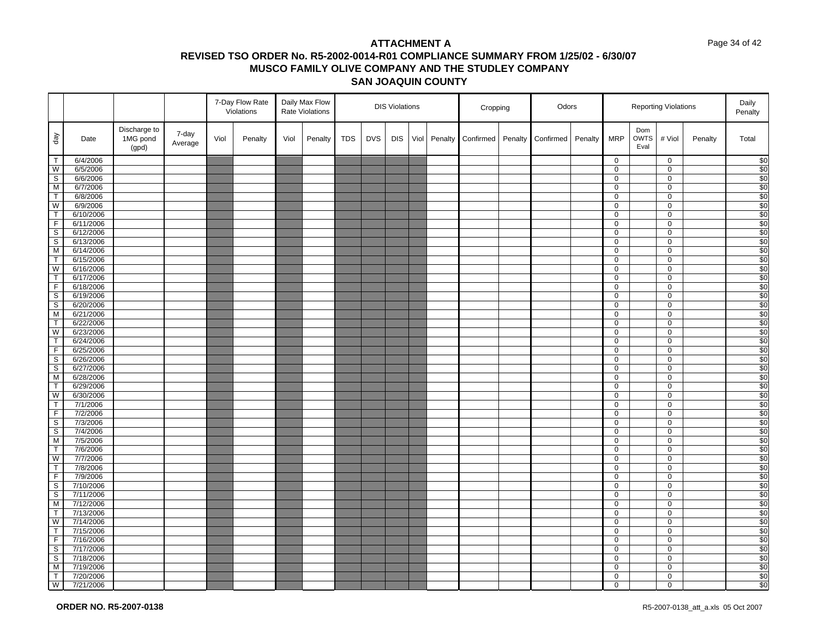#### Page 34 of 42

|                               |                        |                                   |                  |      | 7-Day Flow Rate<br>Violations |      | Daily Max Flow<br>Rate Violations |            |            | <b>DIS Violations</b> |      |         | Cropping  |         | Odors     |         |                     |                            | <b>Reporting Violations</b> |         | Daily<br>Penalty        |
|-------------------------------|------------------------|-----------------------------------|------------------|------|-------------------------------|------|-----------------------------------|------------|------------|-----------------------|------|---------|-----------|---------|-----------|---------|---------------------|----------------------------|-----------------------------|---------|-------------------------|
| $\sqrt{eq}$                   | Date                   | Discharge to<br>1MG pond<br>(gpd) | 7-day<br>Average | Viol | Penalty                       | Viol | Penalty                           | <b>TDS</b> | <b>DVS</b> | <b>DIS</b>            | Viol | Penalty | Confirmed | Penalty | Confirmed | Penalty | <b>MRP</b>          | Dom<br><b>OWTS</b><br>Eval | # Viol                      | Penalty | Total                   |
| $\top$                        | 6/4/2006               |                                   |                  |      |                               |      |                                   |            |            |                       |      |         |           |         |           |         | $\mathbf 0$         |                            | $\mathbf 0$                 |         | \$0                     |
| W                             | 6/5/2006               |                                   |                  |      |                               |      |                                   |            |            |                       |      |         |           |         |           |         | $\overline{0}$      |                            | $\mathbf 0$                 |         | \$0                     |
| $\mathsf S$                   | 6/6/2006               |                                   |                  |      |                               |      |                                   |            |            |                       |      |         |           |         |           |         | 0                   |                            | $\mathbf 0$                 |         | \$0                     |
| M                             | 6/7/2006               |                                   |                  |      |                               |      |                                   |            |            |                       |      |         |           |         |           |         | $\overline{0}$      |                            | 0                           |         | \$0                     |
| $\overline{T}$                | 6/8/2006               |                                   |                  |      |                               |      |                                   |            |            |                       |      |         |           |         |           |         | 0                   |                            | $\mathbf 0$                 |         | \$0                     |
| $\overline{W}$                | 6/9/2006               |                                   |                  |      |                               |      |                                   |            |            |                       |      |         |           |         |           |         | 0                   |                            | 0                           |         | \$0                     |
| $\overline{1}$                | 6/10/2006              |                                   |                  |      |                               |      |                                   |            |            |                       |      |         |           |         |           |         | $\overline{0}$      |                            | 0                           |         | \$0                     |
| $\mathsf F$<br>$\overline{s}$ | 6/11/2006              |                                   |                  |      |                               |      |                                   |            |            |                       |      |         |           |         |           |         | 0<br>0              |                            | 0<br>$\mathbf 0$            |         | \$0<br>$\overline{\$0}$ |
| S                             | 6/12/2006<br>6/13/2006 |                                   |                  |      |                               |      |                                   |            |            |                       |      |         |           |         |           |         | 0                   |                            | $\mathsf 0$                 |         | \$0                     |
| M                             | 6/14/2006              |                                   |                  |      |                               |      |                                   |            |            |                       |      |         |           |         |           |         | 0                   |                            | 0                           |         | \$0                     |
| $\mathsf T$                   | 6/15/2006              |                                   |                  |      |                               |      |                                   |            |            |                       |      |         |           |         |           |         | 0                   |                            | 0                           |         | \$0                     |
| W                             | 6/16/2006              |                                   |                  |      |                               |      |                                   |            |            |                       |      |         |           |         |           |         | $\overline{0}$      |                            | $\mathbf 0$                 |         | \$0                     |
| $\mathsf{T}$                  | 6/17/2006              |                                   |                  |      |                               |      |                                   |            |            |                       |      |         |           |         |           |         | $\mathbf 0$         |                            | $\mathbf 0$                 |         | \$0                     |
| F                             | 6/18/2006              |                                   |                  |      |                               |      |                                   |            |            |                       |      |         |           |         |           |         | 0                   |                            | 0                           |         | \$0                     |
| $\mathbb S$                   | 6/19/2006              |                                   |                  |      |                               |      |                                   |            |            |                       |      |         |           |         |           |         | $\mathbf{0}$        |                            | $\mathbf 0$                 |         | \$0                     |
| $\overline{s}$                | 6/20/2006              |                                   |                  |      |                               |      |                                   |            |            |                       |      |         |           |         |           |         | 0                   |                            | $\mathbf 0$                 |         | $\overline{\$0}$        |
| M                             | 6/21/2006              |                                   |                  |      |                               |      |                                   |            |            |                       |      |         |           |         |           |         | $\mathbf 0$         |                            | $\mathbf 0$                 |         | \$0                     |
| $\overline{\mathsf{T}}$       | 6/22/2006              |                                   |                  |      |                               |      |                                   |            |            |                       |      |         |           |         |           |         | $\overline{0}$      |                            | $\mathbf{0}$                |         | \$0                     |
| $\overline{W}$                | 6/23/2006              |                                   |                  |      |                               |      |                                   |            |            |                       |      |         |           |         |           |         | 0                   |                            | $\mathbf 0$                 |         | $\frac{1}{20}$          |
| $\overline{\mathsf{T}}$       | 6/24/2006              |                                   |                  |      |                               |      |                                   |            |            |                       |      |         |           |         |           |         | $\overline{0}$      |                            | $\mathbf 0$                 |         | \$0                     |
| F                             | 6/25/2006              |                                   |                  |      |                               |      |                                   |            |            |                       |      |         |           |         |           |         | 0                   |                            | $\mathbf 0$                 |         | \$0                     |
| $\overline{\mathbf{s}}$       | 6/26/2006              |                                   |                  |      |                               |      |                                   |            |            |                       |      |         |           |         |           |         | 0                   |                            | $\mathbf 0$                 |         | \$0                     |
| $\overline{\mathsf{s}}$       | 6/27/2006              |                                   |                  |      |                               |      |                                   |            |            |                       |      |         |           |         |           |         | 0                   |                            | $\mathbf 0$                 |         | \$0                     |
| M                             | 6/28/2006              |                                   |                  |      |                               |      |                                   |            |            |                       |      |         |           |         |           |         | 0                   |                            | $\mathbf 0$                 |         | \$0                     |
| $\mathsf T$                   | 6/29/2006              |                                   |                  |      |                               |      |                                   |            |            |                       |      |         |           |         |           |         | 0                   |                            | $\mathbf 0$                 |         | $\overline{$}0$         |
| W                             | 6/30/2006              |                                   |                  |      |                               |      |                                   |            |            |                       |      |         |           |         |           |         | 0                   |                            | 0                           |         | \$0                     |
| $\mathsf T$                   | 7/1/2006               |                                   |                  |      |                               |      |                                   |            |            |                       |      |         |           |         |           |         | 0                   |                            | $\mathbf 0$                 |         | \$0                     |
| F                             | 7/2/2006<br>7/3/2006   |                                   |                  |      |                               |      |                                   |            |            |                       |      |         |           |         |           |         | $\overline{0}$<br>0 |                            | $\overline{0}$<br>0         |         | \$0<br>\$0              |
| $\mathbb S$<br>$\mathsf S$    | 7/4/2006               |                                   |                  |      |                               |      |                                   |            |            |                       |      |         |           |         |           |         | 0                   |                            | $\mathbf 0$                 |         | \$0                     |
| M                             | 7/5/2006               |                                   |                  |      |                               |      |                                   |            |            |                       |      |         |           |         |           |         | 0                   |                            | $\mathbf 0$                 |         | $\frac{1}{20}$          |
| $\mathsf T$                   | 7/6/2006               |                                   |                  |      |                               |      |                                   |            |            |                       |      |         |           |         |           |         | 0                   |                            | $\mathbf 0$                 |         | \$0                     |
| $\overline{W}$                | 7/7/2006               |                                   |                  |      |                               |      |                                   |            |            |                       |      |         |           |         |           |         | 0                   |                            | $\mathbf 0$                 |         | \$0                     |
| $\overline{T}$                | 7/8/2006               |                                   |                  |      |                               |      |                                   |            |            |                       |      |         |           |         |           |         | 0                   |                            | 0                           |         | \$0                     |
| $\overline{\mathsf{F}}$       | 7/9/2006               |                                   |                  |      |                               |      |                                   |            |            |                       |      |         |           |         |           |         | 0                   |                            | $\mathbf 0$                 |         | \$0                     |
| S                             | 7/10/2006              |                                   |                  |      |                               |      |                                   |            |            |                       |      |         |           |         |           |         | 0                   |                            | $\mathsf 0$                 |         | \$0                     |
| S                             | 7/11/2006              |                                   |                  |      |                               |      |                                   |            |            |                       |      |         |           |         |           |         | 0                   |                            | 0                           |         | $\overline{$}0$         |
| M                             | 7/12/2006              |                                   |                  |      |                               |      |                                   |            |            |                       |      |         |           |         |           |         | 0                   |                            | 0                           |         | \$0                     |
| $\mathsf T$                   | 7/13/2006              |                                   |                  |      |                               |      |                                   |            |            |                       |      |         |           |         |           |         | 0                   |                            | $\mathbf 0$                 |         | \$0                     |
| W                             | 7/14/2006              |                                   |                  |      |                               |      |                                   |            |            |                       |      |         |           |         |           |         | 0                   |                            | $\mathbf 0$                 |         | \$0                     |
| $\top$                        | 7/15/2006              |                                   |                  |      |                               |      |                                   |            |            |                       |      |         |           |         |           |         | 0                   |                            | $\mathbf 0$                 |         | \$0                     |
| $\overline{F}$                | 7/16/2006              |                                   |                  |      |                               |      |                                   |            |            |                       |      |         |           |         |           |         | $\overline{0}$      |                            | $\overline{0}$              |         | \$0                     |
| S                             | 7/17/2006              |                                   |                  |      |                               |      |                                   |            |            |                       |      |         |           |         |           |         | 0                   |                            | $\mathbf 0$                 |         | \$0                     |
| $\mathbb S$                   | 7/18/2006              |                                   |                  |      |                               |      |                                   |            |            |                       |      |         |           |         |           |         | 0                   |                            | $\mathbf 0$                 |         | \$0                     |
| M                             | 7/19/2006              |                                   |                  |      |                               |      |                                   |            |            |                       |      |         |           |         |           |         | $\overline{0}$      |                            | $\overline{0}$              |         | \$0                     |
| $\mathsf T$<br>W              | 7/20/2006              |                                   |                  |      |                               |      |                                   |            |            |                       |      |         |           |         |           |         | 0<br>0              |                            | 0<br>0                      |         | \$0<br>\$0              |
|                               | 7/21/2006              |                                   |                  |      |                               |      |                                   |            |            |                       |      |         |           |         |           |         |                     |                            |                             |         |                         |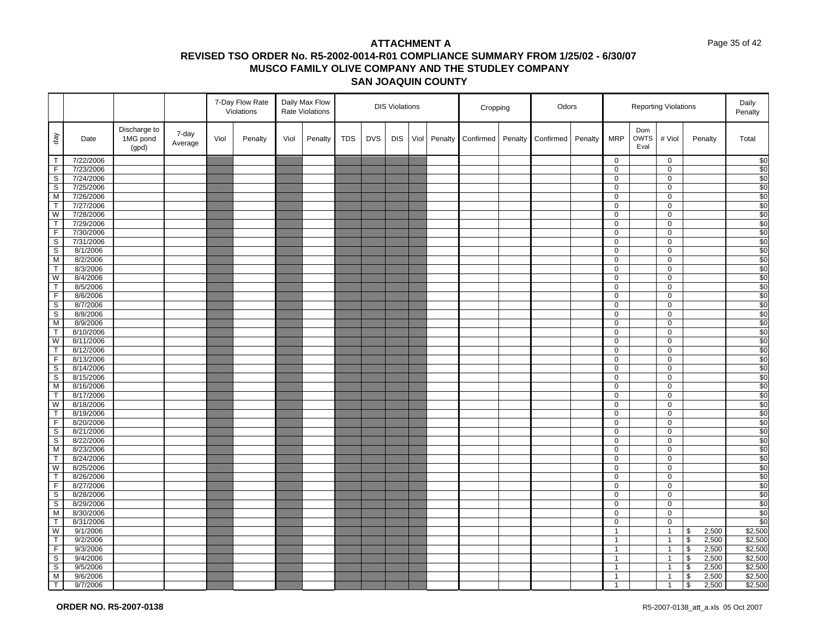#### Page 35 of 42

|                         |                        |                                   |                  | 7-Day Flow Rate<br>Daily Max Flow<br>Violations<br>Rate Violations |         |      |         |            | <b>DIS Violations</b> |            |      | Cropping |           | Odors   |           |         | <b>Reporting Violations</b> |                            |                               | Daily<br>Penalty                  |                    |
|-------------------------|------------------------|-----------------------------------|------------------|--------------------------------------------------------------------|---------|------|---------|------------|-----------------------|------------|------|----------|-----------|---------|-----------|---------|-----------------------------|----------------------------|-------------------------------|-----------------------------------|--------------------|
| $\sqrt{e}b$             | Date                   | Discharge to<br>1MG pond<br>(gpd) | 7-day<br>Average | Viol                                                               | Penalty | Viol | Penalty | <b>TDS</b> | <b>DVS</b>            | <b>DIS</b> | Viol | Penalty  | Confirmed | Penalty | Confirmed | Penalty | <b>MRP</b>                  | Dom<br><b>OWTS</b><br>Eval | # Viol                        | Penalty                           | Total              |
| $\overline{\mathsf{T}}$ | 7/22/2006              |                                   |                  |                                                                    |         |      |         |            |                       |            |      |          |           |         |           |         | $\mathbf 0$                 |                            | $\mathbf 0$                   |                                   | \$0                |
| $\overline{F}$          | 7/23/2006              |                                   |                  |                                                                    |         |      |         |            |                       |            |      |          |           |         |           |         | 0                           |                            | $\mathbf 0$                   |                                   | \$0                |
| $\overline{s}$          | 7/24/2006              |                                   |                  |                                                                    |         |      |         |            |                       |            |      |          |           |         |           |         | 0                           |                            | $\mathbf 0$                   |                                   | $\sqrt{50}$        |
| S                       | 7/25/2006              |                                   |                  |                                                                    |         |      |         |            |                       |            |      |          |           |         |           |         | 0                           |                            | $\mathbf 0$                   |                                   | \$0                |
| M                       | 7/26/2006              |                                   |                  |                                                                    |         |      |         |            |                       |            |      |          |           |         |           |         | 0                           |                            | $\mathbf 0$                   |                                   | $\sqrt{50}$        |
| T                       | 7/27/2006              |                                   |                  |                                                                    |         |      |         |            |                       |            |      |          |           |         |           |         | 0                           |                            | $\mathbf 0$                   |                                   | \$0                |
| W                       | 7/28/2006              |                                   |                  |                                                                    |         |      |         |            |                       |            |      |          |           |         |           |         | 0                           |                            | 0                             |                                   | $\overline{\$0}$   |
| T                       | 7/29/2006              |                                   |                  |                                                                    |         |      |         |            |                       |            |      |          |           |         |           |         | 0                           |                            | $\mathbf 0$                   |                                   | \$0                |
| $\overline{F}$          | 7/30/2006              |                                   |                  |                                                                    |         |      |         |            |                       |            |      |          |           |         |           |         | 0                           |                            | $\mathbf 0$                   |                                   | $\overline{30}$    |
| S                       | 7/31/2006              |                                   |                  |                                                                    |         |      |         |            |                       |            |      |          |           |         |           |         | 0                           |                            | 0                             |                                   | \$0                |
| $\overline{s}$          | 8/1/2006               |                                   |                  |                                                                    |         |      |         |            |                       |            |      |          |           |         |           |         | 0                           |                            | $\mathbf 0$                   |                                   | $\sqrt{50}$        |
| M                       | 8/2/2006               |                                   |                  |                                                                    |         |      |         |            |                       |            |      |          |           |         |           |         | 0                           |                            | 0                             |                                   | \$0                |
| $\overline{1}$          | 8/3/2006               |                                   |                  |                                                                    |         |      |         |            |                       |            |      |          |           |         |           |         | 0                           |                            | $\mathbf 0$                   |                                   | \$0                |
| W                       | 8/4/2006               |                                   |                  |                                                                    |         |      |         |            |                       |            |      |          |           |         |           |         | 0                           |                            | $\mathbf 0$                   |                                   | \$0                |
| $\overline{1}$          | 8/5/2006               |                                   |                  |                                                                    |         |      |         |            |                       |            |      |          |           |         |           |         | 0                           |                            | $\mathbf 0$                   |                                   | \$0                |
| $\overline{F}$          | 8/6/2006               |                                   |                  |                                                                    |         |      |         |            |                       |            |      |          |           |         |           |         | 0                           |                            | $\mathbf 0$                   |                                   | \$0                |
| $\mathbb S$             | 8/7/2006               |                                   |                  |                                                                    |         |      |         |            |                       |            |      |          |           |         |           |         | 0                           |                            | $\mathbf 0$                   |                                   | $\overline{30}$    |
| $\overline{\mathbf{s}}$ | 8/8/2006               |                                   |                  |                                                                    |         |      |         |            |                       |            |      |          |           |         |           |         | 0                           |                            | $\mathbf 0$                   |                                   | \$0                |
| ${\sf M}$               | 8/9/2006               |                                   |                  |                                                                    |         |      |         |            |                       |            |      |          |           |         |           |         | 0                           |                            | $\mathbf 0$                   |                                   | $\sqrt{50}$        |
| T                       | 8/10/2006              |                                   |                  |                                                                    |         |      |         |            |                       |            |      |          |           |         |           |         | 0                           |                            | $\mathbf 0$<br>$\overline{0}$ |                                   | \$0<br>\$0         |
| W                       | 8/11/2006              |                                   |                  |                                                                    |         |      |         |            |                       |            |      |          |           |         |           |         | 0                           |                            |                               |                                   |                    |
| T<br>$\mathsf F$        | 8/12/2006<br>8/13/2006 |                                   |                  |                                                                    |         |      |         |            |                       |            |      |          |           |         |           |         | 0<br>0                      |                            | $\mathbf 0$<br>$\mathsf 0$    |                                   | \$0<br>$\sqrt{50}$ |
| s,                      | 8/14/2006              |                                   |                  |                                                                    |         |      |         |            |                       |            |      |          |           |         |           |         | 0                           |                            | $\mathbf 0$                   |                                   | \$0                |
| $\mathsf S$             | 8/15/2006              |                                   |                  |                                                                    |         |      |         |            |                       |            |      |          |           |         |           |         | 0                           |                            | $\mathbf 0$                   |                                   | $\sqrt{50}$        |
| M                       | 8/16/2006              |                                   |                  |                                                                    |         |      |         |            |                       |            |      |          |           |         |           |         | 0                           |                            | $\mathbf 0$                   |                                   | $\overline{30}$    |
| $\mathsf{T}$            | 8/17/2006              |                                   |                  |                                                                    |         |      |         |            |                       |            |      |          |           |         |           |         | 0                           |                            | $\mathbf 0$                   |                                   | \$0                |
| W                       | 8/18/2006              |                                   |                  |                                                                    |         |      |         |            |                       |            |      |          |           |         |           |         | 0                           |                            | $\mathbf 0$                   |                                   | $\sqrt{50}$        |
| $\overline{1}$          | 8/19/2006              |                                   |                  |                                                                    |         |      |         |            |                       |            |      |          |           |         |           |         | $\overline{0}$              |                            | $\overline{0}$                |                                   | \$0                |
| $\mathsf F$             | 8/20/2006              |                                   |                  |                                                                    |         |      |         |            |                       |            |      |          |           |         |           |         | 0                           |                            | $\mathbf 0$                   |                                   | \$0                |
| $\overline{s}$          | 8/21/2006              |                                   |                  |                                                                    |         |      |         |            |                       |            |      |          |           |         |           |         | 0                           |                            | $\mathbf 0$                   |                                   | \$0                |
| $\mathsf{s}$            | 8/22/2006              |                                   |                  |                                                                    |         |      |         |            |                       |            |      |          |           |         |           |         | 0                           |                            | 0                             |                                   | $\overline{50}$    |
| $\overline{M}$          | 8/23/2006              |                                   |                  |                                                                    |         |      |         |            |                       |            |      |          |           |         |           |         | 0                           |                            | $\mathsf 0$                   |                                   | $\sqrt{50}$        |
| $\overline{T}$          | 8/24/2006              |                                   |                  |                                                                    |         |      |         |            |                       |            |      |          |           |         |           |         | 0                           |                            | 0                             |                                   | $\overline{\$0}$   |
| W                       | 8/25/2006              |                                   |                  |                                                                    |         |      |         |            |                       |            |      |          |           |         |           |         | 0                           |                            | $\mathbf 0$                   |                                   | \$0                |
| $\overline{\mathsf{T}}$ | 8/26/2006              |                                   |                  |                                                                    |         |      |         |            |                       |            |      |          |           |         |           |         | 0                           |                            | $\mathbf 0$                   |                                   | \$0                |
| $\overline{F}$          | 8/27/2006              |                                   |                  |                                                                    |         |      |         |            |                       |            |      |          |           |         |           |         | 0                           |                            | $\mathbf 0$                   |                                   | \$0                |
| $\mathsf{s}$            | 8/28/2006              |                                   |                  |                                                                    |         |      |         |            |                       |            |      |          |           |         |           |         | 0                           |                            | $\mathbf 0$                   |                                   | \$0                |
| $\mathsf S$             | 8/29/2006              |                                   |                  |                                                                    |         |      |         |            |                       |            |      |          |           |         |           |         | 0                           |                            | $\mathbf 0$                   |                                   | $\sqrt{50}$        |
| M                       | 8/30/2006              |                                   |                  |                                                                    |         |      |         |            |                       |            |      |          |           |         |           |         | 0                           |                            | $\mathbf 0$                   |                                   | \$0                |
| $\mathsf{T}$            | 8/31/2006              |                                   |                  |                                                                    |         |      |         |            |                       |            |      |          |           |         |           |         | 0                           |                            | $\mathbf 0$                   |                                   | $\sqrt{50}$        |
| W                       | 9/1/2006               |                                   |                  |                                                                    |         |      |         |            |                       |            |      |          |           |         |           |         | $\mathbf{1}$                |                            | $\mathbf{1}$                  | $\,$<br>2,500                     | \$2,500            |
| $\overline{\mathsf{T}}$ | 9/2/2006               |                                   |                  |                                                                    |         |      |         |            |                       |            |      |          |           |         |           |         | $\mathbf{1}$                |                            | $\mathbf{1}$                  | $\bullet$<br>2,500                | \$2,500            |
| $\overline{F}$          | 9/3/2006               |                                   |                  |                                                                    |         |      |         |            |                       |            |      |          |           |         |           |         | $\mathbf{1}$                |                            | $\mathbf{1}$                  | $\pmb{\mathbb{S}}$<br>2,500       | \$2,500            |
| $\overline{\mathbf{s}}$ | 9/4/2006               |                                   |                  |                                                                    |         |      |         |            |                       |            |      |          |           |         |           |         | $\mathbf{1}$                |                            | $\mathbf{1}$                  | $\,$<br>2,500                     | \$2,500            |
| $\overline{s}$          | 9/5/2006               |                                   |                  |                                                                    |         |      |         |            |                       |            |      |          |           |         |           |         | $\mathbf{1}$                |                            | $\mathbf{1}$                  | $\overline{\mathcal{S}}$<br>2,500 | $\frac{1}{2,500}$  |
| M                       | 9/6/2006               |                                   |                  |                                                                    |         |      |         |            |                       |            |      |          |           |         |           |         | $\mathbf{1}$                |                            | $\mathbf{1}$                  | $\,$<br>2,500                     | \$2,500            |
| $\overline{T}$          | 9/7/2006               |                                   |                  |                                                                    |         |      |         |            |                       |            |      |          |           |         |           |         | $\mathbf{1}$                |                            | $\mathbf{1}$                  | $\mathfrak s$<br>2,500            | \$2,500            |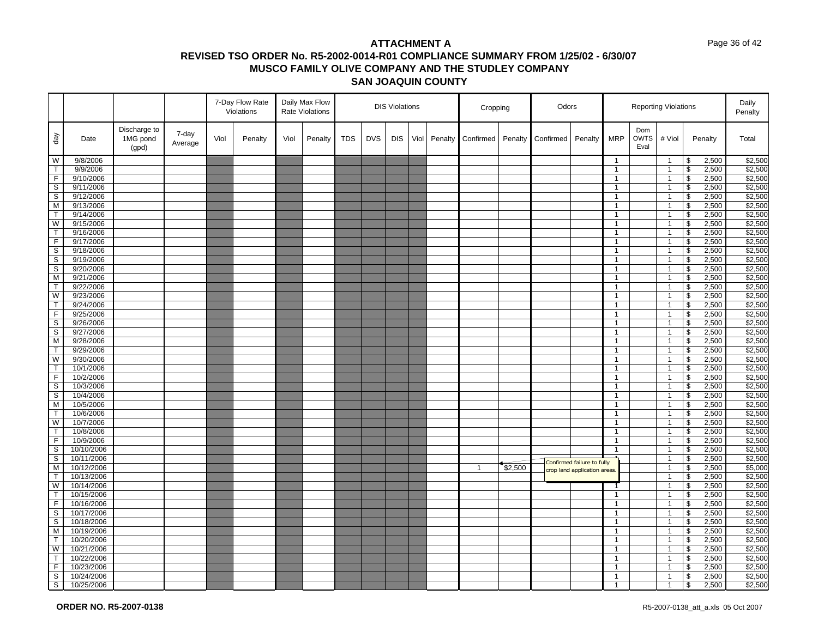#### Page 36 of 42

|                         |                        |                                   |                  |      | 7-Day Flow Rate<br>Violations |      | Daily Max Flow<br><b>Rate Violations</b> |            |            | <b>DIS Violations</b> |      |         | Cropping     |         | Odors     |                             |                              |                            | <b>Reporting Violations</b>  |                          |                | Daily<br>Penalty   |
|-------------------------|------------------------|-----------------------------------|------------------|------|-------------------------------|------|------------------------------------------|------------|------------|-----------------------|------|---------|--------------|---------|-----------|-----------------------------|------------------------------|----------------------------|------------------------------|--------------------------|----------------|--------------------|
| day                     | Date                   | Discharge to<br>1MG pond<br>(gpd) | 7-day<br>Average | Viol | Penalty                       | Viol | Penalty                                  | <b>TDS</b> | <b>DVS</b> | <b>DIS</b>            | Viol | Penalty | Confirmed    | Penalty | Confirmed | Penalty                     | <b>MRP</b>                   | Dom<br><b>OWTS</b><br>Eval | # Viol                       |                          | Penalty        | Total              |
| W                       | 9/8/2006               |                                   |                  |      |                               |      |                                          |            |            |                       |      |         |              |         |           |                             | $\mathbf{1}$                 |                            | $\overline{1}$               | \$                       | 2,500          | \$2,500            |
| T.                      | 9/9/2006               |                                   |                  |      |                               |      |                                          |            |            |                       |      |         |              |         |           |                             | $\mathbf{1}$                 |                            | $\mathbf{1}$                 | \$                       | 2,500          | \$2,500            |
| F                       | 9/10/2006              |                                   |                  |      |                               |      |                                          |            |            |                       |      |         |              |         |           |                             | $\mathbf{1}$                 |                            | $\mathbf{1}$                 | \$                       | 2,500          | \$2,500            |
| S                       | 9/11/2006              |                                   |                  |      |                               |      |                                          |            |            |                       |      |         |              |         |           |                             | $\mathbf{1}$                 |                            | $\mathbf{1}$                 | \$                       | 2,500          | \$2,500            |
| $\overline{s}$          | 9/12/2006              |                                   |                  |      |                               |      |                                          |            |            |                       |      |         |              |         |           |                             | $\mathbf{1}$                 |                            | $\overline{1}$               | $\sqrt[6]{\frac{1}{2}}$  | 2,500          | \$2,500            |
| M                       | 9/13/2006              |                                   |                  |      |                               |      |                                          |            |            |                       |      |         |              |         |           |                             | $\mathbf{1}$                 |                            | $\mathbf{1}$                 | \$                       | 2,500          | \$2,500            |
| $\overline{\mathsf{T}}$ | 9/14/2006              |                                   |                  |      |                               |      |                                          |            |            |                       |      |         |              |         |           |                             | $\mathbf{1}$                 |                            | $\mathbf{1}$                 | $\overline{\mathcal{S}}$ | 2,500          | \$2,500            |
| W                       | 9/15/2006              |                                   |                  |      |                               |      |                                          |            |            |                       |      |         |              |         |           |                             | $\mathbf{1}$                 |                            | $\mathbf{1}$                 | \$                       | 2,500          | \$2,500            |
| $\mathsf{T}$            | 9/16/2006              |                                   |                  |      |                               |      |                                          |            |            |                       |      |         |              |         |           |                             | $\mathbf{1}$                 |                            | $\mathbf{1}$                 | \$                       | 2,500          | \$2,500            |
| $\overline{F}$          | 9/17/2006              |                                   |                  |      |                               |      |                                          |            |            |                       |      |         |              |         |           |                             | $\mathbf{1}$                 |                            | $\mathbf{1}$                 | $\overline{\mathbf{s}}$  | 2,500          | \$2,500            |
| $\mathbb S$             | 9/18/2006              |                                   |                  |      |                               |      |                                          |            |            |                       |      |         |              |         |           |                             | $\mathbf{1}$                 |                            | $\overline{1}$               | \$                       | 2,500          | \$2,500            |
| S                       | 9/19/2006              |                                   |                  |      |                               |      |                                          |            |            |                       |      |         |              |         |           |                             | $\mathbf{1}$                 |                            | $\overline{1}$               | \$                       | 2,500          | \$2,500            |
| $\overline{\mathbf{s}}$ | 9/20/2006              |                                   |                  |      |                               |      |                                          |            |            |                       |      |         |              |         |           |                             | $\mathbf{1}$                 |                            | $\mathbf{1}$                 | \$                       | 2,500          | \$2,500            |
| M                       | 9/21/2006              |                                   |                  |      |                               |      |                                          |            |            |                       |      |         |              |         |           |                             | $\mathbf{1}$                 |                            | $\mathbf{1}$                 | \$                       | 2,500          | \$2,500            |
| $\overline{\mathsf{T}}$ | 9/22/2006              |                                   |                  |      |                               |      |                                          |            |            |                       |      |         |              |         |           |                             | $\mathbf{1}$                 |                            | $\overline{1}$               | $\overline{\mathcal{S}}$ | 2,500          | \$2,500            |
| W                       | 9/23/2006              |                                   |                  |      |                               |      |                                          |            |            |                       |      |         |              |         |           |                             | $\mathbf{1}$                 |                            | $\mathbf{1}$                 | \$                       | 2,500          | \$2,500            |
| $\mathsf{T}$            | 9/24/2006              |                                   |                  |      |                               |      |                                          |            |            |                       |      |         |              |         |           |                             | $\mathbf{1}$                 |                            | $\overline{1}$               | $\sqrt[6]{\frac{1}{2}}$  | 2,500          | \$2,500            |
| $\overline{F}$          | 9/25/2006              |                                   |                  |      |                               |      |                                          |            |            |                       |      |         |              |         |           |                             | $\mathbf{1}$                 |                            | $\overline{1}$               | $\overline{\mathbf{e}}$  | 2,500          | \$2,500            |
| $\mathsf S$             | 9/26/2006              |                                   |                  |      |                               |      |                                          |            |            |                       |      |         |              |         |           |                             | $\mathbf{1}$                 |                            | $\overline{1}$               | \$                       | 2,500          | \$2,500            |
| $\mathbb S$             | 9/27/2006              |                                   |                  |      |                               |      |                                          |            |            |                       |      |         |              |         |           |                             | $\mathbf{1}$                 |                            | $\overline{1}$               | \$                       | 2,500          | \$2,500            |
| M                       | 9/28/2006              |                                   |                  |      |                               |      |                                          |            |            |                       |      |         |              |         |           |                             | $\mathbf{1}$                 |                            | $\mathbf{1}$                 | \$                       | 2,500          | \$2,500            |
| $\mathsf{T}$            | 9/29/2006              |                                   |                  |      |                               |      |                                          |            |            |                       |      |         |              |         |           |                             | $\mathbf{1}$                 |                            | $\mathbf{1}$                 | \$                       | 2,500          | \$2,500            |
| W                       | 9/30/2006              |                                   |                  |      |                               |      |                                          |            |            |                       |      |         |              |         |           |                             | $\mathbf{1}$                 |                            | $\overline{1}$               | \$                       | 2,500          | \$2,500            |
| T                       | 10/1/2006              |                                   |                  |      |                               |      |                                          |            |            |                       |      |         |              |         |           |                             | $\mathbf{1}$                 |                            | $\mathbf{1}$                 | \$                       | 2,500          | \$2,500            |
| F                       | 10/2/2006              |                                   |                  |      |                               |      |                                          |            |            |                       |      |         |              |         |           |                             | $\mathbf{1}$                 |                            | $\overline{1}$               | $\mathfrak s$            | 2,500          | \$2,500            |
| S                       | 10/3/2006              |                                   |                  |      |                               |      |                                          |            |            |                       |      |         |              |         |           |                             | $\mathbf{1}$                 |                            | $\overline{1}$               | \$                       | 2,500          | \$2,500            |
| S                       | 10/4/2006              |                                   |                  |      |                               |      |                                          |            |            |                       |      |         |              |         |           |                             | $\mathbf{1}$                 |                            | $\mathbf{1}$                 | \$                       | 2,500          | \$2,500            |
| M<br>T                  | 10/5/2006              |                                   |                  |      |                               |      |                                          |            |            |                       |      |         |              |         |           |                             | $\mathbf{1}$                 |                            | $\overline{1}$               | \$                       | 2,500          | \$2,500            |
| W                       | 10/6/2006<br>10/7/2006 |                                   |                  |      |                               |      |                                          |            |            |                       |      |         |              |         |           |                             | $\mathbf{1}$<br>$\mathbf{1}$ |                            | $\mathbf{1}$                 | \$<br>\$                 | 2,500          | \$2,500<br>\$2,500 |
| $\mathsf{T}$            | 10/8/2006              |                                   |                  |      |                               |      |                                          |            |            |                       |      |         |              |         |           |                             | $\mathbf{1}$                 |                            | $\mathbf{1}$<br>$\mathbf{1}$ | \$                       | 2,500<br>2,500 | \$2,500            |
| F                       | 10/9/2006              |                                   |                  |      |                               |      |                                          |            |            |                       |      |         |              |         |           |                             | $\mathbf{1}$                 |                            | $\mathbf{1}$                 | \$                       | 2,500          | \$2,500            |
| $\mathbb S$             | 10/10/2006             |                                   |                  |      |                               |      |                                          |            |            |                       |      |         |              |         |           |                             | $\mathbf{1}$                 |                            | $\overline{1}$               | $\mathfrak s$            | 2,500          | \$2,500            |
| S                       | 10/11/2006             |                                   |                  |      |                               |      |                                          |            |            |                       |      |         |              |         |           |                             |                              |                            | $\overline{1}$               | \$                       | 2,500          | \$2,500            |
| M                       | 10/12/2006             |                                   |                  |      |                               |      |                                          |            |            |                       |      |         | $\mathbf{1}$ | \$2,500 |           | Confirmed failure to fully  |                              |                            | $\overline{1}$               | \$                       | 2,500          | \$5,000            |
| T                       | 10/13/2006             |                                   |                  |      |                               |      |                                          |            |            |                       |      |         |              |         |           | crop land application areas |                              |                            | $\mathbf{1}$                 | \$                       | 2,500          | \$2,500            |
| W                       | 10/14/2006             |                                   |                  |      |                               |      |                                          |            |            |                       |      |         |              |         |           |                             |                              |                            | $\mathbf{1}$                 | \$                       | 2,500          | \$2,500            |
| T.                      | 10/15/2006             |                                   |                  |      |                               |      |                                          |            |            |                       |      |         |              |         |           |                             | $\mathbf{1}$                 |                            | $\mathbf{1}$                 | $\overline{\mathbf{s}}$  | 2,500          | \$2,500            |
| F                       | 10/16/2006             |                                   |                  |      |                               |      |                                          |            |            |                       |      |         |              |         |           |                             | $\mathbf{1}$                 |                            | $\mathbf{1}$                 | \$                       | 2,500          | \$2,500            |
| S                       | 10/17/2006             |                                   |                  |      |                               |      |                                          |            |            |                       |      |         |              |         |           |                             | $\mathbf{1}$                 |                            | $\mathbf{1}$                 | \$                       | 2,500          | \$2,500            |
| $\mathbf S$             | 10/18/2006             |                                   |                  |      |                               |      |                                          |            |            |                       |      |         |              |         |           |                             | $\mathbf{1}$                 |                            | $\mathbf{1}$                 | \$                       | 2,500          | \$2,500            |
| M                       | 10/19/2006             |                                   |                  |      |                               |      |                                          |            |            |                       |      |         |              |         |           |                             | $\mathbf{1}$                 |                            | $\mathbf{1}$                 | \$                       | 2,500          | \$2,500            |
| T                       | 10/20/2006             |                                   |                  |      |                               |      |                                          |            |            |                       |      |         |              |         |           |                             | $\mathbf{1}$                 |                            | $\overline{1}$               | \$                       | 2,500          | \$2,500            |
| W                       | 10/21/2006             |                                   |                  |      |                               |      |                                          |            |            |                       |      |         |              |         |           |                             | $\mathbf{1}$                 |                            | $\mathbf{1}$                 | \$                       | 2,500          | \$2,500            |
| T                       | 10/22/2006             |                                   |                  |      |                               |      |                                          |            |            |                       |      |         |              |         |           |                             | $\mathbf{1}$                 |                            | $\mathbf{1}$                 | \$                       | 2,500          | \$2,500            |
| F                       | 10/23/2006             |                                   |                  |      |                               |      |                                          |            |            |                       |      |         |              |         |           |                             | $\mathbf{1}$                 |                            | $\overline{1}$               | \$                       | 2,500          | \$2,500            |
| S                       | 10/24/2006             |                                   |                  |      |                               |      |                                          |            |            |                       |      |         |              |         |           |                             | $\mathbf{1}$                 |                            | $\mathbf{1}$                 | \$                       | 2,500          | \$2,500            |
| S                       | 10/25/2006             |                                   |                  |      |                               |      |                                          |            |            |                       |      |         |              |         |           |                             | $\mathbf{1}$                 |                            | $\overline{1}$               | \$                       | 2,500          | \$2,500            |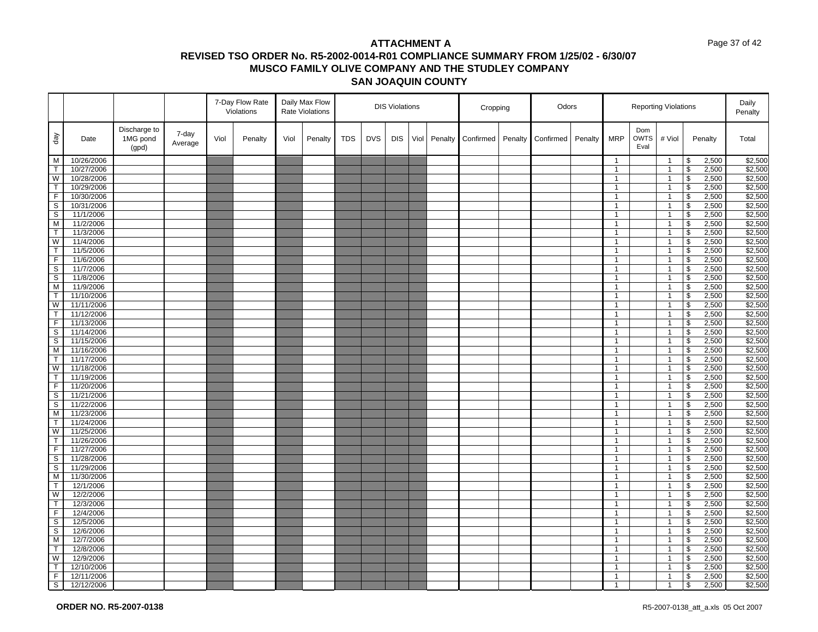#### Page 37 of 42

|                         |                          |                                   |                  |      | 7-Day Flow Rate<br>Violations |      | Daily Max Flow<br><b>Rate Violations</b> |            |            | <b>DIS Violations</b> |      |         | Cropping  |         | Odors     |         |                              |                            | <b>Reporting Violations</b>    |                          |                | Daily<br>Penalty   |
|-------------------------|--------------------------|-----------------------------------|------------------|------|-------------------------------|------|------------------------------------------|------------|------------|-----------------------|------|---------|-----------|---------|-----------|---------|------------------------------|----------------------------|--------------------------------|--------------------------|----------------|--------------------|
| $\sqrt{e}b$             | Date                     | Discharge to<br>1MG pond<br>(gpd) | 7-day<br>Average | Viol | Penalty                       | Viol | Penalty                                  | <b>TDS</b> | <b>DVS</b> | <b>DIS</b>            | Viol | Penalty | Confirmed | Penalty | Confirmed | Penalty | <b>MRP</b>                   | Dom<br><b>OWTS</b><br>Eval | # Viol                         |                          | Penalty        | Total              |
| M                       | 10/26/2006               |                                   |                  |      |                               |      |                                          |            |            |                       |      |         |           |         |           |         | $\mathbf{1}$                 |                            | $\overline{1}$                 | \$                       | 2,500          | \$2,500            |
| T.                      | 10/27/2006               |                                   |                  |      |                               |      |                                          |            |            |                       |      |         |           |         |           |         | $\mathbf{1}$                 |                            | $\mathbf{1}$                   | \$                       | 2,500          | \$2,500            |
| W                       | 10/28/2006               |                                   |                  |      |                               |      |                                          |            |            |                       |      |         |           |         |           |         | $\mathbf{1}$                 |                            | $\mathbf{1}$                   | \$                       | 2,500          | \$2,500            |
| T                       | 10/29/2006               |                                   |                  |      |                               |      |                                          |            |            |                       |      |         |           |         |           |         | $\mathbf{1}$                 |                            | $\mathbf{1}$                   | \$                       | 2,500          | \$2,500            |
| $\overline{F}$          | 10/30/2006               |                                   |                  |      |                               |      |                                          |            |            |                       |      |         |           |         |           |         | $\mathbf{1}$                 |                            | $\overline{1}$                 | $\sqrt[6]{\frac{1}{2}}$  | 2,500          | \$2,500            |
| S                       | 10/31/2006               |                                   |                  |      |                               |      |                                          |            |            |                       |      |         |           |         |           |         | $\mathbf{1}$                 |                            | $\mathbf{1}$                   | \$                       | 2,500          | \$2,500            |
| S                       | 11/1/2006                |                                   |                  |      |                               |      |                                          |            |            |                       |      |         |           |         |           |         | $\mathbf{1}$                 |                            | $\mathbf{1}$                   | $\overline{\mathcal{S}}$ | 2,500          | \$2,500            |
| M                       | 11/2/2006                |                                   |                  |      |                               |      |                                          |            |            |                       |      |         |           |         |           |         | $\mathbf{1}$                 |                            | $\overline{1}$                 | \$                       | 2,500          | \$2,500            |
| $\mathsf{T}$            | 11/3/2006                |                                   |                  |      |                               |      |                                          |            |            |                       |      |         |           |         |           |         | $\mathbf{1}$                 |                            | $\mathbf{1}$                   | $\sqrt[6]{\frac{1}{2}}$  | 2,500          | \$2,500            |
| W                       | 11/4/2006                |                                   |                  |      |                               |      |                                          |            |            |                       |      |         |           |         |           |         | $\mathbf{1}$                 |                            | $\mathbf{1}$                   | $\overline{\mathbf{s}}$  | 2,500          | \$2,500            |
| $\mathsf{T}$            | 11/5/2006                |                                   |                  |      |                               |      |                                          |            |            |                       |      |         |           |         |           |         | $\mathbf{1}$                 |                            | $\overline{1}$                 | \$                       | 2,500          | \$2,500            |
| F.                      | 11/6/2006                |                                   |                  |      |                               |      |                                          |            |            |                       |      |         |           |         |           |         | $\mathbf{1}$                 |                            | $\overline{1}$                 | \$                       | 2,500          | \$2,500            |
| $\mathbf S$             | 11/7/2006                |                                   |                  |      |                               |      |                                          |            |            |                       |      |         |           |         |           |         | $\mathbf{1}$                 |                            | $\mathbf{1}$                   | \$                       | 2,500          | \$2,500            |
| S                       | 11/8/2006                |                                   |                  |      |                               |      |                                          |            |            |                       |      |         |           |         |           |         | $\mathbf{1}$                 |                            | $\mathbf{1}$                   | \$                       | 2,500          | \$2,500            |
| M                       | 11/9/2006                |                                   |                  |      |                               |      |                                          |            |            |                       |      |         |           |         |           |         | $\mathbf{1}$                 |                            | $\overline{1}$                 | $\overline{\mathcal{S}}$ | 2,500          | \$2,500            |
| T                       | 11/10/2006               |                                   |                  |      |                               |      |                                          |            |            |                       |      |         |           |         |           |         | $\mathbf{1}$                 |                            | $\mathbf{1}$                   | \$                       | 2,500          | \$2,500            |
| W                       | 11/11/2006               |                                   |                  |      |                               |      |                                          |            |            |                       |      |         |           |         |           |         | $\mathbf{1}$                 |                            | $\mathbf{1}$                   | $\sqrt[6]{\frac{1}{2}}$  | 2,500          | \$2,500            |
| T                       | 11/12/2006               |                                   |                  |      |                               |      |                                          |            |            |                       |      |         |           |         |           |         | $\mathbf{1}$                 |                            | $\overline{1}$                 | $\overline{\mathbf{3}}$  | 2,500          | \$2,500            |
| F                       | 11/13/2006               |                                   |                  |      |                               |      |                                          |            |            |                       |      |         |           |         |           |         | $\mathbf{1}$                 |                            | $\overline{1}$                 | \$                       | 2,500          | \$2,500            |
| S                       | 11/14/2006               |                                   |                  |      |                               |      |                                          |            |            |                       |      |         |           |         |           |         | $\mathbf{1}$                 |                            | $\overline{1}$                 | \$                       | 2,500          | \$2,500            |
| S                       | 11/15/2006               |                                   |                  |      |                               |      |                                          |            |            |                       |      |         |           |         |           |         | $\mathbf{1}$                 |                            | $\mathbf{1}$                   | \$                       | 2,500          | \$2,500            |
| M                       | 11/16/2006               |                                   |                  |      |                               |      |                                          |            |            |                       |      |         |           |         |           |         | $\mathbf{1}$                 |                            | $\mathbf{1}$                   | \$                       | 2,500          | \$2,500            |
| $\mathsf{T}$            | 11/17/2006               |                                   |                  |      |                               |      |                                          |            |            |                       |      |         |           |         |           |         | $\mathbf{1}$                 |                            | $\overline{1}$                 | \$                       | 2,500          | \$2,500            |
| W                       | 11/18/2006               |                                   |                  |      |                               |      |                                          |            |            |                       |      |         |           |         |           |         | $\mathbf{1}$                 |                            | $\mathbf{1}$                   | \$                       | 2,500          | \$2,500            |
| T                       | 11/19/2006               |                                   |                  |      |                               |      |                                          |            |            |                       |      |         |           |         |           |         | $\mathbf{1}$                 |                            | $\overline{1}$                 | $\mathfrak s$            | 2,500          | \$2,500            |
| F                       | 11/20/2006               |                                   |                  |      |                               |      |                                          |            |            |                       |      |         |           |         |           |         | $\mathbf{1}$                 |                            | $\overline{1}$                 | \$                       | 2,500          | \$2,500            |
| S                       | 11/21/2006               |                                   |                  |      |                               |      |                                          |            |            |                       |      |         |           |         |           |         | $\mathbf{1}$                 |                            | $\mathbf{1}$                   | \$                       | 2,500          | \$2,500            |
| S                       | 11/22/2006               |                                   |                  |      |                               |      |                                          |            |            |                       |      |         |           |         |           |         | $\mathbf{1}$                 |                            | $\overline{1}$                 | \$                       | 2,500          | \$2,500            |
| M<br>T                  | 11/23/2006               |                                   |                  |      |                               |      |                                          |            |            |                       |      |         |           |         |           |         | $\mathbf{1}$                 |                            | $\mathbf{1}$                   | \$                       | 2,500          | \$2,500            |
|                         | 11/24/2006               |                                   |                  |      |                               |      |                                          |            |            |                       |      |         |           |         |           |         | $\mathbf{1}$<br>$\mathbf{1}$ |                            | $\overline{1}$                 | $\mathfrak s$            | 2,500          | \$2,500            |
| W<br>T                  | 11/25/2006<br>11/26/2006 |                                   |                  |      |                               |      |                                          |            |            |                       |      |         |           |         |           |         | $\mathbf{1}$                 |                            | $\mathbf{1}$<br>$\mathbf{1}$   | \$<br>\$                 | 2,500          | \$2,500<br>\$2,500 |
| F                       |                          |                                   |                  |      |                               |      |                                          |            |            |                       |      |         |           |         |           |         |                              |                            |                                | $\mathfrak s$            | 2,500<br>2,500 | \$2,500            |
| S.                      | 11/27/2006<br>11/28/2006 |                                   |                  |      |                               |      |                                          |            |            |                       |      |         |           |         |           |         | $\mathbf{1}$<br>$\mathbf{1}$ |                            | $\overline{1}$<br>$\mathbf{1}$ | \$                       | 2,500          | \$2,500            |
| S                       | 11/29/2006               |                                   |                  |      |                               |      |                                          |            |            |                       |      |         |           |         |           |         | $\mathbf{1}$                 |                            | $\overline{1}$                 | \$                       | 2,500          | \$2,500            |
| M                       | 11/30/2006               |                                   |                  |      |                               |      |                                          |            |            |                       |      |         |           |         |           |         | $\mathbf{1}$                 |                            | $\mathbf{1}$                   | \$                       | 2,500          | \$2,500            |
| $\mathsf{T}$            | 12/1/2006                |                                   |                  |      |                               |      |                                          |            |            |                       |      |         |           |         |           |         | $\mathbf{1}$                 |                            | $\mathbf{1}$                   | \$                       | 2,500          | \$2,500            |
| $\overline{\mathsf{w}}$ | 12/2/2006                |                                   |                  |      |                               |      |                                          |            |            |                       |      |         |           |         |           |         | $\mathbf{1}$                 |                            | $\mathbf{1}$                   | $\overline{\mathbf{s}}$  | 2,500          | \$2,500            |
| $\mathsf{T}$            | 12/3/2006                |                                   |                  |      |                               |      |                                          |            |            |                       |      |         |           |         |           |         | $\mathbf{1}$                 |                            | $\mathbf{1}$                   | \$                       | 2,500          | \$2,500            |
| $\overline{F}$          | 12/4/2006                |                                   |                  |      |                               |      |                                          |            |            |                       |      |         |           |         |           |         | $\mathbf{1}$                 |                            | $\mathbf{1}$                   | \$                       | 2,500          | \$2,500            |
| $\mathbf S$             | 12/5/2006                |                                   |                  |      |                               |      |                                          |            |            |                       |      |         |           |         |           |         | $\mathbf{1}$                 |                            | $\mathbf{1}$                   | \$                       | 2,500          | \$2,500            |
| S                       | 12/6/2006                |                                   |                  |      |                               |      |                                          |            |            |                       |      |         |           |         |           |         | $\mathbf{1}$                 |                            | $\mathbf{1}$                   | \$                       | 2,500          | \$2,500            |
| M                       | 12/7/2006                |                                   |                  |      |                               |      |                                          |            |            |                       |      |         |           |         |           |         | $\mathbf{1}$                 |                            | $\overline{1}$                 | \$                       | 2,500          | \$2,500            |
| T                       | 12/8/2006                |                                   |                  |      |                               |      |                                          |            |            |                       |      |         |           |         |           |         | $\mathbf{1}$                 |                            | $\mathbf{1}$                   | \$                       | 2,500          | \$2,500            |
| W                       | 12/9/2006                |                                   |                  |      |                               |      |                                          |            |            |                       |      |         |           |         |           |         | $\mathbf{1}$                 |                            | $\mathbf{1}$                   | \$                       | 2,500          | \$2,500            |
| T.                      | 12/10/2006               |                                   |                  |      |                               |      |                                          |            |            |                       |      |         |           |         |           |         | $\mathbf{1}$                 |                            | $\overline{1}$                 | \$                       | 2,500          | \$2,500            |
| F.                      | 12/11/2006               |                                   |                  |      |                               |      |                                          |            |            |                       |      |         |           |         |           |         | $\mathbf{1}$                 |                            | $\mathbf{1}$                   | \$                       | 2,500          | \$2,500            |
| S                       | 12/12/2006               |                                   |                  |      |                               |      |                                          |            |            |                       |      |         |           |         |           |         | $\mathbf{1}$                 |                            | $\overline{1}$                 | \$                       | 2,500          | \$2,500            |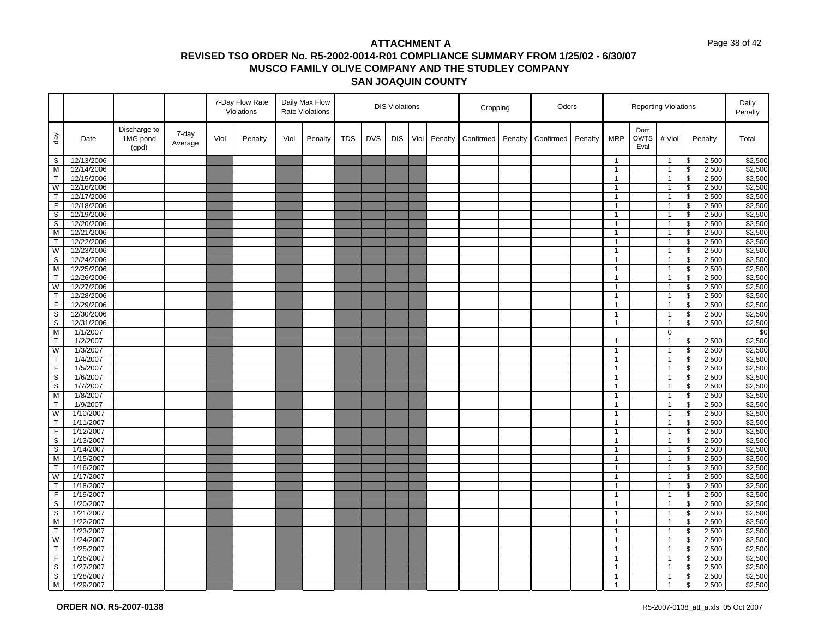#### Page 38 of 42

|                  |                        |                                   |                  |      | 7-Day Flow Rate<br>Violations |      | Daily Max Flow<br><b>Rate Violations</b> | <b>DIS Violations</b> |            | Cropping   |      | Odors   |           |         |           | <b>Reporting Violations</b> |                              |                            | Daily<br>Penalty               |                          |                |                    |
|------------------|------------------------|-----------------------------------|------------------|------|-------------------------------|------|------------------------------------------|-----------------------|------------|------------|------|---------|-----------|---------|-----------|-----------------------------|------------------------------|----------------------------|--------------------------------|--------------------------|----------------|--------------------|
| $\sqrt{e}b$      | Date                   | Discharge to<br>1MG pond<br>(gpd) | 7-day<br>Average | Viol | Penalty                       | Viol | Penalty                                  | <b>TDS</b>            | <b>DVS</b> | <b>DIS</b> | Viol | Penalty | Confirmed | Penalty | Confirmed | Penalty                     | <b>MRP</b>                   | Dom<br><b>OWTS</b><br>Eval | # Viol                         |                          | Penalty        | Total              |
| S                | 12/13/2006             |                                   |                  |      |                               |      |                                          |                       |            |            |      |         |           |         |           |                             | $\mathbf{1}$                 |                            | $\overline{1}$                 | \$                       | 2,500          | \$2,500            |
| M                | 12/14/2006             |                                   |                  |      |                               |      |                                          |                       |            |            |      |         |           |         |           |                             | $\mathbf{1}$                 |                            | $\mathbf{1}$                   | \$                       | 2,500          | \$2,500            |
| $\mathsf{T}$     | 12/15/2006             |                                   |                  |      |                               |      |                                          |                       |            |            |      |         |           |         |           |                             | $\mathbf{1}$                 |                            | $\mathbf{1}$                   | \$                       | 2,500          | \$2,500            |
| W                | 12/16/2006             |                                   |                  |      |                               |      |                                          |                       |            |            |      |         |           |         |           |                             | $\mathbf{1}$                 |                            | $\mathbf{1}$                   | \$                       | 2,500          | \$2,500            |
| T                | 12/17/2006             |                                   |                  |      |                               |      |                                          |                       |            |            |      |         |           |         |           |                             | $\mathbf{1}$                 |                            | $\overline{1}$                 | $\overline{\mathbf{3}}$  | 2,500          | \$2,500            |
| F                | 12/18/2006             |                                   |                  |      |                               |      |                                          |                       |            |            |      |         |           |         |           |                             | $\mathbf{1}$                 |                            | $\mathbf{1}$                   | \$                       | 2,500          | \$2,500            |
| S                | 12/19/2006             |                                   |                  |      |                               |      |                                          |                       |            |            |      |         |           |         |           |                             | $\mathbf{1}$                 |                            | $\mathbf{1}$                   | $\overline{\mathcal{S}}$ | 2,500          | \$2,500            |
| S                | 12/20/2006             |                                   |                  |      |                               |      |                                          |                       |            |            |      |         |           |         |           |                             | $\mathbf{1}$                 |                            | $\overline{1}$                 | \$                       | 2,500          | \$2,500            |
| $\overline{M}$   | 12/21/2006             |                                   |                  |      |                               |      |                                          |                       |            |            |      |         |           |         |           |                             | $\mathbf{1}$                 |                            | $\mathbf{1}$                   | $\sqrt[6]{\frac{1}{2}}$  | 2,500          | \$2,500            |
| T                | 12/22/2006             |                                   |                  |      |                               |      |                                          |                       |            |            |      |         |           |         |           |                             | $\mathbf{1}$                 |                            | $\mathbf{1}$                   | $\overline{\mathbf{s}}$  | 2,500          | \$2,500            |
| W                | 12/23/2006             |                                   |                  |      |                               |      |                                          |                       |            |            |      |         |           |         |           |                             | $\mathbf{1}$                 |                            | $\overline{1}$                 | \$                       | 2,500          | \$2,500            |
| S                | 12/24/2006             |                                   |                  |      |                               |      |                                          |                       |            |            |      |         |           |         |           |                             | $\mathbf{1}$                 |                            | $\overline{1}$                 | \$                       | 2,500          | \$2,500            |
| M                | 12/25/2006             |                                   |                  |      |                               |      |                                          |                       |            |            |      |         |           |         |           |                             | $\mathbf{1}$                 |                            | $\mathbf{1}$                   | \$                       | 2,500          | \$2,500            |
| T                | 12/26/2006             |                                   |                  |      |                               |      |                                          |                       |            |            |      |         |           |         |           |                             | $\mathbf{1}$                 |                            | $\mathbf{1}$                   | \$                       | 2,500          | \$2,500            |
| W                | 12/27/2006             |                                   |                  |      |                               |      |                                          |                       |            |            |      |         |           |         |           |                             | $\mathbf{1}$                 |                            | $\overline{1}$                 | $\overline{\mathcal{S}}$ | 2,500          | \$2,500            |
| T                | 12/28/2006             |                                   |                  |      |                               |      |                                          |                       |            |            |      |         |           |         |           |                             | $\mathbf{1}$                 |                            | $\mathbf{1}$                   | \$                       | 2,500          | \$2,500            |
| F                | 12/29/2006             |                                   |                  |      |                               |      |                                          |                       |            |            |      |         |           |         |           |                             | $\mathbf{1}$                 |                            | $\overline{1}$                 | $\sqrt[6]{\frac{1}{2}}$  | 2,500          | \$2,500            |
| S                | 12/30/2006             |                                   |                  |      |                               |      |                                          |                       |            |            |      |         |           |         |           |                             | $\mathbf{1}$                 |                            | $\overline{1}$                 | \$                       | 2,500          | \$2,500            |
| $\mathsf S$      | 12/31/2006             |                                   |                  |      |                               |      |                                          |                       |            |            |      |         |           |         |           |                             | $\mathbf{1}$                 |                            | $\mathbf{1}$                   | \$                       | 2,500          | \$2,500            |
| M                | 1/1/2007               |                                   |                  |      |                               |      |                                          |                       |            |            |      |         |           |         |           |                             |                              |                            | $\mathbf 0$                    |                          |                | \$0                |
| T                | 1/2/2007               |                                   |                  |      |                               |      |                                          |                       |            |            |      |         |           |         |           |                             | $\mathbf{1}$                 |                            | $\mathbf{1}$                   | \$                       | 2,500          | \$2,500            |
| W                | 1/3/2007               |                                   |                  |      |                               |      |                                          |                       |            |            |      |         |           |         |           |                             | $\mathbf{1}$                 |                            | $\mathbf{1}$                   | \$                       | 2,500          | \$2,500            |
| $\mathsf{T}$     | 1/4/2007               |                                   |                  |      |                               |      |                                          |                       |            |            |      |         |           |         |           |                             | $\mathbf{1}$                 |                            | $\overline{1}$                 | \$                       | 2,500          | \$2,500            |
| F                | 1/5/2007               |                                   |                  |      |                               |      |                                          |                       |            |            |      |         |           |         |           |                             | $\mathbf{1}$                 |                            | $\mathbf{1}$                   | \$                       | 2,500          | \$2,500            |
| $\mathbb S$      | 1/6/2007               |                                   |                  |      |                               |      |                                          |                       |            |            |      |         |           |         |           |                             | $\mathbf{1}$                 |                            | $\overline{1}$                 | $\mathfrak s$            | 2,500          | \$2,500            |
| S                | 1/7/2007               |                                   |                  |      |                               |      |                                          |                       |            |            |      |         |           |         |           |                             | $\mathbf{1}$                 |                            | $\overline{1}$                 | \$                       | 2,500          | \$2,500            |
| M<br>T           | 1/8/2007               |                                   |                  |      |                               |      |                                          |                       |            |            |      |         |           |         |           |                             | $\mathbf{1}$                 |                            | $\mathbf{1}$                   | \$                       | 2,500          | \$2,500            |
|                  | 1/9/2007               |                                   |                  |      |                               |      |                                          |                       |            |            |      |         |           |         |           |                             | $\mathbf{1}$                 |                            | $\overline{1}$                 | \$                       | 2,500          | \$2,500            |
| W<br>T.          | 1/10/2007              |                                   |                  |      |                               |      |                                          |                       |            |            |      |         |           |         |           |                             | $\mathbf{1}$                 |                            | $\mathbf{1}$                   | \$                       | 2,500          | \$2,500            |
| F                | 1/11/2007              |                                   |                  |      |                               |      |                                          |                       |            |            |      |         |           |         |           |                             | $\mathbf{1}$<br>$\mathbf{1}$ |                            | $\overline{1}$                 | $\mathfrak s$            | 2,500          | \$2,500            |
| S                | 1/12/2007<br>1/13/2007 |                                   |                  |      |                               |      |                                          |                       |            |            |      |         |           |         |           |                             | $\mathbf{1}$                 |                            | $\mathbf{1}$<br>$\mathbf{1}$   | \$<br>\$                 | 2,500          | \$2,500<br>\$2,500 |
|                  | 1/14/2007              |                                   |                  |      |                               |      |                                          |                       |            |            |      |         |           |         |           |                             |                              |                            |                                | $\mathfrak s$            | 2,500<br>2,500 | \$2,500            |
| $\mathbb S$<br>M | 1/15/2007              |                                   |                  |      |                               |      |                                          |                       |            |            |      |         |           |         |           |                             | $\mathbf{1}$<br>$\mathbf{1}$ |                            | $\overline{1}$<br>$\mathbf{1}$ | \$                       |                | \$2,500            |
| T.               | 1/16/2007              |                                   |                  |      |                               |      |                                          |                       |            |            |      |         |           |         |           |                             | $\mathbf{1}$                 |                            | $\overline{1}$                 | \$                       | 2,500<br>2,500 | \$2,500            |
| W                | 1/17/2007              |                                   |                  |      |                               |      |                                          |                       |            |            |      |         |           |         |           |                             | $\mathbf{1}$                 |                            | $\mathbf{1}$                   | \$                       | 2,500          | \$2,500            |
| T                | 1/18/2007              |                                   |                  |      |                               |      |                                          |                       |            |            |      |         |           |         |           |                             | $\mathbf{1}$                 |                            | $\mathbf{1}$                   | \$                       | 2,500          | \$2,500            |
| F                | 1/19/2007              |                                   |                  |      |                               |      |                                          |                       |            |            |      |         |           |         |           |                             | $\mathbf{1}$                 |                            | $\mathbf{1}$                   | $\overline{\mathbf{s}}$  | 2,500          | \$2,500            |
| S                | 1/20/2007              |                                   |                  |      |                               |      |                                          |                       |            |            |      |         |           |         |           |                             | $\mathbf{1}$                 |                            | $\mathbf{1}$                   | \$                       | 2,500          | \$2,500            |
| S                | 1/21/2007              |                                   |                  |      |                               |      |                                          |                       |            |            |      |         |           |         |           |                             | $\mathbf{1}$                 |                            | $\mathbf{1}$                   | \$                       | 2,500          | \$2,500            |
| M                | 1/22/2007              |                                   |                  |      |                               |      |                                          |                       |            |            |      |         |           |         |           |                             | $\mathbf{1}$                 |                            | $\mathbf{1}$                   | \$                       | 2,500          | \$2,500            |
| $\mathsf{T}$     | 1/23/2007              |                                   |                  |      |                               |      |                                          |                       |            |            |      |         |           |         |           |                             | $\mathbf{1}$                 |                            | $\mathbf{1}$                   | \$                       | 2,500          | \$2,500            |
| W                | 1/24/2007              |                                   |                  |      |                               |      |                                          |                       |            |            |      |         |           |         |           |                             | $\mathbf{1}$                 |                            | $\overline{1}$                 | \$                       | 2,500          | \$2,500            |
| T                | 1/25/2007              |                                   |                  |      |                               |      |                                          |                       |            |            |      |         |           |         |           |                             | $\mathbf{1}$                 |                            | $\mathbf{1}$                   | \$                       | 2,500          | \$2,500            |
| F                | 1/26/2007              |                                   |                  |      |                               |      |                                          |                       |            |            |      |         |           |         |           |                             | $\mathbf{1}$                 |                            | $\mathbf{1}$                   | \$                       | 2,500          | \$2,500            |
| S                | 1/27/2007              |                                   |                  |      |                               |      |                                          |                       |            |            |      |         |           |         |           |                             | $\mathbf{1}$                 |                            | $\overline{1}$                 | \$                       | 2,500          | \$2,500            |
| S                | 1/28/2007              |                                   |                  |      |                               |      |                                          |                       |            |            |      |         |           |         |           |                             | $\mathbf{1}$                 |                            | $\mathbf{1}$                   | \$                       | 2,500          | \$2,500            |
| <b>M</b>         | 1/29/2007              |                                   |                  |      |                               |      |                                          |                       |            |            |      |         |           |         |           |                             | $\mathbf{1}$                 |                            | $\overline{1}$                 | \$                       | 2,500          | \$2,500            |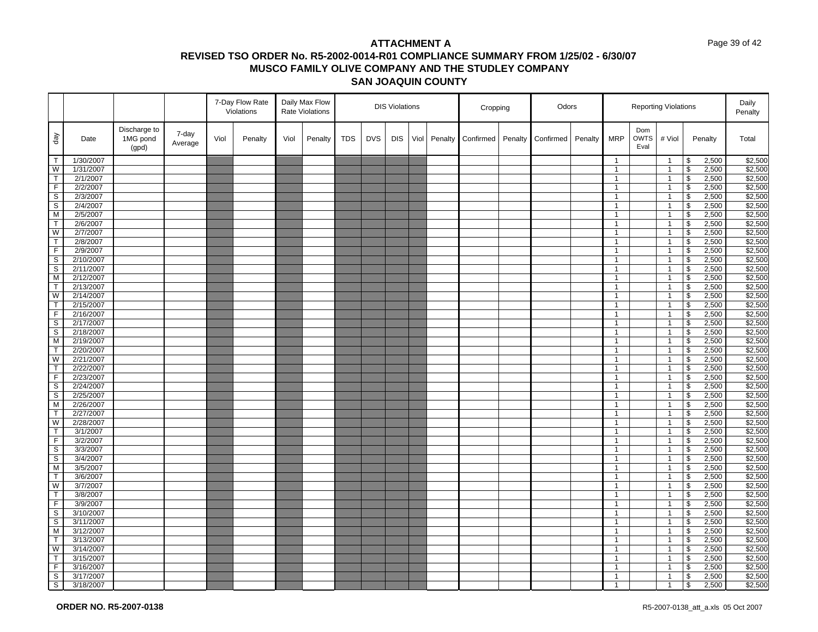#### Page 39 of 42

| Discharge to<br>Dom<br>7-day<br>$\sqrt{e}b$<br>1MG pond<br><b>DVS</b><br><b>DIS</b><br>Viol<br><b>MRP</b><br><b>OWTS</b><br># Viol<br>Viol<br><b>TDS</b><br>Penalty<br>Total<br>Date<br>Penalty<br>Viol<br>Penalty<br>Penalty<br>Confirmed<br>Penalty<br>Confirmed<br>Penalty<br>Average<br>Eval<br>(gpd)<br>2,500<br>\$2,500<br>$\top$<br>1/30/2007<br>\$<br>$\mathbf{1}$<br>$\overline{1}$<br>\$2,500<br>W<br>1/31/2007<br>\$<br>2,500<br>$\mathbf{1}$<br>$\overline{1}$<br>$\mathsf{T}$<br>\$2,500<br>2/1/2007<br>$\overline{1}$<br>\$<br>2,500<br>$\mathbf{1}$<br>F.<br>2/2/2007<br>\$<br>2,500<br>\$2,500<br>$\mathbf{1}$<br>$\mathbf{1}$<br>$\overline{s}$<br>$\overline{\mathbf{3}}$<br>2,500<br>\$2,500<br>2/3/2007<br>$\overline{1}$<br>$\mathbf{1}$<br>S<br>2/4/2007<br>\$<br>2,500<br>\$2,500<br>$\mathbf{1}$<br>$\mathbf{1}$<br>$\overline{M}$<br>2/5/2007<br>$\overline{\mathcal{S}}$<br>\$2,500<br>2,500<br>$\mathbf{1}$<br>$\mathbf{1}$<br>T<br>2/6/2007<br>$\overline{1}$<br>\$<br>2,500<br>\$2,500<br>$\mathbf{1}$<br>W<br>$\sqrt[6]{\frac{1}{2}}$<br>2,500<br>\$2,500<br>2/7/2007<br>$\mathbf{1}$<br>$\mathbf{1}$<br>$\overline{\mathsf{T}}$<br>$\overline{\mathbf{s}}$<br>\$2,500<br>2/8/2007<br>2,500<br>$\mathbf{1}$<br>$\mathbf{1}$<br>F<br>\$<br>\$2,500<br>2/9/2007<br>$\overline{1}$<br>2,500<br>$\mathbf{1}$<br>S<br>2/10/2007<br>$\overline{1}$<br>\$<br>2,500<br>\$2,500<br>$\mathbf{1}$<br>$\overline{s}$<br>\$2,500<br>2/11/2007<br>\$<br>2,500<br>$\mathbf{1}$<br>$\mathbf{1}$<br>\$2,500<br>M<br>2/12/2007<br>\$<br>2,500<br>$\mathbf{1}$<br>$\mathbf{1}$<br>2/13/2007<br>$\overline{\mathcal{S}}$<br>2,500<br>\$2,500<br>$\mathsf{T}$<br>$\overline{1}$<br>$\mathbf{1}$<br>W<br>2/14/2007<br>\$<br>2,500<br>\$2,500<br>$\mathbf{1}$<br>$\mathbf{1}$<br>$\sqrt[6]{\frac{1}{2}}$<br>\$2,500<br>$\mathsf{T}$<br>2/15/2007<br>2,500<br>$\mathbf{1}$<br>$\mathbf{1}$<br>$\overline{F}$<br>$\overline{\mathbf{3}}$<br>\$2,500<br>2/16/2007<br>2,500<br>$\mathbf{1}$<br>$\overline{1}$<br>$\mathsf S$<br>\$<br>\$2,500<br>2/17/2007<br>$\overline{1}$<br>2,500<br>$\mathbf{1}$<br>S<br>2/18/2007<br>$\overline{1}$<br>\$<br>2,500<br>\$2,500<br>$\mathbf{1}$<br>\$2,500<br>M<br>2/19/2007<br>\$<br>2,500<br>$\mathbf{1}$<br>$\mathbf{1}$<br>\$2,500<br>$\mathsf{T}$<br>2/20/2007<br>\$<br>2,500<br>$\mathbf{1}$<br>$\mathbf{1}$<br>W<br>2/21/2007<br>\$<br>2,500<br>\$2,500<br>$\overline{1}$<br>$\mathbf{1}$<br>\$2,500<br>T<br>2/22/2007<br>\$<br>$\mathbf{1}$<br>$\mathbf{1}$<br>2,500<br>$\mathfrak s$<br>2,500<br>\$2,500<br>F<br>2/23/2007<br>$\overline{1}$<br>$\mathbf{1}$<br>\$2,500<br>S<br>2/24/2007<br>\$<br>2,500<br>$\mathbf{1}$<br>$\mathbf{1}$<br>\$2,500<br>S<br>2/25/2007<br>$\mathbf{1}$<br>\$<br>2,500<br>$\mathbf{1}$<br>M<br>\$<br>\$2,500<br>2/26/2007<br>$\overline{1}$<br>2,500<br>$\mathbf{1}$<br>\$2,500<br>T<br>2/27/2007<br>\$<br>2,500<br>$\mathbf{1}$<br>$\mathbf{1}$<br>$\mathfrak s$<br>\$2,500<br>W<br>2/28/2007<br>$\overline{1}$<br>2,500<br>$\mathbf{1}$<br>$\mathsf{T}$<br>3/1/2007<br>\$<br>2,500<br>\$2,500<br>$\mathbf{1}$<br>$\mathbf{1}$<br>F<br>\$2,500<br>3/2/2007<br>\$<br>2,500<br>$\mathbf{1}$<br>$\mathbf{1}$<br>$\mathbb S$<br>$\mathfrak s$<br>2,500<br>\$2,500<br>3/3/2007<br>$\overline{1}$<br>$\mathbf{1}$<br>\$2,500<br>S<br>3/4/2007<br>$\mathbf{1}$<br>\$<br>2,500<br>$\mathbf{1}$<br>\$2,500<br>M<br>3/5/2007<br>$\mathbf{1}$<br>$\overline{1}$<br>\$<br>2,500<br>T<br>\$<br>2,500<br>\$2,500<br>3/6/2007<br>$\mathbf{1}$<br>$\mathbf{1}$<br>\$2,500<br>W<br>3/7/2007<br>\$<br>2,500<br>$\mathbf{1}$<br>$\mathbf{1}$<br>\$2,500<br>$\overline{\mathbf{s}}$<br>T.<br>3/8/2007<br>2,500<br>$\mathbf{1}$<br>$\mathbf{1}$<br>F<br>3/9/2007<br>\$<br>2,500<br>\$2,500<br>$\mathbf{1}$<br>$\mathbf{1}$<br>S<br>\$2,500<br>3/10/2007<br>\$<br>2,500<br>$\mathbf{1}$<br>$\mathbf{1}$<br>$\mathbb S$<br>\$<br>2,500<br>\$2,500<br>3/11/2007<br>$\mathbf{1}$<br>$\mathbf{1}$<br>\$2,500<br>3/12/2007<br>\$<br>2,500<br>M<br>$\mathbf{1}$<br>$\mathbf{1}$<br>\$2,500<br>T.<br>3/13/2007<br>$\mathbf{1}$<br>$\overline{1}$<br>\$<br>2,500<br>W<br>2,500<br>\$2,500<br>3/14/2007<br>$\mathbf{1}$<br>$\mathbf{1}$<br>\$<br>$\mathfrak s$<br>\$2,500<br>T<br>3/15/2007<br>2,500<br>$\mathbf{1}$<br>$\mathbf{1}$<br>\$2,500<br>$\overline{F}$<br>2,500<br>3/16/2007<br>\$<br>$\mathbf{1}$<br>$\overline{1}$<br>S<br>3/17/2007<br>\$<br>2,500<br>\$2,500<br>$\mathbf{1}$<br>$\mathbf{1}$<br>$\mathbf{1}$<br>$\overline{1}$ |   |           |  | 7-Day Flow Rate<br>Violations | Daily Max Flow<br><b>Rate Violations</b> | <b>DIS Violations</b> |  | Cropping | Odors |  | <b>Reporting Violations</b> |  | Daily<br>Penalty |             |  |
|-----------------------------------------------------------------------------------------------------------------------------------------------------------------------------------------------------------------------------------------------------------------------------------------------------------------------------------------------------------------------------------------------------------------------------------------------------------------------------------------------------------------------------------------------------------------------------------------------------------------------------------------------------------------------------------------------------------------------------------------------------------------------------------------------------------------------------------------------------------------------------------------------------------------------------------------------------------------------------------------------------------------------------------------------------------------------------------------------------------------------------------------------------------------------------------------------------------------------------------------------------------------------------------------------------------------------------------------------------------------------------------------------------------------------------------------------------------------------------------------------------------------------------------------------------------------------------------------------------------------------------------------------------------------------------------------------------------------------------------------------------------------------------------------------------------------------------------------------------------------------------------------------------------------------------------------------------------------------------------------------------------------------------------------------------------------------------------------------------------------------------------------------------------------------------------------------------------------------------------------------------------------------------------------------------------------------------------------------------------------------------------------------------------------------------------------------------------------------------------------------------------------------------------------------------------------------------------------------------------------------------------------------------------------------------------------------------------------------------------------------------------------------------------------------------------------------------------------------------------------------------------------------------------------------------------------------------------------------------------------------------------------------------------------------------------------------------------------------------------------------------------------------------------------------------------------------------------------------------------------------------------------------------------------------------------------------------------------------------------------------------------------------------------------------------------------------------------------------------------------------------------------------------------------------------------------------------------------------------------------------------------------------------------------------------------------------------------------------------------------------------------------------------------------------------------------------------------------------------------------------------------------------------------------------------------------------------------------------------------------------------------------------------------------------------------------------------------------------------------------------------------------------------------------------------------------------------------------------------------------------------------------------------------------------------------------------------------------------------------------------------------------------------------------------------------------------------------------------------------------------|---|-----------|--|-------------------------------|------------------------------------------|-----------------------|--|----------|-------|--|-----------------------------|--|------------------|-------------|--|
|                                                                                                                                                                                                                                                                                                                                                                                                                                                                                                                                                                                                                                                                                                                                                                                                                                                                                                                                                                                                                                                                                                                                                                                                                                                                                                                                                                                                                                                                                                                                                                                                                                                                                                                                                                                                                                                                                                                                                                                                                                                                                                                                                                                                                                                                                                                                                                                                                                                                                                                                                                                                                                                                                                                                                                                                                                                                                                                                                                                                                                                                                                                                                                                                                                                                                                                                                                                                                                                                                                                                                                                                                                                                                                                                                                                                                                                                                                                                                                                                                                                                                                                                                                                                                                                                                                                                                                                                                                                                                               |   |           |  |                               |                                          |                       |  |          |       |  |                             |  |                  |             |  |
|                                                                                                                                                                                                                                                                                                                                                                                                                                                                                                                                                                                                                                                                                                                                                                                                                                                                                                                                                                                                                                                                                                                                                                                                                                                                                                                                                                                                                                                                                                                                                                                                                                                                                                                                                                                                                                                                                                                                                                                                                                                                                                                                                                                                                                                                                                                                                                                                                                                                                                                                                                                                                                                                                                                                                                                                                                                                                                                                                                                                                                                                                                                                                                                                                                                                                                                                                                                                                                                                                                                                                                                                                                                                                                                                                                                                                                                                                                                                                                                                                                                                                                                                                                                                                                                                                                                                                                                                                                                                                               |   |           |  |                               |                                          |                       |  |          |       |  |                             |  |                  |             |  |
| \$2,500                                                                                                                                                                                                                                                                                                                                                                                                                                                                                                                                                                                                                                                                                                                                                                                                                                                                                                                                                                                                                                                                                                                                                                                                                                                                                                                                                                                                                                                                                                                                                                                                                                                                                                                                                                                                                                                                                                                                                                                                                                                                                                                                                                                                                                                                                                                                                                                                                                                                                                                                                                                                                                                                                                                                                                                                                                                                                                                                                                                                                                                                                                                                                                                                                                                                                                                                                                                                                                                                                                                                                                                                                                                                                                                                                                                                                                                                                                                                                                                                                                                                                                                                                                                                                                                                                                                                                                                                                                                                                       |   |           |  |                               |                                          |                       |  |          |       |  |                             |  |                  |             |  |
|                                                                                                                                                                                                                                                                                                                                                                                                                                                                                                                                                                                                                                                                                                                                                                                                                                                                                                                                                                                                                                                                                                                                                                                                                                                                                                                                                                                                                                                                                                                                                                                                                                                                                                                                                                                                                                                                                                                                                                                                                                                                                                                                                                                                                                                                                                                                                                                                                                                                                                                                                                                                                                                                                                                                                                                                                                                                                                                                                                                                                                                                                                                                                                                                                                                                                                                                                                                                                                                                                                                                                                                                                                                                                                                                                                                                                                                                                                                                                                                                                                                                                                                                                                                                                                                                                                                                                                                                                                                                                               |   |           |  |                               |                                          |                       |  |          |       |  |                             |  |                  |             |  |
|                                                                                                                                                                                                                                                                                                                                                                                                                                                                                                                                                                                                                                                                                                                                                                                                                                                                                                                                                                                                                                                                                                                                                                                                                                                                                                                                                                                                                                                                                                                                                                                                                                                                                                                                                                                                                                                                                                                                                                                                                                                                                                                                                                                                                                                                                                                                                                                                                                                                                                                                                                                                                                                                                                                                                                                                                                                                                                                                                                                                                                                                                                                                                                                                                                                                                                                                                                                                                                                                                                                                                                                                                                                                                                                                                                                                                                                                                                                                                                                                                                                                                                                                                                                                                                                                                                                                                                                                                                                                                               |   |           |  |                               |                                          |                       |  |          |       |  |                             |  |                  |             |  |
|                                                                                                                                                                                                                                                                                                                                                                                                                                                                                                                                                                                                                                                                                                                                                                                                                                                                                                                                                                                                                                                                                                                                                                                                                                                                                                                                                                                                                                                                                                                                                                                                                                                                                                                                                                                                                                                                                                                                                                                                                                                                                                                                                                                                                                                                                                                                                                                                                                                                                                                                                                                                                                                                                                                                                                                                                                                                                                                                                                                                                                                                                                                                                                                                                                                                                                                                                                                                                                                                                                                                                                                                                                                                                                                                                                                                                                                                                                                                                                                                                                                                                                                                                                                                                                                                                                                                                                                                                                                                                               |   |           |  |                               |                                          |                       |  |          |       |  |                             |  |                  |             |  |
|                                                                                                                                                                                                                                                                                                                                                                                                                                                                                                                                                                                                                                                                                                                                                                                                                                                                                                                                                                                                                                                                                                                                                                                                                                                                                                                                                                                                                                                                                                                                                                                                                                                                                                                                                                                                                                                                                                                                                                                                                                                                                                                                                                                                                                                                                                                                                                                                                                                                                                                                                                                                                                                                                                                                                                                                                                                                                                                                                                                                                                                                                                                                                                                                                                                                                                                                                                                                                                                                                                                                                                                                                                                                                                                                                                                                                                                                                                                                                                                                                                                                                                                                                                                                                                                                                                                                                                                                                                                                                               |   |           |  |                               |                                          |                       |  |          |       |  |                             |  |                  |             |  |
|                                                                                                                                                                                                                                                                                                                                                                                                                                                                                                                                                                                                                                                                                                                                                                                                                                                                                                                                                                                                                                                                                                                                                                                                                                                                                                                                                                                                                                                                                                                                                                                                                                                                                                                                                                                                                                                                                                                                                                                                                                                                                                                                                                                                                                                                                                                                                                                                                                                                                                                                                                                                                                                                                                                                                                                                                                                                                                                                                                                                                                                                                                                                                                                                                                                                                                                                                                                                                                                                                                                                                                                                                                                                                                                                                                                                                                                                                                                                                                                                                                                                                                                                                                                                                                                                                                                                                                                                                                                                                               |   |           |  |                               |                                          |                       |  |          |       |  |                             |  |                  |             |  |
|                                                                                                                                                                                                                                                                                                                                                                                                                                                                                                                                                                                                                                                                                                                                                                                                                                                                                                                                                                                                                                                                                                                                                                                                                                                                                                                                                                                                                                                                                                                                                                                                                                                                                                                                                                                                                                                                                                                                                                                                                                                                                                                                                                                                                                                                                                                                                                                                                                                                                                                                                                                                                                                                                                                                                                                                                                                                                                                                                                                                                                                                                                                                                                                                                                                                                                                                                                                                                                                                                                                                                                                                                                                                                                                                                                                                                                                                                                                                                                                                                                                                                                                                                                                                                                                                                                                                                                                                                                                                                               |   |           |  |                               |                                          |                       |  |          |       |  |                             |  |                  |             |  |
|                                                                                                                                                                                                                                                                                                                                                                                                                                                                                                                                                                                                                                                                                                                                                                                                                                                                                                                                                                                                                                                                                                                                                                                                                                                                                                                                                                                                                                                                                                                                                                                                                                                                                                                                                                                                                                                                                                                                                                                                                                                                                                                                                                                                                                                                                                                                                                                                                                                                                                                                                                                                                                                                                                                                                                                                                                                                                                                                                                                                                                                                                                                                                                                                                                                                                                                                                                                                                                                                                                                                                                                                                                                                                                                                                                                                                                                                                                                                                                                                                                                                                                                                                                                                                                                                                                                                                                                                                                                                                               |   |           |  |                               |                                          |                       |  |          |       |  |                             |  |                  |             |  |
|                                                                                                                                                                                                                                                                                                                                                                                                                                                                                                                                                                                                                                                                                                                                                                                                                                                                                                                                                                                                                                                                                                                                                                                                                                                                                                                                                                                                                                                                                                                                                                                                                                                                                                                                                                                                                                                                                                                                                                                                                                                                                                                                                                                                                                                                                                                                                                                                                                                                                                                                                                                                                                                                                                                                                                                                                                                                                                                                                                                                                                                                                                                                                                                                                                                                                                                                                                                                                                                                                                                                                                                                                                                                                                                                                                                                                                                                                                                                                                                                                                                                                                                                                                                                                                                                                                                                                                                                                                                                                               |   |           |  |                               |                                          |                       |  |          |       |  |                             |  |                  |             |  |
|                                                                                                                                                                                                                                                                                                                                                                                                                                                                                                                                                                                                                                                                                                                                                                                                                                                                                                                                                                                                                                                                                                                                                                                                                                                                                                                                                                                                                                                                                                                                                                                                                                                                                                                                                                                                                                                                                                                                                                                                                                                                                                                                                                                                                                                                                                                                                                                                                                                                                                                                                                                                                                                                                                                                                                                                                                                                                                                                                                                                                                                                                                                                                                                                                                                                                                                                                                                                                                                                                                                                                                                                                                                                                                                                                                                                                                                                                                                                                                                                                                                                                                                                                                                                                                                                                                                                                                                                                                                                                               |   |           |  |                               |                                          |                       |  |          |       |  |                             |  |                  |             |  |
|                                                                                                                                                                                                                                                                                                                                                                                                                                                                                                                                                                                                                                                                                                                                                                                                                                                                                                                                                                                                                                                                                                                                                                                                                                                                                                                                                                                                                                                                                                                                                                                                                                                                                                                                                                                                                                                                                                                                                                                                                                                                                                                                                                                                                                                                                                                                                                                                                                                                                                                                                                                                                                                                                                                                                                                                                                                                                                                                                                                                                                                                                                                                                                                                                                                                                                                                                                                                                                                                                                                                                                                                                                                                                                                                                                                                                                                                                                                                                                                                                                                                                                                                                                                                                                                                                                                                                                                                                                                                                               |   |           |  |                               |                                          |                       |  |          |       |  |                             |  |                  |             |  |
|                                                                                                                                                                                                                                                                                                                                                                                                                                                                                                                                                                                                                                                                                                                                                                                                                                                                                                                                                                                                                                                                                                                                                                                                                                                                                                                                                                                                                                                                                                                                                                                                                                                                                                                                                                                                                                                                                                                                                                                                                                                                                                                                                                                                                                                                                                                                                                                                                                                                                                                                                                                                                                                                                                                                                                                                                                                                                                                                                                                                                                                                                                                                                                                                                                                                                                                                                                                                                                                                                                                                                                                                                                                                                                                                                                                                                                                                                                                                                                                                                                                                                                                                                                                                                                                                                                                                                                                                                                                                                               |   |           |  |                               |                                          |                       |  |          |       |  |                             |  |                  |             |  |
|                                                                                                                                                                                                                                                                                                                                                                                                                                                                                                                                                                                                                                                                                                                                                                                                                                                                                                                                                                                                                                                                                                                                                                                                                                                                                                                                                                                                                                                                                                                                                                                                                                                                                                                                                                                                                                                                                                                                                                                                                                                                                                                                                                                                                                                                                                                                                                                                                                                                                                                                                                                                                                                                                                                                                                                                                                                                                                                                                                                                                                                                                                                                                                                                                                                                                                                                                                                                                                                                                                                                                                                                                                                                                                                                                                                                                                                                                                                                                                                                                                                                                                                                                                                                                                                                                                                                                                                                                                                                                               |   |           |  |                               |                                          |                       |  |          |       |  |                             |  |                  |             |  |
|                                                                                                                                                                                                                                                                                                                                                                                                                                                                                                                                                                                                                                                                                                                                                                                                                                                                                                                                                                                                                                                                                                                                                                                                                                                                                                                                                                                                                                                                                                                                                                                                                                                                                                                                                                                                                                                                                                                                                                                                                                                                                                                                                                                                                                                                                                                                                                                                                                                                                                                                                                                                                                                                                                                                                                                                                                                                                                                                                                                                                                                                                                                                                                                                                                                                                                                                                                                                                                                                                                                                                                                                                                                                                                                                                                                                                                                                                                                                                                                                                                                                                                                                                                                                                                                                                                                                                                                                                                                                                               |   |           |  |                               |                                          |                       |  |          |       |  |                             |  |                  |             |  |
|                                                                                                                                                                                                                                                                                                                                                                                                                                                                                                                                                                                                                                                                                                                                                                                                                                                                                                                                                                                                                                                                                                                                                                                                                                                                                                                                                                                                                                                                                                                                                                                                                                                                                                                                                                                                                                                                                                                                                                                                                                                                                                                                                                                                                                                                                                                                                                                                                                                                                                                                                                                                                                                                                                                                                                                                                                                                                                                                                                                                                                                                                                                                                                                                                                                                                                                                                                                                                                                                                                                                                                                                                                                                                                                                                                                                                                                                                                                                                                                                                                                                                                                                                                                                                                                                                                                                                                                                                                                                                               |   |           |  |                               |                                          |                       |  |          |       |  |                             |  |                  |             |  |
|                                                                                                                                                                                                                                                                                                                                                                                                                                                                                                                                                                                                                                                                                                                                                                                                                                                                                                                                                                                                                                                                                                                                                                                                                                                                                                                                                                                                                                                                                                                                                                                                                                                                                                                                                                                                                                                                                                                                                                                                                                                                                                                                                                                                                                                                                                                                                                                                                                                                                                                                                                                                                                                                                                                                                                                                                                                                                                                                                                                                                                                                                                                                                                                                                                                                                                                                                                                                                                                                                                                                                                                                                                                                                                                                                                                                                                                                                                                                                                                                                                                                                                                                                                                                                                                                                                                                                                                                                                                                                               |   |           |  |                               |                                          |                       |  |          |       |  |                             |  |                  |             |  |
|                                                                                                                                                                                                                                                                                                                                                                                                                                                                                                                                                                                                                                                                                                                                                                                                                                                                                                                                                                                                                                                                                                                                                                                                                                                                                                                                                                                                                                                                                                                                                                                                                                                                                                                                                                                                                                                                                                                                                                                                                                                                                                                                                                                                                                                                                                                                                                                                                                                                                                                                                                                                                                                                                                                                                                                                                                                                                                                                                                                                                                                                                                                                                                                                                                                                                                                                                                                                                                                                                                                                                                                                                                                                                                                                                                                                                                                                                                                                                                                                                                                                                                                                                                                                                                                                                                                                                                                                                                                                                               |   |           |  |                               |                                          |                       |  |          |       |  |                             |  |                  |             |  |
|                                                                                                                                                                                                                                                                                                                                                                                                                                                                                                                                                                                                                                                                                                                                                                                                                                                                                                                                                                                                                                                                                                                                                                                                                                                                                                                                                                                                                                                                                                                                                                                                                                                                                                                                                                                                                                                                                                                                                                                                                                                                                                                                                                                                                                                                                                                                                                                                                                                                                                                                                                                                                                                                                                                                                                                                                                                                                                                                                                                                                                                                                                                                                                                                                                                                                                                                                                                                                                                                                                                                                                                                                                                                                                                                                                                                                                                                                                                                                                                                                                                                                                                                                                                                                                                                                                                                                                                                                                                                                               |   |           |  |                               |                                          |                       |  |          |       |  |                             |  |                  |             |  |
|                                                                                                                                                                                                                                                                                                                                                                                                                                                                                                                                                                                                                                                                                                                                                                                                                                                                                                                                                                                                                                                                                                                                                                                                                                                                                                                                                                                                                                                                                                                                                                                                                                                                                                                                                                                                                                                                                                                                                                                                                                                                                                                                                                                                                                                                                                                                                                                                                                                                                                                                                                                                                                                                                                                                                                                                                                                                                                                                                                                                                                                                                                                                                                                                                                                                                                                                                                                                                                                                                                                                                                                                                                                                                                                                                                                                                                                                                                                                                                                                                                                                                                                                                                                                                                                                                                                                                                                                                                                                                               |   |           |  |                               |                                          |                       |  |          |       |  |                             |  |                  |             |  |
|                                                                                                                                                                                                                                                                                                                                                                                                                                                                                                                                                                                                                                                                                                                                                                                                                                                                                                                                                                                                                                                                                                                                                                                                                                                                                                                                                                                                                                                                                                                                                                                                                                                                                                                                                                                                                                                                                                                                                                                                                                                                                                                                                                                                                                                                                                                                                                                                                                                                                                                                                                                                                                                                                                                                                                                                                                                                                                                                                                                                                                                                                                                                                                                                                                                                                                                                                                                                                                                                                                                                                                                                                                                                                                                                                                                                                                                                                                                                                                                                                                                                                                                                                                                                                                                                                                                                                                                                                                                                                               |   |           |  |                               |                                          |                       |  |          |       |  |                             |  |                  |             |  |
|                                                                                                                                                                                                                                                                                                                                                                                                                                                                                                                                                                                                                                                                                                                                                                                                                                                                                                                                                                                                                                                                                                                                                                                                                                                                                                                                                                                                                                                                                                                                                                                                                                                                                                                                                                                                                                                                                                                                                                                                                                                                                                                                                                                                                                                                                                                                                                                                                                                                                                                                                                                                                                                                                                                                                                                                                                                                                                                                                                                                                                                                                                                                                                                                                                                                                                                                                                                                                                                                                                                                                                                                                                                                                                                                                                                                                                                                                                                                                                                                                                                                                                                                                                                                                                                                                                                                                                                                                                                                                               |   |           |  |                               |                                          |                       |  |          |       |  |                             |  |                  |             |  |
|                                                                                                                                                                                                                                                                                                                                                                                                                                                                                                                                                                                                                                                                                                                                                                                                                                                                                                                                                                                                                                                                                                                                                                                                                                                                                                                                                                                                                                                                                                                                                                                                                                                                                                                                                                                                                                                                                                                                                                                                                                                                                                                                                                                                                                                                                                                                                                                                                                                                                                                                                                                                                                                                                                                                                                                                                                                                                                                                                                                                                                                                                                                                                                                                                                                                                                                                                                                                                                                                                                                                                                                                                                                                                                                                                                                                                                                                                                                                                                                                                                                                                                                                                                                                                                                                                                                                                                                                                                                                                               |   |           |  |                               |                                          |                       |  |          |       |  |                             |  |                  |             |  |
|                                                                                                                                                                                                                                                                                                                                                                                                                                                                                                                                                                                                                                                                                                                                                                                                                                                                                                                                                                                                                                                                                                                                                                                                                                                                                                                                                                                                                                                                                                                                                                                                                                                                                                                                                                                                                                                                                                                                                                                                                                                                                                                                                                                                                                                                                                                                                                                                                                                                                                                                                                                                                                                                                                                                                                                                                                                                                                                                                                                                                                                                                                                                                                                                                                                                                                                                                                                                                                                                                                                                                                                                                                                                                                                                                                                                                                                                                                                                                                                                                                                                                                                                                                                                                                                                                                                                                                                                                                                                                               |   |           |  |                               |                                          |                       |  |          |       |  |                             |  |                  |             |  |
|                                                                                                                                                                                                                                                                                                                                                                                                                                                                                                                                                                                                                                                                                                                                                                                                                                                                                                                                                                                                                                                                                                                                                                                                                                                                                                                                                                                                                                                                                                                                                                                                                                                                                                                                                                                                                                                                                                                                                                                                                                                                                                                                                                                                                                                                                                                                                                                                                                                                                                                                                                                                                                                                                                                                                                                                                                                                                                                                                                                                                                                                                                                                                                                                                                                                                                                                                                                                                                                                                                                                                                                                                                                                                                                                                                                                                                                                                                                                                                                                                                                                                                                                                                                                                                                                                                                                                                                                                                                                                               |   |           |  |                               |                                          |                       |  |          |       |  |                             |  |                  |             |  |
|                                                                                                                                                                                                                                                                                                                                                                                                                                                                                                                                                                                                                                                                                                                                                                                                                                                                                                                                                                                                                                                                                                                                                                                                                                                                                                                                                                                                                                                                                                                                                                                                                                                                                                                                                                                                                                                                                                                                                                                                                                                                                                                                                                                                                                                                                                                                                                                                                                                                                                                                                                                                                                                                                                                                                                                                                                                                                                                                                                                                                                                                                                                                                                                                                                                                                                                                                                                                                                                                                                                                                                                                                                                                                                                                                                                                                                                                                                                                                                                                                                                                                                                                                                                                                                                                                                                                                                                                                                                                                               |   |           |  |                               |                                          |                       |  |          |       |  |                             |  |                  |             |  |
|                                                                                                                                                                                                                                                                                                                                                                                                                                                                                                                                                                                                                                                                                                                                                                                                                                                                                                                                                                                                                                                                                                                                                                                                                                                                                                                                                                                                                                                                                                                                                                                                                                                                                                                                                                                                                                                                                                                                                                                                                                                                                                                                                                                                                                                                                                                                                                                                                                                                                                                                                                                                                                                                                                                                                                                                                                                                                                                                                                                                                                                                                                                                                                                                                                                                                                                                                                                                                                                                                                                                                                                                                                                                                                                                                                                                                                                                                                                                                                                                                                                                                                                                                                                                                                                                                                                                                                                                                                                                                               |   |           |  |                               |                                          |                       |  |          |       |  |                             |  |                  |             |  |
|                                                                                                                                                                                                                                                                                                                                                                                                                                                                                                                                                                                                                                                                                                                                                                                                                                                                                                                                                                                                                                                                                                                                                                                                                                                                                                                                                                                                                                                                                                                                                                                                                                                                                                                                                                                                                                                                                                                                                                                                                                                                                                                                                                                                                                                                                                                                                                                                                                                                                                                                                                                                                                                                                                                                                                                                                                                                                                                                                                                                                                                                                                                                                                                                                                                                                                                                                                                                                                                                                                                                                                                                                                                                                                                                                                                                                                                                                                                                                                                                                                                                                                                                                                                                                                                                                                                                                                                                                                                                                               |   |           |  |                               |                                          |                       |  |          |       |  |                             |  |                  |             |  |
|                                                                                                                                                                                                                                                                                                                                                                                                                                                                                                                                                                                                                                                                                                                                                                                                                                                                                                                                                                                                                                                                                                                                                                                                                                                                                                                                                                                                                                                                                                                                                                                                                                                                                                                                                                                                                                                                                                                                                                                                                                                                                                                                                                                                                                                                                                                                                                                                                                                                                                                                                                                                                                                                                                                                                                                                                                                                                                                                                                                                                                                                                                                                                                                                                                                                                                                                                                                                                                                                                                                                                                                                                                                                                                                                                                                                                                                                                                                                                                                                                                                                                                                                                                                                                                                                                                                                                                                                                                                                                               |   |           |  |                               |                                          |                       |  |          |       |  |                             |  |                  |             |  |
|                                                                                                                                                                                                                                                                                                                                                                                                                                                                                                                                                                                                                                                                                                                                                                                                                                                                                                                                                                                                                                                                                                                                                                                                                                                                                                                                                                                                                                                                                                                                                                                                                                                                                                                                                                                                                                                                                                                                                                                                                                                                                                                                                                                                                                                                                                                                                                                                                                                                                                                                                                                                                                                                                                                                                                                                                                                                                                                                                                                                                                                                                                                                                                                                                                                                                                                                                                                                                                                                                                                                                                                                                                                                                                                                                                                                                                                                                                                                                                                                                                                                                                                                                                                                                                                                                                                                                                                                                                                                                               |   |           |  |                               |                                          |                       |  |          |       |  |                             |  |                  |             |  |
|                                                                                                                                                                                                                                                                                                                                                                                                                                                                                                                                                                                                                                                                                                                                                                                                                                                                                                                                                                                                                                                                                                                                                                                                                                                                                                                                                                                                                                                                                                                                                                                                                                                                                                                                                                                                                                                                                                                                                                                                                                                                                                                                                                                                                                                                                                                                                                                                                                                                                                                                                                                                                                                                                                                                                                                                                                                                                                                                                                                                                                                                                                                                                                                                                                                                                                                                                                                                                                                                                                                                                                                                                                                                                                                                                                                                                                                                                                                                                                                                                                                                                                                                                                                                                                                                                                                                                                                                                                                                                               |   |           |  |                               |                                          |                       |  |          |       |  |                             |  |                  |             |  |
|                                                                                                                                                                                                                                                                                                                                                                                                                                                                                                                                                                                                                                                                                                                                                                                                                                                                                                                                                                                                                                                                                                                                                                                                                                                                                                                                                                                                                                                                                                                                                                                                                                                                                                                                                                                                                                                                                                                                                                                                                                                                                                                                                                                                                                                                                                                                                                                                                                                                                                                                                                                                                                                                                                                                                                                                                                                                                                                                                                                                                                                                                                                                                                                                                                                                                                                                                                                                                                                                                                                                                                                                                                                                                                                                                                                                                                                                                                                                                                                                                                                                                                                                                                                                                                                                                                                                                                                                                                                                                               |   |           |  |                               |                                          |                       |  |          |       |  |                             |  |                  |             |  |
|                                                                                                                                                                                                                                                                                                                                                                                                                                                                                                                                                                                                                                                                                                                                                                                                                                                                                                                                                                                                                                                                                                                                                                                                                                                                                                                                                                                                                                                                                                                                                                                                                                                                                                                                                                                                                                                                                                                                                                                                                                                                                                                                                                                                                                                                                                                                                                                                                                                                                                                                                                                                                                                                                                                                                                                                                                                                                                                                                                                                                                                                                                                                                                                                                                                                                                                                                                                                                                                                                                                                                                                                                                                                                                                                                                                                                                                                                                                                                                                                                                                                                                                                                                                                                                                                                                                                                                                                                                                                                               |   |           |  |                               |                                          |                       |  |          |       |  |                             |  |                  |             |  |
|                                                                                                                                                                                                                                                                                                                                                                                                                                                                                                                                                                                                                                                                                                                                                                                                                                                                                                                                                                                                                                                                                                                                                                                                                                                                                                                                                                                                                                                                                                                                                                                                                                                                                                                                                                                                                                                                                                                                                                                                                                                                                                                                                                                                                                                                                                                                                                                                                                                                                                                                                                                                                                                                                                                                                                                                                                                                                                                                                                                                                                                                                                                                                                                                                                                                                                                                                                                                                                                                                                                                                                                                                                                                                                                                                                                                                                                                                                                                                                                                                                                                                                                                                                                                                                                                                                                                                                                                                                                                                               |   |           |  |                               |                                          |                       |  |          |       |  |                             |  |                  |             |  |
|                                                                                                                                                                                                                                                                                                                                                                                                                                                                                                                                                                                                                                                                                                                                                                                                                                                                                                                                                                                                                                                                                                                                                                                                                                                                                                                                                                                                                                                                                                                                                                                                                                                                                                                                                                                                                                                                                                                                                                                                                                                                                                                                                                                                                                                                                                                                                                                                                                                                                                                                                                                                                                                                                                                                                                                                                                                                                                                                                                                                                                                                                                                                                                                                                                                                                                                                                                                                                                                                                                                                                                                                                                                                                                                                                                                                                                                                                                                                                                                                                                                                                                                                                                                                                                                                                                                                                                                                                                                                                               |   |           |  |                               |                                          |                       |  |          |       |  |                             |  |                  |             |  |
|                                                                                                                                                                                                                                                                                                                                                                                                                                                                                                                                                                                                                                                                                                                                                                                                                                                                                                                                                                                                                                                                                                                                                                                                                                                                                                                                                                                                                                                                                                                                                                                                                                                                                                                                                                                                                                                                                                                                                                                                                                                                                                                                                                                                                                                                                                                                                                                                                                                                                                                                                                                                                                                                                                                                                                                                                                                                                                                                                                                                                                                                                                                                                                                                                                                                                                                                                                                                                                                                                                                                                                                                                                                                                                                                                                                                                                                                                                                                                                                                                                                                                                                                                                                                                                                                                                                                                                                                                                                                                               |   |           |  |                               |                                          |                       |  |          |       |  |                             |  |                  |             |  |
|                                                                                                                                                                                                                                                                                                                                                                                                                                                                                                                                                                                                                                                                                                                                                                                                                                                                                                                                                                                                                                                                                                                                                                                                                                                                                                                                                                                                                                                                                                                                                                                                                                                                                                                                                                                                                                                                                                                                                                                                                                                                                                                                                                                                                                                                                                                                                                                                                                                                                                                                                                                                                                                                                                                                                                                                                                                                                                                                                                                                                                                                                                                                                                                                                                                                                                                                                                                                                                                                                                                                                                                                                                                                                                                                                                                                                                                                                                                                                                                                                                                                                                                                                                                                                                                                                                                                                                                                                                                                                               |   |           |  |                               |                                          |                       |  |          |       |  |                             |  |                  |             |  |
|                                                                                                                                                                                                                                                                                                                                                                                                                                                                                                                                                                                                                                                                                                                                                                                                                                                                                                                                                                                                                                                                                                                                                                                                                                                                                                                                                                                                                                                                                                                                                                                                                                                                                                                                                                                                                                                                                                                                                                                                                                                                                                                                                                                                                                                                                                                                                                                                                                                                                                                                                                                                                                                                                                                                                                                                                                                                                                                                                                                                                                                                                                                                                                                                                                                                                                                                                                                                                                                                                                                                                                                                                                                                                                                                                                                                                                                                                                                                                                                                                                                                                                                                                                                                                                                                                                                                                                                                                                                                                               |   |           |  |                               |                                          |                       |  |          |       |  |                             |  |                  |             |  |
|                                                                                                                                                                                                                                                                                                                                                                                                                                                                                                                                                                                                                                                                                                                                                                                                                                                                                                                                                                                                                                                                                                                                                                                                                                                                                                                                                                                                                                                                                                                                                                                                                                                                                                                                                                                                                                                                                                                                                                                                                                                                                                                                                                                                                                                                                                                                                                                                                                                                                                                                                                                                                                                                                                                                                                                                                                                                                                                                                                                                                                                                                                                                                                                                                                                                                                                                                                                                                                                                                                                                                                                                                                                                                                                                                                                                                                                                                                                                                                                                                                                                                                                                                                                                                                                                                                                                                                                                                                                                                               |   |           |  |                               |                                          |                       |  |          |       |  |                             |  |                  |             |  |
|                                                                                                                                                                                                                                                                                                                                                                                                                                                                                                                                                                                                                                                                                                                                                                                                                                                                                                                                                                                                                                                                                                                                                                                                                                                                                                                                                                                                                                                                                                                                                                                                                                                                                                                                                                                                                                                                                                                                                                                                                                                                                                                                                                                                                                                                                                                                                                                                                                                                                                                                                                                                                                                                                                                                                                                                                                                                                                                                                                                                                                                                                                                                                                                                                                                                                                                                                                                                                                                                                                                                                                                                                                                                                                                                                                                                                                                                                                                                                                                                                                                                                                                                                                                                                                                                                                                                                                                                                                                                                               |   |           |  |                               |                                          |                       |  |          |       |  |                             |  |                  |             |  |
|                                                                                                                                                                                                                                                                                                                                                                                                                                                                                                                                                                                                                                                                                                                                                                                                                                                                                                                                                                                                                                                                                                                                                                                                                                                                                                                                                                                                                                                                                                                                                                                                                                                                                                                                                                                                                                                                                                                                                                                                                                                                                                                                                                                                                                                                                                                                                                                                                                                                                                                                                                                                                                                                                                                                                                                                                                                                                                                                                                                                                                                                                                                                                                                                                                                                                                                                                                                                                                                                                                                                                                                                                                                                                                                                                                                                                                                                                                                                                                                                                                                                                                                                                                                                                                                                                                                                                                                                                                                                                               |   |           |  |                               |                                          |                       |  |          |       |  |                             |  |                  |             |  |
|                                                                                                                                                                                                                                                                                                                                                                                                                                                                                                                                                                                                                                                                                                                                                                                                                                                                                                                                                                                                                                                                                                                                                                                                                                                                                                                                                                                                                                                                                                                                                                                                                                                                                                                                                                                                                                                                                                                                                                                                                                                                                                                                                                                                                                                                                                                                                                                                                                                                                                                                                                                                                                                                                                                                                                                                                                                                                                                                                                                                                                                                                                                                                                                                                                                                                                                                                                                                                                                                                                                                                                                                                                                                                                                                                                                                                                                                                                                                                                                                                                                                                                                                                                                                                                                                                                                                                                                                                                                                                               |   |           |  |                               |                                          |                       |  |          |       |  |                             |  |                  |             |  |
|                                                                                                                                                                                                                                                                                                                                                                                                                                                                                                                                                                                                                                                                                                                                                                                                                                                                                                                                                                                                                                                                                                                                                                                                                                                                                                                                                                                                                                                                                                                                                                                                                                                                                                                                                                                                                                                                                                                                                                                                                                                                                                                                                                                                                                                                                                                                                                                                                                                                                                                                                                                                                                                                                                                                                                                                                                                                                                                                                                                                                                                                                                                                                                                                                                                                                                                                                                                                                                                                                                                                                                                                                                                                                                                                                                                                                                                                                                                                                                                                                                                                                                                                                                                                                                                                                                                                                                                                                                                                                               |   |           |  |                               |                                          |                       |  |          |       |  |                             |  |                  |             |  |
|                                                                                                                                                                                                                                                                                                                                                                                                                                                                                                                                                                                                                                                                                                                                                                                                                                                                                                                                                                                                                                                                                                                                                                                                                                                                                                                                                                                                                                                                                                                                                                                                                                                                                                                                                                                                                                                                                                                                                                                                                                                                                                                                                                                                                                                                                                                                                                                                                                                                                                                                                                                                                                                                                                                                                                                                                                                                                                                                                                                                                                                                                                                                                                                                                                                                                                                                                                                                                                                                                                                                                                                                                                                                                                                                                                                                                                                                                                                                                                                                                                                                                                                                                                                                                                                                                                                                                                                                                                                                                               |   |           |  |                               |                                          |                       |  |          |       |  |                             |  |                  |             |  |
|                                                                                                                                                                                                                                                                                                                                                                                                                                                                                                                                                                                                                                                                                                                                                                                                                                                                                                                                                                                                                                                                                                                                                                                                                                                                                                                                                                                                                                                                                                                                                                                                                                                                                                                                                                                                                                                                                                                                                                                                                                                                                                                                                                                                                                                                                                                                                                                                                                                                                                                                                                                                                                                                                                                                                                                                                                                                                                                                                                                                                                                                                                                                                                                                                                                                                                                                                                                                                                                                                                                                                                                                                                                                                                                                                                                                                                                                                                                                                                                                                                                                                                                                                                                                                                                                                                                                                                                                                                                                                               |   |           |  |                               |                                          |                       |  |          |       |  |                             |  |                  |             |  |
|                                                                                                                                                                                                                                                                                                                                                                                                                                                                                                                                                                                                                                                                                                                                                                                                                                                                                                                                                                                                                                                                                                                                                                                                                                                                                                                                                                                                                                                                                                                                                                                                                                                                                                                                                                                                                                                                                                                                                                                                                                                                                                                                                                                                                                                                                                                                                                                                                                                                                                                                                                                                                                                                                                                                                                                                                                                                                                                                                                                                                                                                                                                                                                                                                                                                                                                                                                                                                                                                                                                                                                                                                                                                                                                                                                                                                                                                                                                                                                                                                                                                                                                                                                                                                                                                                                                                                                                                                                                                                               |   |           |  |                               |                                          |                       |  |          |       |  |                             |  |                  |             |  |
|                                                                                                                                                                                                                                                                                                                                                                                                                                                                                                                                                                                                                                                                                                                                                                                                                                                                                                                                                                                                                                                                                                                                                                                                                                                                                                                                                                                                                                                                                                                                                                                                                                                                                                                                                                                                                                                                                                                                                                                                                                                                                                                                                                                                                                                                                                                                                                                                                                                                                                                                                                                                                                                                                                                                                                                                                                                                                                                                                                                                                                                                                                                                                                                                                                                                                                                                                                                                                                                                                                                                                                                                                                                                                                                                                                                                                                                                                                                                                                                                                                                                                                                                                                                                                                                                                                                                                                                                                                                                                               | S | 3/18/2007 |  |                               |                                          |                       |  |          |       |  |                             |  |                  | \$<br>2,500 |  |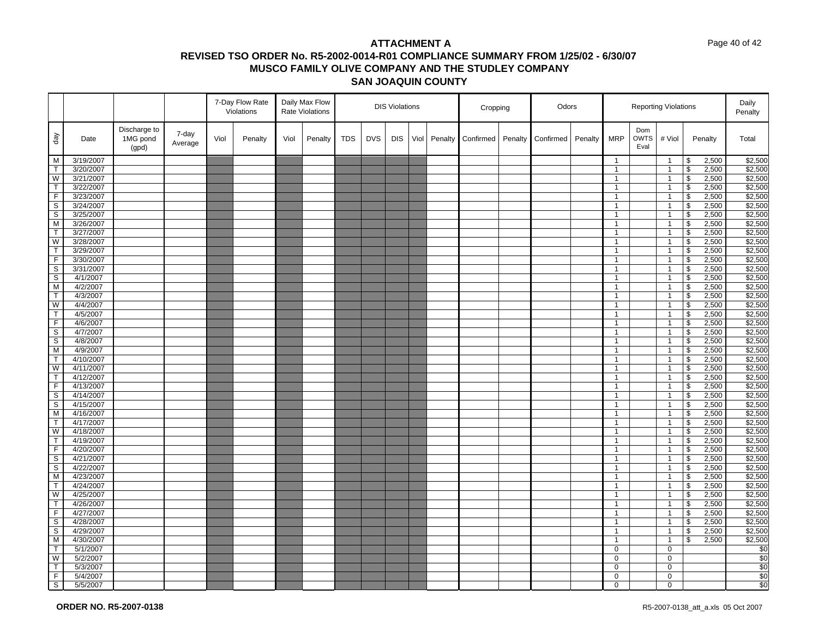#### Page 40 of 42

|                         |                        |                                   |                  |      | 7-Day Flow Rate<br>Violations |      | Daily Max Flow<br><b>Rate Violations</b> |            |            | <b>DIS Violations</b> |      |         | Cropping  |         | Odors     |         |                              |                            | <b>Reporting Violations</b>    |                          |                | Daily<br>Penalty   |
|-------------------------|------------------------|-----------------------------------|------------------|------|-------------------------------|------|------------------------------------------|------------|------------|-----------------------|------|---------|-----------|---------|-----------|---------|------------------------------|----------------------------|--------------------------------|--------------------------|----------------|--------------------|
| $\sqrt{e}b$             | Date                   | Discharge to<br>1MG pond<br>(gpd) | 7-day<br>Average | Viol | Penalty                       | Viol | Penalty                                  | <b>TDS</b> | <b>DVS</b> | <b>DIS</b>            | Viol | Penalty | Confirmed | Penalty | Confirmed | Penalty | <b>MRP</b>                   | Dom<br><b>OWTS</b><br>Eval | # Viol                         |                          | Penalty        | Total              |
| M                       | 3/19/2007              |                                   |                  |      |                               |      |                                          |            |            |                       |      |         |           |         |           |         | $\mathbf{1}$                 |                            | $\mathbf{1}$                   | \$                       | 2,500          | \$2,500            |
| $\mathsf{T}$            | 3/20/2007              |                                   |                  |      |                               |      |                                          |            |            |                       |      |         |           |         |           |         | $\mathbf{1}$                 |                            | $\overline{1}$                 | $\overline{\mathbf{s}}$  | 2,500          | \$2,500            |
| W                       | 3/21/2007              |                                   |                  |      |                               |      |                                          |            |            |                       |      |         |           |         |           |         | $\mathbf{1}$                 |                            | $\overline{1}$                 | \$                       | 2,500          | \$2,500            |
| $\mathsf{T}$            | 3/22/2007              |                                   |                  |      |                               |      |                                          |            |            |                       |      |         |           |         |           |         | $\mathbf{1}$                 |                            | $\mathbf{1}$                   | \$                       | 2,500          | \$2,500            |
| $\overline{F}$          | 3/23/2007              |                                   |                  |      |                               |      |                                          |            |            |                       |      |         |           |         |           |         | $\mathbf{1}$                 |                            | $\mathbf{1}$                   | $\sqrt{2}$               | 2,500          | \$2,500            |
| S                       | 3/24/2007              |                                   |                  |      |                               |      |                                          |            |            |                       |      |         |           |         |           |         | $\mathbf{1}$                 |                            | $\mathbf{1}$                   | \$                       | 2,500          | \$2,500            |
| S                       | 3/25/2007              |                                   |                  |      |                               |      |                                          |            |            |                       |      |         |           |         |           |         | $\mathbf{1}$                 |                            | $\mathbf{1}$                   | $\overline{\mathbf{s}}$  | 2,500          | \$2,500            |
| M                       | 3/26/2007              |                                   |                  |      |                               |      |                                          |            |            |                       |      |         |           |         |           |         | $\mathbf{1}$                 |                            | $\overline{1}$                 | \$                       | 2,500          | \$2,500            |
| $\mathsf{T}$            | 3/27/2007              |                                   |                  |      |                               |      |                                          |            |            |                       |      |         |           |         |           |         | $\mathbf{1}$                 |                            | $\mathbf{1}$                   | $\sqrt[6]{\frac{1}{2}}$  | 2,500          | \$2,500            |
| W                       | 3/28/2007              |                                   |                  |      |                               |      |                                          |            |            |                       |      |         |           |         |           |         | $\mathbf{1}$                 |                            | $\mathbf{1}$                   | $\overline{\mathbf{s}}$  | 2,500          | \$2,500            |
| $\mathsf{T}$            | 3/29/2007              |                                   |                  |      |                               |      |                                          |            |            |                       |      |         |           |         |           |         | $\mathbf{1}$                 |                            | $\overline{1}$                 | \$                       | 2,500          | \$2,500            |
| F                       | 3/30/2007              |                                   |                  |      |                               |      |                                          |            |            |                       |      |         |           |         |           |         | $\mathbf{1}$                 |                            | $\overline{1}$                 | \$                       | 2,500          | \$2,500            |
| $\overline{\mathbf{s}}$ | 3/31/2007              |                                   |                  |      |                               |      |                                          |            |            |                       |      |         |           |         |           |         | $\mathbf{1}$                 |                            | $\mathbf{1}$                   | \$                       | 2,500          | \$2,500            |
| S                       | 4/1/2007               |                                   |                  |      |                               |      |                                          |            |            |                       |      |         |           |         |           |         | $\mathbf{1}$                 |                            | $\mathbf{1}$                   | \$                       | 2,500          | \$2,500            |
| $\overline{M}$          | 4/2/2007               |                                   |                  |      |                               |      |                                          |            |            |                       |      |         |           |         |           |         | $\mathbf{1}$                 |                            | $\overline{1}$                 | $\overline{\mathcal{S}}$ | 2,500          | \$2,500            |
| T                       | 4/3/2007               |                                   |                  |      |                               |      |                                          |            |            |                       |      |         |           |         |           |         | $\mathbf{1}$                 |                            | $\mathbf{1}$                   | \$                       | 2,500          | \$2,500            |
| W                       | 4/4/2007               |                                   |                  |      |                               |      |                                          |            |            |                       |      |         |           |         |           |         | $\mathbf{1}$                 |                            | $\mathbf{1}$                   | $\sqrt[6]{\frac{1}{2}}$  | 2,500          | \$2,500            |
| $\overline{T}$          | 4/5/2007               |                                   |                  |      |                               |      |                                          |            |            |                       |      |         |           |         |           |         | $\mathbf{1}$                 |                            | $\overline{1}$                 | $\overline{\mathbf{e}}$  | 2,500          | \$2,500            |
| F                       | 4/6/2007               |                                   |                  |      |                               |      |                                          |            |            |                       |      |         |           |         |           |         | $\mathbf{1}$                 |                            | $\overline{1}$                 | \$                       | 2,500          | \$2,500            |
| s                       | 4/7/2007               |                                   |                  |      |                               |      |                                          |            |            |                       |      |         |           |         |           |         | $\mathbf{1}$                 |                            | $\overline{1}$                 | \$                       | 2,500          | \$2,500            |
| S                       | 4/8/2007               |                                   |                  |      |                               |      |                                          |            |            |                       |      |         |           |         |           |         | $\mathbf{1}$                 |                            | $\mathbf{1}$                   | \$                       | 2,500          | \$2,500            |
| M                       | 4/9/2007               |                                   |                  |      |                               |      |                                          |            |            |                       |      |         |           |         |           |         | $\mathbf{1}$                 |                            | $\mathbf{1}$                   | \$                       | 2,500          | \$2,500            |
| $\mathsf{T}$            | 4/10/2007              |                                   |                  |      |                               |      |                                          |            |            |                       |      |         |           |         |           |         | $\mathbf{1}$                 |                            | $\mathbf{1}$                   | \$                       | 2,500          | \$2,500            |
| W                       | 4/11/2007              |                                   |                  |      |                               |      |                                          |            |            |                       |      |         |           |         |           |         | $\mathbf{1}$                 |                            | $\mathbf{1}$                   | \$                       | 2,500          | \$2,500            |
| $\mathsf{T}$            | 4/12/2007              |                                   |                  |      |                               |      |                                          |            |            |                       |      |         |           |         |           |         | $\mathbf{1}$                 |                            | $\overline{1}$                 | $\mathfrak s$            | 2,500          | \$2,500            |
| $\mathsf F$             | 4/13/2007              |                                   |                  |      |                               |      |                                          |            |            |                       |      |         |           |         |           |         | $\mathbf{1}$                 |                            | $\mathbf{1}$                   | \$                       | 2,500          | \$2,500            |
| S                       | 4/14/2007              |                                   |                  |      |                               |      |                                          |            |            |                       |      |         |           |         |           |         | $\mathbf{1}$                 |                            | $\mathbf{1}$                   | $\overline{\mathcal{S}}$ | 2,500          | \$2,500            |
| $\mathsf S$             | 4/15/2007              |                                   |                  |      |                               |      |                                          |            |            |                       |      |         |           |         |           |         | $\mathbf{1}$                 |                            | $\overline{1}$                 | $\sqrt[6]{\frac{1}{2}}$  | 2,500          | \$2,500            |
| M                       | 4/16/2007              |                                   |                  |      |                               |      |                                          |            |            |                       |      |         |           |         |           |         | $\mathbf{1}$                 |                            | $\mathbf{1}$                   | \$                       | 2,500          | \$2,500            |
| $\mathsf{T}$            | 4/17/2007              |                                   |                  |      |                               |      |                                          |            |            |                       |      |         |           |         |           |         | $\mathbf{1}$<br>$\mathbf{1}$ |                            | $\mathbf{1}$                   | $\mathfrak s$            | 2,500          | \$2,500            |
| W<br>T                  | 4/18/2007<br>4/19/2007 |                                   |                  |      |                               |      |                                          |            |            |                       |      |         |           |         |           |         | $\mathbf{1}$                 |                            | $\mathbf{1}$<br>$\mathbf{1}$   | \$<br>\$                 | 2,500<br>2,500 | \$2,500<br>\$2,500 |
| F                       |                        |                                   |                  |      |                               |      |                                          |            |            |                       |      |         |           |         |           |         |                              |                            |                                | $\mathfrak s$            | 2,500          | \$2,500            |
| S                       | 4/20/2007<br>4/21/2007 |                                   |                  |      |                               |      |                                          |            |            |                       |      |         |           |         |           |         | $\mathbf{1}$<br>$\mathbf{1}$ |                            | $\overline{1}$<br>$\mathbf{1}$ | \$                       | 2,500          | \$2,500            |
| S                       | 4/22/2007              |                                   |                  |      |                               |      |                                          |            |            |                       |      |         |           |         |           |         | $\mathbf{1}$                 |                            | $\overline{1}$                 | \$                       | 2,500          | \$2,500            |
| M                       | 4/23/2007              |                                   |                  |      |                               |      |                                          |            |            |                       |      |         |           |         |           |         | $\mathbf{1}$                 |                            | $\mathbf{1}$                   | \$                       | 2,500          | \$2,500            |
| T                       | 4/24/2007              |                                   |                  |      |                               |      |                                          |            |            |                       |      |         |           |         |           |         | $\mathbf{1}$                 |                            | $\mathbf{1}$                   | \$                       | 2,500          | \$2,500            |
| $\overline{\mathsf{w}}$ | 4/25/2007              |                                   |                  |      |                               |      |                                          |            |            |                       |      |         |           |         |           |         | $\mathbf{1}$                 |                            | $\mathbf{1}$                   | $\overline{\mathbf{s}}$  | 2,500          | \$2,500            |
| $\mathsf{T}$            | 4/26/2007              |                                   |                  |      |                               |      |                                          |            |            |                       |      |         |           |         |           |         | $\mathbf{1}$                 |                            | $\mathbf{1}$                   | \$                       | 2,500          | \$2,500            |
| $\overline{F}$          | 4/27/2007              |                                   |                  |      |                               |      |                                          |            |            |                       |      |         |           |         |           |         | $\mathbf{1}$                 |                            | $\mathbf{1}$                   | \$                       | 2,500          | \$2,500            |
| S                       | 4/28/2007              |                                   |                  |      |                               |      |                                          |            |            |                       |      |         |           |         |           |         | $\mathbf{1}$                 |                            | $\mathbf{1}$                   | \$                       | 2,500          | \$2,500            |
| S                       | 4/29/2007              |                                   |                  |      |                               |      |                                          |            |            |                       |      |         |           |         |           |         | $\mathbf{1}$                 |                            | $\mathbf{1}$                   | \$                       | 2,500          | \$2,500            |
| M                       | 4/30/2007              |                                   |                  |      |                               |      |                                          |            |            |                       |      |         |           |         |           |         | $\mathbf{1}$                 |                            | $\overline{1}$                 | \$                       | 2,500          | \$2,500            |
| T                       | 5/1/2007               |                                   |                  |      |                               |      |                                          |            |            |                       |      |         |           |         |           |         | $\mathbf 0$                  |                            | $\mathbf 0$                    |                          |                | \$0                |
| W                       | 5/2/2007               |                                   |                  |      |                               |      |                                          |            |            |                       |      |         |           |         |           |         | $\mathbf 0$                  |                            | $\mathbf 0$                    |                          |                | \$0                |
| T.                      | 5/3/2007               |                                   |                  |      |                               |      |                                          |            |            |                       |      |         |           |         |           |         | $\mathbf 0$                  |                            | $\mathbf 0$                    |                          |                | \$0                |
| F.                      | 5/4/2007               |                                   |                  |      |                               |      |                                          |            |            |                       |      |         |           |         |           |         | $\mathbf 0$                  |                            | $\mathbf 0$                    |                          |                | \$0                |
| $\overline{s}$          | 5/5/2007               |                                   |                  |      |                               |      |                                          |            |            |                       |      |         |           |         |           |         | $\mathbf 0$                  |                            | $\mathbf 0$                    |                          |                | \$0                |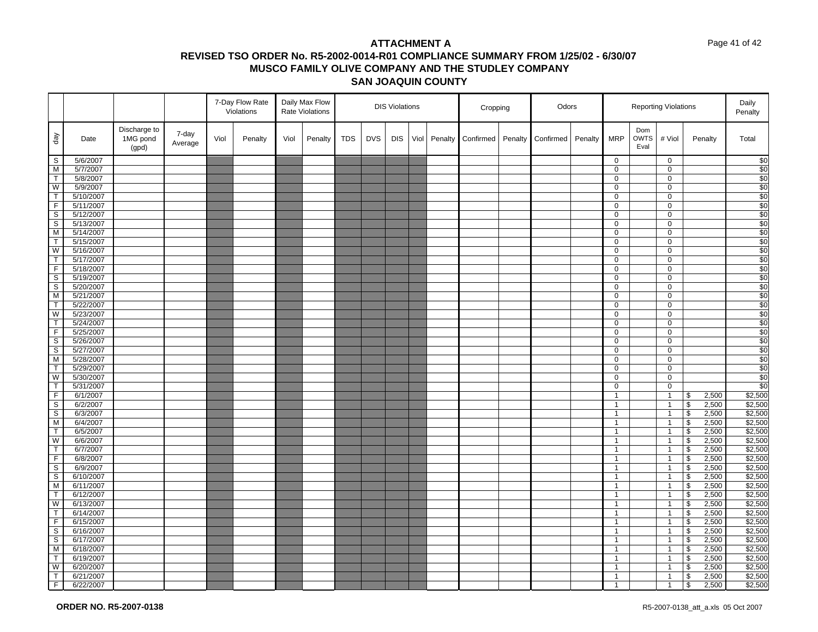#### Page 41 of 42

|                              |                        |                                   |                  |      | 7-Day Flow Rate<br>Violations |      | Daily Max Flow<br>Rate Violations |            |            | <b>DIS Violations</b> |      |         | Cropping  |         | Odors     |         |                              |                            | <b>Reporting Violations</b>      |                                           |                | Daily<br>Penalty   |
|------------------------------|------------------------|-----------------------------------|------------------|------|-------------------------------|------|-----------------------------------|------------|------------|-----------------------|------|---------|-----------|---------|-----------|---------|------------------------------|----------------------------|----------------------------------|-------------------------------------------|----------------|--------------------|
| $\sqrt{e}b$                  | Date                   | Discharge to<br>1MG pond<br>(gpd) | 7-day<br>Average | Viol | Penalty                       | Viol | Penalty                           | <b>TDS</b> | <b>DVS</b> | <b>DIS</b>            | Viol | Penalty | Confirmed | Penalty | Confirmed | Penalty | <b>MRP</b>                   | Dom<br><b>OWTS</b><br>Eval | # Viol                           |                                           | Penalty        | Total              |
| S                            | 5/6/2007               |                                   |                  |      |                               |      |                                   |            |            |                       |      |         |           |         |           |         | $\mathbf 0$                  |                            | $\mathbf 0$                      |                                           |                | \$0                |
| $\overline{M}$               | 5/7/2007               |                                   |                  |      |                               |      |                                   |            |            |                       |      |         |           |         |           |         | $\mathbf 0$                  |                            | $\mathbf 0$                      |                                           |                | \$0                |
| $\mathsf{T}$                 | 5/8/2007               |                                   |                  |      |                               |      |                                   |            |            |                       |      |         |           |         |           |         | 0                            |                            | 0                                |                                           |                | \$0                |
| W                            | 5/9/2007               |                                   |                  |      |                               |      |                                   |            |            |                       |      |         |           |         |           |         | $\mathbf 0$                  |                            | 0                                |                                           |                | \$0                |
| $\mathsf{T}$                 | 5/10/2007              |                                   |                  |      |                               |      |                                   |            |            |                       |      |         |           |         |           |         | 0                            |                            | $\mathbf 0$                      |                                           |                | \$0                |
| F<br>$\overline{\mathbf{s}}$ | 5/11/2007<br>5/12/2007 |                                   |                  |      |                               |      |                                   |            |            |                       |      |         |           |         |           |         | 0<br>$\overline{0}$          |                            | 0                                |                                           |                | \$0<br>\$0         |
| $\mathbb S$                  | 5/13/2007              |                                   |                  |      |                               |      |                                   |            |            |                       |      |         |           |         |           |         | 0                            |                            | 0<br>0                           |                                           |                | \$0                |
| M                            | 5/14/2007              |                                   |                  |      |                               |      |                                   |            |            |                       |      |         |           |         |           |         | $\mathbf 0$                  |                            | $\mathbf 0$                      |                                           |                | \$0                |
| T                            | 5/15/2007              |                                   |                  |      |                               |      |                                   |            |            |                       |      |         |           |         |           |         | $\mathbf 0$                  |                            | 0                                |                                           |                | \$0                |
| W                            | 5/16/2007              |                                   |                  |      |                               |      |                                   |            |            |                       |      |         |           |         |           |         | 0                            |                            | 0                                |                                           |                | \$0                |
| $\mathsf T$                  | 5/17/2007              |                                   |                  |      |                               |      |                                   |            |            |                       |      |         |           |         |           |         | 0                            |                            | 0                                |                                           |                | \$0                |
| $\overline{F}$               | 5/18/2007              |                                   |                  |      |                               |      |                                   |            |            |                       |      |         |           |         |           |         | 0                            |                            | $\pmb{0}$                        |                                           |                | \$0                |
| $\mathbb S$                  | 5/19/2007              |                                   |                  |      |                               |      |                                   |            |            |                       |      |         |           |         |           |         | 0                            |                            | 0                                |                                           |                | \$0                |
| $\overline{s}$               | 5/20/2007              |                                   |                  |      |                               |      |                                   |            |            |                       |      |         |           |         |           |         | 0                            |                            | 0                                |                                           |                | \$0                |
| M                            | 5/21/2007              |                                   |                  |      |                               |      |                                   |            |            |                       |      |         |           |         |           |         | $\mathbf 0$                  |                            | 0                                |                                           |                | \$0                |
| $\mathsf{T}$                 | 5/22/2007              |                                   |                  |      |                               |      |                                   |            |            |                       |      |         |           |         |           |         | 0                            |                            | $\mathbf 0$                      |                                           |                | $\overline{\$0}$   |
| W                            | 5/23/2007              |                                   |                  |      |                               |      |                                   |            |            |                       |      |         |           |         |           |         | $\mathbf 0$                  |                            | 0                                |                                           |                | \$0                |
| $\overline{\mathsf{T}}$      | 5/24/2007              |                                   |                  |      |                               |      |                                   |            |            |                       |      |         |           |         |           |         | 0                            |                            | $\mathbf 0$                      |                                           |                | \$0                |
| F.                           | 5/25/2007              |                                   |                  |      |                               |      |                                   |            |            |                       |      |         |           |         |           |         | 0                            |                            | 0                                |                                           |                | \$0                |
| $\overline{\mathbf{s}}$      | 5/26/2007              |                                   |                  |      |                               |      |                                   |            |            |                       |      |         |           |         |           |         | $\mathbf 0$                  |                            | $\pmb{0}$                        |                                           |                | \$0                |
| S                            | 5/27/2007              |                                   |                  |      |                               |      |                                   |            |            |                       |      |         |           |         |           |         | 0                            |                            | 0                                |                                           |                | \$0                |
| M                            | 5/28/2007              |                                   |                  |      |                               |      |                                   |            |            |                       |      |         |           |         |           |         | 0                            |                            | 0                                |                                           |                | \$0                |
| $\overline{\mathsf{T}}$      | 5/29/2007              |                                   |                  |      |                               |      |                                   |            |            |                       |      |         |           |         |           |         | $\mathbf 0$                  |                            | $\pmb{0}$                        |                                           |                | \$0                |
| W                            | 5/30/2007              |                                   |                  |      |                               |      |                                   |            |            |                       |      |         |           |         |           |         | 0                            |                            | $\pmb{0}$                        |                                           |                | \$0                |
| T                            | 5/31/2007              |                                   |                  |      |                               |      |                                   |            |            |                       |      |         |           |         |           |         | $\mathbf 0$                  |                            | $\pmb{0}$                        |                                           |                | \$0                |
| F<br>$\mathbb S$             | 6/1/2007<br>6/2/2007   |                                   |                  |      |                               |      |                                   |            |            |                       |      |         |           |         |           |         | $\mathbf{1}$<br>$\mathbf{1}$ |                            | $\overline{1}$<br>$\overline{1}$ | \$<br>$\sqrt[6]{\frac{1}{2}}$             | 2,500          | \$2,500<br>\$2,500 |
| $\overline{s}$               | 6/3/2007               |                                   |                  |      |                               |      |                                   |            |            |                       |      |         |           |         |           |         | $\mathbf{1}$                 |                            | $\overline{1}$                   | $\overline{\mathcal{S}}$                  | 2,500<br>2,500 | \$2,500            |
| M                            | 6/4/2007               |                                   |                  |      |                               |      |                                   |            |            |                       |      |         |           |         |           |         | $\mathbf{1}$                 |                            | $\overline{1}$                   | $\sqrt[6]{\frac{1}{2}}$                   | 2,500          | \$2,500            |
| $\mathsf{T}$                 | 6/5/2007               |                                   |                  |      |                               |      |                                   |            |            |                       |      |         |           |         |           |         | $\mathbf{1}$                 |                            | $\overline{1}$                   | $\boldsymbol{\theta}$                     | 2,500          | \$2,500            |
| W                            | 6/6/2007               |                                   |                  |      |                               |      |                                   |            |            |                       |      |         |           |         |           |         | $\mathbf{1}$                 |                            | $\overline{1}$                   | $\overline{\mathcal{S}}$                  | 2,500          | \$2,500            |
| $\mathsf{T}$                 | 6/7/2007               |                                   |                  |      |                               |      |                                   |            |            |                       |      |         |           |         |           |         | $\mathbf{1}$                 |                            | $\overline{1}$                   | $\sqrt[6]{\frac{1}{2}}$                   | 2,500          | \$2,500            |
| $\overline{F}$               | 6/8/2007               |                                   |                  |      |                               |      |                                   |            |            |                       |      |         |           |         |           |         | $\mathbf{1}$                 |                            | $\overline{1}$                   | $$\mathfrak{s}$$                          | 2,500          | \$2,500            |
| S                            | 6/9/2007               |                                   |                  |      |                               |      |                                   |            |            |                       |      |         |           |         |           |         | $\mathbf{1}$                 |                            | $\overline{1}$                   | $\boldsymbol{\theta}$                     | 2,500          | \$2,500            |
| $\mathbb S$                  | 6/10/2007              |                                   |                  |      |                               |      |                                   |            |            |                       |      |         |           |         |           |         | $\mathbf{1}$                 |                            | $\overline{1}$                   | $\boldsymbol{\theta}$                     | 2,500          | \$2,500            |
| M                            | 6/11/2007              |                                   |                  |      |                               |      |                                   |            |            |                       |      |         |           |         |           |         | $\mathbf{1}$                 |                            | $\overline{1}$                   | $\boldsymbol{\theta}$                     | 2,500          | \$2,500            |
| $\mathsf{T}$                 | 6/12/2007              |                                   |                  |      |                               |      |                                   |            |            |                       |      |         |           |         |           |         | $\mathbf{1}$                 |                            | $\overline{1}$                   | $\sqrt{2}$                                | 2,500          | \$2,500            |
| W                            | 6/13/2007              |                                   |                  |      |                               |      |                                   |            |            |                       |      |         |           |         |           |         | $\mathbf{1}$                 |                            | $\overline{1}$                   | \$                                        | 2,500          | \$2,500            |
| T                            | 6/14/2007              |                                   |                  |      |                               |      |                                   |            |            |                       |      |         |           |         |           |         | $\mathbf{1}$                 |                            | $\overline{1}$                   | $\overline{\mathcal{S}}$                  | 2,500          | \$2,500            |
| $\mathsf F$                  | 6/15/2007              |                                   |                  |      |                               |      |                                   |            |            |                       |      |         |           |         |           |         | $\mathbf{1}$                 |                            | $\overline{1}$                   | $$\mathfrak{s}$$                          | 2,500          | \$2,500            |
| S                            | 6/16/2007              |                                   |                  |      |                               |      |                                   |            |            |                       |      |         |           |         |           |         | $\mathbf{1}$                 |                            | $\overline{1}$                   | $\, \, \raisebox{12pt}{$\scriptstyle \$}$ | 2,500          | \$2,500            |
| S                            | 6/17/2007              |                                   |                  |      |                               |      |                                   |            |            |                       |      |         |           |         |           |         | $\mathbf{1}$                 |                            | $\overline{1}$                   | $\boldsymbol{\theta}$                     | 2,500          | \$2,500            |
| M                            | 6/18/2007              |                                   |                  |      |                               |      |                                   |            |            |                       |      |         |           |         |           |         | $\mathbf{1}$                 |                            | $\overline{1}$                   | \$                                        | 2,500          | \$2,500            |
| T                            | 6/19/2007              |                                   |                  |      |                               |      |                                   |            |            |                       |      |         |           |         |           |         | $\mathbf{1}$                 |                            | $\overline{1}$                   | $\sqrt[6]{\frac{1}{2}}$                   | 2,500          | \$2,500            |
| $\overline{\mathsf{w}}$      | 6/20/2007              |                                   |                  |      |                               |      |                                   |            |            |                       |      |         |           |         |           |         | $\mathbf{1}$                 |                            | $\overline{1}$                   | $\boldsymbol{\theta}$                     | 2,500          | \$2,500            |
| $\mathsf{T}$                 | 6/21/2007              |                                   |                  |      |                               |      |                                   |            |            |                       |      |         |           |         |           |         | $\mathbf{1}$                 |                            | $\overline{1}$                   | \$                                        | 2,500          | \$2,500            |
| F                            | 6/22/2007              |                                   |                  |      |                               |      |                                   |            |            |                       |      |         |           |         |           |         | $\mathbf{1}$                 |                            | $\overline{1}$                   | $\mathbf{\mathfrak{s}}$                   | 2,500          | \$2,500            |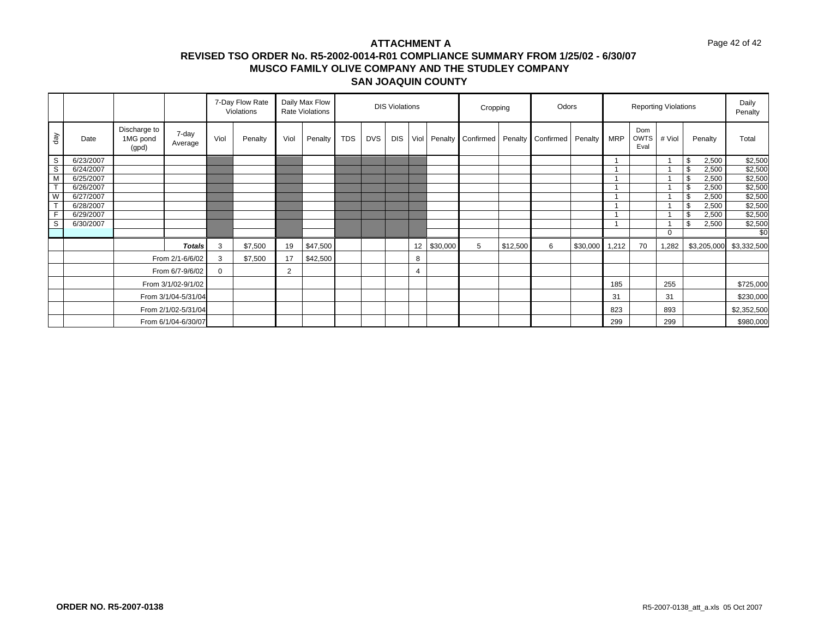#### Page 42 of 42

|                         |           |                                   |                     |          | 7-Day Flow Rate<br>Violations |      | Daily Max Flow<br>Rate Violations |            |            | <b>DIS Violations</b> |             |          | Cropping                            |          | Odors |          |       |                            | <b>Reporting Violations</b> |                         | Daily<br>Penalty |
|-------------------------|-----------|-----------------------------------|---------------------|----------|-------------------------------|------|-----------------------------------|------------|------------|-----------------------|-------------|----------|-------------------------------------|----------|-------|----------|-------|----------------------------|-----------------------------|-------------------------|------------------|
| day                     | Date      | Discharge to<br>1MG pond<br>(gpd) | 7-day<br>Average    | Viol     | Penalty                       | Viol | Penalty                           | <b>TDS</b> | <b>DVS</b> | <b>DIS</b>            | <b>Viol</b> |          | Penalty Confirmed Penalty Confirmed |          |       | Penalty  | MRP   | Dom<br><b>OWTS</b><br>Eval | # Viol                      | Penalty                 | Total            |
| S                       | 6/23/2007 |                                   |                     |          |                               |      |                                   |            |            |                       |             |          |                                     |          |       |          |       |                            |                             | \$<br>2,500             | \$2,500          |
| S                       | 6/24/2007 |                                   |                     |          |                               |      |                                   |            |            |                       |             |          |                                     |          |       |          |       |                            |                             | \$<br>2,500             | \$2,500          |
| $\overline{M}$          | 6/25/2007 |                                   |                     |          |                               |      |                                   |            |            |                       |             |          |                                     |          |       |          |       |                            |                             | 2,500<br>Ŝ.             | \$2,500          |
| $\overline{\mathsf{r}}$ | 6/26/2007 |                                   |                     |          |                               |      |                                   |            |            |                       |             |          |                                     |          |       |          |       |                            |                             | \$<br>2,500             | \$2,500          |
| W                       | 6/27/2007 |                                   |                     |          |                               |      |                                   |            |            |                       |             |          |                                     |          |       |          |       |                            |                             | Ŝ.<br>2,500             | \$2,500          |
| $\tau$                  | 6/28/2007 |                                   |                     |          |                               |      |                                   |            |            |                       |             |          |                                     |          |       |          |       |                            |                             | \$<br>2,500             | \$2,500          |
| F                       | 6/29/2007 |                                   |                     |          |                               |      |                                   |            |            |                       |             |          |                                     |          |       |          |       |                            |                             | \$<br>2,500             | \$2,500          |
| $\mathbb S$             | 6/30/2007 |                                   |                     |          |                               |      |                                   |            |            |                       |             |          |                                     |          |       |          |       |                            |                             | $\mathfrak{S}$<br>2,500 | \$2,500          |
|                         |           |                                   |                     |          |                               |      |                                   |            |            |                       |             |          |                                     |          |       |          |       |                            | $\Omega$                    |                         | \$0              |
|                         |           |                                   | <b>Totals</b>       | 3        | \$7,500                       | 19   | \$47,500                          |            |            |                       | 12          | \$30,000 | 5                                   | \$12,500 | 6     | \$30,000 | 1,212 | 70                         | 1,282                       | \$3,205,000             | \$3,332,500      |
|                         |           |                                   | From 2/1-6/6/02     | 3        | \$7,500                       | 17   | \$42,500                          |            |            |                       | 8           |          |                                     |          |       |          |       |                            |                             |                         |                  |
|                         |           |                                   | From 6/7-9/6/02     | $\Omega$ |                               | 2    |                                   |            |            |                       | 4           |          |                                     |          |       |          |       |                            |                             |                         |                  |
|                         |           |                                   | From 3/1/02-9/1/02  |          |                               |      |                                   |            |            |                       |             |          |                                     |          |       |          | 185   |                            | 255                         |                         | \$725,000        |
|                         |           |                                   | From 3/1/04-5/31/04 |          |                               |      |                                   |            |            |                       |             |          |                                     |          |       |          | 31    |                            | 31                          |                         | \$230,000        |
|                         |           |                                   | From 2/1/02-5/31/04 |          |                               |      |                                   |            |            |                       |             |          |                                     |          |       |          | 823   |                            | 893                         |                         | \$2,352,500      |
|                         |           |                                   | From 6/1/04-6/30/07 |          |                               |      |                                   |            |            |                       |             |          |                                     |          |       |          | 299   |                            | 299                         |                         | \$980,000        |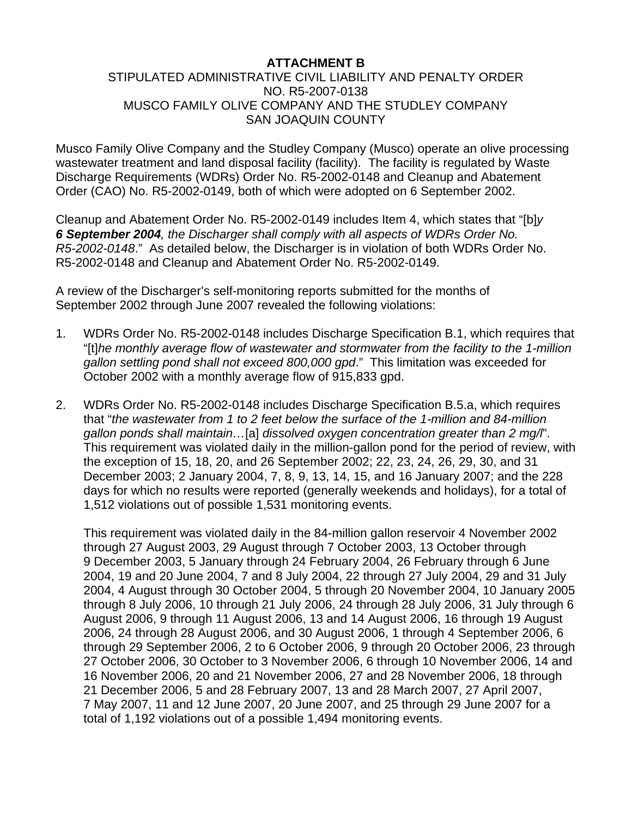# **ATTACHMENT B**

# STIPULATED ADMINISTRATIVE CIVIL LIABILITY AND PENALTY ORDER NO. R5-2007-0138 MUSCO FAMILY OLIVE COMPANY AND THE STUDLEY COMPANY SAN JOAQUIN COUNTY

Musco Family Olive Company and the Studley Company (Musco) operate an olive processing wastewater treatment and land disposal facility (facility). The facility is regulated by Waste Discharge Requirements (WDRs) Order No. R5-2002-0148 and Cleanup and Abatement Order (CAO) No. R5-2002-0149, both of which were adopted on 6 September 2002.

Cleanup and Abatement Order No. R5-2002-0149 includes Item 4, which states that "[b]*y 6 September 2004, the Discharger shall comply with all aspects of WDRs Order No. R5-2002-0148*." As detailed below, the Discharger is in violation of both WDRs Order No. R5-2002-0148 and Cleanup and Abatement Order No. R5-2002-0149.

A review of the Discharger's self-monitoring reports submitted for the months of September 2002 through June 2007 revealed the following violations:

- 1. WDRs Order No. R5-2002-0148 includes Discharge Specification B.1, which requires that "[t]*he monthly average flow of wastewater and stormwater from the facility to the 1-million gallon settling pond shall not exceed 800,000 gpd*." This limitation was exceeded for October 2002 with a monthly average flow of 915,833 gpd.
- 2. WDRs Order No. R5-2002-0148 includes Discharge Specification B.5.a, which requires that "*the wastewater from 1 to 2 feet below the surface of the 1-million and 84-million gallon ponds shall maintain…*[a] *dissolved oxygen concentration greater than 2 mg/l*". This requirement was violated daily in the million-gallon pond for the period of review, with the exception of 15, 18, 20, and 26 September 2002; 22, 23, 24, 26, 29, 30, and 31 December 2003; 2 January 2004, 7, 8, 9, 13, 14, 15, and 16 January 2007; and the 228 days for which no results were reported (generally weekends and holidays), for a total of 1,512 violations out of possible 1,531 monitoring events.

This requirement was violated daily in the 84-million gallon reservoir 4 November 2002 through 27 August 2003, 29 August through 7 October 2003, 13 October through 9 December 2003, 5 January through 24 February 2004, 26 February through 6 June 2004, 19 and 20 June 2004, 7 and 8 July 2004, 22 through 27 July 2004, 29 and 31 July 2004, 4 August through 30 October 2004, 5 through 20 November 2004, 10 January 2005 through 8 July 2006, 10 through 21 July 2006, 24 through 28 July 2006, 31 July through 6 August 2006, 9 through 11 August 2006, 13 and 14 August 2006, 16 through 19 August 2006, 24 through 28 August 2006, and 30 August 2006, 1 through 4 September 2006, 6 through 29 September 2006, 2 to 6 October 2006, 9 through 20 October 2006, 23 through 27 October 2006, 30 October to 3 November 2006, 6 through 10 November 2006, 14 and 16 November 2006, 20 and 21 November 2006, 27 and 28 November 2006, 18 through 21 December 2006, 5 and 28 February 2007, 13 and 28 March 2007, 27 April 2007, 7 May 2007, 11 and 12 June 2007, 20 June 2007, and 25 through 29 June 2007 for a total of 1,192 violations out of a possible 1,494 monitoring events.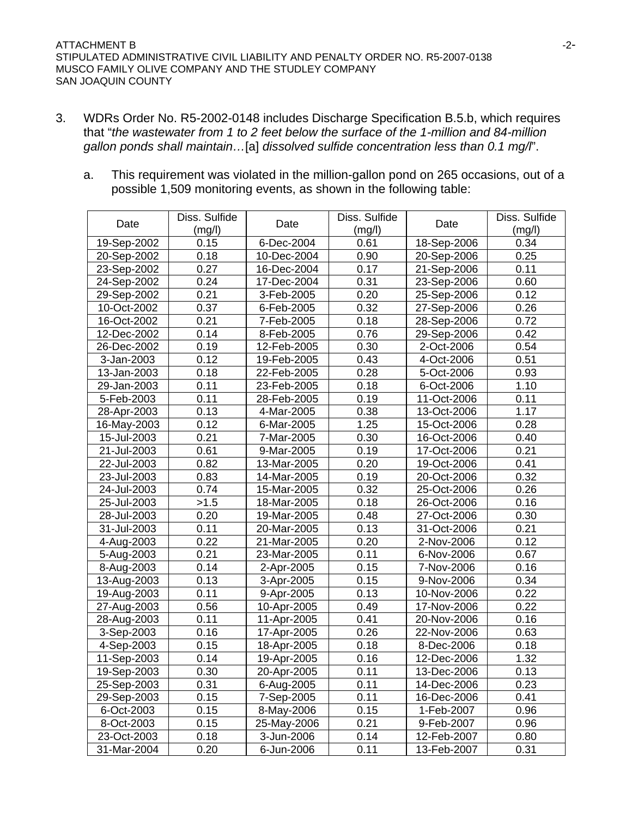- 3. WDRs Order No. R5-2002-0148 includes Discharge Specification B.5.b, which requires that "*the wastewater from 1 to 2 feet below the surface of the 1-million and 84-million gallon ponds shall maintain…*[a] *dissolved sulfide concentration less than 0.1 mg/l*".
	- a. This requirement was violated in the million-gallon pond on 265 occasions, out of a possible 1,509 monitoring events, as shown in the following table:

|             | Diss. Sulfide |             | Diss. Sulfide |             | Diss. Sulfide |
|-------------|---------------|-------------|---------------|-------------|---------------|
| Date        | (mg/l)        | Date        | (mg/l)        | Date        | (mg/l)        |
| 19-Sep-2002 | 0.15          | 6-Dec-2004  | 0.61          | 18-Sep-2006 | 0.34          |
| 20-Sep-2002 | 0.18          | 10-Dec-2004 | 0.90          | 20-Sep-2006 | 0.25          |
| 23-Sep-2002 | 0.27          | 16-Dec-2004 | 0.17          | 21-Sep-2006 | 0.11          |
| 24-Sep-2002 | 0.24          | 17-Dec-2004 | 0.31          | 23-Sep-2006 | 0.60          |
| 29-Sep-2002 | 0.21          | 3-Feb-2005  | 0.20          | 25-Sep-2006 | 0.12          |
| 10-Oct-2002 | 0.37          | 6-Feb-2005  | 0.32          | 27-Sep-2006 | 0.26          |
| 16-Oct-2002 | 0.21          | 7-Feb-2005  | 0.18          | 28-Sep-2006 | 0.72          |
| 12-Dec-2002 | 0.14          | 8-Feb-2005  | 0.76          | 29-Sep-2006 | 0.42          |
| 26-Dec-2002 | 0.19          | 12-Feb-2005 | 0.30          | 2-Oct-2006  | 0.54          |
| 3-Jan-2003  | 0.12          | 19-Feb-2005 | 0.43          | 4-Oct-2006  | 0.51          |
| 13-Jan-2003 | 0.18          | 22-Feb-2005 | 0.28          | 5-Oct-2006  | 0.93          |
| 29-Jan-2003 | 0.11          | 23-Feb-2005 | 0.18          | 6-Oct-2006  | 1.10          |
| 5-Feb-2003  | 0.11          | 28-Feb-2005 | 0.19          | 11-Oct-2006 | 0.11          |
| 28-Apr-2003 | 0.13          | 4-Mar-2005  | 0.38          | 13-Oct-2006 | 1.17          |
| 16-May-2003 | 0.12          | 6-Mar-2005  | 1.25          | 15-Oct-2006 | 0.28          |
| 15-Jul-2003 | 0.21          | 7-Mar-2005  | 0.30          | 16-Oct-2006 | 0.40          |
| 21-Jul-2003 | 0.61          | 9-Mar-2005  | 0.19          | 17-Oct-2006 | 0.21          |
| 22-Jul-2003 | 0.82          | 13-Mar-2005 | 0.20          | 19-Oct-2006 | 0.41          |
| 23-Jul-2003 | 0.83          | 14-Mar-2005 | 0.19          | 20-Oct-2006 | 0.32          |
| 24-Jul-2003 | 0.74          | 15-Mar-2005 | 0.32          | 25-Oct-2006 | 0.26          |
| 25-Jul-2003 | >1.5          | 18-Mar-2005 | 0.18          | 26-Oct-2006 | 0.16          |
| 28-Jul-2003 | 0.20          | 19-Mar-2005 | 0.48          | 27-Oct-2006 | 0.30          |
| 31-Jul-2003 | 0.11          | 20-Mar-2005 | 0.13          | 31-Oct-2006 | 0.21          |
| 4-Aug-2003  | 0.22          | 21-Mar-2005 | 0.20          | 2-Nov-2006  | 0.12          |
| 5-Aug-2003  | 0.21          | 23-Mar-2005 | 0.11          | 6-Nov-2006  | 0.67          |
| 8-Aug-2003  | 0.14          | 2-Apr-2005  | 0.15          | 7-Nov-2006  | 0.16          |
| 13-Aug-2003 | 0.13          | 3-Apr-2005  | 0.15          | 9-Nov-2006  | 0.34          |
| 19-Aug-2003 | 0.11          | 9-Apr-2005  | 0.13          | 10-Nov-2006 | 0.22          |
| 27-Aug-2003 | 0.56          | 10-Apr-2005 | 0.49          | 17-Nov-2006 | 0.22          |
| 28-Aug-2003 | 0.11          | 11-Apr-2005 | 0.41          | 20-Nov-2006 | 0.16          |
| 3-Sep-2003  | 0.16          | 17-Apr-2005 | 0.26          | 22-Nov-2006 | 0.63          |
| 4-Sep-2003  | 0.15          | 18-Apr-2005 | 0.18          | 8-Dec-2006  | 0.18          |
| 11-Sep-2003 | 0.14          | 19-Apr-2005 | 0.16          | 12-Dec-2006 | 1.32          |
| 19-Sep-2003 | 0.30          | 20-Apr-2005 | 0.11          | 13-Dec-2006 | 0.13          |
| 25-Sep-2003 | 0.31          | 6-Aug-2005  | 0.11          | 14-Dec-2006 | 0.23          |
| 29-Sep-2003 | 0.15          | 7-Sep-2005  | 0.11          | 16-Dec-2006 | 0.41          |
| 6-Oct-2003  | 0.15          | 8-May-2006  | 0.15          | 1-Feb-2007  | 0.96          |
| 8-Oct-2003  | 0.15          | 25-May-2006 | 0.21          | 9-Feb-2007  | 0.96          |
| 23-Oct-2003 | 0.18          | 3-Jun-2006  | 0.14          | 12-Feb-2007 | 0.80          |
| 31-Mar-2004 | 0.20          | 6-Jun-2006  | 0.11          | 13-Feb-2007 | 0.31          |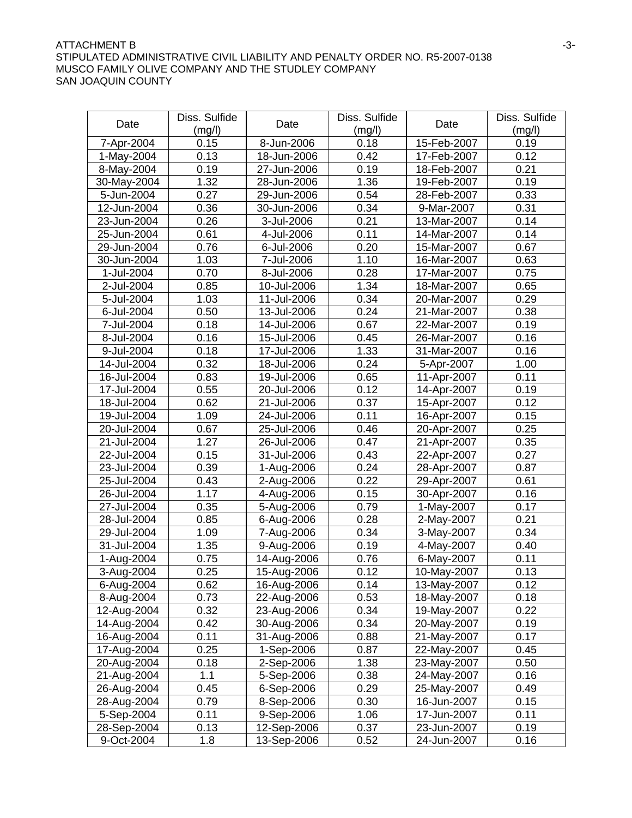### ATTACHMENT B  $-3$ -STIPULATED ADMINISTRATIVE CIVIL LIABILITY AND PENALTY ORDER NO. R5-2007-0138 MUSCO FAMILY OLIVE COMPANY AND THE STUDLEY COMPANY SAN JOAQUIN COUNTY

| Date        | Diss. Sulfide | Date        | Diss. Sulfide  | Date        | Diss. Sulfide  |
|-------------|---------------|-------------|----------------|-------------|----------------|
|             | (mg/l)        |             | (mg/l)<br>0.18 |             | (mg/l)<br>0.19 |
| 7-Apr-2004  | 0.15          | 8-Jun-2006  |                | 15-Feb-2007 | 0.12           |
| 1-May-2004  | 0.13<br>0.19  | 18-Jun-2006 | 0.42<br>0.19   | 17-Feb-2007 | 0.21           |
| 8-May-2004  |               | 27-Jun-2006 |                | 18-Feb-2007 |                |
| 30-May-2004 | 1.32          | 28-Jun-2006 | 1.36           | 19-Feb-2007 | 0.19           |
| 5-Jun-2004  | 0.27          | 29-Jun-2006 | 0.54           | 28-Feb-2007 | 0.33           |
| 12-Jun-2004 | 0.36          | 30-Jun-2006 | 0.34           | 9-Mar-2007  | 0.31           |
| 23-Jun-2004 | 0.26          | 3-Jul-2006  | 0.21           | 13-Mar-2007 | 0.14           |
| 25-Jun-2004 | 0.61          | 4-Jul-2006  | 0.11           | 14-Mar-2007 | 0.14           |
| 29-Jun-2004 | 0.76          | 6-Jul-2006  | 0.20           | 15-Mar-2007 | 0.67           |
| 30-Jun-2004 | 1.03          | 7-Jul-2006  | 1.10           | 16-Mar-2007 | 0.63           |
| 1-Jul-2004  | 0.70          | 8-Jul-2006  | 0.28           | 17-Mar-2007 | 0.75           |
| 2-Jul-2004  | 0.85          | 10-Jul-2006 | 1.34           | 18-Mar-2007 | 0.65           |
| 5-Jul-2004  | 1.03          | 11-Jul-2006 | 0.34           | 20-Mar-2007 | 0.29           |
| 6-Jul-2004  | 0.50          | 13-Jul-2006 | 0.24           | 21-Mar-2007 | 0.38           |
| 7-Jul-2004  | 0.18          | 14-Jul-2006 | 0.67           | 22-Mar-2007 | 0.19           |
| 8-Jul-2004  | 0.16          | 15-Jul-2006 | 0.45           | 26-Mar-2007 | 0.16           |
| 9-Jul-2004  | 0.18          | 17-Jul-2006 | 1.33           | 31-Mar-2007 | 0.16           |
| 14-Jul-2004 | 0.32          | 18-Jul-2006 | 0.24           | 5-Apr-2007  | 1.00           |
| 16-Jul-2004 | 0.83          | 19-Jul-2006 | 0.65           | 11-Apr-2007 | 0.11           |
| 17-Jul-2004 | 0.55          | 20-Jul-2006 | 0.12           | 14-Apr-2007 | 0.19           |
| 18-Jul-2004 | 0.62          | 21-Jul-2006 | 0.37           | 15-Apr-2007 | 0.12           |
| 19-Jul-2004 | 1.09          | 24-Jul-2006 | 0.11           | 16-Apr-2007 | 0.15           |
| 20-Jul-2004 | 0.67          | 25-Jul-2006 | 0.46           | 20-Apr-2007 | 0.25           |
| 21-Jul-2004 | 1.27          | 26-Jul-2006 | 0.47           | 21-Apr-2007 | 0.35           |
| 22-Jul-2004 | 0.15          | 31-Jul-2006 | 0.43           | 22-Apr-2007 | 0.27           |
| 23-Jul-2004 | 0.39          | 1-Aug-2006  | 0.24           | 28-Apr-2007 | 0.87           |
| 25-Jul-2004 | 0.43          | 2-Aug-2006  | 0.22           | 29-Apr-2007 | 0.61           |
| 26-Jul-2004 | 1.17          | 4-Aug-2006  | 0.15           | 30-Apr-2007 | 0.16           |
| 27-Jul-2004 | 0.35          | 5-Aug-2006  | 0.79           | 1-May-2007  | 0.17           |
| 28-Jul-2004 | 0.85          | 6-Aug-2006  | 0.28           | 2-May-2007  | 0.21           |
| 29-Jul-2004 | 1.09          | 7-Aug-2006  | 0.34           | 3-May-2007  | 0.34           |
| 31-Jul-2004 | 1.35          | 9-Aug-2006  | 0.19           | 4-May-2007  | 0.40           |
| 1-Aug-2004  | 0.75          | 14-Aug-2006 | 0.76           | 6-May-2007  | 0.11           |
| 3-Aug-2004  | 0.25          | 15-Aug-2006 | 0.12           | 10-May-2007 | 0.13           |
| 6-Aug-2004  | 0.62          | 16-Aug-2006 | 0.14           | 13-May-2007 | 0.12           |
| 8-Aug-2004  | 0.73          | 22-Aug-2006 | 0.53           | 18-May-2007 | 0.18           |
| 12-Aug-2004 | 0.32          | 23-Aug-2006 | 0.34           | 19-May-2007 | 0.22           |
| 14-Aug-2004 | 0.42          | 30-Aug-2006 | 0.34           | 20-May-2007 | 0.19           |
| 16-Aug-2004 | 0.11          | 31-Aug-2006 | 0.88           | 21-May-2007 | 0.17           |
| 17-Aug-2004 | 0.25          | 1-Sep-2006  | 0.87           | 22-May-2007 | 0.45           |
| 20-Aug-2004 | 0.18          | 2-Sep-2006  | 1.38           | 23-May-2007 | 0.50           |
| 21-Aug-2004 | 1.1           | 5-Sep-2006  | 0.38           | 24-May-2007 | 0.16           |
| 26-Aug-2004 | 0.45          | 6-Sep-2006  | 0.29           | 25-May-2007 | 0.49           |
| 28-Aug-2004 | 0.79          | 8-Sep-2006  | 0.30           | 16-Jun-2007 | 0.15           |
| 5-Sep-2004  | 0.11          | 9-Sep-2006  | 1.06           | 17-Jun-2007 | 0.11           |
| 28-Sep-2004 | 0.13          | 12-Sep-2006 | 0.37           | 23-Jun-2007 | 0.19           |
| 9-Oct-2004  | 1.8           | 13-Sep-2006 | 0.52           | 24-Jun-2007 | 0.16           |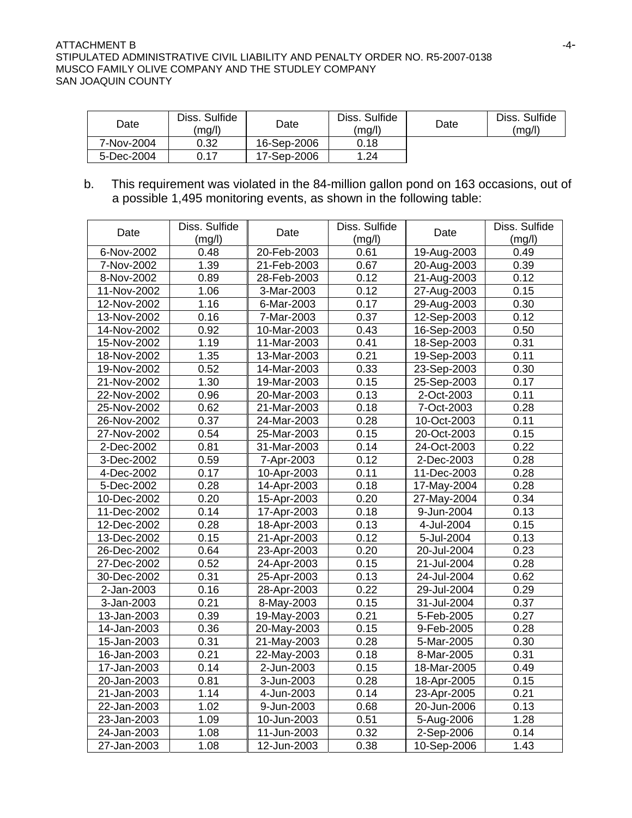### ATTACHMENT B  $-4-$ STIPULATED ADMINISTRATIVE CIVIL LIABILITY AND PENALTY ORDER NO. R5-2007-0138 MUSCO FAMILY OLIVE COMPANY AND THE STUDLEY COMPANY SAN JOAQUIN COUNTY

| Date       | Diss. Sulfide<br>(mg/l) | Date        | Diss. Sulfide<br>(mg/l) | Date | Diss. Sulfide<br>(mq/l) |
|------------|-------------------------|-------------|-------------------------|------|-------------------------|
| 7-Nov-2004 | 0.32                    | 16-Sep-2006 | 0.18                    |      |                         |
| 5-Dec-2004 | 0.17                    | 17-Sep-2006 | .24                     |      |                         |

b. This requirement was violated in the 84-million gallon pond on 163 occasions, out of a possible 1,495 monitoring events, as shown in the following table:

|             | Diss. Sulfide |             | Diss. Sulfide |             | Diss. Sulfide |
|-------------|---------------|-------------|---------------|-------------|---------------|
| Date        | (mg/l)        | Date        | (mg/l)        | Date        | (mg/l)        |
| 6-Nov-2002  | 0.48          | 20-Feb-2003 | 0.61          | 19-Aug-2003 | 0.49          |
| 7-Nov-2002  | 1.39          | 21-Feb-2003 | 0.67          | 20-Aug-2003 | 0.39          |
| 8-Nov-2002  | 0.89          | 28-Feb-2003 | 0.12          | 21-Aug-2003 | 0.12          |
| 11-Nov-2002 | 1.06          | 3-Mar-2003  | 0.12          | 27-Aug-2003 | 0.15          |
| 12-Nov-2002 | 1.16          | 6-Mar-2003  | 0.17          | 29-Aug-2003 | 0.30          |
| 13-Nov-2002 | 0.16          | 7-Mar-2003  | 0.37          | 12-Sep-2003 | 0.12          |
| 14-Nov-2002 | 0.92          | 10-Mar-2003 | 0.43          | 16-Sep-2003 | 0.50          |
| 15-Nov-2002 | 1.19          | 11-Mar-2003 | 0.41          | 18-Sep-2003 | 0.31          |
| 18-Nov-2002 | 1.35          | 13-Mar-2003 | 0.21          | 19-Sep-2003 | 0.11          |
| 19-Nov-2002 | 0.52          | 14-Mar-2003 | 0.33          | 23-Sep-2003 | 0.30          |
| 21-Nov-2002 | 1.30          | 19-Mar-2003 | 0.15          | 25-Sep-2003 | 0.17          |
| 22-Nov-2002 | 0.96          | 20-Mar-2003 | 0.13          | 2-Oct-2003  | 0.11          |
| 25-Nov-2002 | 0.62          | 21-Mar-2003 | 0.18          | 7-Oct-2003  | 0.28          |
| 26-Nov-2002 | 0.37          | 24-Mar-2003 | 0.28          | 10-Oct-2003 | 0.11          |
| 27-Nov-2002 | 0.54          | 25-Mar-2003 | 0.15          | 20-Oct-2003 | 0.15          |
| 2-Dec-2002  | 0.81          | 31-Mar-2003 | 0.14          | 24-Oct-2003 | 0.22          |
| 3-Dec-2002  | 0.59          | 7-Apr-2003  | 0.12          | 2-Dec-2003  | 0.28          |
| 4-Dec-2002  | 0.17          | 10-Apr-2003 | 0.11          | 11-Dec-2003 | 0.28          |
| 5-Dec-2002  | 0.28          | 14-Apr-2003 | 0.18          | 17-May-2004 | 0.28          |
| 10-Dec-2002 | 0.20          | 15-Apr-2003 | 0.20          | 27-May-2004 | 0.34          |
| 11-Dec-2002 | 0.14          | 17-Apr-2003 | 0.18          | 9-Jun-2004  | 0.13          |
| 12-Dec-2002 | 0.28          | 18-Apr-2003 | 0.13          | 4-Jul-2004  | 0.15          |
| 13-Dec-2002 | 0.15          | 21-Apr-2003 | 0.12          | 5-Jul-2004  | 0.13          |
| 26-Dec-2002 | 0.64          | 23-Apr-2003 | 0.20          | 20-Jul-2004 | 0.23          |
| 27-Dec-2002 | 0.52          | 24-Apr-2003 | 0.15          | 21-Jul-2004 | 0.28          |
| 30-Dec-2002 | 0.31          | 25-Apr-2003 | 0.13          | 24-Jul-2004 | 0.62          |
| 2-Jan-2003  | 0.16          | 28-Apr-2003 | 0.22          | 29-Jul-2004 | 0.29          |
| 3-Jan-2003  | 0.21          | 8-May-2003  | 0.15          | 31-Jul-2004 | 0.37          |
| 13-Jan-2003 | 0.39          | 19-May-2003 | 0.21          | 5-Feb-2005  | 0.27          |
| 14-Jan-2003 | 0.36          | 20-May-2003 | 0.15          | 9-Feb-2005  | 0.28          |
| 15-Jan-2003 | 0.31          | 21-May-2003 | 0.28          | 5-Mar-2005  | 0.30          |
| 16-Jan-2003 | 0.21          | 22-May-2003 | 0.18          | 8-Mar-2005  | 0.31          |
| 17-Jan-2003 | 0.14          | 2-Jun-2003  | 0.15          | 18-Mar-2005 | 0.49          |
| 20-Jan-2003 | 0.81          | 3-Jun-2003  | 0.28          | 18-Apr-2005 | 0.15          |
| 21-Jan-2003 | 1.14          | 4-Jun-2003  | 0.14          | 23-Apr-2005 | 0.21          |
| 22-Jan-2003 | 1.02          | 9-Jun-2003  | 0.68          | 20-Jun-2006 | 0.13          |
| 23-Jan-2003 | 1.09          | 10-Jun-2003 | 0.51          | 5-Aug-2006  | 1.28          |
| 24-Jan-2003 | 1.08          | 11-Jun-2003 | 0.32          | 2-Sep-2006  | 0.14          |
| 27-Jan-2003 | 1.08          | 12-Jun-2003 | 0.38          | 10-Sep-2006 | 1.43          |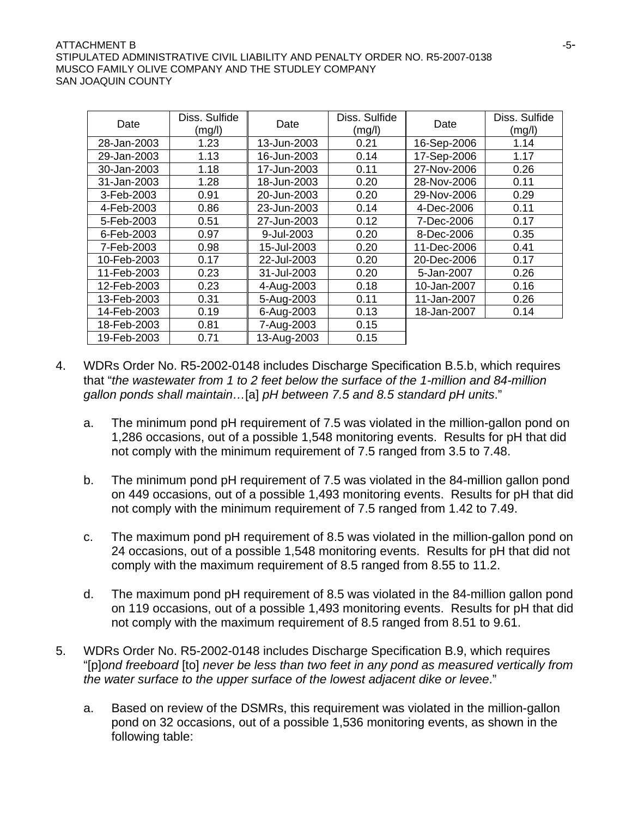### $\blacksquare$   $\blacksquare$   $\blacksquare$   $\blacksquare$   $\blacksquare$   $\blacksquare$   $\blacksquare$   $\blacksquare$   $\blacksquare$   $\blacksquare$   $\blacksquare$   $\blacksquare$   $\blacksquare$   $\blacksquare$   $\blacksquare$   $\blacksquare$   $\blacksquare$   $\blacksquare$   $\blacksquare$   $\blacksquare$   $\blacksquare$   $\blacksquare$   $\blacksquare$   $\blacksquare$   $\blacksquare$   $\blacksquare$   $\blacksquare$   $\blacksquare$   $\blacksquare$   $\blacksquare$   $\blacksquare$   $\blacks$ STIPULATED ADMINISTRATIVE CIVIL LIABILITY AND PENALTY ORDER NO. R5-2007-0138 MUSCO FAMILY OLIVE COMPANY AND THE STUDLEY COMPANY SAN JOAQUIN COUNTY

| Date        | Diss. Sulfide<br>(mg/l) | Date        | Diss. Sulfide<br>(mg/l) | Date        | Diss. Sulfide<br>(mg/l) |
|-------------|-------------------------|-------------|-------------------------|-------------|-------------------------|
| 28-Jan-2003 | 1.23                    | 13-Jun-2003 | 0.21                    | 16-Sep-2006 | 1.14                    |
| 29-Jan-2003 | 1.13                    | 16-Jun-2003 | 0.14                    | 17-Sep-2006 | 1.17                    |
| 30-Jan-2003 | 1.18                    | 17-Jun-2003 | 0.11                    | 27-Nov-2006 | 0.26                    |
| 31-Jan-2003 | 1.28                    | 18-Jun-2003 | 0.20                    | 28-Nov-2006 | 0.11                    |
| 3-Feb-2003  | 0.91                    | 20-Jun-2003 | 0.20                    | 29-Nov-2006 | 0.29                    |
| 4-Feb-2003  | 0.86                    | 23-Jun-2003 | 0.14                    | 4-Dec-2006  | 0.11                    |
| 5-Feb-2003  | 0.51                    | 27-Jun-2003 | 0.12                    | 7-Dec-2006  | 0.17                    |
| 6-Feb-2003  | 0.97                    | 9-Jul-2003  | 0.20                    | 8-Dec-2006  | 0.35                    |
| 7-Feb-2003  | 0.98                    | 15-Jul-2003 | 0.20                    | 11-Dec-2006 | 0.41                    |
| 10-Feb-2003 | 0.17                    | 22-Jul-2003 | 0.20                    | 20-Dec-2006 | 0.17                    |
| 11-Feb-2003 | 0.23                    | 31-Jul-2003 | 0.20                    | 5-Jan-2007  | 0.26                    |
| 12-Feb-2003 | 0.23                    | 4-Aug-2003  | 0.18                    | 10-Jan-2007 | 0.16                    |
| 13-Feb-2003 | 0.31                    | 5-Aug-2003  | 0.11                    | 11-Jan-2007 | 0.26                    |
| 14-Feb-2003 | 0.19                    | 6-Aug-2003  | 0.13                    | 18-Jan-2007 | 0.14                    |
| 18-Feb-2003 | 0.81                    | 7-Aug-2003  | 0.15                    |             |                         |
| 19-Feb-2003 | 0.71                    | 13-Aug-2003 | 0.15                    |             |                         |

- 4. WDRs Order No. R5-2002-0148 includes Discharge Specification B.5.b, which requires that "*the wastewater from 1 to 2 feet below the surface of the 1-million and 84-million gallon ponds shall maintain…*[a] *pH between 7.5 and 8.5 standard pH units*."
	- a. The minimum pond pH requirement of 7.5 was violated in the million-gallon pond on 1,286 occasions, out of a possible 1,548 monitoring events. Results for pH that did not comply with the minimum requirement of 7.5 ranged from 3.5 to 7.48.
	- b. The minimum pond pH requirement of 7.5 was violated in the 84-million gallon pond on 449 occasions, out of a possible 1,493 monitoring events. Results for pH that did not comply with the minimum requirement of 7.5 ranged from 1.42 to 7.49.
	- c. The maximum pond pH requirement of 8.5 was violated in the million-gallon pond on 24 occasions, out of a possible 1,548 monitoring events. Results for pH that did not comply with the maximum requirement of 8.5 ranged from 8.55 to 11.2.
	- d. The maximum pond pH requirement of 8.5 was violated in the 84-million gallon pond on 119 occasions, out of a possible 1,493 monitoring events. Results for pH that did not comply with the maximum requirement of 8.5 ranged from 8.51 to 9.61.
- 5. WDRs Order No. R5-2002-0148 includes Discharge Specification B.9, which requires "[p]*ond freeboard* [to] *never be less than two feet in any pond as measured vertically from the water surface to the upper surface of the lowest adjacent dike or levee*."
	- a. Based on review of the DSMRs, this requirement was violated in the million-gallon pond on 32 occasions, out of a possible 1,536 monitoring events, as shown in the following table: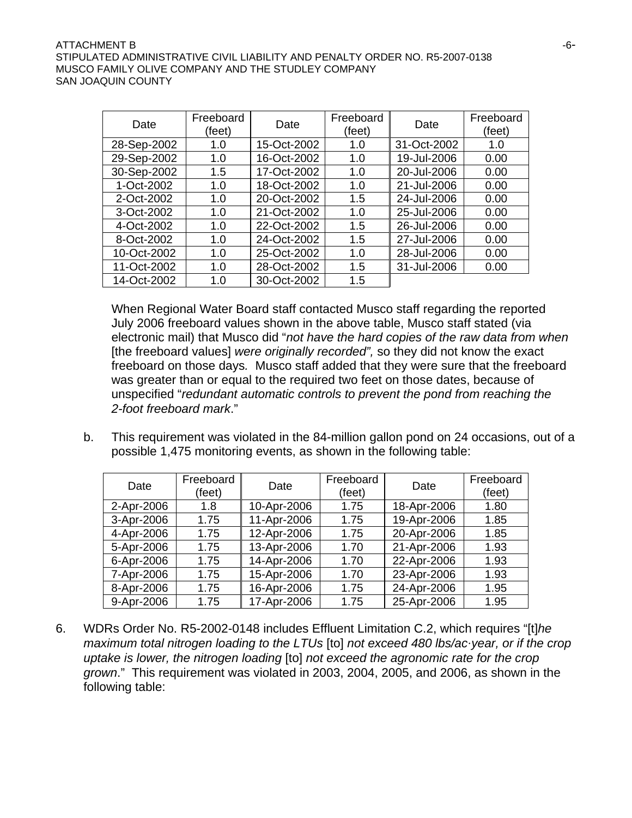### $\blacksquare$   $\blacksquare$   $\blacksquare$   $\blacksquare$   $\blacksquare$   $\blacksquare$   $\blacksquare$   $\blacksquare$   $\blacksquare$   $\blacksquare$   $\blacksquare$   $\blacksquare$   $\blacksquare$   $\blacksquare$   $\blacksquare$   $\blacksquare$   $\blacksquare$   $\blacksquare$   $\blacksquare$   $\blacksquare$   $\blacksquare$   $\blacksquare$   $\blacksquare$   $\blacksquare$   $\blacksquare$   $\blacksquare$   $\blacksquare$   $\blacksquare$   $\blacksquare$   $\blacksquare$   $\blacksquare$   $\blacks$ STIPULATED ADMINISTRATIVE CIVIL LIABILITY AND PENALTY ORDER NO. R5-2007-0138 MUSCO FAMILY OLIVE COMPANY AND THE STUDLEY COMPANY SAN JOAQUIN COUNTY

| Date        | Freeboard<br>(feet) | Date        | Freeboard<br>(feet) | Date        | Freeboard<br>(feet) |
|-------------|---------------------|-------------|---------------------|-------------|---------------------|
| 28-Sep-2002 | 1.0                 | 15-Oct-2002 | 1.0                 | 31-Oct-2002 | 1.0                 |
| 29-Sep-2002 | 1.0                 | 16-Oct-2002 | 1.0                 | 19-Jul-2006 | 0.00                |
| 30-Sep-2002 | 1.5                 | 17-Oct-2002 | 1.0                 | 20-Jul-2006 | 0.00                |
| 1-Oct-2002  | 1.0                 | 18-Oct-2002 | 1.0                 | 21-Jul-2006 | 0.00                |
| 2-Oct-2002  | 1.0                 | 20-Oct-2002 | 1.5                 | 24-Jul-2006 | 0.00                |
| 3-Oct-2002  | 1.0                 | 21-Oct-2002 | 1.0                 | 25-Jul-2006 | 0.00                |
| 4-Oct-2002  | 1.0                 | 22-Oct-2002 | 1.5                 | 26-Jul-2006 | 0.00                |
| 8-Oct-2002  | 1.0                 | 24-Oct-2002 | 1.5                 | 27-Jul-2006 | 0.00                |
| 10-Oct-2002 | 1.0                 | 25-Oct-2002 | 1.0                 | 28-Jul-2006 | 0.00                |
| 11-Oct-2002 | 1.0                 | 28-Oct-2002 | 1.5                 | 31-Jul-2006 | 0.00                |
| 14-Oct-2002 | 1.0                 | 30-Oct-2002 | 1.5                 |             |                     |

When Regional Water Board staff contacted Musco staff regarding the reported July 2006 freeboard values shown in the above table, Musco staff stated (via electronic mail) that Musco did "*not have the hard copies of the raw data from when*  [the freeboard values] *were originally recorded",* so they did not know the exact freeboard on those days*.* Musco staff added that they were sure that the freeboard was greater than or equal to the required two feet on those dates, because of unspecified "*redundant automatic controls to prevent the pond from reaching the 2-foot freeboard mark*."

b. This requirement was violated in the 84-million gallon pond on 24 occasions, out of a possible 1,475 monitoring events, as shown in the following table:

| Date       | Freeboard<br>(feet) | Date        | Freeboard<br>(feet) | Date        | Freeboard<br>(feet) |
|------------|---------------------|-------------|---------------------|-------------|---------------------|
| 2-Apr-2006 | 1.8                 | 10-Apr-2006 | 1.75                | 18-Apr-2006 | 1.80                |
| 3-Apr-2006 | 1.75                | 11-Apr-2006 | 1.75                | 19-Apr-2006 | 1.85                |
| 4-Apr-2006 | 1.75                | 12-Apr-2006 | 1.75                | 20-Apr-2006 | 1.85                |
| 5-Apr-2006 | 1.75                | 13-Apr-2006 | 1.70                | 21-Apr-2006 | 1.93                |
| 6-Apr-2006 | 1.75                | 14-Apr-2006 | 1.70                | 22-Apr-2006 | 1.93                |
| 7-Apr-2006 | 1.75                | 15-Apr-2006 | 1.70                | 23-Apr-2006 | 1.93                |
| 8-Apr-2006 | 1.75                | 16-Apr-2006 | 1.75                | 24-Apr-2006 | 1.95                |
| 9-Apr-2006 | 1.75                | 17-Apr-2006 | 1.75                | 25-Apr-2006 | 1.95                |

6. WDRs Order No. R5-2002-0148 includes Effluent Limitation C.2, which requires "[t]*he maximum total nitrogen loading to the LTUs* [to] *not exceed 480 lbs/acyear, or if the crop uptake is lower, the nitrogen loading* [to] *not exceed the agronomic rate for the crop grown*." This requirement was violated in 2003, 2004, 2005, and 2006, as shown in the following table: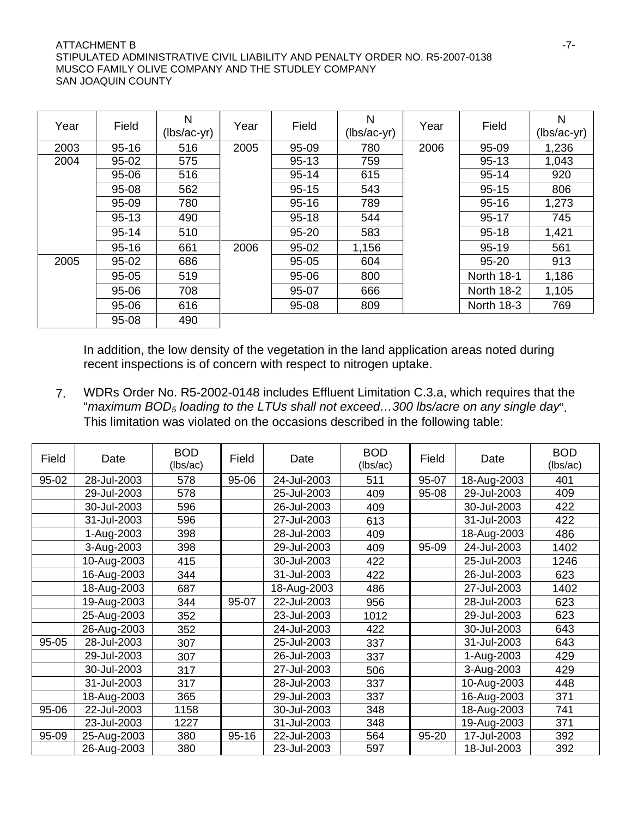### ATTACHMENT B  $-7$ -STIPULATED ADMINISTRATIVE CIVIL LIABILITY AND PENALTY ORDER NO. R5-2007-0138 MUSCO FAMILY OLIVE COMPANY AND THE STUDLEY COMPANY SAN JOAQUIN COUNTY

| Year | Field     | N<br>$(lbs/ac-yr)$ | Year | Field     | N<br>(lbs/ac-yr) | Year | Field             | N<br>$(lbs/ac-yr)$ |
|------|-----------|--------------------|------|-----------|------------------|------|-------------------|--------------------|
| 2003 | $95 - 16$ | 516                | 2005 | 95-09     | 780              | 2006 | 95-09             | 1,236              |
| 2004 | 95-02     | 575                |      | $95 - 13$ | 759              |      | $95 - 13$         | 1,043              |
|      | 95-06     | 516                |      | $95 - 14$ | 615              |      | $95 - 14$         | 920                |
|      | $95 - 08$ | 562                |      | $95 - 15$ | 543              |      | $95 - 15$         | 806                |
|      | 95-09     | 780                |      | $95 - 16$ | 789              |      | $95 - 16$         | 1,273              |
|      | $95 - 13$ | 490                |      | $95 - 18$ | 544              |      | $95 - 17$         | 745                |
|      | $95 - 14$ | 510                |      | $95 - 20$ | 583              |      | $95 - 18$         | 1,421              |
|      | $95 - 16$ | 661                | 2006 | 95-02     | 1,156            |      | $95 - 19$         | 561                |
| 2005 | 95-02     | 686                |      | $95 - 05$ | 604              |      | $95 - 20$         | 913                |
|      | $95 - 05$ | 519                |      | 95-06     | 800              |      | <b>North 18-1</b> | 1,186              |
|      | 95-06     | 708                |      | 95-07     | 666              |      | <b>North 18-2</b> | 1,105              |
|      | 95-06     | 616                |      | 95-08     | 809              |      | North 18-3        | 769                |
|      | 95-08     | 490                |      |           |                  |      |                   |                    |

In addition, the low density of the vegetation in the land application areas noted during recent inspections is of concern with respect to nitrogen uptake.

7. WDRs Order No. R5-2002-0148 includes Effluent Limitation C.3.a, which requires that the "*maximum BOD5 loading to the LTUs shall not exceed…300 lbs/acre on any single day*". This limitation was violated on the occasions described in the following table:

| Field | Date        | <b>BOD</b><br>(lbs/ac) | Field     | Date        | <b>BOD</b><br>(lbs/ac) | Field | Date        | <b>BOD</b><br>(lbs/ac) |
|-------|-------------|------------------------|-----------|-------------|------------------------|-------|-------------|------------------------|
| 95-02 | 28-Jul-2003 | 578                    | 95-06     | 24-Jul-2003 | 511                    | 95-07 | 18-Aug-2003 | 401                    |
|       | 29-Jul-2003 | 578                    |           | 25-Jul-2003 | 409                    | 95-08 | 29-Jul-2003 | 409                    |
|       | 30-Jul-2003 | 596                    |           | 26-Jul-2003 | 409                    |       | 30-Jul-2003 | 422                    |
|       | 31-Jul-2003 | 596                    |           | 27-Jul-2003 | 613                    |       | 31-Jul-2003 | 422                    |
|       | 1-Aug-2003  | 398                    |           | 28-Jul-2003 | 409                    |       | 18-Aug-2003 | 486                    |
|       | 3-Aug-2003  | 398                    |           | 29-Jul-2003 | 409                    | 95-09 | 24-Jul-2003 | 1402                   |
|       | 10-Aug-2003 | 415                    |           | 30-Jul-2003 | 422                    |       | 25-Jul-2003 | 1246                   |
|       | 16-Aug-2003 | 344                    |           | 31-Jul-2003 | 422                    |       | 26-Jul-2003 | 623                    |
|       | 18-Aug-2003 | 687                    |           | 18-Aug-2003 | 486                    |       | 27-Jul-2003 | 1402                   |
|       | 19-Aug-2003 | 344                    | 95-07     | 22-Jul-2003 | 956                    |       | 28-Jul-2003 | 623                    |
|       | 25-Aug-2003 | 352                    |           | 23-Jul-2003 | 1012                   |       | 29-Jul-2003 | 623                    |
|       | 26-Aug-2003 | 352                    |           | 24-Jul-2003 | 422                    |       | 30-Jul-2003 | 643                    |
| 95-05 | 28-Jul-2003 | 307                    |           | 25-Jul-2003 | 337                    |       | 31-Jul-2003 | 643                    |
|       | 29-Jul-2003 | 307                    |           | 26-Jul-2003 | 337                    |       | 1-Aug-2003  | 429                    |
|       | 30-Jul-2003 | 317                    |           | 27-Jul-2003 | 506                    |       | 3-Aug-2003  | 429                    |
|       | 31-Jul-2003 | 317                    |           | 28-Jul-2003 | 337                    |       | 10-Aug-2003 | 448                    |
|       | 18-Aug-2003 | 365                    |           | 29-Jul-2003 | 337                    |       | 16-Aug-2003 | 371                    |
| 95-06 | 22-Jul-2003 | 1158                   |           | 30-Jul-2003 | 348                    |       | 18-Aug-2003 | 741                    |
|       | 23-Jul-2003 | 1227                   |           | 31-Jul-2003 | 348                    |       | 19-Aug-2003 | 371                    |
| 95-09 | 25-Aug-2003 | 380                    | $95 - 16$ | 22-Jul-2003 | 564                    | 95-20 | 17-Jul-2003 | 392                    |
|       | 26-Aug-2003 | 380                    |           | 23-Jul-2003 | 597                    |       | 18-Jul-2003 | 392                    |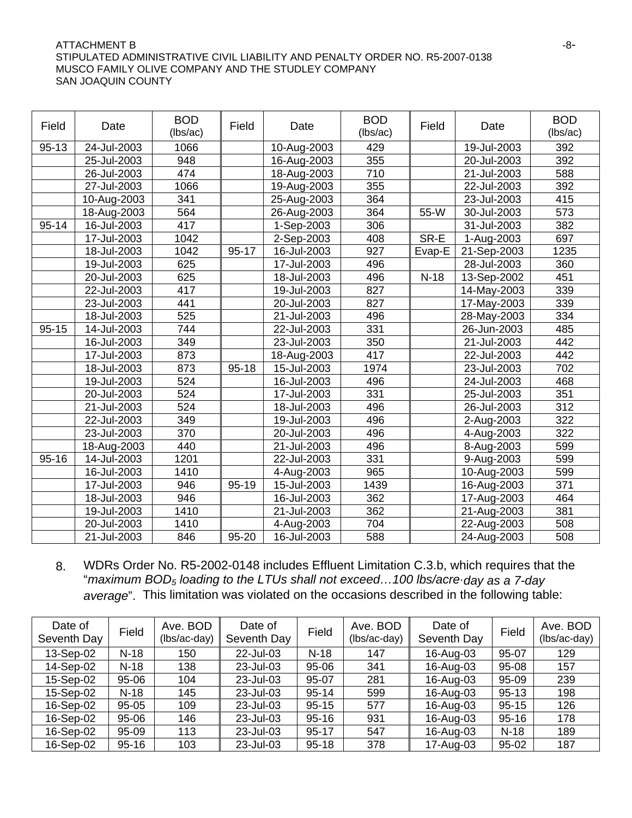### ATTACHMENT B  $-8-$ STIPULATED ADMINISTRATIVE CIVIL LIABILITY AND PENALTY ORDER NO. R5-2007-0138 MUSCO FAMILY OLIVE COMPANY AND THE STUDLEY COMPANY SAN JOAQUIN COUNTY

| Field     | Date        | <b>BOD</b><br>(lbs/ac) | Field     | Date                      | <b>BOD</b><br>(lbs/ac) | Field  | Date        | <b>BOD</b><br>(lbs/ac) |
|-----------|-------------|------------------------|-----------|---------------------------|------------------------|--------|-------------|------------------------|
| $95 - 13$ | 24-Jul-2003 | 1066                   |           | 10-Aug-2003               | 429                    |        | 19-Jul-2003 | 392                    |
|           | 25-Jul-2003 | 948                    |           | 16-Aug-2003               | 355                    |        | 20-Jul-2003 | 392                    |
|           | 26-Jul-2003 | 474                    |           | 18-Aug-2003               | 710                    |        | 21-Jul-2003 | 588                    |
|           | 27-Jul-2003 | 1066                   |           | 19-Aug-2003               | 355                    |        | 22-Jul-2003 | 392                    |
|           | 10-Aug-2003 | 341                    |           | 25-Aug-2003               | 364                    |        | 23-Jul-2003 | 415                    |
|           | 18-Aug-2003 | 564                    |           | 26-Aug-2003               | 364                    | 55-W   | 30-Jul-2003 | 573                    |
| $95 - 14$ | 16-Jul-2003 | 417                    |           | 1-Sep-2003                | 306                    |        | 31-Jul-2003 | 382                    |
|           | 17-Jul-2003 | 1042                   |           | 2-Sep-2003                | 408                    | SR-E   | 1-Aug-2003  | 697                    |
|           | 18-Jul-2003 | 1042                   | 95-17     | 16-Jul-2003               | 927                    | Evap-E | 21-Sep-2003 | 1235                   |
|           | 19-Jul-2003 | 625                    |           | 17-Jul-2003               | 496                    |        | 28-Jul-2003 | 360                    |
|           | 20-Jul-2003 | 625                    |           | 18-Jul-2003               | 496                    | $N-18$ | 13-Sep-2002 | 451                    |
|           | 22-Jul-2003 | 417                    |           | 19-Jul-2003               | 827                    |        | 14-May-2003 | 339                    |
|           | 23-Jul-2003 | 441                    |           | 20-Jul-2003               | 827                    |        | 17-May-2003 | 339                    |
|           | 18-Jul-2003 | 525                    |           | 21-Jul-2003               | 496                    |        | 28-May-2003 | 334                    |
| $95 - 15$ | 14-Jul-2003 | 744                    |           | 22-Jul-2003               | 331                    |        | 26-Jun-2003 | 485                    |
|           | 16-Jul-2003 | 349                    |           | 23-Jul-2003               | 350                    |        | 21-Jul-2003 | 442                    |
|           | 17-Jul-2003 | 873                    |           | 18-Aug-2003               | 417                    |        | 22-Jul-2003 | 442                    |
|           | 18-Jul-2003 | 873                    | $95 - 18$ | 15-Jul-2003               | 1974                   |        | 23-Jul-2003 | 702                    |
|           | 19-Jul-2003 | 524                    |           | 16-Jul-2003               | 496                    |        | 24-Jul-2003 | 468                    |
|           | 20-Jul-2003 | 524                    |           | 17-Jul-2003               | 331                    |        | 25-Jul-2003 | 351                    |
|           | 21-Jul-2003 | 524                    |           | 18-Jul-2003               | 496                    |        | 26-Jul-2003 | 312                    |
|           | 22-Jul-2003 | 349                    |           | 19-Jul-2003               | 496                    |        | 2-Aug-2003  | 322                    |
|           | 23-Jul-2003 | 370                    |           | 20-Jul-2003               | 496                    |        | 4-Aug-2003  | 322                    |
|           | 18-Aug-2003 | 440                    |           | 21-Jul-2003               | 496                    |        | 8-Aug-2003  | 599                    |
| $95 - 16$ | 14-Jul-2003 | 1201                   |           | 22-Jul-2003               | 331                    |        | 9-Aug-2003  | 599                    |
|           | 16-Jul-2003 | 1410                   |           | 4-Aug-2003                | 965                    |        | 10-Aug-2003 | 599                    |
|           | 17-Jul-2003 | 946                    | 95-19     | 15-Jul-2003               | 1439                   |        | 16-Aug-2003 | 371                    |
|           | 18-Jul-2003 | 946                    |           | 16-Jul-2003               | 362                    |        | 17-Aug-2003 | 464                    |
|           | 19-Jul-2003 | 1410                   |           | $\overline{2}$ 1-Jul-2003 | 362                    |        | 21-Aug-2003 | 381                    |
|           | 20-Jul-2003 | 1410                   |           | 4-Aug-2003                | 704                    |        | 22-Aug-2003 | 508                    |
|           | 21-Jul-2003 | 846                    | 95-20     | 16-Jul-2003               | 588                    |        | 24-Aug-2003 | 508                    |

8. WDRs Order No. R5-2002-0148 includes Effluent Limitation C.3.b, which requires that the "*maximum BOD5 loading to the LTUs shall not exceed…100 lbs/acreday as a 7-day average*". This limitation was violated on the occasions described in the following table:

| Date of<br>Seventh Day | Field     | Ave. BOD<br>(lbs/ac-day) | Date of<br>Seventh Day | Field     | Ave. BOD<br>(lbs/ac-day) | Date of<br>Seventh Day | Field     | Ave. BOD<br>(lbs/ac-day) |
|------------------------|-----------|--------------------------|------------------------|-----------|--------------------------|------------------------|-----------|--------------------------|
| 13-Sep-02              | $N-18$    | 150                      | 22-Jul-03              | $N-18$    | 147                      | 16-Aug-03              | 95-07     | 129                      |
| 14-Sep-02              | $N-18$    | 138                      | 23-Jul-03              | $95 - 06$ | 341                      | 16-Aug-03              | 95-08     | 157                      |
| 15-Sep-02              | 95-06     | 104                      | 23-Jul-03              | 95-07     | 281                      | 16-Aug-03              | 95-09     | 239                      |
| 15-Sep-02              | $N-18$    | 145                      | 23-Jul-03              | 95-14     | 599                      | 16-Aug-03              | $95 - 13$ | 198                      |
| 16-Sep-02              | $95 - 05$ | 109                      | 23-Jul-03              | $95 - 15$ | 577                      | 16-Aug-03              | $95 - 15$ | 126                      |
| 16-Sep-02              | 95-06     | 146                      | 23-Jul-03              | $95 - 16$ | 931                      | 16-Aug-03              | $95 - 16$ | 178                      |
| 16-Sep-02              | $95 - 09$ | 113                      | 23-Jul-03              | $95 - 17$ | 547                      | 16-Aug-03              | $N-18$    | 189                      |
| 16-Sep-02              | $95 - 16$ | 103                      | 23-Jul-03              | $95 - 18$ | 378                      | 17-Aug-03              | $95 - 02$ | 187                      |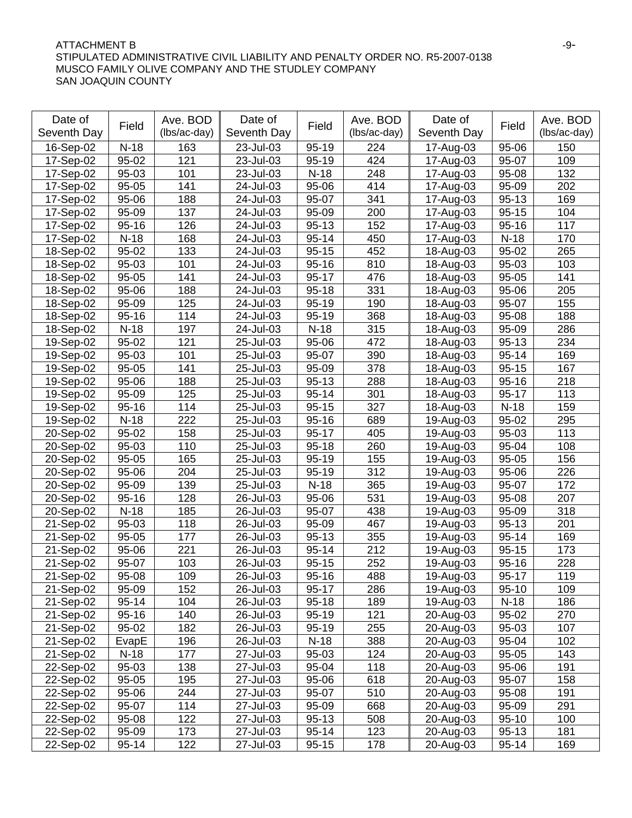### ATTACHMENT B  $-9-$ STIPULATED ADMINISTRATIVE CIVIL LIABILITY AND PENALTY ORDER NO. R5-2007-0138 MUSCO FAMILY OLIVE COMPANY AND THE STUDLEY COMPANY SAN JOAQUIN COUNTY

| Date of     |           | Ave. BOD     | Date of     |           | Ave. BOD         | Date of     |           | Ave. BOD     |
|-------------|-----------|--------------|-------------|-----------|------------------|-------------|-----------|--------------|
| Seventh Day | Field     | (lbs/ac-day) | Seventh Day | Field     | (lbs/ac-day)     | Seventh Day | Field     | (lbs/ac-day) |
| 16-Sep-02   | $N-18$    | 163          | 23-Jul-03   | 95-19     | 224              | 17-Aug-03   | 95-06     | 150          |
| 17-Sep-02   | 95-02     | 121          | 23-Jul-03   | $95 - 19$ | 424              | 17-Aug-03   | 95-07     | 109          |
| 17-Sep-02   | 95-03     | 101          | 23-Jul-03   | $N-18$    | 248              | 17-Aug-03   | 95-08     | 132          |
| 17-Sep-02   | 95-05     | 141          | 24-Jul-03   | 95-06     | 414              | 17-Aug-03   | 95-09     | 202          |
| 17-Sep-02   | 95-06     | 188          | 24-Jul-03   | 95-07     | 341              | 17-Aug-03   | $95 - 13$ | 169          |
| 17-Sep-02   | 95-09     | 137          | 24-Jul-03   | 95-09     | 200              | 17-Aug-03   | $95 - 15$ | 104          |
| 17-Sep-02   | $95 - 16$ | 126          | 24-Jul-03   | $95 - 13$ | 152              | 17-Aug-03   | $95 - 16$ | 117          |
| 17-Sep-02   | $N-18$    | 168          | 24-Jul-03   | $95 - 14$ | 450              | 17-Aug-03   | $N-18$    | 170          |
| 18-Sep-02   | 95-02     | 133          | 24-Jul-03   | $95 - 15$ | 452              | 18-Aug-03   | 95-02     | 265          |
| 18-Sep-02   | 95-03     | 101          | 24-Jul-03   | $95 - 16$ | 810              | 18-Aug-03   | 95-03     | 103          |
| 18-Sep-02   | 95-05     | 141          | 24-Jul-03   | $95 - 17$ | 476              | 18-Aug-03   | 95-05     | 141          |
| 18-Sep-02   | 95-06     | 188          | 24-Jul-03   | $95 - 18$ | 331              | 18-Aug-03   | 95-06     | 205          |
| 18-Sep-02   | 95-09     | 125          | 24-Jul-03   | $95 - 19$ | 190              | 18-Aug-03   | 95-07     | 155          |
| 18-Sep-02   | $95 - 16$ | 114          | 24-Jul-03   | $95 - 19$ | 368              | 18-Aug-03   | 95-08     | 188          |
| 18-Sep-02   | $N-18$    | 197          | 24-Jul-03   | $N-18$    | 315              | 18-Aug-03   | 95-09     | 286          |
| 19-Sep-02   | 95-02     | 121          | 25-Jul-03   | 95-06     | $\overline{472}$ | 18-Aug-03   | $95 - 13$ | 234          |
| 19-Sep-02   | 95-03     | 101          | 25-Jul-03   | 95-07     | 390              | 18-Aug-03   | $95 - 14$ | 169          |
| 19-Sep-02   | 95-05     | 141          | 25-Jul-03   | 95-09     | 378              | 18-Aug-03   | $95 - 15$ | 167          |
| 19-Sep-02   | 95-06     | 188          | 25-Jul-03   | $95 - 13$ | 288              | 18-Aug-03   | $95 - 16$ | 218          |
| 19-Sep-02   | 95-09     | 125          | 25-Jul-03   | $95 - 14$ | 301              | 18-Aug-03   | $95 - 17$ | 113          |
| 19-Sep-02   | $95 - 16$ | 114          | 25-Jul-03   | $95 - 15$ | 327              | 18-Aug-03   | $N-18$    | 159          |
| 19-Sep-02   | $N-18$    | 222          | 25-Jul-03   | $95 - 16$ | 689              | 19-Aug-03   | 95-02     | 295          |
| 20-Sep-02   | 95-02     | 158          | 25-Jul-03   | $95 - 17$ | 405              | 19-Aug-03   | 95-03     | 113          |
| 20-Sep-02   | 95-03     | 110          | 25-Jul-03   | $95 - 18$ | 260              | 19-Aug-03   | 95-04     | 108          |
| 20-Sep-02   | 95-05     | 165          | 25-Jul-03   | $95 - 19$ | 155              | 19-Aug-03   | 95-05     | 156          |
| 20-Sep-02   | 95-06     | 204          | 25-Jul-03   | $95 - 19$ | 312              | 19-Aug-03   | 95-06     | 226          |
| 20-Sep-02   | 95-09     | 139          | 25-Jul-03   | $N-18$    | 365              | 19-Aug-03   | 95-07     | 172          |
| 20-Sep-02   | $95 - 16$ | 128          | 26-Jul-03   | 95-06     | 531              | 19-Aug-03   | 95-08     | 207          |
| 20-Sep-02   | $N-18$    | 185          | 26-Jul-03   | 95-07     | 438              | 19-Aug-03   | 95-09     | 318          |
| 21-Sep-02   | 95-03     | 118          | 26-Jul-03   | 95-09     | 467              | 19-Aug-03   | $95 - 13$ | 201          |
| 21-Sep-02   | 95-05     | 177          | 26-Jul-03   | $95 - 13$ | 355              | 19-Aug-03   | $95 - 14$ | 169          |
| 21-Sep-02   | 95-06     | 221          | 26-Jul-03   | $95 - 14$ | 212              | 19-Aug-03   | $95 - 15$ | 173          |
| 21-Sep-02   | 95-07     | 103          | 26-Jul-03   | $95 - 15$ | 252              | 19-Aug-03   | $95 - 16$ | 228          |
| 21-Sep-02   | $95 - 08$ | 109          | 26-Jul-03   | $95 - 16$ | 488              | 19-Aug-03   | $95 - 17$ | 119          |
| 21-Sep-02   | 95-09     | 152          | 26-Jul-03   | $95 - 17$ | 286              | 19-Aug-03   | $95 - 10$ | 109          |
| 21-Sep-02   | $95 - 14$ | 104          | 26-Jul-03   | $95 - 18$ | 189              | 19-Aug-03   | $N-18$    | 186          |
| 21-Sep-02   | $95 - 16$ | 140          | 26-Jul-03   | $95 - 19$ | 121              | 20-Aug-03   | 95-02     | 270          |
| 21-Sep-02   | 95-02     | 182          | 26-Jul-03   | $95 - 19$ | 255              | 20-Aug-03   | 95-03     | 107          |
| 21-Sep-02   | EvapE     | 196          | 26-Jul-03   | $N-18$    | 388              | 20-Aug-03   | 95-04     | 102          |
| 21-Sep-02   | $N-18$    | 177          | 27-Jul-03   | 95-03     | 124              | 20-Aug-03   | 95-05     | 143          |
| 22-Sep-02   | 95-03     | 138          | 27-Jul-03   | 95-04     | 118              | 20-Aug-03   | 95-06     | 191          |
| 22-Sep-02   | 95-05     | 195          | 27-Jul-03   | 95-06     | 618              | 20-Aug-03   | 95-07     | 158          |
| 22-Sep-02   | 95-06     | 244          | 27-Jul-03   | 95-07     | 510              | 20-Aug-03   | 95-08     | 191          |
| 22-Sep-02   | 95-07     | 114          | 27-Jul-03   | 95-09     | 668              | 20-Aug-03   | 95-09     | 291          |
| 22-Sep-02   | 95-08     | 122          | 27-Jul-03   | 95-13     | 508              | 20-Aug-03   | $95 - 10$ | 100          |
| 22-Sep-02   | 95-09     | 173          | 27-Jul-03   | $95 - 14$ | 123              | 20-Aug-03   | $95 - 13$ | 181          |
| 22-Sep-02   | $95 - 14$ | 122          | 27-Jul-03   | $95 - 15$ | 178              | 20-Aug-03   | $95 - 14$ | 169          |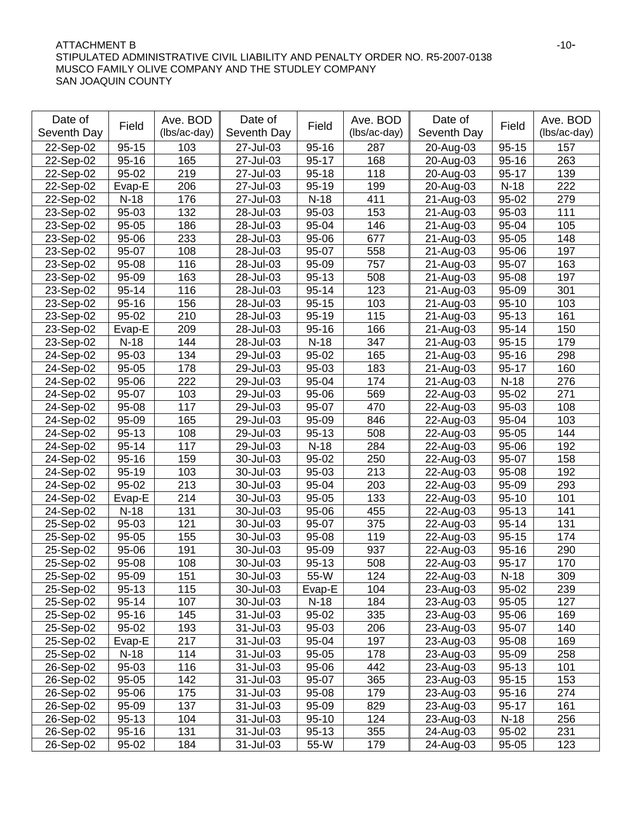### ATTACHMENT B -10-STIPULATED ADMINISTRATIVE CIVIL LIABILITY AND PENALTY ORDER NO. R5-2007-0138 MUSCO FAMILY OLIVE COMPANY AND THE STUDLEY COMPANY SAN JOAQUIN COUNTY

| Date of     |                    | Ave. BOD     | Date of     |           | Ave. BOD     | Date of     |           | Ave. BOD     |
|-------------|--------------------|--------------|-------------|-----------|--------------|-------------|-----------|--------------|
| Seventh Day | Field              | (lbs/ac-day) | Seventh Day | Field     | (lbs/ac-day) | Seventh Day | Field     | (lbs/ac-day) |
| 22-Sep-02   | $95 - 15$          | 103          | 27-Jul-03   | $95 - 16$ | 287          | 20-Aug-03   | $95 - 15$ | 157          |
| 22-Sep-02   | $95 - 16$          | 165          | 27-Jul-03   | $95 - 17$ | 168          | 20-Aug-03   | $95 - 16$ | 263          |
| 22-Sep-02   | 95-02              | 219          | 27-Jul-03   | $95 - 18$ | 118          | 20-Aug-03   | $95 - 17$ | 139          |
| 22-Sep-02   | Evap-E             | 206          | 27-Jul-03   | $95 - 19$ | 199          | 20-Aug-03   | $N-18$    | 222          |
| 22-Sep-02   | $N-18$             | 176          | 27-Jul-03   | $N-18$    | 411          | 21-Aug-03   | 95-02     | 279          |
| 23-Sep-02   | $95 - 03$          | 132          | 28-Jul-03   | 95-03     | 153          | 21-Aug-03   | 95-03     | 111          |
| 23-Sep-02   | 95-05              | 186          | 28-Jul-03   | 95-04     | 146          | 21-Aug-03   | 95-04     | 105          |
| 23-Sep-02   | 95-06              | 233          | 28-Jul-03   | 95-06     | 677          | 21-Aug-03   | 95-05     | 148          |
| 23-Sep-02   | 95-07              | 108          | 28-Jul-03   | 95-07     | 558          | 21-Aug-03   | 95-06     | 197          |
| 23-Sep-02   | 95-08              | 116          | 28-Jul-03   | 95-09     | 757          | 21-Aug-03   | 95-07     | 163          |
| 23-Sep-02   | 95-09              | 163          | 28-Jul-03   | $95 - 13$ | 508          | 21-Aug-03   | 95-08     | 197          |
| 23-Sep-02   | $95 - 14$          | 116          | 28-Jul-03   | $95 - 14$ | 123          | 21-Aug-03   | 95-09     | 301          |
| 23-Sep-02   | $95 - 16$          | 156          | 28-Jul-03   | $95 - 15$ | 103          | 21-Aug-03   | $95 - 10$ | 103          |
| 23-Sep-02   | 95-02              | 210          | 28-Jul-03   | $95 - 19$ | 115          | 21-Aug-03   | $95 - 13$ | 161          |
| 23-Sep-02   | Evap-E             | 209          | 28-Jul-03   | $95 - 16$ | 166          | 21-Aug-03   | $95 - 14$ | 150          |
| 23-Sep-02   | $N-18$             | 144          | 28-Jul-03   | $N-18$    | 347          | 21-Aug-03   | $95 - 15$ | 179          |
| 24-Sep-02   | 95-03              | 134          | 29-Jul-03   | 95-02     | 165          | 21-Aug-03   | $95 - 16$ | 298          |
| 24-Sep-02   | 95-05              | 178          | 29-Jul-03   | 95-03     | 183          | 21-Aug-03   | 95-17     | 160          |
| 24-Sep-02   | 95-06              | 222          | 29-Jul-03   | 95-04     | 174          | 21-Aug-03   | $N-18$    | 276          |
| 24-Sep-02   | 95-07              | 103          | 29-Jul-03   | 95-06     | 569          | 22-Aug-03   | 95-02     | 271          |
| 24-Sep-02   | 95-08              | 117          | 29-Jul-03   | 95-07     | 470          | 22-Aug-03   | 95-03     | 108          |
| 24-Sep-02   | 95-09              | 165          | 29-Jul-03   | 95-09     | 846          | 22-Aug-03   | 95-04     | 103          |
| 24-Sep-02   | $95 - 13$          | 108          | 29-Jul-03   | 95-13     | 508          | 22-Aug-03   | 95-05     | 144          |
| 24-Sep-02   | $95 - 14$          | 117          | 29-Jul-03   | $N-18$    | 284          | 22-Aug-03   | 95-06     | 192          |
| 24-Sep-02   | $95 - 16$          | 159          | 30-Jul-03   | 95-02     | 250          | 22-Aug-03   | 95-07     | 158          |
| 24-Sep-02   | $95-19$            | 103          | 30-Jul-03   | 95-03     | 213          | 22-Aug-03   | 95-08     | 192          |
| 24-Sep-02   | $\overline{9}5-02$ | 213          | 30-Jul-03   | 95-04     | 203          | 22-Aug-03   | 95-09     | 293          |
| 24-Sep-02   | Evap-E             | 214          | 30-Jul-03   | 95-05     | 133          | 22-Aug-03   | $95 - 10$ | 101          |
| 24-Sep-02   | $N-18$             | 131          | 30-Jul-03   | 95-06     | 455          | 22-Aug-03   | $95 - 13$ | 141          |
| 25-Sep-02   | 95-03              | 121          | 30-Jul-03   | 95-07     | 375          | 22-Aug-03   | $95 - 14$ | 131          |
| 25-Sep-02   | 95-05              | 155          | 30-Jul-03   | 95-08     | 119          | 22-Aug-03   | $95 - 15$ | 174          |
| 25-Sep-02   | 95-06              | 191          | 30-Jul-03   | 95-09     | 937          | 22-Aug-03   | $95 - 16$ | 290          |
| 25-Sep-02   | 95-08              | 108          | 30-Jul-03   | $95 - 13$ | 508          | 22-Aug-03   | $95 - 17$ | 170          |
| 25-Sep-02   | 95-09              | 151          | 30-Jul-03   | 55-W      | 124          | 22-Aug-03   | $N-18$    | 309          |
| 25-Sep-02   | $95 - 13$          | 115          | 30-Jul-03   | Evap-E    | 104          | 23-Aug-03   | 95-02     | 239          |
| 25-Sep-02   | $95 - 14$          | 107          | 30-Jul-03   | $N-18$    | 184          | 23-Aug-03   | 95-05     | 127          |
| 25-Sep-02   | $95 - 16$          | 145          | 31-Jul-03   | 95-02     | 335          | 23-Aug-03   | 95-06     | 169          |
| 25-Sep-02   | 95-02              | 193          | 31-Jul-03   | 95-03     | 206          | 23-Aug-03   | 95-07     | 140          |
| 25-Sep-02   | Evap-E             | 217          | 31-Jul-03   | 95-04     | 197          | 23-Aug-03   | 95-08     | 169          |
| 25-Sep-02   | $N-18$             | 114          | 31-Jul-03   | 95-05     | 178          | 23-Aug-03   | 95-09     | 258          |
| 26-Sep-02   | 95-03              | 116          | 31-Jul-03   | 95-06     | 442          | 23-Aug-03   | $95 - 13$ | 101          |
| 26-Sep-02   | 95-05              | 142          | 31-Jul-03   | 95-07     | 365          | 23-Aug-03   | $95 - 15$ | 153          |
| 26-Sep-02   | 95-06              | 175          | 31-Jul-03   | 95-08     | 179          | 23-Aug-03   | $95 - 16$ | 274          |
| 26-Sep-02   | 95-09              | 137          | 31-Jul-03   | 95-09     | 829          | 23-Aug-03   | $95 - 17$ | 161          |
| 26-Sep-02   | $95 - 13$          | 104          | 31-Jul-03   | $95 - 10$ | 124          | 23-Aug-03   | $N-18$    | 256          |
| 26-Sep-02   | $95 - 16$          | 131          | 31-Jul-03   | $95 - 13$ | 355          | 24-Aug-03   | 95-02     | 231          |
| 26-Sep-02   | 95-02              | 184          | 31-Jul-03   | 55-W      | 179          | 24-Aug-03   | 95-05     | 123          |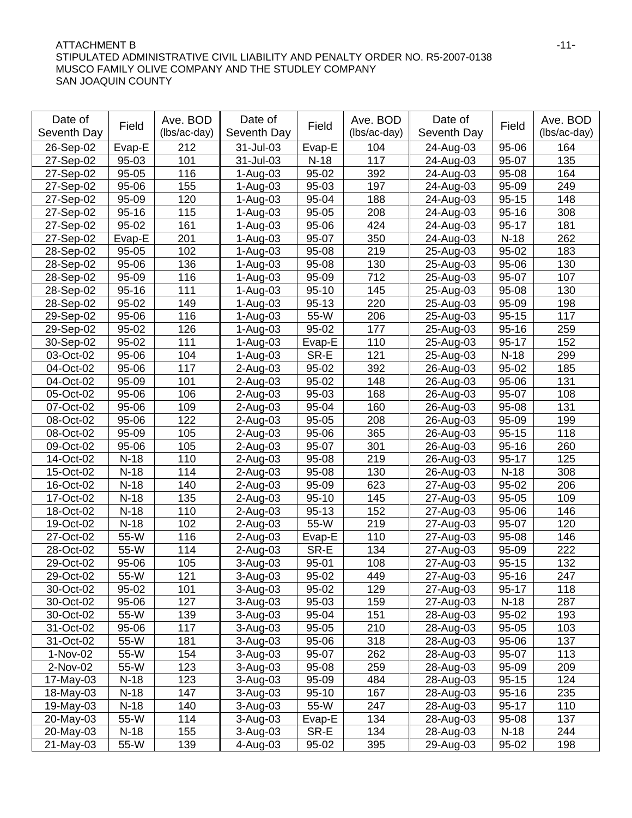### ATTACHMENT B 411-STIPULATED ADMINISTRATIVE CIVIL LIABILITY AND PENALTY ORDER NO. R5-2007-0138 MUSCO FAMILY OLIVE COMPANY AND THE STUDLEY COMPANY SAN JOAQUIN COUNTY

| Date of     |           | Ave. BOD     | Date of      |           | Ave. BOD     | Date of     |           | Ave. BOD     |
|-------------|-----------|--------------|--------------|-----------|--------------|-------------|-----------|--------------|
| Seventh Day | Field     | (lbs/ac-day) | Seventh Day  | Field     | (lbs/ac-day) | Seventh Day | Field     | (lbs/ac-day) |
| 26-Sep-02   | Evap-E    | 212          | 31-Jul-03    | Evap-E    | 104          | 24-Aug-03   | 95-06     | 164          |
| 27-Sep-02   | $95 - 03$ | 101          | 31-Jul-03    | $N-18$    | 117          | 24-Aug-03   | 95-07     | 135          |
| 27-Sep-02   | 95-05     | 116          | $1-Aug-03$   | 95-02     | 392          | 24-Aug-03   | 95-08     | 164          |
| 27-Sep-02   | 95-06     | 155          | 1-Aug-03     | 95-03     | 197          | 24-Aug-03   | 95-09     | 249          |
| 27-Sep-02   | 95-09     | 120          | $1 - Aug-03$ | 95-04     | 188          | 24-Aug-03   | $95 - 15$ | 148          |
| 27-Sep-02   | $95 - 16$ | 115          | 1-Aug-03     | 95-05     | 208          | 24-Aug-03   | $95 - 16$ | 308          |
| 27-Sep-02   | 95-02     | 161          | $1-Aug-03$   | 95-06     | 424          | 24-Aug-03   | $95 - 17$ | 181          |
| 27-Sep-02   | Evap-E    | 201          | 1-Aug-03     | 95-07     | 350          | 24-Aug-03   | $N-18$    | 262          |
| 28-Sep-02   | $95 - 05$ | 102          | $1-Auq-03$   | 95-08     | 219          | 25-Aug-03   | 95-02     | 183          |
| 28-Sep-02   | 95-06     | 136          | $1-Aug-03$   | 95-08     | 130          | 25-Aug-03   | 95-06     | 130          |
| 28-Sep-02   | 95-09     | 116          | $1-Aug-03$   | 95-09     | 712          | 25-Aug-03   | 95-07     | 107          |
| 28-Sep-02   | $95 - 16$ | 111          | 1-Aug-03     | $95 - 10$ | 145          | 25-Aug-03   | 95-08     | 130          |
| 28-Sep-02   | 95-02     | 149          | $1-Aug-03$   | $95 - 13$ | 220          | 25-Aug-03   | 95-09     | 198          |
| 29-Sep-02   | 95-06     | 116          | $1-Aug-03$   | 55-W      | 206          | 25-Aug-03   | $95 - 15$ | 117          |
| 29-Sep-02   | 95-02     | 126          | $1-Aug-03$   | 95-02     | 177          | 25-Aug-03   | $95 - 16$ | 259          |
| 30-Sep-02   | 95-02     | 111          | $1-Auq-03$   | Evap-E    | 110          | 25-Aug-03   | 95-17     | 152          |
| 03-Oct-02   | 95-06     | 104          | $1-Auq-03$   | SR-E      | 121          | 25-Aug-03   | $N-18$    | 299          |
| 04-Oct-02   | 95-06     | 117          | $2$ -Aug-03  | 95-02     | 392          | 26-Aug-03   | 95-02     | 185          |
| 04-Oct-02   | 95-09     | 101          | $2$ -Aug-03  | 95-02     | 148          | 26-Aug-03   | 95-06     | 131          |
| 05-Oct-02   | 95-06     | 106          | $2$ -Aug-03  | 95-03     | 168          | 26-Aug-03   | 95-07     | 108          |
| 07-Oct-02   | 95-06     | 109          | 2-Aug-03     | 95-04     | 160          | 26-Aug-03   | 95-08     | 131          |
| 08-Oct-02   | 95-06     | 122          | $2$ -Aug-03  | 95-05     | 208          | 26-Aug-03   | 95-09     | 199          |
| 08-Oct-02   | 95-09     | 105          | 2-Aug-03     | 95-06     | 365          | 26-Aug-03   | $95 - 15$ | 118          |
| 09-Oct-02   | 95-06     | 105          | $2$ -Aug-03  | 95-07     | 301          | 26-Aug-03   | $95 - 16$ | 260          |
| 14-Oct-02   | $N-18$    | 110          | $2$ -Aug-03  | 95-08     | 219          | 26-Aug-03   | $95 - 17$ | 125          |
| 15-Oct-02   | $N-18$    | 114          | $2$ -Aug-03  | 95-08     | 130          | 26-Aug-03   | $N-18$    | 308          |
| 16-Oct-02   | $N-18$    | 140          | $2$ -Aug-03  | 95-09     | 623          | 27-Aug-03   | 95-02     | 206          |
| 17-Oct-02   | $N-18$    | 135          | $2$ -Aug-03  | $95 - 10$ | 145          | 27-Aug-03   | $95 - 05$ | 109          |
| 18-Oct-02   | $N-18$    | 110          | $2$ -Aug-03  | $95 - 13$ | 152          | 27-Aug-03   | 95-06     | 146          |
| 19-Oct-02   | $N-18$    | 102          | $2$ -Aug-03  | $55-W$    | 219          | 27-Aug-03   | 95-07     | 120          |
| 27-Oct-02   | 55-W      | 116          | $2$ -Aug-03  | Evap-E    | 110          | 27-Aug-03   | 95-08     | 146          |
| 28-Oct-02   | 55-W      | 114          | $2-Auq-03$   | SR-E      | 134          | 27-Aug-03   | 95-09     | 222          |
| 29-Oct-02   | 95-06     | 105          | $3-Auq-03$   | 95-01     | 108          | 27-Aug-03   | $95 - 15$ | 132          |
| 29-Oct-02   | 55-W      | 121          | 3-Aug-03     | $95 - 02$ | 449          | 27-Aug-03   | $95 - 16$ | 247          |
| 30-Oct-02   | 95-02     | 101          | 3-Aug-03     | 95-02     | 129          | 27-Aug-03   | 95-17     | 118          |
| 30-Oct-02   | 95-06     | 127          | 3-Aug-03     | 95-03     | 159          | 27-Aug-03   | $N-18$    | 287          |
| 30-Oct-02   | 55-W      | 139          | $3-Auq-03$   | 95-04     | 151          | 28-Aug-03   | 95-02     | 193          |
| 31-Oct-02   | 95-06     | 117          | 3-Aug-03     | 95-05     | 210          | 28-Aug-03   | 95-05     | 103          |
| 31-Oct-02   | 55-W      | 181          | 3-Aug-03     | 95-06     | 318          | 28-Aug-03   | 95-06     | 137          |
| 1-Nov-02    | 55-W      | 154          | $3-Aug-03$   | 95-07     | 262          | 28-Aug-03   | 95-07     | 113          |
| 2-Nov-02    | 55-W      | 123          | $3-Aug-03$   | 95-08     | 259          | 28-Aug-03   | 95-09     | 209          |
| 17-May-03   | $N-18$    | 123          | 3-Aug-03     | 95-09     | 484          | 28-Aug-03   | $95 - 15$ | 124          |
| 18-May-03   | $N-18$    | 147          | 3-Aug-03     | $95 - 10$ | 167          | 28-Aug-03   | $95 - 16$ | 235          |
| 19-May-03   | $N-18$    | 140          | 3-Aug-03     | 55-W      | 247          | 28-Aug-03   | 95-17     | 110          |
| 20-May-03   | 55-W      | 114          | 3-Aug-03     | Evap-E    | 134          | 28-Aug-03   | 95-08     | 137          |
| 20-May-03   | $N-18$    | 155          | 3-Aug-03     | SR-E      | 134          | 28-Aug-03   | $N-18$    | 244          |
| 21-May-03   | 55-W      | 139          | 4-Aug-03     | 95-02     | 395          | 29-Aug-03   | 95-02     | 198          |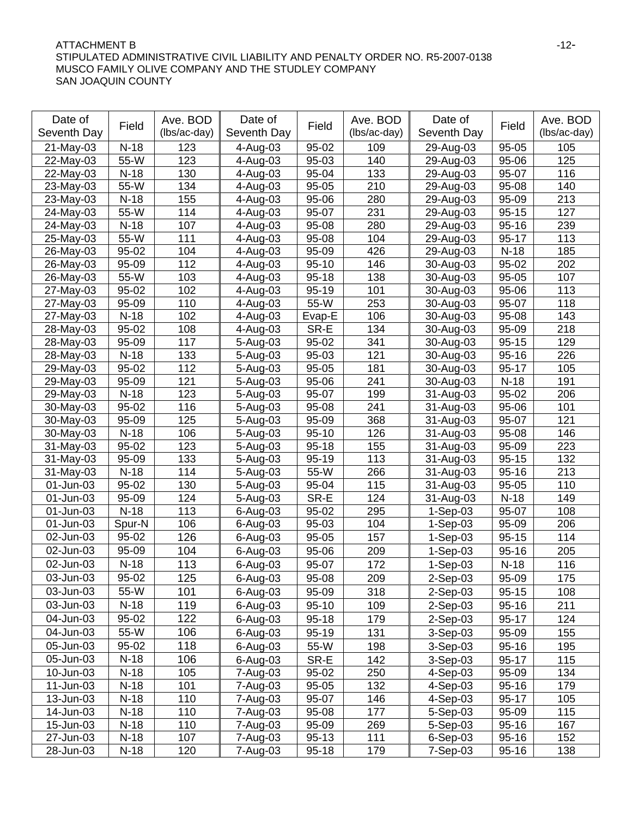### ATTACHMENT B 42-STIPULATED ADMINISTRATIVE CIVIL LIABILITY AND PENALTY ORDER NO. R5-2007-0138 MUSCO FAMILY OLIVE COMPANY AND THE STUDLEY COMPANY SAN JOAQUIN COUNTY

| Date of     |                    | Ave. BOD     | Date of      |               | Ave. BOD     | Date of              |                    | Ave. BOD     |
|-------------|--------------------|--------------|--------------|---------------|--------------|----------------------|--------------------|--------------|
| Seventh Day | Field              | (lbs/ac-day) | Seventh Day  | Field         | (lbs/ac-day) | Seventh Day          | Field              | (lbs/ac-day) |
| 21-May-03   | $N-18$             | 123          | 4-Aug-03     | 95-02         | 109          | 29-Aug-03            | 95-05              | 105          |
| 22-May-03   | 55-W               | 123          | 4-Aug-03     | 95-03         | 140          | 29-Aug-03            | 95-06              | 125          |
| 22-May-03   | $\overline{N}$ -18 | 130          | 4-Aug-03     | 95-04         | 133          | 29-Aug-03            | 95-07              | 116          |
| 23-May-03   | 55-W               | 134          | 4-Aug-03     | 95-05         | 210          | 29-Aug-03            | 95-08              | 140          |
| 23-May-03   | $N-18$             | 155          | 4-Aug-03     | 95-06         | 280          | 29-Aug-03            | 95-09              | 213          |
| 24-May-03   | 55-W               | 114          | 4-Aug-03     | 95-07         | 231          | 29-Aug-03            | $95 - 15$          | 127          |
| 24-May-03   | $N-18$             | 107          | 4-Aug-03     | 95-08         | 280          | 29-Aug-03            | $95 - 16$          | 239          |
| 25-May-03   | 55-W               | 111          | 4-Aug-03     | 95-08         | 104          | 29-Aug-03            | $95 - 17$          | 113          |
| 26-May-03   | 95-02              | 104          | 4-Aug-03     | 95-09         | 426          | 29-Aug-03            | $N-18$             | 185          |
| 26-May-03   | 95-09              | 112          | 4-Aug-03     | $95 - 10$     | 146          | 30-Aug-03            | 95-02              | 202          |
| 26-May-03   | $55-W$             | 103          | 4-Aug-03     | $95 - 18$     | 138          | 30-Aug-03            | 95-05              | 107          |
| 27-May-03   | 95-02              | 102          | 4-Aug-03     | $95 - 19$     | 101          | 30-Aug-03            | 95-06              | 113          |
| 27-May-03   | 95-09              | 110          | 4-Aug-03     | 55-W          | 253          | 30-Aug-03            | 95-07              | 118          |
| 27-May-03   | $N-18$             | 102          | 4-Aug-03     | Evap-E        | 106          | 30-Aug-03            | 95-08              | 143          |
| 28-May-03   | 95-02              | 108          | 4-Aug-03     | SR-E          | 134          | 30-Aug-03            | 95-09              | 218          |
| 28-May-03   | 95-09              | 117          | 5-Aug-03     | 95-02         | 341          | 30-Aug-03            | $95 - 15$          | 129          |
| 28-May-03   | $N-18$             | 133          | 5-Aug-03     | 95-03         | 121          | 30-Aug-03            | $95 - 16$          | 226          |
| 29-May-03   | 95-02              | 112          | 5-Aug-03     | 95-05         | 181          | 30-Aug-03            | $95 - 17$          | 105          |
| 29-May-03   | 95-09              | 121          | 5-Aug-03     | 95-06         | 241          | 30-Aug-03            | $N-18$             | 191          |
| 29-May-03   | $N-18$             | 123          | 5-Aug-03     | 95-07         | 199          | 31-Aug-03            | 95-02              | 206          |
| 30-May-03   | 95-02              | 116          | 5-Aug-03     | 95-08         | 241          | 31-Aug-03            | 95-06              | 101          |
| 30-May-03   | 95-09              | 125          | 5-Aug-03     | 95-09         | 368          | 31-Aug-03            | 95-07              | 121          |
| 30-May-03   | $N-18$             | 106          | 5-Aug-03     | $95 - 10$     | 126          | 31-Aug-03            | 95-08              | 146          |
| 31-May-03   | 95-02              | 123          | 5-Aug-03     | $95 - 18$     | 155          | 31-Aug-03            | 95-09              | 223          |
| 31-May-03   | 95-09              | 133          | 5-Aug-03     | 95-19         | 113          | 31-Aug-03            | $95 - 15$          | 132          |
| 31-May-03   | $N-18$             | 114          | 5-Aug-03     | 55-W          | 266          | 31-Aug-03            | $95 - 16$          | 213          |
| 01-Jun-03   | 95-02              | 130          | 5-Aug-03     | 95-04         | 115          | 31-Aug-03            | 95-05              | 110          |
| 01-Jun-03   | 95-09              | 124          | 5-Aug-03     | SR-E          | 124          | 31-Aug-03            | $N-18$             | 149          |
| 01-Jun-03   | $N-18$             | 113          | 6-Aug-03     | $95 - 02$     | 295          | $1-Sep-03$           | 95-07              | 108          |
| 01-Jun-03   | Spur-N             | 106          | 6-Aug-03     | 95-03         | 104          | $1-Sep-03$           | 95-09              | 206          |
| 02-Jun-03   | 95-02              | 126          | 6-Aug-03     | 95-05         | 157          | $1-Sep-03$           | $95 - 15$          | 114          |
| 02-Jun-03   | 95-09              | 104          | 6-Aug-03     | 95-06         | 209          | $1-Sep-03$           | $95 - 16$          | 205          |
| 02-Jun-03   | $N-18$             | 113          | 6-Aug-03     | 95-07         | 172          | $1-Sep-03$           | $N-18$             | 116          |
| 03-Jun-03   | 95-02              | 125          | $6 - Aug-03$ | $95 - 08$     | 209          | $2-Sep-03$           | 95-09              | 175          |
| 03-Jun-03   | 55-W               | 101          | 6-Aug-03     | 95-09         | 318          | 2-Sep-03             | $95 - 15$          | 108          |
| 03-Jun-03   | $N-18$             | 119          | 6-Aug-03     | $95 - 10$     | 109          | 2-Sep-03             | $95 - 16$          | 211          |
| 04-Jun-03   | 95-02              | 122          | 6-Aug-03     | $95 - 18$     | 179          | 2-Sep-03             | 95-17              | 124          |
| 04-Jun-03   | 55-W               | 106          | 6-Aug-03     | 95-19         | 131          | 3-Sep-03             | 95-09              | 155          |
| 05-Jun-03   | 95-02              | 118          | 6-Aug-03     | 55-W          | 198          | 3-Sep-03             | 95-16              | 195          |
| 05-Jun-03   | $N-18$             | 106          | 6-Aug-03     |               | 142          |                      |                    |              |
| 10-Jun-03   | $N-18$             | 105          |              | SR-E<br>95-02 |              | 3-Sep-03<br>4-Sep-03 | $95 - 17$<br>95-09 | 115<br>134   |
|             |                    |              | 7-Aug-03     |               | 250          |                      |                    |              |
| 11-Jun-03   | $N-18$             | 101          | 7-Aug-03     | $95 - 05$     | 132          | 4-Sep-03             | $95 - 16$          | 179          |
| 13-Jun-03   | $N-18$             | 110          | 7-Aug-03     | 95-07         | 146          | 4-Sep-03             | $95 - 17$          | 105          |
| 14-Jun-03   | $N-18$             | 110          | 7-Aug-03     | 95-08         | 177          | 5-Sep-03             | 95-09              | 115          |
| 15-Jun-03   | $N-18$             | 110          | 7-Aug-03     | 95-09         | 269          | 5-Sep-03             | $95 - 16$          | 167          |
| 27-Jun-03   | $N-18$             | 107          | 7-Aug-03     | $95 - 13$     | 111          | 6-Sep-03             | $95 - 16$          | 152          |
| 28-Jun-03   | $N-18$             | 120          | 7-Aug-03     | $95 - 18$     | 179          | 7-Sep-03             | $95 - 16$          | 138          |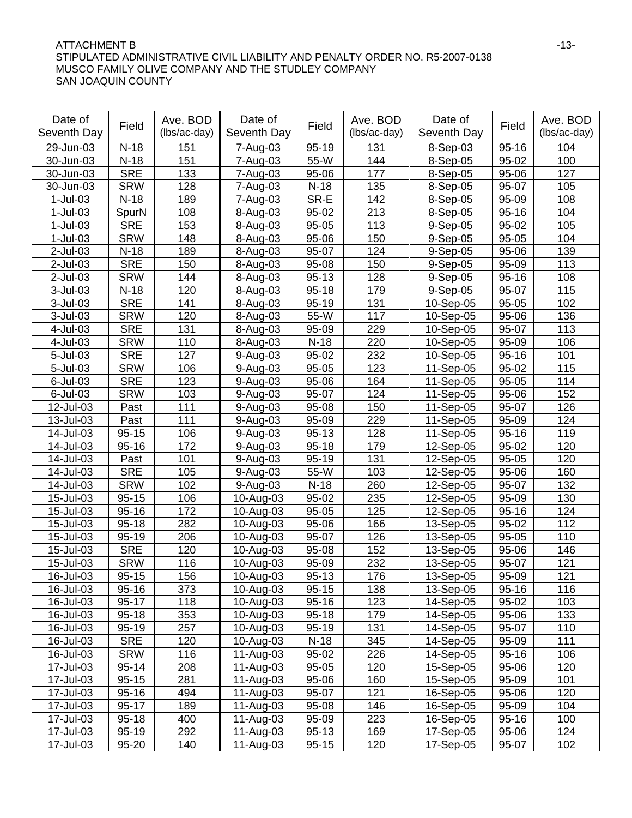### ATTACHMENT B 413-STIPULATED ADMINISTRATIVE CIVIL LIABILITY AND PENALTY ORDER NO. R5-2007-0138 MUSCO FAMILY OLIVE COMPANY AND THE STUDLEY COMPANY SAN JOAQUIN COUNTY

| Date of     |            | Ave. BOD     | Date of     |           | Ave. BOD     | Date of     |           | Ave. BOD     |
|-------------|------------|--------------|-------------|-----------|--------------|-------------|-----------|--------------|
| Seventh Day | Field      | (lbs/ac-day) | Seventh Day | Field     | (lbs/ac-day) | Seventh Day | Field     | (lbs/ac-day) |
| 29-Jun-03   | $N-18$     | 151          | 7-Aug-03    | 95-19     | 131          | 8-Sep-03    | $95 - 16$ | 104          |
| 30-Jun-03   | $N-18$     | 151          | 7-Aug-03    | 55-W      | 144          | 8-Sep-05    | 95-02     | 100          |
| 30-Jun-03   | <b>SRE</b> | 133          | 7-Aug-03    | 95-06     | 177          | 8-Sep-05    | 95-06     | 127          |
| 30-Jun-03   | <b>SRW</b> | 128          | 7-Aug-03    | $N-18$    | 135          | 8-Sep-05    | 95-07     | 105          |
| $1$ -Jul-03 | $N-18$     | 189          | 7-Aug-03    | SR-E      | 142          | 8-Sep-05    | 95-09     | 108          |
| $1-Jul-03$  | SpurN      | 108          | 8-Aug-03    | 95-02     | 213          | 8-Sep-05    | $95 - 16$ | 104          |
| $1-Jul-03$  | <b>SRE</b> | 153          | 8-Aug-03    | 95-05     | 113          | 9-Sep-05    | 95-02     | 105          |
| $1$ -Jul-03 | <b>SRW</b> | 148          | 8-Aug-03    | 95-06     | 150          | $9-Sep-05$  | 95-05     | 104          |
| $2$ -Jul-03 | $N-18$     | 189          | 8-Aug-03    | 95-07     | 124          | $9-Sep-05$  | 95-06     | 139          |
| $2$ -Jul-03 | <b>SRE</b> | 150          | 8-Aug-03    | 95-08     | 150          | 9-Sep-05    | 95-09     | 113          |
| $2$ -Jul-03 | <b>SRW</b> | 144          | 8-Aug-03    | $95 - 13$ | 128          | 9-Sep-05    | $95 - 16$ | 108          |
| $3$ -Jul-03 | $N-18$     | 120          | 8-Aug-03    | $95 - 18$ | 179          | 9-Sep-05    | 95-07     | 115          |
| $3$ -Jul-03 | <b>SRE</b> | 141          | 8-Aug-03    | $95 - 19$ | 131          | 10-Sep-05   | 95-05     | 102          |
| $3$ -Jul-03 | <b>SRW</b> | 120          | 8-Aug-03    | 55-W      | 117          | 10-Sep-05   | 95-06     | 136          |
| 4-Jul-03    | <b>SRE</b> | 131          | 8-Aug-03    | 95-09     | 229          | 10-Sep-05   | 95-07     | 113          |
| 4-Jul-03    | <b>SRW</b> | 110          | 8-Aug-03    | $N-18$    | 220          | 10-Sep-05   | 95-09     | 106          |
| 5-Jul-03    | <b>SRE</b> | 127          | $9-Auq-03$  | 95-02     | 232          | 10-Sep-05   | $95 - 16$ | 101          |
| 5-Jul-03    | <b>SRW</b> | 106          | $9-Auq-03$  | 95-05     | 123          | 11-Sep-05   | 95-02     | 115          |
| $6$ -Jul-03 | <b>SRE</b> | 123          | $9-Auq-03$  | 95-06     | 164          | 11-Sep-05   | 95-05     | 114          |
| $6$ -Jul-03 | <b>SRW</b> | 103          | $9-Auq-03$  | 95-07     | 124          | 11-Sep-05   | 95-06     | 152          |
| 12-Jul-03   | Past       | 111          | $9-Auq-03$  | 95-08     | 150          | 11-Sep-05   | 95-07     | 126          |
| 13-Jul-03   | Past       | 111          | $9-Auq-03$  | 95-09     | 229          | 11-Sep-05   | 95-09     | 124          |
| 14-Jul-03   | $95 - 15$  | 106          | 9-Aug-03    | $95 - 13$ | 128          | 11-Sep-05   | $95 - 16$ | 119          |
| 14-Jul-03   | $95 - 16$  | 172          | $9-Auq-03$  | $95 - 18$ | 179          | 12-Sep-05   | 95-02     | 120          |
| 14-Jul-03   | Past       | 101          | 9-Aug-03    | $95 - 19$ | 131          | 12-Sep-05   | 95-05     | 120          |
| 14-Jul-03   | <b>SRE</b> | 105          | $9-Auq-03$  | 55-W      | 103          | 12-Sep-05   | 95-06     | 160          |
| 14-Jul-03   | <b>SRW</b> | 102          | 9-Aug-03    | $N-18$    | 260          | 12-Sep-05   | 95-07     | 132          |
| 15-Jul-03   | $95 - 15$  | 106          | 10-Aug-03   | 95-02     | 235          | 12-Sep-05   | 95-09     | 130          |
| 15-Jul-03   | $95 - 16$  | 172          | 10-Aug-03   | 95-05     | 125          | 12-Sep-05   | $95 - 16$ | 124          |
| 15-Jul-03   | $95 - 18$  | 282          | 10-Aug-03   | 95-06     | 166          | 13-Sep-05   | 95-02     | 112          |
| 15-Jul-03   | 95-19      | 206          | 10-Aug-03   | 95-07     | 126          | 13-Sep-05   | 95-05     | 110          |
| 15-Jul-03   | <b>SRE</b> | 120          | 10-Aug-03   | 95-08     | 152          | 13-Sep-05   | 95-06     | 146          |
| 15-Jul-03   | <b>SRW</b> | 116          | 10-Aug-03   | 95-09     | 232          | 13-Sep-05   | 95-07     | 121          |
| 16-Jul-03   | $95 - 15$  | 156          | 10-Aug-03   | $95-13$   | 176          | 13-Sep-05   | 95-09     | 121          |
| 16-Jul-03   | $95 - 16$  | 373          | 10-Aug-03   | $95 - 15$ | 138          | 13-Sep-05   | $95 - 16$ | 116          |
| 16-Jul-03   | $95 - 17$  | 118          | 10-Aug-03   | 95-16     | 123          | 14-Sep-05   | 95-02     | 103          |
| 16-Jul-03   | $95 - 18$  | 353          | 10-Aug-03   | $95 - 18$ | 179          | 14-Sep-05   | 95-06     | 133          |
| 16-Jul-03   | 95-19      | 257          | 10-Aug-03   | 95-19     | 131          | 14-Sep-05   | 95-07     | 110          |
| 16-Jul-03   | <b>SRE</b> | 120          | 10-Aug-03   | $N-18$    | 345          | 14-Sep-05   | 95-09     | 111          |
| 16-Jul-03   | <b>SRW</b> | 116          | 11-Aug-03   | $95 - 02$ | 226          | 14-Sep-05   | $95 - 16$ | 106          |
| 17-Jul-03   | $95 - 14$  | 208          | 11-Aug-03   | 95-05     | 120          | 15-Sep-05   | 95-06     | 120          |
| 17-Jul-03   | $95 - 15$  | 281          | 11-Aug-03   | 95-06     | 160          | 15-Sep-05   | 95-09     | 101          |
| 17-Jul-03   | $95 - 16$  | 494          | 11-Aug-03   | 95-07     | 121          | 16-Sep-05   | 95-06     | 120          |
| 17-Jul-03   | $95 - 17$  | 189          | 11-Aug-03   | 95-08     | 146          | 16-Sep-05   | 95-09     | 104          |
| 17-Jul-03   | $95 - 18$  | 400          | 11-Aug-03   | 95-09     | 223          | 16-Sep-05   | $95 - 16$ | 100          |
| 17-Jul-03   | 95-19      | 292          | 11-Aug-03   | 95-13     | 169          | 17-Sep-05   | 95-06     | 124          |
| 17-Jul-03   | 95-20      | 140          | 11-Aug-03   | $95 - 15$ | 120          | 17-Sep-05   | 95-07     | 102          |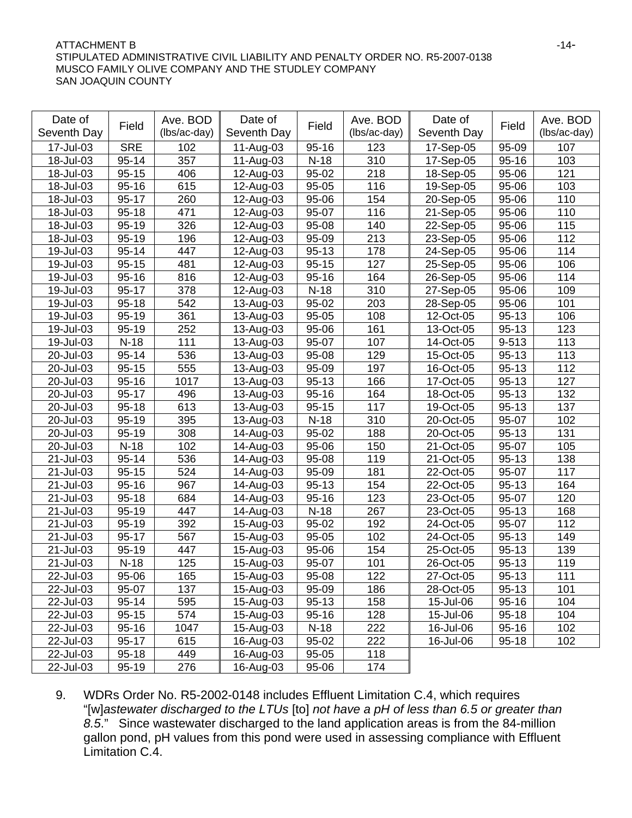### ATTACHMENT B -14-STIPULATED ADMINISTRATIVE CIVIL LIABILITY AND PENALTY ORDER NO. R5-2007-0138 MUSCO FAMILY OLIVE COMPANY AND THE STUDLEY COMPANY SAN JOAQUIN COUNTY

| Date of      | Field      | Ave. BOD     | Date of     | Field     | Ave. BOD     | Date of     | Field     | Ave. BOD     |
|--------------|------------|--------------|-------------|-----------|--------------|-------------|-----------|--------------|
| Seventh Day  |            | (lbs/ac-day) | Seventh Day |           | (lbs/ac-day) | Seventh Day |           | (lbs/ac-day) |
| 17-Jul-03    | <b>SRE</b> | 102          | 11-Aug-03   | $95 - 16$ | 123          | 17-Sep-05   | 95-09     | 107          |
| 18-Jul-03    | $95 - 14$  | 357          | 11-Aug-03   | $N-18$    | 310          | 17-Sep-05   | $95 - 16$ | 103          |
| 18-Jul-03    | $95 - 15$  | 406          | 12-Aug-03   | 95-02     | 218          | 18-Sep-05   | 95-06     | 121          |
| 18-Jul-03    | $95 - 16$  | 615          | 12-Aug-03   | 95-05     | 116          | 19-Sep-05   | 95-06     | 103          |
| 18-Jul-03    | $95 - 17$  | 260          | 12-Aug-03   | 95-06     | 154          | 20-Sep-05   | $95 - 06$ | 110          |
| 18-Jul-03    | $95 - 18$  | 471          | 12-Aug-03   | 95-07     | 116          | 21-Sep-05   | 95-06     | 110          |
| 18-Jul-03    | $95-19$    | 326          | 12-Aug-03   | 95-08     | 140          | 22-Sep-05   | $95 - 06$ | 115          |
| 18-Jul-03    | 95-19      | 196          | 12-Aug-03   | 95-09     | 213          | 23-Sep-05   | 95-06     | 112          |
| 19-Jul-03    | $95 - 14$  | 447          | 12-Aug-03   | $95 - 13$ | 178          | 24-Sep-05   | 95-06     | 114          |
| 19-Jul-03    | $95 - 15$  | 481          | 12-Aug-03   | $95 - 15$ | 127          | 25-Sep-05   | 95-06     | 106          |
| 19-Jul-03    | $95 - 16$  | 816          | 12-Aug-03   | $95 - 16$ | 164          | 26-Sep-05   | 95-06     | 114          |
| 19-Jul-03    | $95 - 17$  | 378          | 12-Aug-03   | $N-18$    | 310          | 27-Sep-05   | 95-06     | 109          |
| 19-Jul-03    | $95 - 18$  | 542          | 13-Aug-03   | 95-02     | 203          | 28-Sep-05   | 95-06     | 101          |
| 19-Jul-03    | $95-19$    | 361          | 13-Aug-03   | 95-05     | 108          | 12-Oct-05   | $95 - 13$ | 106          |
| 19-Jul-03    | $95 - 19$  | 252          | 13-Aug-03   | 95-06     | 161          | 13-Oct-05   | $95 - 13$ | 123          |
| 19-Jul-03    | $N-18$     | 111          | 13-Aug-03   | 95-07     | 107          | 14-Oct-05   | 9-513     | 113          |
| 20-Jul-03    | $95 - 14$  | 536          | 13-Aug-03   | 95-08     | 129          | 15-Oct-05   | $95 - 13$ | 113          |
| 20-Jul-03    | $95 - 15$  | 555          | 13-Aug-03   | 95-09     | 197          | 16-Oct-05   | $95 - 13$ | 112          |
| 20-Jul-03    | $95 - 16$  | 1017         | 13-Aug-03   | $95 - 13$ | 166          | 17-Oct-05   | $95 - 13$ | 127          |
| 20-Jul-03    | $95 - 17$  | 496          | 13-Aug-03   | $95 - 16$ | 164          | 18-Oct-05   | 95-13     | 132          |
| 20-Jul-03    | $95 - 18$  | 613          | 13-Aug-03   | $95 - 15$ | 117          | 19-Oct-05   | $95 - 13$ | 137          |
| 20-Jul-03    | 95-19      | 395          | 13-Aug-03   | $N-18$    | 310          | 20-Oct-05   | 95-07     | 102          |
| 20-Jul-03    | 95-19      | 308          | 14-Aug-03   | 95-02     | 188          | 20-Oct-05   | $95 - 13$ | 131          |
| 20-Jul-03    | $N-18$     | 102          | 14-Aug-03   | 95-06     | 150          | 21-Oct-05   | 95-07     | 105          |
| 21-Jul-03    | $95 - 14$  | 536          | 14-Aug-03   | 95-08     | 119          | 21-Oct-05   | $95 - 13$ | 138          |
| 21-Jul-03    | $95 - 15$  | 524          | 14-Aug-03   | 95-09     | 181          | 22-Oct-05   | 95-07     | 117          |
| 21-Jul-03    | $95 - 16$  | 967          | 14-Aug-03   | $95 - 13$ | 154          | 22-Oct-05   | $95 - 13$ | 164          |
| 21-Jul-03    | $95 - 18$  | 684          | 14-Aug-03   | $95 - 16$ | 123          | 23-Oct-05   | 95-07     | 120          |
| 21-Jul-03    | 95-19      | 447          | 14-Aug-03   | $N-18$    | 267          | 23-Oct-05   | $95 - 13$ | 168          |
| 21-Jul-03    | $95 - 19$  | 392          | 15-Aug-03   | 95-02     | 192          | 24-Oct-05   | 95-07     | 112          |
| 21-Jul-03    | $95 - 17$  | 567          | 15-Aug-03   | $95-05$   | 102          | 24-Oct-05   | $95 - 13$ | 149          |
| 21-Jul-03    | 95-19      | 447          | 15-Aug-03   | 95-06     | 154          | 25-Oct-05   | 95-13     | 139          |
| 21-Jul-03    | $N-18$     | 125          | 15-Aug-03   | 95-07     | 101          | 26-Oct-05   | $95 - 13$ | 119          |
| $22$ -Jul-03 | 95-06      | 165          | 15-Aug-03   | 95-08     | $122$        | $27-Oct-05$ | $95 - 13$ | 111          |
| 22-Jul-03    | 95-07      | 137          | 15-Aug-03   | 95-09     | 186          | 28-Oct-05   | $95 - 13$ | 101          |
| 22-Jul-03    | $95 - 14$  | 595          | 15-Aug-03   | $95 - 13$ | 158          | 15-Jul-06   | $95 - 16$ | 104          |
| 22-Jul-03    | $95 - 15$  | 574          | 15-Aug-03   | $95 - 16$ | 128          | 15-Jul-06   | $95 - 18$ | 104          |
| 22-Jul-03    | $95 - 16$  | 1047         | 15-Aug-03   | $N-18$    | 222          | 16-Jul-06   | $95 - 16$ | 102          |
| 22-Jul-03    | $95 - 17$  | 615          | 16-Aug-03   | 95-02     | 222          | 16-Jul-06   | $95 - 18$ | 102          |
| 22-Jul-03    | $95 - 18$  | 449          | 16-Aug-03   | 95-05     | 118          |             |           |              |
| 22-Jul-03    | $95-19$    | 276          | 16-Aug-03   | 95-06     | 174          |             |           |              |

9. WDRs Order No. R5-2002-0148 includes Effluent Limitation C.4, which requires "[w]*astewater discharged to the LTUs* [to] *not have a pH of less than 6.5 or greater than 8.5*." Since wastewater discharged to the land application areas is from the 84-million gallon pond, pH values from this pond were used in assessing compliance with Effluent Limitation C.4.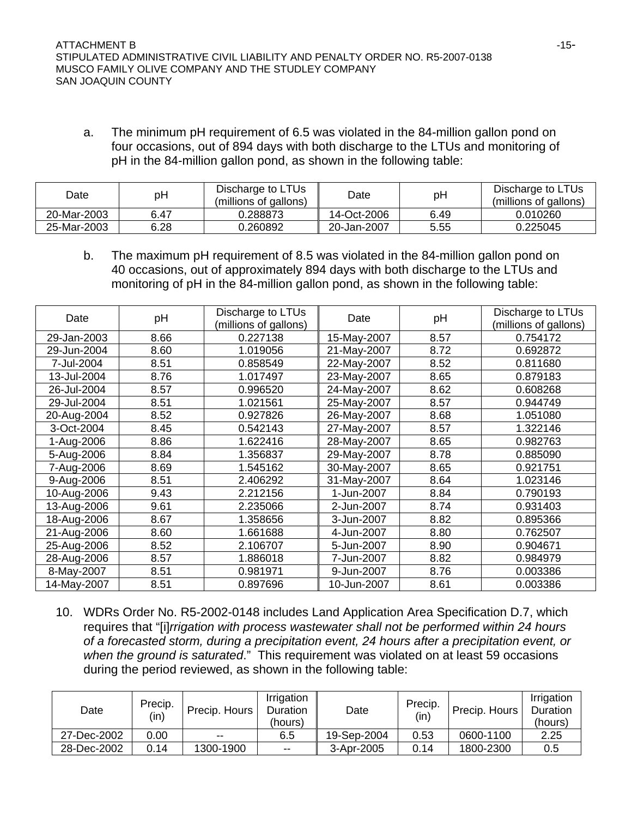a. The minimum pH requirement of 6.5 was violated in the 84-million gallon pond on four occasions, out of 894 days with both discharge to the LTUs and monitoring of pH in the 84-million gallon pond, as shown in the following table:

| Date        | pH   | Discharge to LTUs<br>(millions of gallons) | <b>Date</b> | рH   | Discharge to LTUs<br>(millions of gallons) |
|-------------|------|--------------------------------------------|-------------|------|--------------------------------------------|
| 20-Mar-2003 | 6.47 | ጋ 288873                                   | 14-Oct-2006 | 6.49 | 0.010260                                   |
| 25-Mar-2003 | 6.28 | 0.260892                                   | 20-Jan-2007 | 5.55 | 0.225045                                   |

b. The maximum pH requirement of 8.5 was violated in the 84-million gallon pond on 40 occasions, out of approximately 894 days with both discharge to the LTUs and monitoring of pH in the 84-million gallon pond, as shown in the following table:

| Date        | pH   | Discharge to LTUs<br>(millions of gallons) | Date        | pH   | Discharge to LTUs<br>(millions of gallons) |
|-------------|------|--------------------------------------------|-------------|------|--------------------------------------------|
| 29-Jan-2003 | 8.66 | 0.227138                                   | 15-May-2007 | 8.57 | 0.754172                                   |
| 29-Jun-2004 | 8.60 | 1.019056                                   | 21-May-2007 | 8.72 | 0.692872                                   |
| 7-Jul-2004  | 8.51 | 0.858549                                   | 22-May-2007 | 8.52 | 0.811680                                   |
| 13-Jul-2004 | 8.76 | 1.017497                                   | 23-May-2007 | 8.65 | 0.879183                                   |
| 26-Jul-2004 | 8.57 | 0.996520                                   | 24-May-2007 | 8.62 | 0.608268                                   |
| 29-Jul-2004 | 8.51 | 1.021561                                   | 25-May-2007 | 8.57 | 0.944749                                   |
| 20-Aug-2004 | 8.52 | 0.927826                                   | 26-May-2007 | 8.68 | 1.051080                                   |
| 3-Oct-2004  | 8.45 | 0.542143                                   | 27-May-2007 | 8.57 | 1.322146                                   |
| 1-Aug-2006  | 8.86 | 1.622416                                   | 28-May-2007 | 8.65 | 0.982763                                   |
| 5-Aug-2006  | 8.84 | 1.356837                                   | 29-May-2007 | 8.78 | 0.885090                                   |
| 7-Aug-2006  | 8.69 | 1.545162                                   | 30-May-2007 | 8.65 | 0.921751                                   |
| 9-Aug-2006  | 8.51 | 2.406292                                   | 31-May-2007 | 8.64 | 1.023146                                   |
| 10-Aug-2006 | 9.43 | 2.212156                                   | 1-Jun-2007  | 8.84 | 0.790193                                   |
| 13-Aug-2006 | 9.61 | 2.235066                                   | 2-Jun-2007  | 8.74 | 0.931403                                   |
| 18-Aug-2006 | 8.67 | 1.358656                                   | 3-Jun-2007  | 8.82 | 0.895366                                   |
| 21-Aug-2006 | 8.60 | 1.661688                                   | 4-Jun-2007  | 8.80 | 0.762507                                   |
| 25-Aug-2006 | 8.52 | 2.106707                                   | 5-Jun-2007  | 8.90 | 0.904671                                   |
| 28-Aug-2006 | 8.57 | 1.886018                                   | 7-Jun-2007  | 8.82 | 0.984979                                   |
| 8-May-2007  | 8.51 | 0.981971                                   | 9-Jun-2007  | 8.76 | 0.003386                                   |
| 14-May-2007 | 8.51 | 0.897696                                   | 10-Jun-2007 | 8.61 | 0.003386                                   |

10. WDRs Order No. R5-2002-0148 includes Land Application Area Specification D.7, which requires that "[i]*rrigation with process wastewater shall not be performed within 24 hours of a forecasted storm, during a precipitation event, 24 hours after a precipitation event, or when the ground is saturated*." This requirement was violated on at least 59 occasions during the period reviewed, as shown in the following table:

| Date        | Precip.<br>(in) | Precip. Hours | Irrigation<br>Duration<br>(hours) | Date        | Precip.<br>(in) | Precip. Hours | Irrigation<br>Duration<br>(hours) |
|-------------|-----------------|---------------|-----------------------------------|-------------|-----------------|---------------|-----------------------------------|
| 27-Dec-2002 | 0.00            | $- -$         | 6.5                               | 19-Sep-2004 | 0.53            | 0600-1100     | 2.25                              |
| 28-Dec-2002 | 0.14            | 1300-1900     | $\sim$ $\sim$                     | 3-Apr-2005  | 0.14            | 1800-2300     | 0.5                               |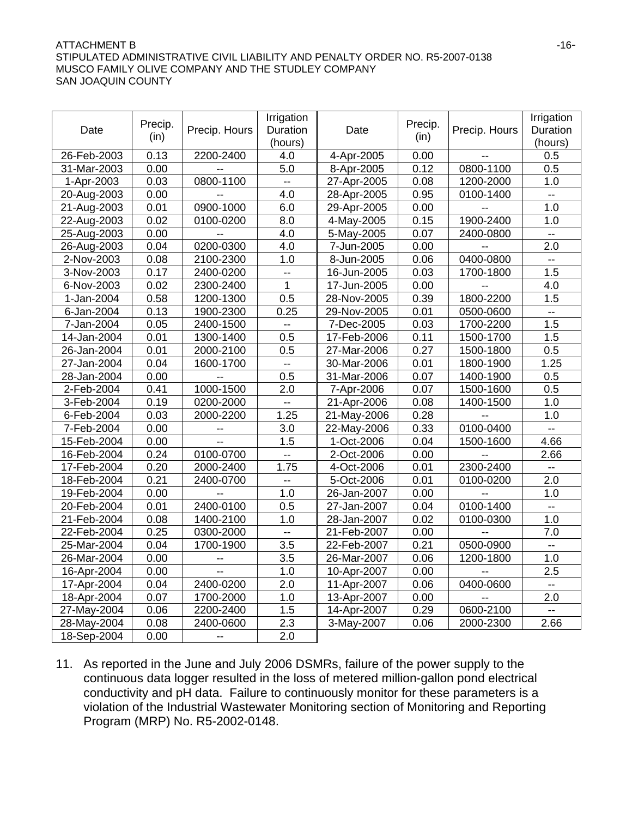### $\blacksquare$   $\blacksquare$   $\blacksquare$   $\blacksquare$   $\blacksquare$   $\blacksquare$   $\blacksquare$   $\blacksquare$   $\blacksquare$   $\blacksquare$   $\blacksquare$   $\blacksquare$   $\blacksquare$   $\blacksquare$   $\blacksquare$   $\blacksquare$   $\blacksquare$   $\blacksquare$   $\blacksquare$   $\blacksquare$   $\blacksquare$   $\blacksquare$   $\blacksquare$   $\blacksquare$   $\blacksquare$   $\blacksquare$   $\blacksquare$   $\blacksquare$   $\blacksquare$   $\blacksquare$   $\blacksquare$   $\blacks$ STIPULATED ADMINISTRATIVE CIVIL LIABILITY AND PENALTY ORDER NO. R5-2007-0138 MUSCO FAMILY OLIVE COMPANY AND THE STUDLEY COMPANY SAN JOAQUIN COUNTY

| Date        | Precip.<br>(in) | Precip. Hours  | Irrigation<br>Precip.<br>Duration<br>Date<br>(in)<br>(hours) |             |      | Precip. Hours  | Irrigation<br>Duration<br>(hours) |
|-------------|-----------------|----------------|--------------------------------------------------------------|-------------|------|----------------|-----------------------------------|
| 26-Feb-2003 | 0.13            | 2200-2400      | 4.0                                                          | 4-Apr-2005  | 0.00 | $\overline{a}$ | 0.5                               |
| 31-Mar-2003 | 0.00            |                | 5.0                                                          | 8-Apr-2005  | 0.12 | 0800-1100      | 0.5                               |
| 1-Apr-2003  | 0.03            | 0800-1100      | $-1$                                                         | 27-Apr-2005 | 0.08 | 1200-2000      | 1.0                               |
| 20-Aug-2003 | 0.00            |                | 4.0                                                          | 28-Apr-2005 | 0.95 | 0100-1400      | $\overline{\phantom{a}}$          |
| 21-Aug-2003 | 0.01            | 0900-1000      | 6.0                                                          | 29-Apr-2005 | 0.00 |                | 1.0                               |
| 22-Aug-2003 | 0.02            | 0100-0200      | 8.0                                                          | 4-May-2005  | 0.15 | 1900-2400      | 1.0                               |
| 25-Aug-2003 | 0.00            |                | 4.0                                                          | 5-May-2005  | 0.07 | 2400-0800      | $\overline{\phantom{a}}$          |
| 26-Aug-2003 | 0.04            | 0200-0300      | 4.0                                                          | 7-Jun-2005  | 0.00 |                | 2.0                               |
| 2-Nov-2003  | 0.08            | 2100-2300      | 1.0                                                          | 8-Jun-2005  | 0.06 | 0400-0800      | $-$                               |
| 3-Nov-2003  | 0.17            | 2400-0200      | ÷-                                                           | 16-Jun-2005 | 0.03 | 1700-1800      | 1.5                               |
| 6-Nov-2003  | 0.02            | 2300-2400      | $\overline{1}$                                               | 17-Jun-2005 | 0.00 |                | 4.0                               |
| 1-Jan-2004  | 0.58            | 1200-1300      | 0.5                                                          | 28-Nov-2005 | 0.39 | 1800-2200      | 1.5                               |
| 6-Jan-2004  | 0.13            | 1900-2300      | 0.25                                                         | 29-Nov-2005 | 0.01 | 0500-0600      | $\overline{\phantom{a}}$          |
| 7-Jan-2004  | 0.05            | 2400-1500      | ۰.                                                           | 7-Dec-2005  | 0.03 | 1700-2200      | 1.5                               |
| 14-Jan-2004 | 0.01            | 1300-1400      | 0.5                                                          | 17-Feb-2006 | 0.11 | 1500-1700      | 1.5                               |
| 26-Jan-2004 | 0.01            | 2000-2100      | 0.5                                                          | 27-Mar-2006 | 0.27 | 1500-1800      | 0.5                               |
| 27-Jan-2004 | 0.04            | 1600-1700      | $\mathbb{L}^{\mathbb{L}}$                                    | 30-Mar-2006 | 0.01 | 1800-1900      | 1.25                              |
| 28-Jan-2004 | 0.00            |                | 0.5                                                          | 31-Mar-2006 | 0.07 | 1400-1900      | 0.5                               |
| 2-Feb-2004  | 0.41            | 1000-1500      | 2.0                                                          | 7-Apr-2006  | 0.07 | 1500-1600      | 0.5                               |
| 3-Feb-2004  | 0.19            | 0200-2000      | -−                                                           | 21-Apr-2006 | 0.08 | 1400-1500      | 1.0                               |
| 6-Feb-2004  | 0.03            | 2000-2200      | 1.25                                                         | 21-May-2006 | 0.28 | $-$            | 1.0                               |
| 7-Feb-2004  | 0.00            |                | 3.0                                                          | 22-May-2006 | 0.33 | 0100-0400      | --                                |
| 15-Feb-2004 | 0.00            | $\overline{a}$ | 1.5                                                          | 1-Oct-2006  | 0.04 | 1500-1600      | 4.66                              |
| 16-Feb-2004 | 0.24            | 0100-0700      | $\mathbb{L}^{\mathbb{L}}$                                    | 2-Oct-2006  | 0.00 | $-$            | 2.66                              |
| 17-Feb-2004 | 0.20            | 2000-2400      | 1.75                                                         | 4-Oct-2006  | 0.01 | 2300-2400      | --                                |
| 18-Feb-2004 | 0.21            | 2400-0700      | $-$                                                          | 5-Oct-2006  | 0.01 | 0100-0200      | 2.0                               |
| 19-Feb-2004 | 0.00            | $\mathbf{u}$   | 1.0                                                          | 26-Jan-2007 | 0.00 | $\mathbf{u}$   | 1.0                               |
| 20-Feb-2004 | 0.01            | 2400-0100      | 0.5                                                          | 27-Jan-2007 | 0.04 | 0100-1400      | --                                |
| 21-Feb-2004 | 0.08            | 1400-2100      | 1.0                                                          | 28-Jan-2007 | 0.02 | 0100-0300      | 1.0                               |
| 22-Feb-2004 | 0.25            | 0300-2000      | $\overline{\phantom{a}}$                                     | 21-Feb-2007 | 0.00 |                | 7.0                               |
| 25-Mar-2004 | 0.04            | 1700-1900      | 3.5                                                          | 22-Feb-2007 | 0.21 | 0500-0900      | $\overline{\phantom{a}}$          |
| 26-Mar-2004 | 0.00            |                | 3.5                                                          | 26-Mar-2007 | 0.06 | 1200-1800      | 1.0                               |
| 16-Apr-2004 | 0.00            |                | 1.0                                                          | 10-Apr-2007 | 0.00 |                | 2.5                               |
| 17-Apr-2004 | 0.04            | 2400-0200      | 2.0                                                          | 11-Apr-2007 | 0.06 | 0400-0600      | $\overline{\phantom{a}}$          |
| 18-Apr-2004 | 0.07            | 1700-2000      | 1.0                                                          | 13-Apr-2007 | 0.00 |                | 2.0                               |
| 27-May-2004 | 0.06            | 2200-2400      | 1.5                                                          | 14-Apr-2007 | 0.29 | 0600-2100      | $\overline{\phantom{a}}$          |
| 28-May-2004 | 0.08            | 2400-0600      | 2.3                                                          | 3-May-2007  | 0.06 | 2000-2300      | 2.66                              |
| 18-Sep-2004 | 0.00            |                | 2.0                                                          |             |      |                |                                   |

11. As reported in the June and July 2006 DSMRs, failure of the power supply to the continuous data logger resulted in the loss of metered million-gallon pond electrical conductivity and pH data. Failure to continuously monitor for these parameters is a violation of the Industrial Wastewater Monitoring section of Monitoring and Reporting Program (MRP) No. R5-2002-0148.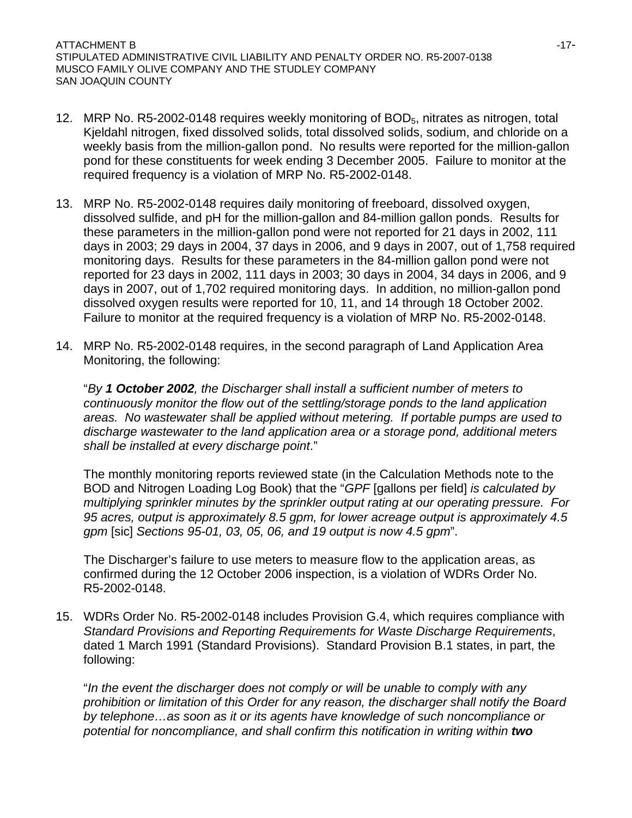- 12. MRP No.  $R5-2002-0148$  requires weekly monitoring of  $BOD<sub>5</sub>$ , nitrates as nitrogen, total Kjeldahl nitrogen, fixed dissolved solids, total dissolved solids, sodium, and chloride on a weekly basis from the million-gallon pond. No results were reported for the million-gallon pond for these constituents for week ending 3 December 2005. Failure to monitor at the required frequency is a violation of MRP No. R5-2002-0148.
- 13. MRP No. R5-2002-0148 requires daily monitoring of freeboard, dissolved oxygen, dissolved sulfide, and pH for the million-gallon and 84-million gallon ponds. Results for these parameters in the million-gallon pond were not reported for 21 days in 2002, 111 days in 2003; 29 days in 2004, 37 days in 2006, and 9 days in 2007, out of 1,758 required monitoring days. Results for these parameters in the 84-million gallon pond were not reported for 23 days in 2002, 111 days in 2003; 30 days in 2004, 34 days in 2006, and 9 days in 2007, out of 1,702 required monitoring days. In addition, no million-gallon pond dissolved oxygen results were reported for 10, 11, and 14 through 18 October 2002. Failure to monitor at the required frequency is a violation of MRP No. R5-2002-0148.
- 14. MRP No. R5-2002-0148 requires, in the second paragraph of Land Application Area Monitoring, the following:

"*By 1 October 2002, the Discharger shall install a sufficient number of meters to continuously monitor the flow out of the settling/storage ponds to the land application areas. No wastewater shall be applied without metering. If portable pumps are used to discharge wastewater to the land application area or a storage pond, additional meters shall be installed at every discharge point*."

The monthly monitoring reports reviewed state (in the Calculation Methods note to the BOD and Nitrogen Loading Log Book) that the "*GPF* [gallons per field] *is calculated by multiplying sprinkler minutes by the sprinkler output rating at our operating pressure. For 95 acres, output is approximately 8.5 gpm, for lower acreage output is approximately 4.5 gpm* [sic] *Sections 95-01, 03, 05, 06, and 19 output is now 4.5 gpm*".

The Discharger's failure to use meters to measure flow to the application areas, as confirmed during the 12 October 2006 inspection, is a violation of WDRs Order No. R5-2002-0148.

15. WDRs Order No. R5-2002-0148 includes Provision G.4, which requires compliance with *Standard Provisions and Reporting Requirements for Waste Discharge Requirements*, dated 1 March 1991 (Standard Provisions). Standard Provision B.1 states, in part, the following:

"*In the event the discharger does not comply or will be unable to comply with any prohibition or limitation of this Order for any reason, the discharger shall notify the Board by telephone…as soon as it or its agents have knowledge of such noncompliance or potential for noncompliance, and shall confirm this notification in writing within two*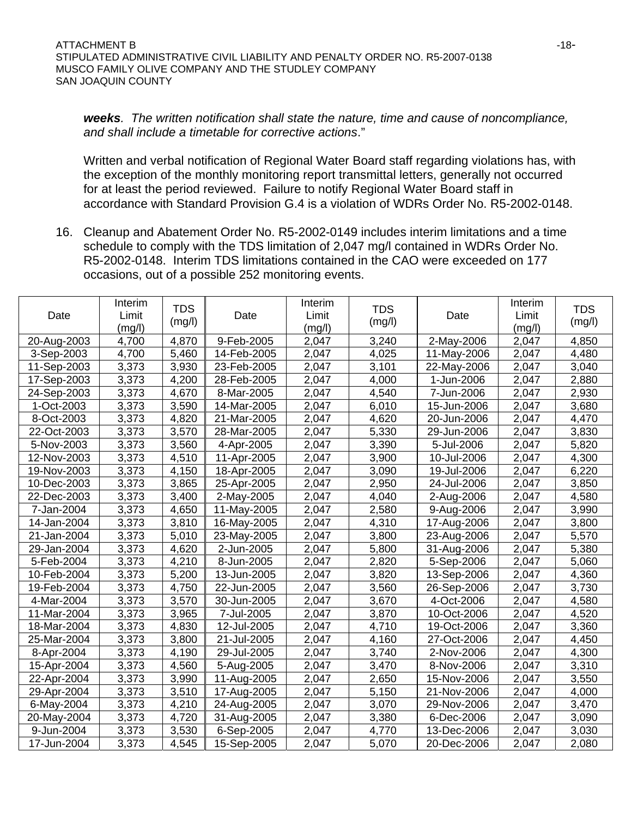*weeks. The written notification shall state the nature, time and cause of noncompliance, and shall include a timetable for corrective actions*."

Written and verbal notification of Regional Water Board staff regarding violations has, with the exception of the monthly monitoring report transmittal letters, generally not occurred for at least the period reviewed. Failure to notify Regional Water Board staff in accordance with Standard Provision G.4 is a violation of WDRs Order No. R5-2002-0148.

16. Cleanup and Abatement Order No. R5-2002-0149 includes interim limitations and a time schedule to comply with the TDS limitation of 2,047 mg/l contained in WDRs Order No. R5-2002-0148. Interim TDS limitations contained in the CAO were exceeded on 177 occasions, out of a possible 252 monitoring events.

|             | Interim<br>Limit | <b>TDS</b> |             | Interim<br>Limit | <b>TDS</b> | Date        | Interim<br>Limit | <b>TDS</b> |
|-------------|------------------|------------|-------------|------------------|------------|-------------|------------------|------------|
| Date        | (mg/l)           | (mg/l)     | Date        | (mg/l)           | (mg/l)     |             | (mg/l)           | (mg/l)     |
| 20-Aug-2003 | 4,700            | 4,870      | 9-Feb-2005  | 2,047            | 3,240      | 2-May-2006  | 2,047            | 4,850      |
| 3-Sep-2003  | 4,700            | 5,460      | 14-Feb-2005 | 2,047            | 4,025      | 11-May-2006 | 2,047            | 4,480      |
| 11-Sep-2003 | 3,373            | 3,930      | 23-Feb-2005 | 2,047            | 3,101      | 22-May-2006 | 2,047            | 3,040      |
| 17-Sep-2003 | 3,373            | 4,200      | 28-Feb-2005 | 2,047            | 4,000      | 1-Jun-2006  | 2,047            | 2,880      |
| 24-Sep-2003 | 3,373            | 4,670      | 8-Mar-2005  | 2,047            | 4,540      | 7-Jun-2006  | 2,047            | 2,930      |
| 1-Oct-2003  | 3,373            | 3,590      | 14-Mar-2005 | 2,047            | 6,010      | 15-Jun-2006 | 2,047            | 3,680      |
| 8-Oct-2003  | 3,373            | 4,820      | 21-Mar-2005 | 2,047            | 4,620      | 20-Jun-2006 | 2,047            | 4,470      |
| 22-Oct-2003 | 3,373            | 3,570      | 28-Mar-2005 | 2,047            | 5,330      | 29-Jun-2006 | 2,047            | 3,830      |
| 5-Nov-2003  | 3,373            | 3,560      | 4-Apr-2005  | 2,047            | 3,390      | 5-Jul-2006  | 2,047            | 5,820      |
| 12-Nov-2003 | 3,373            | 4,510      | 11-Apr-2005 | 2,047            | 3,900      | 10-Jul-2006 | 2,047            | 4,300      |
| 19-Nov-2003 | 3,373            | 4,150      | 18-Apr-2005 | 2,047            | 3,090      | 19-Jul-2006 | 2,047            | 6,220      |
| 10-Dec-2003 | 3,373            | 3,865      | 25-Apr-2005 | 2,047            | 2,950      | 24-Jul-2006 | 2,047            | 3,850      |
| 22-Dec-2003 | 3,373            | 3,400      | 2-May-2005  | 2,047            | 4,040      | 2-Aug-2006  | 2,047            | 4,580      |
| 7-Jan-2004  | 3,373            | 4,650      | 11-May-2005 | 2,047            | 2,580      | 9-Aug-2006  | 2,047            | 3,990      |
| 14-Jan-2004 | 3,373            | 3,810      | 16-May-2005 | 2,047            | 4,310      | 17-Aug-2006 | 2,047            | 3,800      |
| 21-Jan-2004 | 3,373            | 5,010      | 23-May-2005 | 2,047            | 3,800      | 23-Aug-2006 | 2,047            | 5,570      |
| 29-Jan-2004 | 3,373            | 4,620      | 2-Jun-2005  | 2,047            | 5,800      | 31-Aug-2006 | 2,047            | 5,380      |
| 5-Feb-2004  | 3,373            | 4,210      | 8-Jun-2005  | 2,047            | 2,820      | 5-Sep-2006  | 2,047            | 5,060      |
| 10-Feb-2004 | 3,373            | 5,200      | 13-Jun-2005 | 2,047            | 3,820      | 13-Sep-2006 | 2,047            | 4,360      |
| 19-Feb-2004 | 3,373            | 4,750      | 22-Jun-2005 | 2,047            | 3,560      | 26-Sep-2006 | 2,047            | 3,730      |
| 4-Mar-2004  | 3,373            | 3,570      | 30-Jun-2005 | 2,047            | 3,670      | 4-Oct-2006  | 2,047            | 4,580      |
| 11-Mar-2004 | 3,373            | 3,965      | 7-Jul-2005  | 2,047            | 3,870      | 10-Oct-2006 | 2,047            | 4,520      |
| 18-Mar-2004 | 3,373            | 4,830      | 12-Jul-2005 | 2,047            | 4,710      | 19-Oct-2006 | 2,047            | 3,360      |
| 25-Mar-2004 | 3,373            | 3,800      | 21-Jul-2005 | 2,047            | 4,160      | 27-Oct-2006 | 2,047            | 4,450      |
| 8-Apr-2004  | 3,373            | 4,190      | 29-Jul-2005 | 2,047            | 3,740      | 2-Nov-2006  | 2,047            | 4,300      |
| 15-Apr-2004 | 3,373            | 4,560      | 5-Aug-2005  | 2,047            | 3,470      | 8-Nov-2006  | 2,047            | 3,310      |
| 22-Apr-2004 | 3,373            | 3,990      | 11-Aug-2005 | 2,047            | 2,650      | 15-Nov-2006 | 2,047            | 3,550      |
| 29-Apr-2004 | 3,373            | 3,510      | 17-Aug-2005 | 2,047            | 5,150      | 21-Nov-2006 | 2,047            | 4,000      |
| 6-May-2004  | 3,373            | 4,210      | 24-Aug-2005 | 2,047            | 3,070      | 29-Nov-2006 | 2,047            | 3,470      |
| 20-May-2004 | 3,373            | 4,720      | 31-Aug-2005 | 2,047            | 3,380      | 6-Dec-2006  | 2,047            | 3,090      |
| 9-Jun-2004  | 3,373            | 3,530      | 6-Sep-2005  | 2,047            | 4,770      | 13-Dec-2006 | 2,047            | 3,030      |
| 17-Jun-2004 | 3,373            | 4,545      | 15-Sep-2005 | 2,047            | 5,070      | 20-Dec-2006 | 2,047            | 2,080      |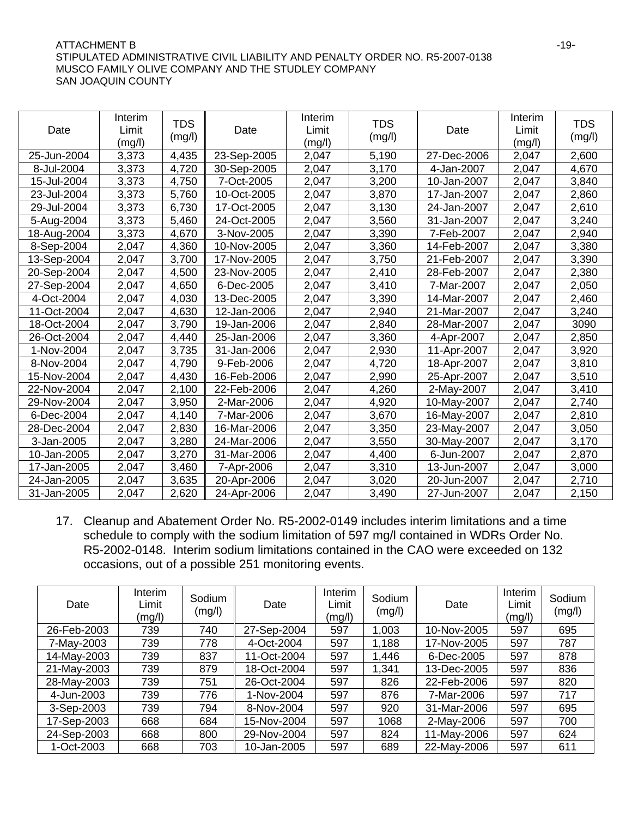### ATTACHMENT B -19-STIPULATED ADMINISTRATIVE CIVIL LIABILITY AND PENALTY ORDER NO. R5-2007-0138 MUSCO FAMILY OLIVE COMPANY AND THE STUDLEY COMPANY SAN JOAQUIN COUNTY

| Date        | Interim<br>Limit<br>(mg/l) | <b>TDS</b><br>(mg/l) | Date        | Interim<br>Limit<br>(mg/l) | <b>TDS</b><br>(mg/l) | Date        | Interim<br>Limit<br>(mg/l) | <b>TDS</b><br>(mg/l) |
|-------------|----------------------------|----------------------|-------------|----------------------------|----------------------|-------------|----------------------------|----------------------|
| 25-Jun-2004 | 3,373                      | 4,435                | 23-Sep-2005 | 2,047                      | 5,190                | 27-Dec-2006 | 2,047                      | 2,600                |
| 8-Jul-2004  | 3,373                      | 4,720                | 30-Sep-2005 | 2,047                      | 3,170                | 4-Jan-2007  | 2,047                      | 4,670                |
| 15-Jul-2004 | 3,373                      | 4,750                | 7-Oct-2005  | 2,047                      | 3,200                | 10-Jan-2007 | 2,047                      | 3,840                |
| 23-Jul-2004 | 3,373                      | 5,760                | 10-Oct-2005 | 2,047                      | 3,870                | 17-Jan-2007 | 2,047                      | 2,860                |
| 29-Jul-2004 | 3,373                      | 6,730                | 17-Oct-2005 | 2,047                      | 3,130                | 24-Jan-2007 | 2,047                      | 2,610                |
| 5-Aug-2004  | 3,373                      | 5,460                | 24-Oct-2005 | 2,047                      | 3,560                | 31-Jan-2007 | 2,047                      | 3,240                |
| 18-Aug-2004 | 3,373                      | 4,670                | 3-Nov-2005  | 2,047                      | 3,390                | 7-Feb-2007  | 2,047                      | 2,940                |
| 8-Sep-2004  | 2,047                      | 4,360                | 10-Nov-2005 | 2,047                      | 3,360                | 14-Feb-2007 | 2,047                      | 3,380                |
| 13-Sep-2004 | 2,047                      | 3,700                | 17-Nov-2005 | 2,047                      | 3,750                | 21-Feb-2007 | 2,047                      | 3,390                |
| 20-Sep-2004 | 2,047                      | 4,500                | 23-Nov-2005 | 2,047                      | 2,410                | 28-Feb-2007 | 2,047                      | 2,380                |
| 27-Sep-2004 | 2,047                      | 4,650                | 6-Dec-2005  | 2,047                      | 3,410                | 7-Mar-2007  | 2,047                      | 2,050                |
| 4-Oct-2004  | 2,047                      | 4,030                | 13-Dec-2005 | 2,047                      | 3,390                | 14-Mar-2007 | 2,047                      | 2,460                |
| 11-Oct-2004 | 2,047                      | 4,630                | 12-Jan-2006 | 2,047                      | 2,940                | 21-Mar-2007 | 2,047                      | 3,240                |
| 18-Oct-2004 | 2,047                      | 3,790                | 19-Jan-2006 | 2,047                      | 2,840                | 28-Mar-2007 | 2,047                      | 3090                 |
| 26-Oct-2004 | 2,047                      | 4,440                | 25-Jan-2006 | 2,047                      | 3,360                | 4-Apr-2007  | 2,047                      | 2,850                |
| 1-Nov-2004  | 2,047                      | 3,735                | 31-Jan-2006 | 2,047                      | 2,930                | 11-Apr-2007 | 2,047                      | 3,920                |
| 8-Nov-2004  | 2,047                      | 4,790                | 9-Feb-2006  | 2,047                      | 4,720                | 18-Apr-2007 | 2,047                      | 3,810                |
| 15-Nov-2004 | 2,047                      | 4,430                | 16-Feb-2006 | 2,047                      | 2,990                | 25-Apr-2007 | 2,047                      | 3,510                |
| 22-Nov-2004 | 2,047                      | 2,100                | 22-Feb-2006 | 2,047                      | 4,260                | 2-May-2007  | 2,047                      | 3,410                |
| 29-Nov-2004 | 2,047                      | 3,950                | 2-Mar-2006  | 2,047                      | 4,920                | 10-May-2007 | 2,047                      | 2,740                |
| 6-Dec-2004  | 2,047                      | 4,140                | 7-Mar-2006  | 2,047                      | 3,670                | 16-May-2007 | 2,047                      | 2,810                |
| 28-Dec-2004 | 2,047                      | 2,830                | 16-Mar-2006 | 2,047                      | 3,350                | 23-May-2007 | 2,047                      | 3,050                |
| 3-Jan-2005  | 2,047                      | 3,280                | 24-Mar-2006 | 2,047                      | 3,550                | 30-May-2007 | 2,047                      | 3,170                |
| 10-Jan-2005 | 2,047                      | 3,270                | 31-Mar-2006 | 2,047                      | 4,400                | 6-Jun-2007  | 2,047                      | 2,870                |
| 17-Jan-2005 | 2,047                      | 3,460                | 7-Apr-2006  | 2,047                      | 3,310                | 13-Jun-2007 | 2,047                      | 3,000                |
| 24-Jan-2005 | 2,047                      | 3,635                | 20-Apr-2006 | 2,047                      | 3,020                | 20-Jun-2007 | 2,047                      | 2,710                |
| 31-Jan-2005 | 2,047                      | 2,620                | 24-Apr-2006 | 2,047                      | 3,490                | 27-Jun-2007 | 2,047                      | 2,150                |

17. Cleanup and Abatement Order No. R5-2002-0149 includes interim limitations and a time schedule to comply with the sodium limitation of 597 mg/l contained in WDRs Order No. R5-2002-0148. Interim sodium limitations contained in the CAO were exceeded on 132 occasions, out of a possible 251 monitoring events.

| Date        | Interim<br>Limit<br>(mg/l) | Sodium<br>(mg/l) | Date        | Interim<br>Limit<br>(mg/l) | Sodium<br>(mg/l) | Date        | Interim<br>Limit<br>(mg/l) | Sodium<br>(mg/l) |
|-------------|----------------------------|------------------|-------------|----------------------------|------------------|-------------|----------------------------|------------------|
| 26-Feb-2003 | 739                        | 740              | 27-Sep-2004 | 597                        | 1,003            | 10-Nov-2005 | 597                        | 695              |
| 7-May-2003  | 739                        | 778              | 4-Oct-2004  | 597                        | 1,188            | 17-Nov-2005 | 597                        | 787              |
| 14-May-2003 | 739                        | 837              | 11-Oct-2004 | 597                        | 1,446            | 6-Dec-2005  | 597                        | 878              |
| 21-May-2003 | 739                        | 879              | 18-Oct-2004 | 597                        | 1,341            | 13-Dec-2005 | 597                        | 836              |
| 28-May-2003 | 739                        | 751              | 26-Oct-2004 | 597                        | 826              | 22-Feb-2006 | 597                        | 820              |
| 4-Jun-2003  | 739                        | 776              | 1-Nov-2004  | 597                        | 876              | 7-Mar-2006  | 597                        | 717              |
| 3-Sep-2003  | 739                        | 794              | 8-Nov-2004  | 597                        | 920              | 31-Mar-2006 | 597                        | 695              |
| 17-Sep-2003 | 668                        | 684              | 15-Nov-2004 | 597                        | 1068             | 2-May-2006  | 597                        | 700              |
| 24-Sep-2003 | 668                        | 800              | 29-Nov-2004 | 597                        | 824              | 11-May-2006 | 597                        | 624              |
| 1-Oct-2003  | 668                        | 703              | 10-Jan-2005 | 597                        | 689              | 22-May-2006 | 597                        | 611              |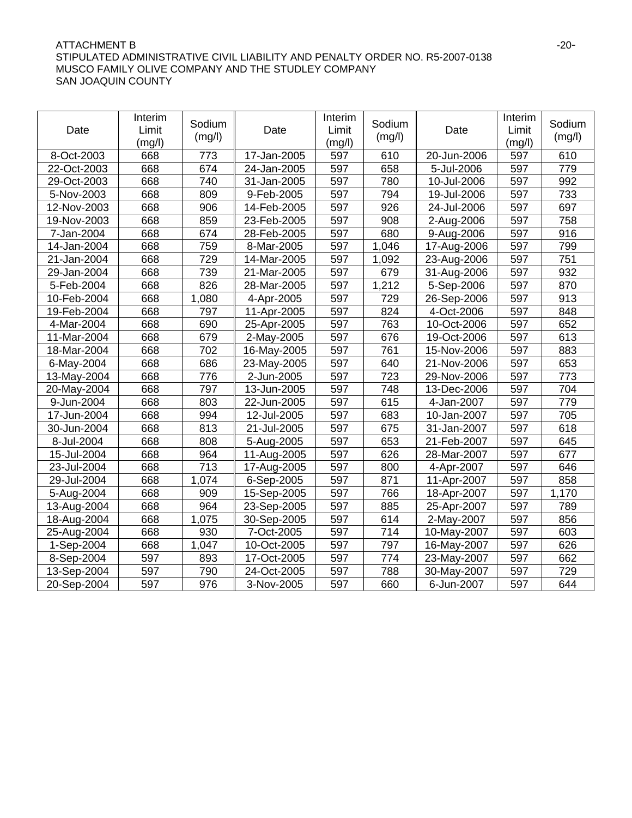## ATTACHMENT B -20-STIPULATED ADMINISTRATIVE CIVIL LIABILITY AND PENALTY ORDER NO. R5-2007-0138 MUSCO FAMILY OLIVE COMPANY AND THE STUDLEY COMPANY SAN JOAQUIN COUNTY

| Date        | Interim<br>Limit<br>(mg/l) | Sodium<br>(mg/l) | Date        | Interim<br>Limit<br>(mg/l) | Sodium<br>(mg/l) | Date        | Interim<br>Limit<br>(mg/l) | Sodium<br>(mg/l) |
|-------------|----------------------------|------------------|-------------|----------------------------|------------------|-------------|----------------------------|------------------|
| 8-Oct-2003  | 668                        | 773              | 17-Jan-2005 | 597                        | 610              | 20-Jun-2006 | 597                        | 610              |
| 22-Oct-2003 | 668                        | 674              | 24-Jan-2005 | 597                        | 658              | 5-Jul-2006  | 597                        | 779              |
| 29-Oct-2003 | 668                        | 740              | 31-Jan-2005 | 597                        | 780              | 10-Jul-2006 | 597                        | 992              |
| 5-Nov-2003  | 668                        | 809              | 9-Feb-2005  | 597                        | 794              | 19-Jul-2006 | 597                        | 733              |
| 12-Nov-2003 | 668                        | 906              | 14-Feb-2005 | 597                        | 926              | 24-Jul-2006 | 597                        | 697              |
| 19-Nov-2003 | 668                        | 859              | 23-Feb-2005 | 597                        | 908              | 2-Aug-2006  | 597                        | 758              |
| 7-Jan-2004  | 668                        | 674              | 28-Feb-2005 | 597                        | 680              | 9-Aug-2006  | 597                        | 916              |
| 14-Jan-2004 | 668                        | 759              | 8-Mar-2005  | 597                        | 1,046            | 17-Aug-2006 | 597                        | 799              |
| 21-Jan-2004 | 668                        | 729              | 14-Mar-2005 | 597                        | 1,092            | 23-Aug-2006 | 597                        | 751              |
| 29-Jan-2004 | 668                        | 739              | 21-Mar-2005 | 597                        | 679              | 31-Aug-2006 | 597                        | 932              |
| 5-Feb-2004  | 668                        | 826              | 28-Mar-2005 | 597                        | 1,212            | 5-Sep-2006  | 597                        | 870              |
| 10-Feb-2004 | 668                        | 1,080            | 4-Apr-2005  | 597                        | 729              | 26-Sep-2006 | 597                        | 913              |
| 19-Feb-2004 | 668                        | 797              | 11-Apr-2005 | 597                        | 824              | 4-Oct-2006  | 597                        | 848              |
| 4-Mar-2004  | 668                        | 690              | 25-Apr-2005 | 597                        | 763              | 10-Oct-2006 | 597                        | 652              |
| 11-Mar-2004 | 668                        | 679              | 2-May-2005  | 597                        | 676              | 19-Oct-2006 | 597                        | 613              |
| 18-Mar-2004 | 668                        | 702              | 16-May-2005 | 597                        | 761              | 15-Nov-2006 | 597                        | 883              |
| 6-May-2004  | 668                        | 686              | 23-May-2005 | 597                        | 640              | 21-Nov-2006 | 597                        | 653              |
| 13-May-2004 | 668                        | 776              | 2-Jun-2005  | 597                        | 723              | 29-Nov-2006 | 597                        | 773              |
| 20-May-2004 | 668                        | 797              | 13-Jun-2005 | 597                        | 748              | 13-Dec-2006 | 597                        | 704              |
| 9-Jun-2004  | 668                        | 803              | 22-Jun-2005 | 597                        | 615              | 4-Jan-2007  | 597                        | 779              |
| 17-Jun-2004 | 668                        | 994              | 12-Jul-2005 | 597                        | 683              | 10-Jan-2007 | 597                        | 705              |
| 30-Jun-2004 | 668                        | 813              | 21-Jul-2005 | 597                        | 675              | 31-Jan-2007 | 597                        | 618              |
| 8-Jul-2004  | 668                        | 808              | 5-Aug-2005  | 597                        | 653              | 21-Feb-2007 | 597                        | 645              |
| 15-Jul-2004 | 668                        | 964              | 11-Aug-2005 | 597                        | 626              | 28-Mar-2007 | 597                        | 677              |
| 23-Jul-2004 | 668                        | 713              | 17-Aug-2005 | 597                        | 800              | 4-Apr-2007  | 597                        | 646              |
| 29-Jul-2004 | 668                        | 1,074            | 6-Sep-2005  | 597                        | 871              | 11-Apr-2007 | 597                        | 858              |
| 5-Aug-2004  | 668                        | 909              | 15-Sep-2005 | 597                        | 766              | 18-Apr-2007 | 597                        | 1,170            |
| 13-Aug-2004 | 668                        | 964              | 23-Sep-2005 | 597                        | 885              | 25-Apr-2007 | 597                        | 789              |
| 18-Aug-2004 | 668                        | 1,075            | 30-Sep-2005 | 597                        | 614              | 2-May-2007  | 597                        | 856              |
| 25-Aug-2004 | 668                        | 930              | 7-Oct-2005  | 597                        | 714              | 10-May-2007 | 597                        | 603              |
| 1-Sep-2004  | 668                        | 1,047            | 10-Oct-2005 | 597                        | 797              | 16-May-2007 | 597                        | 626              |
| 8-Sep-2004  | 597                        | 893              | 17-Oct-2005 | 597                        | 774              | 23-May-2007 | 597                        | 662              |
| 13-Sep-2004 | 597                        | 790              | 24-Oct-2005 | 597                        | 788              | 30-May-2007 | 597                        | 729              |
| 20-Sep-2004 | 597                        | 976              | 3-Nov-2005  | 597                        | 660              | 6-Jun-2007  | 597                        | 644              |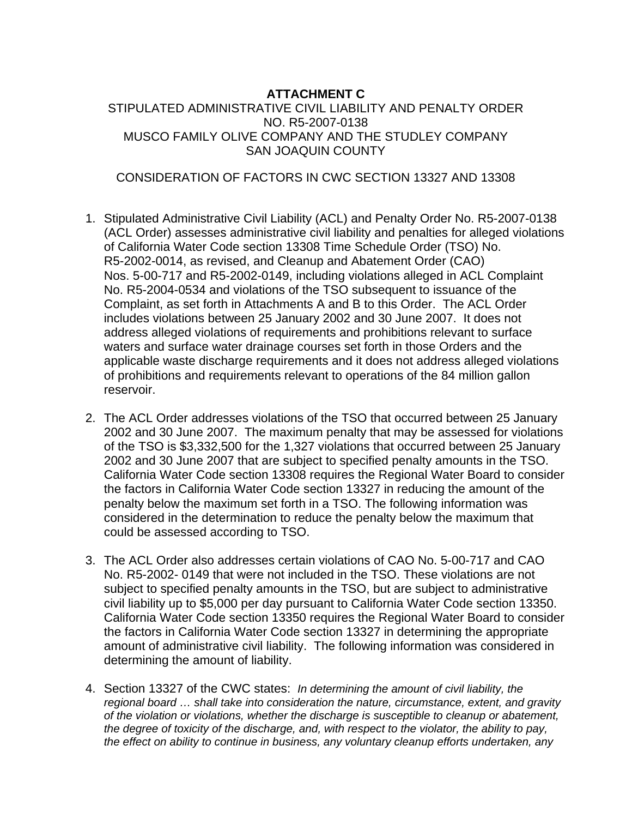## **ATTACHMENT C**

STIPULATED ADMINISTRATIVE CIVIL LIABILITY AND PENALTY ORDER NO. R5-2007-0138 MUSCO FAMILY OLIVE COMPANY AND THE STUDLEY COMPANY SAN JOAQUIN COUNTY

## CONSIDERATION OF FACTORS IN CWC SECTION 13327 AND 13308

- 1. Stipulated Administrative Civil Liability (ACL) and Penalty Order No. R5-2007-0138 (ACL Order) assesses administrative civil liability and penalties for alleged violations of California Water Code section 13308 Time Schedule Order (TSO) No. R5-2002-0014, as revised, and Cleanup and Abatement Order (CAO) Nos. 5-00-717 and R5-2002-0149, including violations alleged in ACL Complaint No. R5-2004-0534 and violations of the TSO subsequent to issuance of the Complaint, as set forth in Attachments A and B to this Order. The ACL Order includes violations between 25 January 2002 and 30 June 2007. It does not address alleged violations of requirements and prohibitions relevant to surface waters and surface water drainage courses set forth in those Orders and the applicable waste discharge requirements and it does not address alleged violations of prohibitions and requirements relevant to operations of the 84 million gallon reservoir.
- 2. The ACL Order addresses violations of the TSO that occurred between 25 January 2002 and 30 June 2007. The maximum penalty that may be assessed for violations of the TSO is \$3,332,500 for the 1,327 violations that occurred between 25 January 2002 and 30 June 2007 that are subject to specified penalty amounts in the TSO. California Water Code section 13308 requires the Regional Water Board to consider the factors in California Water Code section 13327 in reducing the amount of the penalty below the maximum set forth in a TSO. The following information was considered in the determination to reduce the penalty below the maximum that could be assessed according to TSO.
- 3. The ACL Order also addresses certain violations of CAO No. 5-00-717 and CAO No. R5-2002- 0149 that were not included in the TSO. These violations are not subject to specified penalty amounts in the TSO, but are subject to administrative civil liability up to \$5,000 per day pursuant to California Water Code section 13350. California Water Code section 13350 requires the Regional Water Board to consider the factors in California Water Code section 13327 in determining the appropriate amount of administrative civil liability. The following information was considered in determining the amount of liability.
- 4. Section 13327 of the CWC states: *In determining the amount of civil liability, the regional board … shall take into consideration the nature, circumstance, extent, and gravity of the violation or violations, whether the discharge is susceptible to cleanup or abatement, the degree of toxicity of the discharge, and, with respect to the violator, the ability to pay, the effect on ability to continue in business, any voluntary cleanup efforts undertaken, any*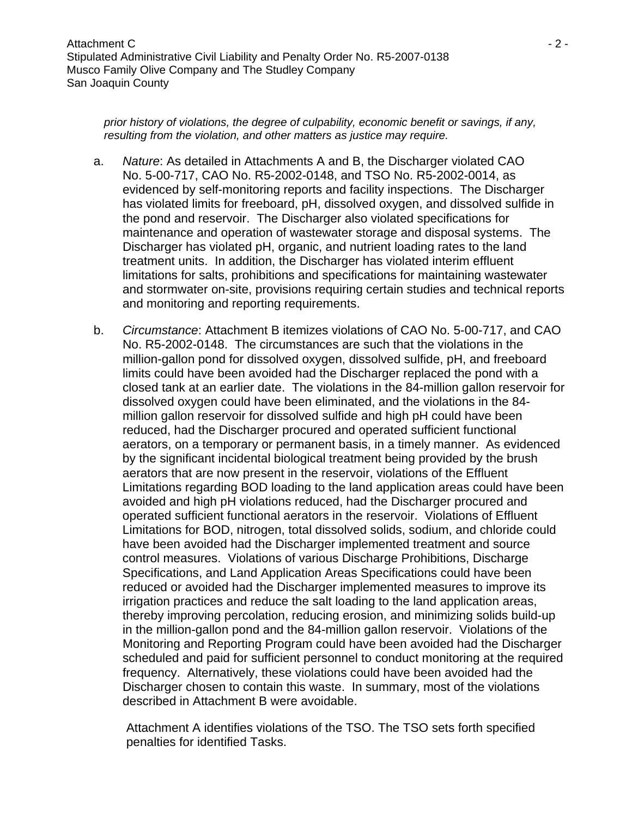*prior history of violations, the degree of culpability, economic benefit or savings, if any, resulting from the violation, and other matters as justice may require.*

- a. *Nature*: As detailed in Attachments A and B, the Discharger violated CAO No. 5-00-717, CAO No. R5-2002-0148, and TSO No. R5-2002-0014, as evidenced by self-monitoring reports and facility inspections. The Discharger has violated limits for freeboard, pH, dissolved oxygen, and dissolved sulfide in the pond and reservoir. The Discharger also violated specifications for maintenance and operation of wastewater storage and disposal systems. The Discharger has violated pH, organic, and nutrient loading rates to the land treatment units. In addition, the Discharger has violated interim effluent limitations for salts, prohibitions and specifications for maintaining wastewater and stormwater on-site, provisions requiring certain studies and technical reports and monitoring and reporting requirements.
- b. *Circumstance*: Attachment B itemizes violations of CAO No. 5-00-717, and CAO No. R5-2002-0148. The circumstances are such that the violations in the million-gallon pond for dissolved oxygen, dissolved sulfide, pH, and freeboard limits could have been avoided had the Discharger replaced the pond with a closed tank at an earlier date. The violations in the 84-million gallon reservoir for dissolved oxygen could have been eliminated, and the violations in the 84 million gallon reservoir for dissolved sulfide and high pH could have been reduced, had the Discharger procured and operated sufficient functional aerators, on a temporary or permanent basis, in a timely manner. As evidenced by the significant incidental biological treatment being provided by the brush aerators that are now present in the reservoir, violations of the Effluent Limitations regarding BOD loading to the land application areas could have been avoided and high pH violations reduced, had the Discharger procured and operated sufficient functional aerators in the reservoir. Violations of Effluent Limitations for BOD, nitrogen, total dissolved solids, sodium, and chloride could have been avoided had the Discharger implemented treatment and source control measures. Violations of various Discharge Prohibitions, Discharge Specifications, and Land Application Areas Specifications could have been reduced or avoided had the Discharger implemented measures to improve its irrigation practices and reduce the salt loading to the land application areas, thereby improving percolation, reducing erosion, and minimizing solids build-up in the million-gallon pond and the 84-million gallon reservoir. Violations of the Monitoring and Reporting Program could have been avoided had the Discharger scheduled and paid for sufficient personnel to conduct monitoring at the required frequency. Alternatively, these violations could have been avoided had the Discharger chosen to contain this waste. In summary, most of the violations described in Attachment B were avoidable.

Attachment A identifies violations of the TSO. The TSO sets forth specified penalties for identified Tasks.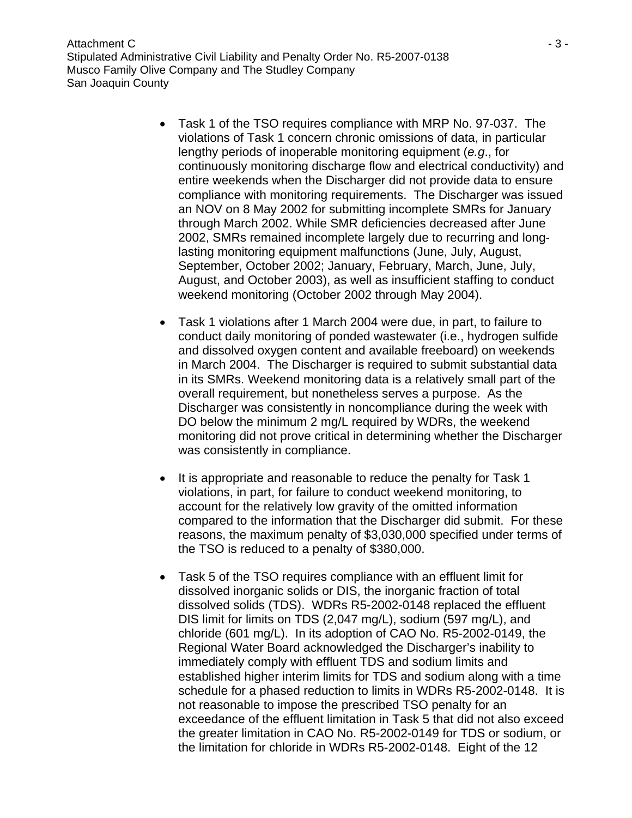Attachment C  $\sim$  3 -Stipulated Administrative Civil Liability and Penalty Order No. R5-2007-0138 Musco Family Olive Company and The Studley Company San Joaquin County

- Task 1 of the TSO requires compliance with MRP No. 97-037. The violations of Task 1 concern chronic omissions of data, in particular lengthy periods of inoperable monitoring equipment (*e.g*., for continuously monitoring discharge flow and electrical conductivity) and entire weekends when the Discharger did not provide data to ensure compliance with monitoring requirements. The Discharger was issued an NOV on 8 May 2002 for submitting incomplete SMRs for January through March 2002. While SMR deficiencies decreased after June 2002, SMRs remained incomplete largely due to recurring and longlasting monitoring equipment malfunctions (June, July, August, September, October 2002; January, February, March, June, July, August, and October 2003), as well as insufficient staffing to conduct weekend monitoring (October 2002 through May 2004).
- Task 1 violations after 1 March 2004 were due, in part, to failure to conduct daily monitoring of ponded wastewater (i.e., hydrogen sulfide and dissolved oxygen content and available freeboard) on weekends in March 2004. The Discharger is required to submit substantial data in its SMRs. Weekend monitoring data is a relatively small part of the overall requirement, but nonetheless serves a purpose. As the Discharger was consistently in noncompliance during the week with DO below the minimum 2 mg/L required by WDRs, the weekend monitoring did not prove critical in determining whether the Discharger was consistently in compliance.
- It is appropriate and reasonable to reduce the penalty for Task 1 violations, in part, for failure to conduct weekend monitoring, to account for the relatively low gravity of the omitted information compared to the information that the Discharger did submit. For these reasons, the maximum penalty of \$3,030,000 specified under terms of the TSO is reduced to a penalty of \$380,000.
- Task 5 of the TSO requires compliance with an effluent limit for dissolved inorganic solids or DIS, the inorganic fraction of total dissolved solids (TDS). WDRs R5-2002-0148 replaced the effluent DIS limit for limits on TDS (2,047 mg/L), sodium (597 mg/L), and chloride (601 mg/L). In its adoption of CAO No. R5-2002-0149, the Regional Water Board acknowledged the Discharger's inability to immediately comply with effluent TDS and sodium limits and established higher interim limits for TDS and sodium along with a time schedule for a phased reduction to limits in WDRs R5-2002-0148. It is not reasonable to impose the prescribed TSO penalty for an exceedance of the effluent limitation in Task 5 that did not also exceed the greater limitation in CAO No. R5-2002-0149 for TDS or sodium, or the limitation for chloride in WDRs R5-2002-0148. Eight of the 12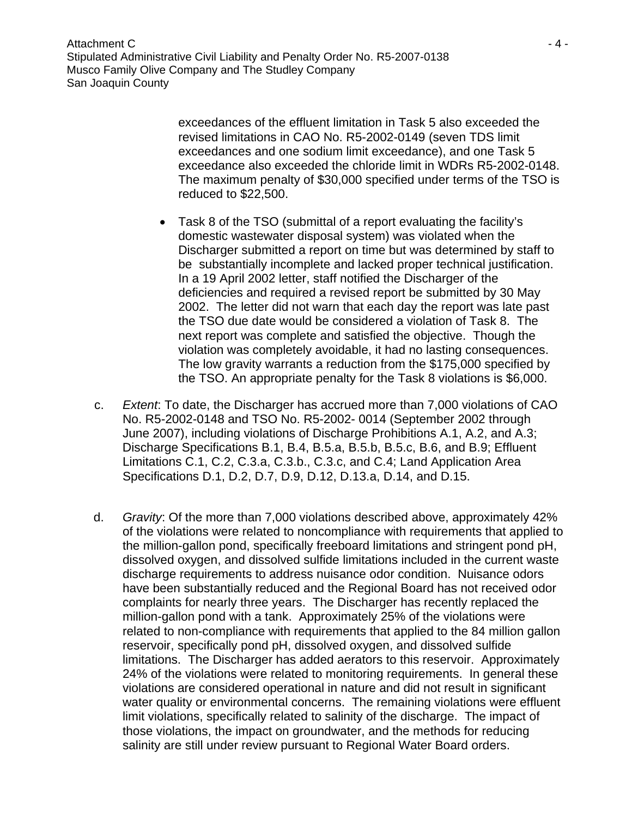Attachment C  $\sim$  4 -Stipulated Administrative Civil Liability and Penalty Order No. R5-2007-0138 Musco Family Olive Company and The Studley Company San Joaquin County

> exceedances of the effluent limitation in Task 5 also exceeded the revised limitations in CAO No. R5-2002-0149 (seven TDS limit exceedances and one sodium limit exceedance), and one Task 5 exceedance also exceeded the chloride limit in WDRs R5-2002-0148. The maximum penalty of \$30,000 specified under terms of the TSO is reduced to \$22,500.

- Task 8 of the TSO (submittal of a report evaluating the facility's domestic wastewater disposal system) was violated when the Discharger submitted a report on time but was determined by staff to be substantially incomplete and lacked proper technical justification. In a 19 April 2002 letter, staff notified the Discharger of the deficiencies and required a revised report be submitted by 30 May 2002. The letter did not warn that each day the report was late past the TSO due date would be considered a violation of Task 8. The next report was complete and satisfied the objective. Though the violation was completely avoidable, it had no lasting consequences. The low gravity warrants a reduction from the \$175,000 specified by the TSO. An appropriate penalty for the Task 8 violations is \$6,000.
- c. *Extent*: To date, the Discharger has accrued more than 7,000 violations of CAO No. R5-2002-0148 and TSO No. R5-2002- 0014 (September 2002 through June 2007), including violations of Discharge Prohibitions A.1, A.2, and A.3; Discharge Specifications B.1, B.4, B.5.a, B.5.b, B.5.c, B.6, and B.9; Effluent Limitations C.1, C.2, C.3.a, C.3.b., C.3.c, and C.4; Land Application Area Specifications D.1, D.2, D.7, D.9, D.12, D.13.a, D.14, and D.15.
- d. *Gravity*: Of the more than 7,000 violations described above, approximately 42% of the violations were related to noncompliance with requirements that applied to the million-gallon pond, specifically freeboard limitations and stringent pond pH, dissolved oxygen, and dissolved sulfide limitations included in the current waste discharge requirements to address nuisance odor condition. Nuisance odors have been substantially reduced and the Regional Board has not received odor complaints for nearly three years. The Discharger has recently replaced the million-gallon pond with a tank. Approximately 25% of the violations were related to non-compliance with requirements that applied to the 84 million gallon reservoir, specifically pond pH, dissolved oxygen, and dissolved sulfide limitations. The Discharger has added aerators to this reservoir. Approximately 24% of the violations were related to monitoring requirements. In general these violations are considered operational in nature and did not result in significant water quality or environmental concerns. The remaining violations were effluent limit violations, specifically related to salinity of the discharge. The impact of those violations, the impact on groundwater, and the methods for reducing salinity are still under review pursuant to Regional Water Board orders.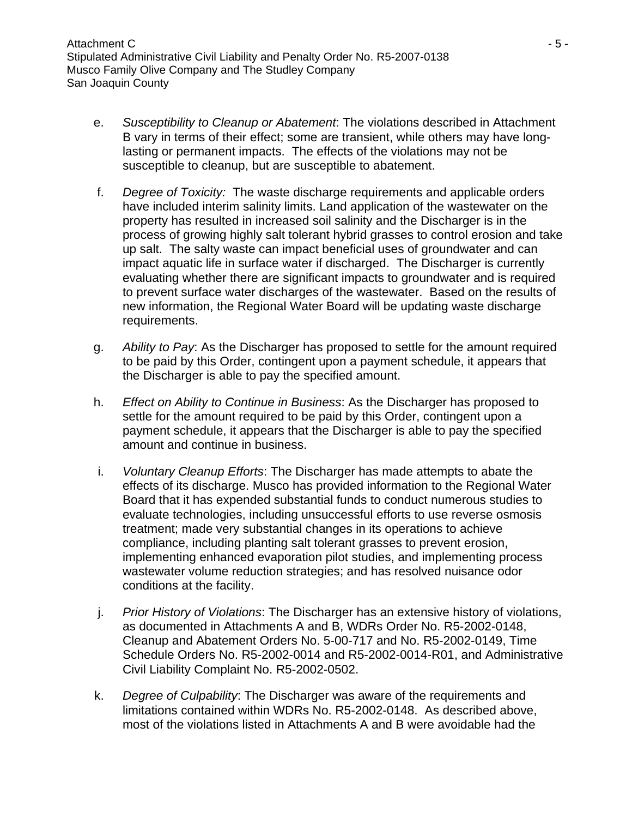- e. *Susceptibility to Cleanup or Abatement*: The violations described in Attachment B vary in terms of their effect; some are transient, while others may have longlasting or permanent impacts. The effects of the violations may not be susceptible to cleanup, but are susceptible to abatement.
- f. *Degree of Toxicity:* The waste discharge requirements and applicable orders have included interim salinity limits. Land application of the wastewater on the property has resulted in increased soil salinity and the Discharger is in the process of growing highly salt tolerant hybrid grasses to control erosion and take up salt. The salty waste can impact beneficial uses of groundwater and can impact aquatic life in surface water if discharged. The Discharger is currently evaluating whether there are significant impacts to groundwater and is required to prevent surface water discharges of the wastewater. Based on the results of new information, the Regional Water Board will be updating waste discharge requirements.
- g. *Ability to Pay*: As the Discharger has proposed to settle for the amount required to be paid by this Order, contingent upon a payment schedule, it appears that the Discharger is able to pay the specified amount.
- h. *Effect on Ability to Continue in Business*: As the Discharger has proposed to settle for the amount required to be paid by this Order, contingent upon a payment schedule, it appears that the Discharger is able to pay the specified amount and continue in business.
- i. *Voluntary Cleanup Efforts*: The Discharger has made attempts to abate the effects of its discharge. Musco has provided information to the Regional Water Board that it has expended substantial funds to conduct numerous studies to evaluate technologies, including unsuccessful efforts to use reverse osmosis treatment; made very substantial changes in its operations to achieve compliance, including planting salt tolerant grasses to prevent erosion, implementing enhanced evaporation pilot studies, and implementing process wastewater volume reduction strategies; and has resolved nuisance odor conditions at the facility.
- j. *Prior History of Violations*: The Discharger has an extensive history of violations, as documented in Attachments A and B, WDRs Order No. R5-2002-0148, Cleanup and Abatement Orders No. 5-00-717 and No. R5-2002-0149, Time Schedule Orders No. R5-2002-0014 and R5-2002-0014-R01, and Administrative Civil Liability Complaint No. R5-2002-0502.
- k. *Degree of Culpability*: The Discharger was aware of the requirements and limitations contained within WDRs No. R5-2002-0148. As described above, most of the violations listed in Attachments A and B were avoidable had the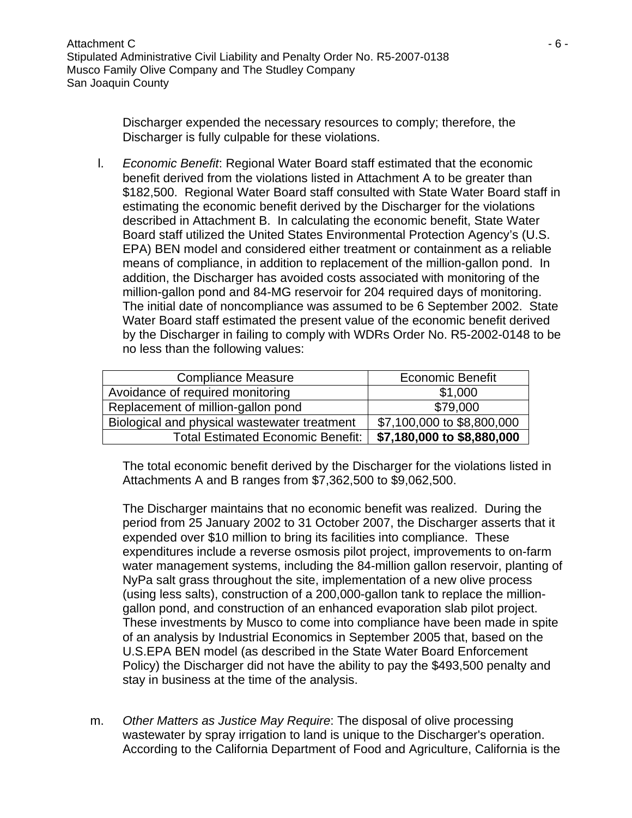Discharger expended the necessary resources to comply; therefore, the Discharger is fully culpable for these violations.

l. *Economic Benefit*: Regional Water Board staff estimated that the economic benefit derived from the violations listed in Attachment A to be greater than \$182,500. Regional Water Board staff consulted with State Water Board staff in estimating the economic benefit derived by the Discharger for the violations described in Attachment B. In calculating the economic benefit, State Water Board staff utilized the United States Environmental Protection Agency's (U.S. EPA) BEN model and considered either treatment or containment as a reliable means of compliance, in addition to replacement of the million-gallon pond. In addition, the Discharger has avoided costs associated with monitoring of the million-gallon pond and 84-MG reservoir for 204 required days of monitoring. The initial date of noncompliance was assumed to be 6 September 2002. State Water Board staff estimated the present value of the economic benefit derived by the Discharger in failing to comply with WDRs Order No. R5-2002-0148 to be no less than the following values:

| <b>Compliance Measure</b>                    | <b>Economic Benefit</b>    |  |  |
|----------------------------------------------|----------------------------|--|--|
| Avoidance of required monitoring             | \$1,000                    |  |  |
| Replacement of million-gallon pond           | \$79,000                   |  |  |
| Biological and physical wastewater treatment | \$7,100,000 to \$8,800,000 |  |  |
| <b>Total Estimated Economic Benefit:</b>     | \$7,180,000 to \$8,880,000 |  |  |

The total economic benefit derived by the Discharger for the violations listed in Attachments A and B ranges from \$7,362,500 to \$9,062,500.

The Discharger maintains that no economic benefit was realized. During the period from 25 January 2002 to 31 October 2007, the Discharger asserts that it expended over \$10 million to bring its facilities into compliance. These expenditures include a reverse osmosis pilot project, improvements to on-farm water management systems, including the 84-million gallon reservoir, planting of NyPa salt grass throughout the site, implementation of a new olive process (using less salts), construction of a 200,000-gallon tank to replace the milliongallon pond, and construction of an enhanced evaporation slab pilot project. These investments by Musco to come into compliance have been made in spite of an analysis by Industrial Economics in September 2005 that, based on the U.S.EPA BEN model (as described in the State Water Board Enforcement Policy) the Discharger did not have the ability to pay the \$493,500 penalty and stay in business at the time of the analysis.

m. *Other Matters as Justice May Require*: The disposal of olive processing wastewater by spray irrigation to land is unique to the Discharger's operation. According to the California Department of Food and Agriculture, California is the